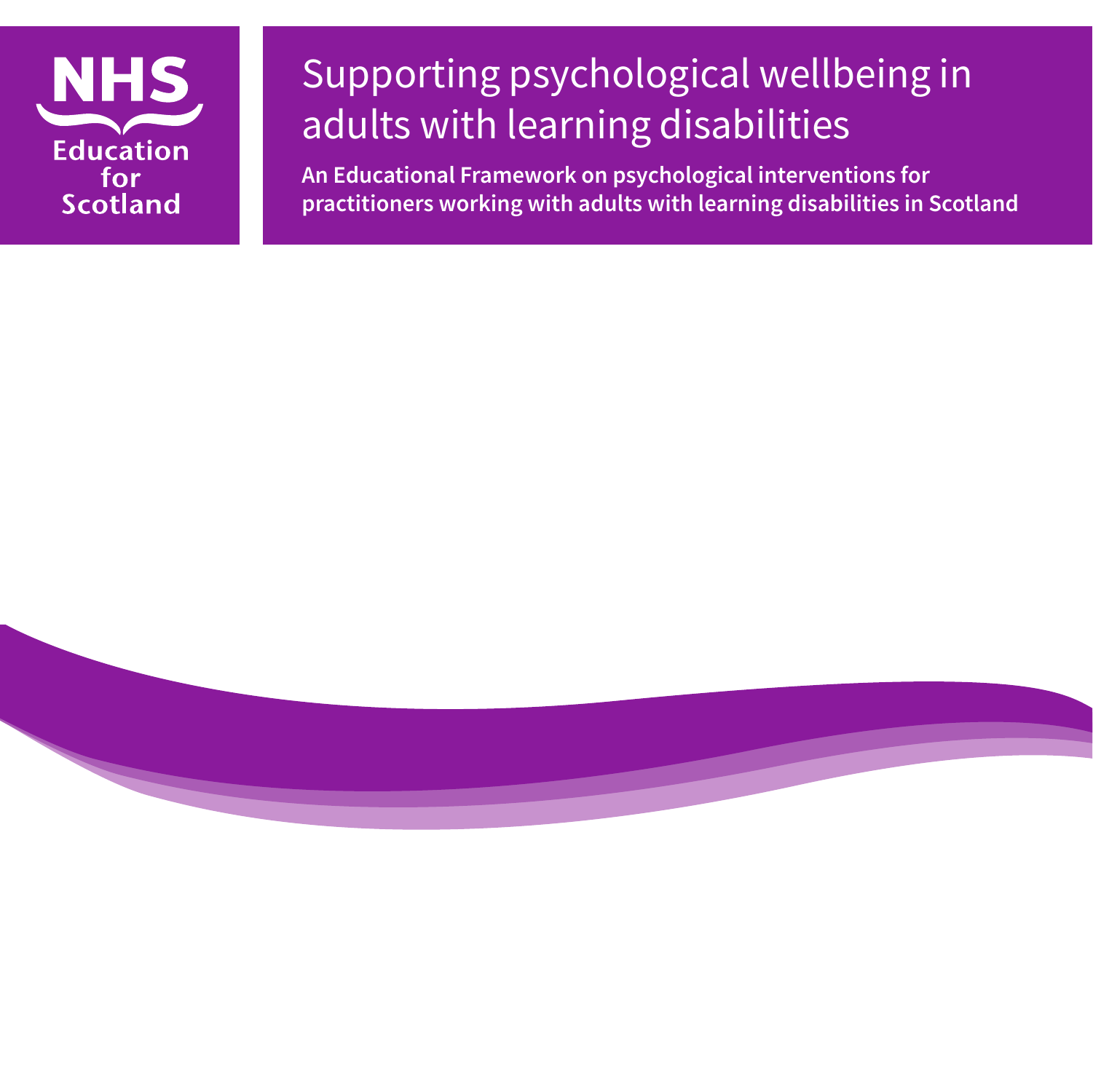

**An Educational Framework on psychological interventions for practitioners working with adults with learning disabilities in Scotland**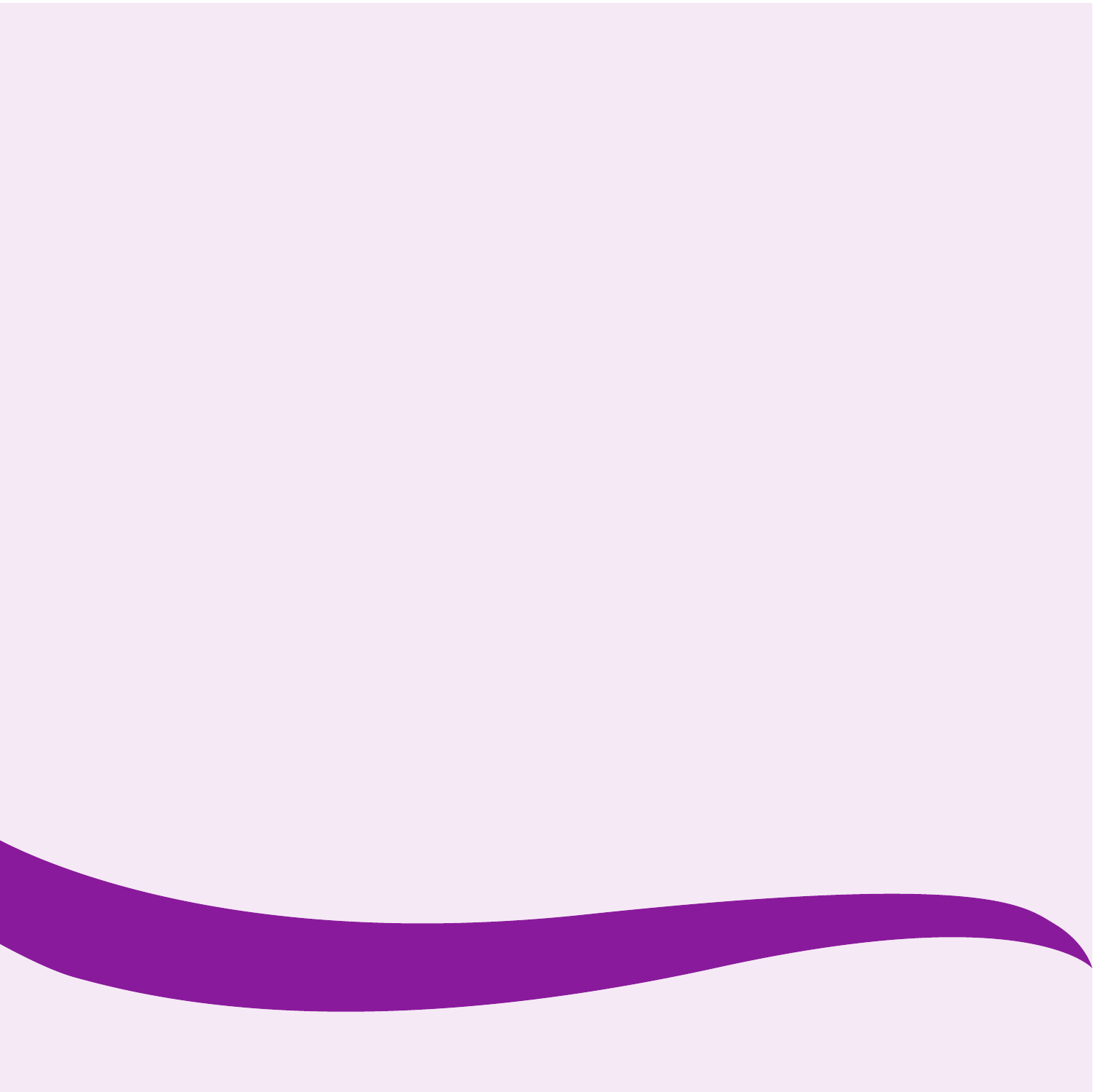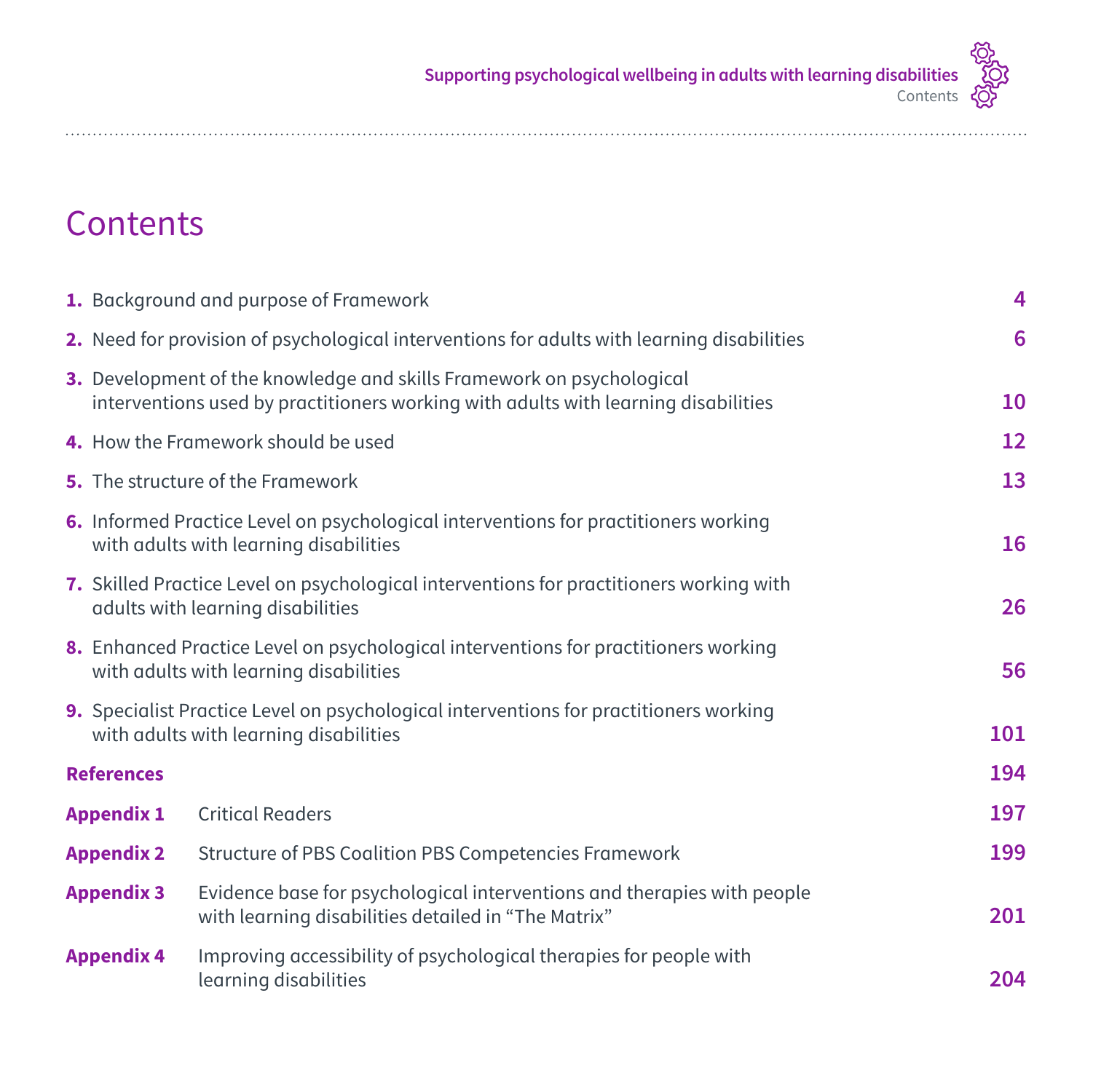### **Contents**

|                   | 1. Background and purpose of Framework                                                                                                                      | 4   |
|-------------------|-------------------------------------------------------------------------------------------------------------------------------------------------------------|-----|
|                   | 2. Need for provision of psychological interventions for adults with learning disabilities                                                                  | 6   |
|                   | 3. Development of the knowledge and skills Framework on psychological<br>interventions used by practitioners working with adults with learning disabilities | 10  |
|                   | 4. How the Framework should be used                                                                                                                         | 12  |
|                   | 5. The structure of the Framework                                                                                                                           | 13  |
|                   | 6. Informed Practice Level on psychological interventions for practitioners working<br>with adults with learning disabilities                               | 16  |
|                   | 7. Skilled Practice Level on psychological interventions for practitioners working with<br>adults with learning disabilities                                | 26  |
|                   | 8. Enhanced Practice Level on psychological interventions for practitioners working<br>with adults with learning disabilities                               | 56  |
|                   | 9. Specialist Practice Level on psychological interventions for practitioners working<br>with adults with learning disabilities                             | 101 |
| <b>References</b> |                                                                                                                                                             | 194 |
| <b>Appendix 1</b> | <b>Critical Readers</b>                                                                                                                                     | 197 |
| <b>Appendix 2</b> | <b>Structure of PBS Coalition PBS Competencies Framework</b>                                                                                                | 199 |
| <b>Appendix 3</b> | Evidence base for psychological interventions and therapies with people<br>with learning disabilities detailed in "The Matrix"                              | 201 |
| <b>Appendix 4</b> | Improving accessibility of psychological therapies for people with<br>learning disabilities                                                                 | 204 |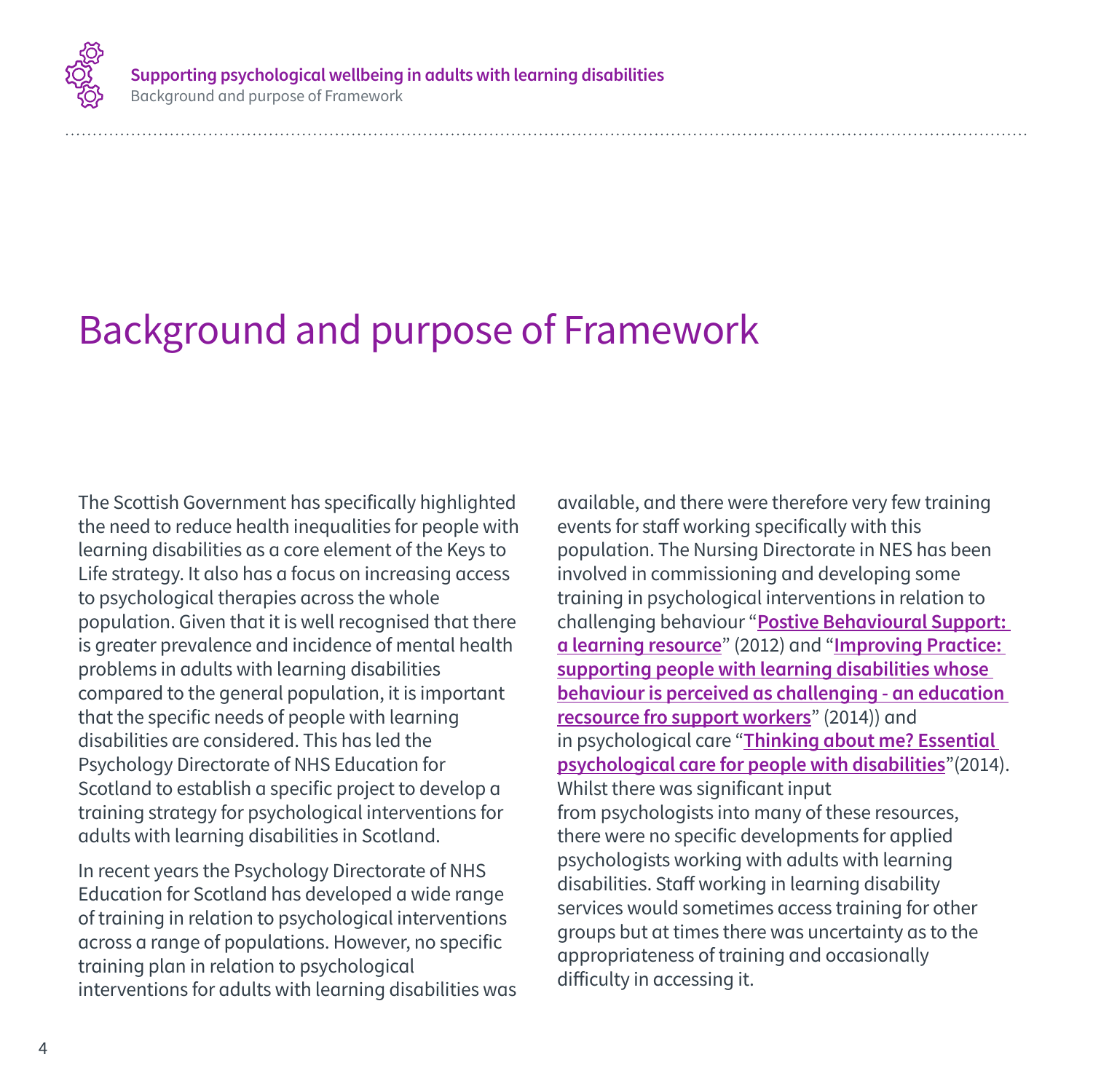<span id="page-3-0"></span>

### Background and purpose of Framework

The Scottish Government has specifically highlighted the need to reduce health inequalities for people with learning disabilities as a core element of the Keys to Life strategy. It also has a focus on increasing access to psychological therapies across the whole population. Given that it is well recognised that there is greater prevalence and incidence of mental health problems in adults with learning disabilities compared to the general population, it is important that the specific needs of people with learning disabilities are considered. This has led the Psychology Directorate of NHS Education for Scotland to establish a specific project to develop a training strategy for psychological interventions for adults with learning disabilities in Scotland.

In recent years the Psychology Directorate of NHS Education for Scotland has developed a wide range of training in relation to psychological interventions across a range of populations. However, no specific training plan in relation to psychological interventions for adults with learning disabilities was available, and there were therefore very few training events for staff working specifically with this population. The Nursing Directorate in NES has been involved in commissioning and developing some training in psychological interventions in relation to challenging behaviour "**[Postive Behavioural Support:](http://www.nes.scot.nhs.uk/education-and-training/by-theme-initiative/mental-health-and-learning-disabilities/our-work,-publications-and-resources/learning-disabilities/positive-behavioural-support-a-learning-resource.aspx)  [a learning resource](http://www.nes.scot.nhs.uk/education-and-training/by-theme-initiative/mental-health-and-learning-disabilities/our-work,-publications-and-resources/learning-disabilities/positive-behavioural-support-a-learning-resource.aspx)**" (2012) and "**[Improving Practice:](http://www.nes.scot.nhs.uk/education-and-training/by-theme-initiative/mental-health-and-learning-disabilities/our-work,-publications-and-resources/learning-disabilities/improving-practice-supporting-people-whose-behaviour-is-perceived-as-challenging.aspx)  [supporting people with learning disabilities whose](http://www.nes.scot.nhs.uk/education-and-training/by-theme-initiative/mental-health-and-learning-disabilities/our-work,-publications-and-resources/learning-disabilities/improving-practice-supporting-people-whose-behaviour-is-perceived-as-challenging.aspx)  [behaviour is perceived as challenging - an education](http://www.nes.scot.nhs.uk/education-and-training/by-theme-initiative/mental-health-and-learning-disabilities/our-work,-publications-and-resources/learning-disabilities/improving-practice-supporting-people-whose-behaviour-is-perceived-as-challenging.aspx)  [recsource fro support workers](http://www.nes.scot.nhs.uk/education-and-training/by-theme-initiative/mental-health-and-learning-disabilities/our-work,-publications-and-resources/learning-disabilities/improving-practice-supporting-people-whose-behaviour-is-perceived-as-challenging.aspx)**" (2014)) and in psychological care "**[Thinking about me? Essential](http://www.nes.scot.nhs.uk/education-and-training/by-theme-initiative/mental-health-and-learning-disabilities/our-work,-publications-and-resources/learning-disabilities/thinking-about-me-essential-psychological-care-for-people-with-learning-disabilities.aspx)  [psychological care for people with disabilities](http://www.nes.scot.nhs.uk/education-and-training/by-theme-initiative/mental-health-and-learning-disabilities/our-work,-publications-and-resources/learning-disabilities/thinking-about-me-essential-psychological-care-for-people-with-learning-disabilities.aspx)**"(2014). Whilst there was significant input from psychologists into many of these resources, there were no specific developments for applied psychologists working with adults with learning disabilities. Staff working in learning disability services would sometimes access training for other groups but at times there was uncertainty as to the appropriateness of training and occasionally difficulty in accessing it.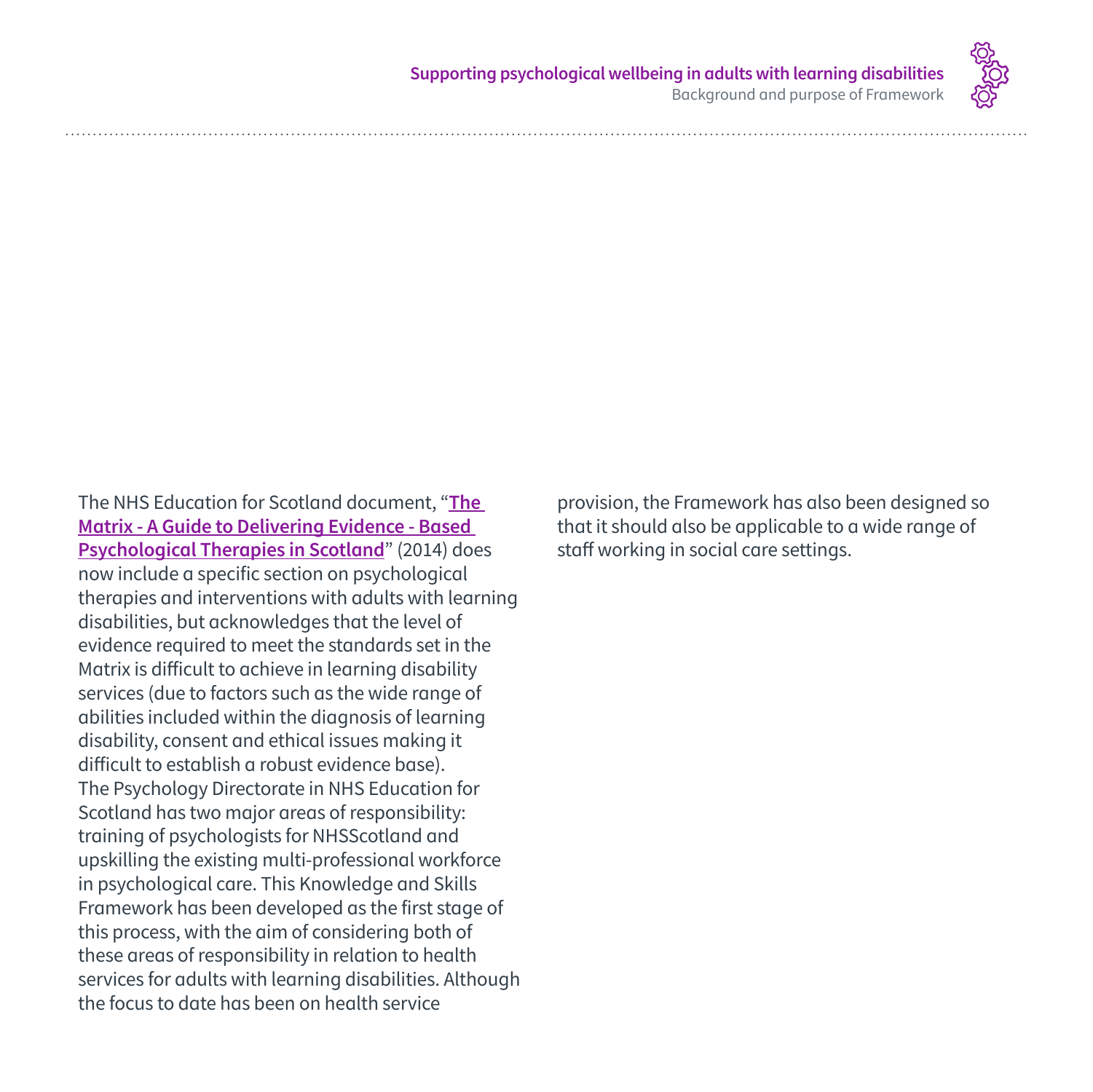

The NHS Education for Scotland document, "**[The](http://www.nes.scot.nhs.uk/education-and-training/by-discipline/psychology/the-matrix-(2015)-a-guide-to-delivering-evidence-based-psychological-therapies-in-scotland.aspx)  [Matrix - A Guide to Delivering Evidence - Based](http://www.nes.scot.nhs.uk/education-and-training/by-discipline/psychology/the-matrix-(2015)-a-guide-to-delivering-evidence-based-psychological-therapies-in-scotland.aspx)  [Psychological Therapies in Scotland](http://www.nes.scot.nhs.uk/education-and-training/by-discipline/psychology/the-matrix-(2015)-a-guide-to-delivering-evidence-based-psychological-therapies-in-scotland.aspx)**" (2014) does now include a specific section on psychological therapies and interventions with adults with learning disabilities, but acknowledges that the level of evidence required to meet the standards set in the Matrix is difficult to achieve in learning disability services (due to factors such as the wide range of abilities included within the diagnosis of learning disability, consent and ethical issues making it difficult to establish a robust evidence base). The Psychology Directorate in NHS Education for Scotland has two major areas of responsibility: training of psychologists for NHSScotland and upskilling the existing multi-professional workforce in psychological care. This Knowledge and Skills Framework has been developed as the first stage of this process, with the aim of considering both of these areas of responsibility in relation to health services for adults with learning disabilities. Although the focus to date has been on health service

provision, the Framework has also been designed so that it should also be applicable to a wide range of staff working in social care settings.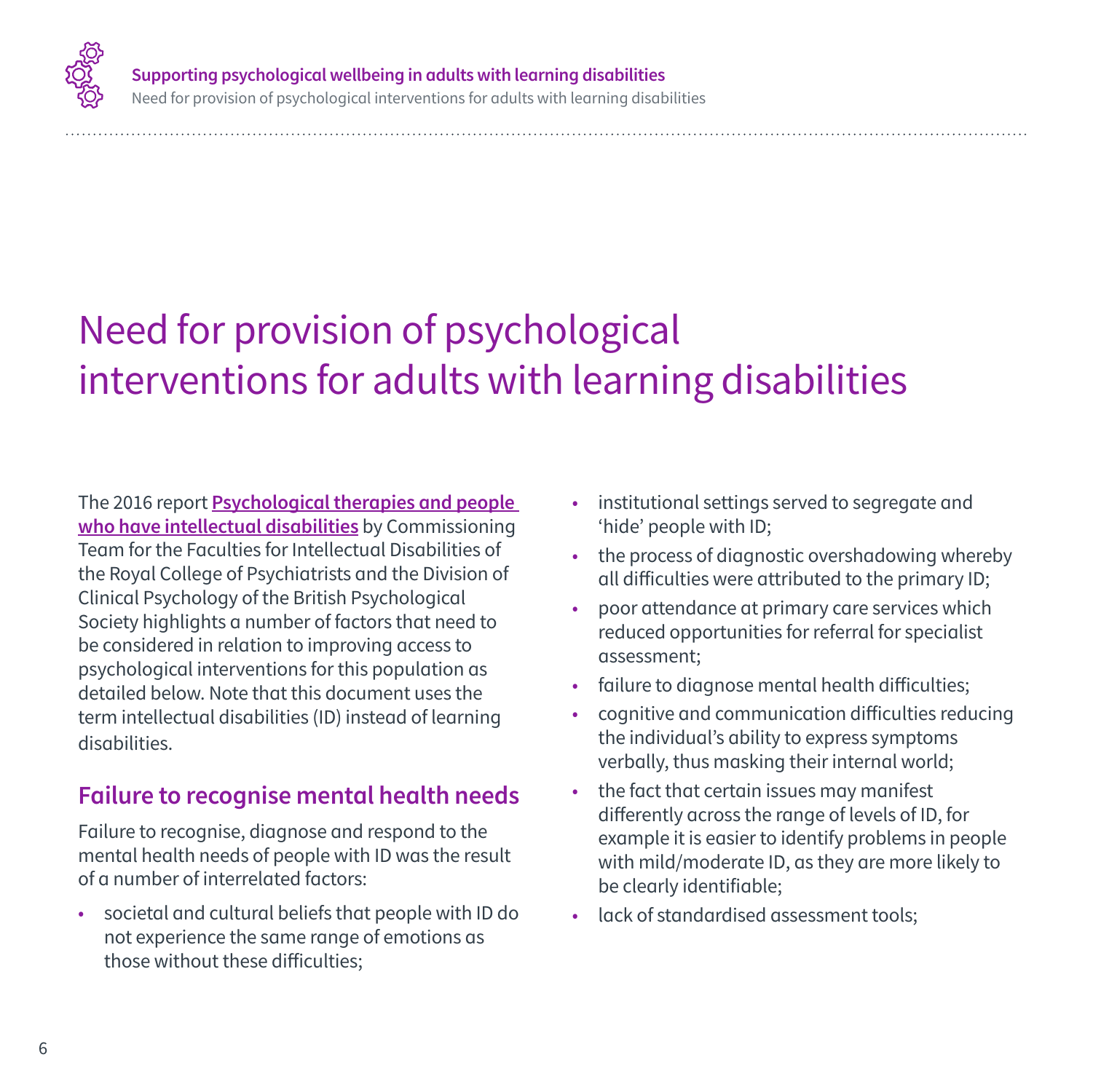<span id="page-5-0"></span>

## Need for provision of psychological interventions for adults with learning disabilities

The 2016 report **[Psychological therapies and people](https://shop.bps.org.uk/publications/publications-by-subject/psychological-therapies-and-people-who-have-intellectual-disabilities.html)  [who have intellectual disabilities](https://shop.bps.org.uk/publications/publications-by-subject/psychological-therapies-and-people-who-have-intellectual-disabilities.html)** by Commissioning Team for the Faculties for Intellectual Disabilities of the Royal College of Psychiatrists and the Division of Clinical Psychology of the British Psychological Society highlights a number of factors that need to be considered in relation to improving access to psychological interventions for this population as detailed below. Note that this document uses the term intellectual disabilities (ID) instead of learning disabilities.

### **Failure to recognise mental health needs**

Failure to recognise, diagnose and respond to the mental health needs of people with ID was the result of a number of interrelated factors:

• societal and cultural beliefs that people with ID do not experience the same range of emotions as those without these difficulties;

- institutional settings served to segregate and 'hide' people with ID;
- the process of diagnostic overshadowing whereby all difficulties were attributed to the primary ID;
- poor attendance at primary care services which reduced opportunities for referral for specialist assessment;
- failure to diagnose mental health difficulties;
- cognitive and communication difficulties reducing the individual's ability to express symptoms verbally, thus masking their internal world;
- the fact that certain issues may manifest differently across the range of levels of ID, for example it is easier to identify problems in people with mild/moderate ID, as they are more likely to be clearly identifiable;
- lack of standardised assessment tools;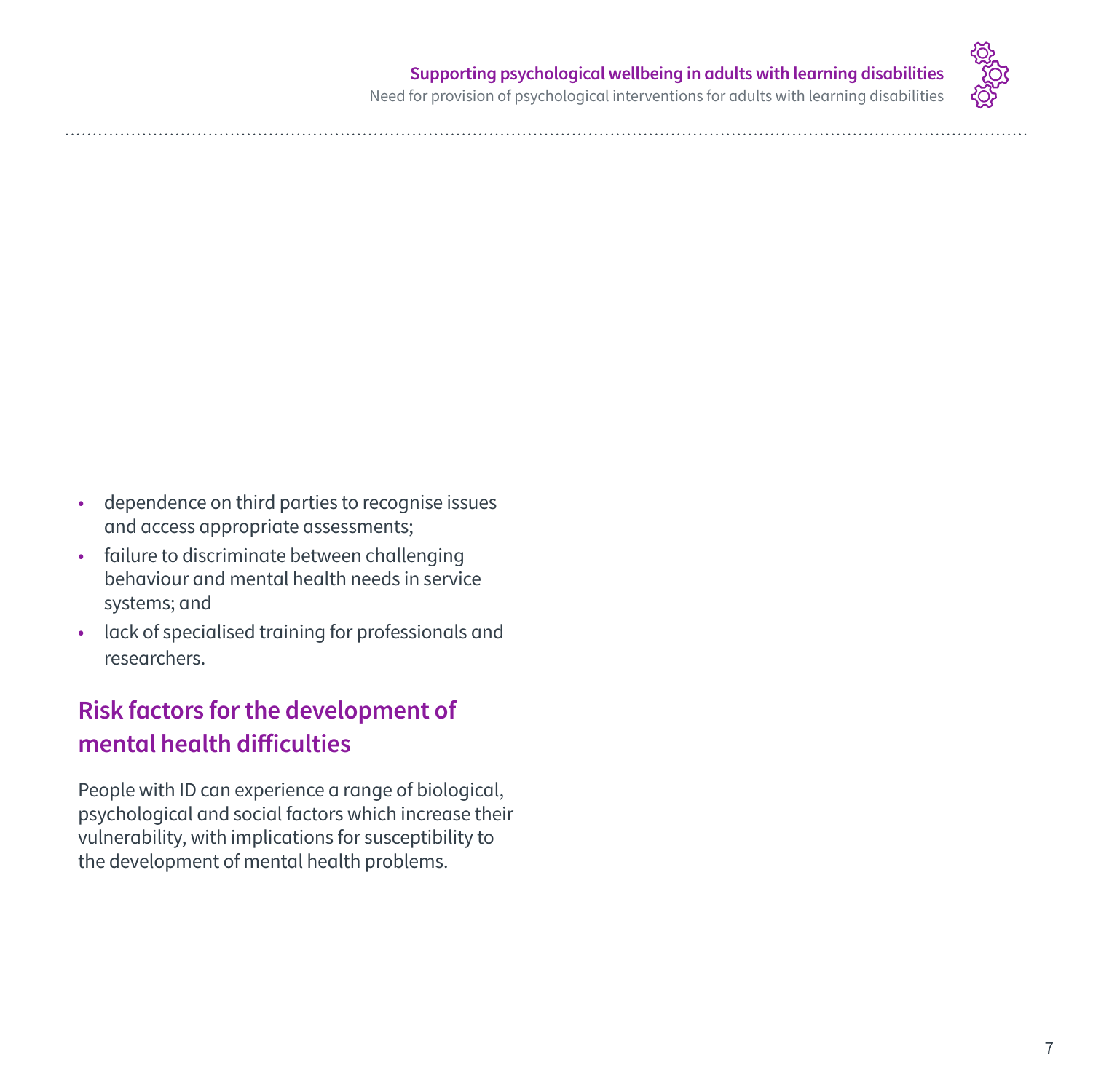

- dependence on third parties to recognise issues and access appropriate assessments;
- failure to discriminate between challenging behaviour and mental health needs in service systems; and
- lack of specialised training for professionals and researchers.

### **Risk factors for the development of mental health difficulties**

People with ID can experience a range of biological, psychological and social factors which increase their vulnerability, with implications for susceptibility to the development of mental health problems.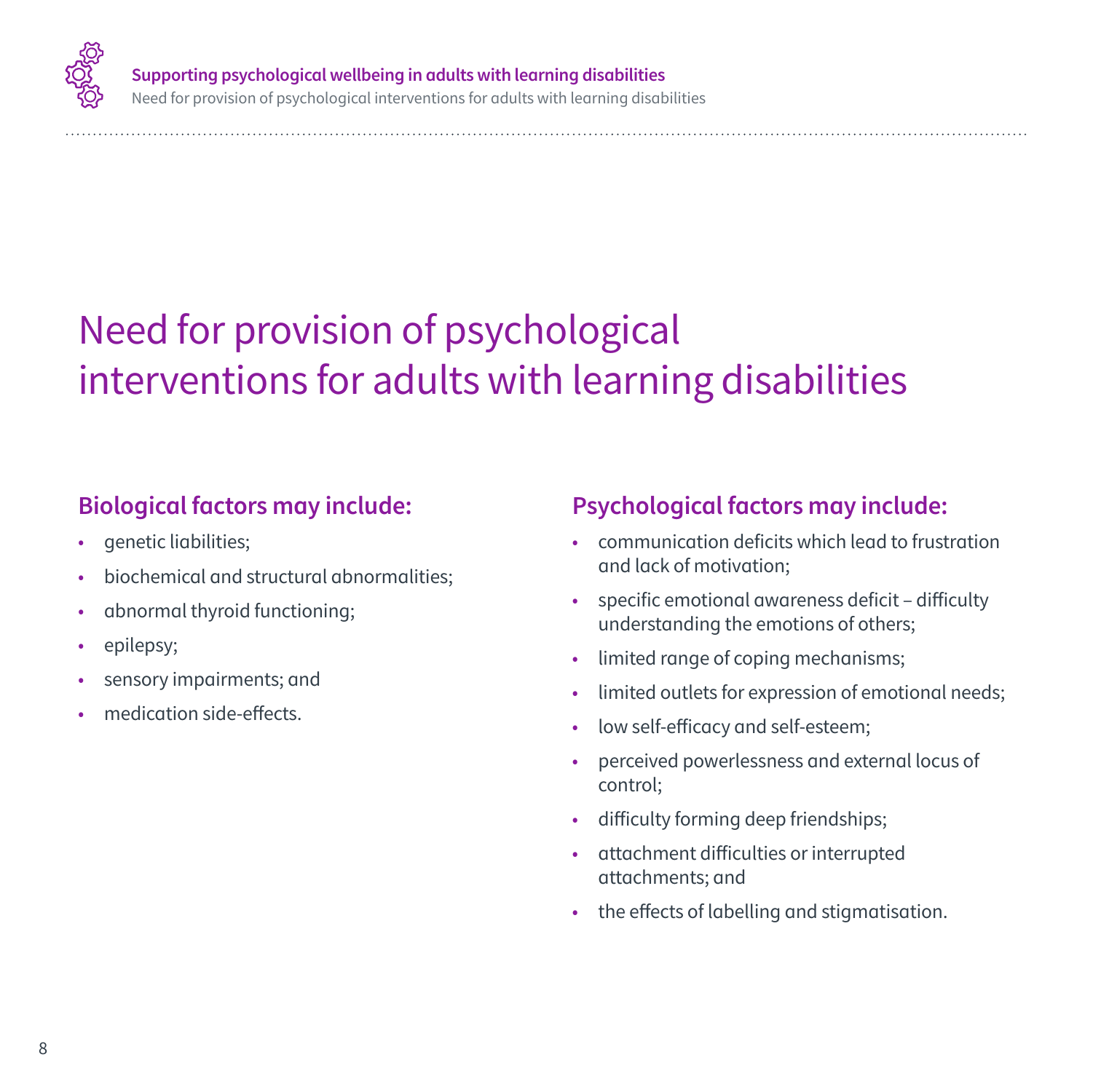

## Need for provision of psychological interventions for adults with learning disabilities

### **Biological factors may include:**

- genetic liabilities;
- biochemical and structural abnormalities;
- abnormal thyroid functioning;
- epilepsy;
- sensory impairments; and
- medication side-effects.

### **Psychological factors may include:**

- communication deficits which lead to frustration and lack of motivation;
- specific emotional awareness deficit difficulty understanding the emotions of others;
- limited range of coping mechanisms;
- limited outlets for expression of emotional needs;
- low self-efficacy and self-esteem;
- perceived powerlessness and external locus of control;
- difficulty forming deep friendships;
- attachment difficulties or interrupted attachments; and
- the effects of labelling and stigmatisation.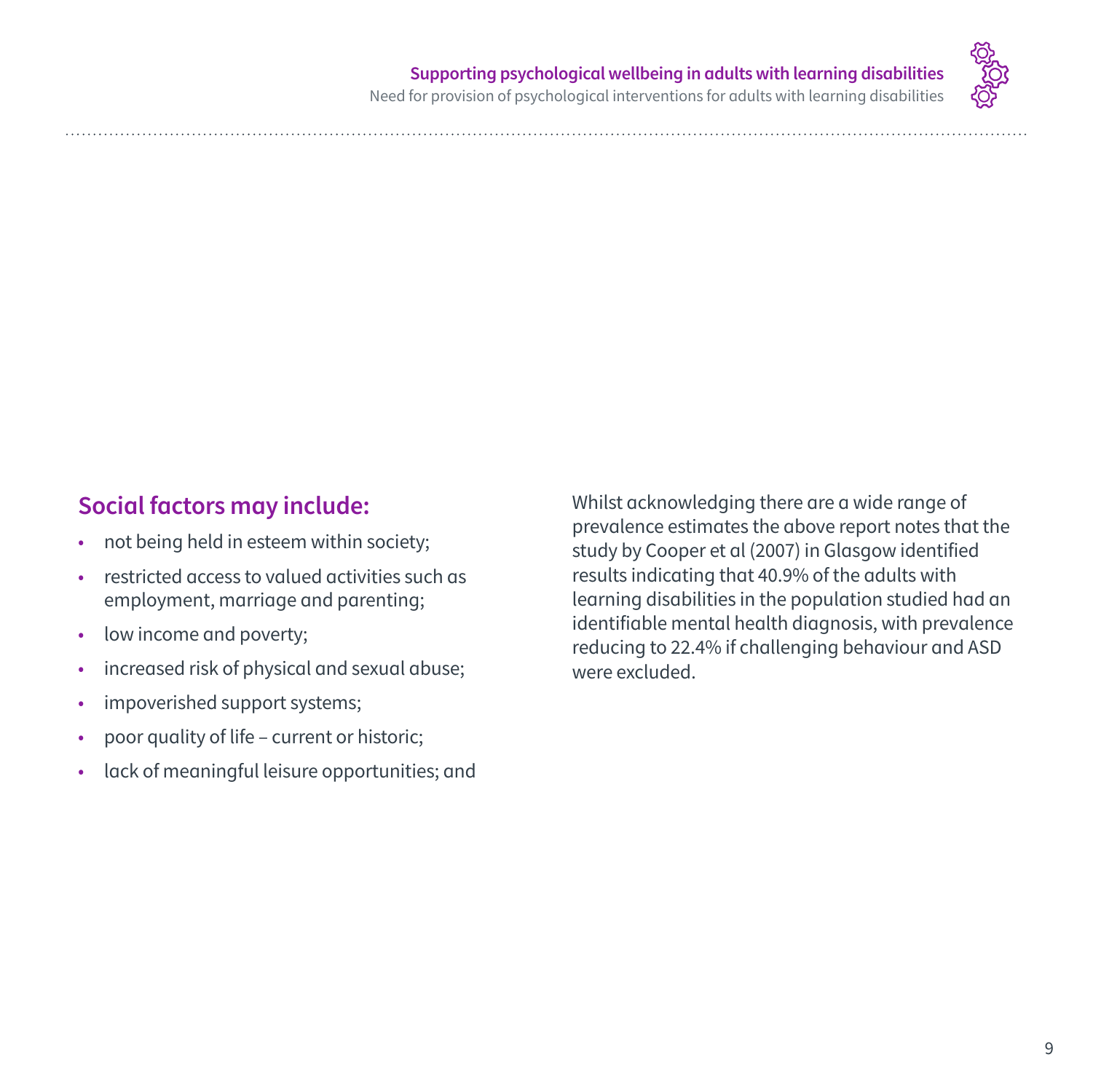

### **Social factors may include:**

- not being held in esteem within society;
- restricted access to valued activities such as employment, marriage and parenting;
- low income and poverty;
- increased risk of physical and sexual abuse;
- impoverished support systems;
- poor quality of life current or historic;
- lack of meaningful leisure opportunities; and

Whilst acknowledging there are a wide range of prevalence estimates the above report notes that the study by Cooper et al (2007) in Glasgow identified results indicating that 40.9% of the adults with learning disabilities in the population studied had an identifiable mental health diagnosis, with prevalence reducing to 22.4% if challenging behaviour and ASD were excluded.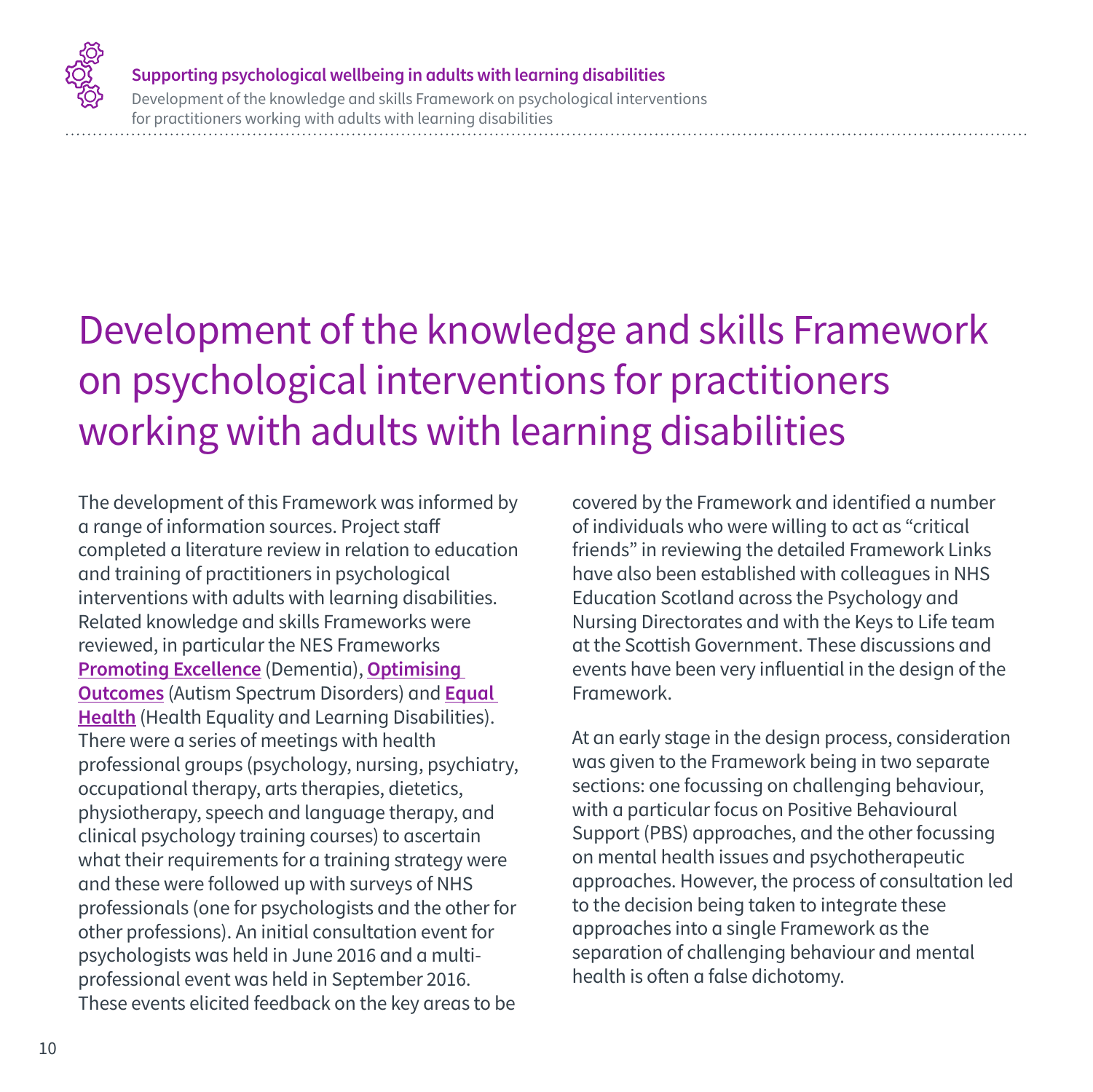<span id="page-9-0"></span>

Development of the knowledge and skills Framework on psychological interventions for practitioners working with adults with learning disabilities

## Development of the knowledge and skills Framework on psychological interventions for practitioners working with adults with learning disabilities

The development of this Framework was informed by a range of information sources. Project staff completed a literature review in relation to education and training of practitioners in psychological interventions with adults with learning disabilities. Related knowledge and skills Frameworks were reviewed, in particular the NES Frameworks **[Promoting Excellence](http://www.gov.scot/Publications/2011/05/31085332/0)** (Dementia), **[Optimising](http://www.knowledge.scot.nhs.uk/home/learning-and-cpd/learning-spaces/autism-spectrum-disorder.aspx)  [Outcomes](http://www.knowledge.scot.nhs.uk/home/learning-and-cpd/learning-spaces/autism-spectrum-disorder.aspx)** (Autism Spectrum Disorders) and **[Equal](http://www.nes.scot.nhs.uk/education-and-training/by-theme-initiative/mental-health-and-learning-disabilities/our-work,-publications-and-resources/learning-disabilities/equal-health-educational-framework.aspx)  [Health](http://www.nes.scot.nhs.uk/education-and-training/by-theme-initiative/mental-health-and-learning-disabilities/our-work,-publications-and-resources/learning-disabilities/equal-health-educational-framework.aspx)** (Health Equality and Learning Disabilities). There were a series of meetings with health professional groups (psychology, nursing, psychiatry, occupational therapy, arts therapies, dietetics, physiotherapy, speech and language therapy, and clinical psychology training courses) to ascertain what their requirements for a training strategy were and these were followed up with surveys of NHS professionals (one for psychologists and the other for other professions). An initial consultation event for psychologists was held in June 2016 and a multiprofessional event was held in September 2016. These events elicited feedback on the key areas to be

covered by the Framework and identified a number of individuals who were willing to act as "critical friends" in reviewing the detailed Framework Links have also been established with colleagues in NHS Education Scotland across the Psychology and Nursing Directorates and with the Keys to Life team at the Scottish Government. These discussions and events have been very influential in the design of the Framework.

At an early stage in the design process, consideration was given to the Framework being in two separate sections: one focussing on challenging behaviour, with a particular focus on Positive Behavioural Support (PBS) approaches, and the other focussing on mental health issues and psychotherapeutic approaches. However, the process of consultation led to the decision being taken to integrate these approaches into a single Framework as the separation of challenging behaviour and mental health is often a false dichotomy.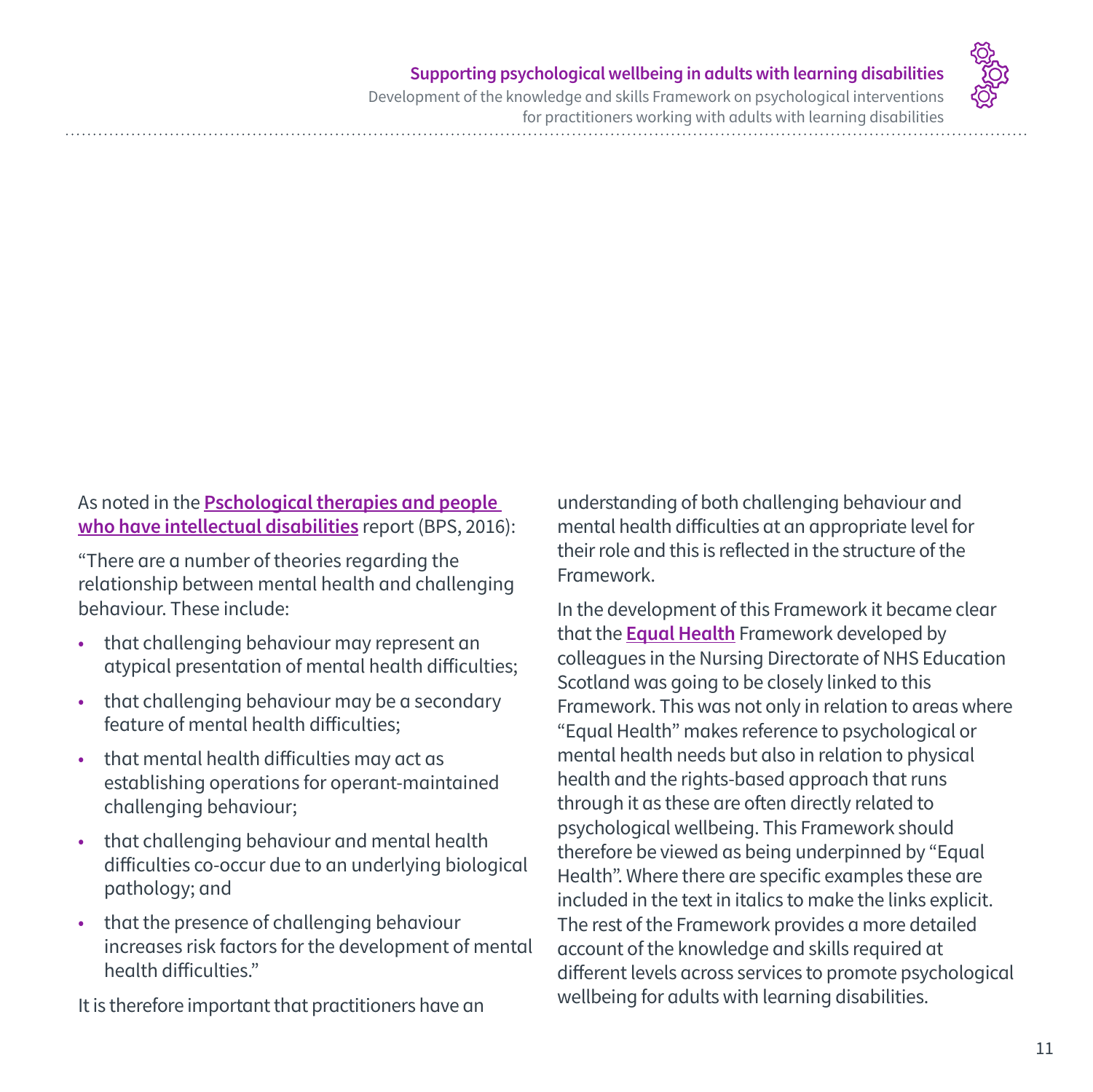

Development of the knowledge and skills Framework on psychological interventions for practitioners working with adults with learning disabilities

As noted in the **[Pschological therapies and people](https://shop.bps.org.uk/publications/publications-by-subject/psychological-therapies-and-people-who-have-intellectual-disabilities.html)  [who have intellectual disabilities](https://shop.bps.org.uk/publications/publications-by-subject/psychological-therapies-and-people-who-have-intellectual-disabilities.html)** report (BPS, 2016):

"There are a number of theories regarding the relationship between mental health and challenging behaviour. These include:

- that challenging behaviour may represent an atypical presentation of mental health difficulties;
- that challenging behaviour may be a secondary feature of mental health difficulties;
- that mental health difficulties may act as establishing operations for operant-maintained challenging behaviour;
- that challenging behaviour and mental health difficulties co-occur due to an underlying biological pathology; and
- that the presence of challenging behaviour increases risk factors for the development of mental health difficulties."

It is therefore important that practitioners have an

understanding of both challenging behaviour and mental health difficulties at an appropriate level for their role and this is reflected in the structure of the Framework.

In the development of this Framework it became clear that the **[Equal Health](http://www.nes.scot.nhs.uk/education-and-training/by-theme-initiative/mental-health-and-learning-disabilities/our-work,-publications-and-resources/learning-disabilities/equal-health-educational-framework.aspx)** Framework developed by colleagues in the Nursing Directorate of NHS Education Scotland was going to be closely linked to this Framework. This was not only in relation to areas where "Equal Health" makes reference to psychological or mental health needs but also in relation to physical health and the rights-based approach that runs through it as these are often directly related to psychological wellbeing. This Framework should therefore be viewed as being underpinned by "Equal Health". Where there are specific examples these are included in the text in italics to make the links explicit. The rest of the Framework provides a more detailed account of the knowledge and skills required at different levels across services to promote psychological wellbeing for adults with learning disabilities.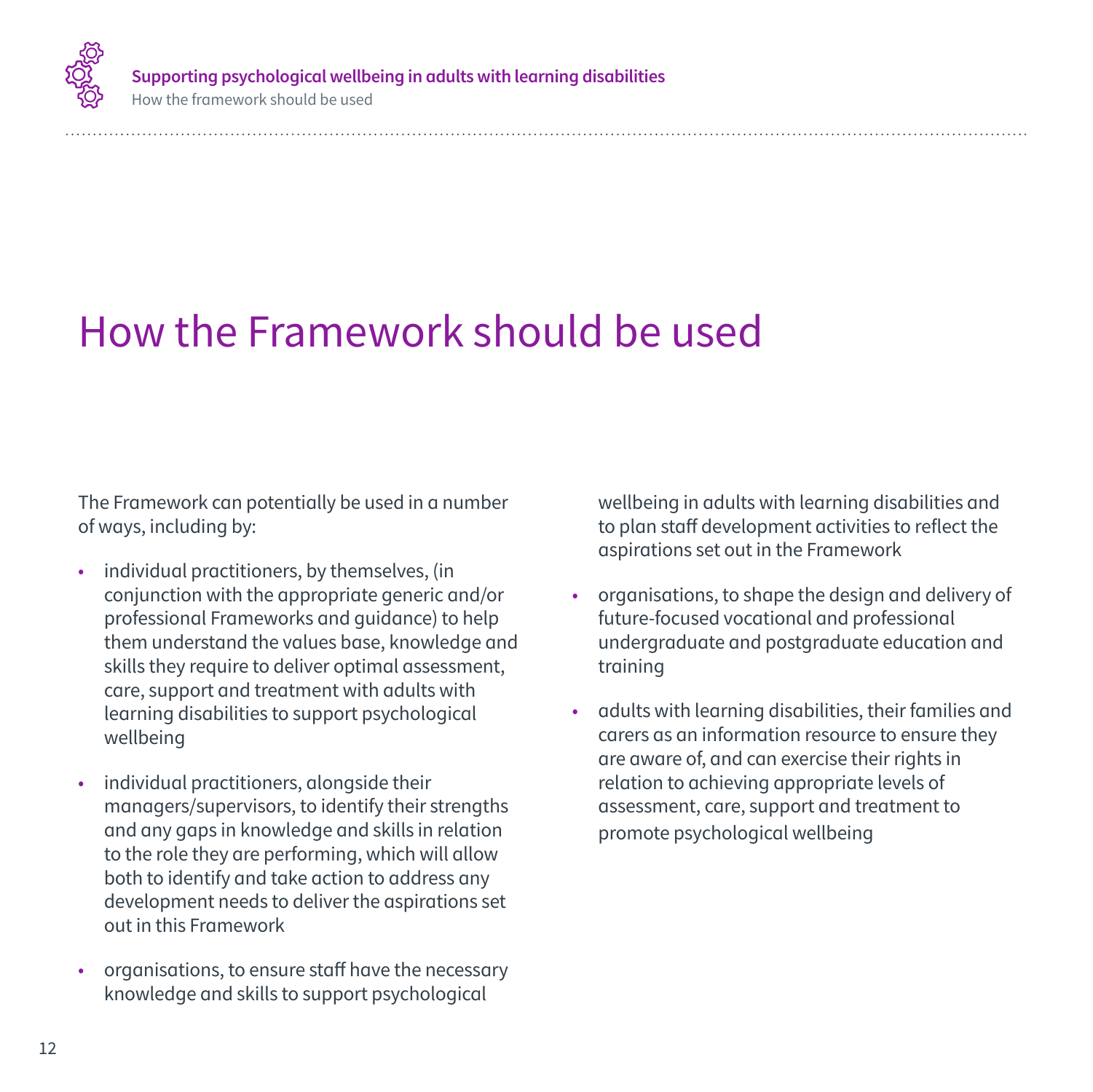<span id="page-11-0"></span>

## How the Framework should be used

The Framework can potentially be used in a number of ways, including by:

- individual practitioners, by themselves, (in conjunction with the appropriate generic and/or professional Frameworks and guidance) to help them understand the values base, knowledge and skills they require to deliver optimal assessment, care, support and treatment with adults with learning disabilities to support psychological wellbeing
- individual practitioners, alongside their managers/supervisors, to identify their strengths and any gaps in knowledge and skills in relation to the role they are performing, which will allow both to identify and take action to address any development needs to deliver the aspirations set out in this Framework
- organisations, to ensure staff have the necessary knowledge and skills to support psychological

wellbeing in adults with learning disabilities and to plan staff development activities to reflect the aspirations set out in the Framework

- organisations, to shape the design and delivery of future-focused vocational and professional undergraduate and postgraduate education and training
- adults with learning disabilities, their families and carers as an information resource to ensure they are aware of, and can exercise their rights in relation to achieving appropriate levels of assessment, care, support and treatment to promote psychological wellbeing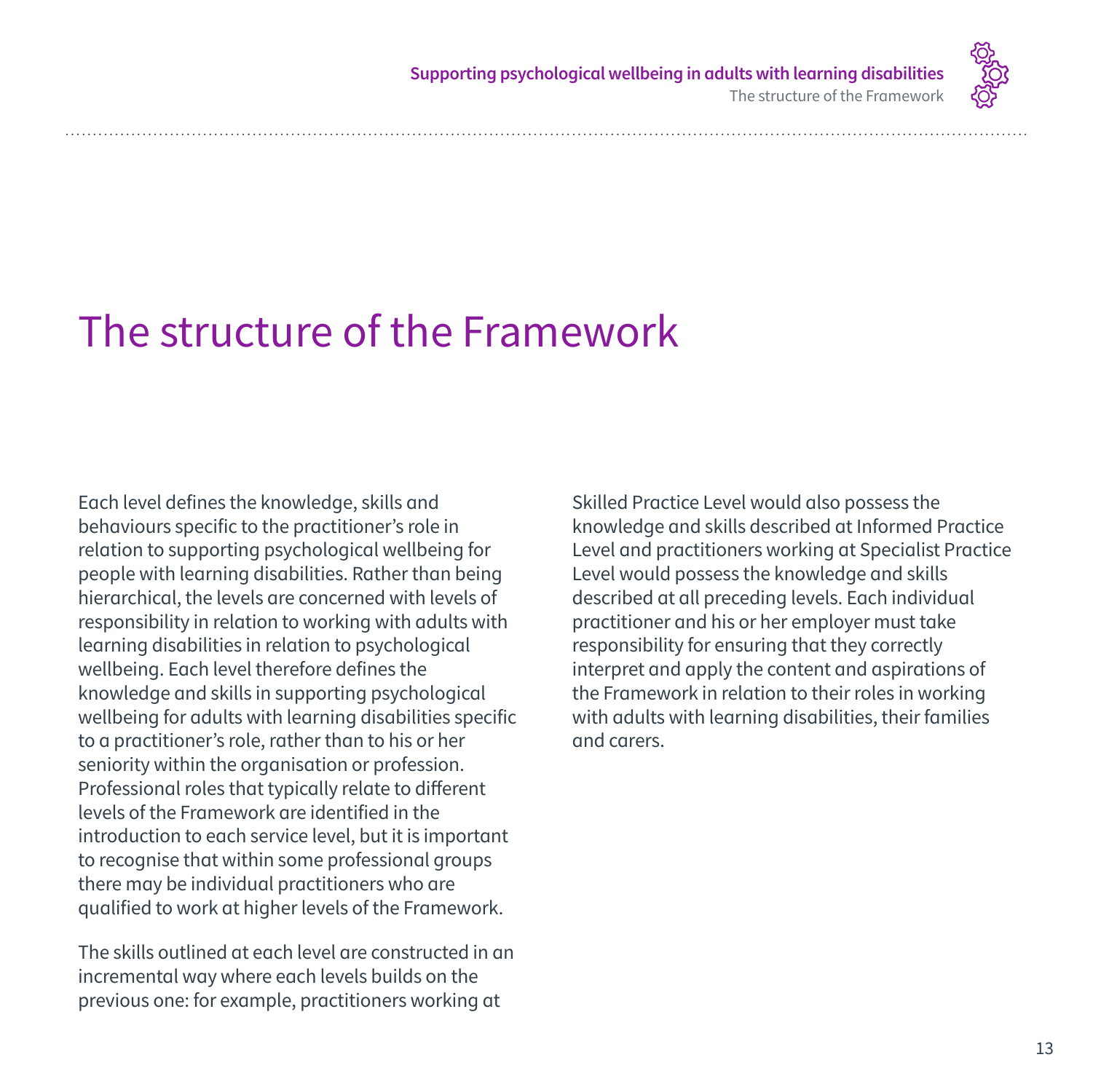#### **Supporting psychological wellbeing in adults with learning disabilities** The structure of the Framework

# <span id="page-12-0"></span>The structure of the Framework

Each level defines the knowledge, skills and behaviours specific to the practitioner's role in relation to supporting psychological wellbeing for people with learning disabilities. Rather than being hierarchical, the levels are concerned with levels of responsibility in relation to working with adults with learning disabilities in relation to psychological wellbeing. Each level therefore defines the knowledge and skills in supporting psychological wellbeing for adults with learning disabilities specific to a practitioner's role, rather than to his or her seniority within the organisation or profession. Professional roles that typically relate to different levels of the Framework are identified in the introduction to each service level, but it is important to recognise that within some professional groups there may be individual practitioners who are qualified to work at higher levels of the Framework.

The skills outlined at each level are constructed in an incremental way where each levels builds on the previous one: for example, practitioners working at

Skilled Practice Level would also possess the knowledge and skills described at Informed Practice Level and practitioners working at Specialist Practice Level would possess the knowledge and skills described at all preceding levels. Each individual practitioner and his or her employer must take responsibility for ensuring that they correctly interpret and apply the content and aspirations of the Framework in relation to their roles in working with adults with learning disabilities, their families and carers.

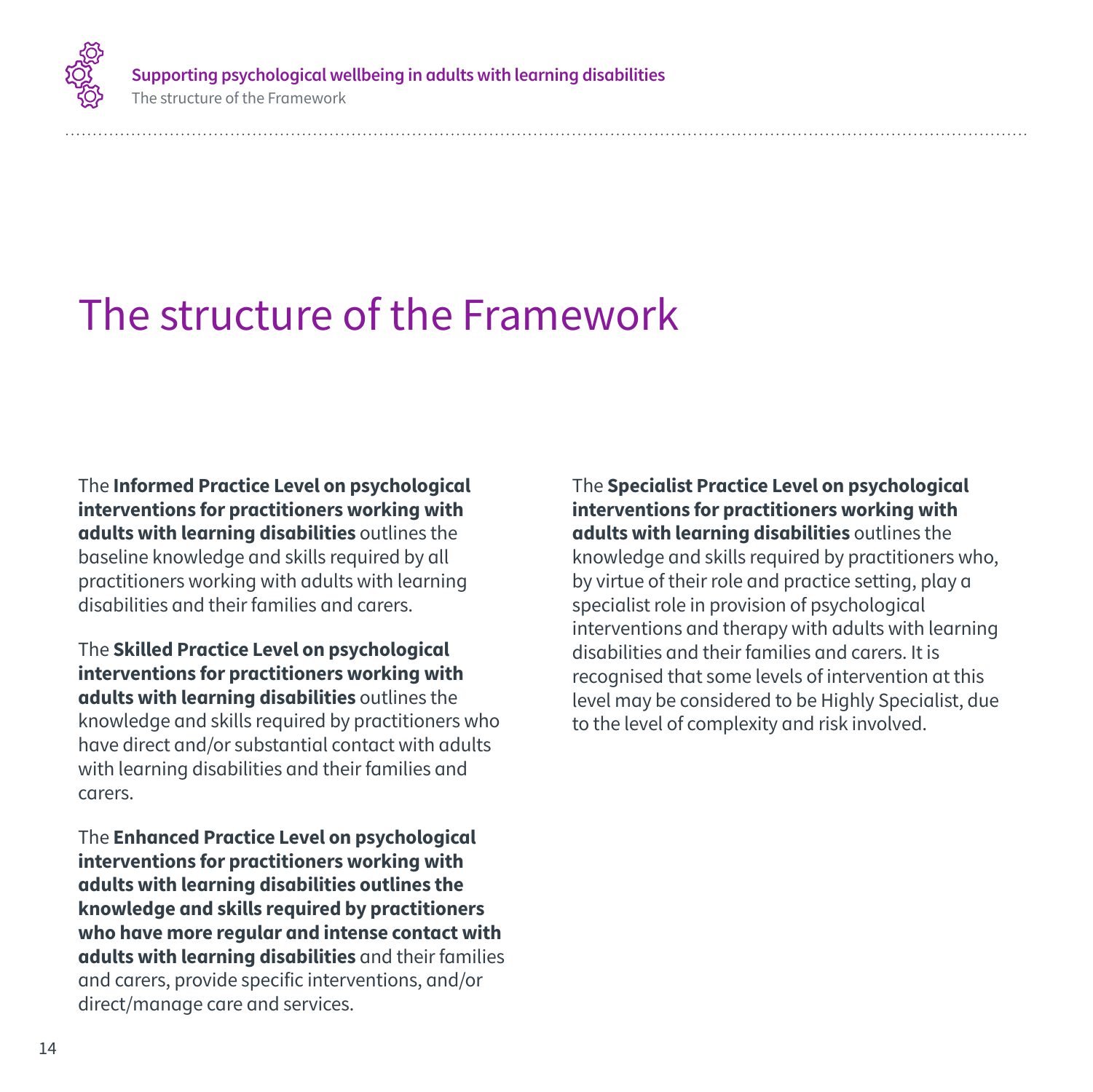

**Supporting psychological wellbeing in adults with learning disabilities** The structure of the Framework

## The structure of the Framework

The **Informed Practice Level on psychological interventions for practitioners working with adults with learning disabilities** outlines the baseline knowledge and skills required by all practitioners working with adults with learning disabilities and their families and carers.

The **Skilled Practice Level on psychological interventions for practitioners working with adults with learning disabilities** outlines the knowledge and skills required by practitioners who have direct and/or substantial contact with adults with learning disabilities and their families and carers.

The **Enhanced Practice Level on psychological interventions for practitioners working with adults with learning disabilities outlines the knowledge and skills required by practitioners who have more regular and intense contact with adults with learning disabilities** and their families and carers, provide specific interventions, and/or direct/manage care and services.

The **Specialist Practice Level on psychological interventions for practitioners working with adults with learning disabilities** outlines the knowledge and skills required by practitioners who, by virtue of their role and practice setting, play a specialist role in provision of psychological interventions and therapy with adults with learning disabilities and their families and carers. It is recognised that some levels of intervention at this level may be considered to be Highly Specialist, due to the level of complexity and risk involved.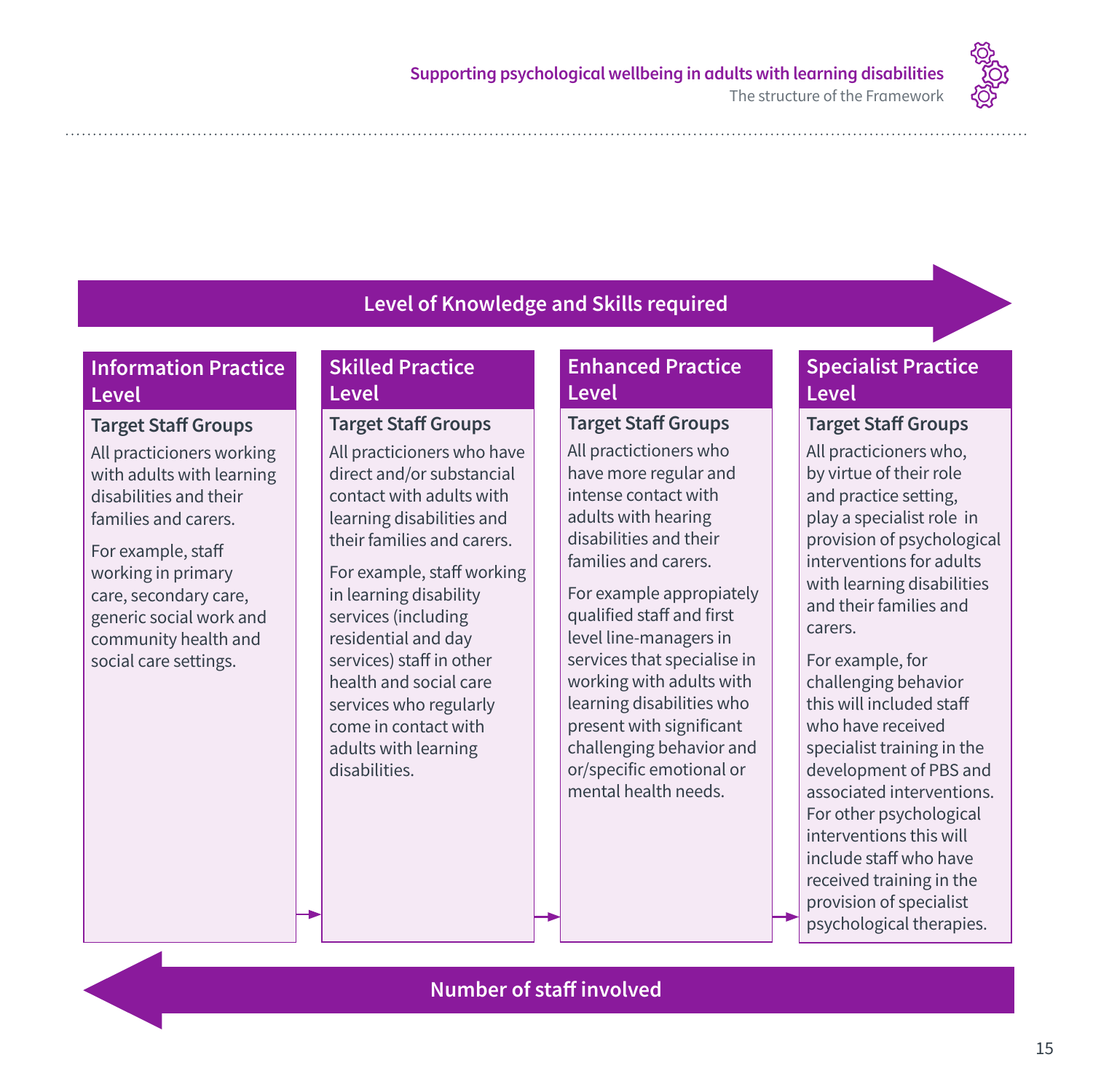

#### **Level of Knowledge and Skills required**

#### **Information Practice Level**

#### **Target Staff Groups**

All practicioners working with adults with learning disabilities and their families and carers.

For example, staff working in primary care, secondary care, generic social work and community health and social care settings.

#### **Skilled Practice Level**

#### **Target Staff Groups**

All practicioners who have direct and/or substancial contact with adults with learning disabilities and their families and carers.

For example, staff working in learning disability services (including residential and day services) staff in other health and social care services who regularly come in contact with adults with learning disabilities.

#### **Enhanced Practice Level**

#### **Target Staff Groups**

All practictioners who have more regular and intense contact with adults with hearing disabilities and their families and carers.

For example appropiately qualified staff and first level line-managers in services that specialise in working with adults with learning disabilities who present with significant challenging behavior and or/specific emotional or mental health needs.

#### **Specialist Practice Level**

#### **Target Staff Groups**

All practicioners who, by virtue of their role and practice setting, play a specialist role in provision of psychological interventions for adults with learning disabilities and their families and carers.

For example, for challenging behavior this will included staff who have received specialist training in the development of PBS and associated interventions. For other psychological interventions this will include staff who have received training in the provision of specialist psychological therapies.

#### **Number of staff involved**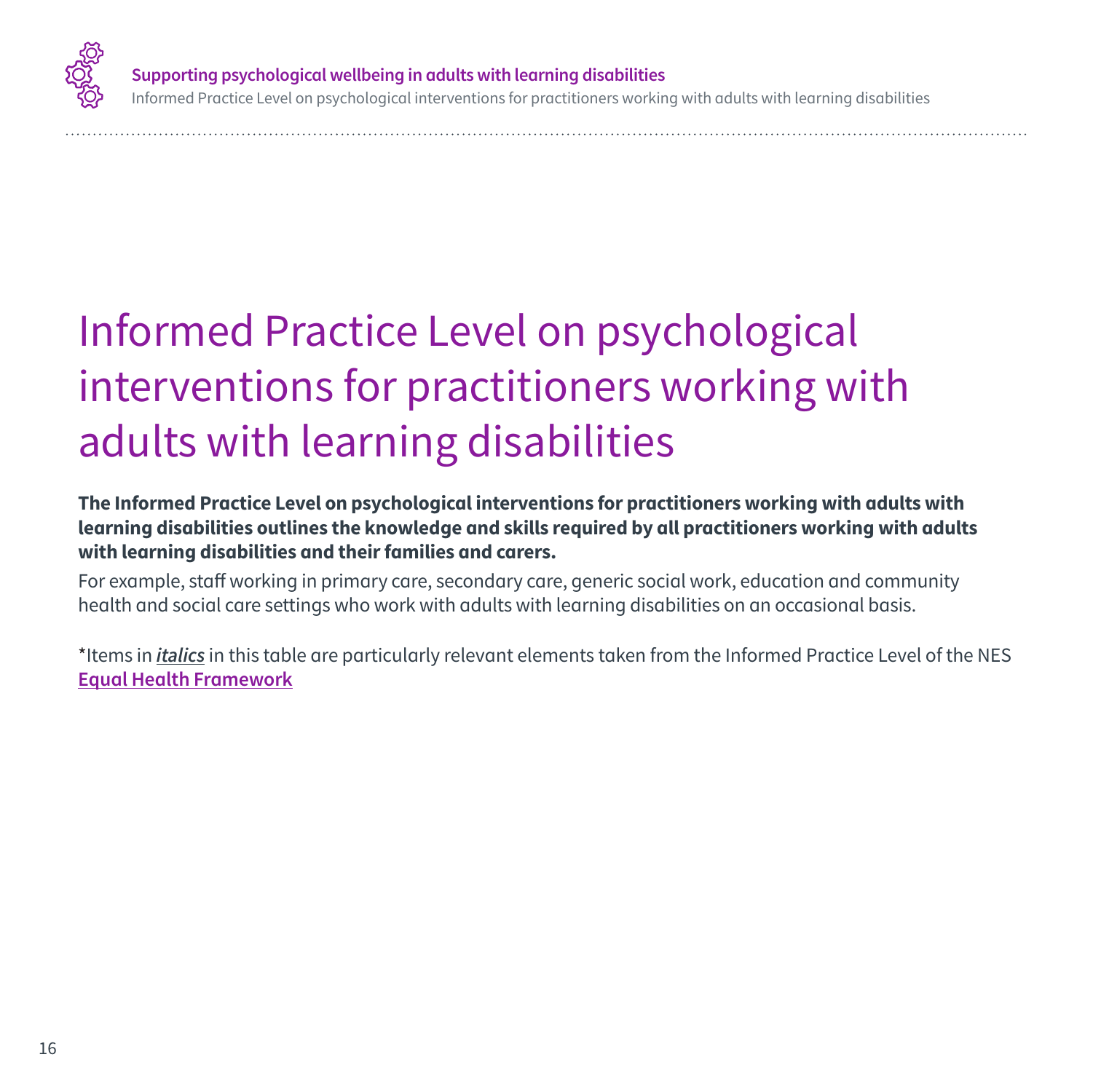<span id="page-15-0"></span>

# Informed Practice Level on psychological interventions for practitioners working with adults with learning disabilities

**The Informed Practice Level on psychological interventions for practitioners working with adults with learning disabilities outlines the knowledge and skills required by all practitioners working with adults with learning disabilities and their families and carers.**

For example, staff working in primary care, secondary care, generic social work, education and community health and social care settings who work with adults with learning disabilities on an occasional basis.

\*Items in *italics* in this table are particularly relevant elements taken from the Informed Practice Level of the NES **[Equal Health Framework](http://www.nes.scot.nhs.uk/education-and-training/by-theme-initiative/mental-health-and-learning-disabilities/our-work,-publications-and-resources/learning-disabilities/equal-health-educational-framework.aspx)**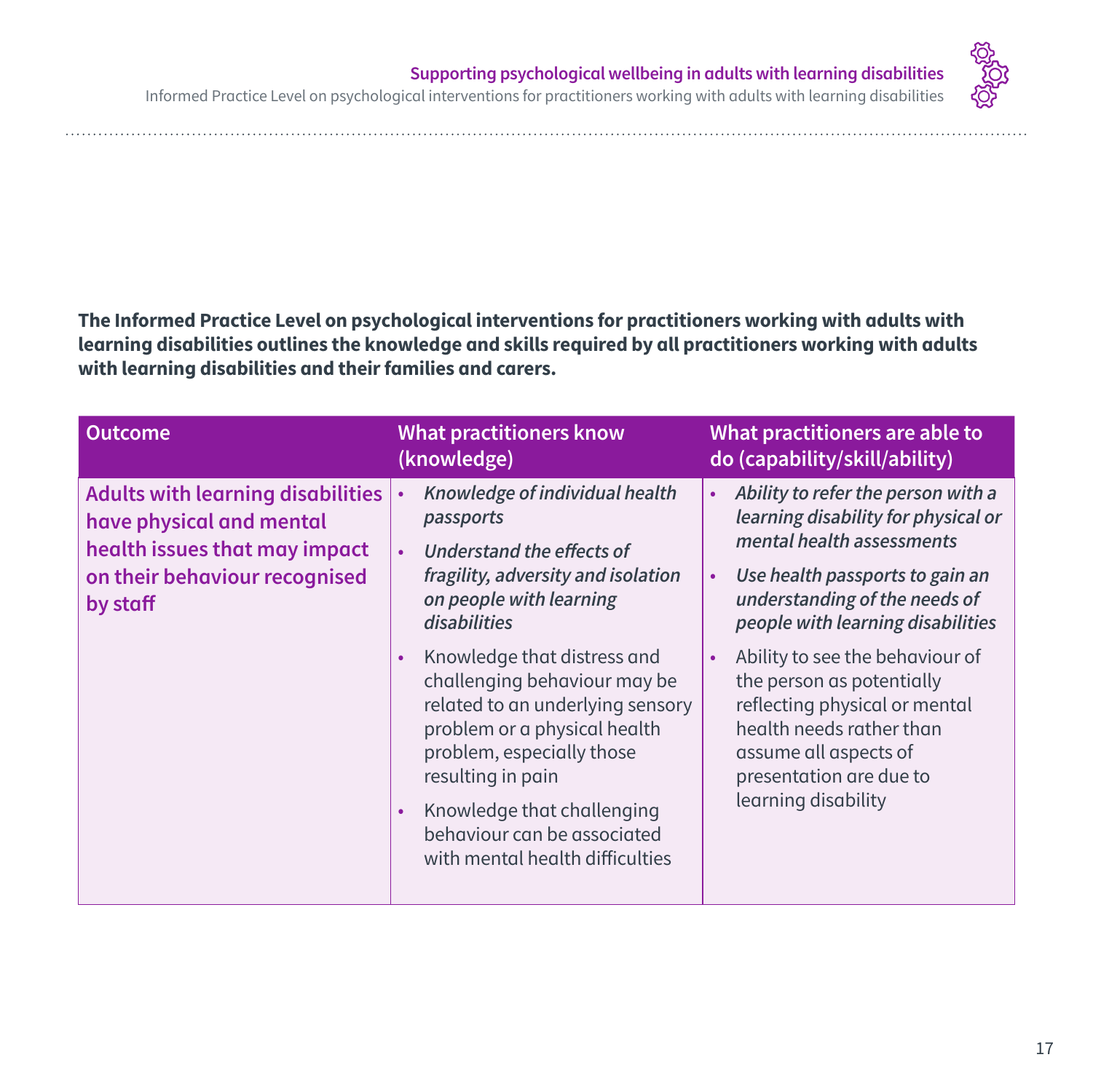

Informed Practice Level on psychological interventions for practitioners working with adults with learning disabilities

| <b>Outcome</b>                                                                                                                                                               | <b>What practitioners know</b><br>(knowledge)                                                                                                                                                                                                                                                                                                                                                                                                  | What practitioners are able to<br>do (capability/skill/ability)                                                                                                                                                                                                                                                                                                                                                                                                |
|------------------------------------------------------------------------------------------------------------------------------------------------------------------------------|------------------------------------------------------------------------------------------------------------------------------------------------------------------------------------------------------------------------------------------------------------------------------------------------------------------------------------------------------------------------------------------------------------------------------------------------|----------------------------------------------------------------------------------------------------------------------------------------------------------------------------------------------------------------------------------------------------------------------------------------------------------------------------------------------------------------------------------------------------------------------------------------------------------------|
| <b>Adults with learning disabilities</b><br>have physical and mental<br>health issues that may impact<br>on their behaviour recognised<br>by staff<br>$\bullet$<br>$\bullet$ | Knowledge of individual health<br>passports<br>Understand the effects of<br>fragility, adversity and isolation<br>on people with learning<br>disabilities<br>Knowledge that distress and<br>challenging behaviour may be<br>related to an underlying sensory<br>problem or a physical health<br>problem, especially those<br>resulting in pain<br>Knowledge that challenging<br>behaviour can be associated<br>with mental health difficulties | Ability to refer the person with a<br>$\bullet$<br>learning disability for physical or<br>mental health assessments<br>Use health passports to gain an<br>$\bullet$<br>understanding of the needs of<br>people with learning disabilities<br>Ability to see the behaviour of<br>$\bullet$<br>the person as potentially<br>reflecting physical or mental<br>health needs rather than<br>assume all aspects of<br>presentation are due to<br>learning disability |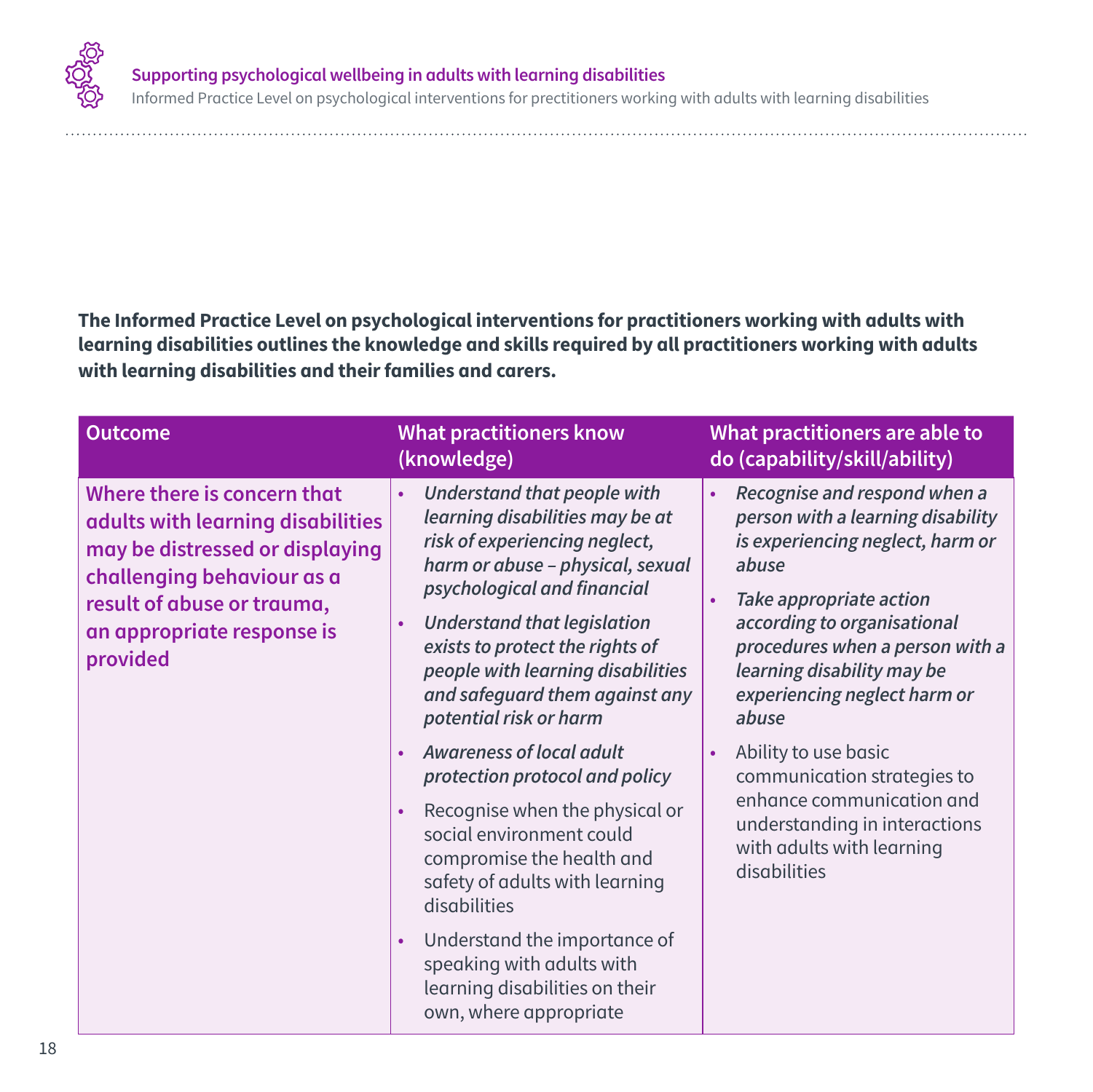

Informed Practice Level on psychological interventions for prectitioners working with adults with learning disabilities

| <b>Outcome</b>                                                                                                                                                                                            | <b>What practitioners know</b><br>(knowledge)                                                                                                                                                                                                                                                                                                                          | What practitioners are able to<br>do (capability/skill/ability)                                                                                                                                                                                                                                              |
|-----------------------------------------------------------------------------------------------------------------------------------------------------------------------------------------------------------|------------------------------------------------------------------------------------------------------------------------------------------------------------------------------------------------------------------------------------------------------------------------------------------------------------------------------------------------------------------------|--------------------------------------------------------------------------------------------------------------------------------------------------------------------------------------------------------------------------------------------------------------------------------------------------------------|
| Where there is concern that<br>adults with learning disabilities<br>may be distressed or displaying<br>challenging behaviour as a<br>result of abuse or trauma,<br>an appropriate response is<br>provided | Understand that people with<br>$\bullet$<br>learning disabilities may be at<br>risk of experiencing neglect,<br>harm or abuse - physical, sexual<br>psychological and financial<br><b>Understand that legislation</b><br>$\bullet$<br>exists to protect the rights of<br>people with learning disabilities<br>and safeguard them against any<br>potential risk or harm | Recognise and respond when a<br>$\bullet$<br>person with a learning disability<br>is experiencing neglect, harm or<br>abuse<br>Take appropriate action<br>$\bullet$<br>according to organisational<br>procedures when a person with a<br>learning disability may be<br>experiencing neglect harm or<br>abuse |
|                                                                                                                                                                                                           | <b>Awareness of local adult</b><br>protection protocol and policy<br>Recognise when the physical or<br>$\bullet$<br>social environment could<br>compromise the health and<br>safety of adults with learning<br>disabilities                                                                                                                                            | Ability to use basic<br>$\bullet$<br>communication strategies to<br>enhance communication and<br>understanding in interactions<br>with adults with learning<br>disabilities                                                                                                                                  |
|                                                                                                                                                                                                           | Understand the importance of<br>$\bullet$<br>speaking with adults with<br>learning disabilities on their<br>own, where appropriate                                                                                                                                                                                                                                     |                                                                                                                                                                                                                                                                                                              |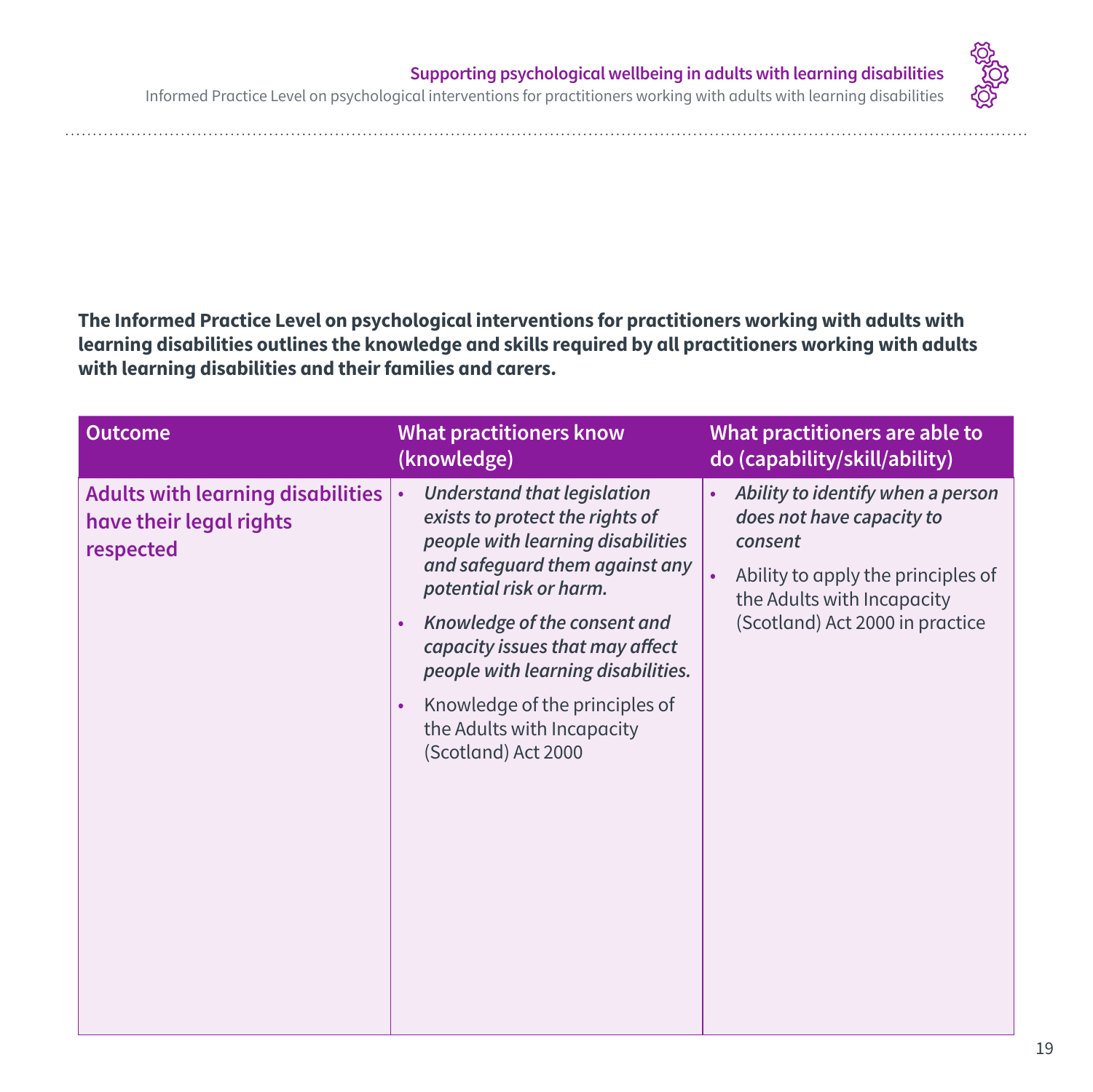

. . . . . . . . . . . . . . . .

Informed Practice Level on psychological interventions for practitioners working with adults with learning disabilities

| <b>Outcome</b>                                                                   | <b>What practitioners know</b><br>(knowledge)                                                                                                                                                                                                                                                                                                                                                     | What practitioners are able to<br>do (capability/skill/ability)                                                                                                                               |
|----------------------------------------------------------------------------------|---------------------------------------------------------------------------------------------------------------------------------------------------------------------------------------------------------------------------------------------------------------------------------------------------------------------------------------------------------------------------------------------------|-----------------------------------------------------------------------------------------------------------------------------------------------------------------------------------------------|
| <b>Adults with learning disabilities</b><br>have their legal rights<br>respected | <b>Understand that legislation</b><br>$\bullet$<br>exists to protect the rights of<br>people with learning disabilities<br>and safeguard them against any<br>potential risk or harm.<br>Knowledge of the consent and<br>$\bullet$<br>capacity issues that may affect<br>people with learning disabilities.<br>Knowledge of the principles of<br>the Adults with Incapacity<br>(Scotland) Act 2000 | Ability to identify when a person<br>$\bullet$<br>does not have capacity to<br>consent<br>Ability to apply the principles of<br>the Adults with Incapacity<br>(Scotland) Act 2000 in practice |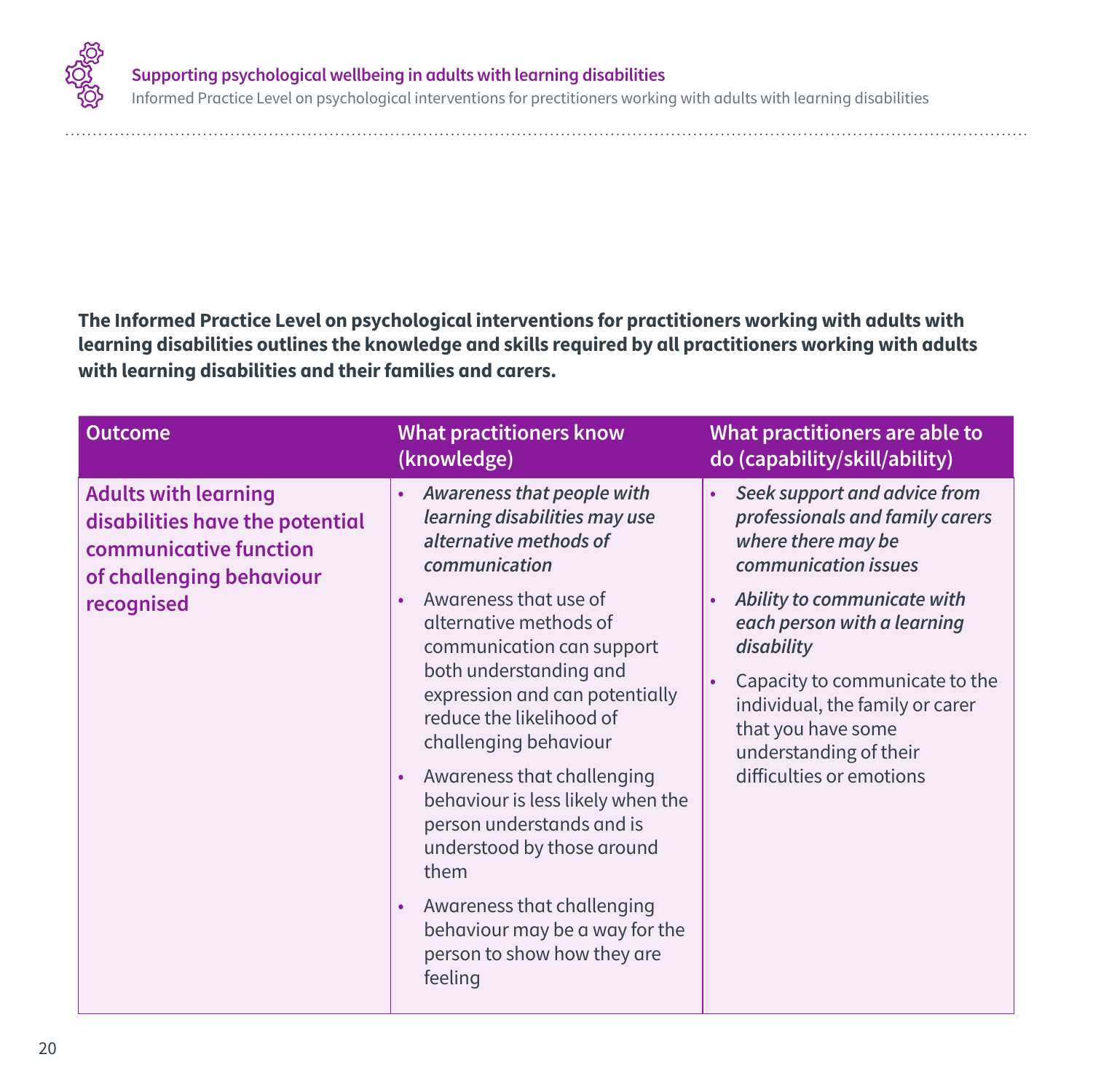

Informed Practice Level on psychological interventions for prectitioners working with adults with learning disabilities

| <b>Outcome</b>                                                                                                       | <b>What practitioners know</b><br>(knowledge)                                                                                                                                                                                                                                                                                                                                                                                                                           | What practitioners are able to<br>do (capability/skill/ability)                                                                                                                                                                        |
|----------------------------------------------------------------------------------------------------------------------|-------------------------------------------------------------------------------------------------------------------------------------------------------------------------------------------------------------------------------------------------------------------------------------------------------------------------------------------------------------------------------------------------------------------------------------------------------------------------|----------------------------------------------------------------------------------------------------------------------------------------------------------------------------------------------------------------------------------------|
| <b>Adults with learning</b><br>disabilities have the potential<br>communicative function<br>of challenging behaviour | Awareness that people with<br>$\bullet$<br>learning disabilities may use<br>alternative methods of<br>communication                                                                                                                                                                                                                                                                                                                                                     | Seek support and advice from<br>$\bullet$<br>professionals and family carers<br>where there may be<br>communication issues                                                                                                             |
| recognised                                                                                                           | Awareness that use of<br>alternative methods of<br>communication can support<br>both understanding and<br>expression and can potentially<br>reduce the likelihood of<br>challenging behaviour<br>Awareness that challenging<br>$\bullet$<br>behaviour is less likely when the<br>person understands and is<br>understood by those around<br>them<br>Awareness that challenging<br>$\bullet$<br>behaviour may be a way for the<br>person to show how they are<br>feeling | Ability to communicate with<br>each person with a learning<br>disability<br>Capacity to communicate to the<br>$\bullet$<br>individual, the family or carer<br>that you have some<br>understanding of their<br>difficulties or emotions |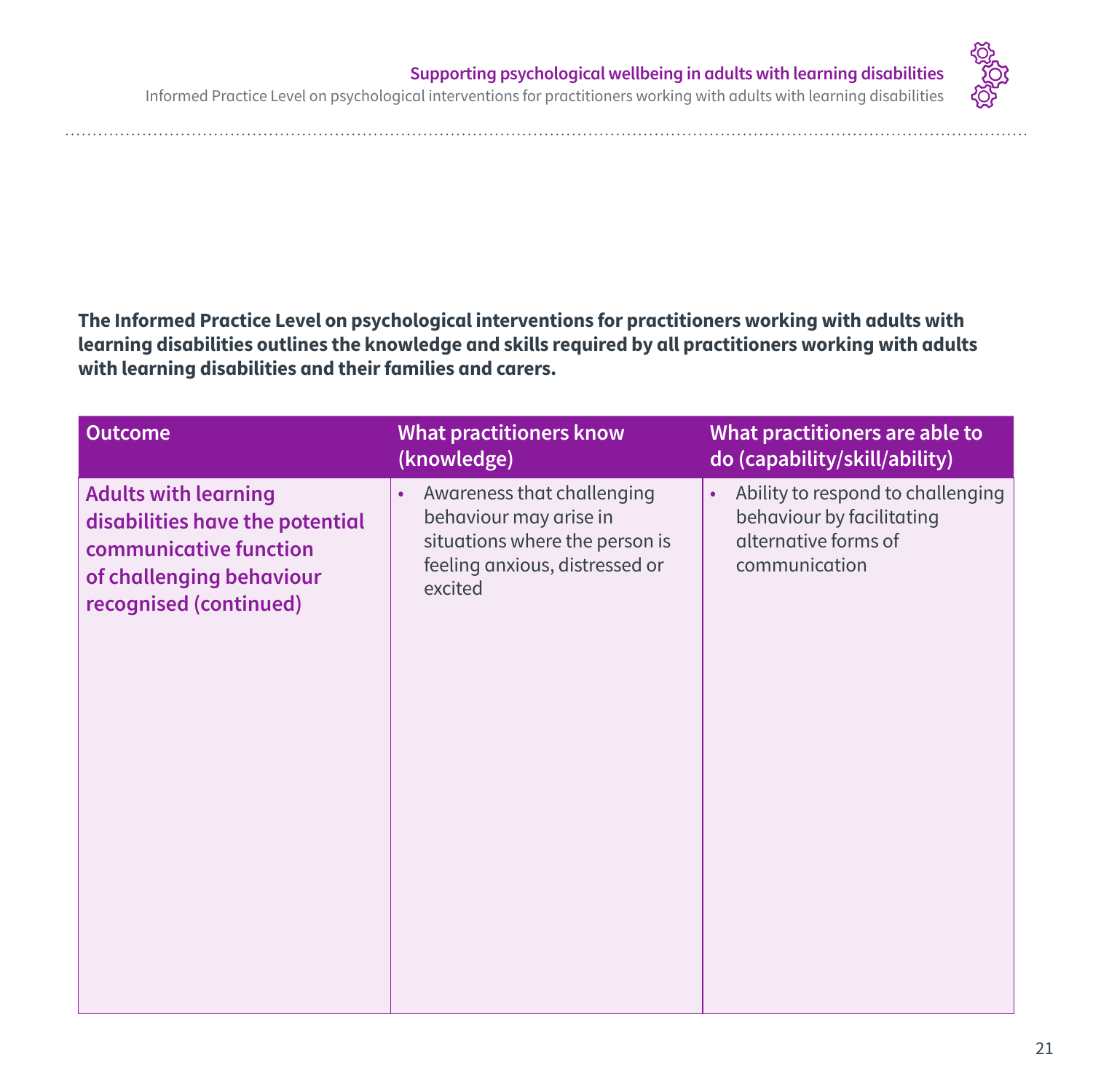

Informed Practice Level on psychological interventions for practitioners working with adults with learning disabilities

| <b>Outcome</b>                                                                                                                                 | <b>What practitioners know</b><br>(knowledge)                                                                                                    | What practitioners are able to<br>do (capability/skill/ability)                                                      |
|------------------------------------------------------------------------------------------------------------------------------------------------|--------------------------------------------------------------------------------------------------------------------------------------------------|----------------------------------------------------------------------------------------------------------------------|
| <b>Adults with learning</b><br>disabilities have the potential<br>communicative function<br>of challenging behaviour<br>recognised (continued) | Awareness that challenging<br>$\bullet$<br>behaviour may arise in<br>situations where the person is<br>feeling anxious, distressed or<br>excited | Ability to respond to challenging<br>$\bullet$<br>behaviour by facilitating<br>alternative forms of<br>communication |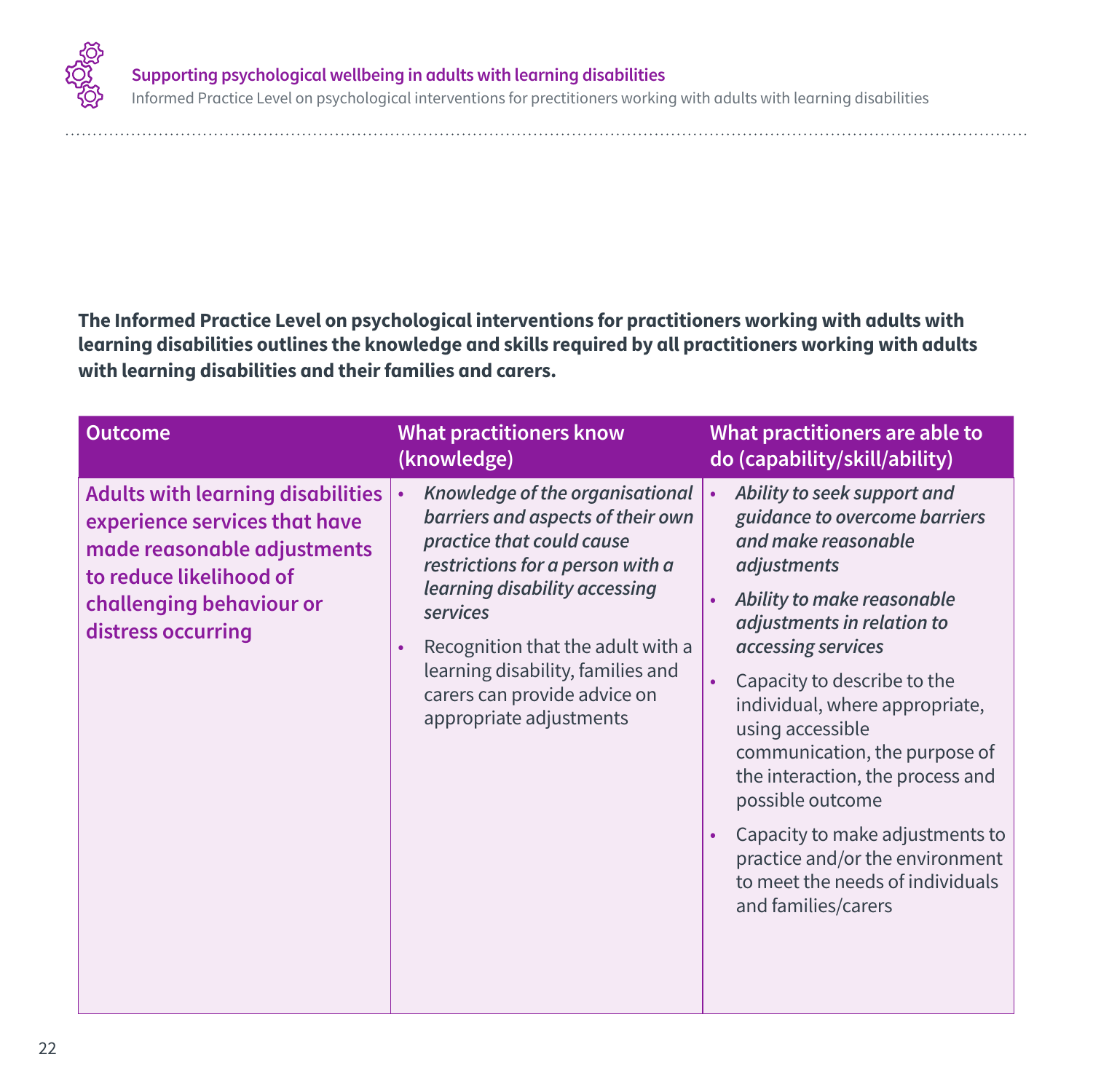

Informed Practice Level on psychological interventions for prectitioners working with adults with learning disabilities

. . . . . . . . . . . . . . . . . . . .

| <b>Outcome</b>                                                                                                                                                                 | <b>What practitioners know</b><br>(knowledge)                                                                                                                                                                                                                                                                           | What practitioners are able to<br>do (capability/skill/ability)                                                                                                                                                                                                                                                                                                                                                                                                                                     |
|--------------------------------------------------------------------------------------------------------------------------------------------------------------------------------|-------------------------------------------------------------------------------------------------------------------------------------------------------------------------------------------------------------------------------------------------------------------------------------------------------------------------|-----------------------------------------------------------------------------------------------------------------------------------------------------------------------------------------------------------------------------------------------------------------------------------------------------------------------------------------------------------------------------------------------------------------------------------------------------------------------------------------------------|
| Adults with learning disabilities<br>experience services that have<br>made reasonable adjustments<br>to reduce likelihood of<br>challenging behaviour or<br>distress occurring | Knowledge of the organisational<br>barriers and aspects of their own<br>practice that could cause<br>restrictions for a person with a<br>learning disability accessing<br>services<br>Recognition that the adult with a<br>learning disability, families and<br>carers can provide advice on<br>appropriate adjustments | Ability to seek support and<br>guidance to overcome barriers<br>and make reasonable<br>adjustments<br>Ability to make reasonable<br>adjustments in relation to<br>accessing services<br>Capacity to describe to the<br>individual, where appropriate,<br>using accessible<br>communication, the purpose of<br>the interaction, the process and<br>possible outcome<br>Capacity to make adjustments to<br>practice and/or the environment<br>to meet the needs of individuals<br>and families/carers |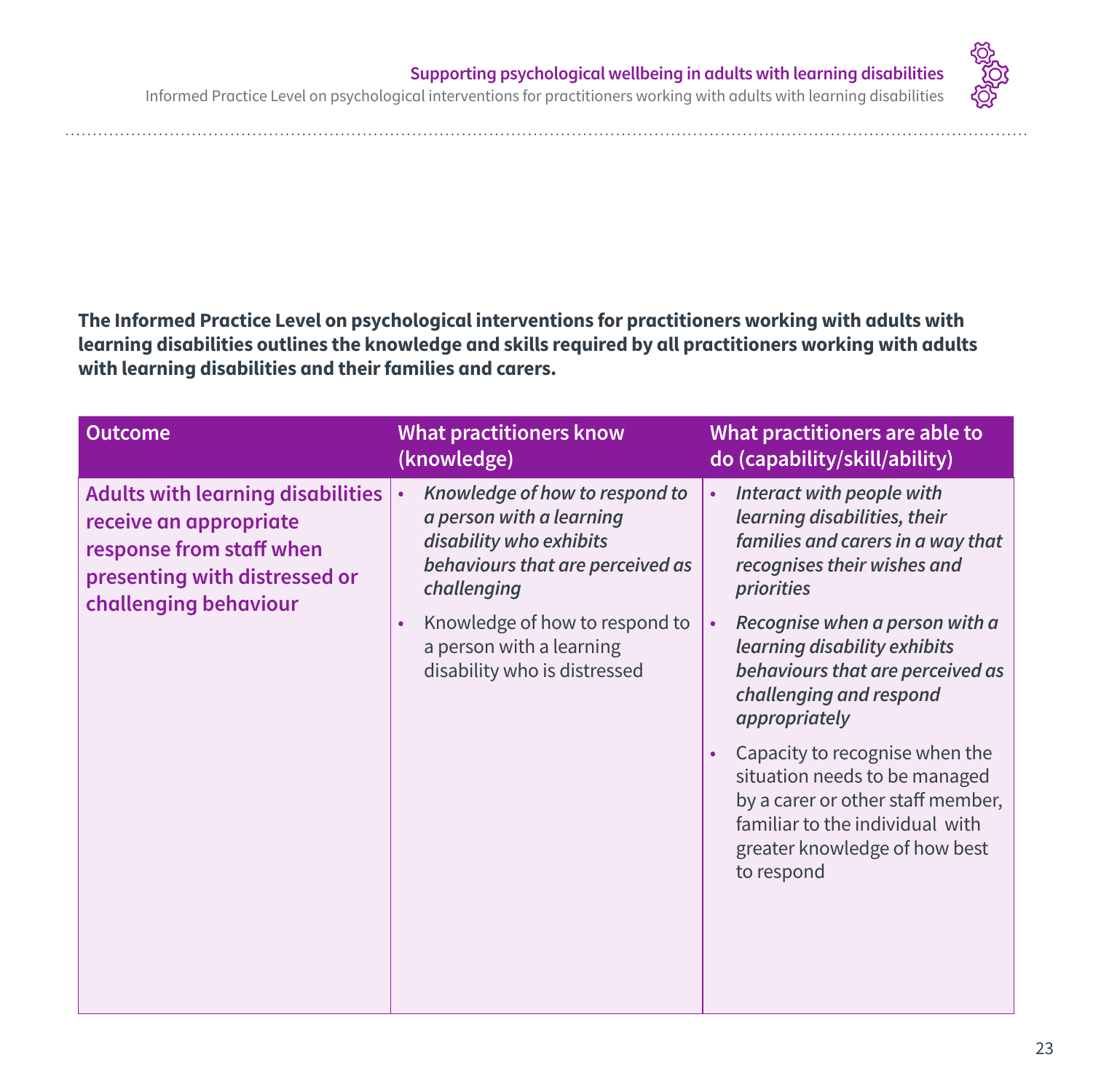

Informed Practice Level on psychological interventions for practitioners working with adults with learning disabilities

| <b>Outcome</b>                                                                                                                                    | <b>What practitioners know</b><br>(knowledge)                                                                                            | What practitioners are able to<br>do (capability/skill/ability)                                                                                                                        |
|---------------------------------------------------------------------------------------------------------------------------------------------------|------------------------------------------------------------------------------------------------------------------------------------------|----------------------------------------------------------------------------------------------------------------------------------------------------------------------------------------|
| Adults with learning disabilities<br>receive an appropriate<br>response from staff when<br>presenting with distressed or<br>challenging behaviour | Knowledge of how to respond to<br>a person with a learning<br>disability who exhibits<br>behaviours that are perceived as<br>challenging | Interact with people with<br>$\bullet$<br>learning disabilities, their<br>families and carers in a way that<br>recognises their wishes and<br>priorities                               |
|                                                                                                                                                   | Knowledge of how to respond to<br>a person with a learning<br>disability who is distressed                                               | Recognise when a person with a<br>learning disability exhibits<br>behaviours that are perceived as<br>challenging and respond<br>appropriately                                         |
|                                                                                                                                                   |                                                                                                                                          | Capacity to recognise when the<br>situation needs to be managed<br>by a carer or other staff member,<br>familiar to the individual with<br>greater knowledge of how best<br>to respond |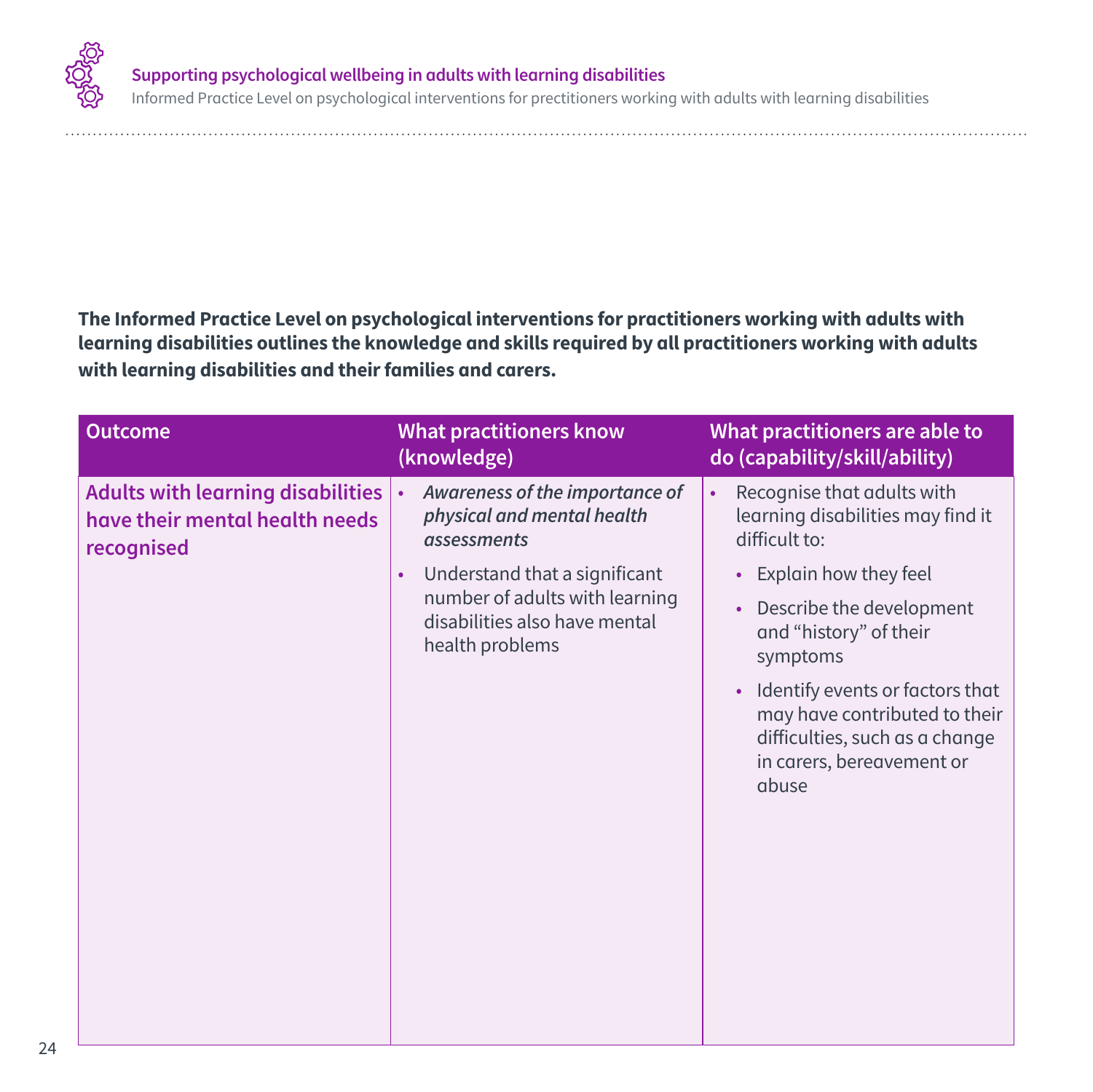

Informed Practice Level on psychological interventions for prectitioners working with adults with learning disabilities

| <b>Outcome</b><br>(knowledge)                                                                                                           | <b>What practitioners know</b><br>What practitioners are able to<br>do (capability/skill/ability)                                                                                                                                                                                                                                                                                                                                                                                                                       |
|-----------------------------------------------------------------------------------------------------------------------------------------|-------------------------------------------------------------------------------------------------------------------------------------------------------------------------------------------------------------------------------------------------------------------------------------------------------------------------------------------------------------------------------------------------------------------------------------------------------------------------------------------------------------------------|
| Adults with learning disabilities<br>have their mental health needs<br><i>assessments</i><br>recognised<br>$\bullet$<br>health problems | Awareness of the importance of<br>Recognise that adults with<br>$\bullet$<br>physical and mental health<br>learning disabilities may find it<br>difficult to:<br>• Explain how they feel<br>Understand that a significant<br>number of adults with learning<br>Describe the development<br>disabilities also have mental<br>and "history" of their<br>symptoms<br>Identify events or factors that<br>$\bullet$<br>may have contributed to their<br>difficulties, such as a change<br>in carers, bereavement or<br>abuse |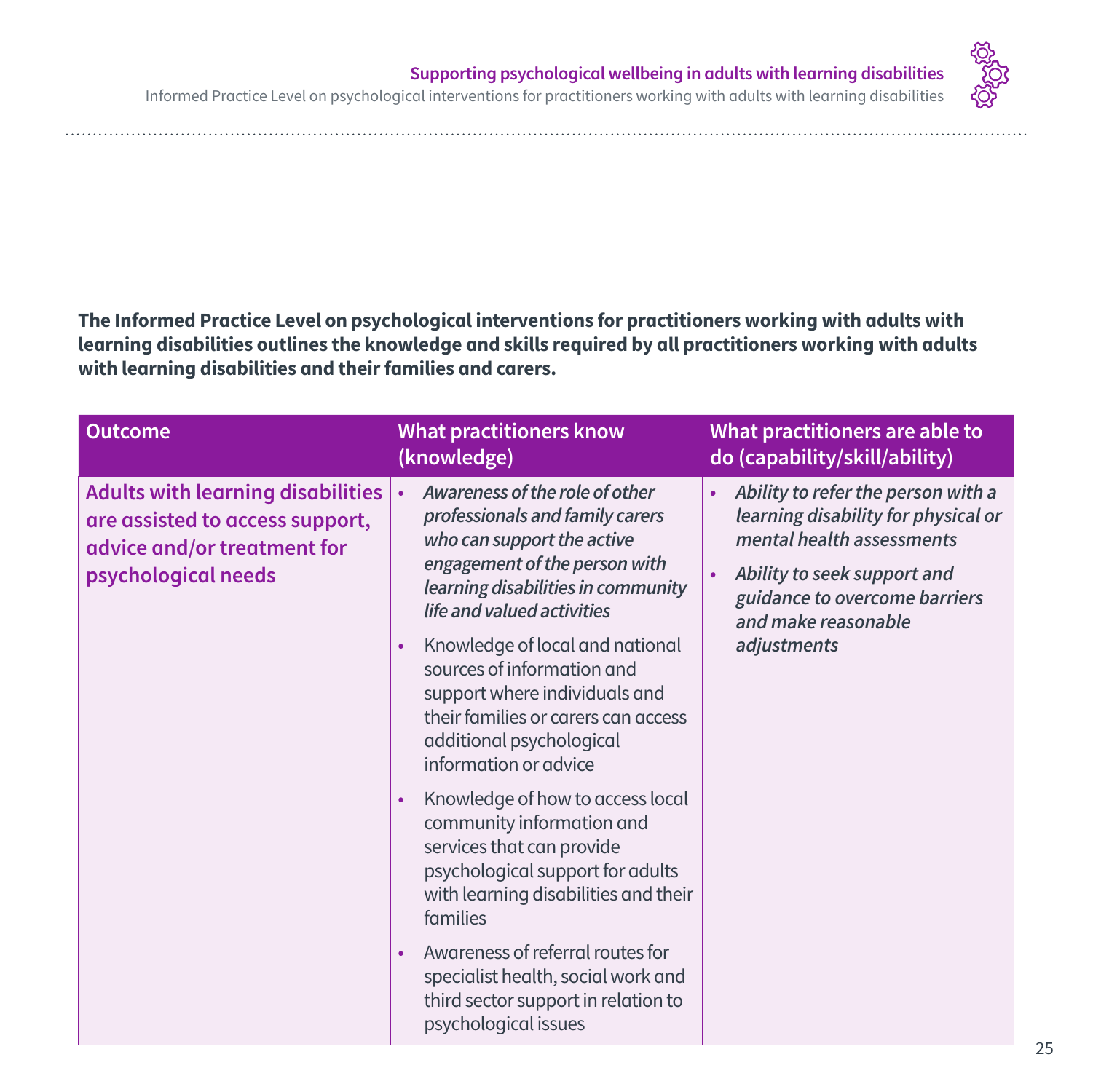

Informed Practice Level on psychological interventions for practitioners working with adults with learning disabilities

| <b>Outcome</b>                                                                                                                    | <b>What practitioners know</b><br>(knowledge)                                                                                                                                                                                                                                                                                                                                                                                                                                                                                                                                                                                                                                                                                                    | What practitioners are able to<br>do (capability/skill/ability)                                                                                                                                                                        |
|-----------------------------------------------------------------------------------------------------------------------------------|--------------------------------------------------------------------------------------------------------------------------------------------------------------------------------------------------------------------------------------------------------------------------------------------------------------------------------------------------------------------------------------------------------------------------------------------------------------------------------------------------------------------------------------------------------------------------------------------------------------------------------------------------------------------------------------------------------------------------------------------------|----------------------------------------------------------------------------------------------------------------------------------------------------------------------------------------------------------------------------------------|
| <b>Adults with learning disabilities</b><br>are assisted to access support,<br>advice and/or treatment for<br>psychological needs | Awareness of the role of other<br>professionals and family carers<br>who can support the active<br>engagement of the person with<br>learning disabilities in community<br>life and valued activities<br>Knowledge of local and national<br>$\bullet$<br>sources of information and<br>support where individuals and<br>their families or carers can access<br>additional psychological<br>information or advice<br>Knowledge of how to access local<br>$\bullet$<br>community information and<br>services that can provide<br>psychological support for adults<br>with learning disabilities and their<br>families<br>Awareness of referral routes for<br>$\bullet$<br>specialist health, social work and<br>third sector support in relation to | Ability to refer the person with a<br>$\bullet$<br>learning disability for physical or<br>mental health assessments<br>Ability to seek support and<br>$\bullet$<br>guidance to overcome barriers<br>and make reasonable<br>adjustments |
|                                                                                                                                   | psychological issues                                                                                                                                                                                                                                                                                                                                                                                                                                                                                                                                                                                                                                                                                                                             |                                                                                                                                                                                                                                        |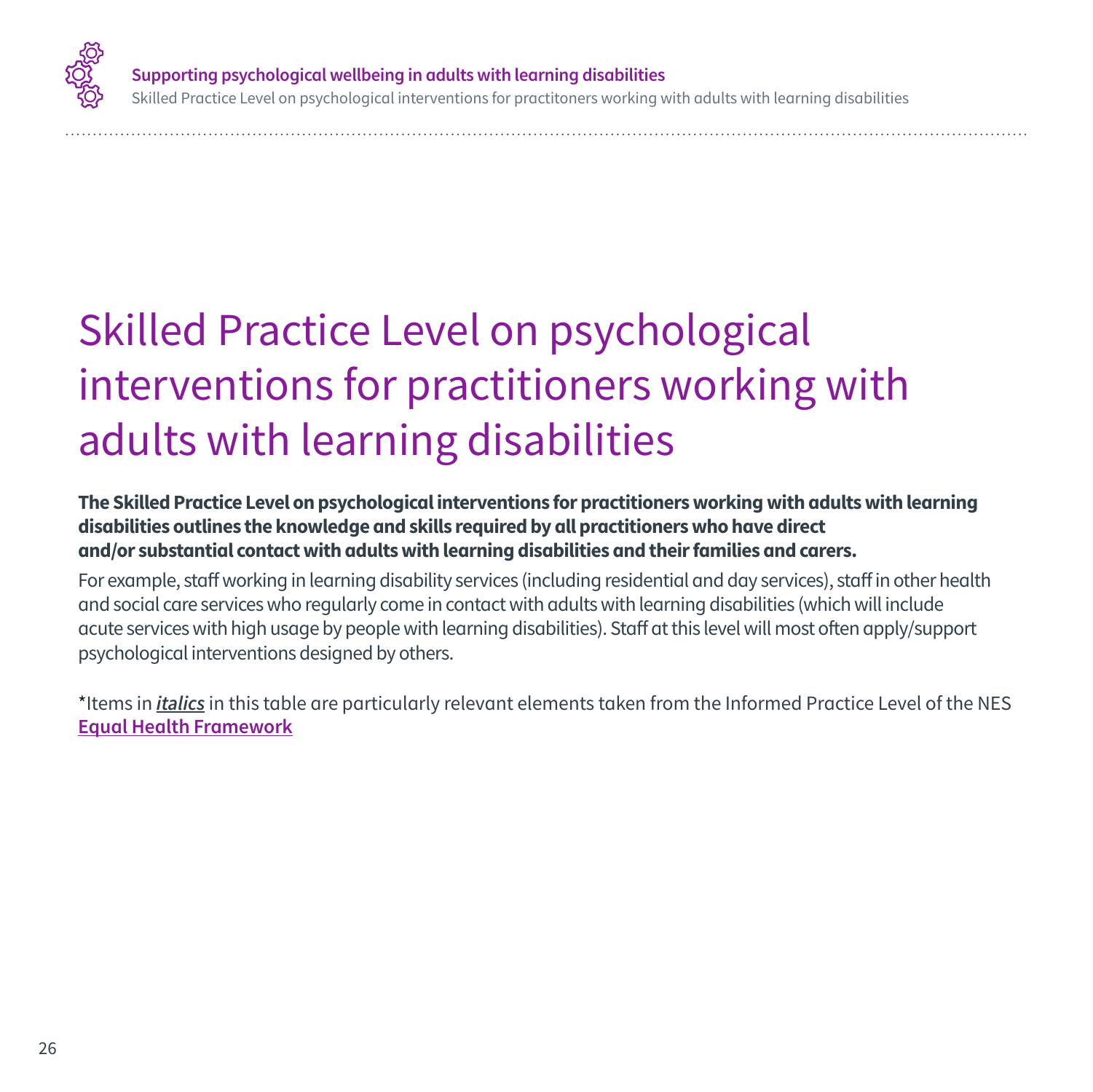<span id="page-25-0"></span>

# Skilled Practice Level on psychological interventions for practitioners working with adults with learning disabilities

#### **The Skilled Practice Level on psychological interventions for practitioners working with adults with learning disabilities outlines the knowledge and skills required by all practitioners who have direct and/or substantial contact with adults with learning disabilities and their families and carers.**

For example, staff working in learning disability services (including residential and day services), staff in other health and social care services who regularly come in contact with adults with learning disabilities (which will include acute services with high usage by people with learning disabilities). Staff at this level will most often apply/support psychological interventions designed by others.

\*Items in *italics* in this table are particularly relevant elements taken from the Informed Practice Level of the NES **[Equal Health Framework](http://www.nes.scot.nhs.uk/education-and-training/by-theme-initiative/mental-health-and-learning-disabilities/our-work,-publications-and-resources/learning-disabilities/equal-health-educational-framework.aspx)**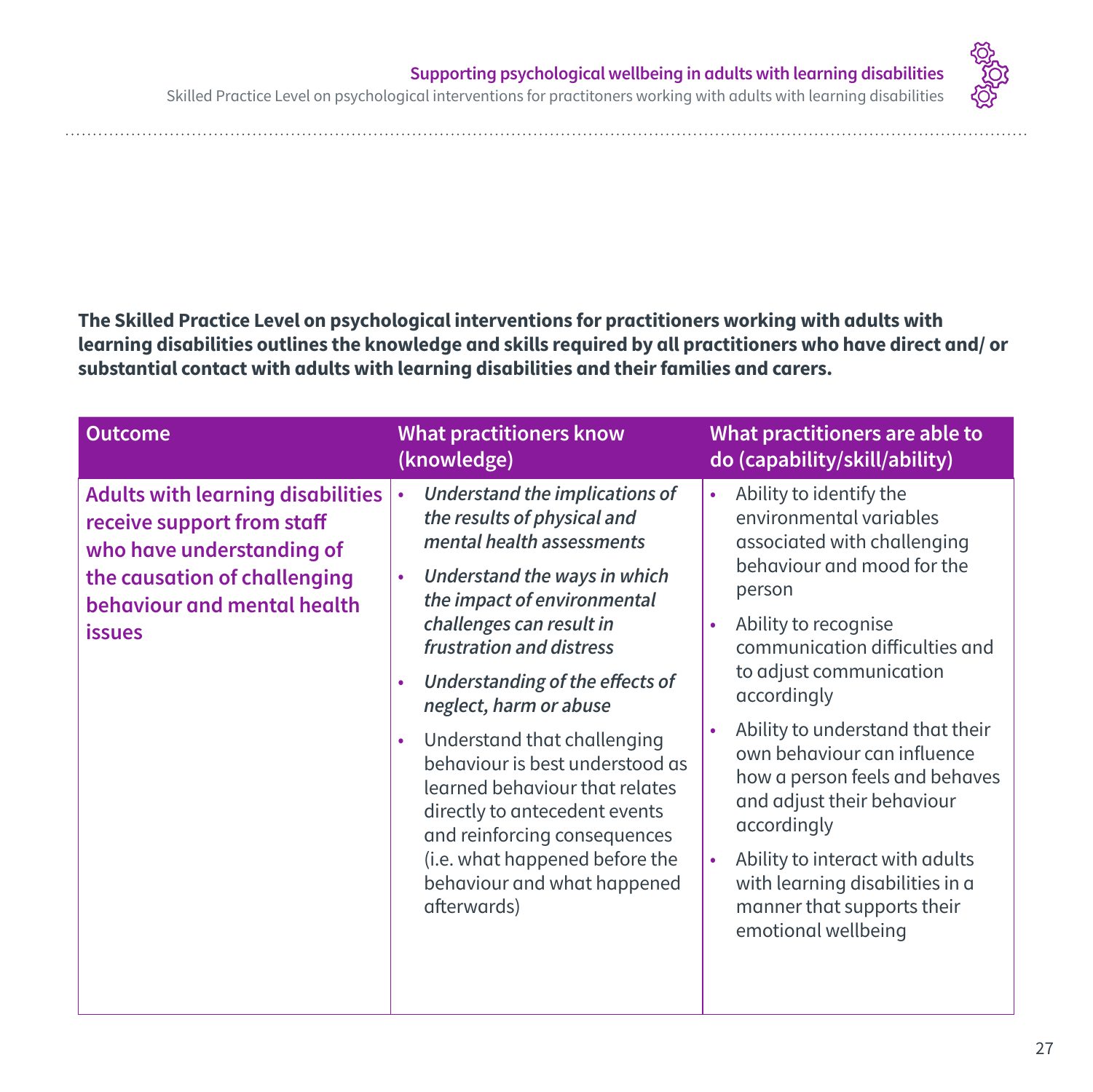

. . . . . . . . . . . . . .

Skilled Practice Level on psychological interventions for practitoners working with adults with learning disabilities

| <b>Outcome</b>                                                                                                                                                                      | <b>What practitioners know</b><br>(knowledge)                                                                                                                                                                                                                                                                                                                                                                                                                                                                                                                                           | What practitioners are able to<br>do (capability/skill/ability)                                                                                                                                                                                                                                                                                                                                                                                                                                                              |
|-------------------------------------------------------------------------------------------------------------------------------------------------------------------------------------|-----------------------------------------------------------------------------------------------------------------------------------------------------------------------------------------------------------------------------------------------------------------------------------------------------------------------------------------------------------------------------------------------------------------------------------------------------------------------------------------------------------------------------------------------------------------------------------------|------------------------------------------------------------------------------------------------------------------------------------------------------------------------------------------------------------------------------------------------------------------------------------------------------------------------------------------------------------------------------------------------------------------------------------------------------------------------------------------------------------------------------|
| <b>Adults with learning disabilities</b><br>receive support from staff<br>who have understanding of<br>the causation of challenging<br>behaviour and mental health<br><b>issues</b> | Understand the implications of<br>$\bullet$<br>the results of physical and<br>mental health assessments<br>Understand the ways in which<br>$\bullet$<br>the impact of environmental<br>challenges can result in<br>frustration and distress<br>Understanding of the effects of<br>$\bullet$<br>neglect, harm or abuse<br>Understand that challenging<br>$\bullet$<br>behaviour is best understood as<br>learned behaviour that relates<br>directly to antecedent events<br>and reinforcing consequences<br>(i.e. what happened before the<br>behaviour and what happened<br>afterwards) | Ability to identify the<br>environmental variables<br>associated with challenging<br>behaviour and mood for the<br>person<br>Ability to recognise<br>ó<br>communication difficulties and<br>to adjust communication<br>accordingly<br>Ability to understand that their<br>own behaviour can influence<br>how a person feels and behaves<br>and adjust their behaviour<br>accordingly<br>Ability to interact with adults<br>$\bullet$<br>with learning disabilities in a<br>manner that supports their<br>emotional wellbeing |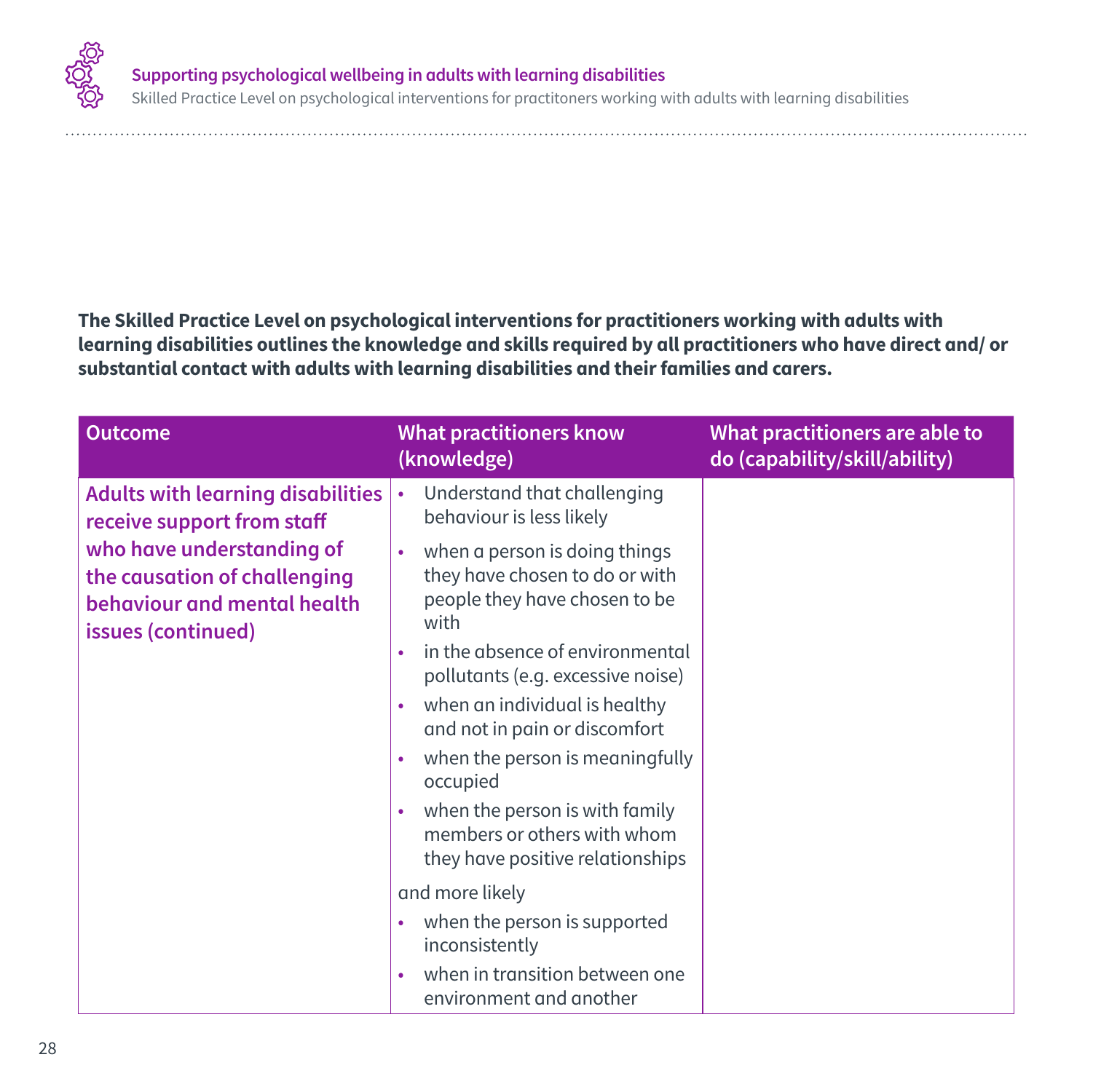

Skilled Practice Level on psychological interventions for practitoners working with adults with learning disabilities

| <b>Outcome</b>                                                                                                 | <b>What practitioners know</b><br>(knowledge)                                                                  | What practitioners are able to<br>do (capability/skill/ability) |
|----------------------------------------------------------------------------------------------------------------|----------------------------------------------------------------------------------------------------------------|-----------------------------------------------------------------|
| Adults with learning disabilities<br>receive support from staff                                                | Understand that challenging<br>behaviour is less likely                                                        |                                                                 |
| who have understanding of<br>the causation of challenging<br>behaviour and mental health<br>issues (continued) | when a person is doing things<br>they have chosen to do or with<br>people they have chosen to be<br>with       |                                                                 |
|                                                                                                                | in the absence of environmental<br>$\bullet$<br>pollutants (e.g. excessive noise)                              |                                                                 |
|                                                                                                                | when an individual is healthy<br>and not in pain or discomfort                                                 |                                                                 |
|                                                                                                                | when the person is meaningfully<br>$\bullet$<br>occupied                                                       |                                                                 |
|                                                                                                                | when the person is with family<br>$\bullet$<br>members or others with whom<br>they have positive relationships |                                                                 |
|                                                                                                                | and more likely                                                                                                |                                                                 |
|                                                                                                                | when the person is supported<br>inconsistently                                                                 |                                                                 |
|                                                                                                                | when in transition between one<br>$\bullet$<br>environment and another                                         |                                                                 |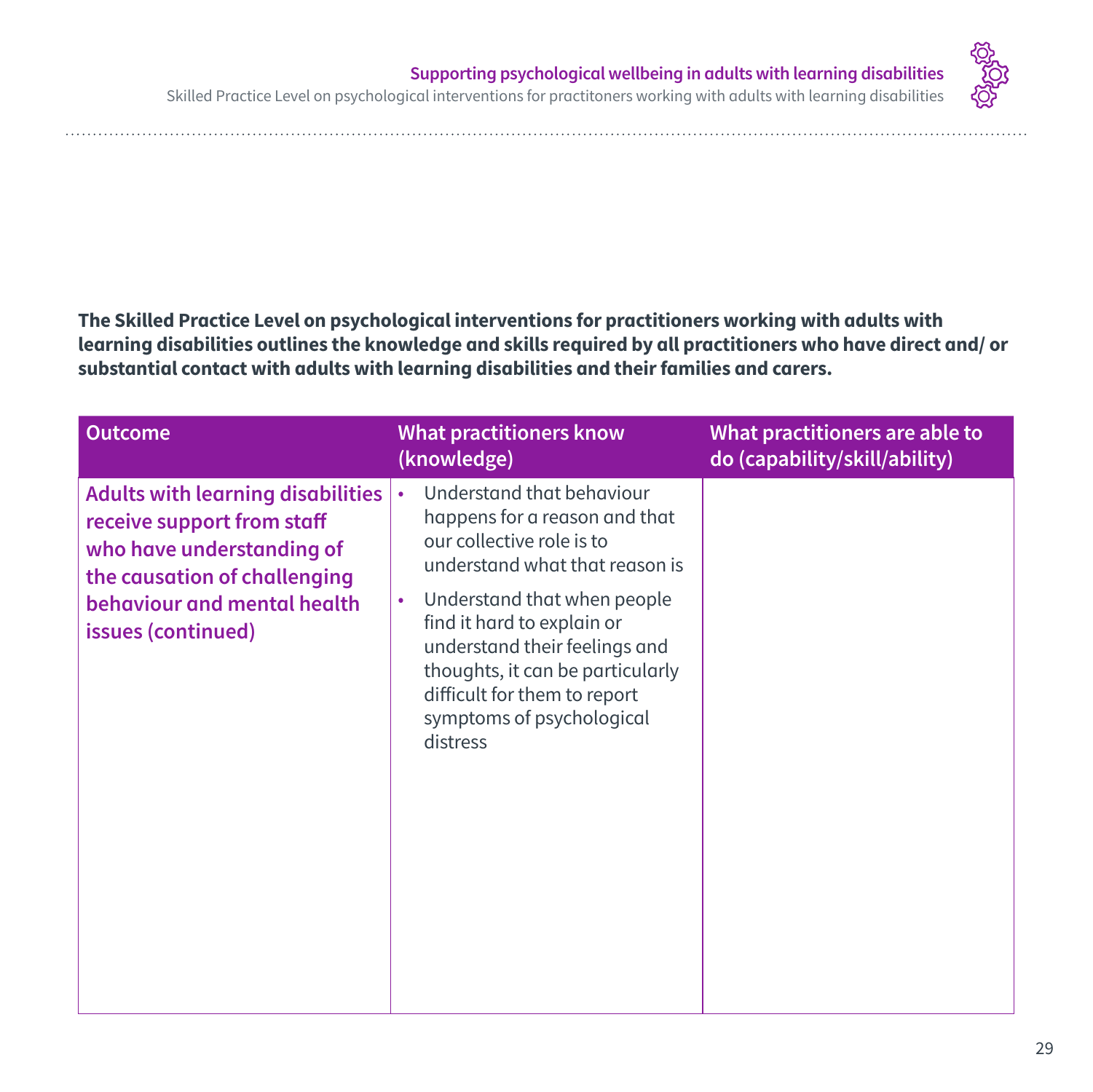

. . . . . . . . . . . . . . . . . . . .

Skilled Practice Level on psychological interventions for practitoners working with adults with learning disabilities

| <b>Outcome</b>                                                                                                                                                                    | <b>What practitioners know</b><br>(knowledge)                                                                                                                                                                                                                                                                                                     | What practitioners are able to<br>do (capability/skill/ability) |
|-----------------------------------------------------------------------------------------------------------------------------------------------------------------------------------|---------------------------------------------------------------------------------------------------------------------------------------------------------------------------------------------------------------------------------------------------------------------------------------------------------------------------------------------------|-----------------------------------------------------------------|
| Adults with learning disabilities<br>receive support from staff<br>who have understanding of<br>the causation of challenging<br>behaviour and mental health<br>issues (continued) | Understand that behaviour<br>happens for a reason and that<br>our collective role is to<br>understand what that reason is<br>Understand that when people<br>$\bullet$<br>find it hard to explain or<br>understand their feelings and<br>thoughts, it can be particularly<br>difficult for them to report<br>symptoms of psychological<br>distress |                                                                 |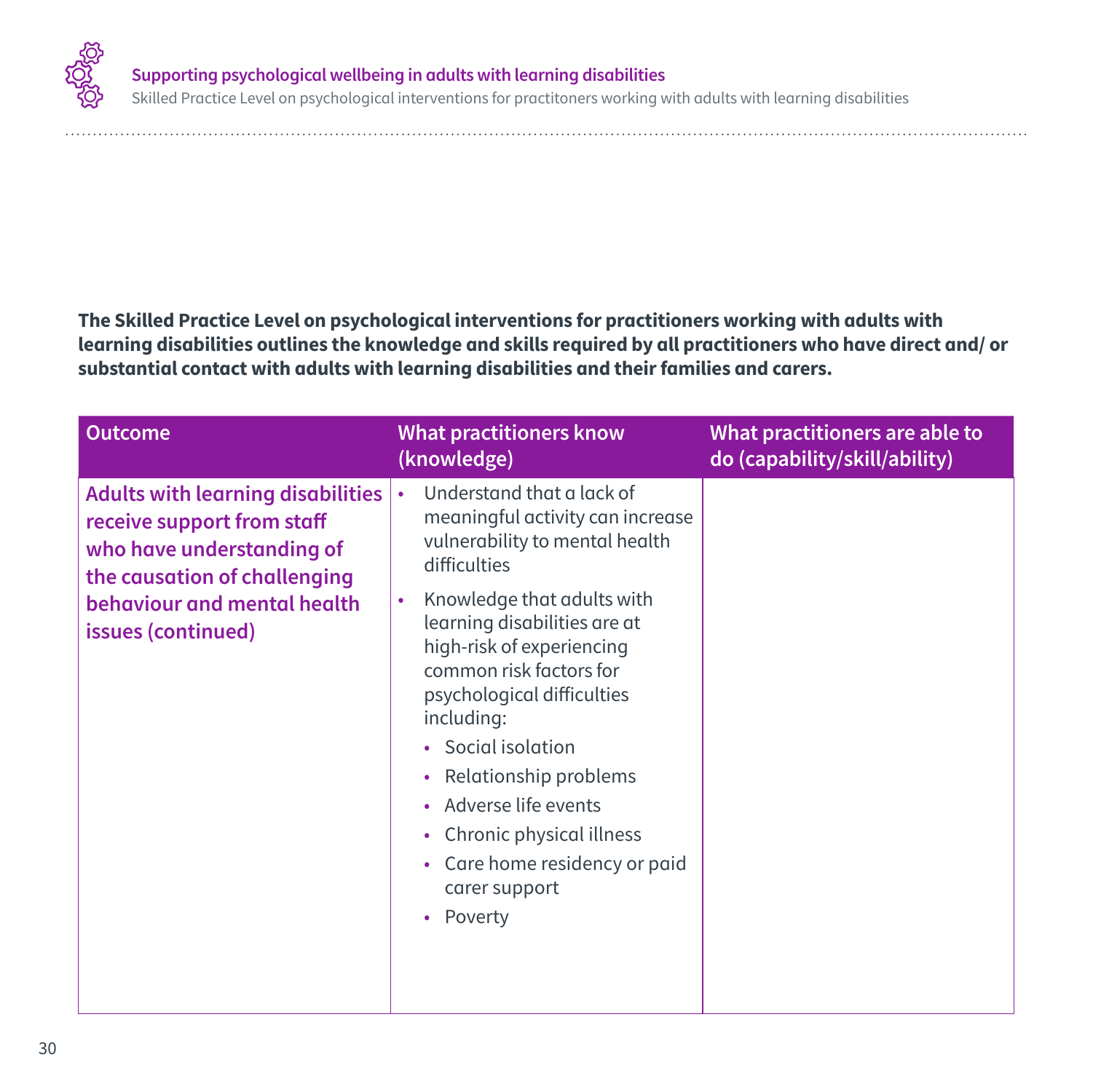

Skilled Practice Level on psychological interventions for practitoners working with adults with learning disabilities

| <b>Outcome</b>                                                                                                                                                                    | <b>What practitioners know</b><br>(knowledge)                                                                                                                                                                                                                                                                                                                                                                                                                                                  | What practitioners are able to<br>do (capability/skill/ability) |
|-----------------------------------------------------------------------------------------------------------------------------------------------------------------------------------|------------------------------------------------------------------------------------------------------------------------------------------------------------------------------------------------------------------------------------------------------------------------------------------------------------------------------------------------------------------------------------------------------------------------------------------------------------------------------------------------|-----------------------------------------------------------------|
| Adults with learning disabilities<br>receive support from staff<br>who have understanding of<br>the causation of challenging<br>behaviour and mental health<br>issues (continued) | Understand that a lack of<br>meaningful activity can increase<br>vulnerability to mental health<br>difficulties<br>Knowledge that adults with<br>$\bullet$<br>learning disabilities are at<br>high-risk of experiencing<br>common risk factors for<br>psychological difficulties<br>including:<br>• Social isolation<br>Relationship problems<br>٠<br>• Adverse life events<br>Chronic physical illness<br>$\bullet$<br>Care home residency or paid<br>$\bullet$<br>carer support<br>• Poverty |                                                                 |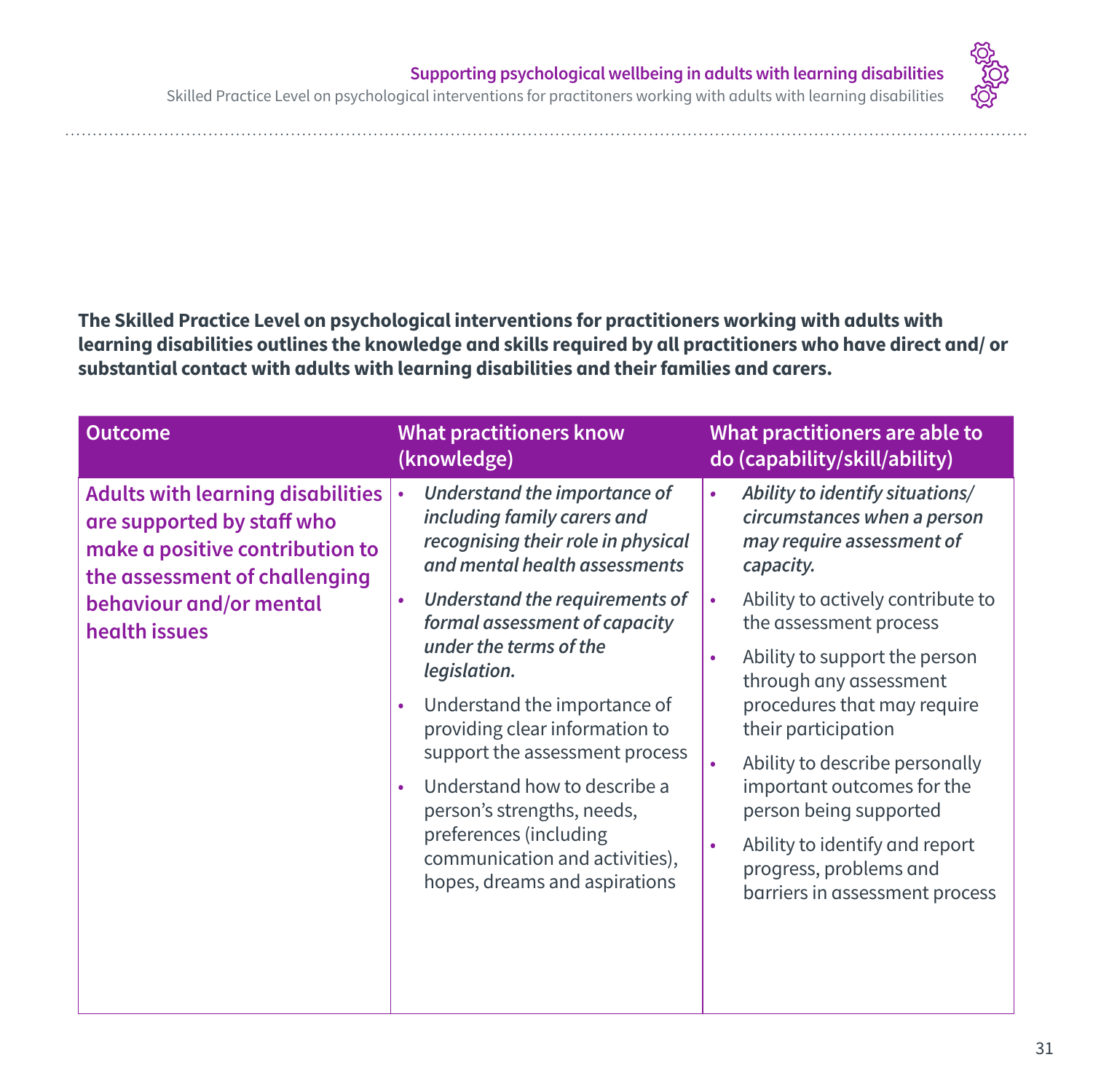

. . . . . . . . . . . .

Skilled Practice Level on psychological interventions for practitoners working with adults with learning disabilities

| <b>Outcome</b>                                                                                                                                                                         | <b>What practitioners know</b><br>(knowledge)                                                                                                                        | What practitioners are able to<br>do (capability/skill/ability)                                                       |
|----------------------------------------------------------------------------------------------------------------------------------------------------------------------------------------|----------------------------------------------------------------------------------------------------------------------------------------------------------------------|-----------------------------------------------------------------------------------------------------------------------|
| <b>Adults with learning disabilities</b><br>are supported by staff who<br>make a positive contribution to<br>the assessment of challenging<br>behaviour and/or mental<br>health issues | Understand the importance of<br>$\bullet$<br>including family carers and<br>recognising their role in physical<br>and mental health assessments                      | Ability to identify situations/<br>$\bullet$<br>circumstances when a person<br>may require assessment of<br>capacity. |
|                                                                                                                                                                                        | Understand the requirements of<br>$\bullet$<br>formal assessment of capacity                                                                                         | Ability to actively contribute to<br>$\bullet$<br>the assessment process                                              |
|                                                                                                                                                                                        | under the terms of the<br>legislation.<br>Understand the importance of<br>$\bullet$<br>providing clear information to<br>support the assessment process              | Ability to support the person<br>through any assessment<br>procedures that may require                                |
|                                                                                                                                                                                        |                                                                                                                                                                      | their participation<br>Ability to describe personally                                                                 |
|                                                                                                                                                                                        | Understand how to describe a<br>$\bullet$<br>person's strengths, needs,<br>preferences (including<br>communication and activities),<br>hopes, dreams and aspirations | important outcomes for the<br>person being supported                                                                  |
|                                                                                                                                                                                        |                                                                                                                                                                      | Ability to identify and report<br>$\bullet$<br>progress, problems and<br>barriers in assessment process               |
|                                                                                                                                                                                        |                                                                                                                                                                      |                                                                                                                       |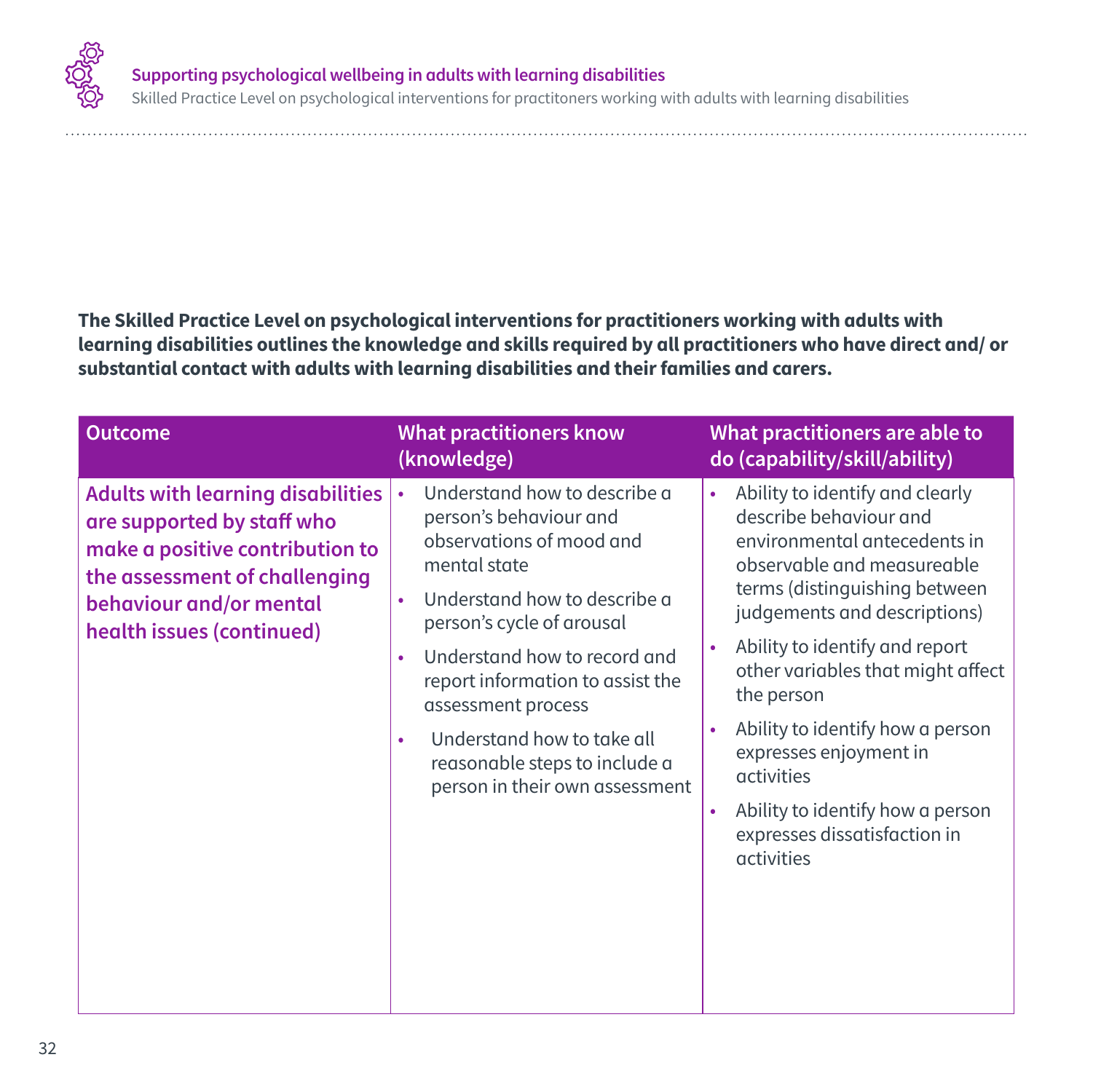

Skilled Practice Level on psychological interventions for practitoners working with adults with learning disabilities

| <b>Outcome</b>                                                                                                                                                                              | <b>What practitioners know</b><br>(knowledge)                                                                                                                                                                                                                                                                                                                                        | What practitioners are able to<br>do (capability/skill/ability)                                                                                                                                                                                                                                                                                                                                                                                                                                 |
|---------------------------------------------------------------------------------------------------------------------------------------------------------------------------------------------|--------------------------------------------------------------------------------------------------------------------------------------------------------------------------------------------------------------------------------------------------------------------------------------------------------------------------------------------------------------------------------------|-------------------------------------------------------------------------------------------------------------------------------------------------------------------------------------------------------------------------------------------------------------------------------------------------------------------------------------------------------------------------------------------------------------------------------------------------------------------------------------------------|
| Adults with learning disabilities<br>are supported by staff who<br>make a positive contribution to<br>the assessment of challenging<br>behaviour and/or mental<br>health issues (continued) | Understand how to describe a<br>person's behaviour and<br>observations of mood and<br>mental state<br>Understand how to describe a<br>person's cycle of arousal<br>Understand how to record and<br>$\bullet$<br>report information to assist the<br>assessment process<br>Understand how to take all<br>$\bullet$<br>reasonable steps to include a<br>person in their own assessment | Ability to identify and clearly<br>$\bullet$<br>describe behaviour and<br>environmental antecedents in<br>observable and measureable<br>terms (distinguishing between<br>judgements and descriptions)<br>Ability to identify and report<br>$\bullet$<br>other variables that might affect<br>the person<br>Ability to identify how a person<br>$\bullet$<br>expresses enjoyment in<br>activities<br>Ability to identify how a person<br>$\bullet$<br>expresses dissatisfaction in<br>activities |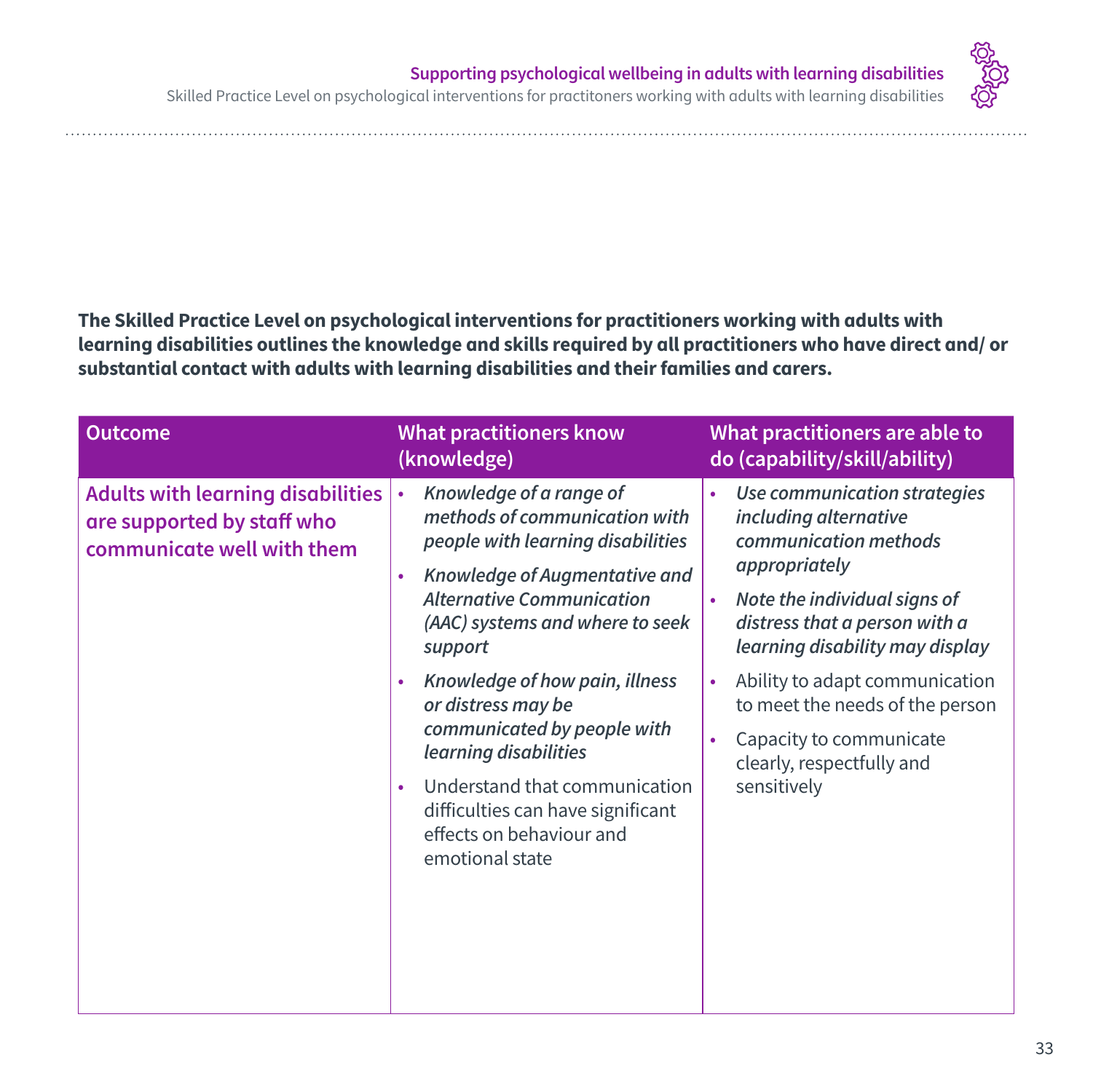

. . . . . . . . . . . . . . . .

Skilled Practice Level on psychological interventions for practitoners working with adults with learning disabilities

| <b>Outcome</b>                                                                                       | <b>What practitioners know</b><br>(knowledge)                                                                                                                                                                                                                                                                                                                                                                                                                                                             | What practitioners are able to<br>do (capability/skill/ability)                                                                                                                                                                                                                                                                                              |
|------------------------------------------------------------------------------------------------------|-----------------------------------------------------------------------------------------------------------------------------------------------------------------------------------------------------------------------------------------------------------------------------------------------------------------------------------------------------------------------------------------------------------------------------------------------------------------------------------------------------------|--------------------------------------------------------------------------------------------------------------------------------------------------------------------------------------------------------------------------------------------------------------------------------------------------------------------------------------------------------------|
| <b>Adults with learning disabilities</b><br>are supported by staff who<br>communicate well with them | Knowledge of a range of<br>$\bullet$<br>methods of communication with<br>people with learning disabilities<br>Knowledge of Augmentative and<br>$\bullet$<br><b>Alternative Communication</b><br>(AAC) systems and where to seek<br>support<br>Knowledge of how pain, illness<br>$\bullet$<br>or distress may be<br>communicated by people with<br>learning disabilities<br>Understand that communication<br>$\bullet$<br>difficulties can have significant<br>effects on behaviour and<br>emotional state | Use communication strategies<br>$\bullet$<br>including alternative<br>communication methods<br>appropriately<br>Note the individual signs of<br>distress that a person with a<br>learning disability may display<br>Ability to adapt communication<br>to meet the needs of the person<br>Capacity to communicate<br>clearly, respectfully and<br>sensitively |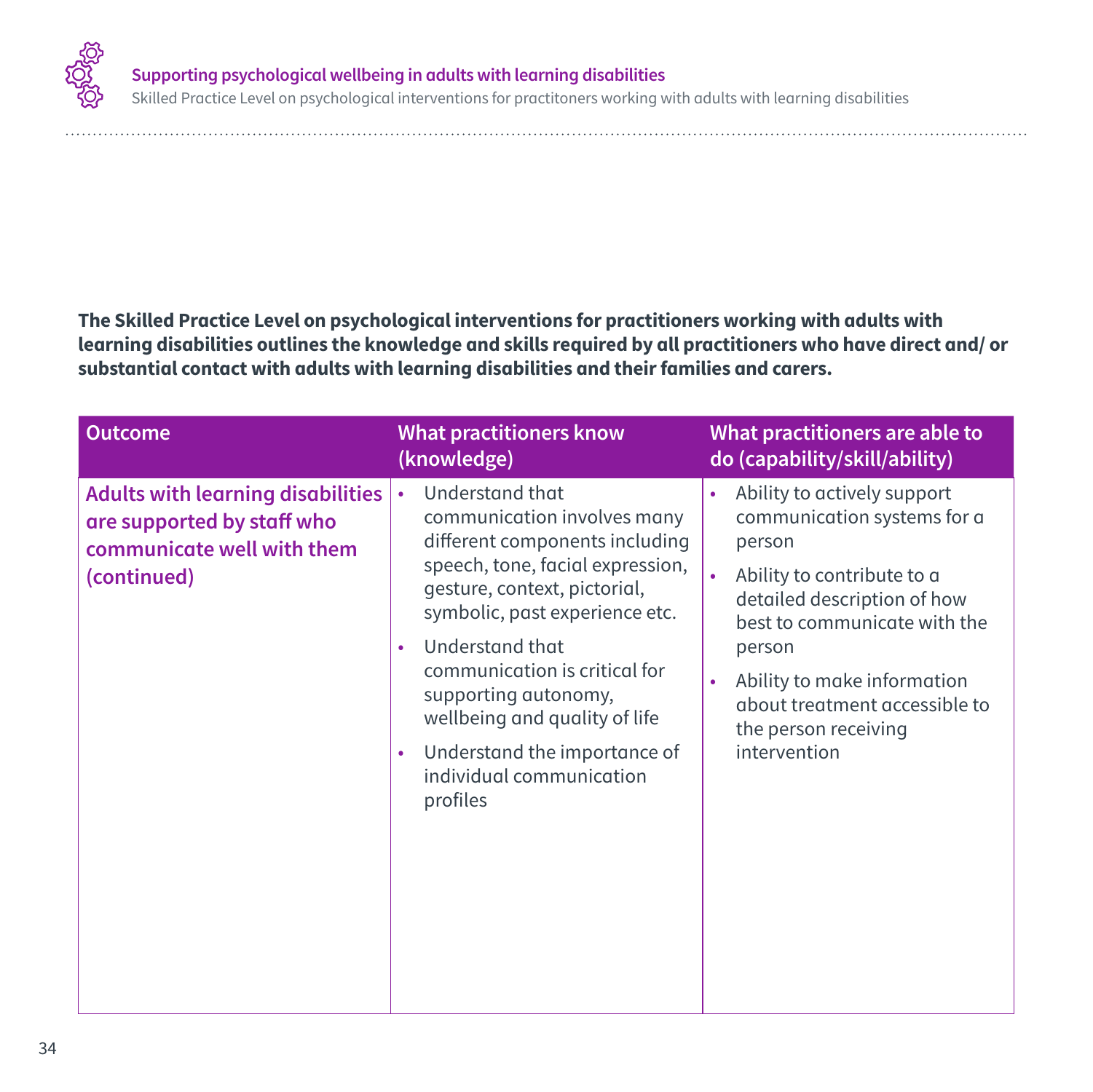

Skilled Practice Level on psychological interventions for practitoners working with adults with learning disabilities

| <b>Outcome</b>                                                                                                      | <b>What practitioners know</b><br>(knowledge)                                                                                                                                                                                                                                                                                                                                                         | What practitioners are able to<br>do (capability/skill/ability)                                                                                                                                                                                                                     |
|---------------------------------------------------------------------------------------------------------------------|-------------------------------------------------------------------------------------------------------------------------------------------------------------------------------------------------------------------------------------------------------------------------------------------------------------------------------------------------------------------------------------------------------|-------------------------------------------------------------------------------------------------------------------------------------------------------------------------------------------------------------------------------------------------------------------------------------|
| <b>Adults with learning disabilities</b><br>are supported by staff who<br>communicate well with them<br>(continued) | Understand that<br>$\bullet$<br>communication involves many<br>different components including<br>speech, tone, facial expression,<br>gesture, context, pictorial,<br>symbolic, past experience etc.<br>Understand that<br>$\bullet$<br>communication is critical for<br>supporting autonomy,<br>wellbeing and quality of life<br>Understand the importance of<br>individual communication<br>profiles | Ability to actively support<br>communication systems for a<br>person<br>Ability to contribute to a<br>detailed description of how<br>best to communicate with the<br>person<br>Ability to make information<br>about treatment accessible to<br>the person receiving<br>intervention |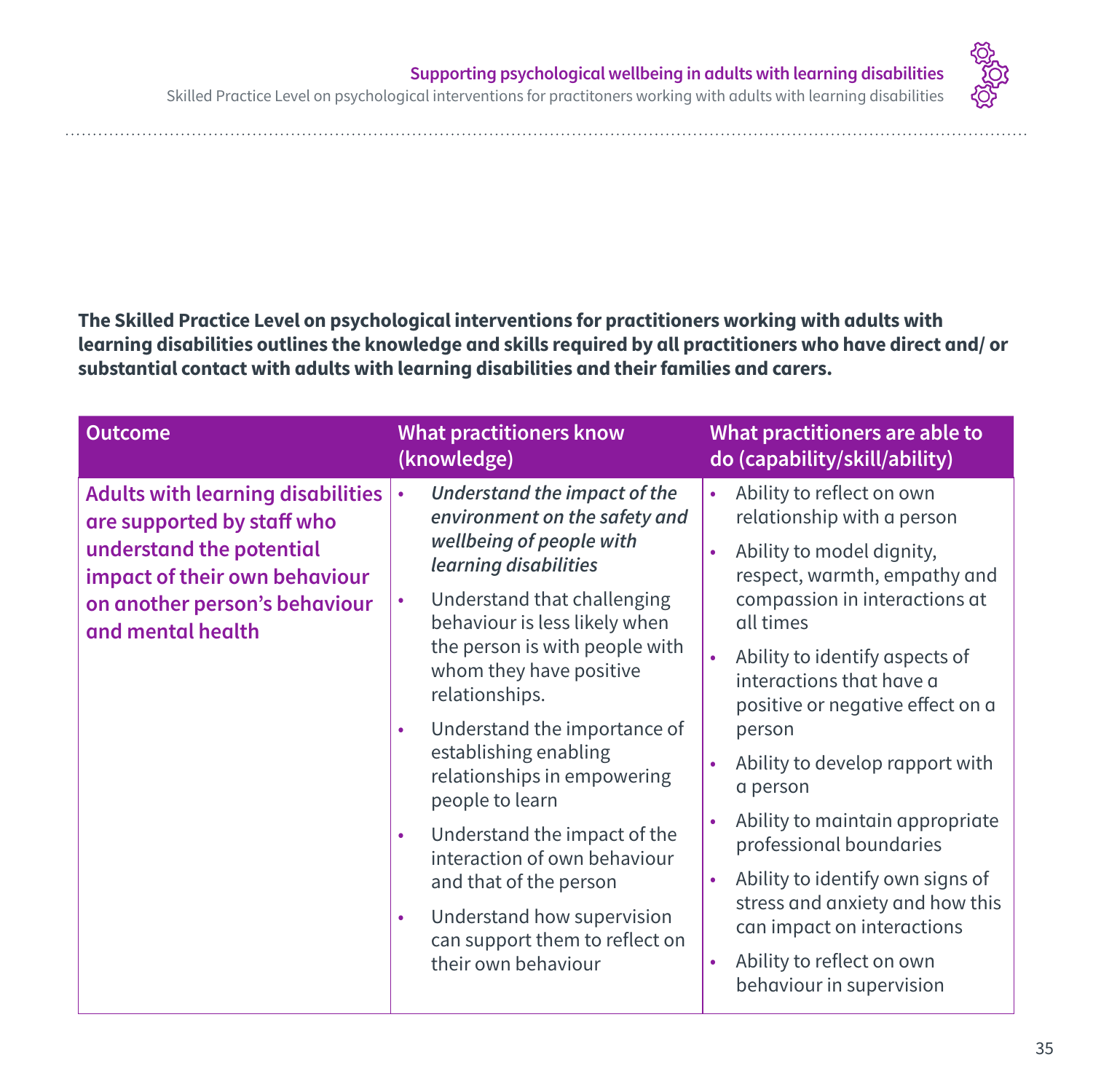

. . . . . . . . . . . . . . . .

Skilled Practice Level on psychological interventions for practitoners working with adults with learning disabilities

| <b>Outcome</b>                                                                                                                                                                     | <b>What practitioners know</b><br>(knowledge)                                                                                                            | What practitioners are able to<br>do (capability/skill/ability)                                |
|------------------------------------------------------------------------------------------------------------------------------------------------------------------------------------|----------------------------------------------------------------------------------------------------------------------------------------------------------|------------------------------------------------------------------------------------------------|
| Adults with learning disabilities<br>are supported by staff who<br>understand the potential<br>impact of their own behaviour<br>on another person's behaviour<br>and mental health | Understand the impact of the<br>$\bullet$<br>environment on the safety and<br>wellbeing of people with<br>learning disabilities                          | Ability to reflect on own<br>$\bullet$<br>relationship with a person                           |
|                                                                                                                                                                                    |                                                                                                                                                          | Ability to model dignity,<br>$\bullet$<br>respect, warmth, empathy and                         |
|                                                                                                                                                                                    | Understand that challenging<br>$\bullet$<br>behaviour is less likely when<br>the person is with people with<br>whom they have positive<br>relationships. | compassion in interactions at<br>all times                                                     |
|                                                                                                                                                                                    |                                                                                                                                                          | Ability to identify aspects of<br>interactions that have a<br>positive or negative effect on a |
|                                                                                                                                                                                    | Understand the importance of<br>$\bullet$<br>establishing enabling<br>relationships in empowering<br>people to learn                                     | person                                                                                         |
|                                                                                                                                                                                    |                                                                                                                                                          | Ability to develop rapport with<br>$\bullet$<br>a person                                       |
|                                                                                                                                                                                    | Understand the impact of the<br>$\bullet$<br>interaction of own behaviour<br>and that of the person                                                      | Ability to maintain appropriate<br>professional boundaries                                     |
|                                                                                                                                                                                    |                                                                                                                                                          | Ability to identify own signs of<br>$\bullet$                                                  |
|                                                                                                                                                                                    | Understand how supervision<br>$\bullet$<br>can support them to reflect on<br>their own behaviour                                                         | stress and anxiety and how this<br>can impact on interactions                                  |
|                                                                                                                                                                                    |                                                                                                                                                          | Ability to reflect on own<br>$\bullet$<br>behaviour in supervision                             |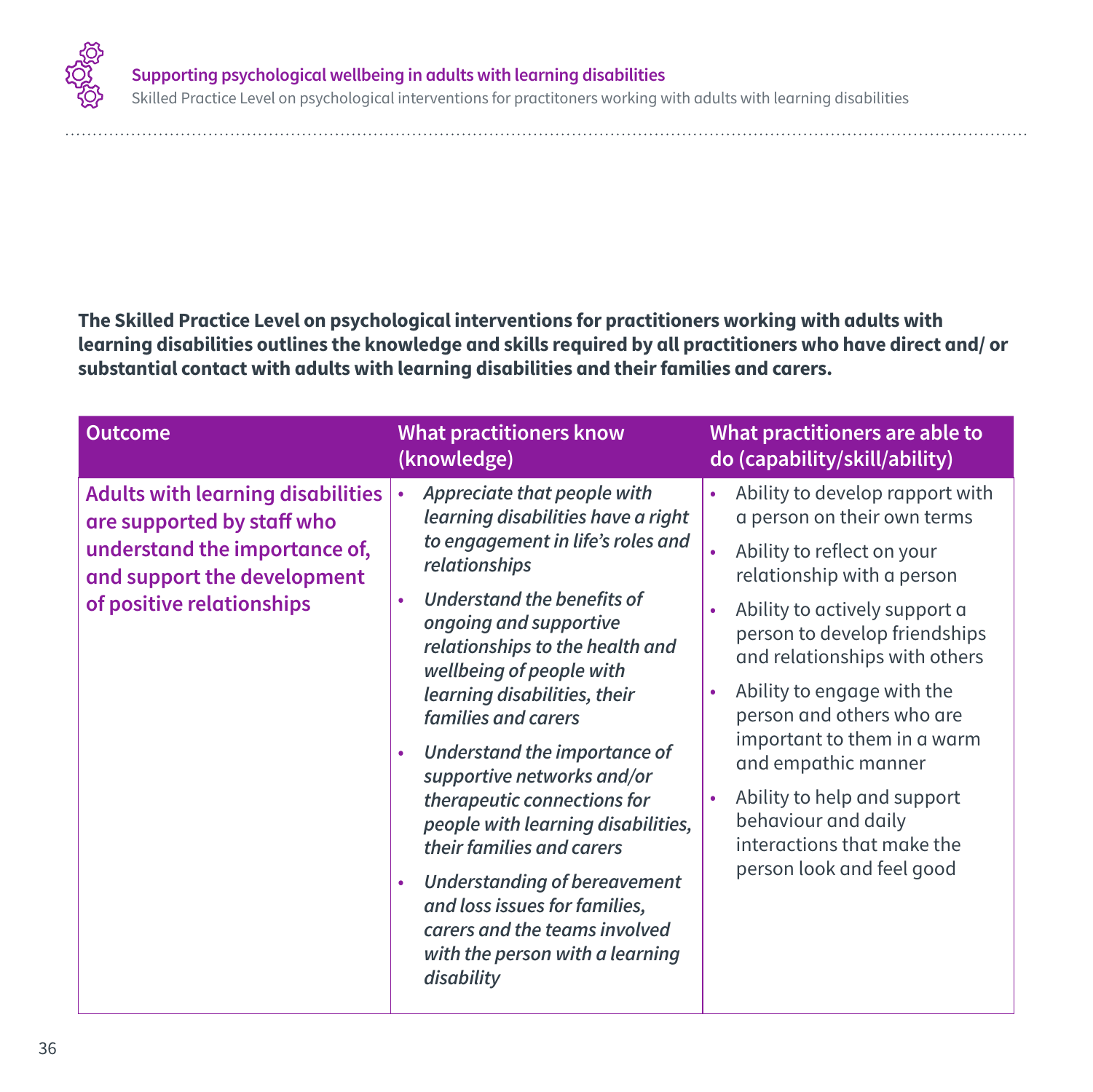

Skilled Practice Level on psychological interventions for practitoners working with adults with learning disabilities

| <b>Outcome</b>                                                                                                                                                      | <b>What practitioners know</b><br>(knowledge)                                                                                                                                                                                                                                                                                                                                                                                                                                                                                                                                                                                                             | What practitioners are able to<br>do (capability/skill/ability)                                                                                                                                                                                                                                                                                                                                                                                                 |
|---------------------------------------------------------------------------------------------------------------------------------------------------------------------|-----------------------------------------------------------------------------------------------------------------------------------------------------------------------------------------------------------------------------------------------------------------------------------------------------------------------------------------------------------------------------------------------------------------------------------------------------------------------------------------------------------------------------------------------------------------------------------------------------------------------------------------------------------|-----------------------------------------------------------------------------------------------------------------------------------------------------------------------------------------------------------------------------------------------------------------------------------------------------------------------------------------------------------------------------------------------------------------------------------------------------------------|
| <b>Adults with learning disabilities</b><br>are supported by staff who<br>understand the importance of,<br>and support the development<br>of positive relationships | Appreciate that people with<br>$\bullet$<br>learning disabilities have a right<br>to engagement in life's roles and<br>relationships<br>Understand the benefits of<br>ongoing and supportive<br>relationships to the health and<br>wellbeing of people with<br>learning disabilities, their<br>families and carers<br>Understand the importance of<br>$\bullet$<br>supportive networks and/or<br>therapeutic connections for<br>people with learning disabilities,<br>their families and carers<br><b>Understanding of bereavement</b><br>and loss issues for families,<br>carers and the teams involved<br>with the person with a learning<br>disability | Ability to develop rapport with<br>a person on their own terms<br>Ability to reflect on your<br>relationship with a person<br>Ability to actively support a<br>person to develop friendships<br>and relationships with others<br>Ability to engage with the<br>person and others who are<br>important to them in a warm<br>and empathic manner<br>Ability to help and support<br>behaviour and daily<br>interactions that make the<br>person look and feel good |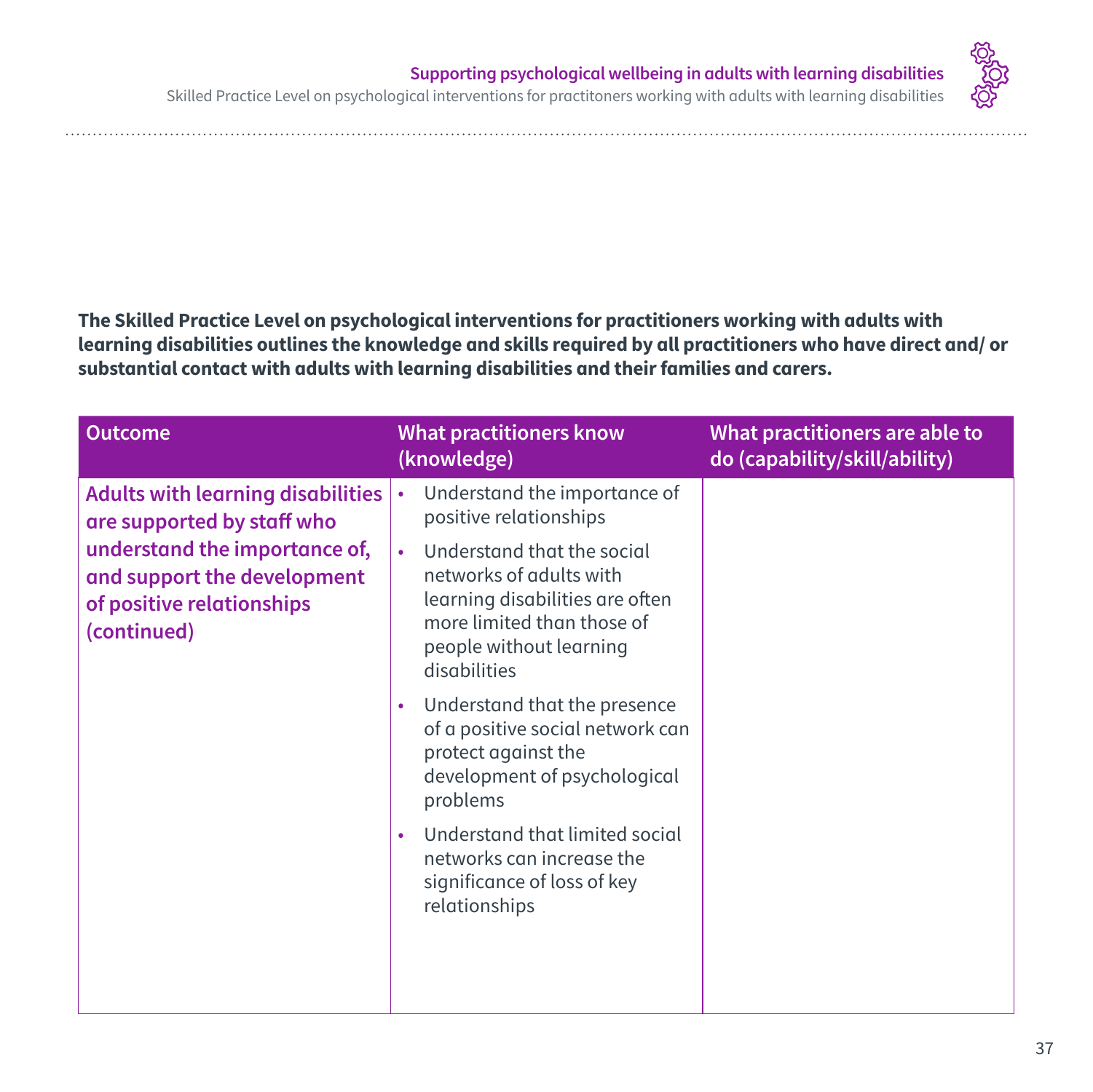

. . . . . . . . . . . . . . . . . . . .

Skilled Practice Level on psychological interventions for practitoners working with adults with learning disabilities

| <b>Outcome</b>                                                                                           | <b>What practitioners know</b><br>(knowledge)                                                                                                                     | What practitioners are able to<br>do (capability/skill/ability) |
|----------------------------------------------------------------------------------------------------------|-------------------------------------------------------------------------------------------------------------------------------------------------------------------|-----------------------------------------------------------------|
| Adults with learning disabilities<br>are supported by staff who                                          | Understand the importance of<br>positive relationships                                                                                                            |                                                                 |
| understand the importance of,<br>and support the development<br>of positive relationships<br>(continued) | Understand that the social<br>networks of adults with<br>learning disabilities are often<br>more limited than those of<br>people without learning<br>disabilities |                                                                 |
|                                                                                                          | Understand that the presence<br>$\bullet$<br>of a positive social network can<br>protect against the<br>development of psychological<br>problems                  |                                                                 |
|                                                                                                          | Understand that limited social<br>$\bullet$<br>networks can increase the<br>significance of loss of key<br>relationships                                          |                                                                 |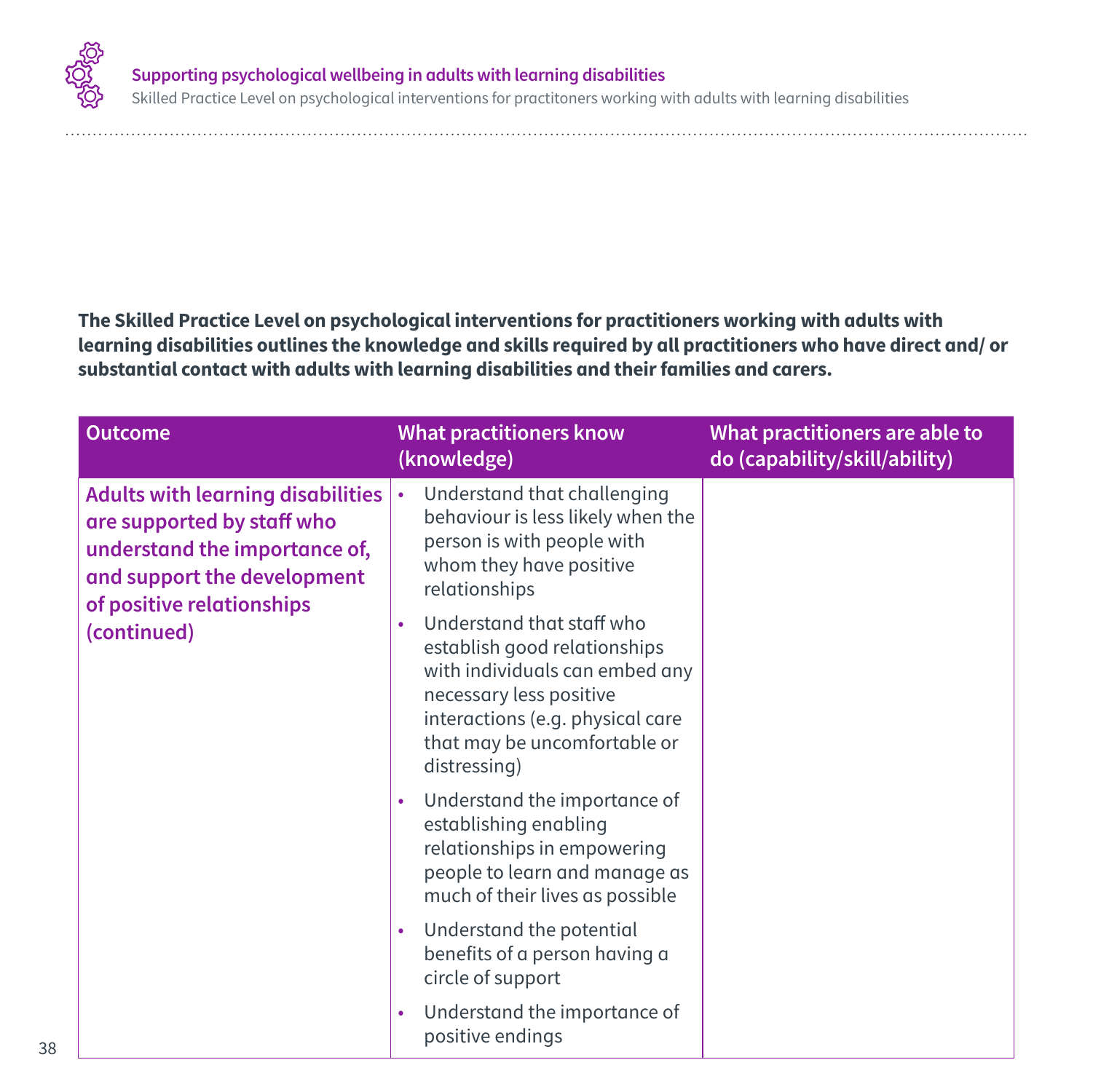

| <b>Outcome</b>                                                                                                                                               | <b>What practitioners know</b><br>(knowledge)                                                                                                                                                              | What practitioners are able to<br>do (capability/skill/ability) |
|--------------------------------------------------------------------------------------------------------------------------------------------------------------|------------------------------------------------------------------------------------------------------------------------------------------------------------------------------------------------------------|-----------------------------------------------------------------|
| Adults with learning disabilities<br>are supported by staff who<br>understand the importance of,<br>and support the development<br>of positive relationships | Understand that challenging<br>behaviour is less likely when the<br>person is with people with<br>whom they have positive<br>relationships                                                                 |                                                                 |
| (continued)                                                                                                                                                  | Understand that staff who<br>establish good relationships<br>with individuals can embed any<br>necessary less positive<br>interactions (e.g. physical care<br>that may be uncomfortable or<br>distressing) |                                                                 |
|                                                                                                                                                              | Understand the importance of<br>establishing enabling<br>relationships in empowering<br>people to learn and manage as<br>much of their lives as possible                                                   |                                                                 |
|                                                                                                                                                              | Understand the potential<br>benefits of a person having a<br>circle of support                                                                                                                             |                                                                 |
|                                                                                                                                                              | Understand the importance of<br>$\bullet$<br>positive endings                                                                                                                                              |                                                                 |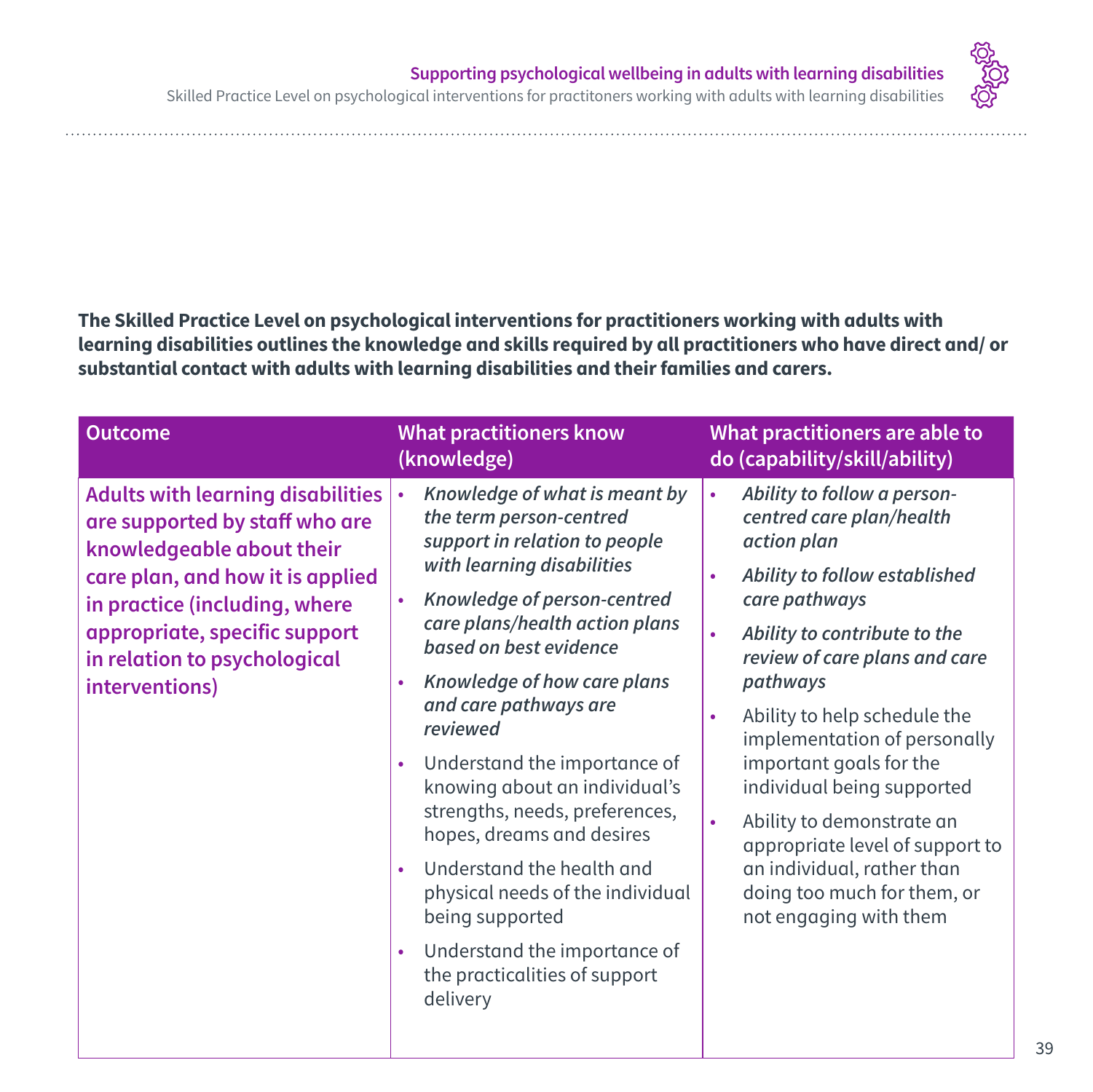

. . . . . . . . . . . . .

Skilled Practice Level on psychological interventions for practitoners working with adults with learning disabilities

| <b>Outcome</b>                                                                                                                                                                                                                                           | <b>What practitioners know</b><br>(knowledge)                                                                                                                                                                                                                                                                                                                                                                                                                                                                                                                                                                     | What practitioners are able to<br>do (capability/skill/ability)                                                                                                                                                                                                                                                                                                                                                                                                                       |
|----------------------------------------------------------------------------------------------------------------------------------------------------------------------------------------------------------------------------------------------------------|-------------------------------------------------------------------------------------------------------------------------------------------------------------------------------------------------------------------------------------------------------------------------------------------------------------------------------------------------------------------------------------------------------------------------------------------------------------------------------------------------------------------------------------------------------------------------------------------------------------------|---------------------------------------------------------------------------------------------------------------------------------------------------------------------------------------------------------------------------------------------------------------------------------------------------------------------------------------------------------------------------------------------------------------------------------------------------------------------------------------|
| Adults with learning disabilities<br>are supported by staff who are<br>knowledgeable about their<br>care plan, and how it is applied<br>in practice (including, where<br>appropriate, specific support<br>in relation to psychological<br>interventions) | Knowledge of what is meant by<br>the term person-centred<br>support in relation to people<br>with learning disabilities<br>Knowledge of person-centred<br>care plans/health action plans<br>based on best evidence<br>Knowledge of how care plans<br>and care pathways are<br>reviewed<br>Understand the importance of<br>$\bullet$<br>knowing about an individual's<br>strengths, needs, preferences,<br>hopes, dreams and desires<br>Understand the health and<br>$\bullet$<br>physical needs of the individual<br>being supported<br>Understand the importance of<br>the practicalities of support<br>delivery | Ability to follow a person-<br>centred care plan/health<br>action plan<br>Ability to follow established<br>care pathways<br>Ability to contribute to the<br>review of care plans and care<br>pathways<br>Ability to help schedule the<br>implementation of personally<br>important goals for the<br>individual being supported<br>Ability to demonstrate an<br>appropriate level of support to<br>an individual, rather than<br>doing too much for them, or<br>not engaging with them |
|                                                                                                                                                                                                                                                          |                                                                                                                                                                                                                                                                                                                                                                                                                                                                                                                                                                                                                   |                                                                                                                                                                                                                                                                                                                                                                                                                                                                                       |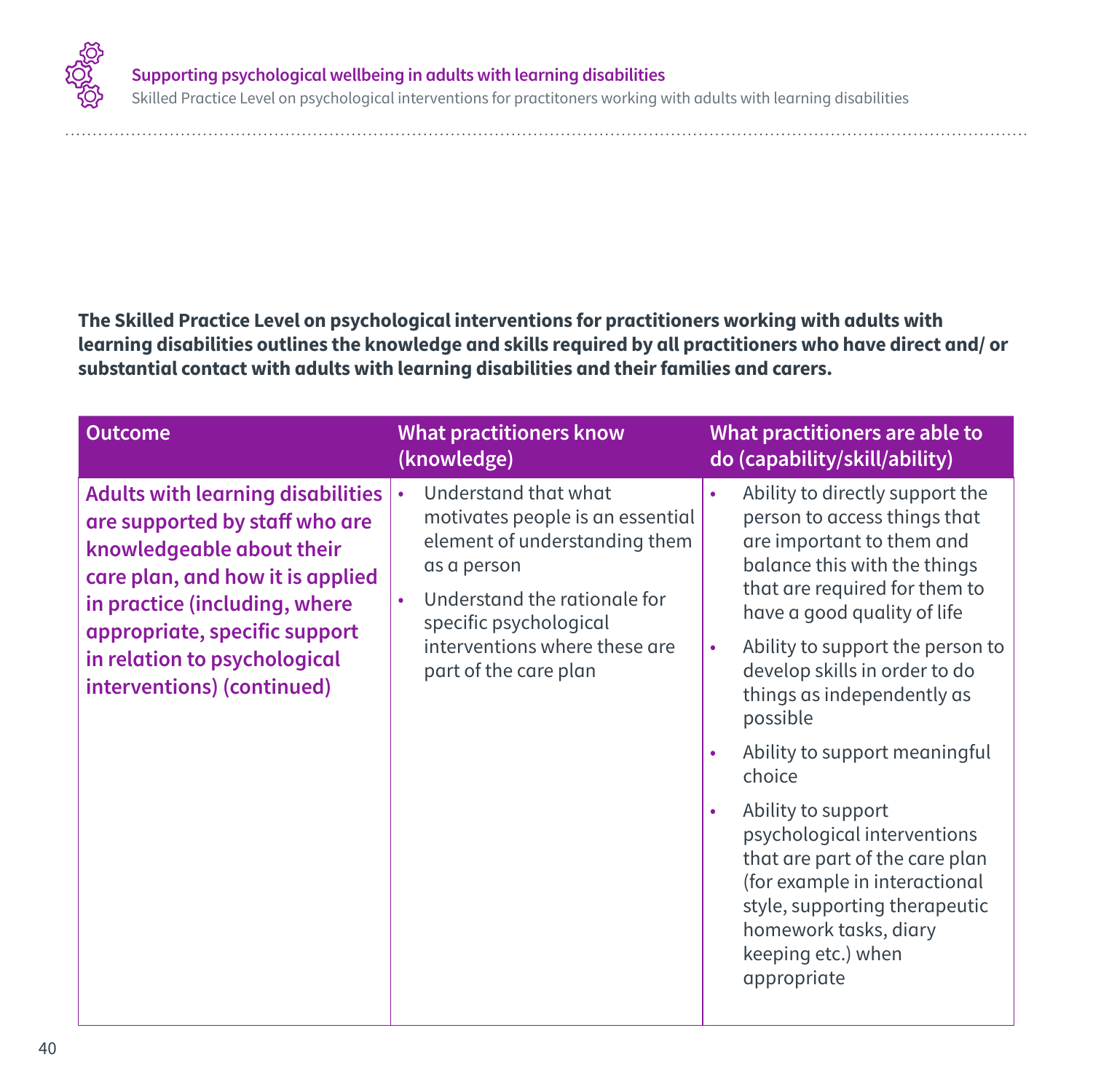

| <b>Outcome</b>                                                                                                                                                                                                                                                       | <b>What practitioners know</b><br>(knowledge)                                                                                                                                                                                             | What practitioners are able to<br>do (capability/skill/ability)                                                                                                                                                                                                                                                                                                                                                                                                                                                                                                                                                                   |
|----------------------------------------------------------------------------------------------------------------------------------------------------------------------------------------------------------------------------------------------------------------------|-------------------------------------------------------------------------------------------------------------------------------------------------------------------------------------------------------------------------------------------|-----------------------------------------------------------------------------------------------------------------------------------------------------------------------------------------------------------------------------------------------------------------------------------------------------------------------------------------------------------------------------------------------------------------------------------------------------------------------------------------------------------------------------------------------------------------------------------------------------------------------------------|
| Adults with learning disabilities<br>are supported by staff who are<br>knowledgeable about their<br>care plan, and how it is applied<br>in practice (including, where<br>appropriate, specific support<br>in relation to psychological<br>interventions) (continued) | Understand that what<br>motivates people is an essential<br>element of understanding them<br>as a person<br>Understand the rationale for<br>$\bullet$<br>specific psychological<br>interventions where these are<br>part of the care plan | Ability to directly support the<br>$\bullet$<br>person to access things that<br>are important to them and<br>balance this with the things<br>that are required for them to<br>have a good quality of life<br>Ability to support the person to<br>$\bullet$<br>develop skills in order to do<br>things as independently as<br>possible<br>Ability to support meaningful<br>$\bullet$<br>choice<br>Ability to support<br>$\bullet$<br>psychological interventions<br>that are part of the care plan<br>(for example in interactional<br>style, supporting therapeutic<br>homework tasks, diary<br>keeping etc.) when<br>appropriate |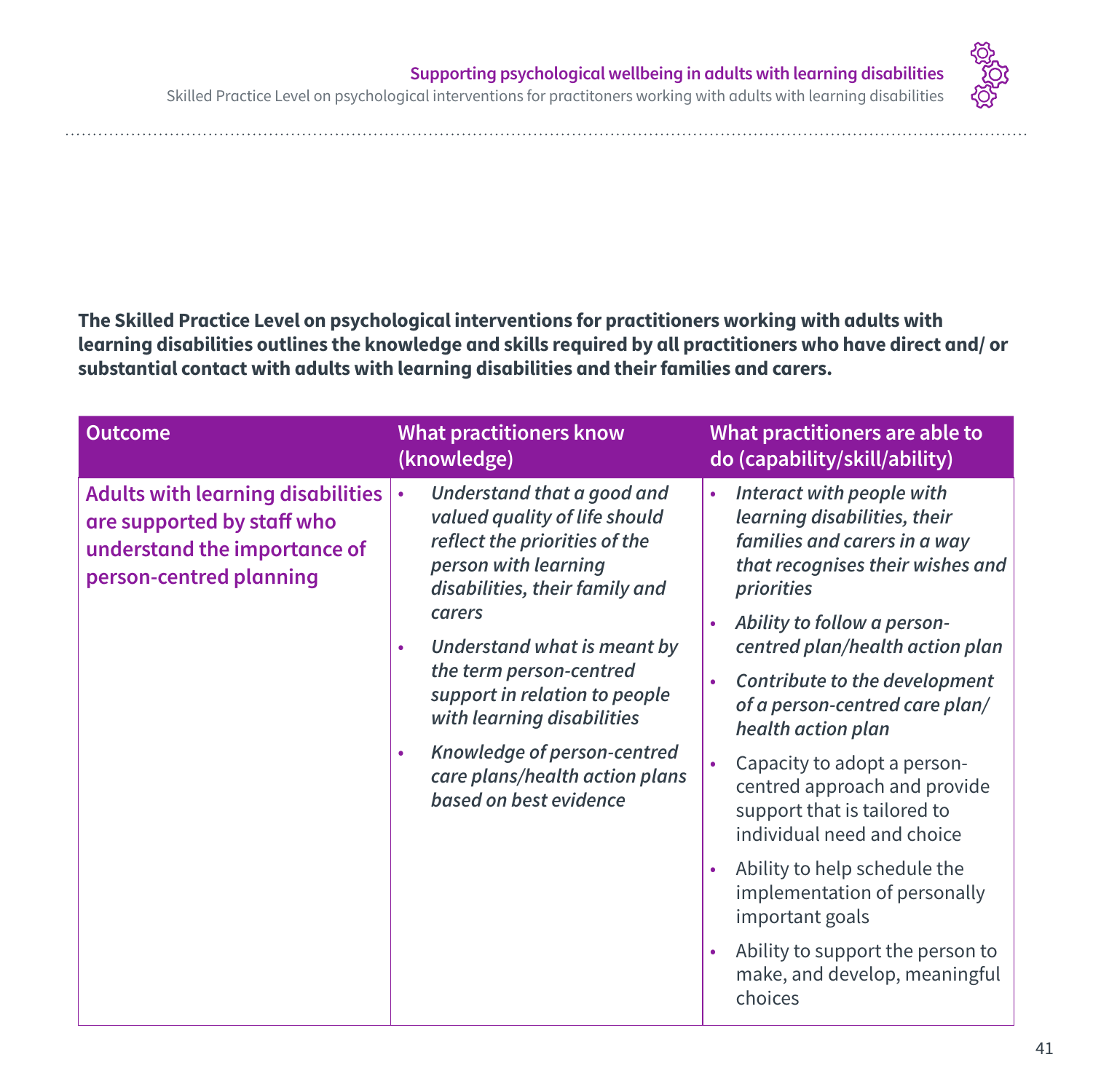

Skilled Practice Level on psychological interventions for practitoners working with adults with learning disabilities

| <b>Outcome</b>                                                                                                             | <b>What practitioners know</b><br>(knowledge)                                                                                                                                                                                                                                                                                                                                                                  | What practitioners are able to<br>do (capability/skill/ability)                                                                                                                                                                                                                                                                                                                                                                                                                        |
|----------------------------------------------------------------------------------------------------------------------------|----------------------------------------------------------------------------------------------------------------------------------------------------------------------------------------------------------------------------------------------------------------------------------------------------------------------------------------------------------------------------------------------------------------|----------------------------------------------------------------------------------------------------------------------------------------------------------------------------------------------------------------------------------------------------------------------------------------------------------------------------------------------------------------------------------------------------------------------------------------------------------------------------------------|
| Adults with learning disabilities<br>are supported by staff who<br>understand the importance of<br>person-centred planning | Understand that a good and<br>valued quality of life should<br>reflect the priorities of the<br>person with learning<br>disabilities, their family and<br>carers<br>Understand what is meant by<br>$\bullet$<br>the term person-centred<br>support in relation to people<br>with learning disabilities<br>Knowledge of person-centred<br>$\bullet$<br>care plans/health action plans<br>based on best evidence | Interact with people with<br>$\bullet$<br>learning disabilities, their<br>families and carers in a way<br>that recognises their wishes and<br>priorities<br>Ability to follow a person-<br>$\bullet$<br>centred plan/health action plan<br>Contribute to the development<br>$\bullet$<br>of a person-centred care plan/<br>health action plan<br>Capacity to adopt a person-<br>$\bullet$<br>centred approach and provide<br>support that is tailored to<br>individual need and choice |
|                                                                                                                            |                                                                                                                                                                                                                                                                                                                                                                                                                | Ability to help schedule the<br>$\bullet$<br>implementation of personally<br>important goals                                                                                                                                                                                                                                                                                                                                                                                           |
|                                                                                                                            |                                                                                                                                                                                                                                                                                                                                                                                                                | Ability to support the person to<br>$\bullet$<br>make, and develop, meaningful<br>choices                                                                                                                                                                                                                                                                                                                                                                                              |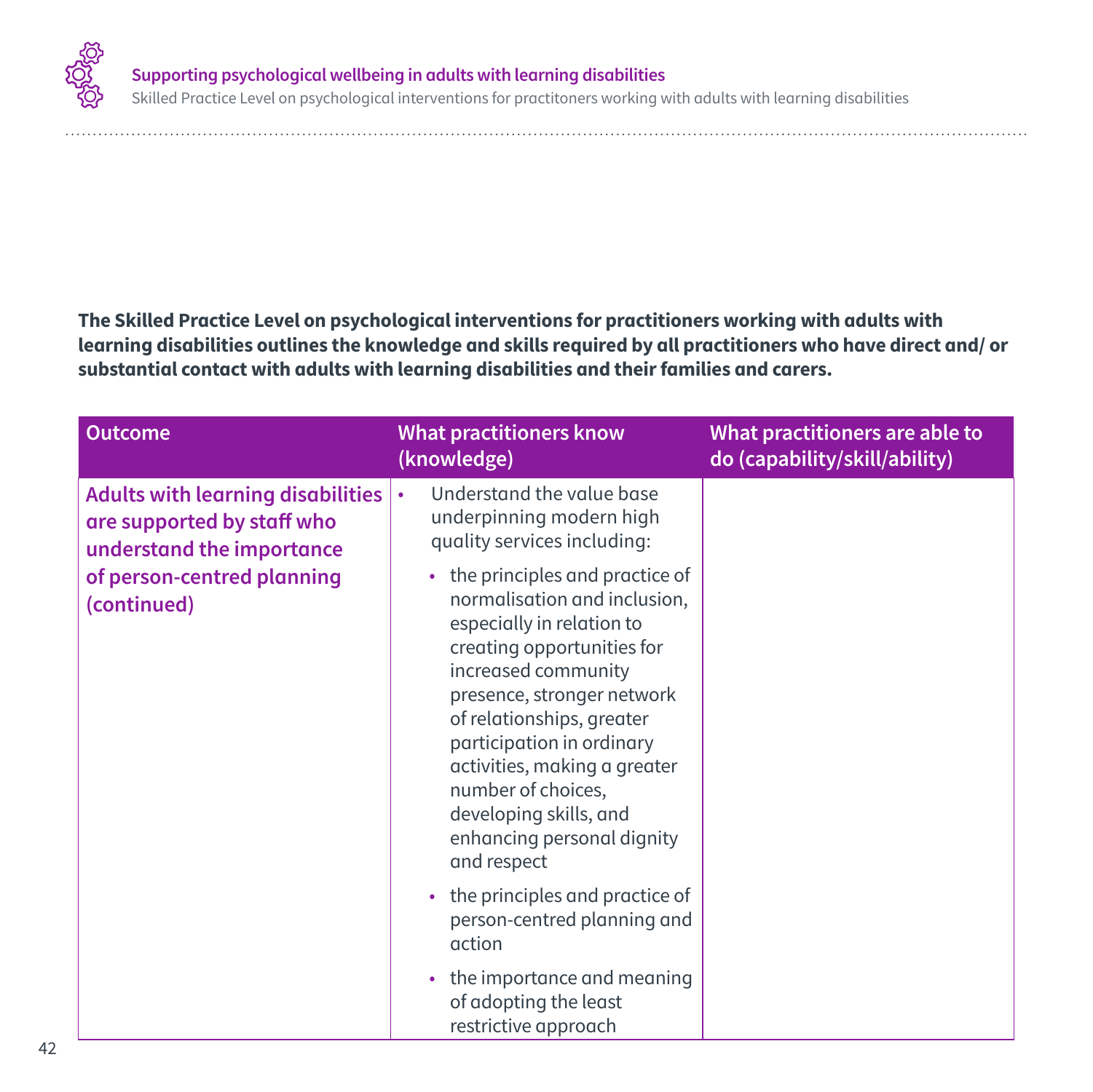

| <b>Outcome</b>                                                                                                                                   | <b>What practitioners know</b><br>(knowledge)                                                                                                                                                                                            | What practitioners are able to<br>do (capability/skill/ability) |
|--------------------------------------------------------------------------------------------------------------------------------------------------|------------------------------------------------------------------------------------------------------------------------------------------------------------------------------------------------------------------------------------------|-----------------------------------------------------------------|
| <b>Adults with learning disabilities</b><br>are supported by staff who<br>understand the importance<br>of person-centred planning<br>(continued) | Understand the value base<br>underpinning modern high<br>quality services including:<br>• the principles and practice of<br>normalisation and inclusion,<br>especially in relation to<br>creating opportunities for                      |                                                                 |
|                                                                                                                                                  | increased community<br>presence, stronger network<br>of relationships, greater<br>participation in ordinary<br>activities, making a greater<br>number of choices,<br>developing skills, and<br>enhancing personal dignity<br>and respect |                                                                 |
|                                                                                                                                                  | the principles and practice of<br>person-centred planning and<br>action                                                                                                                                                                  |                                                                 |
|                                                                                                                                                  | the importance and meaning<br>of adopting the least<br>restrictive approach                                                                                                                                                              |                                                                 |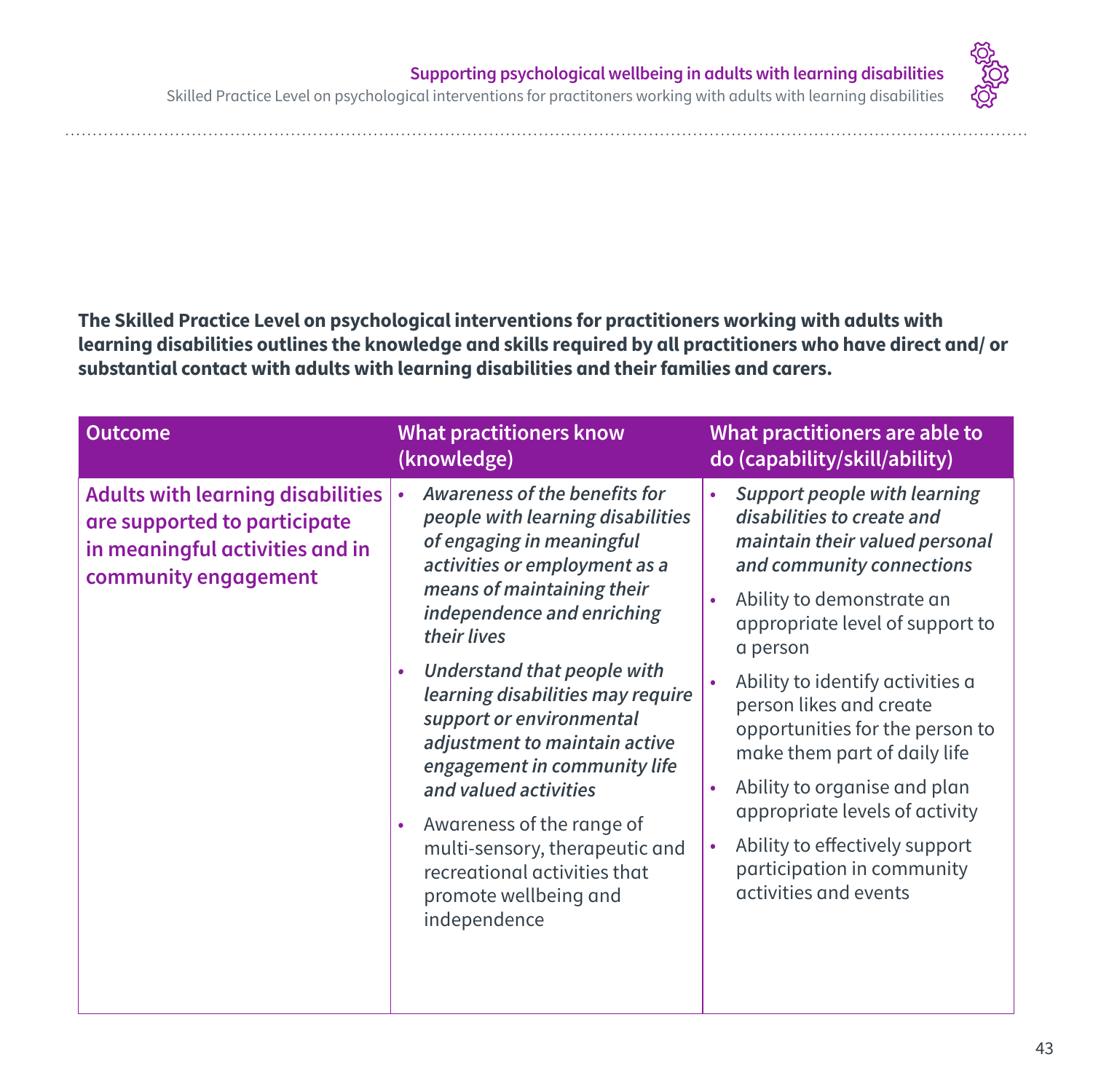

. . . . . . . . . . . .

Skilled Practice Level on psychological interventions for practitoners working with adults with learning disabilities

| <b>Outcome</b>                                                                                                                      | <b>What practitioners know</b><br>(knowledge)                                                                                                                                                                                                                                                                                                                                                                                                                                                                                                                           | What practitioners are able to<br>do (capability/skill/ability)                                                                                                                                                                                                                                                                                                                                                                                                                                    |
|-------------------------------------------------------------------------------------------------------------------------------------|-------------------------------------------------------------------------------------------------------------------------------------------------------------------------------------------------------------------------------------------------------------------------------------------------------------------------------------------------------------------------------------------------------------------------------------------------------------------------------------------------------------------------------------------------------------------------|----------------------------------------------------------------------------------------------------------------------------------------------------------------------------------------------------------------------------------------------------------------------------------------------------------------------------------------------------------------------------------------------------------------------------------------------------------------------------------------------------|
| <b>Adults with learning disabilities</b><br>are supported to participate<br>in meaningful activities and in<br>community engagement | Awareness of the benefits for<br>people with learning disabilities<br>of engaging in meaningful<br>activities or employment as a<br>means of maintaining their<br>independence and enriching<br>their lives<br>Understand that people with<br>$\bullet$<br>learning disabilities may require<br>support or environmental<br>adjustment to maintain active<br>engagement in community life<br>and valued activities<br>Awareness of the range of<br>$\bullet$<br>multi-sensory, therapeutic and<br>recreational activities that<br>promote wellbeing and<br>independence | Support people with learning<br>disabilities to create and<br>maintain their valued personal<br>and community connections<br>Ability to demonstrate an<br>appropriate level of support to<br>a person<br>Ability to identify activities a<br>person likes and create<br>opportunities for the person to<br>make them part of daily life<br>Ability to organise and plan<br>appropriate levels of activity<br>Ability to effectively support<br>participation in community<br>activities and events |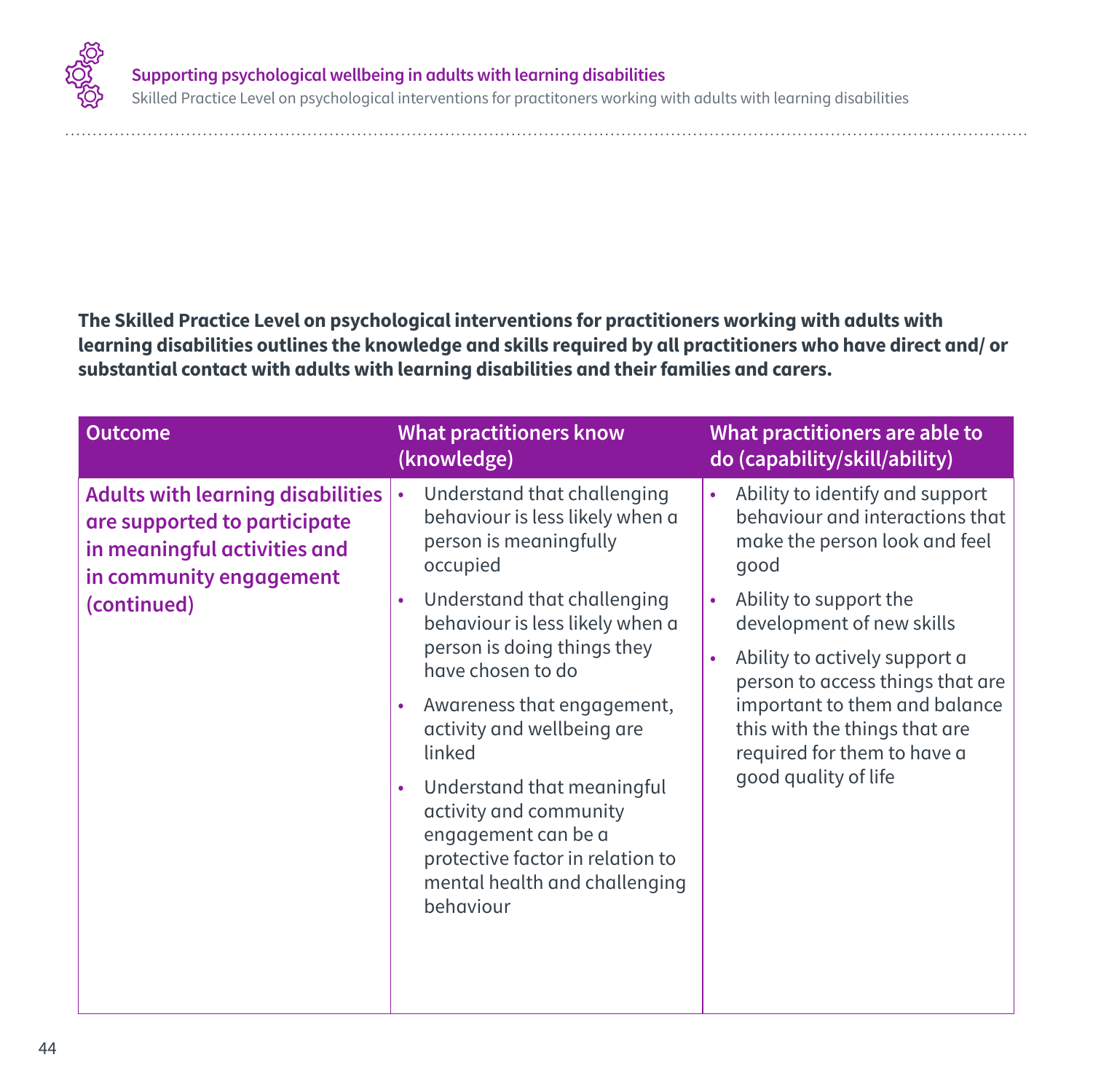

| <b>Outcome</b>                                                                                           | <b>What practitioners know</b><br>(knowledge)                                                                                                                                                                                                                                                                                                                                                    | What practitioners are able to<br>do (capability/skill/ability)                                                                                                                                                                                                             |
|----------------------------------------------------------------------------------------------------------|--------------------------------------------------------------------------------------------------------------------------------------------------------------------------------------------------------------------------------------------------------------------------------------------------------------------------------------------------------------------------------------------------|-----------------------------------------------------------------------------------------------------------------------------------------------------------------------------------------------------------------------------------------------------------------------------|
| <b>Adults with learning disabilities</b><br>are supported to participate<br>in meaningful activities and | Understand that challenging<br>$\bullet$<br>behaviour is less likely when a<br>person is meaningfully<br>occupied                                                                                                                                                                                                                                                                                | Ability to identify and support<br>$\bullet$<br>behaviour and interactions that<br>make the person look and feel<br>good                                                                                                                                                    |
| in community engagement<br>(continued)                                                                   | Understand that challenging<br>$\bullet$<br>behaviour is less likely when a<br>person is doing things they<br>have chosen to do<br>Awareness that engagement,<br>$\bullet$<br>activity and wellbeing are<br>linked<br>Understand that meaningful<br>$\bullet$<br>activity and community<br>engagement can be a<br>protective factor in relation to<br>mental health and challenging<br>behaviour | Ability to support the<br>$\bullet$<br>development of new skills<br>Ability to actively support a<br>$\bullet$<br>person to access things that are<br>important to them and balance<br>this with the things that are<br>required for them to have a<br>good quality of life |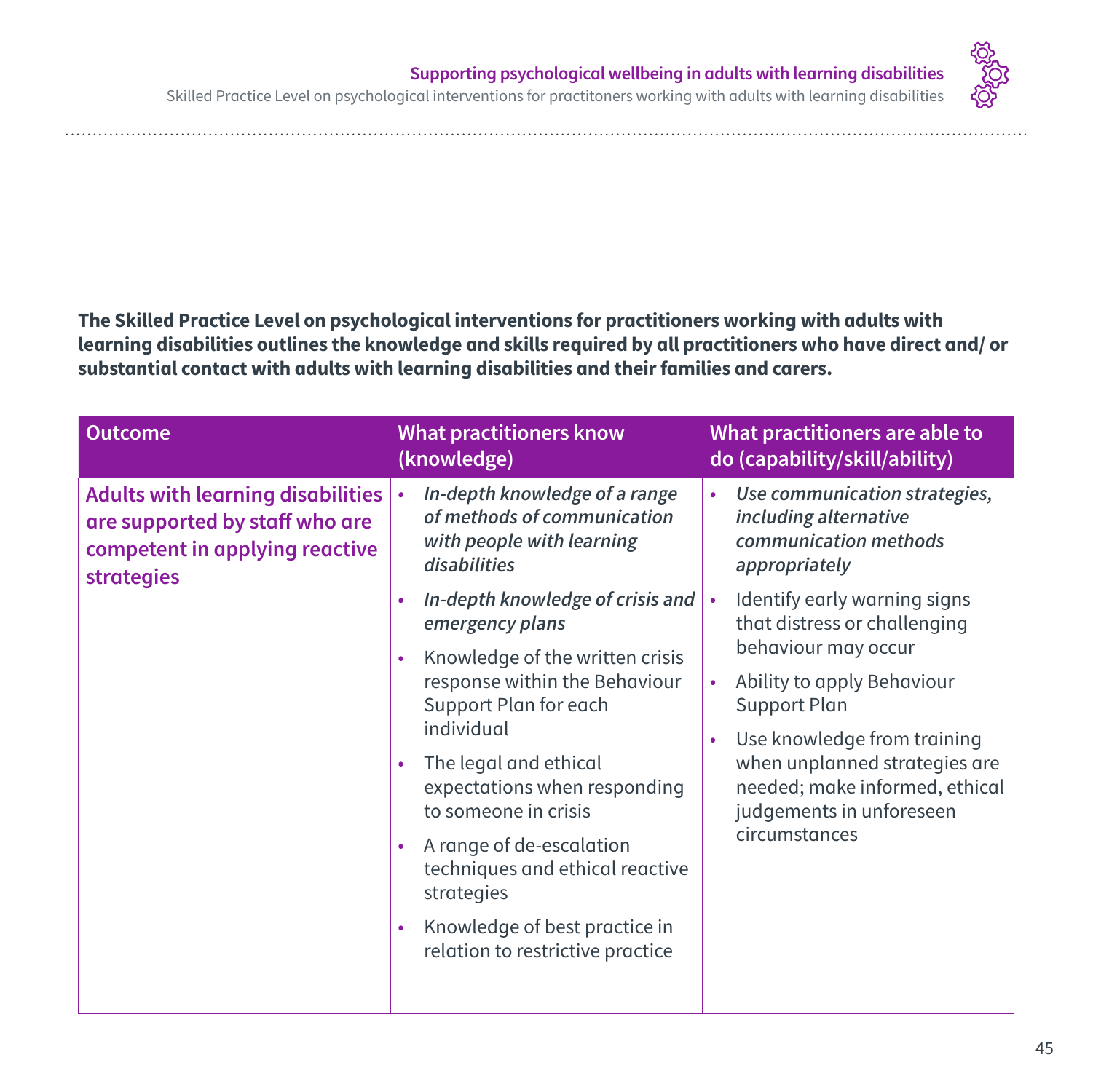

. . . . . . . . . . . . . . . . . . . .

Skilled Practice Level on psychological interventions for practitoners working with adults with learning disabilities

| <b>Outcome</b>                                                                                                             | <b>What practitioners know</b><br>(knowledge)                                                             | What practitioners are able to<br>do (capability/skill/ability)                                                                                          |
|----------------------------------------------------------------------------------------------------------------------------|-----------------------------------------------------------------------------------------------------------|----------------------------------------------------------------------------------------------------------------------------------------------------------|
| Adults with learning disabilities<br>are supported by staff who are<br>competent in applying reactive<br><b>strategies</b> | In-depth knowledge of a range<br>of methods of communication<br>with people with learning<br>disabilities | Use communication strategies,<br>$\bullet$<br>including alternative<br>communication methods<br>appropriately                                            |
|                                                                                                                            | In-depth knowledge of crisis and<br>emergency plans                                                       | Identify early warning signs<br>l.<br>that distress or challenging                                                                                       |
|                                                                                                                            | Knowledge of the written crisis<br>$\bullet$<br>response within the Behaviour<br>Support Plan for each    | behaviour may occur<br>Ability to apply Behaviour<br>$\bullet$<br>Support Plan                                                                           |
|                                                                                                                            | individual<br>The legal and ethical<br>$\bullet$<br>expectations when responding<br>to someone in crisis  | Use knowledge from training<br>$\bullet$<br>when unplanned strategies are<br>needed; make informed, ethical<br>judgements in unforeseen<br>circumstances |
|                                                                                                                            | A range of de-escalation<br>$\bullet$<br>techniques and ethical reactive<br>strategies                    |                                                                                                                                                          |
|                                                                                                                            | Knowledge of best practice in<br>$\bullet$<br>relation to restrictive practice                            |                                                                                                                                                          |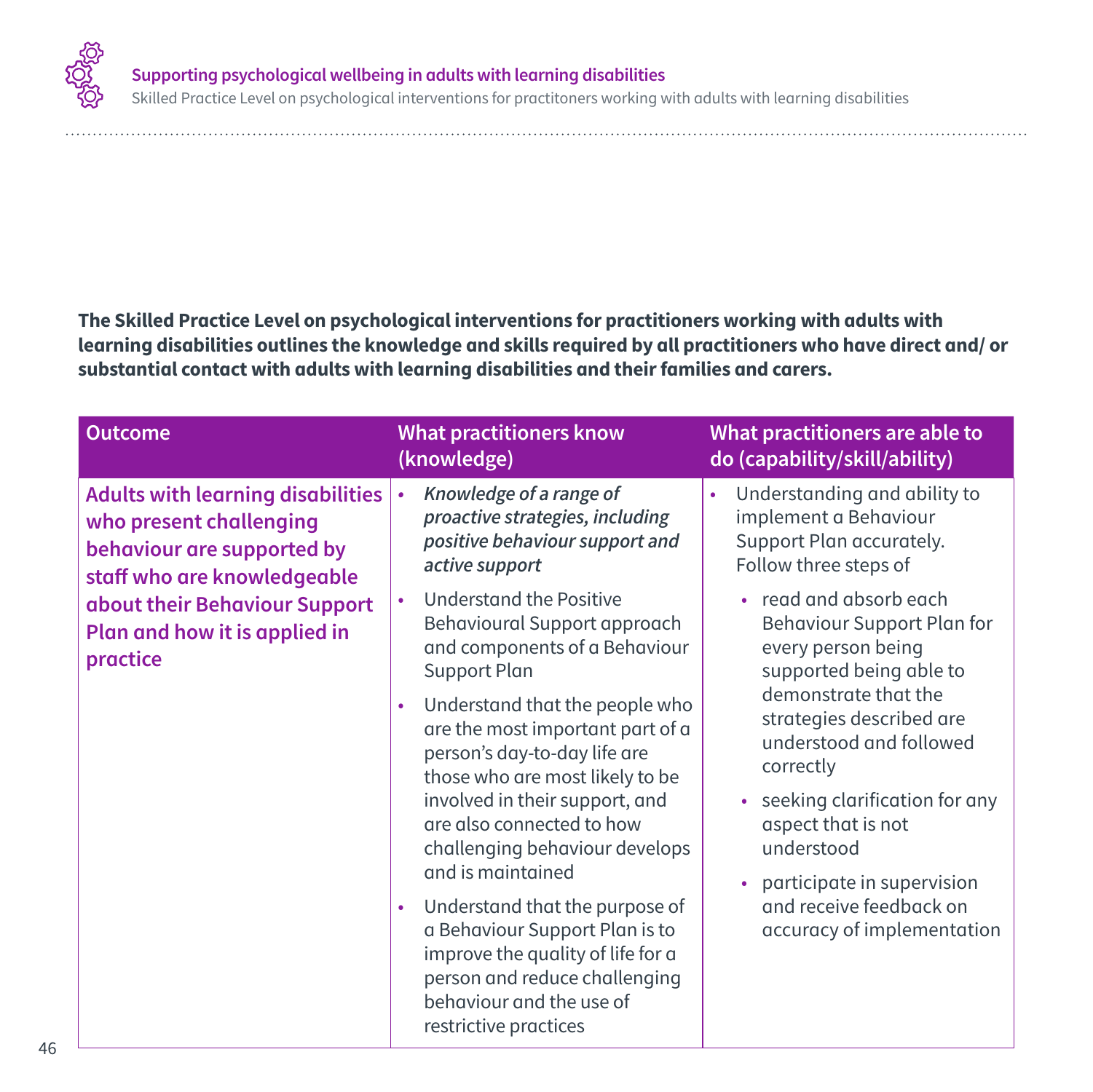

| <b>Outcome</b>                                                                                                                                                                                                 | <b>What practitioners know</b><br>(knowledge)                                                                                                                                                            | What practitioners are able to<br>do (capability/skill/ability)                                                                                                                                                                                                                                                                                                          |
|----------------------------------------------------------------------------------------------------------------------------------------------------------------------------------------------------------------|----------------------------------------------------------------------------------------------------------------------------------------------------------------------------------------------------------|--------------------------------------------------------------------------------------------------------------------------------------------------------------------------------------------------------------------------------------------------------------------------------------------------------------------------------------------------------------------------|
| <b>Adults with learning disabilities</b><br>who present challenging<br>behaviour are supported by<br>staff who are knowledgeable<br>about their Behaviour Support<br>Plan and how it is applied in<br>practice | Knowledge of a range of<br>$\bullet$<br>proactive strategies, including<br>positive behaviour support and<br>active support                                                                              | Understanding and ability to<br>$\bullet$<br>implement a Behaviour<br>Support Plan accurately.<br>Follow three steps of                                                                                                                                                                                                                                                  |
|                                                                                                                                                                                                                | Understand the Positive<br>$\bullet$<br>Behavioural Support approach<br>and components of a Behaviour<br><b>Support Plan</b>                                                                             | read and absorb each<br>Behaviour Support Plan for<br>every person being<br>supported being able to<br>demonstrate that the<br>strategies described are<br>understood and followed<br>correctly<br>seeking clarification for any<br>$\bullet$<br>aspect that is not<br>understood<br>participate in supervision<br>and receive feedback on<br>accuracy of implementation |
|                                                                                                                                                                                                                | Understand that the people who<br>$\bullet$<br>are the most important part of a<br>person's day-to-day life are<br>those who are most likely to be<br>involved in their support, and                     |                                                                                                                                                                                                                                                                                                                                                                          |
|                                                                                                                                                                                                                | are also connected to how<br>challenging behaviour develops<br>and is maintained                                                                                                                         |                                                                                                                                                                                                                                                                                                                                                                          |
|                                                                                                                                                                                                                | Understand that the purpose of<br>$\bullet$<br>a Behaviour Support Plan is to<br>improve the quality of life for a<br>person and reduce challenging<br>behaviour and the use of<br>restrictive practices |                                                                                                                                                                                                                                                                                                                                                                          |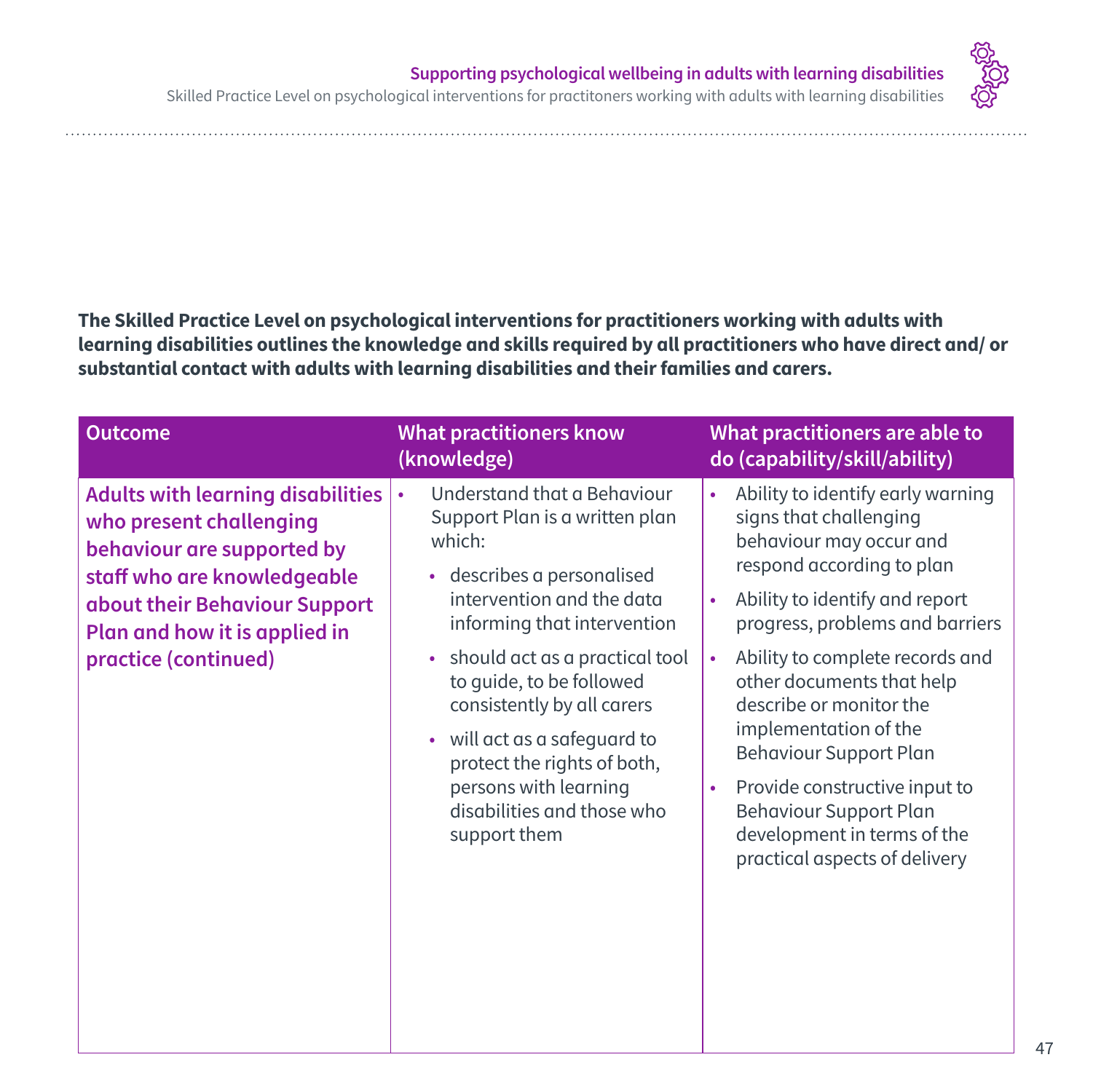

de de de decem

Skilled Practice Level on psychological interventions for practitoners working with adults with learning disabilities

| <b>Outcome</b>                                                                                                                                                                                                             | <b>What practitioners know</b><br>(knowledge)                                                                                                                                                                                                                                                                                                                                                                                                       | What practitioners are able to<br>do (capability/skill/ability)                                                                                                                                                                                                                                                                                                                                                                                                                                                                     |
|----------------------------------------------------------------------------------------------------------------------------------------------------------------------------------------------------------------------------|-----------------------------------------------------------------------------------------------------------------------------------------------------------------------------------------------------------------------------------------------------------------------------------------------------------------------------------------------------------------------------------------------------------------------------------------------------|-------------------------------------------------------------------------------------------------------------------------------------------------------------------------------------------------------------------------------------------------------------------------------------------------------------------------------------------------------------------------------------------------------------------------------------------------------------------------------------------------------------------------------------|
| <b>Adults with learning disabilities</b><br>who present challenging<br>behaviour are supported by<br>staff who are knowledgeable<br>about their Behaviour Support<br>Plan and how it is applied in<br>practice (continued) | Understand that a Behaviour<br>$\bullet$<br>Support Plan is a written plan<br>which:<br>describes a personalised<br>$\bullet$<br>intervention and the data<br>informing that intervention<br>should act as a practical tool<br>$\bullet$<br>to quide, to be followed<br>consistently by all carers<br>will act as a safeguard to<br>$\bullet$<br>protect the rights of both,<br>persons with learning<br>disabilities and those who<br>support them | Ability to identify early warning<br>$\bullet$<br>signs that challenging<br>behaviour may occur and<br>respond according to plan<br>Ability to identify and report<br>$\bullet$<br>progress, problems and barriers<br>Ability to complete records and<br>$\bullet$<br>other documents that help<br>describe or monitor the<br>implementation of the<br><b>Behaviour Support Plan</b><br>Provide constructive input to<br>$\bullet$<br><b>Behaviour Support Plan</b><br>development in terms of the<br>practical aspects of delivery |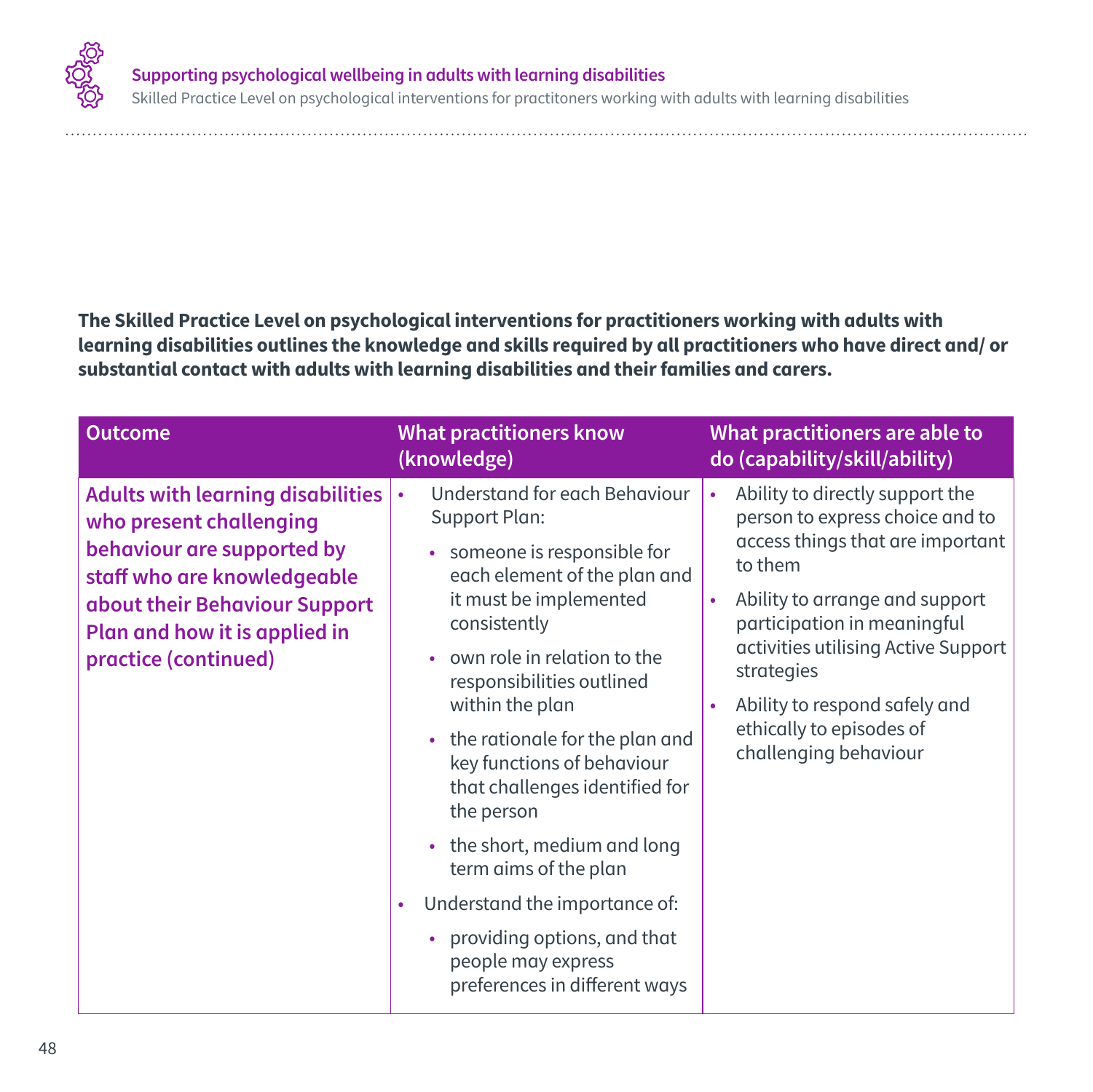

| <b>Outcome</b>                                                                                                                                                                                                             | <b>What practitioners know</b><br>(knowledge)                                                                                                                                                                                                                                                                                                                                                                                                                                                                                                                           | What practitioners are able to<br>do (capability/skill/ability)                                                                                                                                                                                                                                                                                                      |
|----------------------------------------------------------------------------------------------------------------------------------------------------------------------------------------------------------------------------|-------------------------------------------------------------------------------------------------------------------------------------------------------------------------------------------------------------------------------------------------------------------------------------------------------------------------------------------------------------------------------------------------------------------------------------------------------------------------------------------------------------------------------------------------------------------------|----------------------------------------------------------------------------------------------------------------------------------------------------------------------------------------------------------------------------------------------------------------------------------------------------------------------------------------------------------------------|
| <b>Adults with learning disabilities</b><br>who present challenging<br>behaviour are supported by<br>staff who are knowledgeable<br>about their Behaviour Support<br>Plan and how it is applied in<br>practice (continued) | Understand for each Behaviour<br>$\bullet$<br>Support Plan:<br>• someone is responsible for<br>each element of the plan and<br>it must be implemented<br>consistently<br>• own role in relation to the<br>responsibilities outlined<br>within the plan<br>• the rationale for the plan and<br>key functions of behaviour<br>that challenges identified for<br>the person<br>• the short, medium and long<br>term aims of the plan<br>Understand the importance of:<br>$\bullet$<br>• providing options, and that<br>people may express<br>preferences in different ways | Ability to directly support the<br>$\bullet$<br>person to express choice and to<br>access things that are important<br>to them<br>Ability to arrange and support<br>$\bullet$<br>participation in meaningful<br>activities utilising Active Support<br>strategies<br>Ability to respond safely and<br>$\bullet$<br>ethically to episodes of<br>challenging behaviour |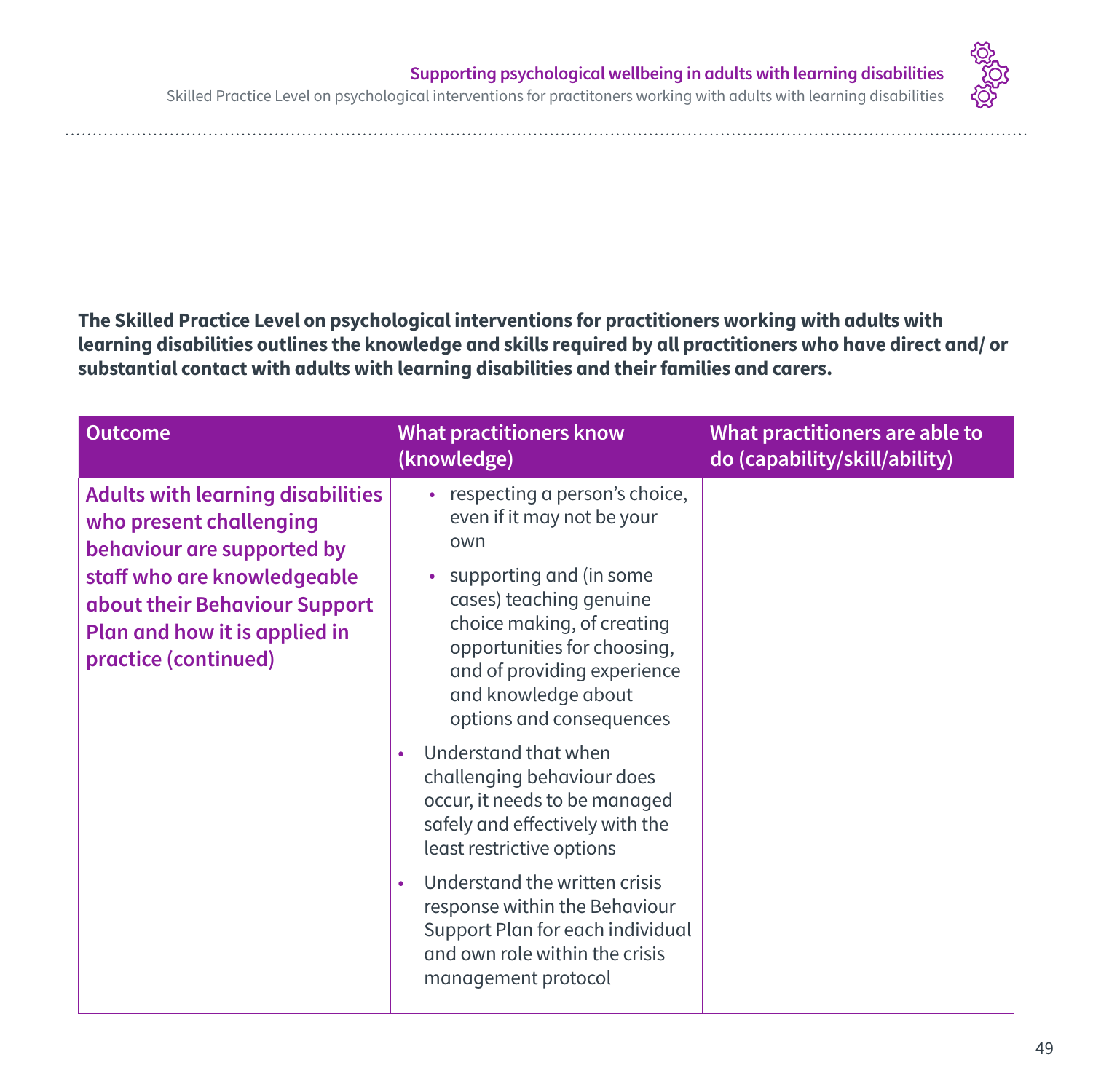

. . . . . . . . . . . . . . . . . . . .

Skilled Practice Level on psychological interventions for practitoners working with adults with learning disabilities

| <b>Outcome</b>                                                                                                                                                                                                             | <b>What practitioners know</b><br>(knowledge)                                                                                                                                                                                                                                                                                                                                                                                                                                                                                                                                                                             | What practitioners are able to<br>do (capability/skill/ability) |
|----------------------------------------------------------------------------------------------------------------------------------------------------------------------------------------------------------------------------|---------------------------------------------------------------------------------------------------------------------------------------------------------------------------------------------------------------------------------------------------------------------------------------------------------------------------------------------------------------------------------------------------------------------------------------------------------------------------------------------------------------------------------------------------------------------------------------------------------------------------|-----------------------------------------------------------------|
| <b>Adults with learning disabilities</b><br>who present challenging<br>behaviour are supported by<br>staff who are knowledgeable<br>about their Behaviour Support<br>Plan and how it is applied in<br>practice (continued) | • respecting a person's choice,<br>even if it may not be your<br>own<br>supporting and (in some<br>cases) teaching genuine<br>choice making, of creating<br>opportunities for choosing,<br>and of providing experience<br>and knowledge about<br>options and consequences<br>Understand that when<br>$\bullet$<br>challenging behaviour does<br>occur, it needs to be managed<br>safely and effectively with the<br>least restrictive options<br>Understand the written crisis<br>$\bullet$<br>response within the Behaviour<br>Support Plan for each individual<br>and own role within the crisis<br>management protocol |                                                                 |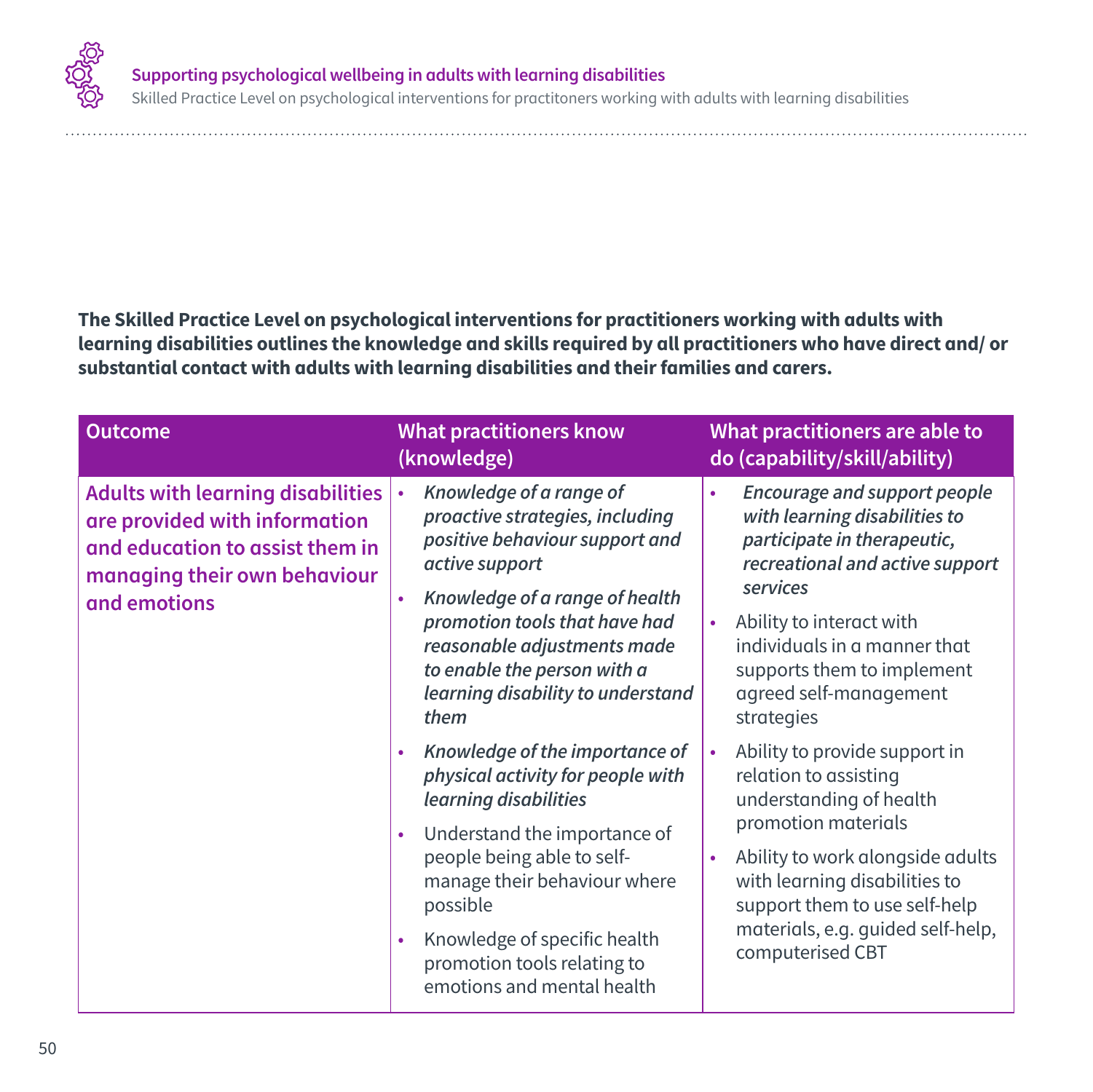

| <b>Outcome</b>                                                                                                                                        | <b>What practitioners know</b><br>(knowledge)                                                                                                                                                                                                                                                             | What practitioners are able to<br>do (capability/skill/ability)                                                                                                                                                                                                                      |
|-------------------------------------------------------------------------------------------------------------------------------------------------------|-----------------------------------------------------------------------------------------------------------------------------------------------------------------------------------------------------------------------------------------------------------------------------------------------------------|--------------------------------------------------------------------------------------------------------------------------------------------------------------------------------------------------------------------------------------------------------------------------------------|
| Adults with learning disabilities<br>are provided with information<br>and education to assist them in<br>managing their own behaviour<br>and emotions | Knowledge of a range of<br>$\bullet$<br>proactive strategies, including<br>positive behaviour support and<br>active support<br>Knowledge of a range of health<br>promotion tools that have had<br>reasonable adjustments made<br>to enable the person with a<br>learning disability to understand<br>them | <b>Encourage and support people</b><br>with learning disabilities to<br>participate in therapeutic,<br>recreational and active support<br>services<br>Ability to interact with<br>individuals in a manner that<br>supports them to implement<br>agreed self-management<br>strategies |
|                                                                                                                                                       | Knowledge of the importance of<br>$\bullet$<br>physical activity for people with<br>learning disabilities<br>Understand the importance of                                                                                                                                                                 | Ability to provide support in<br>relation to assisting<br>understanding of health<br>promotion materials                                                                                                                                                                             |
|                                                                                                                                                       | people being able to self-<br>manage their behaviour where<br>possible<br>Knowledge of specific health<br>$\bullet$<br>promotion tools relating to<br>emotions and mental health                                                                                                                          | Ability to work alongside adults<br>with learning disabilities to<br>support them to use self-help<br>materials, e.g. guided self-help,<br>computerised CBT                                                                                                                          |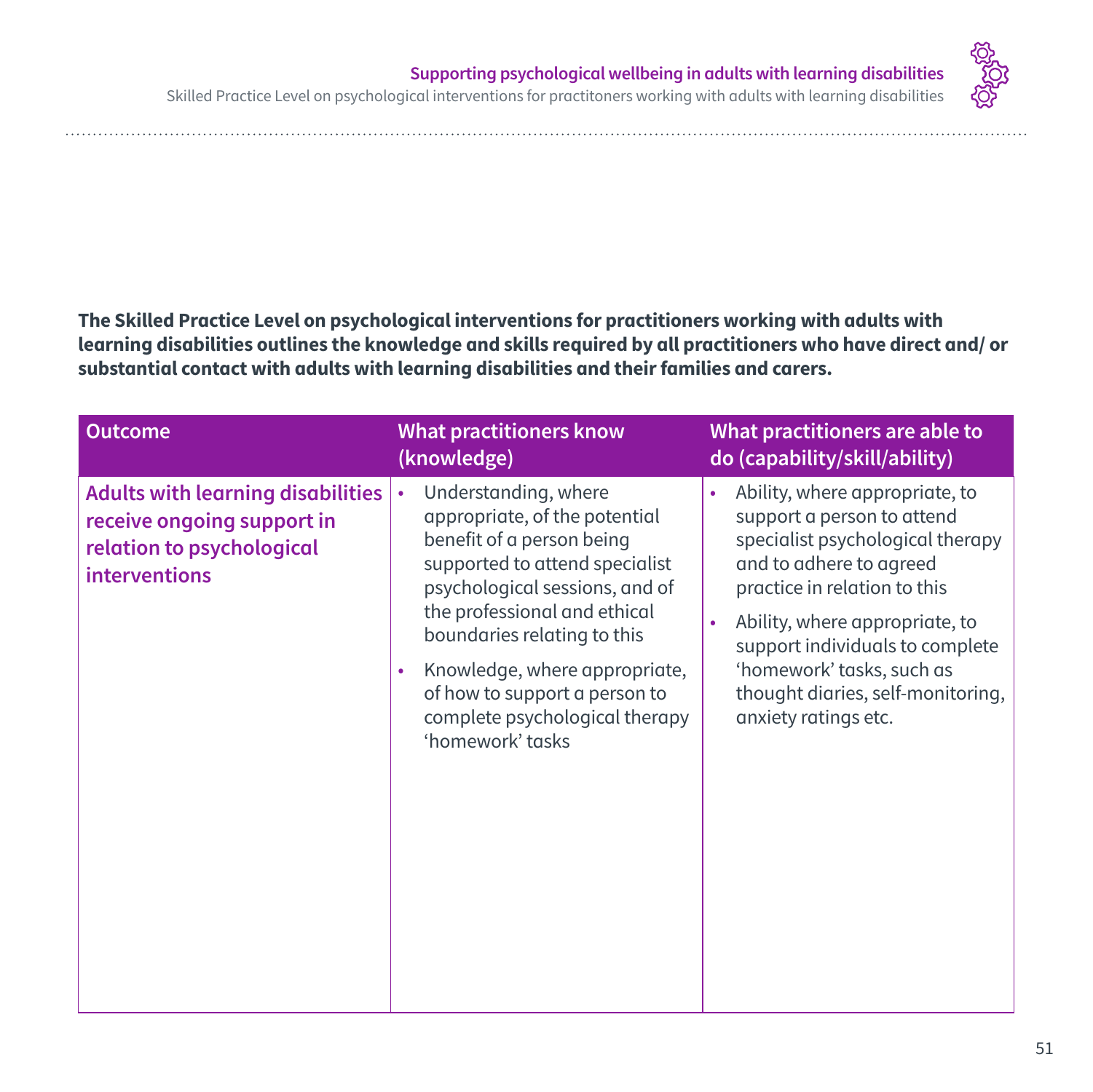

. . . . . . . . . . . . . . . . . . . .

Skilled Practice Level on psychological interventions for practitoners working with adults with learning disabilities

| <b>Outcome</b>                                                                                                       | <b>What practitioners know</b><br>(knowledge)                                                                                                                                                                                                                                                                                                 | What practitioners are able to<br>do (capability/skill/ability)                                                                                                                                                                                                                                                                         |
|----------------------------------------------------------------------------------------------------------------------|-----------------------------------------------------------------------------------------------------------------------------------------------------------------------------------------------------------------------------------------------------------------------------------------------------------------------------------------------|-----------------------------------------------------------------------------------------------------------------------------------------------------------------------------------------------------------------------------------------------------------------------------------------------------------------------------------------|
| Adults with learning disabilities<br>receive ongoing support in<br>relation to psychological<br><b>interventions</b> | Understanding, where<br>appropriate, of the potential<br>benefit of a person being<br>supported to attend specialist<br>psychological sessions, and of<br>the professional and ethical<br>boundaries relating to this<br>Knowledge, where appropriate,<br>of how to support a person to<br>complete psychological therapy<br>'homework' tasks | Ability, where appropriate, to<br>$\bullet$<br>support a person to attend<br>specialist psychological therapy<br>and to adhere to agreed<br>practice in relation to this<br>Ability, where appropriate, to<br>support individuals to complete<br>'homework' tasks, such as<br>thought diaries, self-monitoring,<br>anxiety ratings etc. |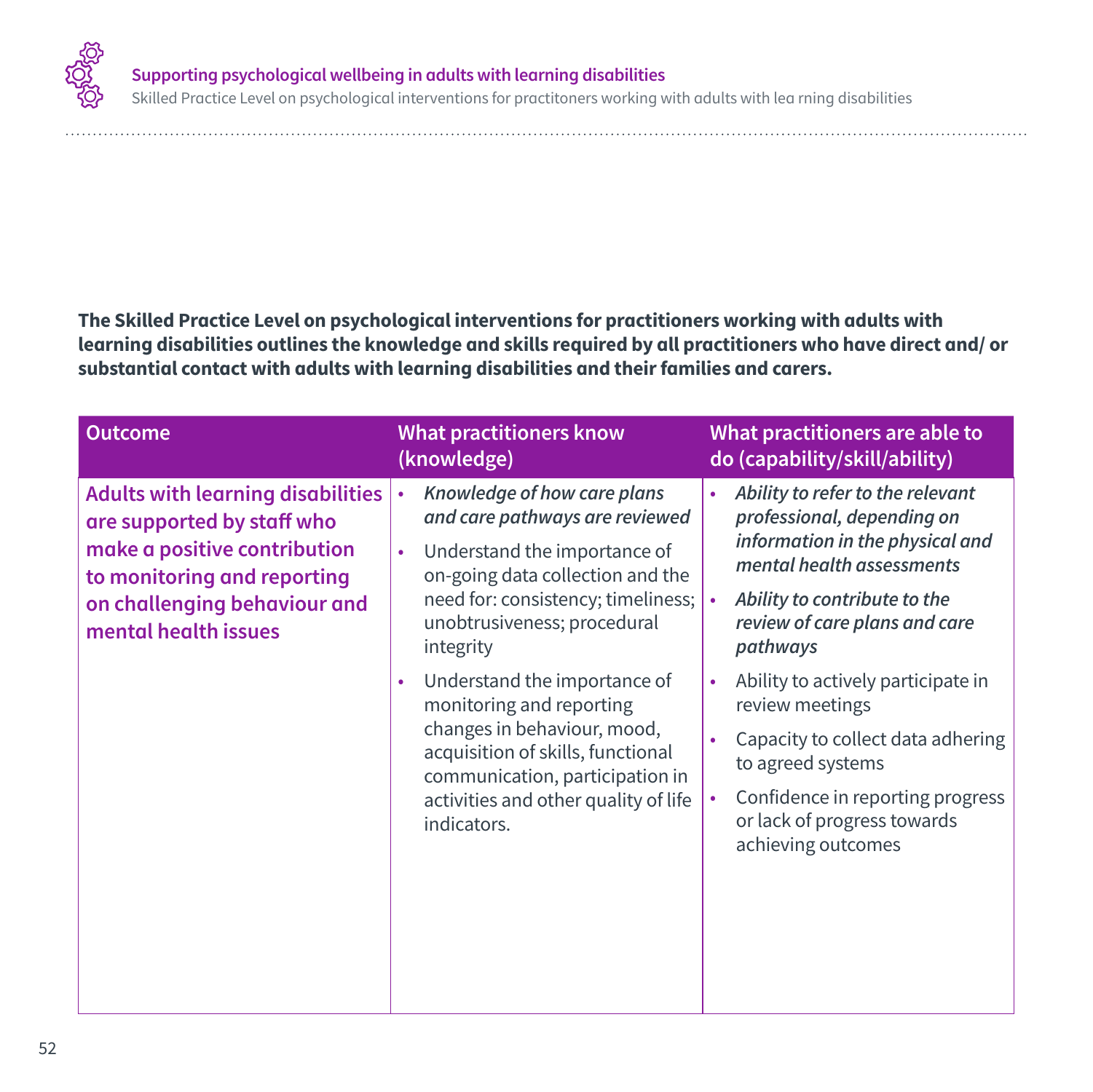

| <b>Outcome</b>                                                                                                                                                                                | <b>What practitioners know</b><br>(knowledge)                                                                                                                                                                                                                                                                                                                                                                                                              | What practitioners are able to<br>do (capability/skill/ability)                                                                                                                                                                                                                                                                                                                                                                                                                          |
|-----------------------------------------------------------------------------------------------------------------------------------------------------------------------------------------------|------------------------------------------------------------------------------------------------------------------------------------------------------------------------------------------------------------------------------------------------------------------------------------------------------------------------------------------------------------------------------------------------------------------------------------------------------------|------------------------------------------------------------------------------------------------------------------------------------------------------------------------------------------------------------------------------------------------------------------------------------------------------------------------------------------------------------------------------------------------------------------------------------------------------------------------------------------|
| <b>Adults with learning disabilities</b><br>are supported by staff who<br>make a positive contribution<br>to monitoring and reporting<br>on challenging behaviour and<br>mental health issues | Knowledge of how care plans<br>and care pathways are reviewed<br>Understand the importance of<br>on-going data collection and the<br>need for: consistency; timeliness;<br>unobtrusiveness; procedural<br>integrity<br>Understand the importance of<br>$\bullet$<br>monitoring and reporting<br>changes in behaviour, mood,<br>acquisition of skills, functional<br>communication, participation in<br>activities and other quality of life<br>indicators. | Ability to refer to the relevant<br>$\bullet$<br>professional, depending on<br>information in the physical and<br>mental health assessments<br>Ability to contribute to the<br>$\bullet$<br>review of care plans and care<br>pathways<br>Ability to actively participate in<br>$\bullet$<br>review meetings<br>Capacity to collect data adhering<br>$\bullet$<br>to agreed systems<br>Confidence in reporting progress<br>$\bullet$<br>or lack of progress towards<br>achieving outcomes |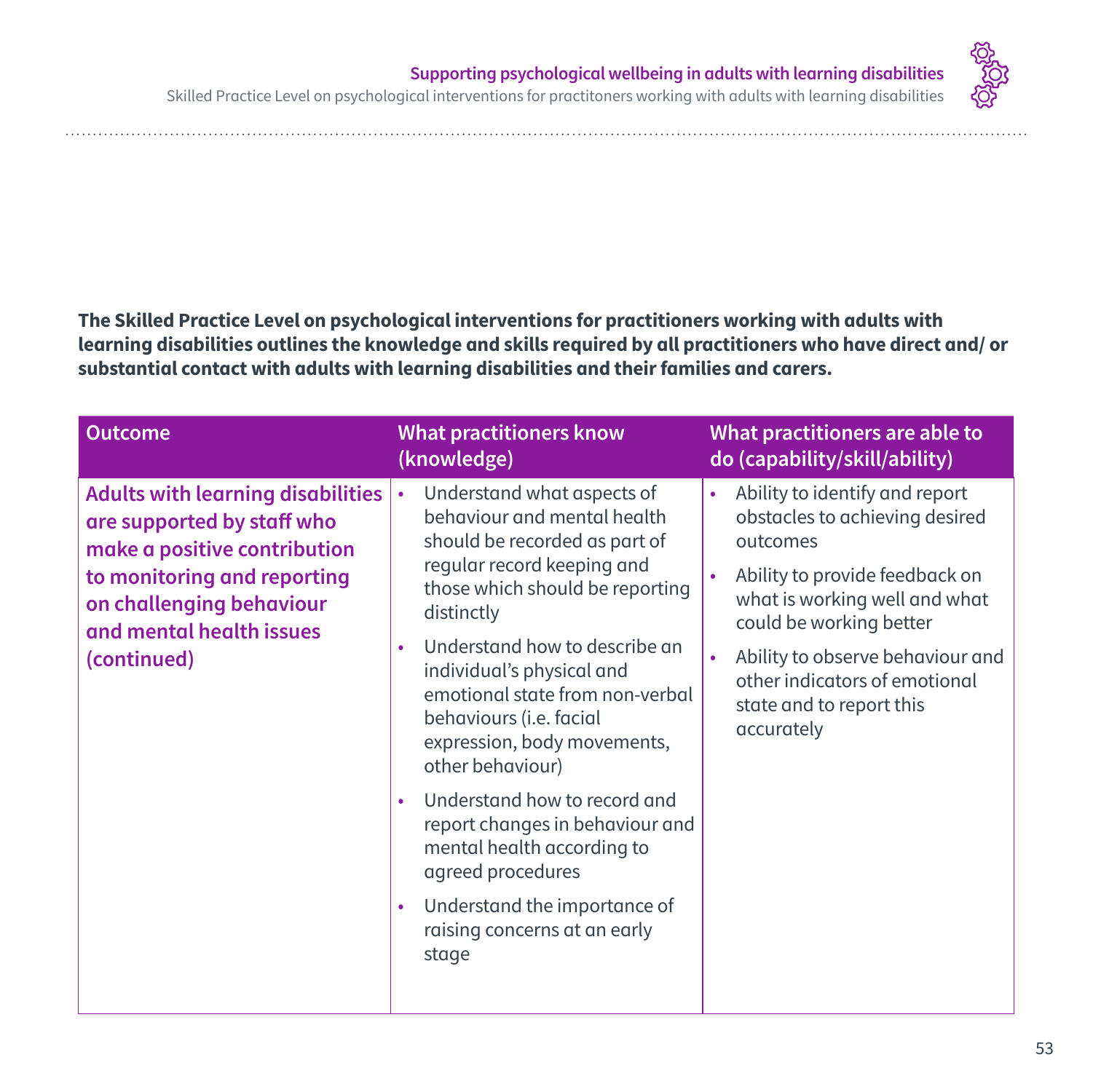

. . . . . . . . . . . . . . . . . . . .

Skilled Practice Level on psychological interventions for practitoners working with adults with learning disabilities

| <b>Outcome</b>                                                                                                                                                                                               | <b>What practitioners know</b><br>(knowledge)                                                                                                                                                                                                                                                                                                                                                                                                                                                                                                                                                               | What practitioners are able to<br>do (capability/skill/ability)                                                                                                                                                                                                                                                                  |
|--------------------------------------------------------------------------------------------------------------------------------------------------------------------------------------------------------------|-------------------------------------------------------------------------------------------------------------------------------------------------------------------------------------------------------------------------------------------------------------------------------------------------------------------------------------------------------------------------------------------------------------------------------------------------------------------------------------------------------------------------------------------------------------------------------------------------------------|----------------------------------------------------------------------------------------------------------------------------------------------------------------------------------------------------------------------------------------------------------------------------------------------------------------------------------|
| <b>Adults with learning disabilities</b><br>are supported by staff who<br>make a positive contribution<br>to monitoring and reporting<br>on challenging behaviour<br>and mental health issues<br>(continued) | Understand what aspects of<br>$\bullet$<br>behaviour and mental health<br>should be recorded as part of<br>regular record keeping and<br>those which should be reporting<br>distinctly<br>Understand how to describe an<br>$\bullet$<br>individual's physical and<br>emotional state from non-verbal<br>behaviours (i.e. facial<br>expression, body movements,<br>other behaviour)<br>Understand how to record and<br>$\bullet$<br>report changes in behaviour and<br>mental health according to<br>agreed procedures<br>Understand the importance of<br>$\bullet$<br>raising concerns at an early<br>stage | Ability to identify and report<br>$\bullet$<br>obstacles to achieving desired<br>outcomes<br>Ability to provide feedback on<br>$\bullet$<br>what is working well and what<br>could be working better<br>Ability to observe behaviour and<br>$\bullet$<br>other indicators of emotional<br>state and to report this<br>accurately |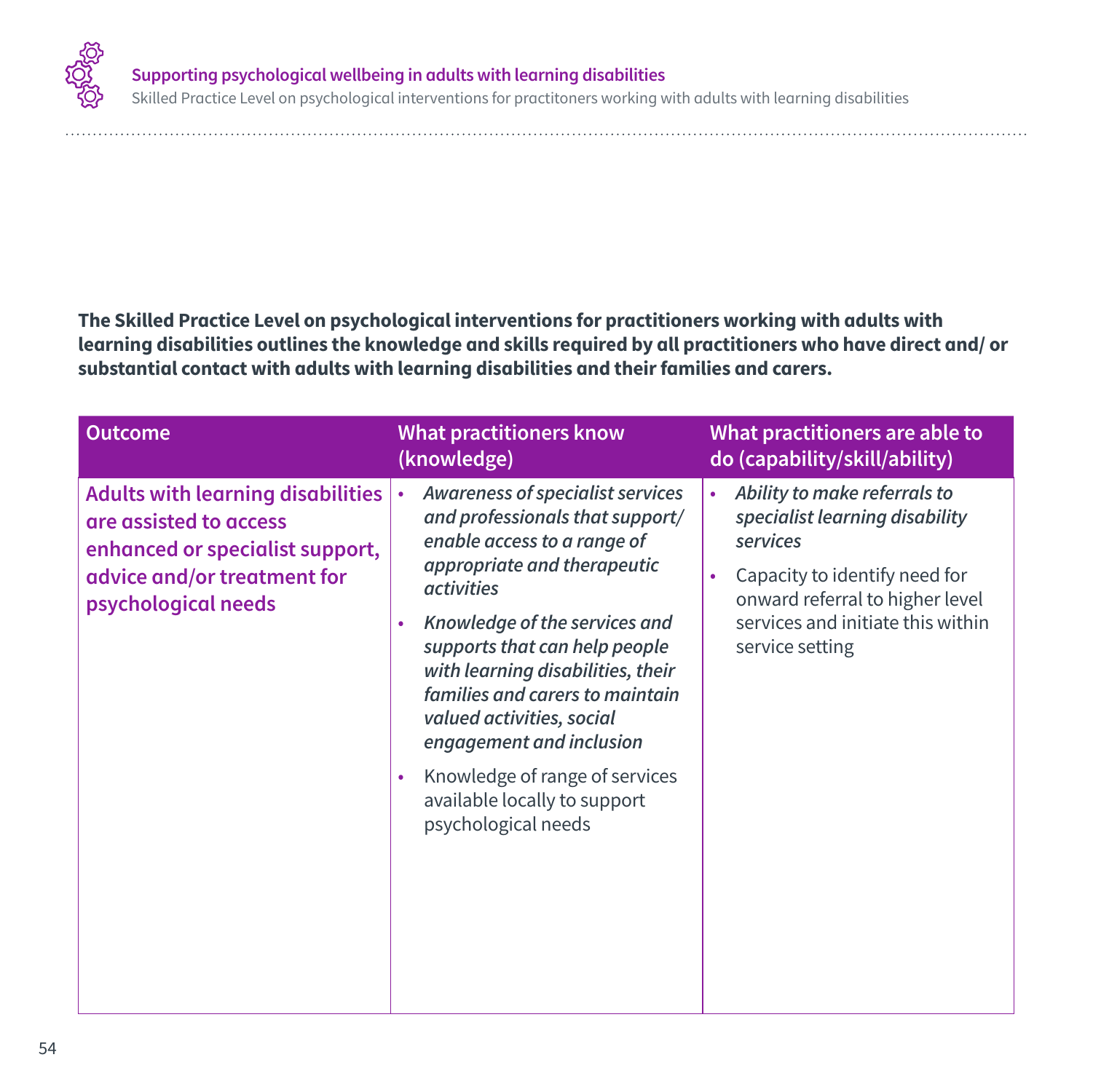

| <b>Outcome</b>                                                                                                                                              | <b>What practitioners know</b><br>(knowledge)                                                                                                                                                                                                                                                                                                                                                                                                                                                    | What practitioners are able to<br>do (capability/skill/ability)                                                                                                                                                     |
|-------------------------------------------------------------------------------------------------------------------------------------------------------------|--------------------------------------------------------------------------------------------------------------------------------------------------------------------------------------------------------------------------------------------------------------------------------------------------------------------------------------------------------------------------------------------------------------------------------------------------------------------------------------------------|---------------------------------------------------------------------------------------------------------------------------------------------------------------------------------------------------------------------|
| <b>Adults with learning disabilities</b><br>are assisted to access<br>enhanced or specialist support,<br>advice and/or treatment for<br>psychological needs | <b>Awareness of specialist services</b><br>$\bullet$<br>and professionals that support/<br>enable access to a range of<br>appropriate and therapeutic<br><i>activities</i><br>Knowledge of the services and<br>$\bullet$<br>supports that can help people<br>with learning disabilities, their<br>families and carers to maintain<br>valued activities, social<br>engagement and inclusion<br>Knowledge of range of services<br>$\bullet$<br>available locally to support<br>psychological needs | Ability to make referrals to<br>$\bullet$<br>specialist learning disability<br>services<br>Capacity to identify need for<br>onward referral to higher level<br>services and initiate this within<br>service setting |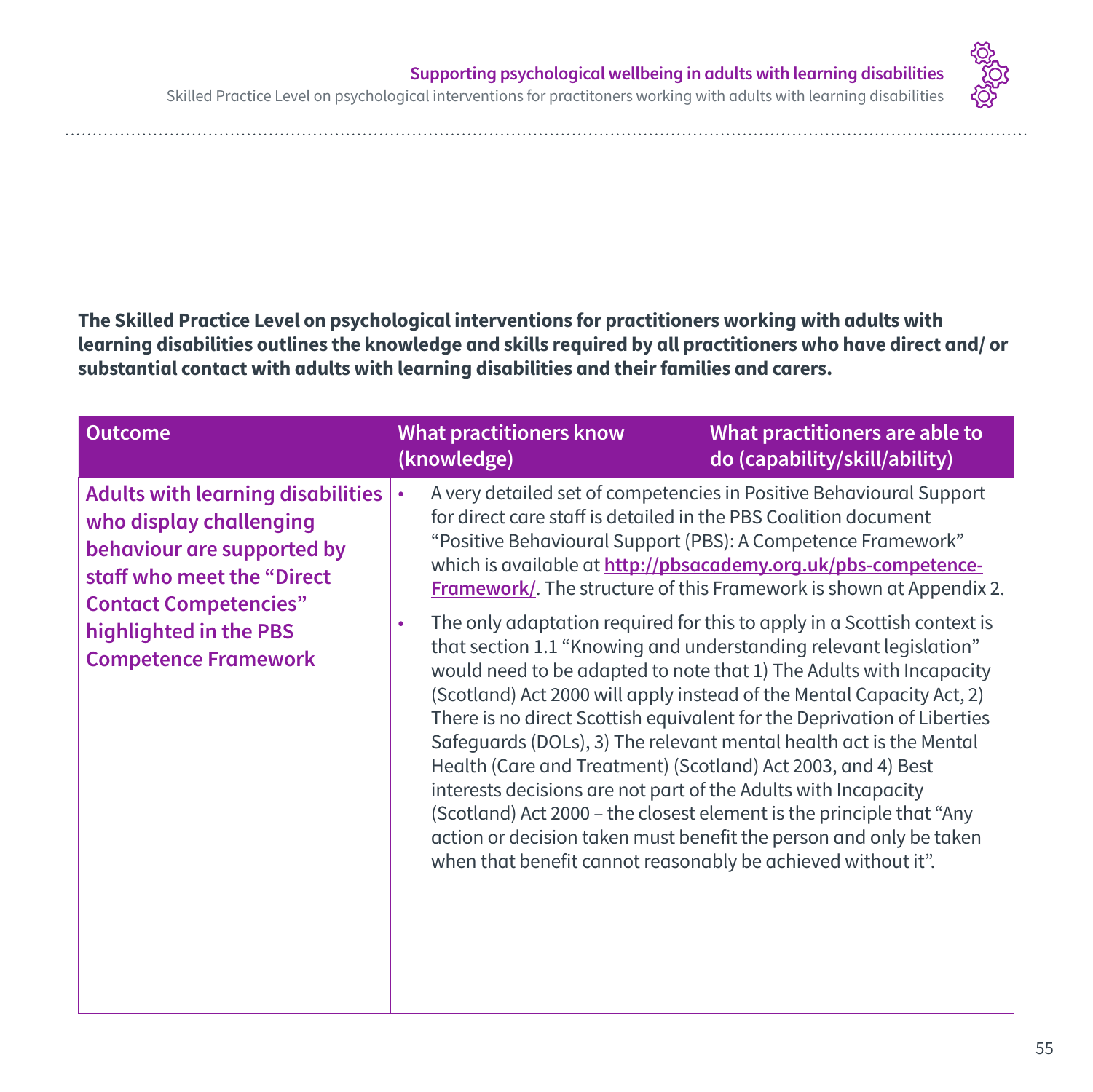

. . . . . . . . . . . . .

Skilled Practice Level on psychological interventions for practitoners working with adults with learning disabilities

| <b>Outcome</b>                                                                                                                                                                                                    | <b>What practitioners know</b><br>(knowledge)                                                                                                                                                                                                                                                                                                  | What practitioners are able to<br>do (capability/skill/ability)                                                                                                                                                                                                                                                                                                                                                                                                                                                                                                                                                                                                                                                                                                                                                    |
|-------------------------------------------------------------------------------------------------------------------------------------------------------------------------------------------------------------------|------------------------------------------------------------------------------------------------------------------------------------------------------------------------------------------------------------------------------------------------------------------------------------------------------------------------------------------------|--------------------------------------------------------------------------------------------------------------------------------------------------------------------------------------------------------------------------------------------------------------------------------------------------------------------------------------------------------------------------------------------------------------------------------------------------------------------------------------------------------------------------------------------------------------------------------------------------------------------------------------------------------------------------------------------------------------------------------------------------------------------------------------------------------------------|
| Adults with learning disabilities<br>who display challenging<br>behaviour are supported by<br>staff who meet the "Direct<br><b>Contact Competencies"</b><br>highlighted in the PBS<br><b>Competence Framework</b> | for direct care staff is detailed in the PBS Coalition document<br>"Positive Behavioural Support (PBS): A Competence Framework"<br>$\bullet$<br>Health (Care and Treatment) (Scotland) Act 2003, and 4) Best<br>interests decisions are not part of the Adults with Incapacity<br>when that benefit cannot reasonably be achieved without it". | A very detailed set of competencies in Positive Behavioural Support<br>which is available at http://pbsacademy.org.uk/pbs-competence-<br><b>Framework/.</b> The structure of this Framework is shown at Appendix 2.<br>The only adaptation required for this to apply in a Scottish context is<br>that section 1.1 "Knowing and understanding relevant legislation"<br>would need to be adapted to note that 1) The Adults with Incapacity<br>(Scotland) Act 2000 will apply instead of the Mental Capacity Act, 2)<br>There is no direct Scottish equivalent for the Deprivation of Liberties<br>Safeguards (DOLs), 3) The relevant mental health act is the Mental<br>(Scotland) Act 2000 - the closest element is the principle that "Any<br>action or decision taken must benefit the person and only be taken |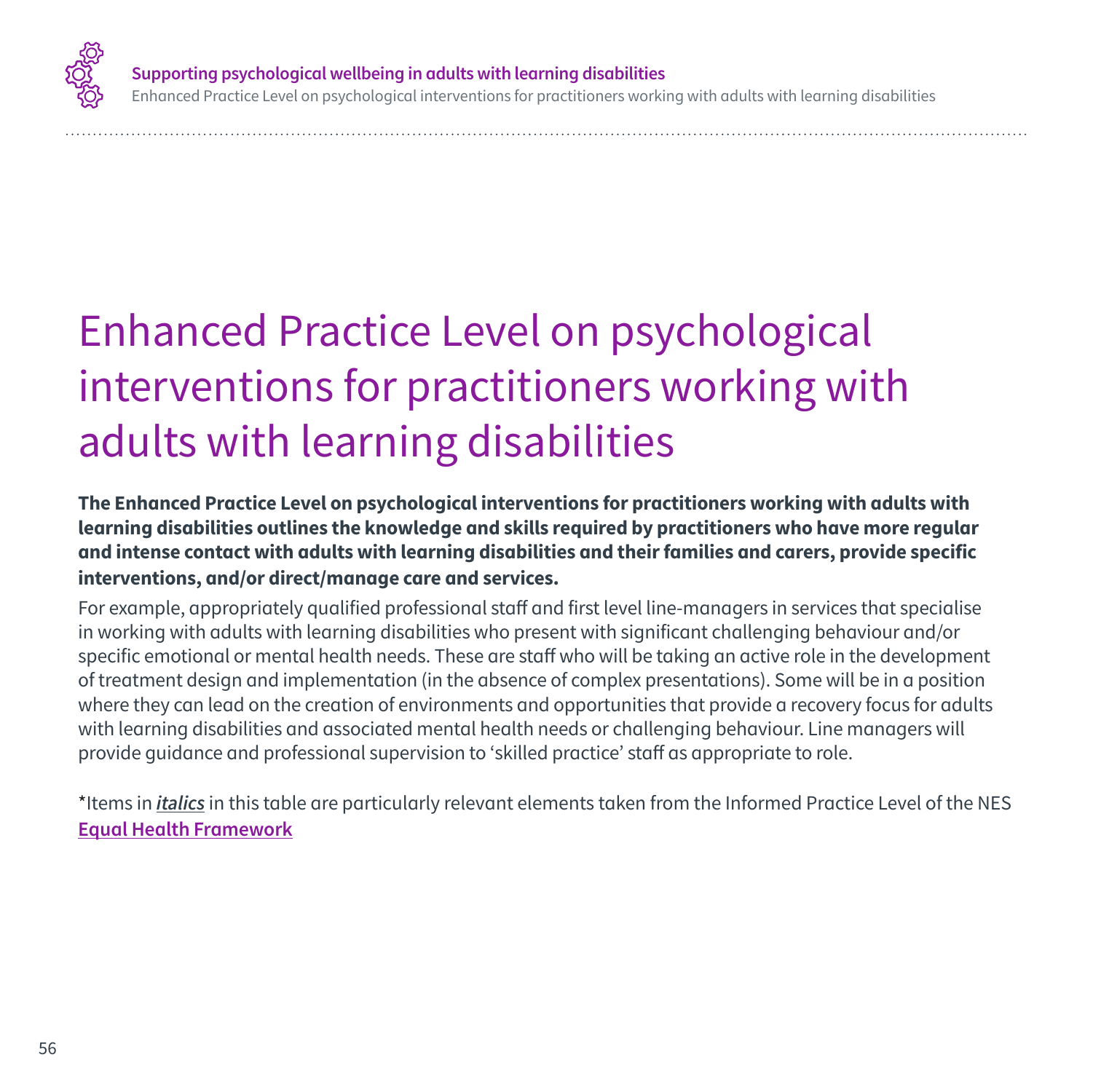

**The Enhanced Practice Level on psychological interventions for practitioners working with adults with learning disabilities outlines the knowledge and skills required by practitioners who have more regular and intense contact with adults with learning disabilities and their families and carers, provide specific interventions, and/or direct/manage care and services.**

For example, appropriately qualified professional staff and first level line-managers in services that specialise in working with adults with learning disabilities who present with significant challenging behaviour and/or specific emotional or mental health needs. These are staff who will be taking an active role in the development of treatment design and implementation (in the absence of complex presentations). Some will be in a position where they can lead on the creation of environments and opportunities that provide a recovery focus for adults with learning disabilities and associated mental health needs or challenging behaviour. Line managers will provide guidance and professional supervision to 'skilled practice' staff as appropriate to role.

\*Items in *italics* in this table are particularly relevant elements taken from the Informed Practice Level of the NES **[Equal Health Framework](http://www.nes.scot.nhs.uk/education-and-training/by-theme-initiative/mental-health-and-learning-disabilities/our-work,-publications-and-resources/learning-disabilities/equal-health-educational-framework.aspx)**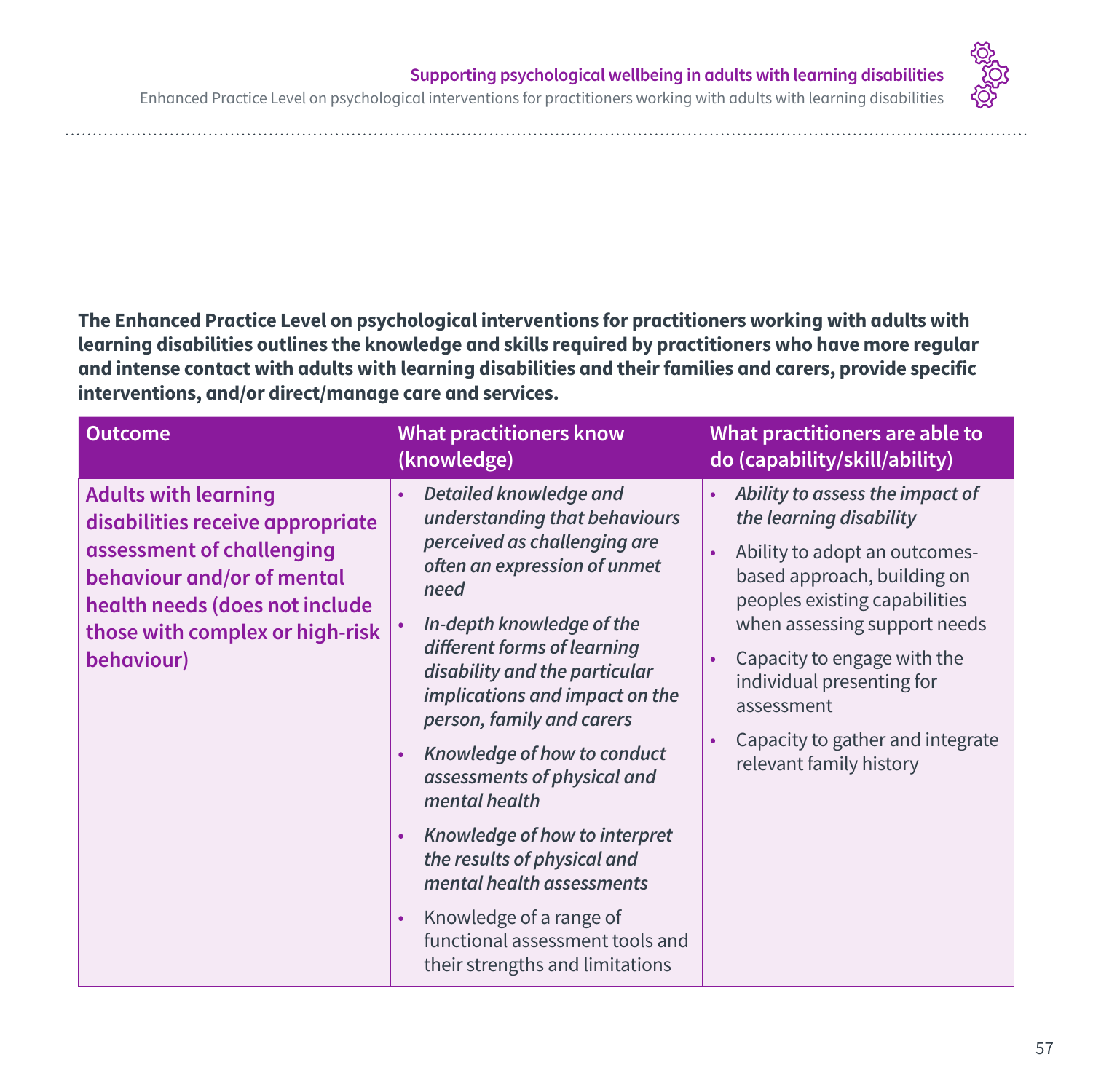

. . . . . . . . . . . . . . . . . . .

Enhanced Practice Level on psychological interventions for practitioners working with adults with learning disabilities

| <b>Outcome</b>                                                                                                                                                                                                | <b>What practitioners know</b><br>(knowledge)                                                                                                                                                                                                                                                                                                                                                                                                                                                                                                                                                                                | What practitioners are able to<br>do (capability/skill/ability)                                                                                                                                                                                                                                                                                   |
|---------------------------------------------------------------------------------------------------------------------------------------------------------------------------------------------------------------|------------------------------------------------------------------------------------------------------------------------------------------------------------------------------------------------------------------------------------------------------------------------------------------------------------------------------------------------------------------------------------------------------------------------------------------------------------------------------------------------------------------------------------------------------------------------------------------------------------------------------|---------------------------------------------------------------------------------------------------------------------------------------------------------------------------------------------------------------------------------------------------------------------------------------------------------------------------------------------------|
| <b>Adults with learning</b><br>disabilities receive appropriate<br>assessment of challenging<br>behaviour and/or of mental<br>health needs (does not include<br>those with complex or high-risk<br>behaviour) | Detailed knowledge and<br>$\bullet$<br>understanding that behaviours<br>perceived as challenging are<br>often an expression of unmet<br>need<br>In-depth knowledge of the<br>different forms of learning<br>disability and the particular<br>implications and impact on the<br>person, family and carers<br>Knowledge of how to conduct<br>$\bullet$<br>assessments of physical and<br>mental health<br>Knowledge of how to interpret<br>$\bullet$<br>the results of physical and<br>mental health assessments<br>Knowledge of a range of<br>$\bullet$<br>functional assessment tools and<br>their strengths and limitations | Ability to assess the impact of<br>the learning disability<br>Ability to adopt an outcomes-<br>based approach, building on<br>peoples existing capabilities<br>when assessing support needs<br>Capacity to engage with the<br>individual presenting for<br>assessment<br>Capacity to gather and integrate<br>$\bullet$<br>relevant family history |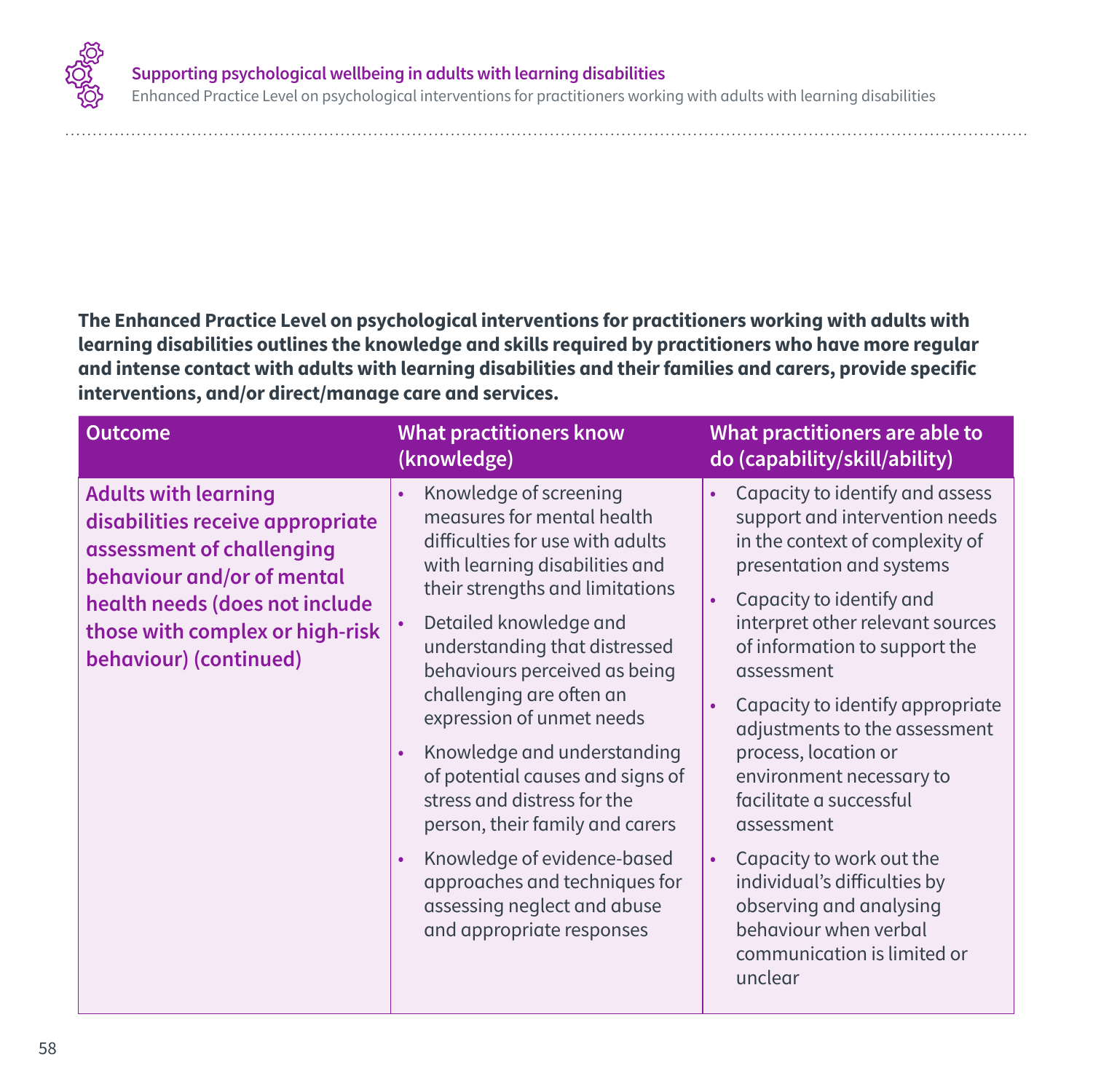

| <b>Outcome</b>                                                                                                                                                                                                            | <b>What practitioners know</b><br>(knowledge)                                                                                                                                                                                                                                                                                                                                                                                                                                                                                                                                                                              | What practitioners are able to<br>do (capability/skill/ability)                                                                                                                                                                                                                                                                                                                                                                                                                                                                                                                          |
|---------------------------------------------------------------------------------------------------------------------------------------------------------------------------------------------------------------------------|----------------------------------------------------------------------------------------------------------------------------------------------------------------------------------------------------------------------------------------------------------------------------------------------------------------------------------------------------------------------------------------------------------------------------------------------------------------------------------------------------------------------------------------------------------------------------------------------------------------------------|------------------------------------------------------------------------------------------------------------------------------------------------------------------------------------------------------------------------------------------------------------------------------------------------------------------------------------------------------------------------------------------------------------------------------------------------------------------------------------------------------------------------------------------------------------------------------------------|
| <b>Adults with learning</b><br>disabilities receive appropriate<br>assessment of challenging<br>behaviour and/or of mental<br>health needs (does not include<br>those with complex or high-risk<br>behaviour) (continued) | Knowledge of screening<br>$\bullet$<br>measures for mental health<br>difficulties for use with adults<br>with learning disabilities and<br>their strengths and limitations<br>Detailed knowledge and<br>understanding that distressed<br>behaviours perceived as being<br>challenging are often an<br>expression of unmet needs<br>Knowledge and understanding<br>$\bullet$<br>of potential causes and signs of<br>stress and distress for the<br>person, their family and carers<br>Knowledge of evidence-based<br>$\bullet$<br>approaches and techniques for<br>assessing neglect and abuse<br>and appropriate responses | Capacity to identify and assess<br>support and intervention needs<br>in the context of complexity of<br>presentation and systems<br>Capacity to identify and<br>interpret other relevant sources<br>of information to support the<br>assessment<br>Capacity to identify appropriate<br>adjustments to the assessment<br>process, location or<br>environment necessary to<br>facilitate a successful<br>assessment<br>Capacity to work out the<br>$\bullet$<br>individual's difficulties by<br>observing and analysing<br>behaviour when verbal<br>communication is limited or<br>unclear |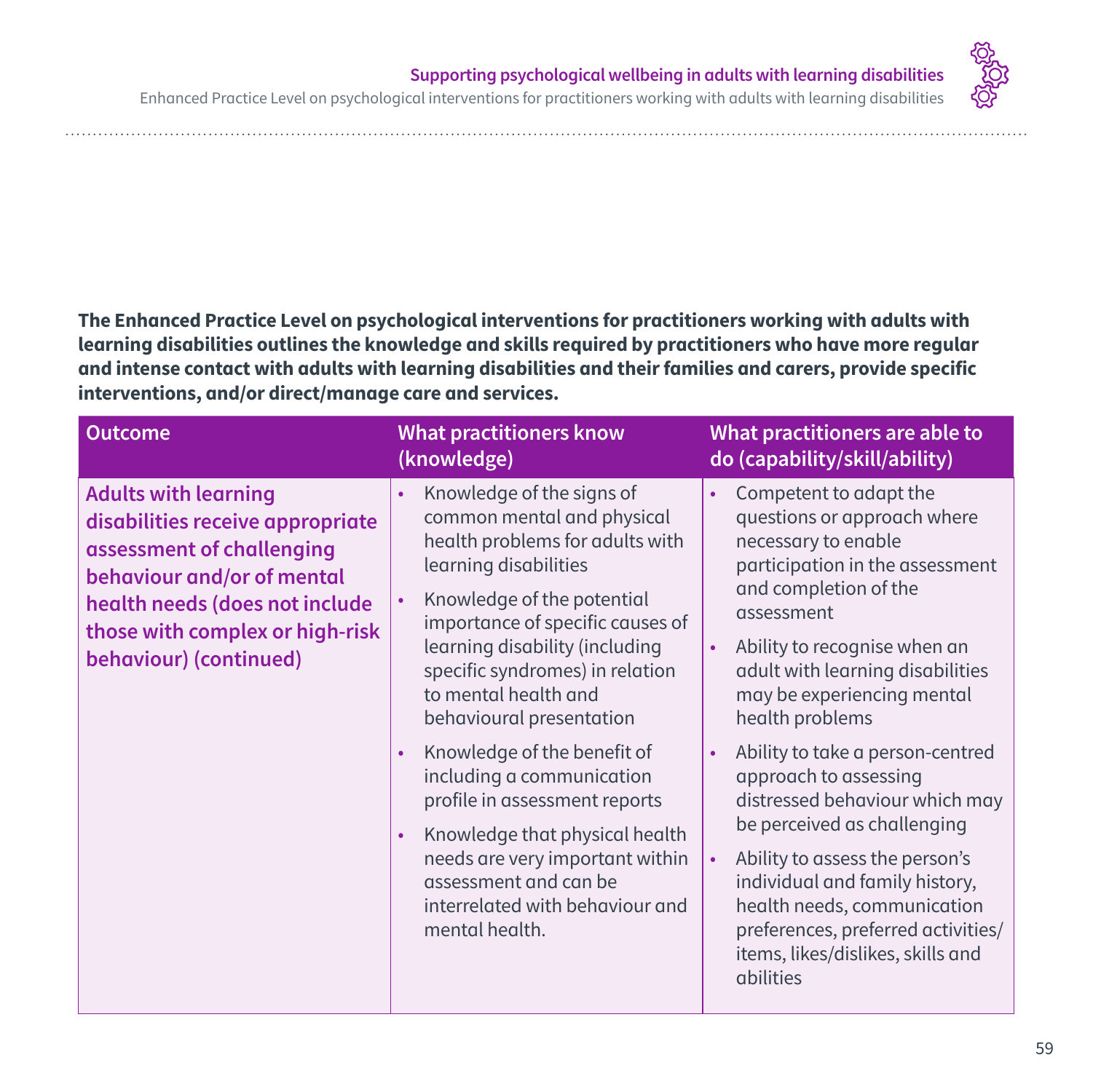

. . . . . . . . . . . . . . . . .

Enhanced Practice Level on psychological interventions for practitioners working with adults with learning disabilities

| <b>Outcome</b>                                                                                                                                                                                                            | <b>What practitioners know</b><br>(knowledge)                                                                                                                                                                                                                                                                                                                                                                                                                                                                                                                                                                      | What practitioners are able to<br>do (capability/skill/ability)                                                                                                                                                                                                                                                                                                                                                                                                                                                                                                                                                                |
|---------------------------------------------------------------------------------------------------------------------------------------------------------------------------------------------------------------------------|--------------------------------------------------------------------------------------------------------------------------------------------------------------------------------------------------------------------------------------------------------------------------------------------------------------------------------------------------------------------------------------------------------------------------------------------------------------------------------------------------------------------------------------------------------------------------------------------------------------------|--------------------------------------------------------------------------------------------------------------------------------------------------------------------------------------------------------------------------------------------------------------------------------------------------------------------------------------------------------------------------------------------------------------------------------------------------------------------------------------------------------------------------------------------------------------------------------------------------------------------------------|
| <b>Adults with learning</b><br>disabilities receive appropriate<br>assessment of challenging<br>behaviour and/or of mental<br>health needs (does not include<br>those with complex or high-risk<br>behaviour) (continued) | Knowledge of the signs of<br>$\bullet$<br>common mental and physical<br>health problems for adults with<br>learning disabilities<br>Knowledge of the potential<br>$\bullet$<br>importance of specific causes of<br>learning disability (including<br>specific syndromes) in relation<br>to mental health and<br>behavioural presentation<br>Knowledge of the benefit of<br>$\bullet$<br>including a communication<br>profile in assessment reports<br>Knowledge that physical health<br>$\bullet$<br>needs are very important within<br>assessment and can be<br>interrelated with behaviour and<br>mental health. | Competent to adapt the<br>$\bullet$<br>questions or approach where<br>necessary to enable<br>participation in the assessment<br>and completion of the<br>assessment<br>Ability to recognise when an<br>$\bullet$<br>adult with learning disabilities<br>may be experiencing mental<br>health problems<br>Ability to take a person-centred<br>approach to assessing<br>distressed behaviour which may<br>be perceived as challenging<br>Ability to assess the person's<br>individual and family history,<br>health needs, communication<br>preferences, preferred activities/<br>items, likes/dislikes, skills and<br>abilities |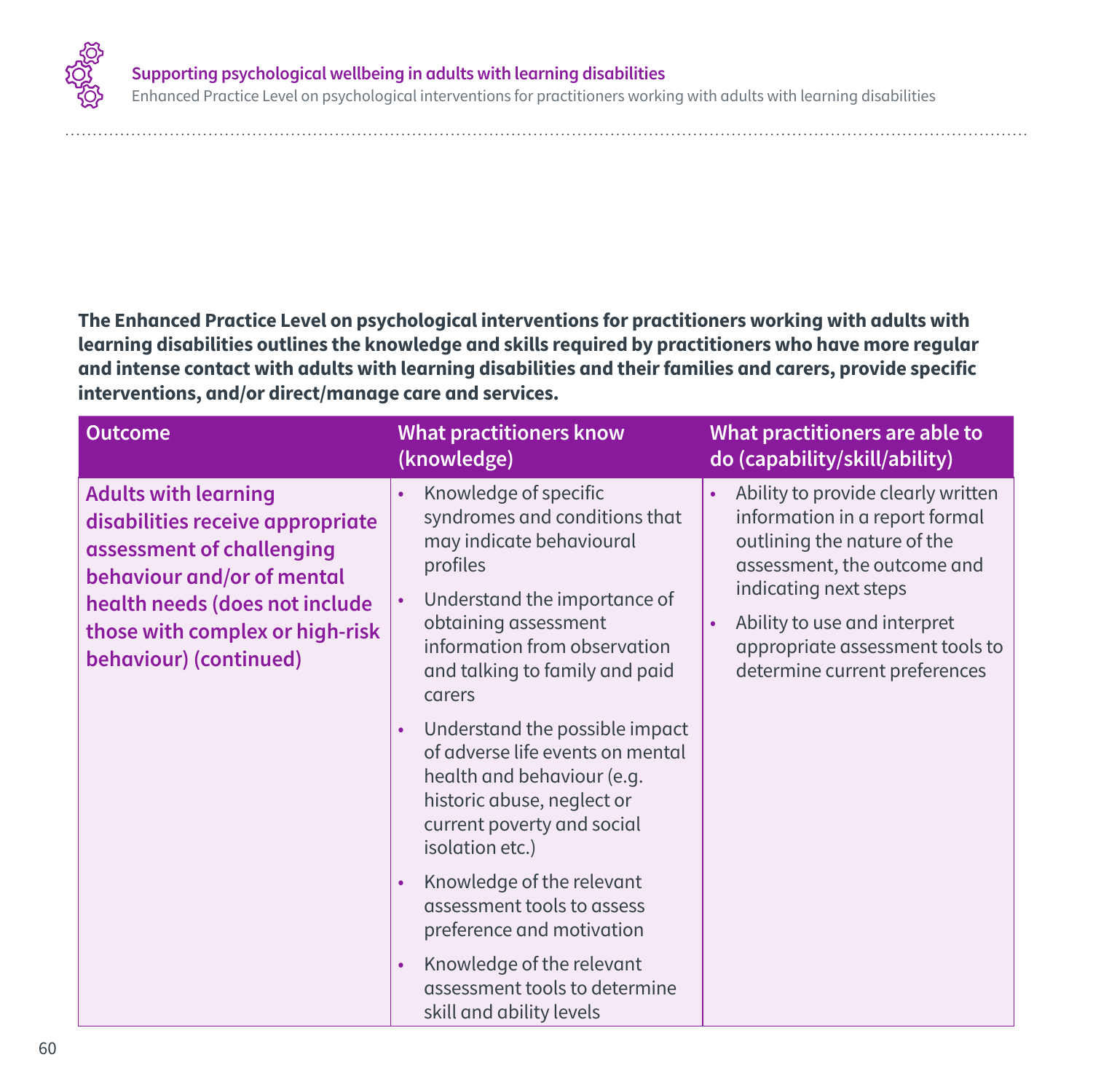

| Knowledge of specific<br><b>Adults with learning</b><br>$\bullet$<br>syndromes and conditions that<br>disabilities receive appropriate<br>may indicate behavioural<br>outlining the nature of the<br>assessment of challenging<br>profiles<br>behaviour and/or of mental<br>indicating next steps<br>Understand the importance of<br>health needs (does not include<br>obtaining assessment<br>Ability to use and interpret<br>$\bullet$<br>those with complex or high-risk | <b>Outcome</b>         | <b>What practitioners know</b><br>(knowledge) | What practitioners are able to<br>do (capability/skill/ability)                                                                                                         |
|-----------------------------------------------------------------------------------------------------------------------------------------------------------------------------------------------------------------------------------------------------------------------------------------------------------------------------------------------------------------------------------------------------------------------------------------------------------------------------|------------------------|-----------------------------------------------|-------------------------------------------------------------------------------------------------------------------------------------------------------------------------|
| and talking to family and paid<br>carers<br>Understand the possible impact<br>$\bullet$<br>of adverse life events on mental<br>health and behaviour (e.g.<br>historic abuse, neglect or<br>current poverty and social<br>isolation etc.)<br>Knowledge of the relevant<br>assessment tools to assess<br>preference and motivation<br>Knowledge of the relevant<br>assessment tools to determine<br>skill and ability levels                                                  | behaviour) (continued) | information from observation                  | Ability to provide clearly written<br>information in a report formal<br>assessment, the outcome and<br>appropriate assessment tools to<br>determine current preferences |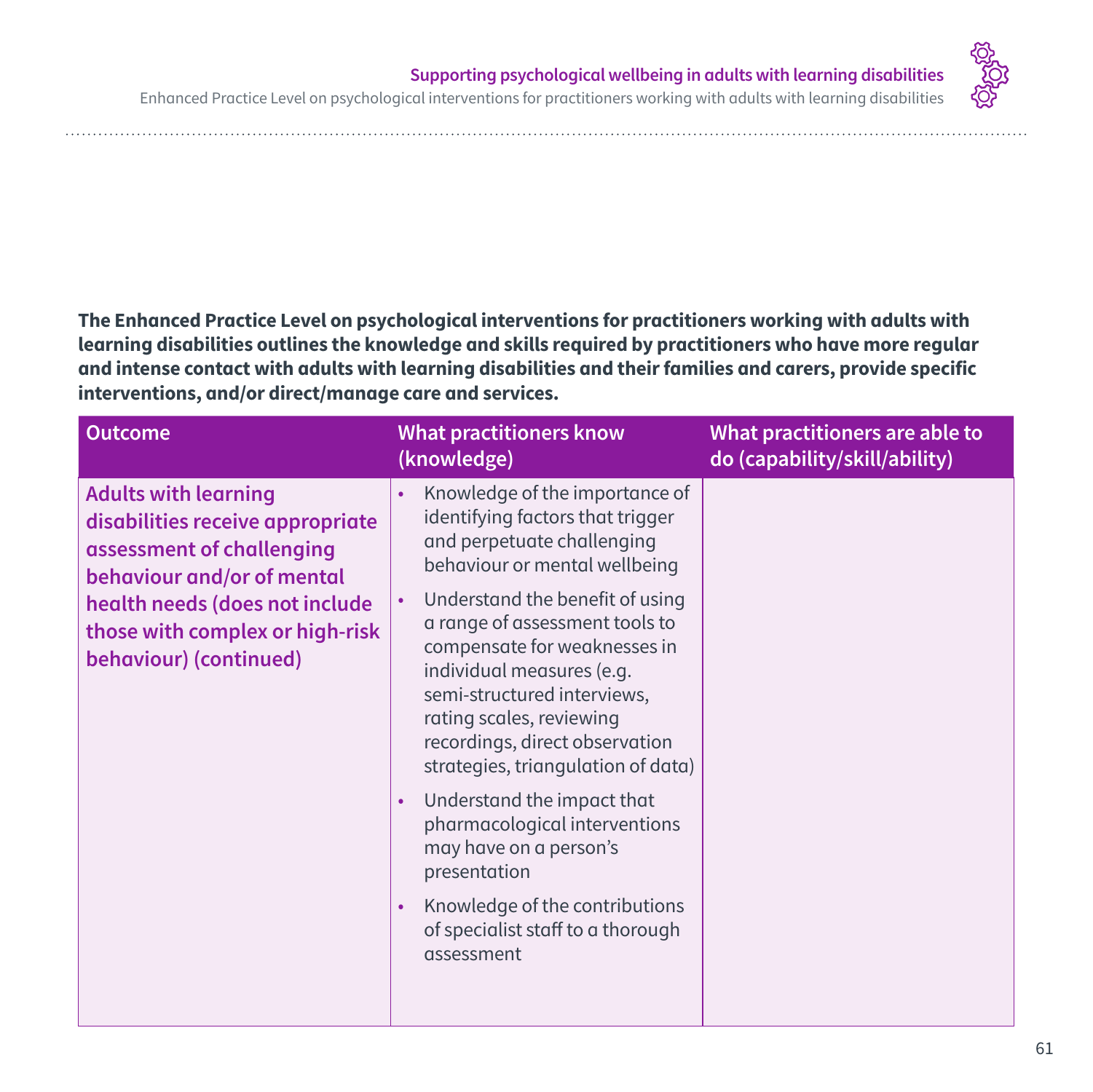

Enhanced Practice Level on psychological interventions for practitioners working with adults with learning disabilities

| <b>Outcome</b>                                                                                                                                                                                                            | <b>What practitioners know</b><br>(knowledge)                                                                                                                                                                                                                                                                                                                                                                                                                                                                                                                                                                                                            | What practitioners are able to<br>do (capability/skill/ability) |
|---------------------------------------------------------------------------------------------------------------------------------------------------------------------------------------------------------------------------|----------------------------------------------------------------------------------------------------------------------------------------------------------------------------------------------------------------------------------------------------------------------------------------------------------------------------------------------------------------------------------------------------------------------------------------------------------------------------------------------------------------------------------------------------------------------------------------------------------------------------------------------------------|-----------------------------------------------------------------|
| <b>Adults with learning</b><br>disabilities receive appropriate<br>assessment of challenging<br>behaviour and/or of mental<br>health needs (does not include<br>those with complex or high-risk<br>behaviour) (continued) | Knowledge of the importance of<br>$\bullet$<br>identifying factors that trigger<br>and perpetuate challenging<br>behaviour or mental wellbeing<br>Understand the benefit of using<br>$\bullet$<br>a range of assessment tools to<br>compensate for weaknesses in<br>individual measures (e.g.<br>semi-structured interviews,<br>rating scales, reviewing<br>recordings, direct observation<br>strategies, triangulation of data)<br>Understand the impact that<br>$\bullet$<br>pharmacological interventions<br>may have on a person's<br>presentation<br>Knowledge of the contributions<br>$\bullet$<br>of specialist staff to a thorough<br>assessment |                                                                 |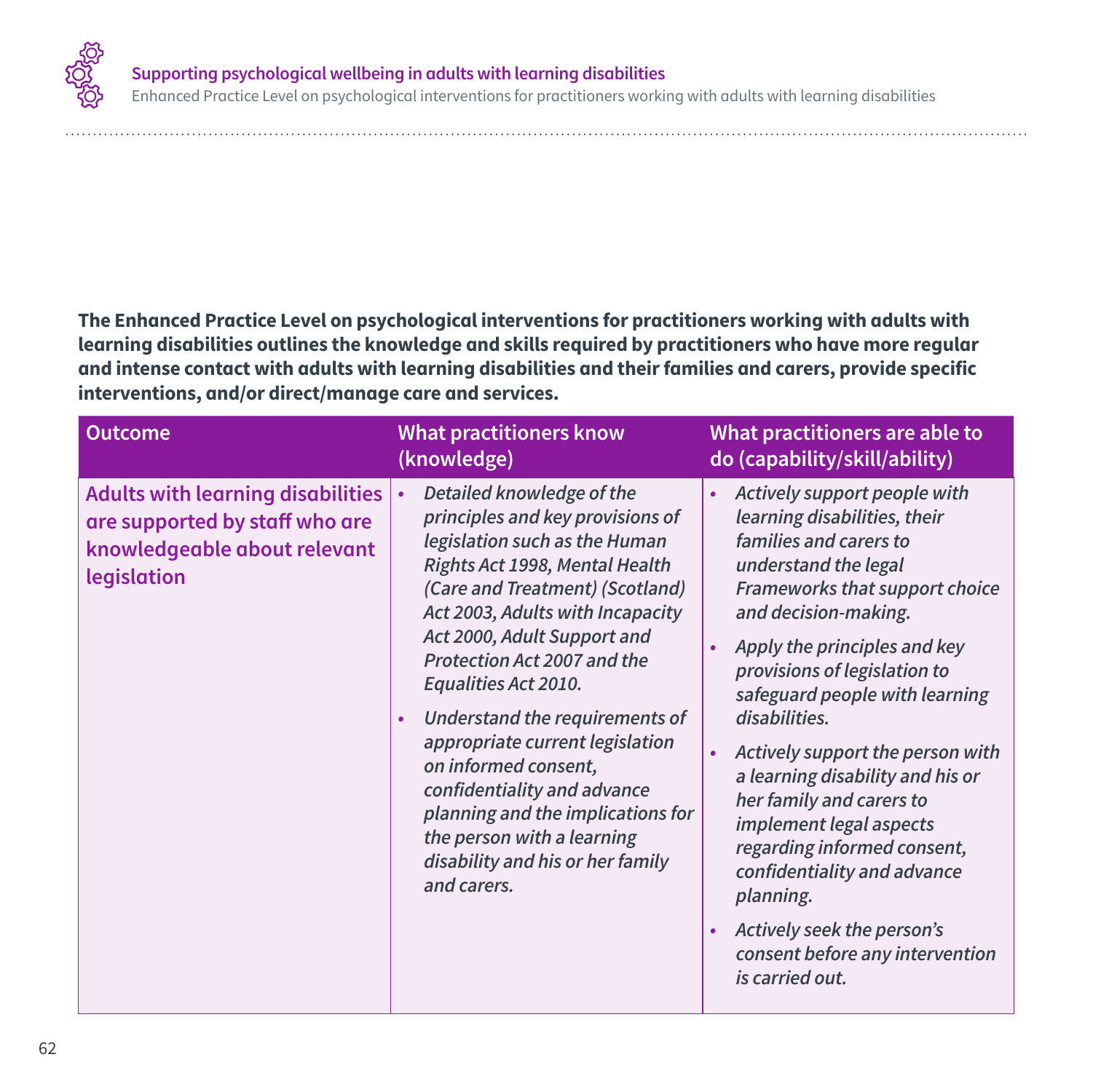

| <b>Outcome</b>                                                                                                     | <b>What practitioners know</b><br>(knowledge)                                                                                                                                                                                                                                                                                                                                                                                                                                                                                                                | What practitioners are able to<br>do (capability/skill/ability)                                                                                                                                                                                                                                                                                                                                                                                                                                                                                                                                                     |
|--------------------------------------------------------------------------------------------------------------------|--------------------------------------------------------------------------------------------------------------------------------------------------------------------------------------------------------------------------------------------------------------------------------------------------------------------------------------------------------------------------------------------------------------------------------------------------------------------------------------------------------------------------------------------------------------|---------------------------------------------------------------------------------------------------------------------------------------------------------------------------------------------------------------------------------------------------------------------------------------------------------------------------------------------------------------------------------------------------------------------------------------------------------------------------------------------------------------------------------------------------------------------------------------------------------------------|
| Adults with learning disabilities<br>are supported by staff who are<br>knowledgeable about relevant<br>legislation | Detailed knowledge of the<br>principles and key provisions of<br>legislation such as the Human<br>Rights Act 1998, Mental Health<br>(Care and Treatment) (Scotland)<br>Act 2003, Adults with Incapacity<br>Act 2000, Adult Support and<br>Protection Act 2007 and the<br>Equalities Act 2010.<br>Understand the requirements of<br>$\bullet$<br>appropriate current legislation<br>on informed consent,<br>confidentiality and advance<br>planning and the implications for<br>the person with a learning<br>disability and his or her family<br>and carers. | Actively support people with<br>$\bullet$<br>learning disabilities, their<br>families and carers to<br>understand the legal<br>Frameworks that support choice<br>and decision-making.<br>Apply the principles and key<br>provisions of legislation to<br>safeguard people with learning<br>disabilities.<br>Actively support the person with<br>a learning disability and his or<br>her family and carers to<br>implement legal aspects<br>regarding informed consent,<br>confidentiality and advance<br>planning.<br>Actively seek the person's<br>$\bullet$<br>consent before any intervention<br>is carried out. |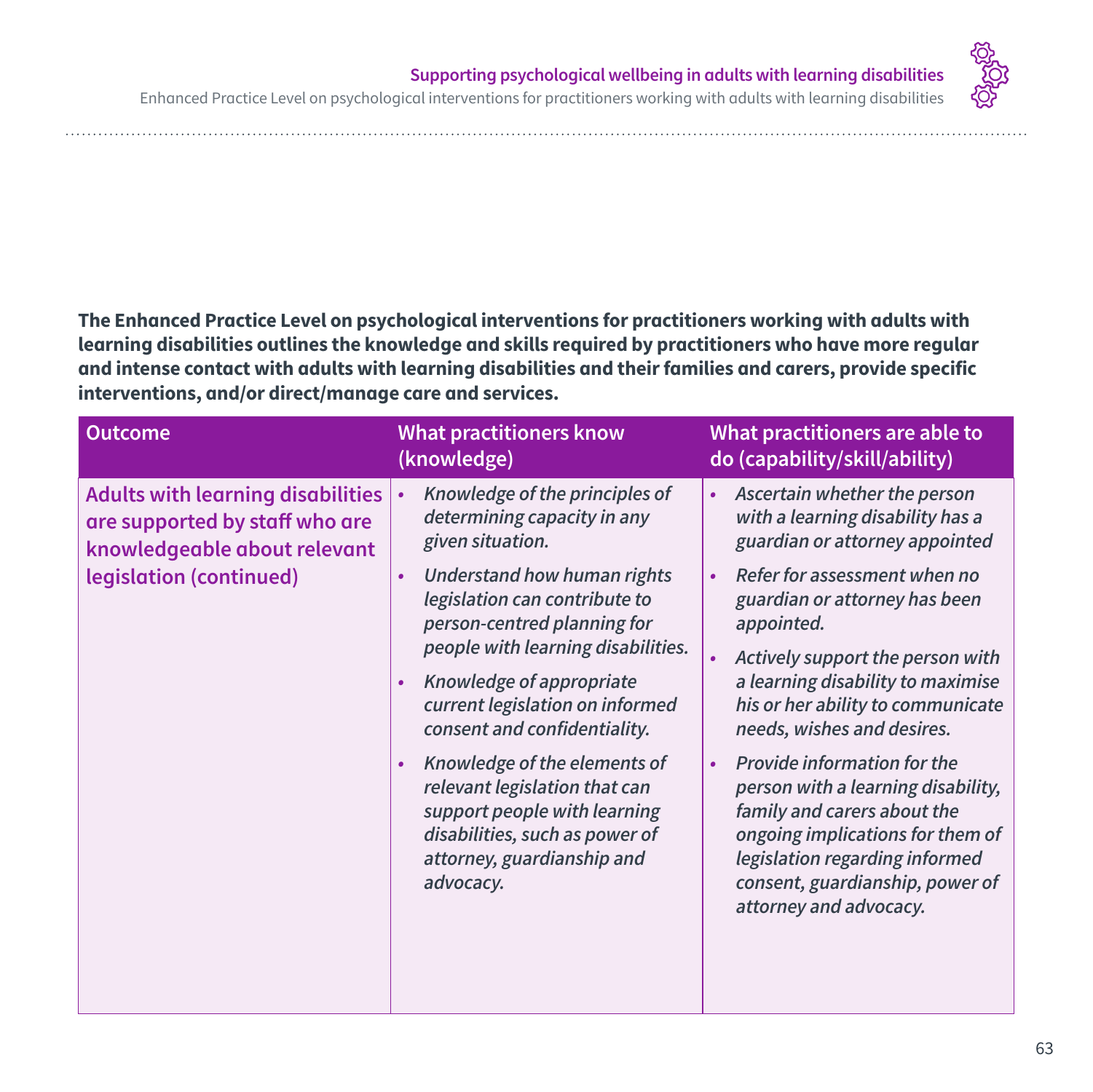

Enhanced Practice Level on psychological interventions for practitioners working with adults with learning disabilities

| <b>Outcome</b>                                                                                                                 | <b>What practitioners know</b><br>(knowledge)                                                                                                                                           | What practitioners are able to<br>do (capability/skill/ability)                                                                                                                                                                                  |
|--------------------------------------------------------------------------------------------------------------------------------|-----------------------------------------------------------------------------------------------------------------------------------------------------------------------------------------|--------------------------------------------------------------------------------------------------------------------------------------------------------------------------------------------------------------------------------------------------|
| Adults with learning disabilities<br>are supported by staff who are<br>knowledgeable about relevant<br>legislation (continued) | Knowledge of the principles of<br>determining capacity in any<br>given situation.                                                                                                       | Ascertain whether the person<br>$\bullet$<br>with a learning disability has a<br>guardian or attorney appointed                                                                                                                                  |
|                                                                                                                                | <b>Understand how human rights</b><br>$\bullet$<br>legislation can contribute to<br>person-centred planning for<br>people with learning disabilities.                                   | Refer for assessment when no<br>$\bullet$<br>guardian or attorney has been<br>appointed.                                                                                                                                                         |
|                                                                                                                                | Knowledge of appropriate<br>$\bullet$<br>current legislation on informed<br>consent and confidentiality.                                                                                | Actively support the person with<br>a learning disability to maximise<br>his or her ability to communicate<br>needs, wishes and desires.                                                                                                         |
|                                                                                                                                | Knowledge of the elements of<br>$\bullet$<br>relevant legislation that can<br>support people with learning<br>disabilities, such as power of<br>attorney, guardianship and<br>advocacy. | Provide information for the<br>$\bullet$<br>person with a learning disability,<br>family and carers about the<br>ongoing implications for them of<br>legislation regarding informed<br>consent, guardianship, power of<br>attorney and advocacy. |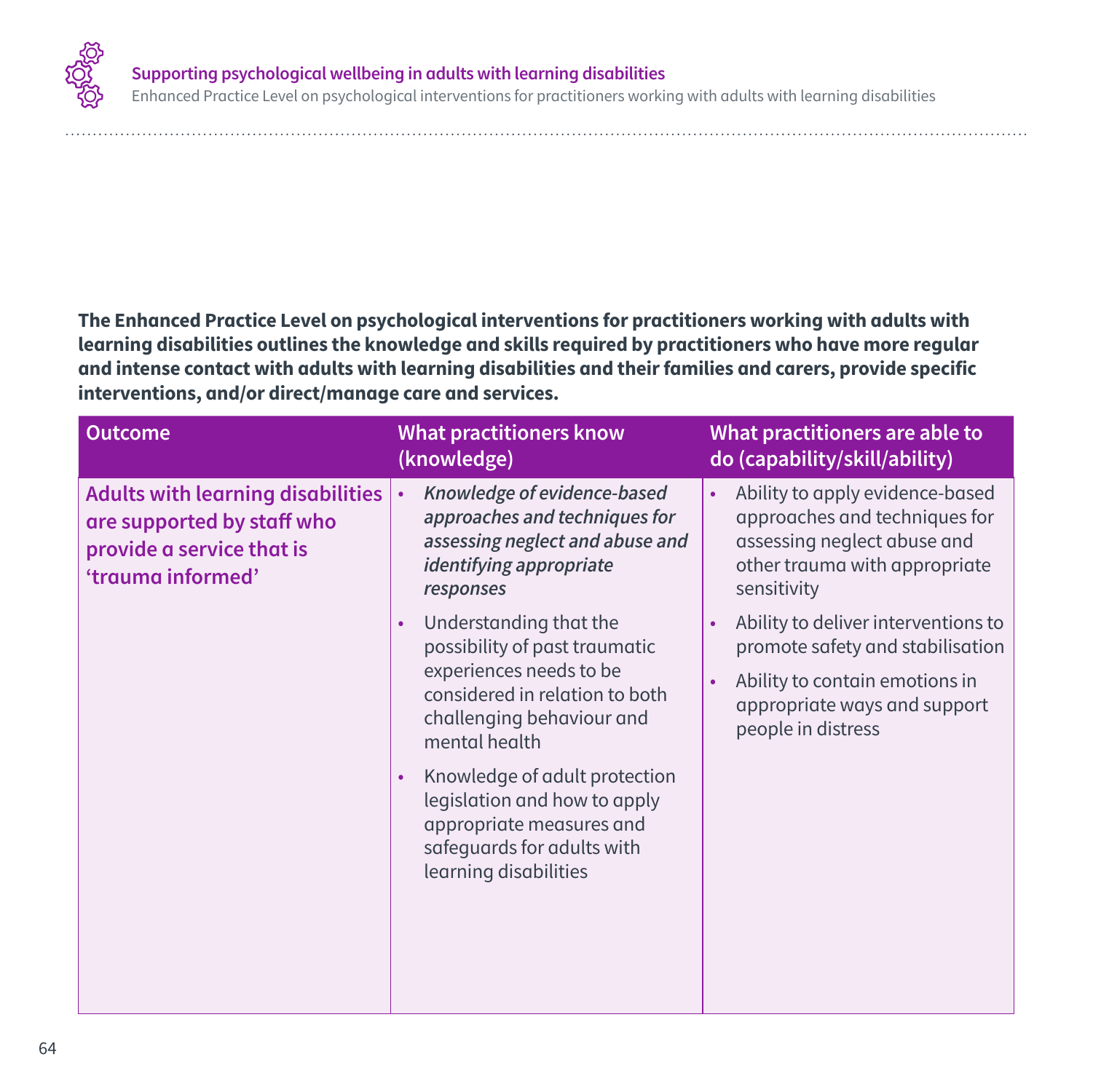

| <b>Outcome</b>                                                                                                           | <b>What practitioners know</b><br>(knowledge)                                                                                                                                   | What practitioners are able to<br>do (capability/skill/ability)                                                                                                                           |
|--------------------------------------------------------------------------------------------------------------------------|---------------------------------------------------------------------------------------------------------------------------------------------------------------------------------|-------------------------------------------------------------------------------------------------------------------------------------------------------------------------------------------|
| <b>Adults with learning disabilities</b><br>are supported by staff who<br>provide a service that is<br>'trauma informed' | Knowledge of evidence-based<br>approaches and techniques for<br>assessing neglect and abuse and<br>identifying appropriate<br>responses                                         | Ability to apply evidence-based<br>$\bullet$<br>approaches and techniques for<br>assessing neglect abuse and<br>other trauma with appropriate<br>sensitivity                              |
|                                                                                                                          | Understanding that the<br>$\bullet$<br>possibility of past traumatic<br>experiences needs to be<br>considered in relation to both<br>challenging behaviour and<br>mental health | Ability to deliver interventions to<br>$\bullet$<br>promote safety and stabilisation<br>Ability to contain emotions in<br>$\bullet$<br>appropriate ways and support<br>people in distress |
|                                                                                                                          | Knowledge of adult protection<br>$\bullet$<br>legislation and how to apply<br>appropriate measures and<br>safeguards for adults with<br>learning disabilities                   |                                                                                                                                                                                           |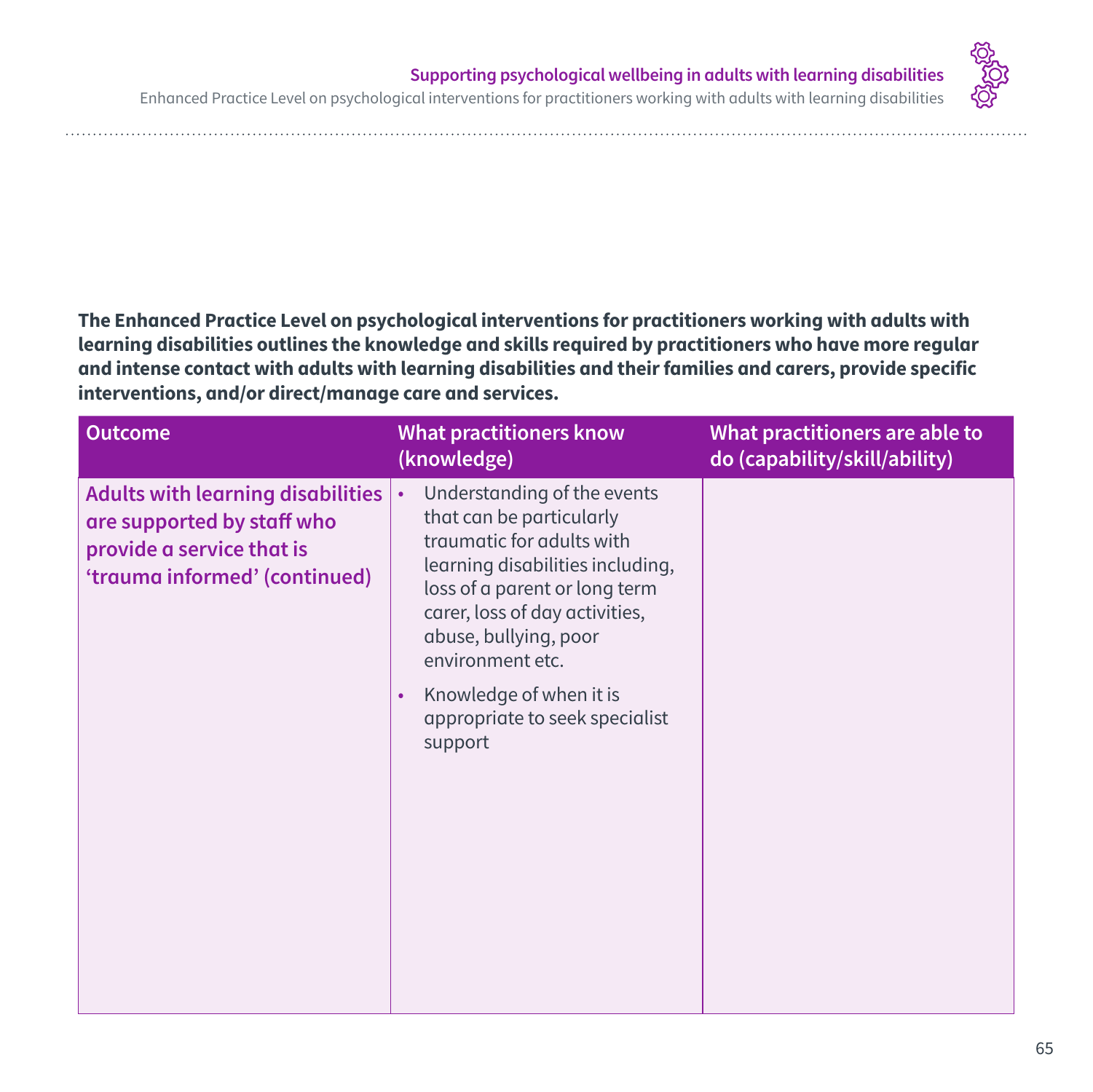

. . . . . . . . . . . . . . . . . .

Enhanced Practice Level on psychological interventions for practitioners working with adults with learning disabilities

| <b>Outcome</b>                                                                                                                | <b>What practitioners know</b><br>(knowledge)                                                                                                                                                                                                                                                                                              | What practitioners are able to<br>do (capability/skill/ability) |
|-------------------------------------------------------------------------------------------------------------------------------|--------------------------------------------------------------------------------------------------------------------------------------------------------------------------------------------------------------------------------------------------------------------------------------------------------------------------------------------|-----------------------------------------------------------------|
| Adults with learning disabilities<br>are supported by staff who<br>provide a service that is<br>'trauma informed' (continued) | Understanding of the events<br>$\bullet$<br>that can be particularly<br>traumatic for adults with<br>learning disabilities including,<br>loss of a parent or long term<br>carer, loss of day activities,<br>abuse, bullying, poor<br>environment etc.<br>Knowledge of when it is<br>$\bullet$<br>appropriate to seek specialist<br>support |                                                                 |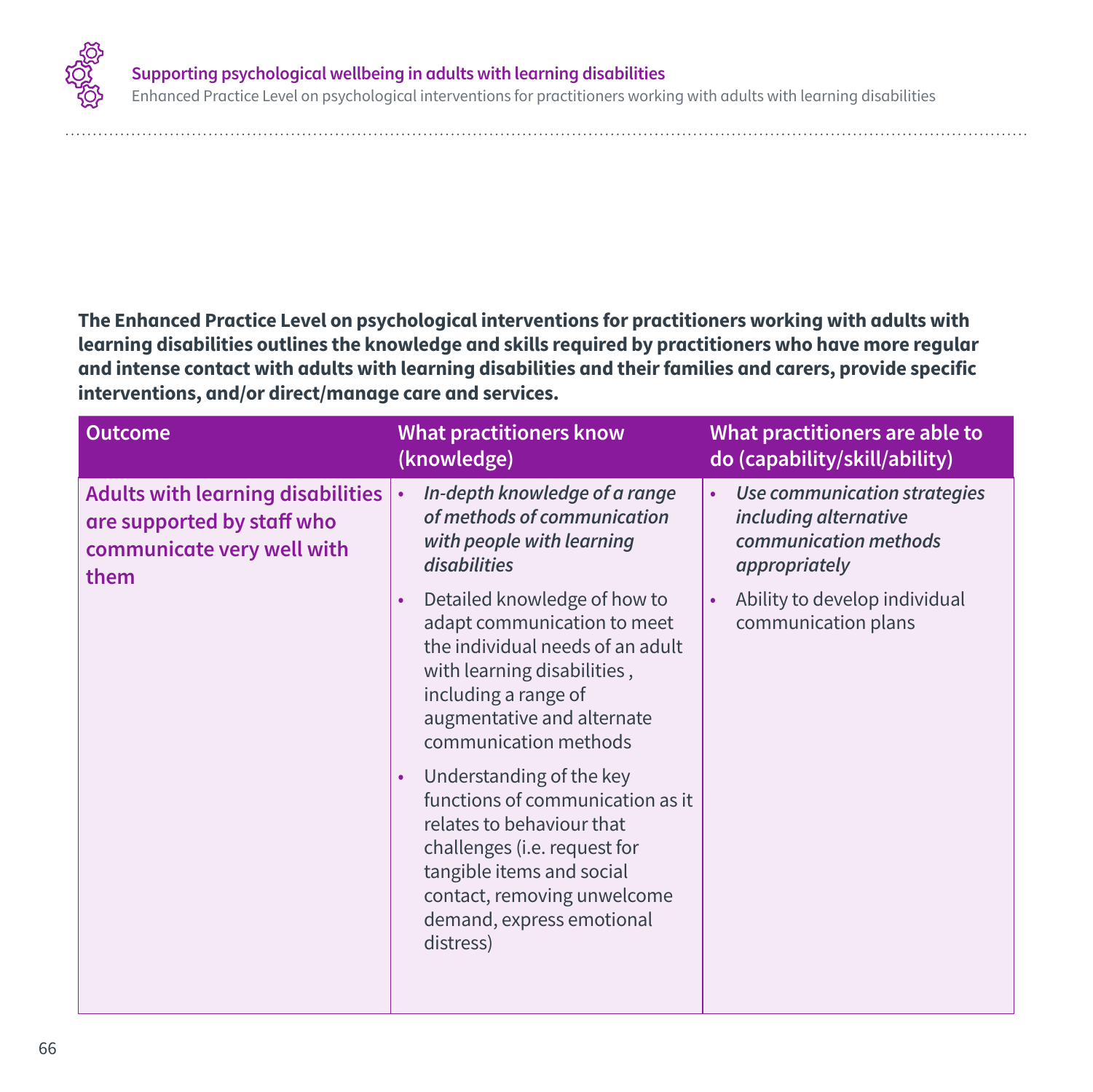

| <b>Outcome</b>                                                                                               | <b>What practitioners know</b><br>(knowledge)                                                                                                                                                                                                | What practitioners are able to<br>do (capability/skill/ability)                                              |
|--------------------------------------------------------------------------------------------------------------|----------------------------------------------------------------------------------------------------------------------------------------------------------------------------------------------------------------------------------------------|--------------------------------------------------------------------------------------------------------------|
| <b>Adults with learning disabilities</b><br>are supported by staff who<br>communicate very well with<br>them | In-depth knowledge of a range<br>$\bullet$<br>of methods of communication<br>with people with learning<br>disabilities                                                                                                                       | Use communication strategies<br>$\bullet$<br>including alternative<br>communication methods<br>appropriately |
|                                                                                                              | Detailed knowledge of how to<br>adapt communication to meet<br>the individual needs of an adult<br>with learning disabilities,<br>including a range of<br>augmentative and alternate<br>communication methods                                | Ability to develop individual<br>communication plans                                                         |
|                                                                                                              | Understanding of the key<br>$\bullet$<br>functions of communication as it<br>relates to behaviour that<br>challenges (i.e. request for<br>tangible items and social<br>contact, removing unwelcome<br>demand, express emotional<br>distress) |                                                                                                              |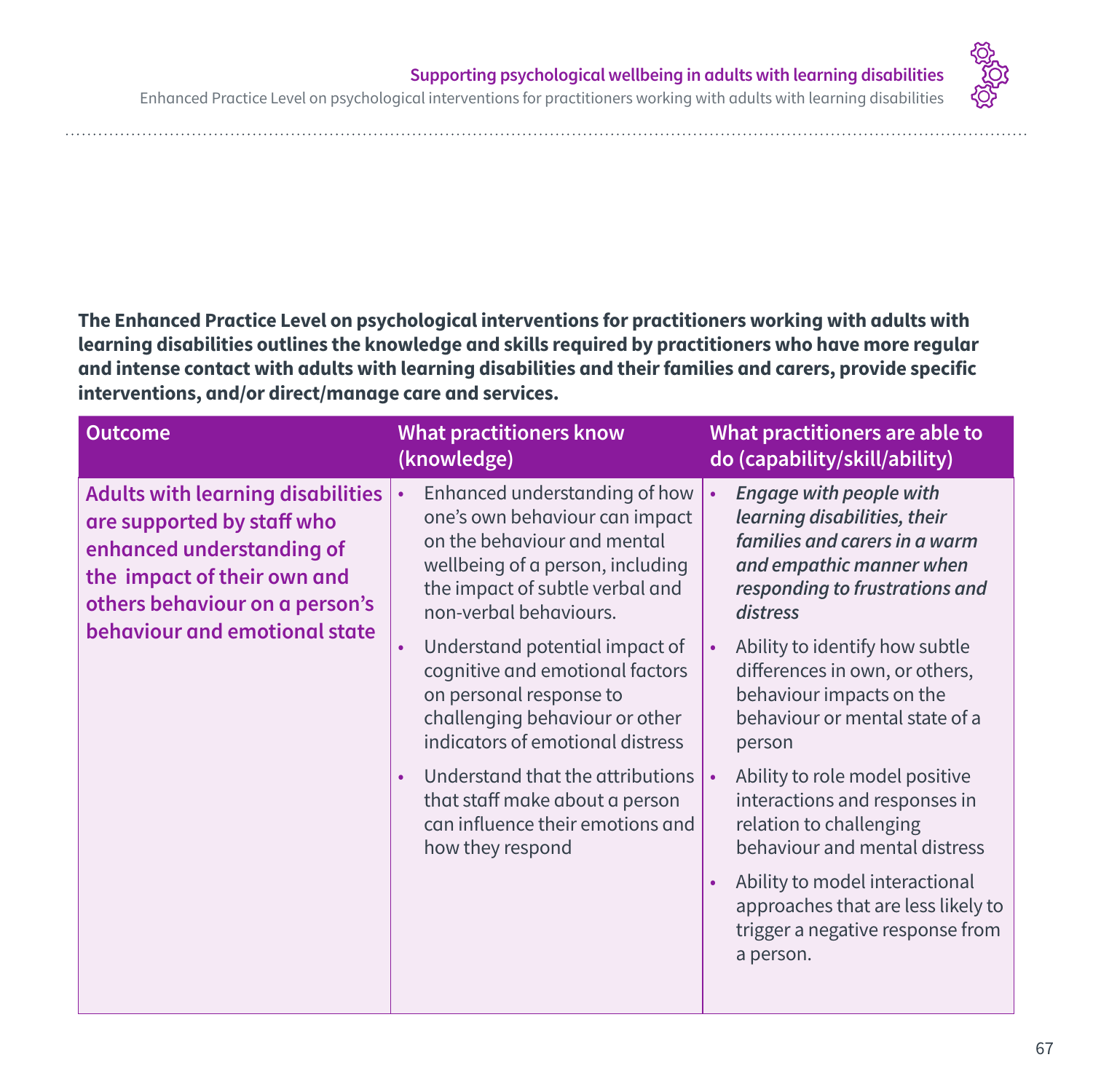

Enhanced Practice Level on psychological interventions for practitioners working with adults with learning disabilities

| <b>Outcome</b>                                                                                                                                                                                        | <b>What practitioners know</b><br>(knowledge)                                                                                                                                                                | What practitioners are able to<br>do (capability/skill/ability)                                                                                                                        |
|-------------------------------------------------------------------------------------------------------------------------------------------------------------------------------------------------------|--------------------------------------------------------------------------------------------------------------------------------------------------------------------------------------------------------------|----------------------------------------------------------------------------------------------------------------------------------------------------------------------------------------|
| <b>Adults with learning disabilities</b><br>are supported by staff who<br>enhanced understanding of<br>the impact of their own and<br>others behaviour on a person's<br>behaviour and emotional state | Enhanced understanding of how<br>$\bullet$<br>one's own behaviour can impact<br>on the behaviour and mental<br>wellbeing of a person, including<br>the impact of subtle verbal and<br>non-verbal behaviours. | <b>Engage with people with</b><br>$\bullet$<br>learning disabilities, their<br>families and carers in a warm<br>and empathic manner when<br>responding to frustrations and<br>distress |
|                                                                                                                                                                                                       | Understand potential impact of<br>cognitive and emotional factors<br>on personal response to<br>challenging behaviour or other<br>indicators of emotional distress                                           | Ability to identify how subtle<br>differences in own, or others,<br>behaviour impacts on the<br>behaviour or mental state of a<br>person                                               |
|                                                                                                                                                                                                       | Understand that the attributions<br>that staff make about a person<br>can influence their emotions and<br>how they respond                                                                                   | Ability to role model positive<br>interactions and responses in<br>relation to challenging<br>behaviour and mental distress                                                            |
|                                                                                                                                                                                                       |                                                                                                                                                                                                              | Ability to model interactional<br>approaches that are less likely to<br>trigger a negative response from<br>a person.                                                                  |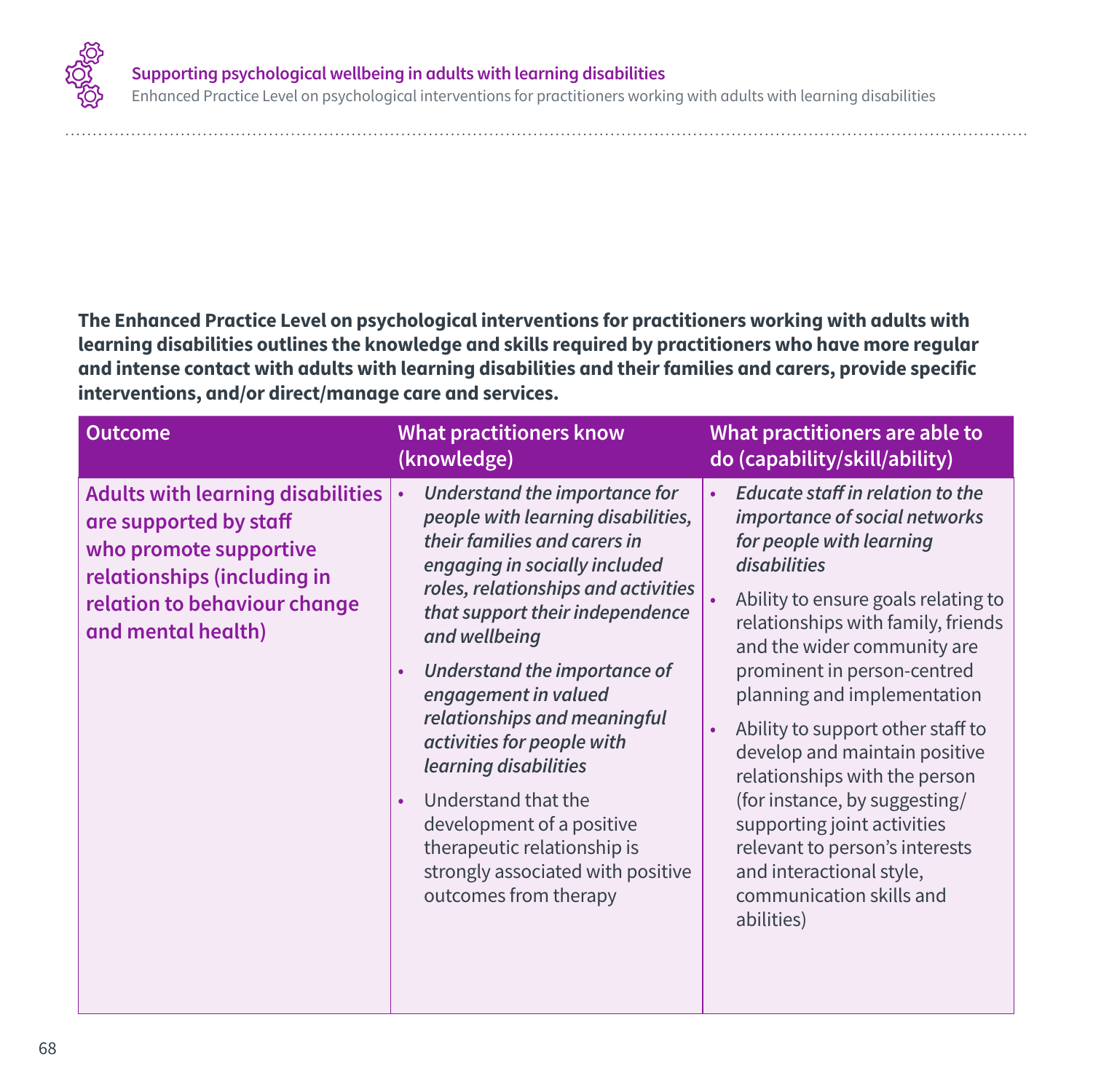

| <b>Outcome</b>                                                                                                                                                             | <b>What practitioners know</b><br>(knowledge)                                                                                                                                                                                                                                                                                                                                                                                                                                                                                                             | What practitioners are able to<br>do (capability/skill/ability)                                                                                                                                                                                                                                                                                                                                                                                                                                                                                                                                         |
|----------------------------------------------------------------------------------------------------------------------------------------------------------------------------|-----------------------------------------------------------------------------------------------------------------------------------------------------------------------------------------------------------------------------------------------------------------------------------------------------------------------------------------------------------------------------------------------------------------------------------------------------------------------------------------------------------------------------------------------------------|---------------------------------------------------------------------------------------------------------------------------------------------------------------------------------------------------------------------------------------------------------------------------------------------------------------------------------------------------------------------------------------------------------------------------------------------------------------------------------------------------------------------------------------------------------------------------------------------------------|
| Adults with learning disabilities<br>are supported by staff<br>who promote supportive<br>relationships (including in<br>relation to behaviour change<br>and mental health) | Understand the importance for<br>people with learning disabilities,<br>their families and carers in<br>engaging in socially included<br>roles, relationships and activities<br>that support their independence<br>and wellbeing<br>Understand the importance of<br>$\bullet$<br>engagement in valued<br>relationships and meaningful<br>activities for people with<br>learning disabilities<br>Understand that the<br>$\bullet$<br>development of a positive<br>therapeutic relationship is<br>strongly associated with positive<br>outcomes from therapy | <b>Educate staff in relation to the</b><br>$\bullet$<br>importance of social networks<br>for people with learning<br>disabilities<br>Ability to ensure goals relating to<br>relationships with family, friends<br>and the wider community are<br>prominent in person-centred<br>planning and implementation<br>Ability to support other staff to<br>$\bullet$<br>develop and maintain positive<br>relationships with the person<br>(for instance, by suggesting/<br>supporting joint activities<br>relevant to person's interests<br>and interactional style,<br>communication skills and<br>abilities) |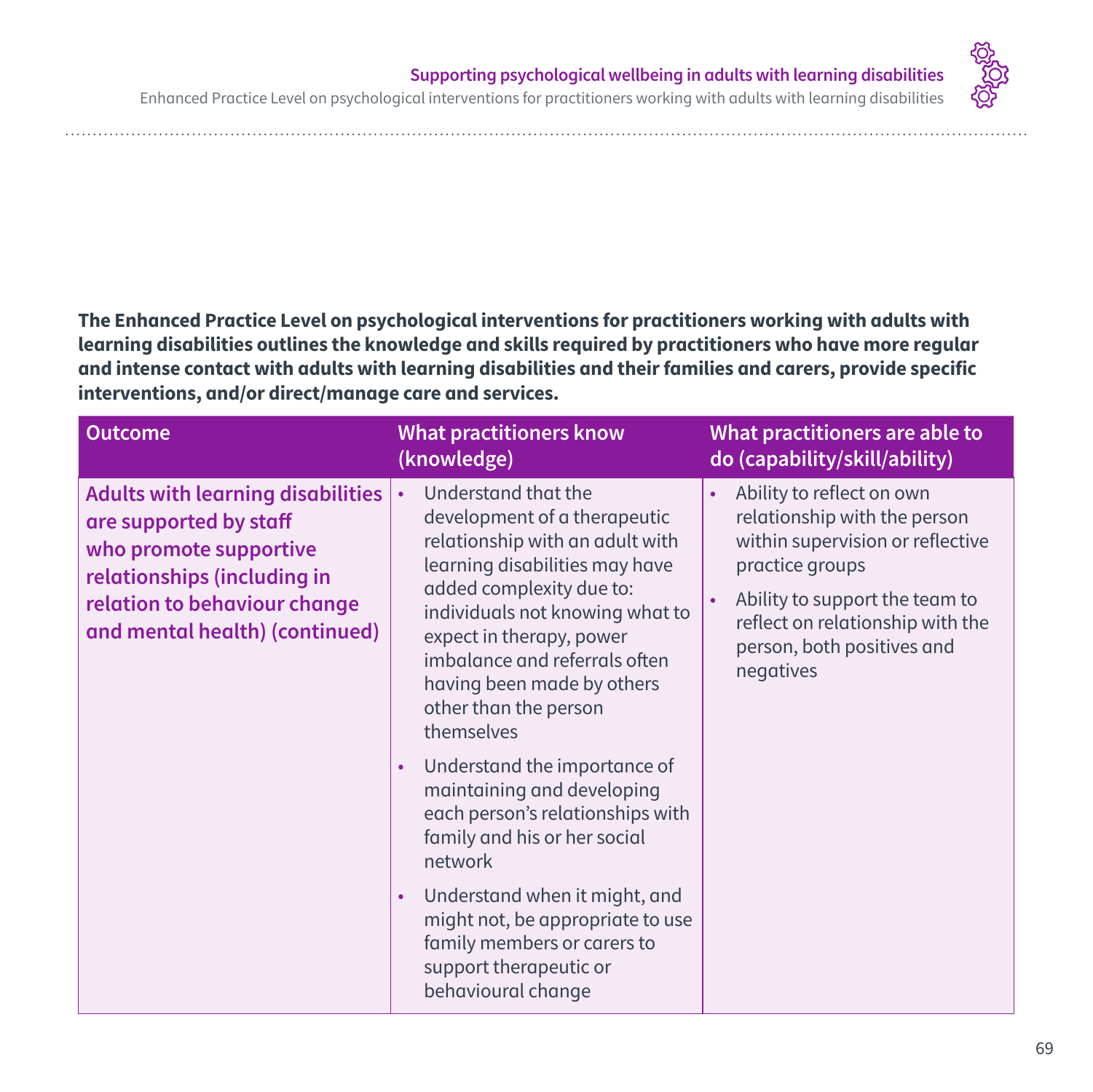

. . . . . . . . . . . . . . .

Enhanced Practice Level on psychological interventions for practitioners working with adults with learning disabilities

| <b>Outcome</b>                                                                                                                                                                                | <b>What practitioners know</b><br>(knowledge)                                                                                                                                                                                                                                                                                                                                                                                                                                                                                                                                                                                                        | What practitioners are able to<br>do (capability/skill/ability)                                                                                                                                                                                |
|-----------------------------------------------------------------------------------------------------------------------------------------------------------------------------------------------|------------------------------------------------------------------------------------------------------------------------------------------------------------------------------------------------------------------------------------------------------------------------------------------------------------------------------------------------------------------------------------------------------------------------------------------------------------------------------------------------------------------------------------------------------------------------------------------------------------------------------------------------------|------------------------------------------------------------------------------------------------------------------------------------------------------------------------------------------------------------------------------------------------|
| <b>Adults with learning disabilities</b><br>are supported by staff<br>who promote supportive<br>relationships (including in<br>relation to behaviour change<br>and mental health) (continued) | Understand that the<br>$\bullet$<br>development of a therapeutic<br>relationship with an adult with<br>learning disabilities may have<br>added complexity due to:<br>individuals not knowing what to<br>expect in therapy, power<br>imbalance and referrals often<br>having been made by others<br>other than the person<br>themselves<br>Understand the importance of<br>maintaining and developing<br>each person's relationships with<br>family and his or her social<br>network<br>Understand when it might, and<br>$\bullet$<br>might not, be appropriate to use<br>family members or carers to<br>support therapeutic or<br>behavioural change | Ability to reflect on own<br>$\bullet$<br>relationship with the person<br>within supervision or reflective<br>practice groups<br>Ability to support the team to<br>reflect on relationship with the<br>person, both positives and<br>negatives |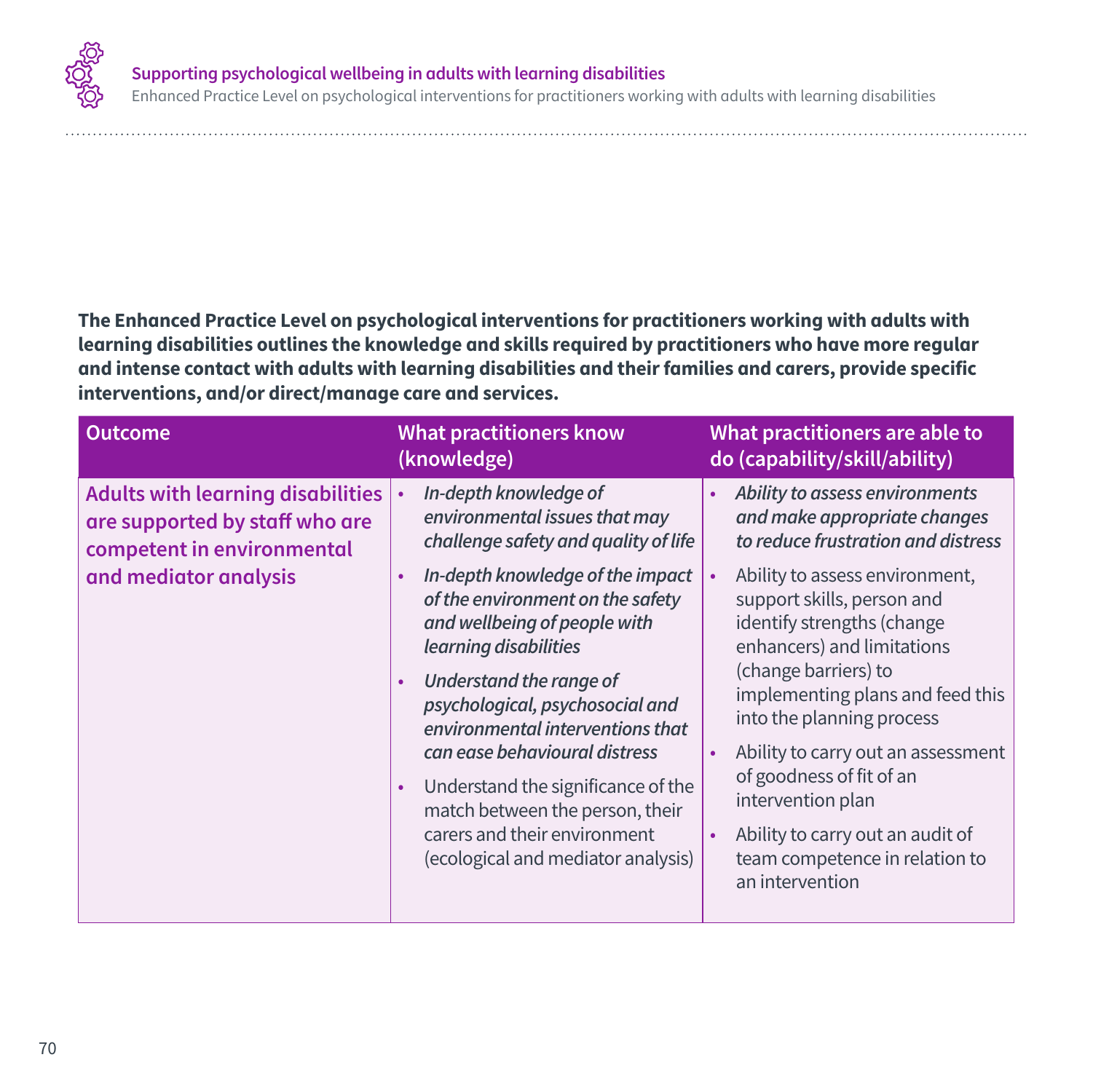

| <b>Outcome</b>                                                                                           | <b>What practitioners know</b><br>(knowledge)                                                                                                                                                                                                             | What practitioners are able to<br>do (capability/skill/ability)                                                                                                                                                   |
|----------------------------------------------------------------------------------------------------------|-----------------------------------------------------------------------------------------------------------------------------------------------------------------------------------------------------------------------------------------------------------|-------------------------------------------------------------------------------------------------------------------------------------------------------------------------------------------------------------------|
| <b>Adults with learning disabilities</b><br>are supported by staff who are<br>competent in environmental | In-depth knowledge of<br>environmental issues that may<br>challenge safety and quality of life                                                                                                                                                            | Ability to assess environments<br>$\bullet$<br>and make appropriate changes<br>to reduce frustration and distress                                                                                                 |
| and mediator analysis                                                                                    | In-depth knowledge of the impact<br>$\bullet$<br>of the environment on the safety<br>and wellbeing of people with<br>learning disabilities<br>Understand the range of<br>$\bullet$<br>psychological, psychosocial and<br>environmental interventions that | Ability to assess environment,<br>support skills, person and<br>identify strengths (change<br>enhancers) and limitations<br>(change barriers) to<br>implementing plans and feed this<br>into the planning process |
|                                                                                                          | can ease behavioural distress<br>Understand the significance of the<br>$\bullet$<br>match between the person, their<br>carers and their environment<br>(ecological and mediator analysis)                                                                 | Ability to carry out an assessment<br>of goodness of fit of an<br>intervention plan<br>Ability to carry out an audit of<br>team competence in relation to<br>an intervention                                      |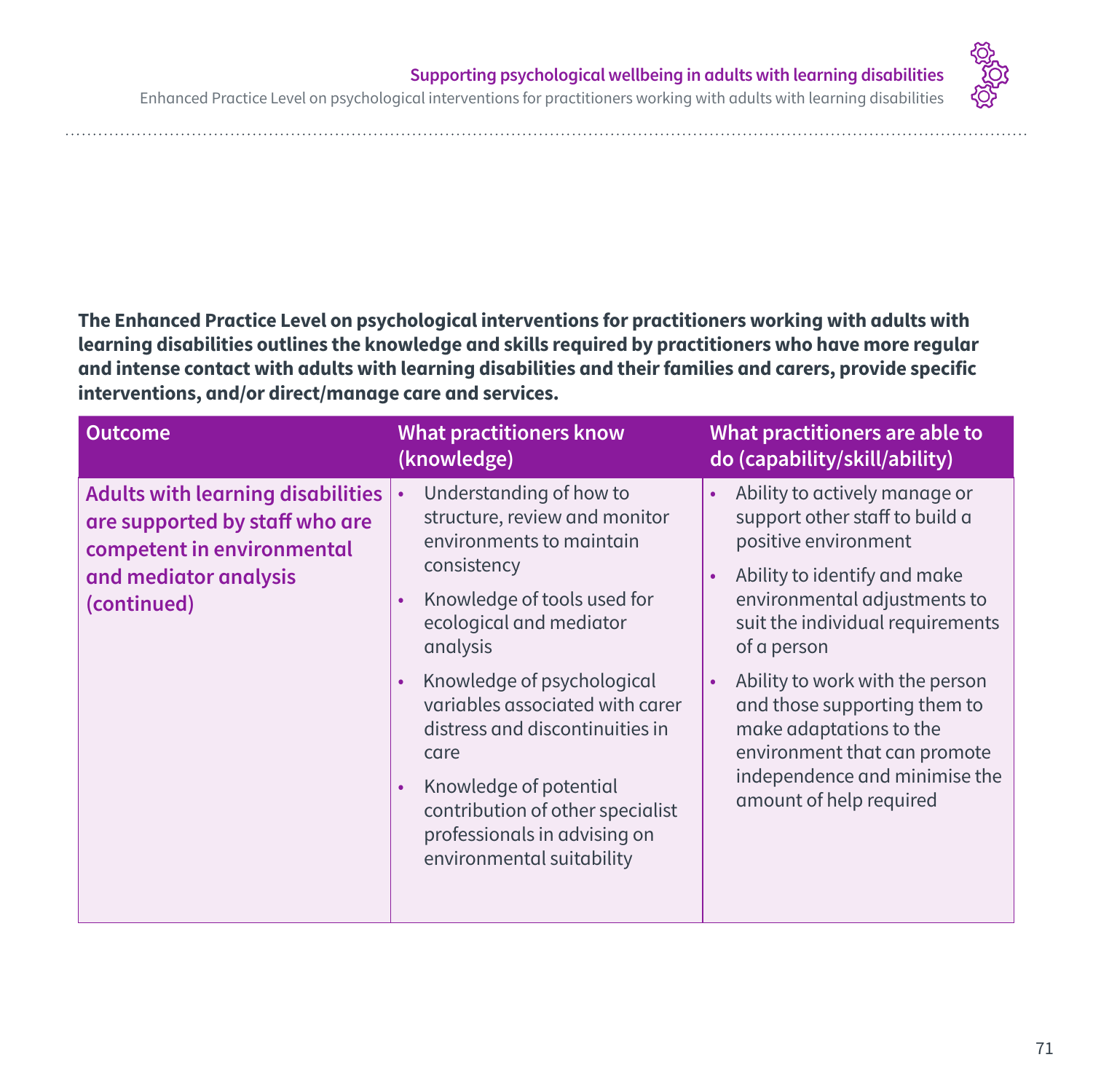

. . . . . . . . . . . . . . . . . . .

Enhanced Practice Level on psychological interventions for practitioners working with adults with learning disabilities

| <b>Outcome</b>                                                                                                                            | <b>What practitioners know</b><br>(knowledge)                                                                                                                                                                                                                                                                                                                                                                                                           | What practitioners are able to<br>do (capability/skill/ability)                                                                                                                                                                                                                                                                                                                                                                |
|-------------------------------------------------------------------------------------------------------------------------------------------|---------------------------------------------------------------------------------------------------------------------------------------------------------------------------------------------------------------------------------------------------------------------------------------------------------------------------------------------------------------------------------------------------------------------------------------------------------|--------------------------------------------------------------------------------------------------------------------------------------------------------------------------------------------------------------------------------------------------------------------------------------------------------------------------------------------------------------------------------------------------------------------------------|
| Adults with learning disabilities<br>are supported by staff who are<br>competent in environmental<br>and mediator analysis<br>(continued) | Understanding of how to<br>structure, review and monitor<br>environments to maintain<br>consistency<br>Knowledge of tools used for<br>$\bullet$<br>ecological and mediator<br>analysis<br>Knowledge of psychological<br>$\bullet$<br>variables associated with carer<br>distress and discontinuities in<br>care<br>Knowledge of potential<br>$\bullet$<br>contribution of other specialist<br>professionals in advising on<br>environmental suitability | Ability to actively manage or<br>$\bullet$<br>support other staff to build a<br>positive environment<br>Ability to identify and make<br>environmental adjustments to<br>suit the individual requirements<br>of a person<br>Ability to work with the person<br>$\bullet$<br>and those supporting them to<br>make adaptations to the<br>environment that can promote<br>independence and minimise the<br>amount of help required |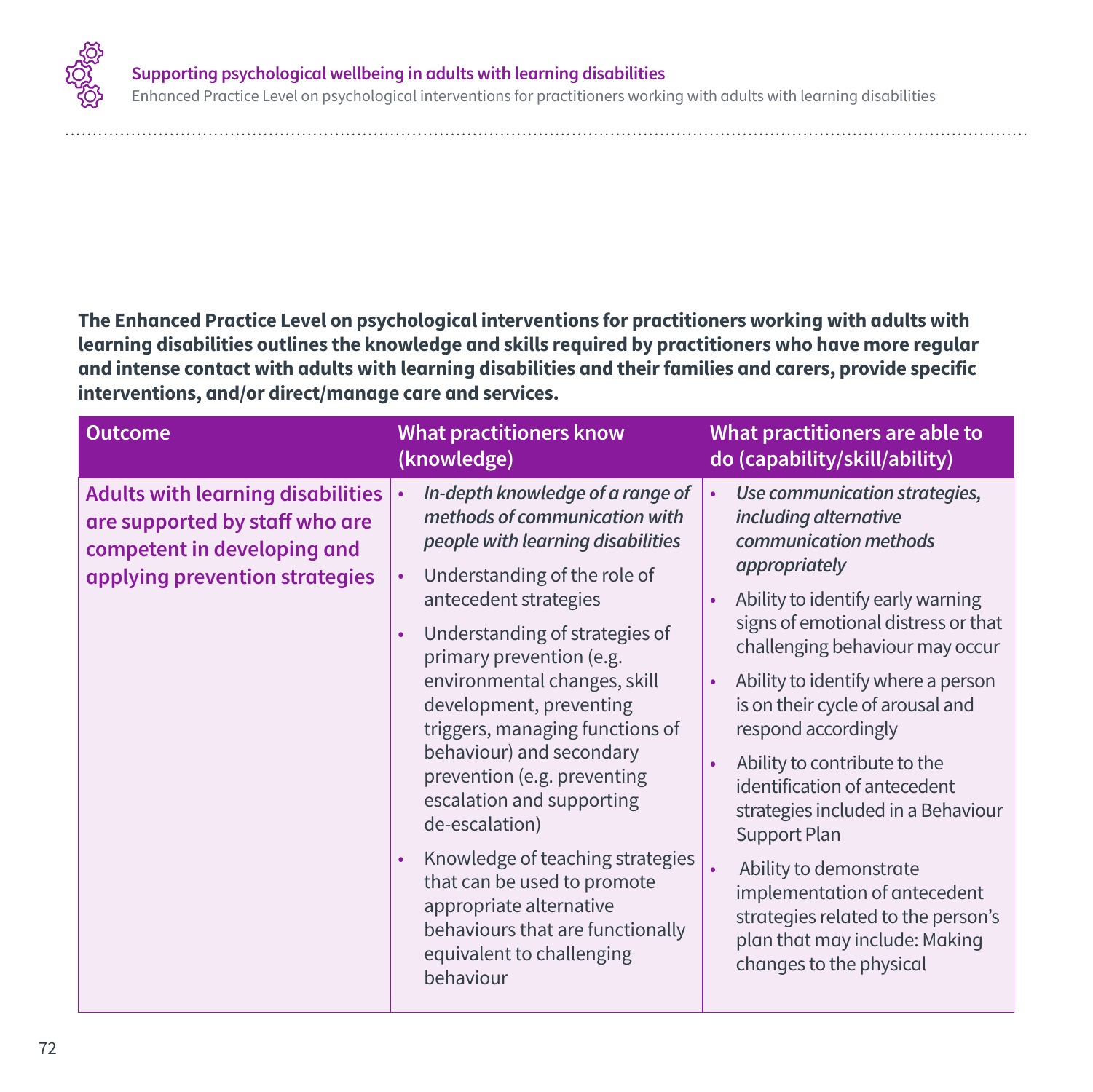

| <b>Outcome</b>                                                                                                                              | <b>What practitioners know</b><br>(knowledge)                                                                                                                                                                                                                                                                                                                                                                                                                                                                                                                                                                                                            | What practitioners are able to<br>do (capability/skill/ability)                                                                                                                                                                                                                                                                                                                                                                                                                                                                                                                                                 |
|---------------------------------------------------------------------------------------------------------------------------------------------|----------------------------------------------------------------------------------------------------------------------------------------------------------------------------------------------------------------------------------------------------------------------------------------------------------------------------------------------------------------------------------------------------------------------------------------------------------------------------------------------------------------------------------------------------------------------------------------------------------------------------------------------------------|-----------------------------------------------------------------------------------------------------------------------------------------------------------------------------------------------------------------------------------------------------------------------------------------------------------------------------------------------------------------------------------------------------------------------------------------------------------------------------------------------------------------------------------------------------------------------------------------------------------------|
| <b>Adults with learning disabilities</b><br>are supported by staff who are<br>competent in developing and<br>applying prevention strategies | In-depth knowledge of a range of<br>methods of communication with<br>people with learning disabilities<br>Understanding of the role of<br>$\bullet$<br>antecedent strategies<br>Understanding of strategies of<br>$\bullet$<br>primary prevention (e.g.<br>environmental changes, skill<br>development, preventing<br>triggers, managing functions of<br>behaviour) and secondary<br>prevention (e.g. preventing<br>escalation and supporting<br>de-escalation)<br>Knowledge of teaching strategies<br>$\bullet$<br>that can be used to promote<br>appropriate alternative<br>behaviours that are functionally<br>equivalent to challenging<br>behaviour | Use communication strategies,<br>including alternative<br>communication methods<br>appropriately<br>Ability to identify early warning<br>signs of emotional distress or that<br>challenging behaviour may occur<br>Ability to identify where a person<br>$\bullet$<br>is on their cycle of arousal and<br>respond accordingly<br>Ability to contribute to the<br>identification of antecedent<br>strategies included in a Behaviour<br>Support Plan<br>Ability to demonstrate<br>implementation of antecedent<br>strategies related to the person's<br>plan that may include: Making<br>changes to the physical |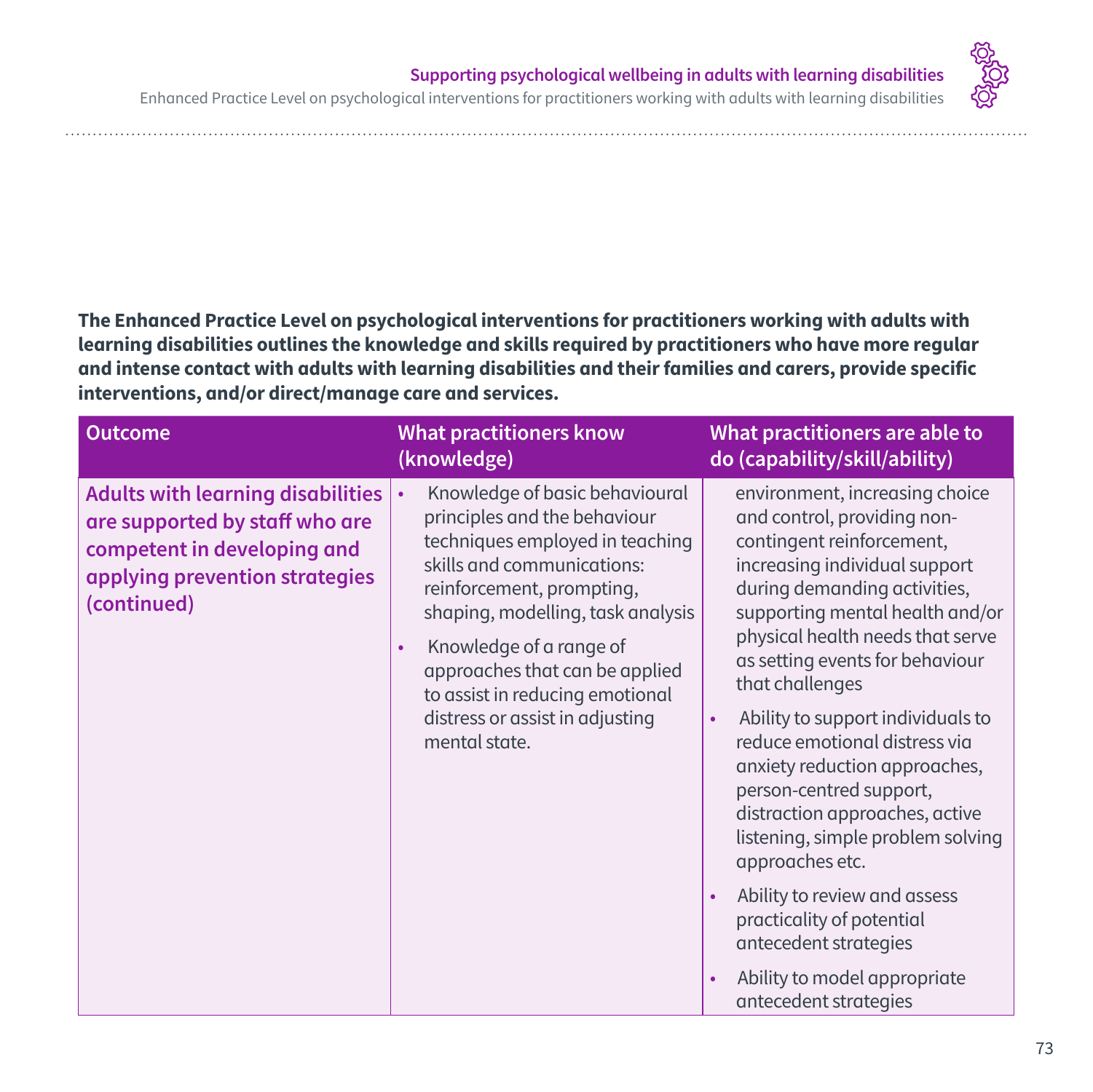

. . . . . . . . . . . . . . . . . . .

Enhanced Practice Level on psychological interventions for practitioners working with adults with learning disabilities

| <b>Outcome</b>                                                                                                                                      | <b>What practitioners know</b><br>(knowledge)                                                                                                                                                                                                                                                                                                                                   | What practitioners are able to<br>do (capability/skill/ability)                                                                                                                                                                                                                                                                                                                                                                                                                                                                                                                                                                                                                  |
|-----------------------------------------------------------------------------------------------------------------------------------------------------|---------------------------------------------------------------------------------------------------------------------------------------------------------------------------------------------------------------------------------------------------------------------------------------------------------------------------------------------------------------------------------|----------------------------------------------------------------------------------------------------------------------------------------------------------------------------------------------------------------------------------------------------------------------------------------------------------------------------------------------------------------------------------------------------------------------------------------------------------------------------------------------------------------------------------------------------------------------------------------------------------------------------------------------------------------------------------|
| Adults with learning disabilities<br>are supported by staff who are<br>competent in developing and<br>applying prevention strategies<br>(continued) | Knowledge of basic behavioural<br>$\bullet$<br>principles and the behaviour<br>techniques employed in teaching<br>skills and communications:<br>reinforcement, prompting,<br>shaping, modelling, task analysis<br>Knowledge of a range of<br>$\bullet$<br>approaches that can be applied<br>to assist in reducing emotional<br>distress or assist in adjusting<br>mental state. | environment, increasing choice<br>and control, providing non-<br>contingent reinforcement,<br>increasing individual support<br>during demanding activities,<br>supporting mental health and/or<br>physical health needs that serve<br>as setting events for behaviour<br>that challenges<br>Ability to support individuals to<br>$\bullet$<br>reduce emotional distress via<br>anxiety reduction approaches,<br>person-centred support,<br>distraction approaches, active<br>listening, simple problem solving<br>approaches etc.<br>Ability to review and assess<br>practicality of potential<br>antecedent strategies<br>Ability to model appropriate<br>antecedent strategies |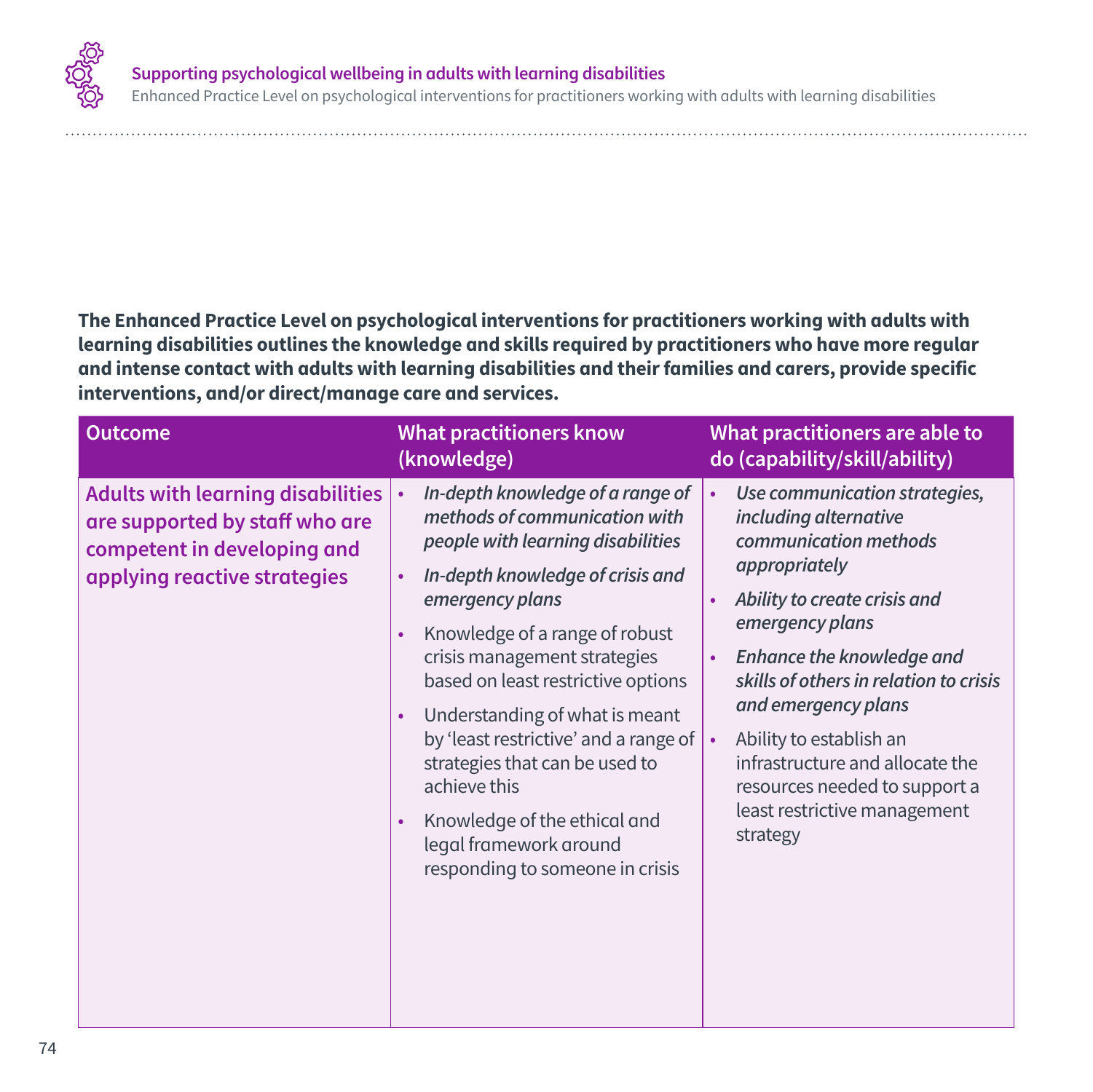

| <b>Outcome</b>                                                                                                                     | <b>What practitioners know</b><br>(knowledge)                                                                                                                                                                                                                                                                                                                                                                                                                                                                             | What practitioners are able to<br>do (capability/skill/ability)                                                                                                                                                                                                                                                                                                                                                        |
|------------------------------------------------------------------------------------------------------------------------------------|---------------------------------------------------------------------------------------------------------------------------------------------------------------------------------------------------------------------------------------------------------------------------------------------------------------------------------------------------------------------------------------------------------------------------------------------------------------------------------------------------------------------------|------------------------------------------------------------------------------------------------------------------------------------------------------------------------------------------------------------------------------------------------------------------------------------------------------------------------------------------------------------------------------------------------------------------------|
| Adults with learning disabilities<br>are supported by staff who are<br>competent in developing and<br>applying reactive strategies | In-depth knowledge of a range of<br>methods of communication with<br>people with learning disabilities<br>In-depth knowledge of crisis and<br>$\bullet$<br>emergency plans<br>Knowledge of a range of robust<br>crisis management strategies<br>based on least restrictive options<br>Understanding of what is meant<br>by 'least restrictive' and a range of<br>strategies that can be used to<br>achieve this<br>Knowledge of the ethical and<br>$\bullet$<br>legal framework around<br>responding to someone in crisis | Use communication strategies,<br>including alternative<br>communication methods<br>appropriately<br>Ability to create crisis and<br>$\bullet$<br>emergency plans<br>Enhance the knowledge and<br>$\bullet$<br>skills of others in relation to crisis<br>and emergency plans<br>Ability to establish an<br>infrastructure and allocate the<br>resources needed to support a<br>least restrictive management<br>strategy |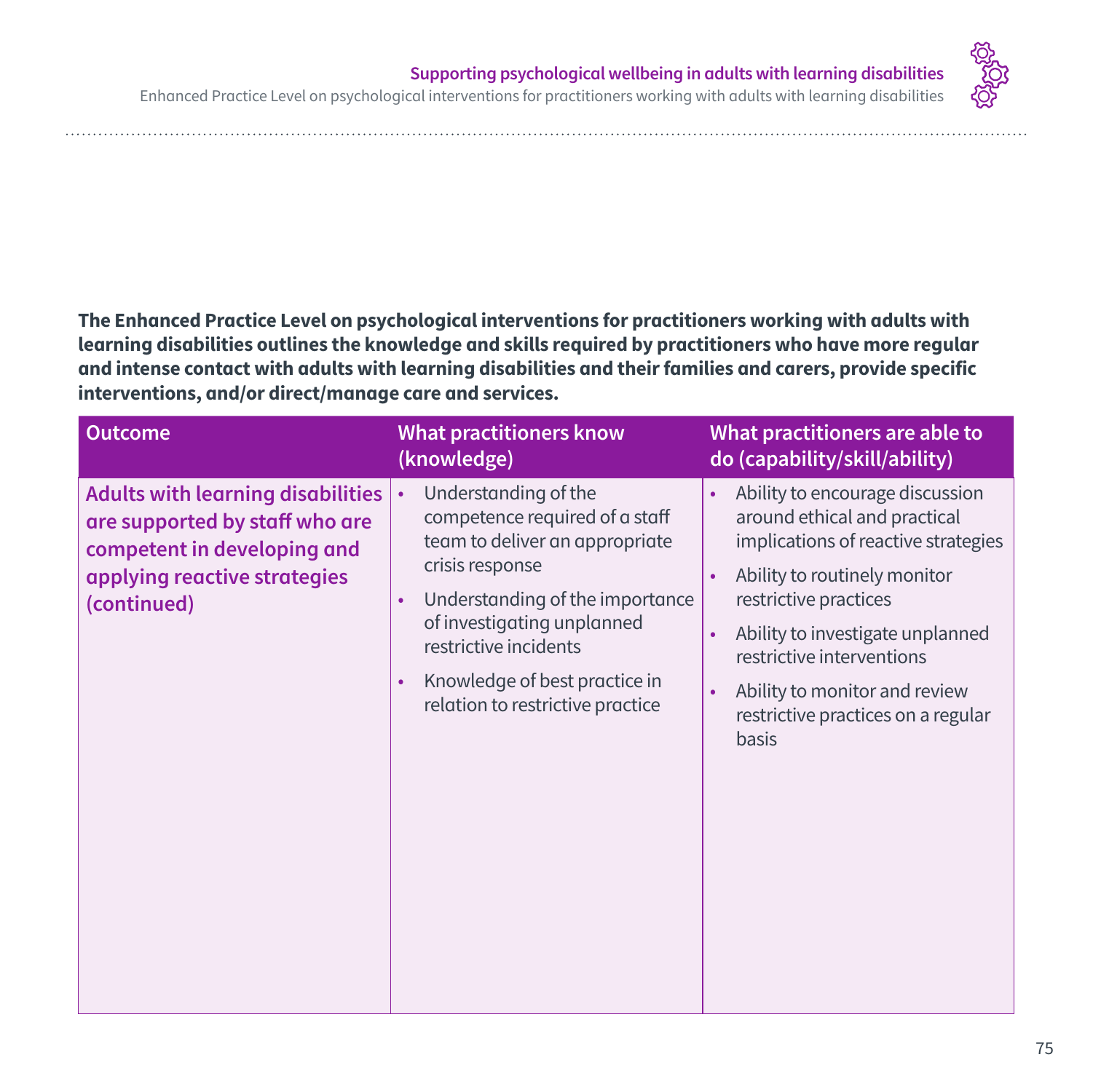

. . . . . . . . . . . . . . . . .

Enhanced Practice Level on psychological interventions for practitioners working with adults with learning disabilities

| <b>Outcome</b>                                                                                                                                    | <b>What practitioners know</b><br>(knowledge)                                                                                                                                                                                                                                           | What practitioners are able to<br>do (capability/skill/ability)                                                                                                                                                                                                                                                                                         |
|---------------------------------------------------------------------------------------------------------------------------------------------------|-----------------------------------------------------------------------------------------------------------------------------------------------------------------------------------------------------------------------------------------------------------------------------------------|---------------------------------------------------------------------------------------------------------------------------------------------------------------------------------------------------------------------------------------------------------------------------------------------------------------------------------------------------------|
| Adults with learning disabilities<br>are supported by staff who are<br>competent in developing and<br>applying reactive strategies<br>(continued) | Understanding of the<br>competence required of a staff<br>team to deliver an appropriate<br>crisis response<br>Understanding of the importance<br>$\bullet$<br>of investigating unplanned<br>restrictive incidents<br>Knowledge of best practice in<br>relation to restrictive practice | Ability to encourage discussion<br>$\bullet$<br>around ethical and practical<br>implications of reactive strategies<br>Ability to routinely monitor<br>$\bullet$<br>restrictive practices<br>Ability to investigate unplanned<br>restrictive interventions<br>Ability to monitor and review<br>$\bullet$<br>restrictive practices on a regular<br>basis |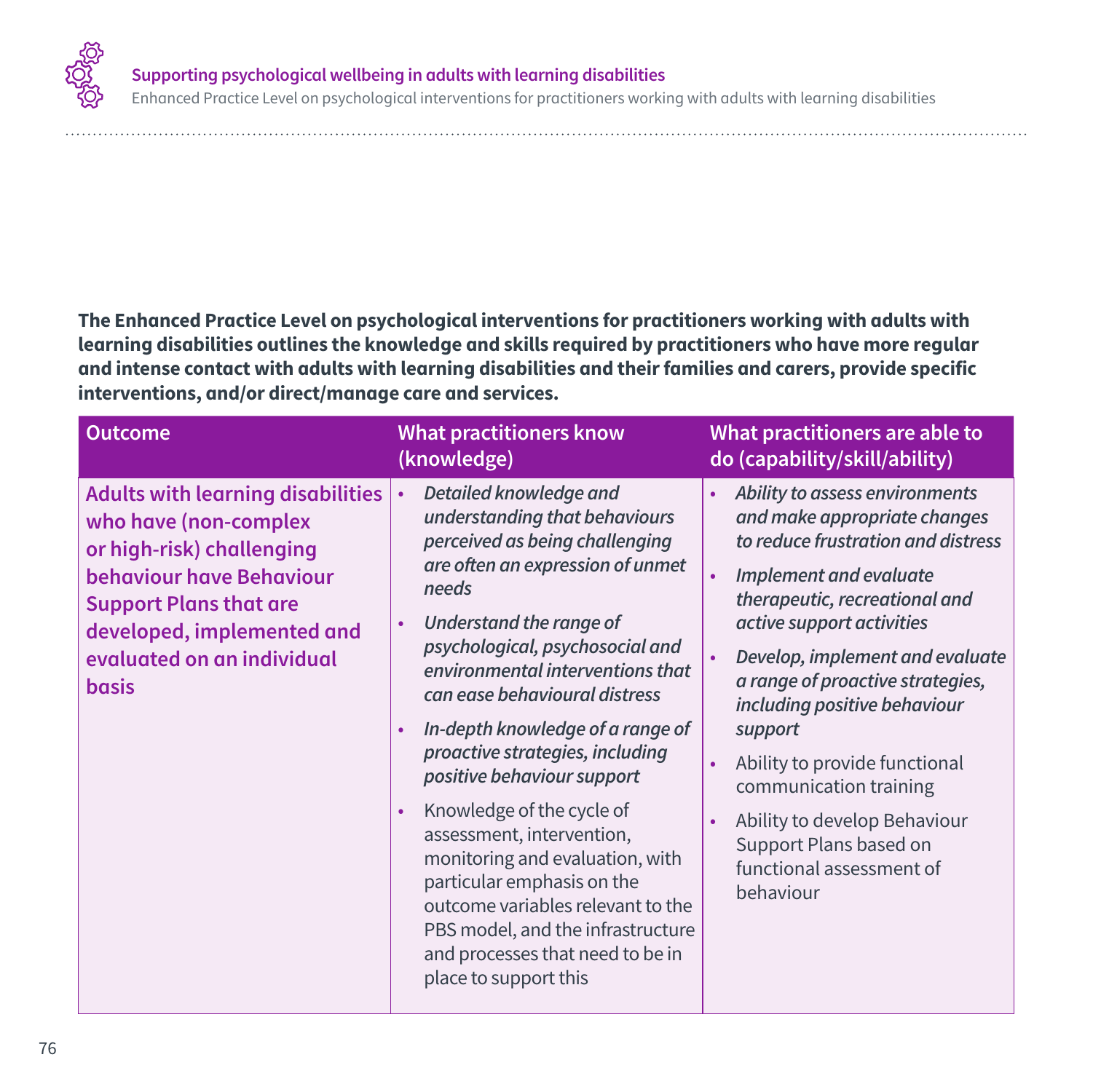

| <b>Outcome</b>                                                                                                                                                                                                                   | <b>What practitioners know</b><br>(knowledge)                                                                                                                                                                                                                                                                                                                                                                                                                                                                                                                                                                                                                                                        | What practitioners are able to<br>do (capability/skill/ability)                                                                                                                                                                                                                                                                                                                                                                                                                                                                               |
|----------------------------------------------------------------------------------------------------------------------------------------------------------------------------------------------------------------------------------|------------------------------------------------------------------------------------------------------------------------------------------------------------------------------------------------------------------------------------------------------------------------------------------------------------------------------------------------------------------------------------------------------------------------------------------------------------------------------------------------------------------------------------------------------------------------------------------------------------------------------------------------------------------------------------------------------|-----------------------------------------------------------------------------------------------------------------------------------------------------------------------------------------------------------------------------------------------------------------------------------------------------------------------------------------------------------------------------------------------------------------------------------------------------------------------------------------------------------------------------------------------|
| <b>Adults with learning disabilities</b><br>who have (non-complex<br>or high-risk) challenging<br>behaviour have Behaviour<br><b>Support Plans that are</b><br>developed, implemented and<br>evaluated on an individual<br>basis | Detailed knowledge and<br>$\bullet$<br>understanding that behaviours<br>perceived as being challenging<br>are often an expression of unmet<br>needs<br>Understand the range of<br>$\bullet$<br>psychological, psychosocial and<br>environmental interventions that<br>can ease behavioural distress<br>In-depth knowledge of a range of<br>$\bullet$<br>proactive strategies, including<br>positive behaviour support<br>Knowledge of the cycle of<br>$\bullet$<br>assessment, intervention,<br>monitoring and evaluation, with<br>particular emphasis on the<br>outcome variables relevant to the<br>PBS model, and the infrastructure<br>and processes that need to be in<br>place to support this | Ability to assess environments<br>$\bullet$<br>and make appropriate changes<br>to reduce frustration and distress<br>Implement and evaluate<br>$\bullet$<br>therapeutic, recreational and<br>active support activities<br>Develop, implement and evaluate<br>$\bullet$<br>a range of proactive strategies,<br>including positive behaviour<br>support<br>Ability to provide functional<br>$\bullet$<br>communication training<br>Ability to develop Behaviour<br>$\bullet$<br>Support Plans based on<br>functional assessment of<br>behaviour |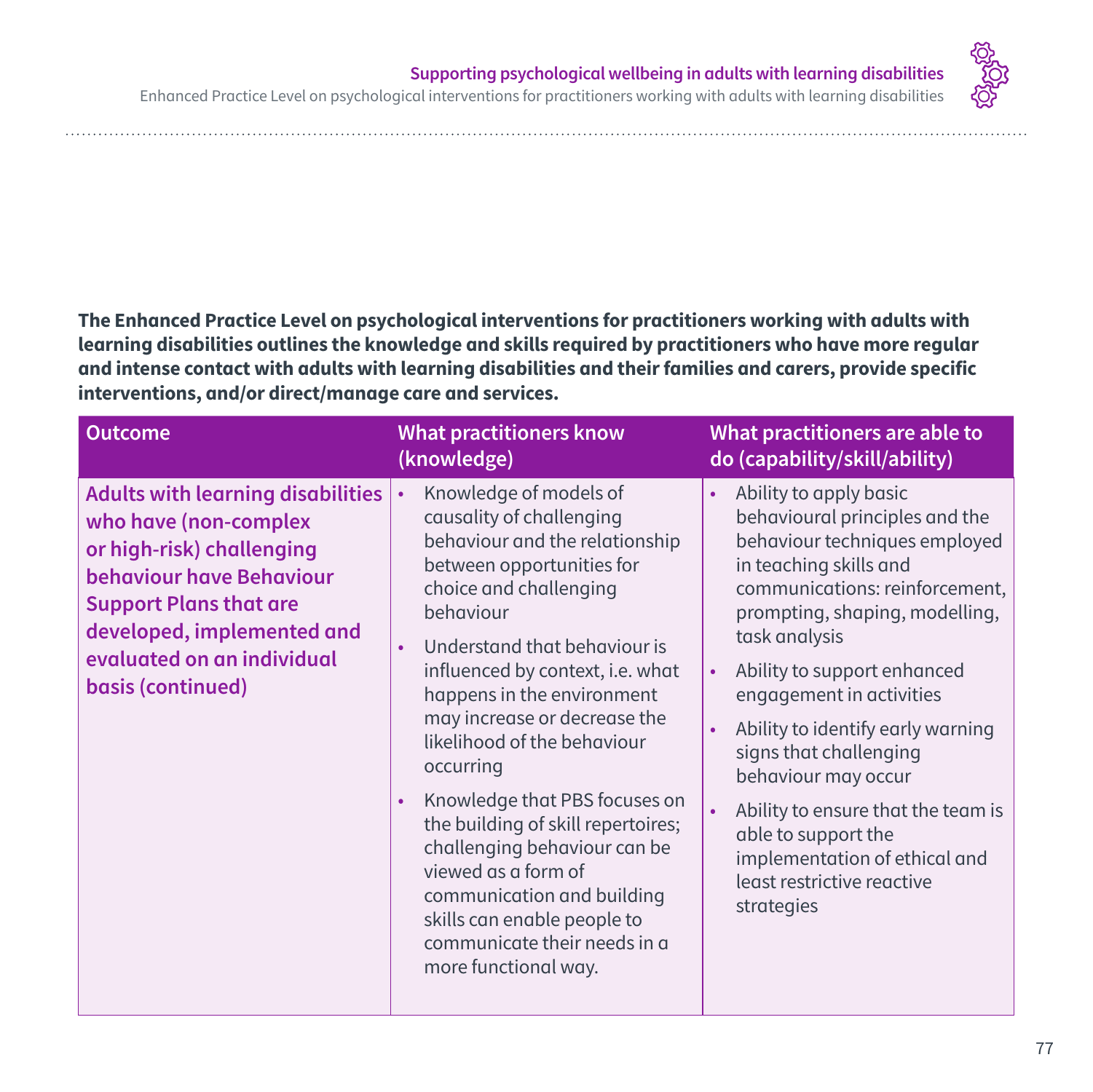

Enhanced Practice Level on psychological interventions for practitioners working with adults with learning disabilities

| <b>Outcome</b>                                                                                                                                                                                                                               | <b>What practitioners know</b><br>(knowledge)                                                                                                                                                                                                                                                                                                                                                                                                                                                                                                                                                          | What practitioners are able to<br>do (capability/skill/ability)                                                                                                                                                                                                                                                                                                                                                                                                                                                               |
|----------------------------------------------------------------------------------------------------------------------------------------------------------------------------------------------------------------------------------------------|--------------------------------------------------------------------------------------------------------------------------------------------------------------------------------------------------------------------------------------------------------------------------------------------------------------------------------------------------------------------------------------------------------------------------------------------------------------------------------------------------------------------------------------------------------------------------------------------------------|-------------------------------------------------------------------------------------------------------------------------------------------------------------------------------------------------------------------------------------------------------------------------------------------------------------------------------------------------------------------------------------------------------------------------------------------------------------------------------------------------------------------------------|
| <b>Adults with learning disabilities</b><br>who have (non-complex<br>or high-risk) challenging<br>behaviour have Behaviour<br><b>Support Plans that are</b><br>developed, implemented and<br>evaluated on an individual<br>basis (continued) | Knowledge of models of<br>causality of challenging<br>behaviour and the relationship<br>between opportunities for<br>choice and challenging<br>behaviour<br>Understand that behaviour is<br>influenced by context, i.e. what<br>happens in the environment<br>may increase or decrease the<br>likelihood of the behaviour<br>occurring<br>Knowledge that PBS focuses on<br>$\bullet$<br>the building of skill repertoires;<br>challenging behaviour can be<br>viewed as a form of<br>communication and building<br>skills can enable people to<br>communicate their needs in a<br>more functional way. | Ability to apply basic<br>$\bullet$<br>behavioural principles and the<br>behaviour techniques employed<br>in teaching skills and<br>communications: reinforcement,<br>prompting, shaping, modelling,<br>task analysis<br>Ability to support enhanced<br>$\bullet$<br>engagement in activities<br>Ability to identify early warning<br>signs that challenging<br>behaviour may occur<br>Ability to ensure that the team is<br>able to support the<br>implementation of ethical and<br>least restrictive reactive<br>strategies |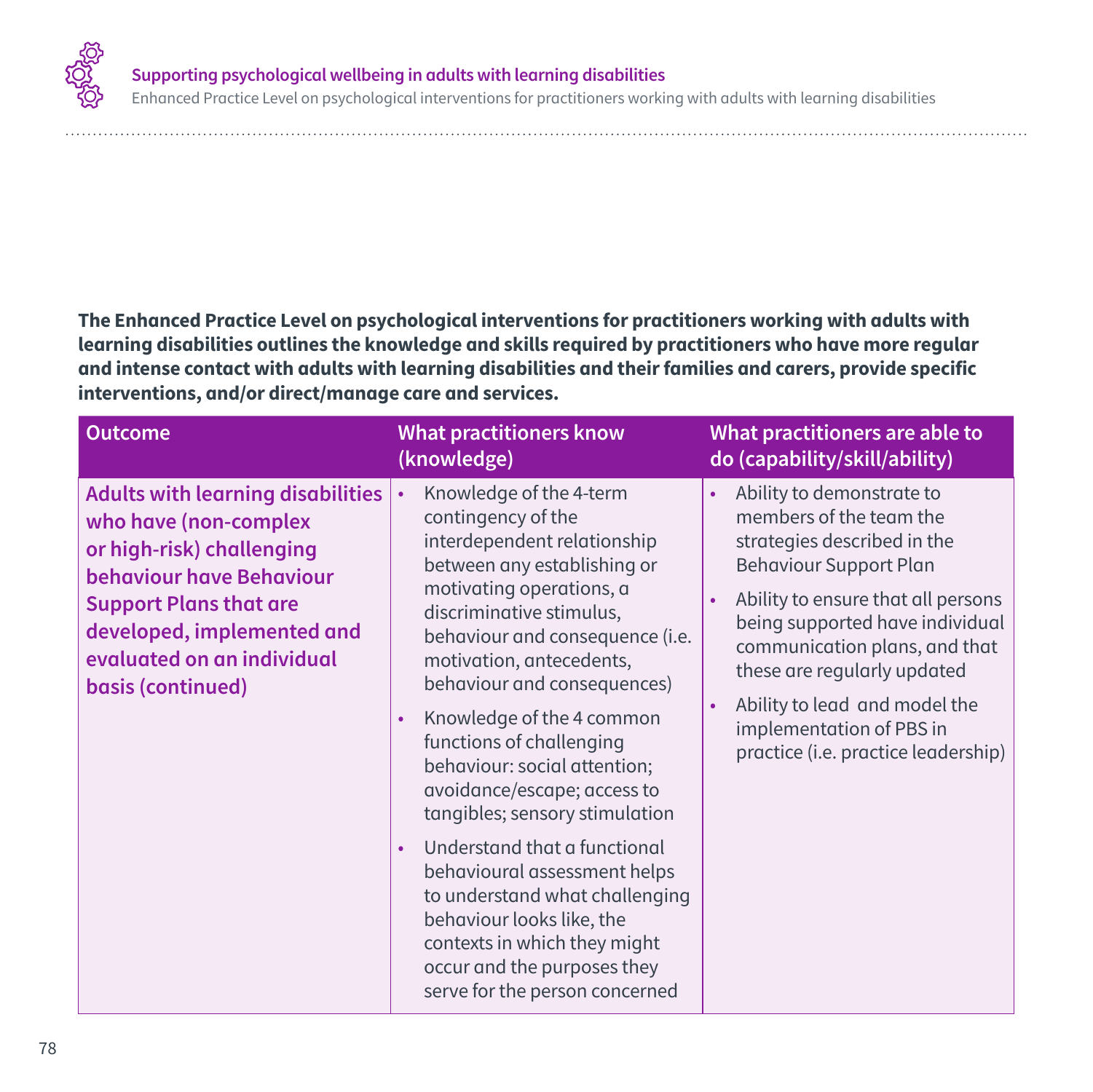

| <b>Outcome</b>                                                                                                                                                                                                                        | <b>What practitioners know</b><br>(knowledge)                                                                                                                                                                                                                                                                                                                                                                                                                                                                                                                                                                                                                                         | What practitioners are able to<br>do (capability/skill/ability)                                                                                                                                                                                                                                                                                                                                          |
|---------------------------------------------------------------------------------------------------------------------------------------------------------------------------------------------------------------------------------------|---------------------------------------------------------------------------------------------------------------------------------------------------------------------------------------------------------------------------------------------------------------------------------------------------------------------------------------------------------------------------------------------------------------------------------------------------------------------------------------------------------------------------------------------------------------------------------------------------------------------------------------------------------------------------------------|----------------------------------------------------------------------------------------------------------------------------------------------------------------------------------------------------------------------------------------------------------------------------------------------------------------------------------------------------------------------------------------------------------|
| Adults with learning disabilities<br>who have (non-complex<br>or high-risk) challenging<br>behaviour have Behaviour<br><b>Support Plans that are</b><br>developed, implemented and<br>evaluated on an individual<br>basis (continued) | Knowledge of the 4-term<br>contingency of the<br>interdependent relationship<br>between any establishing or<br>motivating operations, a<br>discriminative stimulus,<br>behaviour and consequence (i.e.<br>motivation, antecedents,<br>behaviour and consequences)<br>Knowledge of the 4 common<br>$\bullet$<br>functions of challenging<br>behaviour: social attention;<br>avoidance/escape; access to<br>tangibles; sensory stimulation<br>Understand that a functional<br>$\bullet$<br>behavioural assessment helps<br>to understand what challenging<br>behaviour looks like, the<br>contexts in which they might<br>occur and the purposes they<br>serve for the person concerned | Ability to demonstrate to<br>$\bullet$<br>members of the team the<br>strategies described in the<br><b>Behaviour Support Plan</b><br>Ability to ensure that all persons<br>$\bullet$<br>being supported have individual<br>communication plans, and that<br>these are regularly updated<br>Ability to lead and model the<br>$\bullet$<br>implementation of PBS in<br>practice (i.e. practice leadership) |
|                                                                                                                                                                                                                                       |                                                                                                                                                                                                                                                                                                                                                                                                                                                                                                                                                                                                                                                                                       |                                                                                                                                                                                                                                                                                                                                                                                                          |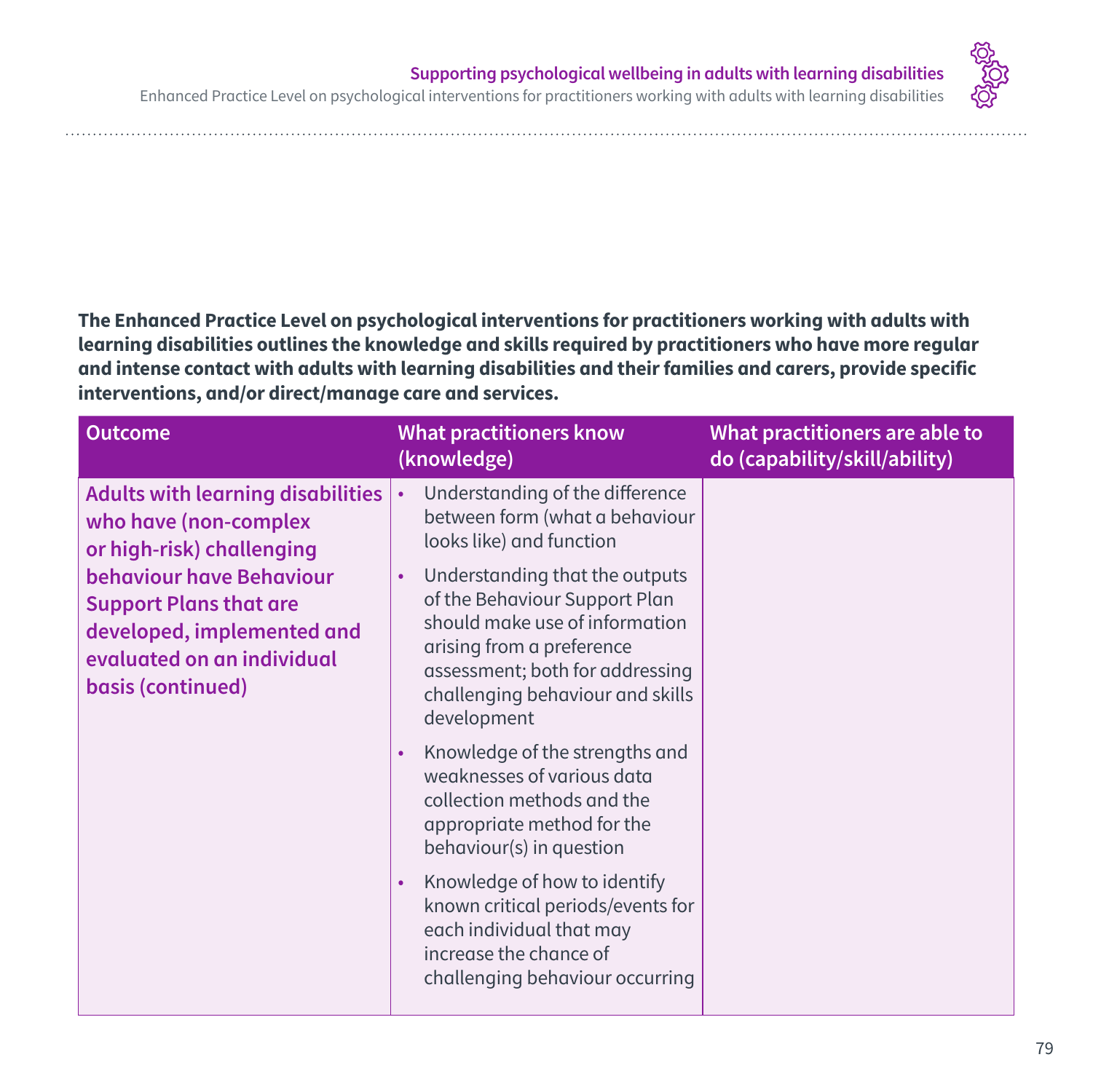

. . . . . . . . . . . . . . . . .

Enhanced Practice Level on psychological interventions for practitioners working with adults with learning disabilities

| <b>Outcome</b>                                                                                                                                                                                                                        | <b>What practitioners know</b><br>(knowledge)                                                                                                                                                                                                                                                                                                                                                                   | What practitioners are able to<br>do (capability/skill/ability) |
|---------------------------------------------------------------------------------------------------------------------------------------------------------------------------------------------------------------------------------------|-----------------------------------------------------------------------------------------------------------------------------------------------------------------------------------------------------------------------------------------------------------------------------------------------------------------------------------------------------------------------------------------------------------------|-----------------------------------------------------------------|
| Adults with learning disabilities<br>who have (non-complex<br>or high-risk) challenging<br>behaviour have Behaviour<br><b>Support Plans that are</b><br>developed, implemented and<br>evaluated on an individual<br>basis (continued) | Understanding of the difference<br>between form (what a behaviour<br>looks like) and function<br>Understanding that the outputs<br>$\bullet$<br>of the Behaviour Support Plan<br>should make use of information<br>arising from a preference<br>assessment; both for addressing<br>challenging behaviour and skills<br>development<br>Knowledge of the strengths and<br>$\bullet$<br>weaknesses of various data |                                                                 |
|                                                                                                                                                                                                                                       | collection methods and the<br>appropriate method for the<br>behaviour(s) in question<br>Knowledge of how to identify<br>$\bullet$                                                                                                                                                                                                                                                                               |                                                                 |
|                                                                                                                                                                                                                                       | known critical periods/events for<br>each individual that may<br>increase the chance of<br>challenging behaviour occurring                                                                                                                                                                                                                                                                                      |                                                                 |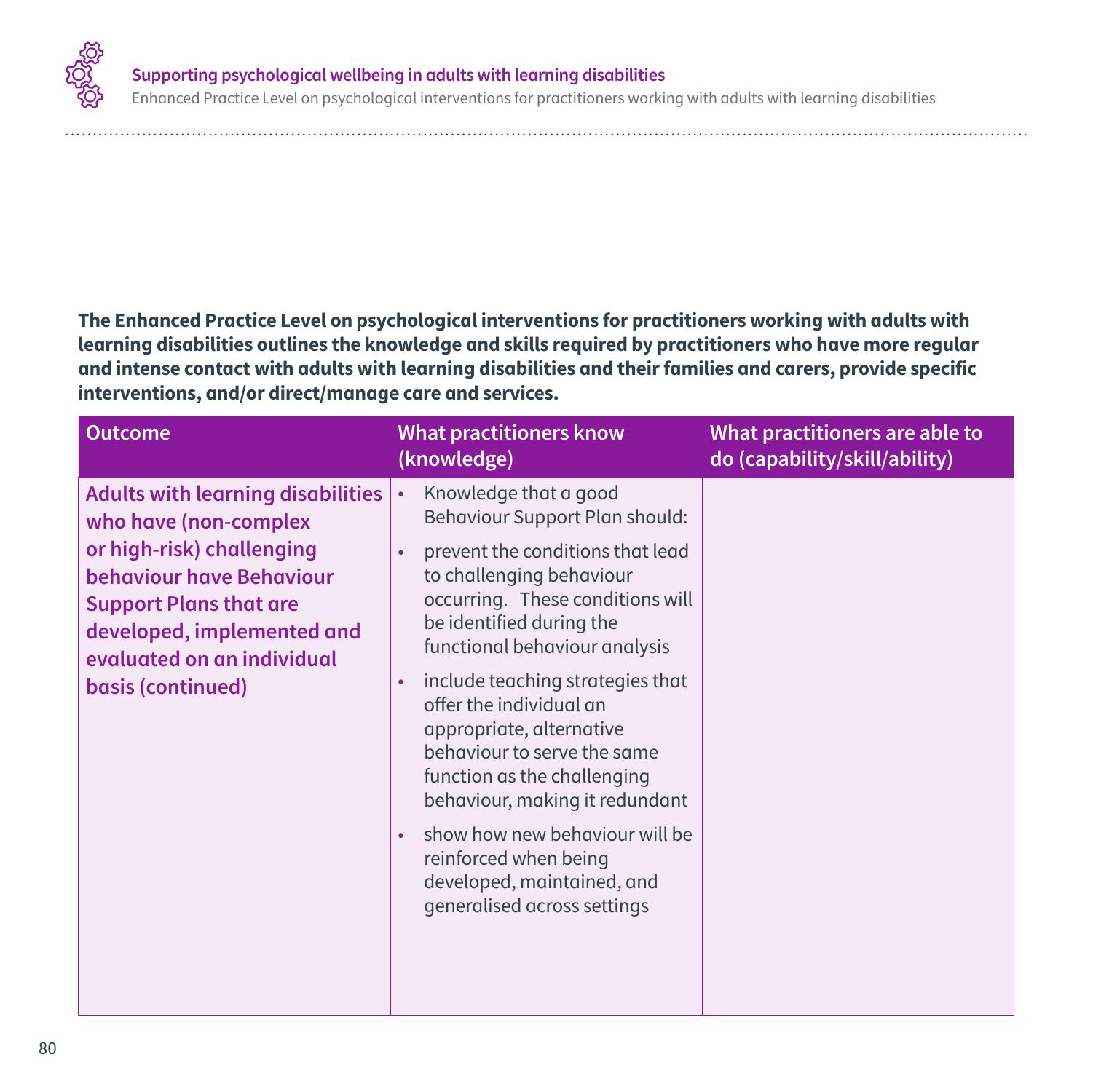

| <b>Outcome</b>                                                                                                                                                                                                                        | <b>What practitioners know</b><br>(knowledge)                                                                                                                                                                                                                                                                                                                                                                                                                                                                                                                         | What practitioners are able to<br>do (capability/skill/ability) |
|---------------------------------------------------------------------------------------------------------------------------------------------------------------------------------------------------------------------------------------|-----------------------------------------------------------------------------------------------------------------------------------------------------------------------------------------------------------------------------------------------------------------------------------------------------------------------------------------------------------------------------------------------------------------------------------------------------------------------------------------------------------------------------------------------------------------------|-----------------------------------------------------------------|
| Adults with learning disabilities<br>who have (non-complex<br>or high-risk) challenging<br>behaviour have Behaviour<br><b>Support Plans that are</b><br>developed, implemented and<br>evaluated on an individual<br>basis (continued) | Knowledge that a good<br>Behaviour Support Plan should:<br>prevent the conditions that lead<br>$\bullet$<br>to challenging behaviour<br>occurring. These conditions will<br>be identified during the<br>functional behaviour analysis<br>include teaching strategies that<br>offer the individual an<br>appropriate, alternative<br>behaviour to serve the same<br>function as the challenging<br>behaviour, making it redundant<br>show how new behaviour will be<br>$\bullet$<br>reinforced when being<br>developed, maintained, and<br>generalised across settings |                                                                 |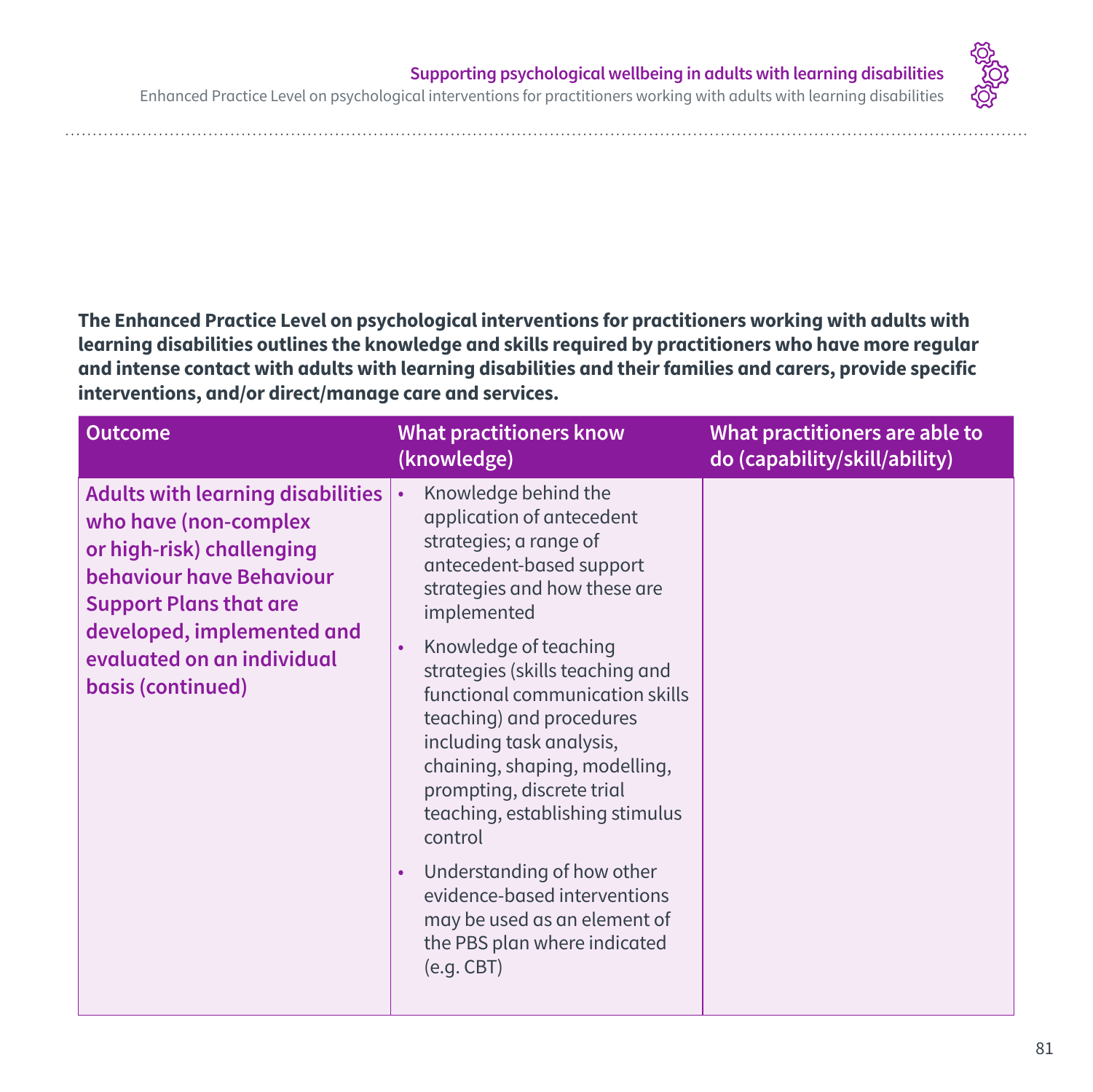

. . . . . . . . . . . . . . . .

Enhanced Practice Level on psychological interventions for practitioners working with adults with learning disabilities

| <b>Outcome</b>                                                                                                                                                                                                                        | <b>What practitioners know</b><br>(knowledge)                                                                                                                                                                                                                                                                                                                                                                                                                                                                                                                                                   | What practitioners are able to<br>do (capability/skill/ability) |
|---------------------------------------------------------------------------------------------------------------------------------------------------------------------------------------------------------------------------------------|-------------------------------------------------------------------------------------------------------------------------------------------------------------------------------------------------------------------------------------------------------------------------------------------------------------------------------------------------------------------------------------------------------------------------------------------------------------------------------------------------------------------------------------------------------------------------------------------------|-----------------------------------------------------------------|
| Adults with learning disabilities<br>who have (non-complex<br>or high-risk) challenging<br>behaviour have Behaviour<br><b>Support Plans that are</b><br>developed, implemented and<br>evaluated on an individual<br>basis (continued) | Knowledge behind the<br>application of antecedent<br>strategies; a range of<br>antecedent-based support<br>strategies and how these are<br>implemented<br>Knowledge of teaching<br>$\bullet$<br>strategies (skills teaching and<br>functional communication skills<br>teaching) and procedures<br>including task analysis,<br>chaining, shaping, modelling,<br>prompting, discrete trial<br>teaching, establishing stimulus<br>control<br>Understanding of how other<br>$\bullet$<br>evidence-based interventions<br>may be used as an element of<br>the PBS plan where indicated<br>(e.g. CBT) |                                                                 |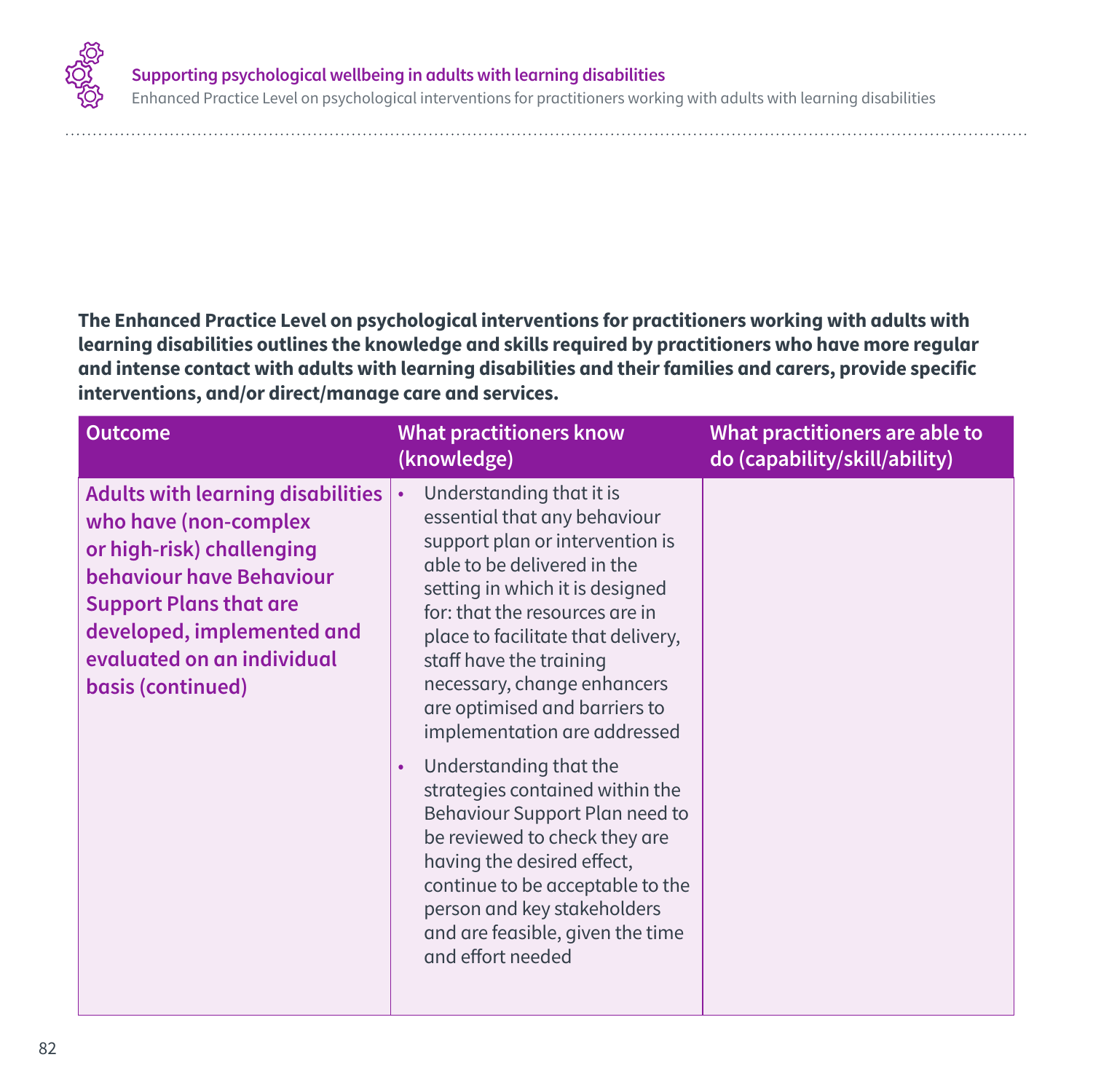

| <b>Outcome</b>                                                                                                                                                                                                                        | <b>What practitioners know</b><br>(knowledge)                                                                                                                                                                                                                                                                                                                                 | What practitioners are able to<br>do (capability/skill/ability) |
|---------------------------------------------------------------------------------------------------------------------------------------------------------------------------------------------------------------------------------------|-------------------------------------------------------------------------------------------------------------------------------------------------------------------------------------------------------------------------------------------------------------------------------------------------------------------------------------------------------------------------------|-----------------------------------------------------------------|
| Adults with learning disabilities<br>who have (non-complex<br>or high-risk) challenging<br>behaviour have Behaviour<br><b>Support Plans that are</b><br>developed, implemented and<br>evaluated on an individual<br>basis (continued) | Understanding that it is<br>$\bullet$<br>essential that any behaviour<br>support plan or intervention is<br>able to be delivered in the<br>setting in which it is designed<br>for: that the resources are in<br>place to facilitate that delivery,<br>staff have the training<br>necessary, change enhancers<br>are optimised and barriers to<br>implementation are addressed |                                                                 |
|                                                                                                                                                                                                                                       | Understanding that the<br>$\bullet$<br>strategies contained within the<br>Behaviour Support Plan need to<br>be reviewed to check they are<br>having the desired effect,<br>continue to be acceptable to the<br>person and key stakeholders<br>and are feasible, given the time<br>and effort needed                                                                           |                                                                 |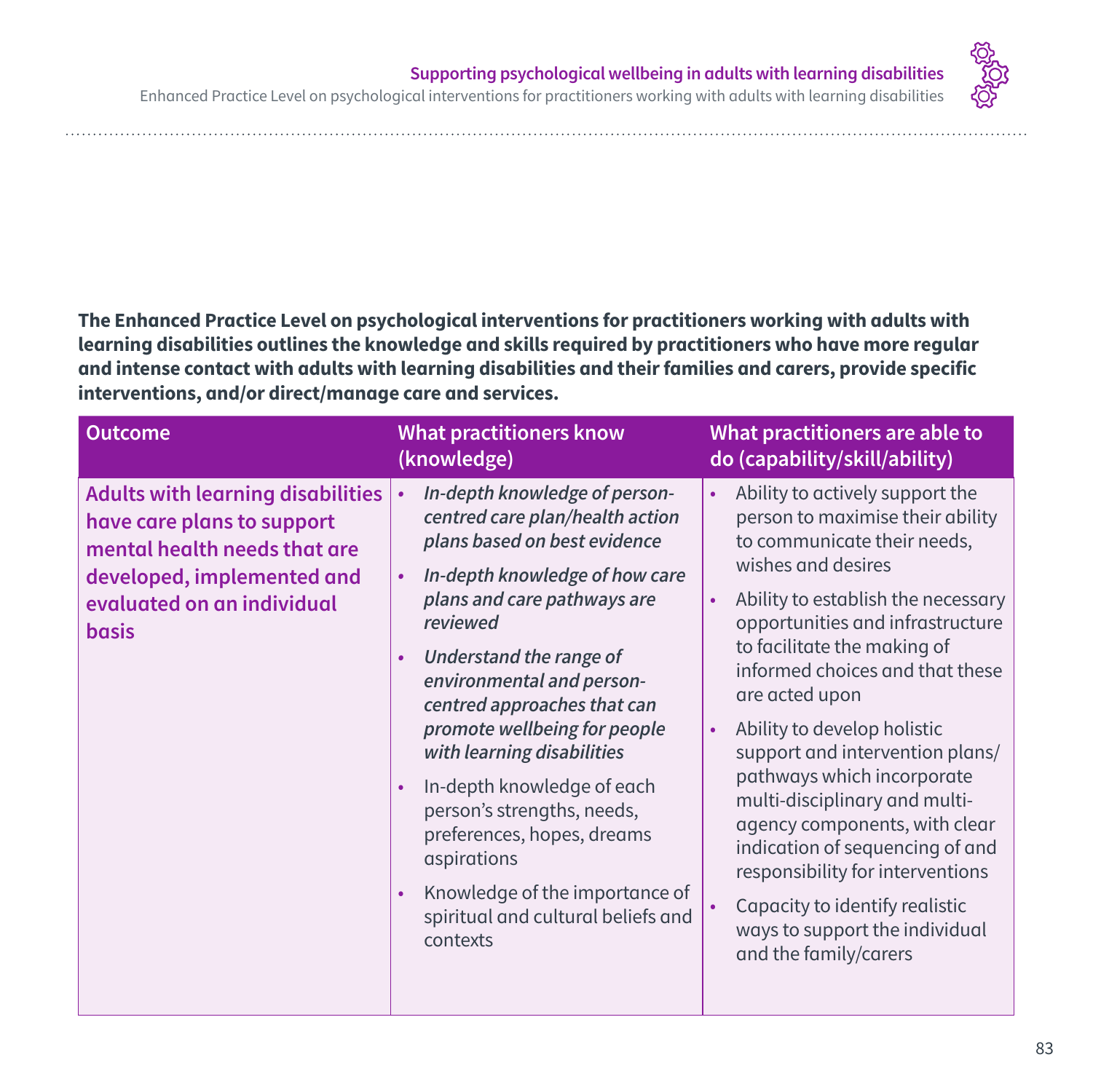

Enhanced Practice Level on psychological interventions for practitioners working with adults with learning disabilities

| <b>Outcome</b>                                                                                                                                                                     | <b>What practitioners know</b><br>(knowledge)                                                                                                                                                                                                                                                                                                                                                                                                                                                                                                                                       | What practitioners are able to<br>do (capability/skill/ability)                                                                                                                                                                                                                                                                                                                                                                                                                                                                                                                                                                                                     |
|------------------------------------------------------------------------------------------------------------------------------------------------------------------------------------|-------------------------------------------------------------------------------------------------------------------------------------------------------------------------------------------------------------------------------------------------------------------------------------------------------------------------------------------------------------------------------------------------------------------------------------------------------------------------------------------------------------------------------------------------------------------------------------|---------------------------------------------------------------------------------------------------------------------------------------------------------------------------------------------------------------------------------------------------------------------------------------------------------------------------------------------------------------------------------------------------------------------------------------------------------------------------------------------------------------------------------------------------------------------------------------------------------------------------------------------------------------------|
| <b>Adults with learning disabilities</b><br>have care plans to support<br>mental health needs that are<br>developed, implemented and<br>evaluated on an individual<br><b>basis</b> | In-depth knowledge of person-<br>centred care plan/health action<br>plans based on best evidence<br>In-depth knowledge of how care<br>$\bullet$<br>plans and care pathways are<br>reviewed<br>Understand the range of<br>$\bullet$<br>environmental and person-<br>centred approaches that can<br>promote wellbeing for people<br>with learning disabilities<br>In-depth knowledge of each<br>$\bullet$<br>person's strengths, needs,<br>preferences, hopes, dreams<br>aspirations<br>Knowledge of the importance of<br>$\bullet$<br>spiritual and cultural beliefs and<br>contexts | Ability to actively support the<br>$\bullet$<br>person to maximise their ability<br>to communicate their needs,<br>wishes and desires<br>Ability to establish the necessary<br>$\bullet$<br>opportunities and infrastructure<br>to facilitate the making of<br>informed choices and that these<br>are acted upon<br>Ability to develop holistic<br>$\bullet$<br>support and intervention plans/<br>pathways which incorporate<br>multi-disciplinary and multi-<br>agency components, with clear<br>indication of sequencing of and<br>responsibility for interventions<br>Capacity to identify realistic<br>ways to support the individual<br>and the family/carers |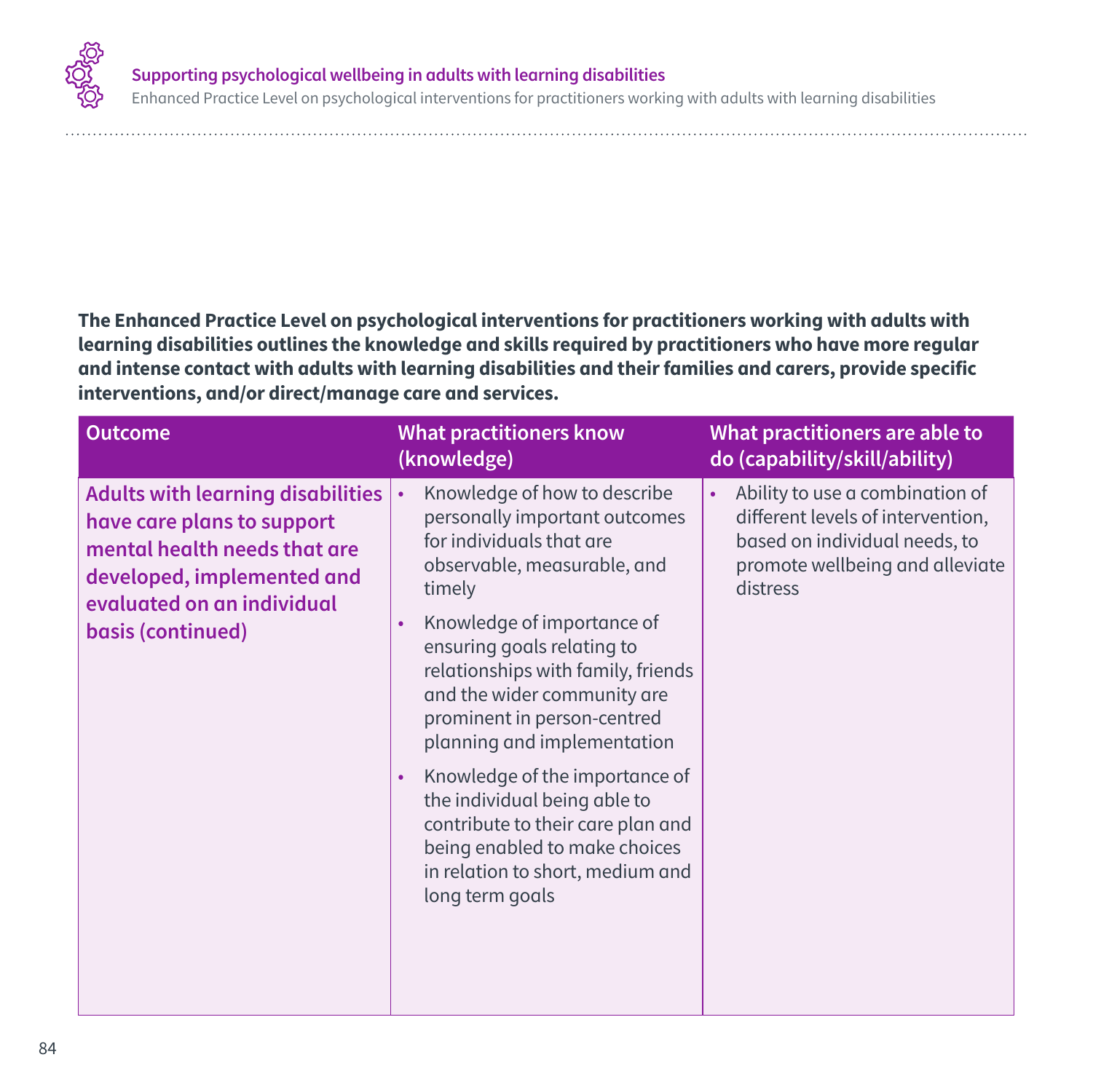

| <b>Outcome</b>                                                                                                                                                                          | <b>What practitioners know</b><br>(knowledge)                                                                                                                                                                                                                                                                                                  | <b>What practitioners are able to</b><br>do (capability/skill/ability)                                                                                            |
|-----------------------------------------------------------------------------------------------------------------------------------------------------------------------------------------|------------------------------------------------------------------------------------------------------------------------------------------------------------------------------------------------------------------------------------------------------------------------------------------------------------------------------------------------|-------------------------------------------------------------------------------------------------------------------------------------------------------------------|
| <b>Adults with learning disabilities</b><br>have care plans to support<br>mental health needs that are<br>developed, implemented and<br>evaluated on an individual<br>basis (continued) | Knowledge of how to describe<br>personally important outcomes<br>for individuals that are<br>observable, measurable, and<br>timely<br>Knowledge of importance of<br>$\bullet$<br>ensuring goals relating to<br>relationships with family, friends<br>and the wider community are<br>prominent in person-centred<br>planning and implementation | Ability to use a combination of<br>$\bullet$<br>different levels of intervention,<br>based on individual needs, to<br>promote wellbeing and alleviate<br>distress |
|                                                                                                                                                                                         | Knowledge of the importance of<br>$\bullet$<br>the individual being able to<br>contribute to their care plan and<br>being enabled to make choices<br>in relation to short, medium and<br>long term goals                                                                                                                                       |                                                                                                                                                                   |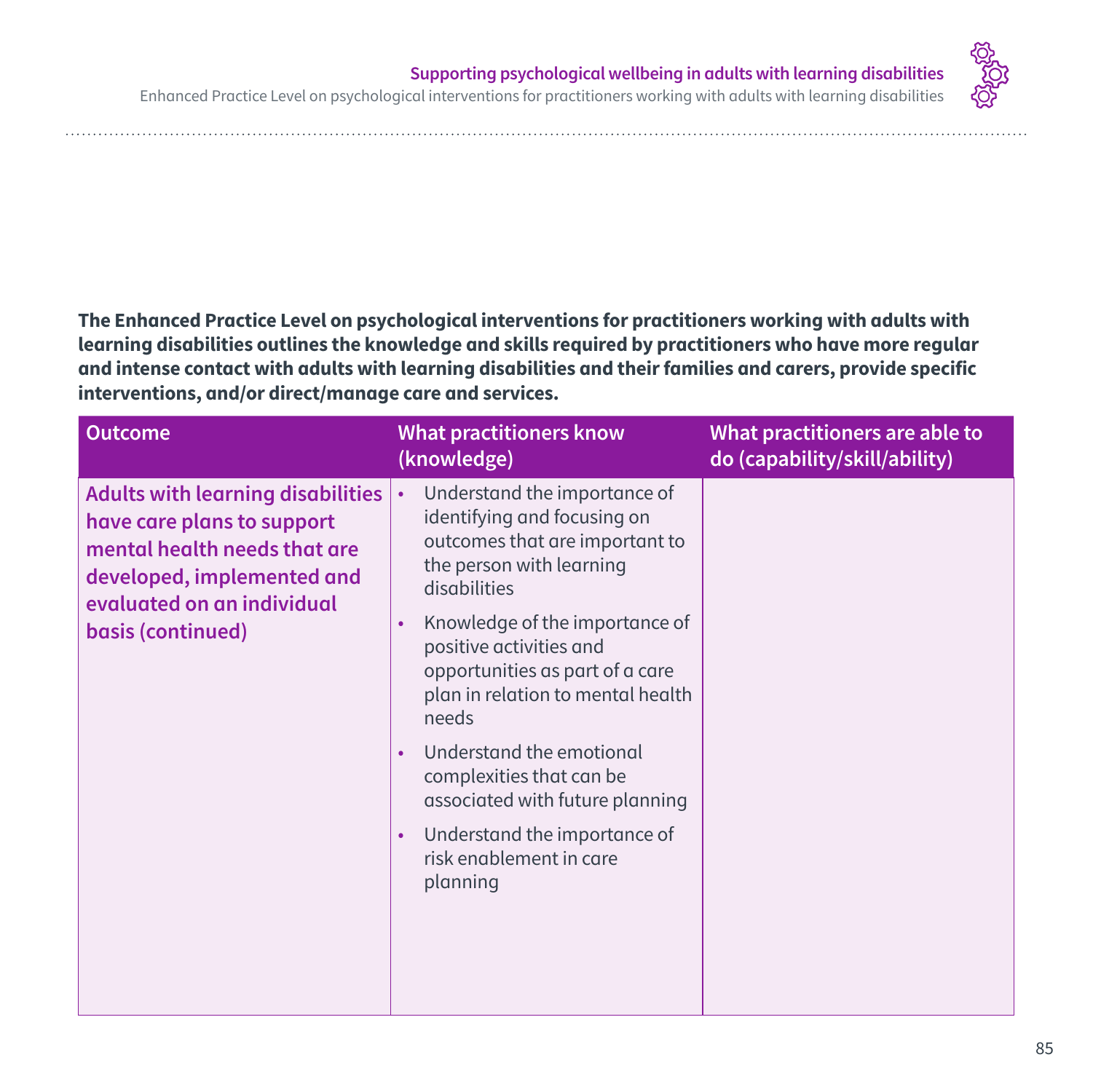

. . . . . . . . . . . . . . . . .

Enhanced Practice Level on psychological interventions for practitioners working with adults with learning disabilities

| <b>Outcome</b>                                                                                                                                                                          | <b>What practitioners know</b><br>(knowledge)                                                                                                                                                                                                                                                                                                                                                                                                                                                    | What practitioners are able to<br>do (capability/skill/ability) |
|-----------------------------------------------------------------------------------------------------------------------------------------------------------------------------------------|--------------------------------------------------------------------------------------------------------------------------------------------------------------------------------------------------------------------------------------------------------------------------------------------------------------------------------------------------------------------------------------------------------------------------------------------------------------------------------------------------|-----------------------------------------------------------------|
| <b>Adults with learning disabilities</b><br>have care plans to support<br>mental health needs that are<br>developed, implemented and<br>evaluated on an individual<br>basis (continued) | Understand the importance of<br>identifying and focusing on<br>outcomes that are important to<br>the person with learning<br>disabilities<br>Knowledge of the importance of<br>$\bullet$<br>positive activities and<br>opportunities as part of a care<br>plan in relation to mental health<br>needs<br>Understand the emotional<br>$\bullet$<br>complexities that can be<br>associated with future planning<br>Understand the importance of<br>$\bullet$<br>risk enablement in care<br>planning |                                                                 |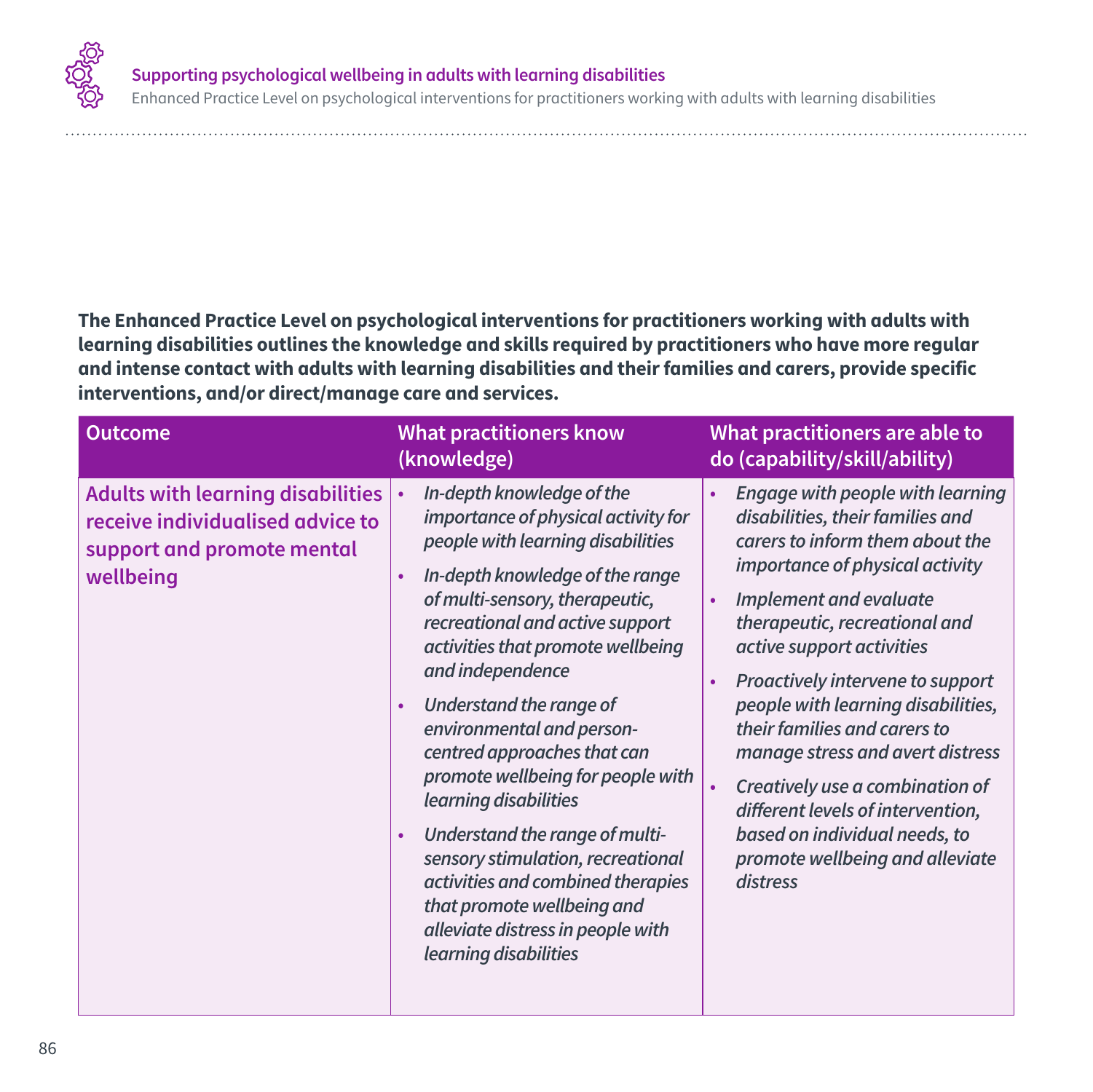

| <b>Outcome</b>                                                                                                   | <b>What practitioners know</b><br>(knowledge)                                                                                                                                                                                                                                                                                                                                                                                                                                                                                                                                                                                                                              | What practitioners are able to<br>do (capability/skill/ability)                                                                                                                                                                                                                                                                                                                                                                                                                                                                                                     |
|------------------------------------------------------------------------------------------------------------------|----------------------------------------------------------------------------------------------------------------------------------------------------------------------------------------------------------------------------------------------------------------------------------------------------------------------------------------------------------------------------------------------------------------------------------------------------------------------------------------------------------------------------------------------------------------------------------------------------------------------------------------------------------------------------|---------------------------------------------------------------------------------------------------------------------------------------------------------------------------------------------------------------------------------------------------------------------------------------------------------------------------------------------------------------------------------------------------------------------------------------------------------------------------------------------------------------------------------------------------------------------|
| Adults with learning disabilities<br>receive individualised advice to<br>support and promote mental<br>wellbeing | In-depth knowledge of the<br>importance of physical activity for<br>people with learning disabilities<br>In-depth knowledge of the range<br>$\bullet$<br>of multi-sensory, therapeutic,<br>recreational and active support<br>activities that promote wellbeing<br>and independence<br>Understand the range of<br>$\bullet$<br>environmental and person-<br>centred approaches that can<br>promote wellbeing for people with<br>learning disabilities<br>Understand the range of multi-<br>$\bullet$<br>sensory stimulation, recreational<br>activities and combined therapies<br>that promote wellbeing and<br>alleviate distress in people with<br>learning disabilities | <b>Engage with people with learning</b><br>disabilities, their families and<br>carers to inform them about the<br>importance of physical activity<br><b>Implement and evaluate</b><br>$\bullet$<br>therapeutic, recreational and<br>active support activities<br>Proactively intervene to support<br>people with learning disabilities,<br>their families and carers to<br>manage stress and avert distress<br>Creatively use a combination of<br>different levels of intervention,<br>based on individual needs, to<br>promote wellbeing and alleviate<br>distress |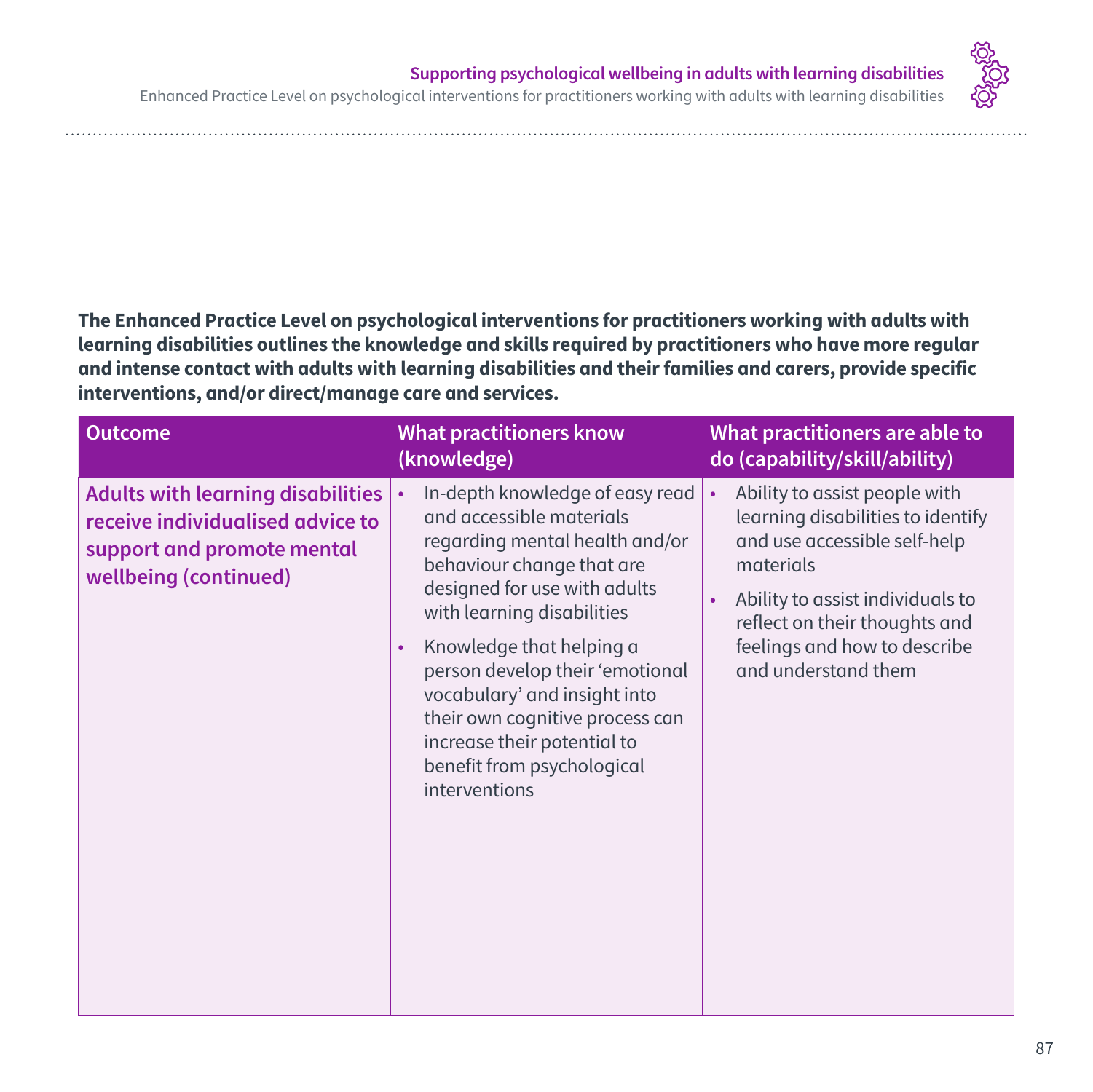

. . . . . . . . . . . .

Enhanced Practice Level on psychological interventions for practitioners working with adults with learning disabilities

| <b>Outcome</b>                                                                                                                      | <b>What practitioners know</b><br>(knowledge)                                                                                                                                                                                                                                                                                                                                                                                      | What practitioners are able to<br>do (capability/skill/ability)                                                                                                                                                                                          |
|-------------------------------------------------------------------------------------------------------------------------------------|------------------------------------------------------------------------------------------------------------------------------------------------------------------------------------------------------------------------------------------------------------------------------------------------------------------------------------------------------------------------------------------------------------------------------------|----------------------------------------------------------------------------------------------------------------------------------------------------------------------------------------------------------------------------------------------------------|
| <b>Adults with learning disabilities</b><br>receive individualised advice to<br>support and promote mental<br>wellbeing (continued) | In-depth knowledge of easy read<br>$\bullet$<br>and accessible materials<br>regarding mental health and/or<br>behaviour change that are<br>designed for use with adults<br>with learning disabilities<br>Knowledge that helping a<br>$\bullet$<br>person develop their 'emotional<br>vocabulary' and insight into<br>their own cognitive process can<br>increase their potential to<br>benefit from psychological<br>interventions | Ability to assist people with<br>$\bullet$<br>learning disabilities to identify<br>and use accessible self-help<br>materials<br>Ability to assist individuals to<br>reflect on their thoughts and<br>feelings and how to describe<br>and understand them |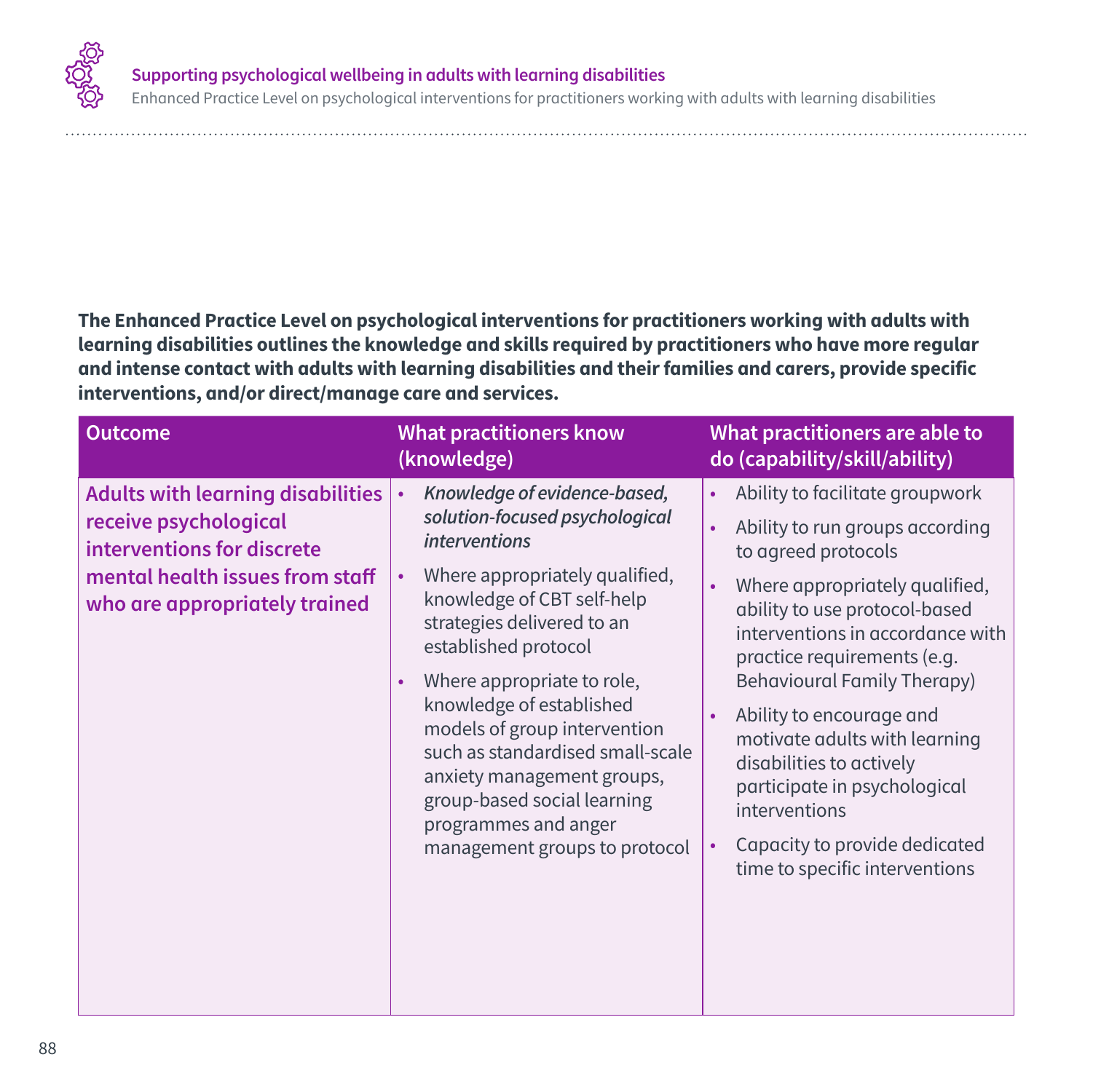

| <b>Outcome</b>                                                                                                                                               | <b>What practitioners know</b><br>(knowledge)                                                                                                                                                                                                                                                                                                                                                                                                                                              | What practitioners are able to<br>do (capability/skill/ability)                                                                                                                                                                                                                                                                                                                                                                                                                                 |
|--------------------------------------------------------------------------------------------------------------------------------------------------------------|--------------------------------------------------------------------------------------------------------------------------------------------------------------------------------------------------------------------------------------------------------------------------------------------------------------------------------------------------------------------------------------------------------------------------------------------------------------------------------------------|-------------------------------------------------------------------------------------------------------------------------------------------------------------------------------------------------------------------------------------------------------------------------------------------------------------------------------------------------------------------------------------------------------------------------------------------------------------------------------------------------|
| Adults with learning disabilities<br>receive psychological<br>interventions for discrete<br>mental health issues from staff<br>who are appropriately trained | Knowledge of evidence-based,<br>solution-focused psychological<br><i>interventions</i><br>Where appropriately qualified,<br>$\bullet$<br>knowledge of CBT self-help<br>strategies delivered to an<br>established protocol<br>Where appropriate to role,<br>$\bullet$<br>knowledge of established<br>models of group intervention<br>such as standardised small-scale<br>anxiety management groups,<br>group-based social learning<br>programmes and anger<br>management groups to protocol | Ability to facilitate groupwork<br>$\bullet$<br>Ability to run groups according<br>to agreed protocols<br>Where appropriately qualified,<br>ability to use protocol-based<br>interventions in accordance with<br>practice requirements (e.g.<br><b>Behavioural Family Therapy)</b><br>Ability to encourage and<br>motivate adults with learning<br>disabilities to actively<br>participate in psychological<br>interventions<br>Capacity to provide dedicated<br>time to specific interventions |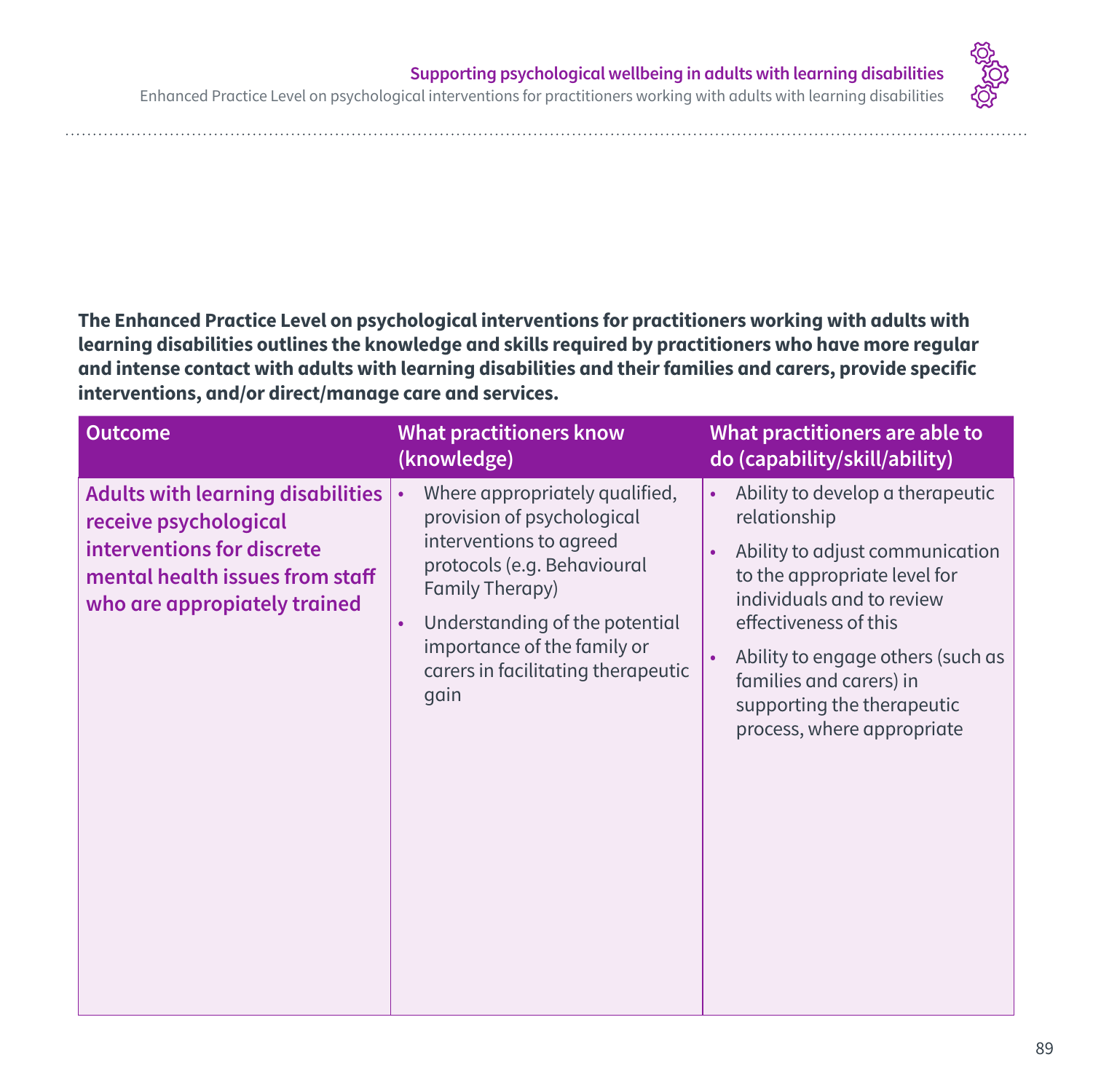

. . . . . . . . . . . . . . . . .

Enhanced Practice Level on psychological interventions for practitioners working with adults with learning disabilities

| <b>Outcome</b>                                                                                                                                              | <b>What practitioners know</b><br>(knowledge)                                                                                                                                                                                                                         | What practitioners are able to<br>do (capability/skill/ability)                                                                                                                                                                                                                                                                              |
|-------------------------------------------------------------------------------------------------------------------------------------------------------------|-----------------------------------------------------------------------------------------------------------------------------------------------------------------------------------------------------------------------------------------------------------------------|----------------------------------------------------------------------------------------------------------------------------------------------------------------------------------------------------------------------------------------------------------------------------------------------------------------------------------------------|
| Adults with learning disabilities<br>receive psychological<br>interventions for discrete<br>mental health issues from staff<br>who are appropiately trained | Where appropriately qualified,<br>provision of psychological<br>interventions to agreed<br>protocols (e.g. Behavioural<br>Family Therapy)<br>Understanding of the potential<br>$\bullet$<br>importance of the family or<br>carers in facilitating therapeutic<br>gain | Ability to develop a therapeutic<br>$\bullet$<br>relationship<br>Ability to adjust communication<br>$\bullet$<br>to the appropriate level for<br>individuals and to review<br>effectiveness of this<br>Ability to engage others (such as<br>$\bullet$<br>families and carers) in<br>supporting the therapeutic<br>process, where appropriate |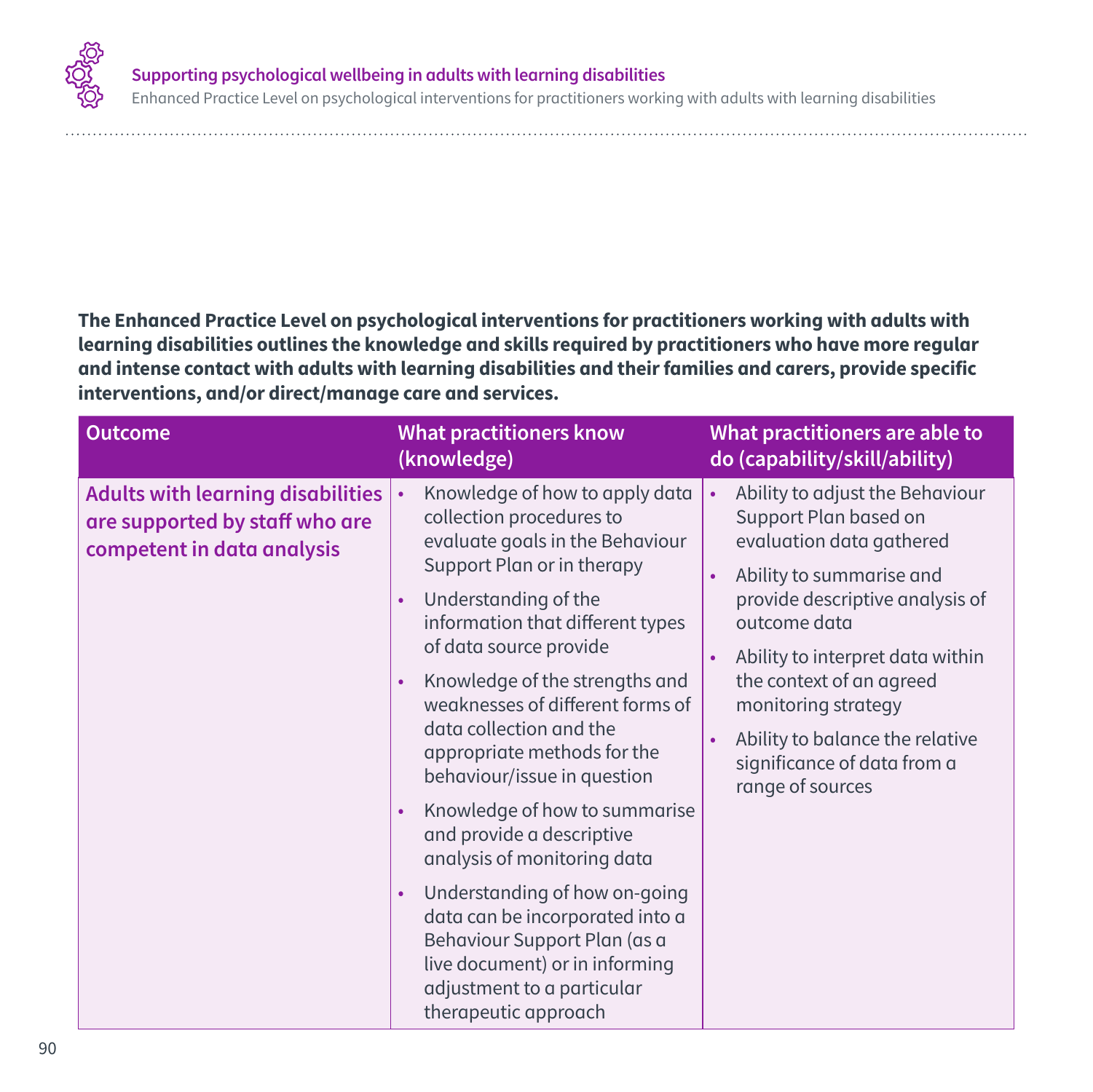

| <b>Outcome</b>                                                                                           | <b>What practitioners know</b><br>(knowledge)                                                                                                                                                                                                                                                                                                                                                                                                                                                      | What practitioners are able to<br>do (capability/skill/ability)                                                                                                                                                                                                                                                                                                                         |
|----------------------------------------------------------------------------------------------------------|----------------------------------------------------------------------------------------------------------------------------------------------------------------------------------------------------------------------------------------------------------------------------------------------------------------------------------------------------------------------------------------------------------------------------------------------------------------------------------------------------|-----------------------------------------------------------------------------------------------------------------------------------------------------------------------------------------------------------------------------------------------------------------------------------------------------------------------------------------------------------------------------------------|
| <b>Adults with learning disabilities</b><br>are supported by staff who are<br>competent in data analysis | Knowledge of how to apply data<br>$\bullet$<br>collection procedures to<br>evaluate goals in the Behaviour<br>Support Plan or in therapy<br>Understanding of the<br>$\bullet$<br>information that different types<br>of data source provide<br>Knowledge of the strengths and<br>$\bullet$<br>weaknesses of different forms of<br>data collection and the<br>appropriate methods for the<br>behaviour/issue in question<br>Knowledge of how to summarise<br>$\bullet$<br>and provide a descriptive | Ability to adjust the Behaviour<br>$\bullet$<br>Support Plan based on<br>evaluation data gathered<br>Ability to summarise and<br>$\bullet$<br>provide descriptive analysis of<br>outcome data<br>Ability to interpret data within<br>$\bullet$<br>the context of an agreed<br>monitoring strategy<br>Ability to balance the relative<br>significance of data from a<br>range of sources |
|                                                                                                          | analysis of monitoring data<br>Understanding of how on-going<br>$\bullet$<br>data can be incorporated into a<br>Behaviour Support Plan (as a<br>live document) or in informing<br>adjustment to a particular<br>therapeutic approach                                                                                                                                                                                                                                                               |                                                                                                                                                                                                                                                                                                                                                                                         |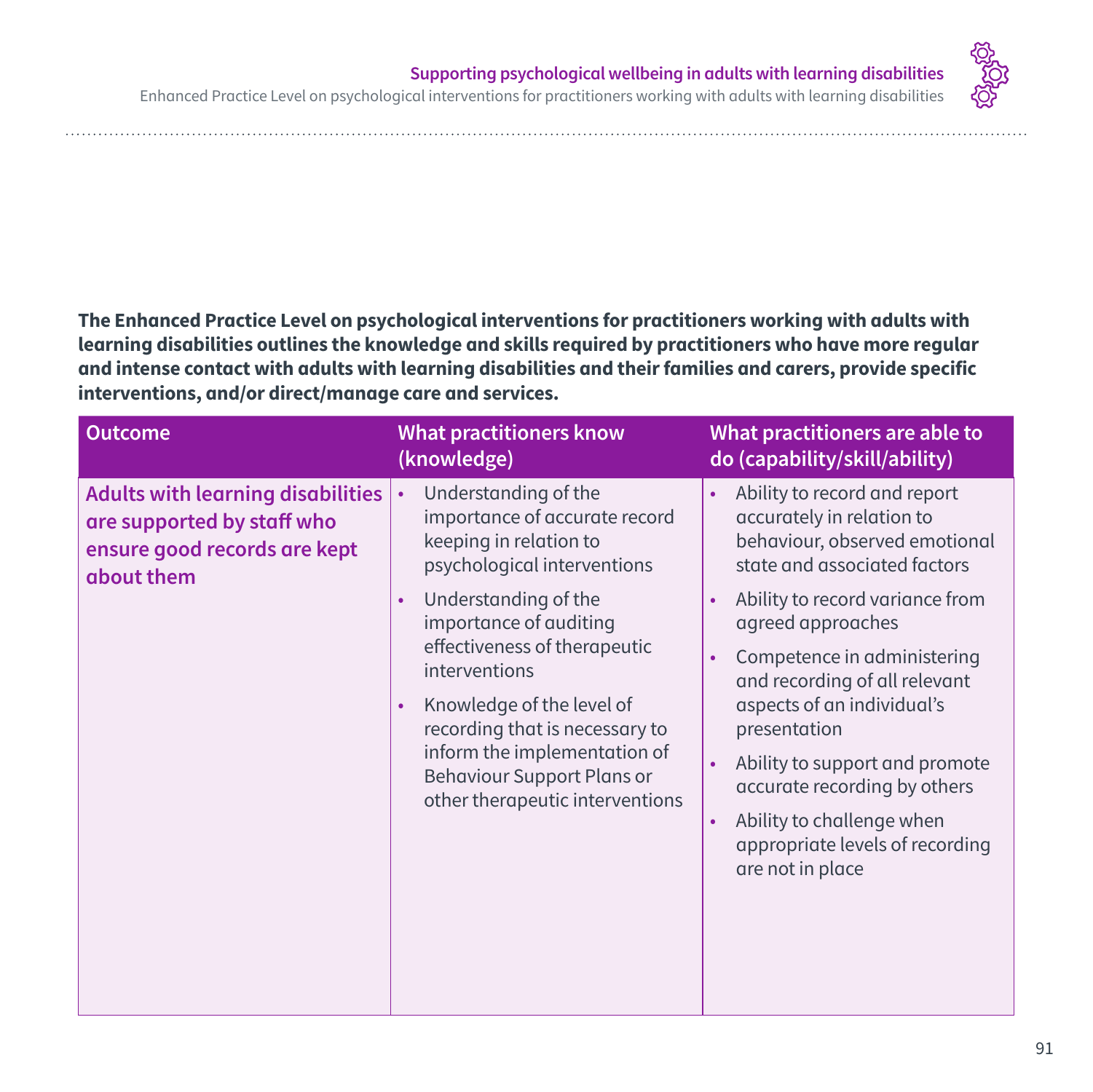

. . . . . . . . . . . . . .

Enhanced Practice Level on psychological interventions for practitioners working with adults with learning disabilities

| <b>Outcome</b>                                                                                                       | <b>What practitioners know</b><br>(knowledge)                                                                                                                                                                                                                                                                                                                                                                            | What practitioners are able to<br>do (capability/skill/ability)                                                                                                                                                                                                                                                                                                    |
|----------------------------------------------------------------------------------------------------------------------|--------------------------------------------------------------------------------------------------------------------------------------------------------------------------------------------------------------------------------------------------------------------------------------------------------------------------------------------------------------------------------------------------------------------------|--------------------------------------------------------------------------------------------------------------------------------------------------------------------------------------------------------------------------------------------------------------------------------------------------------------------------------------------------------------------|
| <b>Adults with learning disabilities</b><br>are supported by staff who<br>ensure good records are kept<br>about them | Understanding of the<br>$\bullet$<br>importance of accurate record<br>keeping in relation to<br>psychological interventions<br>Understanding of the<br>$\bullet$<br>importance of auditing<br>effectiveness of therapeutic<br>interventions<br>Knowledge of the level of<br>$\bullet$<br>recording that is necessary to<br>inform the implementation of<br>Behaviour Support Plans or<br>other therapeutic interventions | Ability to record and report<br>accurately in relation to<br>behaviour, observed emotional<br>state and associated factors<br>Ability to record variance from<br>agreed approaches<br>Competence in administering<br>and recording of all relevant<br>aspects of an individual's<br>presentation<br>Ability to support and promote<br>accurate recording by others |
|                                                                                                                      |                                                                                                                                                                                                                                                                                                                                                                                                                          | Ability to challenge when<br>appropriate levels of recording<br>are not in place                                                                                                                                                                                                                                                                                   |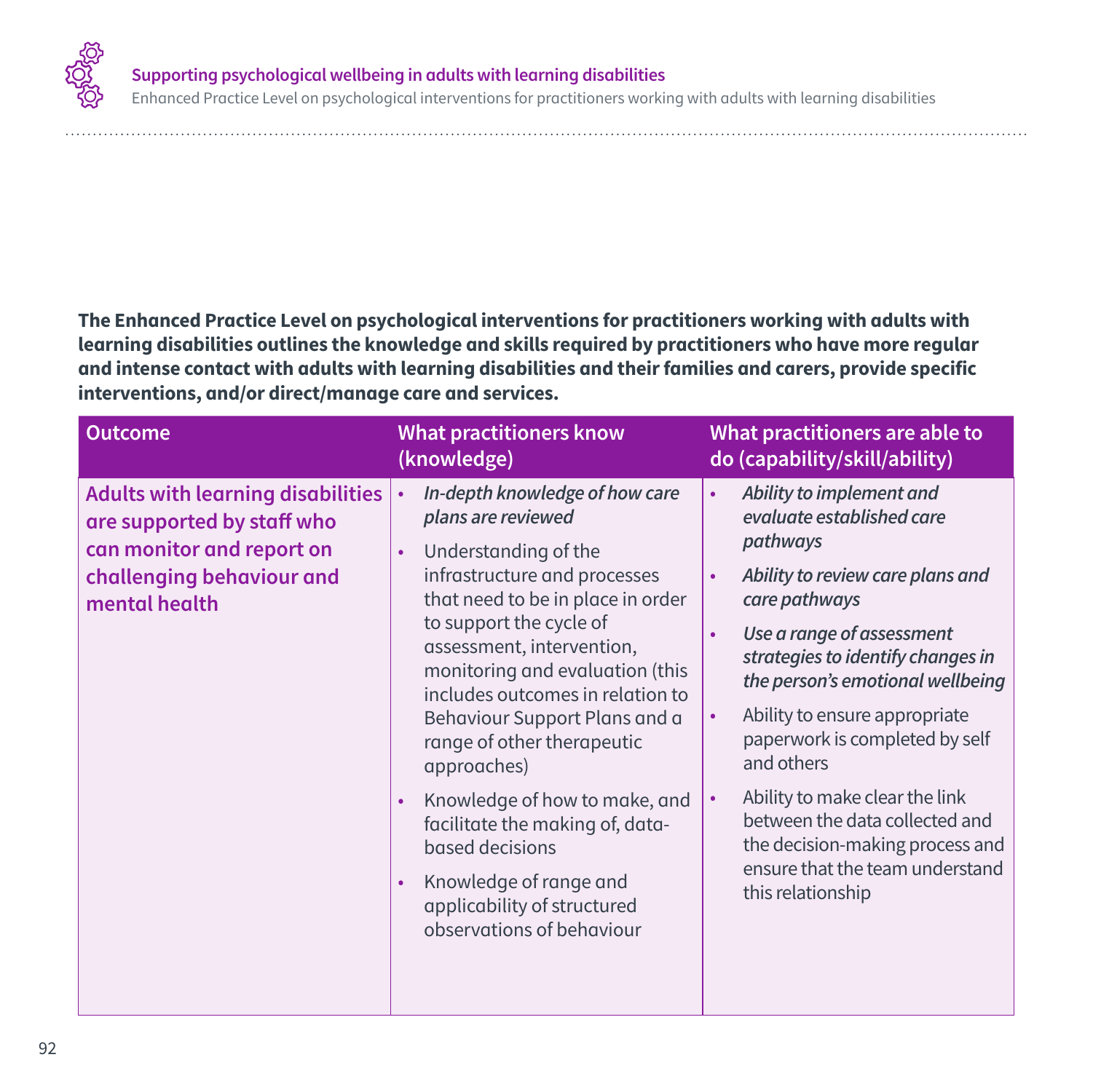

| <b>Outcome</b>                                                                                                                                    | <b>What practitioners know</b><br>(knowledge)                                                                                                                                                                                                                                                                                                                                                                                                                                                                                                                         | What practitioners are able to<br>do (capability/skill/ability)                                                                                                                                                                                                                                                                                                                                                                                                                                                                               |
|---------------------------------------------------------------------------------------------------------------------------------------------------|-----------------------------------------------------------------------------------------------------------------------------------------------------------------------------------------------------------------------------------------------------------------------------------------------------------------------------------------------------------------------------------------------------------------------------------------------------------------------------------------------------------------------------------------------------------------------|-----------------------------------------------------------------------------------------------------------------------------------------------------------------------------------------------------------------------------------------------------------------------------------------------------------------------------------------------------------------------------------------------------------------------------------------------------------------------------------------------------------------------------------------------|
| <b>Adults with learning disabilities</b><br>are supported by staff who<br>can monitor and report on<br>challenging behaviour and<br>mental health | In-depth knowledge of how care<br>plans are reviewed<br>Understanding of the<br>$\bullet$<br>infrastructure and processes<br>that need to be in place in order<br>to support the cycle of<br>assessment, intervention,<br>monitoring and evaluation (this<br>includes outcomes in relation to<br>Behaviour Support Plans and a<br>range of other therapeutic<br>approaches)<br>Knowledge of how to make, and<br>$\bullet$<br>facilitate the making of, data-<br>based decisions<br>Knowledge of range and<br>applicability of structured<br>observations of behaviour | Ability to implement and<br>$\bullet$<br>evaluate established care<br>pathways<br>Ability to review care plans and<br>$\bullet$<br>care pathways<br>Use a range of assessment<br>$\bullet$<br>strategies to identify changes in<br>the person's emotional wellbeing<br>Ability to ensure appropriate<br>$\bullet$<br>paperwork is completed by self<br>and others<br>Ability to make clear the link<br>$\bullet$<br>between the data collected and<br>the decision-making process and<br>ensure that the team understand<br>this relationship |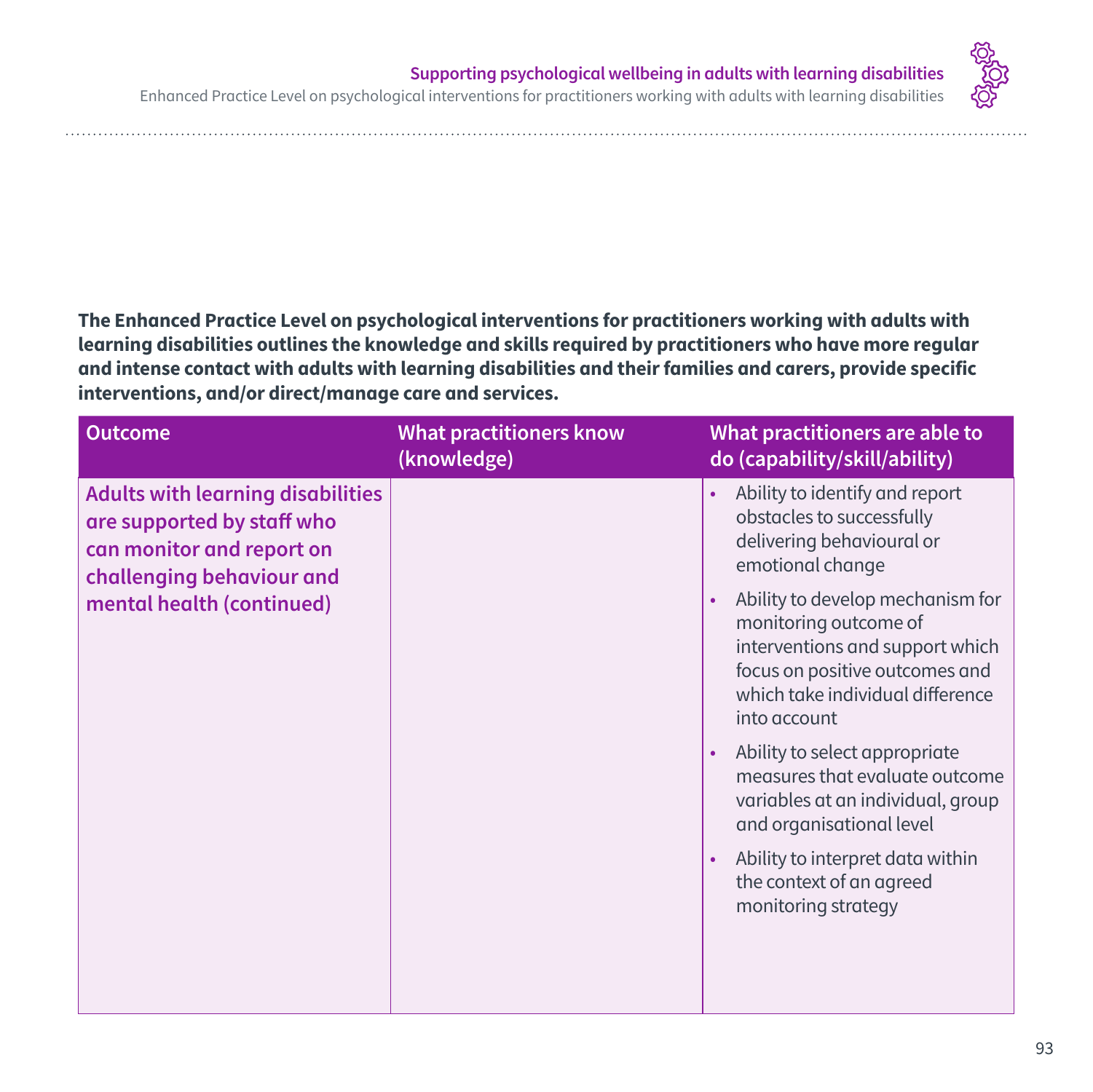

. . . . . . . . . . . . . . . .

Enhanced Practice Level on psychological interventions for practitioners working with adults with learning disabilities

| <b>Outcome</b>                                                                                                                                                | <b>What practitioners know</b><br>(knowledge) | What practitioners are able to<br>do (capability/skill/ability)                                                                                                                    |
|---------------------------------------------------------------------------------------------------------------------------------------------------------------|-----------------------------------------------|------------------------------------------------------------------------------------------------------------------------------------------------------------------------------------|
| <b>Adults with learning disabilities</b><br>are supported by staff who<br>can monitor and report on<br>challenging behaviour and<br>mental health (continued) |                                               | Ability to identify and report<br>obstacles to successfully<br>delivering behavioural or<br>emotional change                                                                       |
|                                                                                                                                                               |                                               | Ability to develop mechanism for<br>monitoring outcome of<br>interventions and support which<br>focus on positive outcomes and<br>which take individual difference<br>into account |
|                                                                                                                                                               |                                               | Ability to select appropriate<br>measures that evaluate outcome<br>variables at an individual, group<br>and organisational level                                                   |
|                                                                                                                                                               |                                               | Ability to interpret data within<br>the context of an agreed<br>monitoring strategy                                                                                                |
|                                                                                                                                                               |                                               |                                                                                                                                                                                    |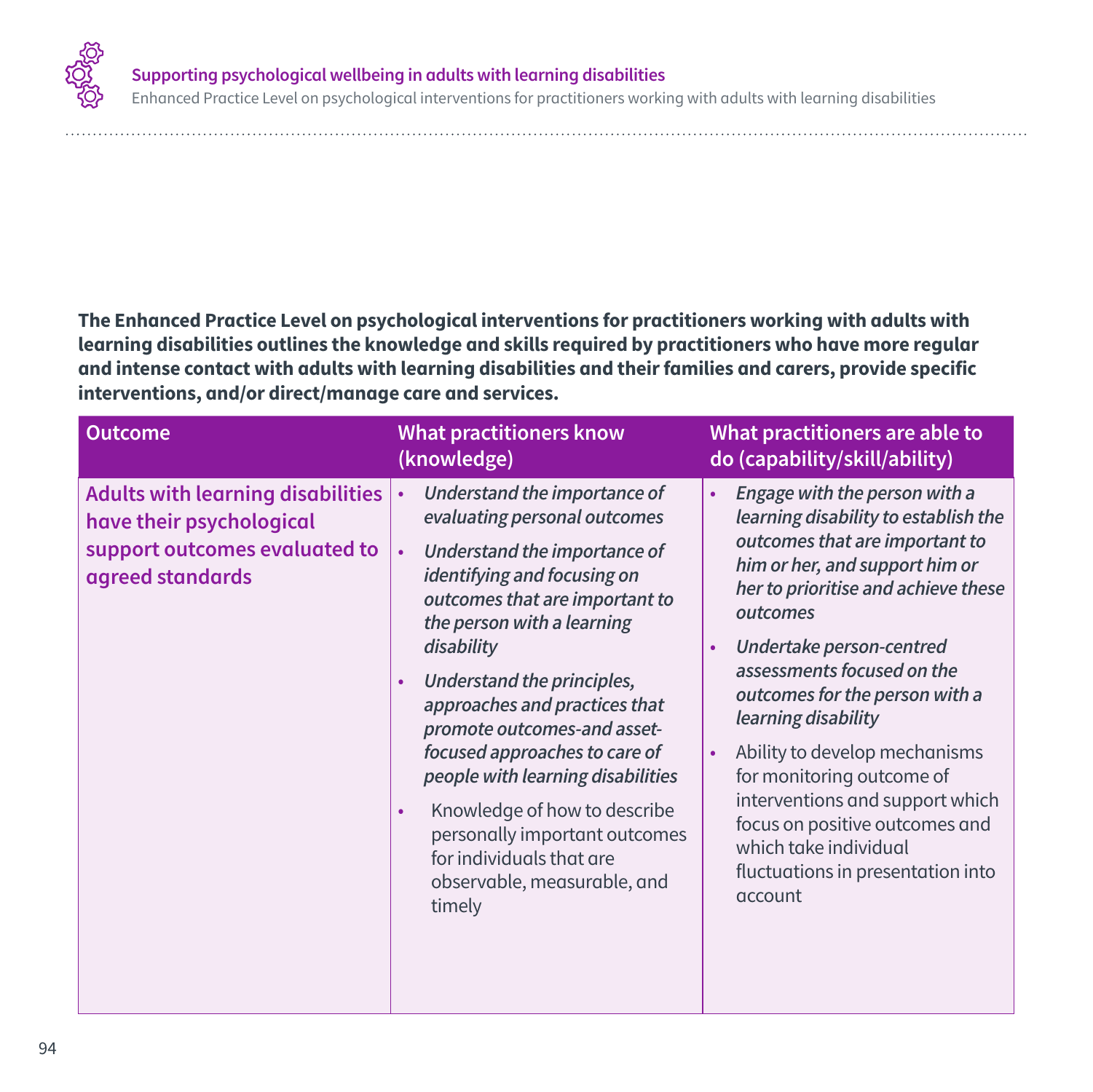

| <b>Outcome</b>                                                                                                     | <b>What practitioners know</b><br>(knowledge)                                                                                                                                                                                                                                                                                                                                                                                                                                                                                                                           | What practitioners are able to<br>do (capability/skill/ability)                                                                                                                                                                                                                                                                                                                                                                                                                                                                                                    |
|--------------------------------------------------------------------------------------------------------------------|-------------------------------------------------------------------------------------------------------------------------------------------------------------------------------------------------------------------------------------------------------------------------------------------------------------------------------------------------------------------------------------------------------------------------------------------------------------------------------------------------------------------------------------------------------------------------|--------------------------------------------------------------------------------------------------------------------------------------------------------------------------------------------------------------------------------------------------------------------------------------------------------------------------------------------------------------------------------------------------------------------------------------------------------------------------------------------------------------------------------------------------------------------|
| Adults with learning disabilities<br>have their psychological<br>support outcomes evaluated to<br>agreed standards | Understand the importance of<br>$\bullet$<br>evaluating personal outcomes<br>Understand the importance of<br>$\bullet$<br>identifying and focusing on<br>outcomes that are important to<br>the person with a learning<br>disability<br>Understand the principles,<br>$\bullet$<br>approaches and practices that<br>promote outcomes-and asset-<br>focused approaches to care of<br>people with learning disabilities<br>Knowledge of how to describe<br>$\bullet$<br>personally important outcomes<br>for individuals that are<br>observable, measurable, and<br>timely | Engage with the person with a<br>$\bullet$<br>learning disability to establish the<br>outcomes that are important to<br>him or her, and support him or<br>her to prioritise and achieve these<br>outcomes<br>Undertake person-centred<br>$\bullet$<br>assessments focused on the<br>outcomes for the person with a<br>learning disability<br>Ability to develop mechanisms<br>$\bullet$<br>for monitoring outcome of<br>interventions and support which<br>focus on positive outcomes and<br>which take individual<br>fluctuations in presentation into<br>account |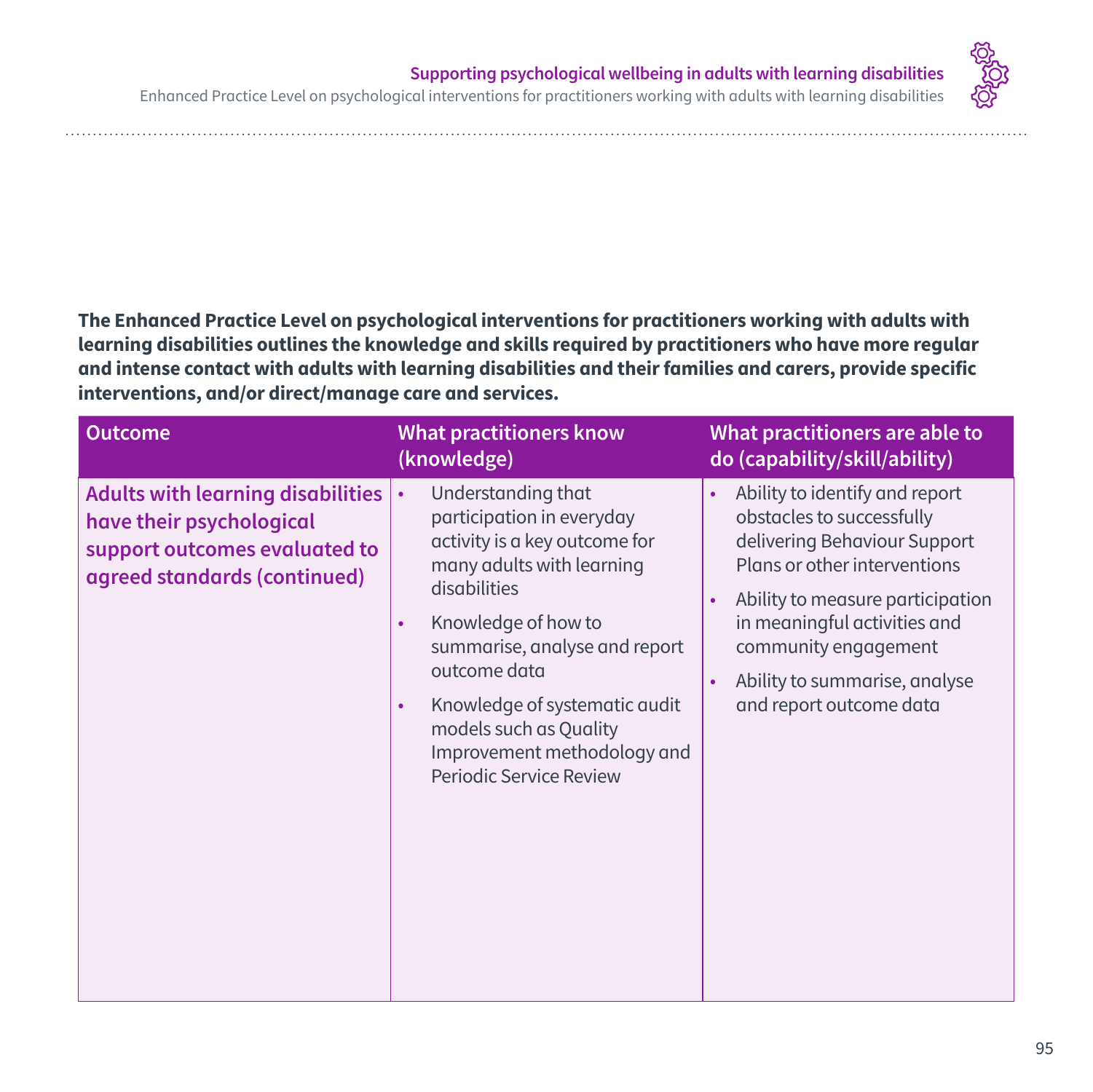

Enhanced Practice Level on psychological interventions for practitioners working with adults with learning disabilities

| <b>Outcome</b>                                                                                                                        | <b>What practitioners know</b><br>(knowledge)                                                                                                                                                                                                                                                                                                                     | What practitioners are able to<br>do (capability/skill/ability)                                                                                                                                                                                                                     |
|---------------------------------------------------------------------------------------------------------------------------------------|-------------------------------------------------------------------------------------------------------------------------------------------------------------------------------------------------------------------------------------------------------------------------------------------------------------------------------------------------------------------|-------------------------------------------------------------------------------------------------------------------------------------------------------------------------------------------------------------------------------------------------------------------------------------|
| <b>Adults with learning disabilities</b><br>have their psychological<br>support outcomes evaluated to<br>agreed standards (continued) | Understanding that<br>$\bullet$<br>participation in everyday<br>activity is a key outcome for<br>many adults with learning<br>disabilities<br>Knowledge of how to<br>$\bullet$<br>summarise, analyse and report<br>outcome data<br>Knowledge of systematic audit<br>$\bullet$<br>models such as Quality<br>Improvement methodology and<br>Periodic Service Review | Ability to identify and report<br>obstacles to successfully<br>delivering Behaviour Support<br>Plans or other interventions<br>Ability to measure participation<br>in meaningful activities and<br>community engagement<br>Ability to summarise, analyse<br>and report outcome data |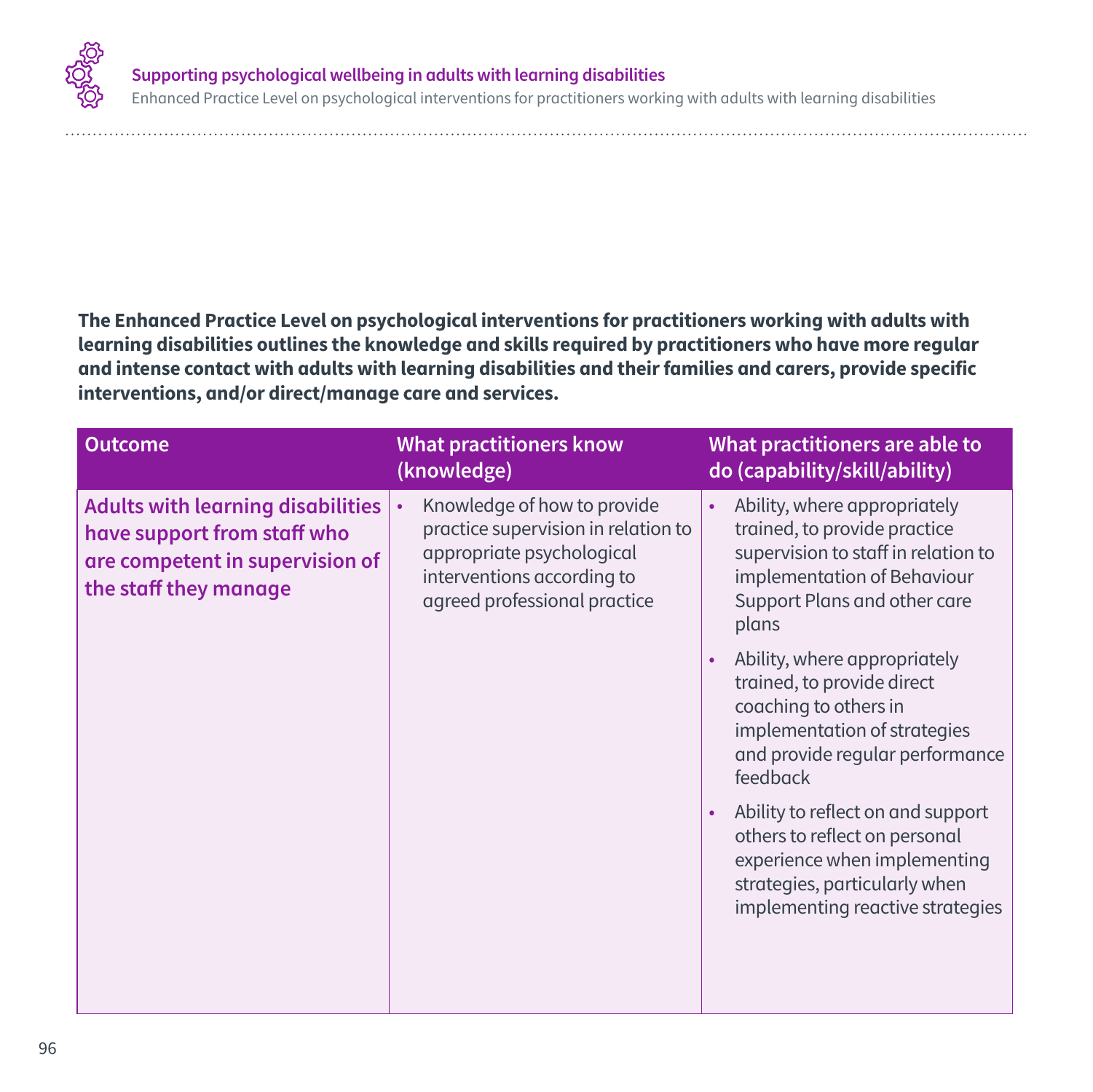

| <b>Outcome</b>                                                                                                               | <b>What practitioners know</b><br>(knowledge)                                                                                                                              | What practitioners are able to<br>do (capability/skill/ability)                                                                                                             |
|------------------------------------------------------------------------------------------------------------------------------|----------------------------------------------------------------------------------------------------------------------------------------------------------------------------|-----------------------------------------------------------------------------------------------------------------------------------------------------------------------------|
| Adults with learning disabilities<br>have support from staff who<br>are competent in supervision of<br>the staff they manage | Knowledge of how to provide<br>$\bullet$<br>practice supervision in relation to<br>appropriate psychological<br>interventions according to<br>agreed professional practice | Ability, where appropriately<br>trained, to provide practice<br>supervision to staff in relation to<br>implementation of Behaviour<br>Support Plans and other care<br>plans |
|                                                                                                                              |                                                                                                                                                                            | Ability, where appropriately<br>trained, to provide direct<br>coaching to others in<br>implementation of strategies<br>and provide regular performance<br>feedback          |
|                                                                                                                              |                                                                                                                                                                            | Ability to reflect on and support<br>others to reflect on personal<br>experience when implementing<br>strategies, particularly when<br>implementing reactive strategies     |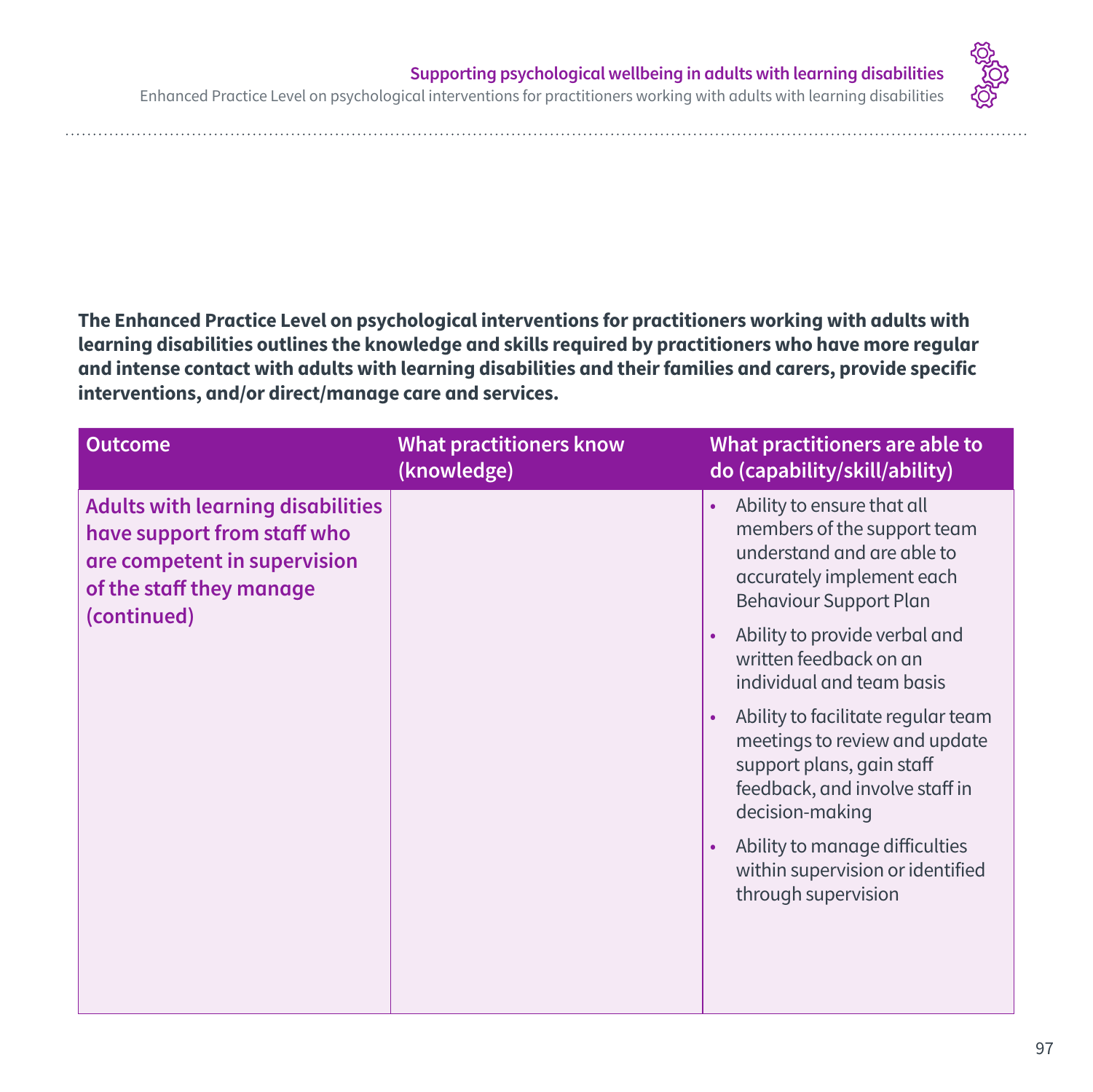

. . . . . . . . . . . . . .

Enhanced Practice Level on psychological interventions for practitioners working with adults with learning disabilities

| <b>Outcome</b>                                                                                                                                     | <b>What practitioners know</b><br>(knowledge) | What practitioners are able to<br>do (capability/skill/ability)                                                                                       |
|----------------------------------------------------------------------------------------------------------------------------------------------------|-----------------------------------------------|-------------------------------------------------------------------------------------------------------------------------------------------------------|
| <b>Adults with learning disabilities</b><br>have support from staff who<br>are competent in supervision<br>of the staff they manage<br>(continued) |                                               | Ability to ensure that all<br>members of the support team<br>understand and are able to<br>accurately implement each<br><b>Behaviour Support Plan</b> |
|                                                                                                                                                    |                                               | Ability to provide verbal and<br>written feedback on an<br>individual and team basis                                                                  |
|                                                                                                                                                    |                                               | Ability to facilitate regular team<br>meetings to review and update<br>support plans, gain staff<br>feedback, and involve staff in<br>decision-making |
|                                                                                                                                                    |                                               | Ability to manage difficulties<br>within supervision or identified<br>through supervision                                                             |
|                                                                                                                                                    |                                               |                                                                                                                                                       |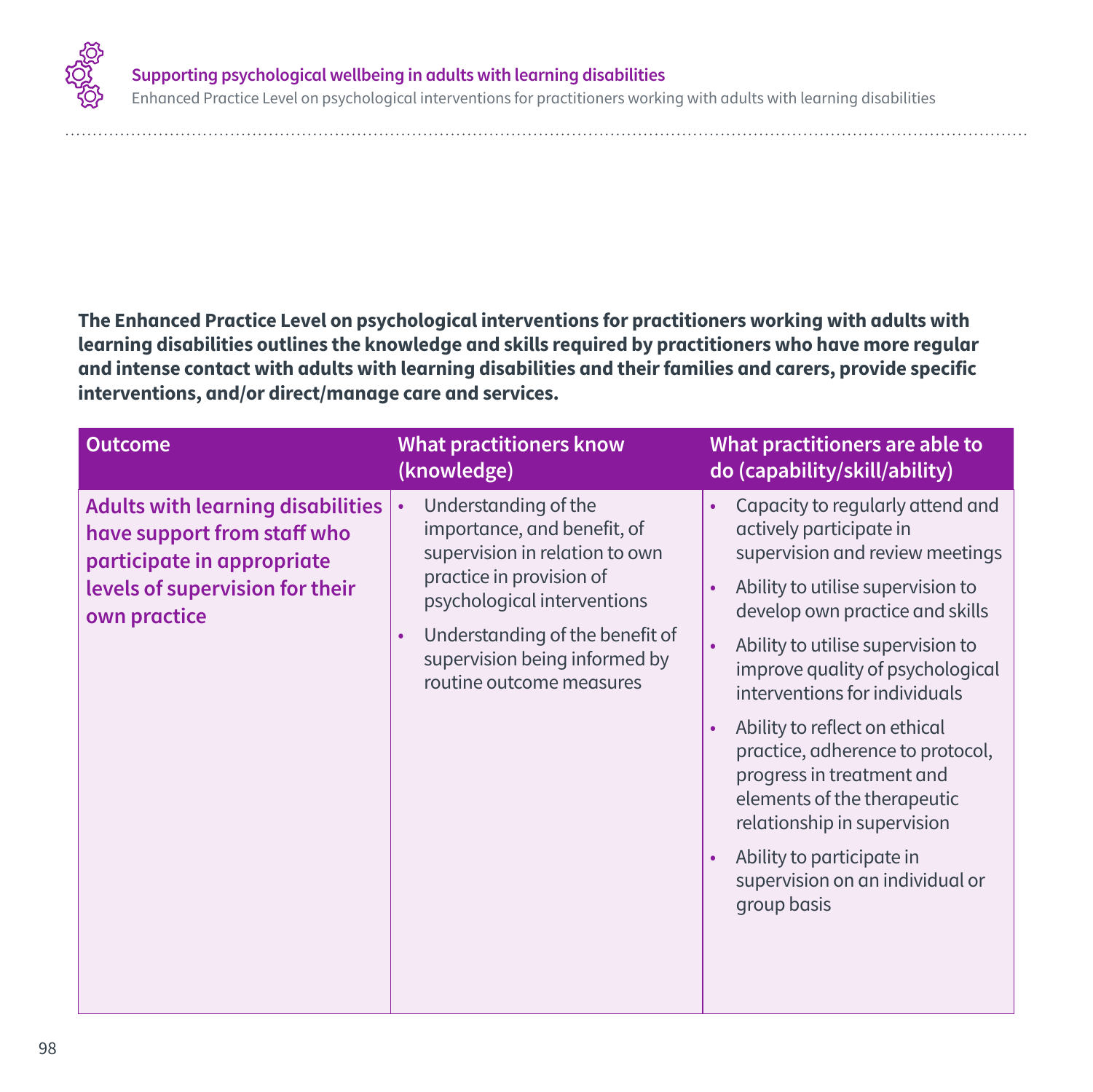

| <b>Outcome</b>                                                                                                                                           | <b>What practitioners know</b><br>(knowledge)                                                                                                                                                                                                                              | What practitioners are able to<br>do (capability/skill/ability)                                                                                                                                                                                                                                                                                                                                                                                                                                                                 |
|----------------------------------------------------------------------------------------------------------------------------------------------------------|----------------------------------------------------------------------------------------------------------------------------------------------------------------------------------------------------------------------------------------------------------------------------|---------------------------------------------------------------------------------------------------------------------------------------------------------------------------------------------------------------------------------------------------------------------------------------------------------------------------------------------------------------------------------------------------------------------------------------------------------------------------------------------------------------------------------|
| <b>Adults with learning disabilities</b><br>have support from staff who<br>participate in appropriate<br>levels of supervision for their<br>own practice | Understanding of the<br>$\bullet$<br>importance, and benefit, of<br>supervision in relation to own<br>practice in provision of<br>psychological interventions<br>Understanding of the benefit of<br>$\bullet$<br>supervision being informed by<br>routine outcome measures | Capacity to regularly attend and<br>actively participate in<br>supervision and review meetings<br>Ability to utilise supervision to<br>develop own practice and skills<br>Ability to utilise supervision to<br>improve quality of psychological<br>interventions for individuals<br>Ability to reflect on ethical<br>practice, adherence to protocol,<br>progress in treatment and<br>elements of the therapeutic<br>relationship in supervision<br>Ability to participate in<br>supervision on an individual or<br>group basis |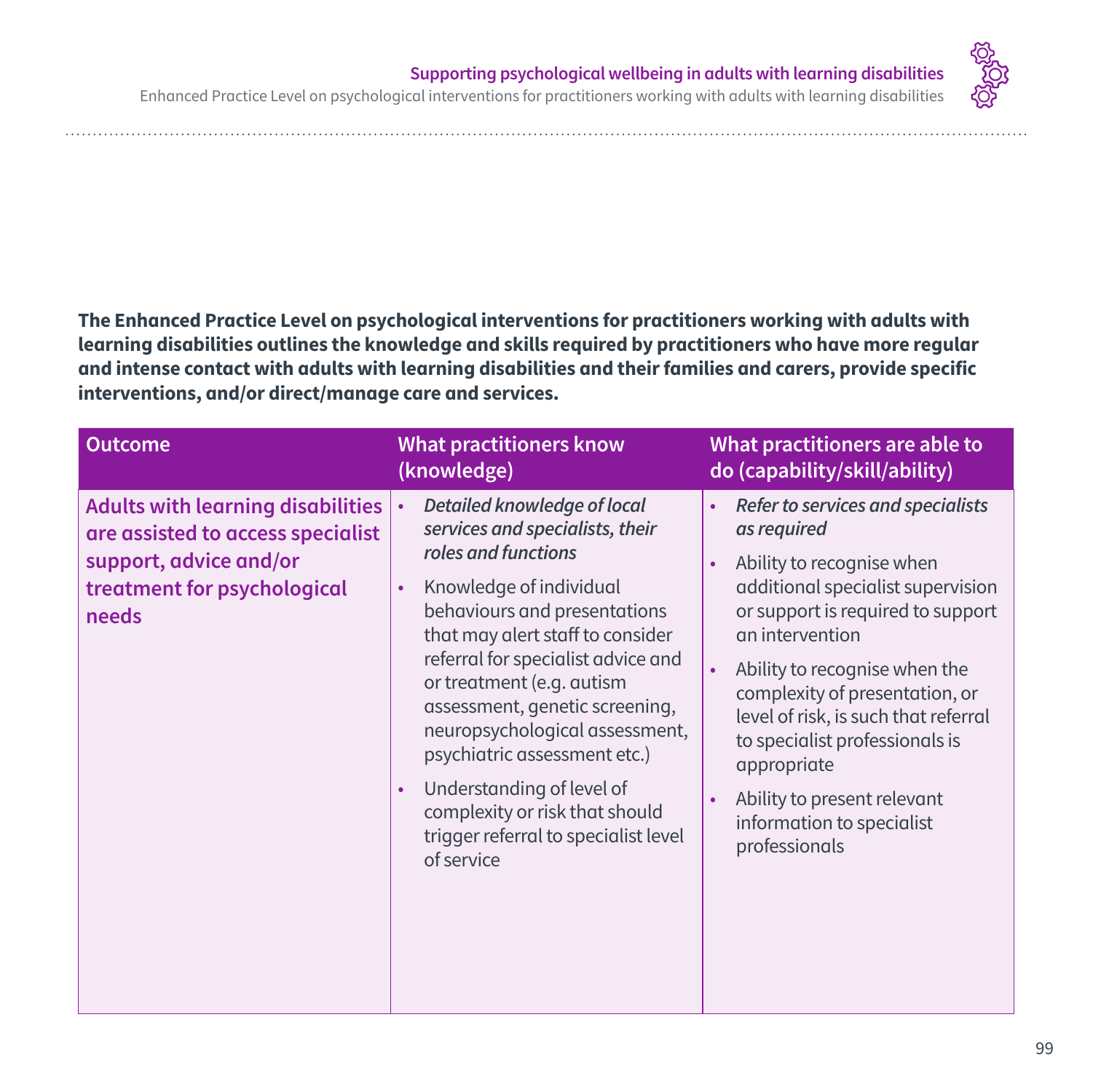

. . . . . . . . . . . . . . .

Enhanced Practice Level on psychological interventions for practitioners working with adults with learning disabilities

| <b>Outcome</b>                                                                                                                           | <b>What practitioners know</b><br>(knowledge)                                                                                                                                                                                                                                                                                                                                                                                                                                                              | What practitioners are able to<br>do (capability/skill/ability)                                                                                                                                                                                                                                                                                                                                                     |
|------------------------------------------------------------------------------------------------------------------------------------------|------------------------------------------------------------------------------------------------------------------------------------------------------------------------------------------------------------------------------------------------------------------------------------------------------------------------------------------------------------------------------------------------------------------------------------------------------------------------------------------------------------|---------------------------------------------------------------------------------------------------------------------------------------------------------------------------------------------------------------------------------------------------------------------------------------------------------------------------------------------------------------------------------------------------------------------|
| Adults with learning disabilities<br>are assisted to access specialist<br>support, advice and/or<br>treatment for psychological<br>needs | Detailed knowledge of local<br>services and specialists, their<br>roles and functions<br>Knowledge of individual<br>$\bullet$<br>behaviours and presentations<br>that may alert staff to consider<br>referral for specialist advice and<br>or treatment (e.g. autism<br>assessment, genetic screening,<br>neuropsychological assessment,<br>psychiatric assessment etc.)<br>Understanding of level of<br>$\bullet$<br>complexity or risk that should<br>trigger referral to specialist level<br>of service | Refer to services and specialists<br>as required<br>Ability to recognise when<br>additional specialist supervision<br>or support is required to support<br>an intervention<br>Ability to recognise when the<br>complexity of presentation, or<br>level of risk, is such that referral<br>to specialist professionals is<br>appropriate<br>Ability to present relevant<br>information to specialist<br>professionals |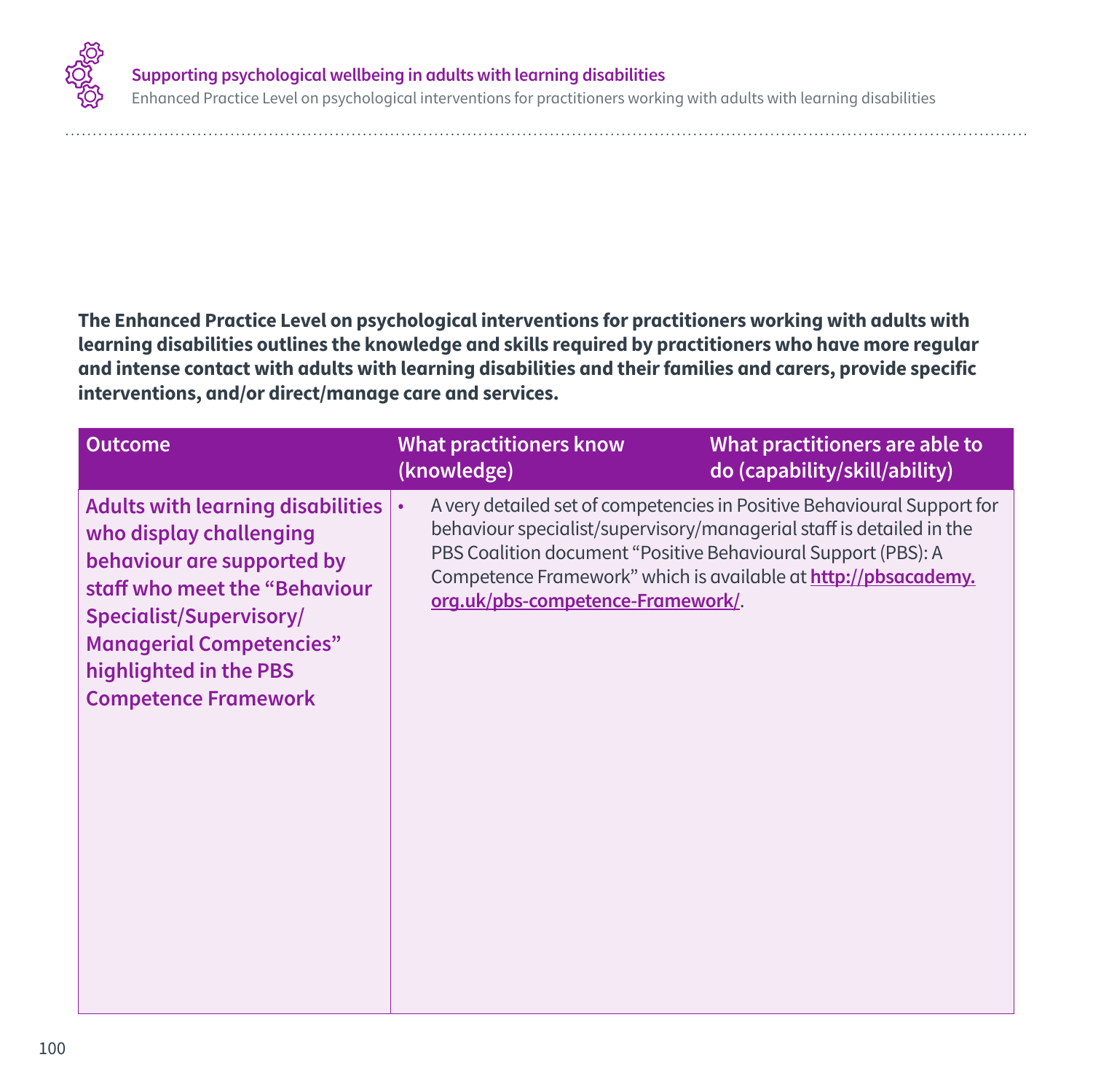

| <b>Outcome</b>                                                                                                                                                                                                                                     | <b>What practitioners know</b><br>(knowledge)                                                                   | What practitioners are able to<br>do (capability/skill/ability)                                                                                                                                                   |
|----------------------------------------------------------------------------------------------------------------------------------------------------------------------------------------------------------------------------------------------------|-----------------------------------------------------------------------------------------------------------------|-------------------------------------------------------------------------------------------------------------------------------------------------------------------------------------------------------------------|
| Adults with learning disabilities<br>who display challenging<br>behaviour are supported by<br>staff who meet the "Behaviour<br>Specialist/Supervisory/<br><b>Managerial Competencies"</b><br>highlighted in the PBS<br><b>Competence Framework</b> | $\bullet$<br>PBS Coalition document "Positive Behavioural Support (PBS): A<br>org.uk/pbs-competence-Framework/. | A very detailed set of competencies in Positive Behavioural Support for<br>behaviour specialist/supervisory/managerial staff is detailed in the<br>Competence Framework" which is available at http://pbsacademy. |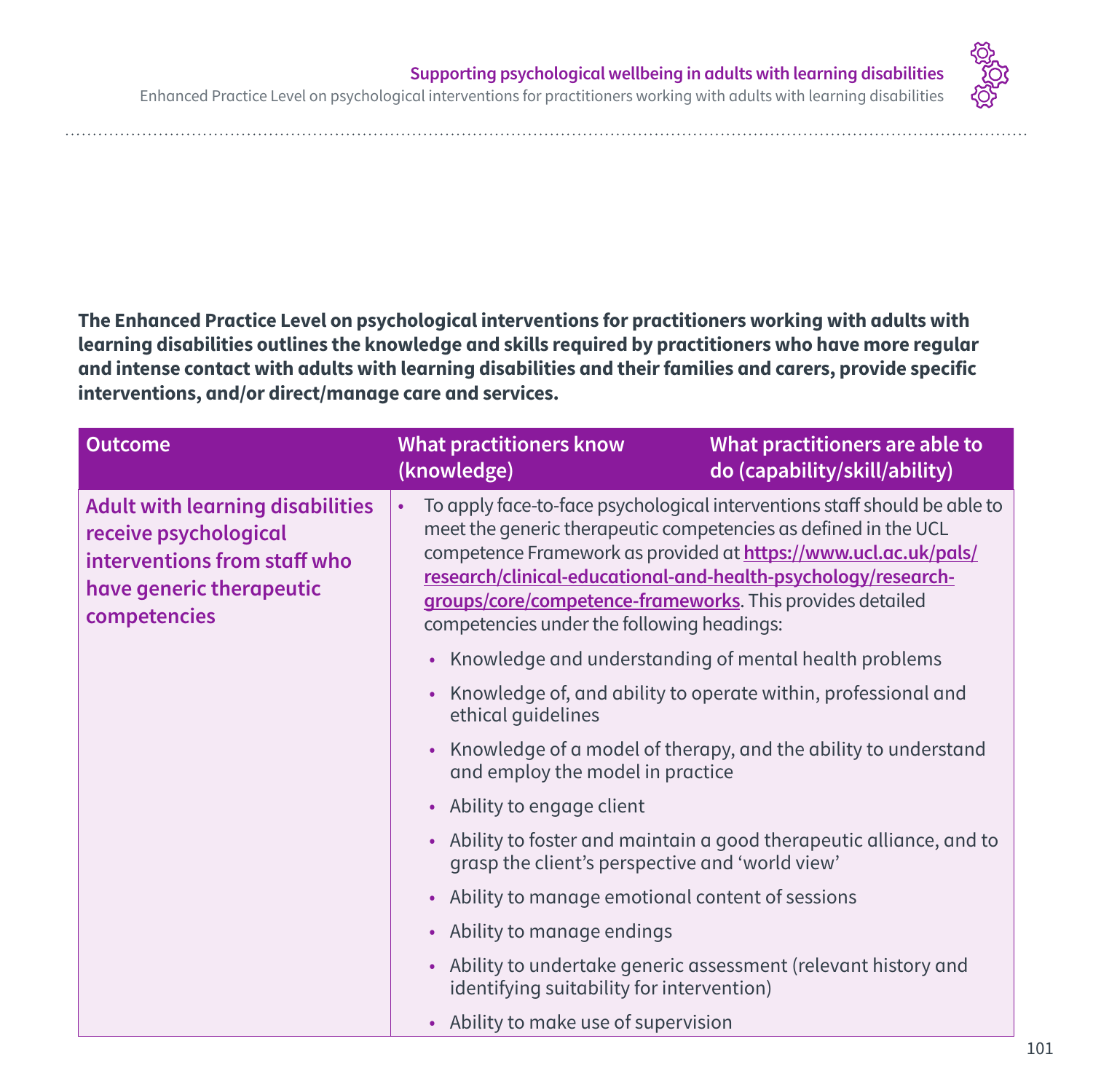

. . . . . . . . . . . . . . . . . . .

Enhanced Practice Level on psychological interventions for practitioners working with adults with learning disabilities

| <b>Outcome</b>                                                                                                                               | <b>What practitioners know</b><br>(knowledge)                                                                | What practitioners are able to<br>do (capability/skill/ability)                                                                                                                                                                                                                                                                                                                             |  |
|----------------------------------------------------------------------------------------------------------------------------------------------|--------------------------------------------------------------------------------------------------------------|---------------------------------------------------------------------------------------------------------------------------------------------------------------------------------------------------------------------------------------------------------------------------------------------------------------------------------------------------------------------------------------------|--|
| <b>Adult with learning disabilities</b><br>receive psychological<br>interventions from staff who<br>have generic therapeutic<br>competencies | $\bullet$                                                                                                    | To apply face-to-face psychological interventions staff should be able to<br>meet the generic therapeutic competencies as defined in the UCL<br>competence Framework as provided at https://www.ucl.ac.uk/pals/<br>research/clinical-educational-and-health-psychology/research-<br>groups/core/competence-frameworks. This provides detailed<br>competencies under the following headings: |  |
|                                                                                                                                              | Knowledge and understanding of mental health problems<br>$\bullet$                                           |                                                                                                                                                                                                                                                                                                                                                                                             |  |
|                                                                                                                                              | ethical quidelines                                                                                           | Knowledge of, and ability to operate within, professional and                                                                                                                                                                                                                                                                                                                               |  |
|                                                                                                                                              | and employ the model in practice                                                                             | Knowledge of a model of therapy, and the ability to understand                                                                                                                                                                                                                                                                                                                              |  |
|                                                                                                                                              | • Ability to engage client                                                                                   |                                                                                                                                                                                                                                                                                                                                                                                             |  |
|                                                                                                                                              | grasp the client's perspective and 'world view'                                                              | Ability to foster and maintain a good therapeutic alliance, and to                                                                                                                                                                                                                                                                                                                          |  |
|                                                                                                                                              | • Ability to manage emotional content of sessions                                                            |                                                                                                                                                                                                                                                                                                                                                                                             |  |
|                                                                                                                                              | • Ability to manage endings                                                                                  |                                                                                                                                                                                                                                                                                                                                                                                             |  |
|                                                                                                                                              | • Ability to undertake generic assessment (relevant history and<br>identifying suitability for intervention) |                                                                                                                                                                                                                                                                                                                                                                                             |  |
|                                                                                                                                              | • Ability to make use of supervision                                                                         |                                                                                                                                                                                                                                                                                                                                                                                             |  |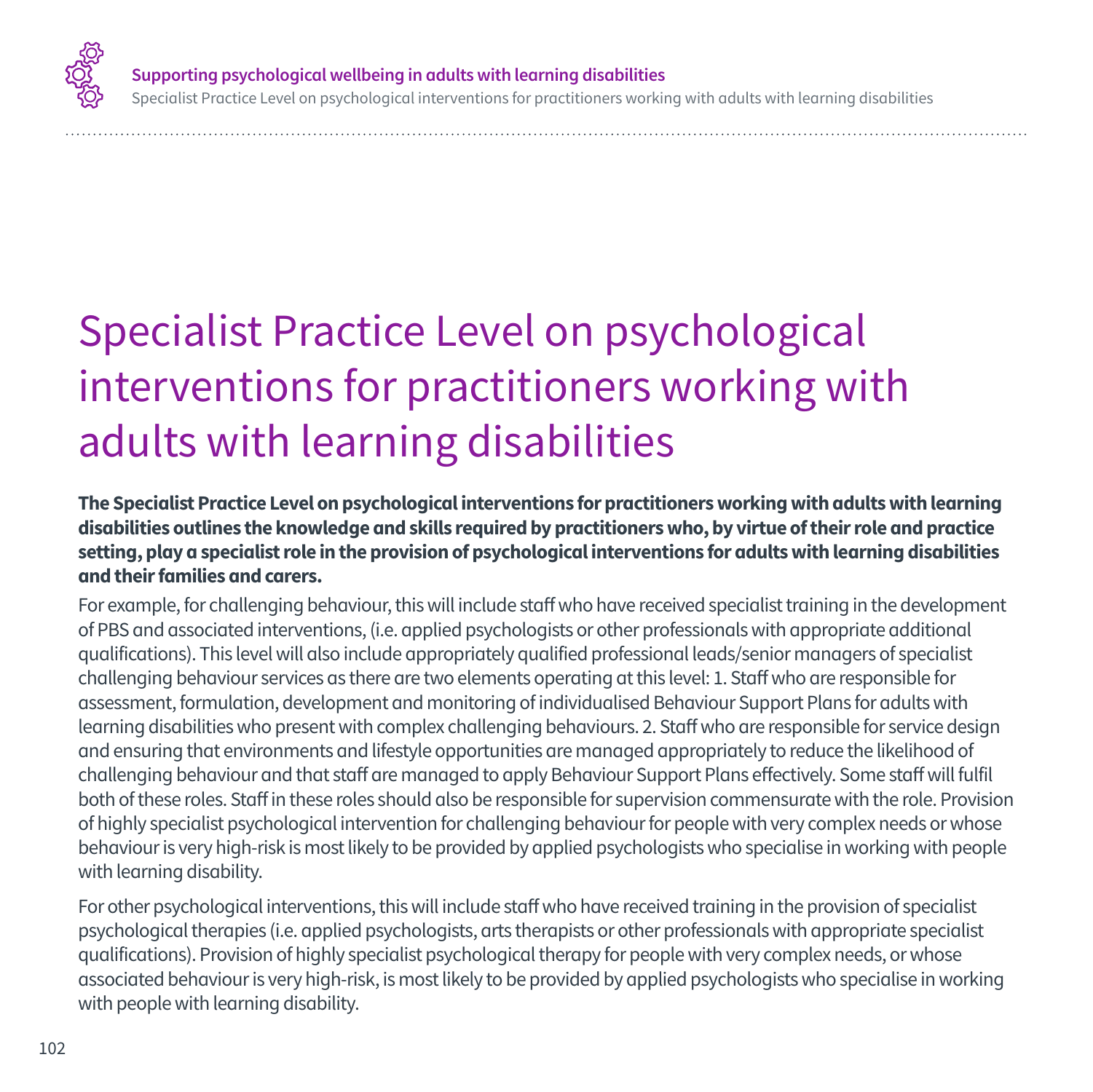

**The Specialist Practice Level on psychological interventions for practitioners working with adults with learning disabilities outlines the knowledge and skills required by practitioners who, by virtue of their role and practice setting, play a specialist role in the provision of psychological interventions for adults with learning disabilities and their families and carers.**

For example, for challenging behaviour, this will include staff who have received specialist training in the development of PBS and associated interventions, (i.e. applied psychologists or other professionals with appropriate additional qualifications). This level will also include appropriately qualified professional leads/senior managers of specialist challenging behaviour services as there are two elements operating at this level: 1. Staff who are responsible for assessment, formulation, development and monitoring of individualised Behaviour Support Plans for adults with learning disabilities who present with complex challenging behaviours. 2. Staff who are responsible for service design and ensuring that environments and lifestyle opportunities are managed appropriately to reduce the likelihood of challenging behaviour and that staff are managed to apply Behaviour Support Plans effectively. Some staff will fulfil both of these roles. Staff in these roles should also be responsible for supervision commensurate with the role. Provision of highly specialist psychological intervention for challenging behaviour for people with very complex needs or whose behaviour is very high-risk is most likely to be provided by applied psychologists who specialise in working with people with learning disability.

For other psychological interventions, this will include staff who have received training in the provision of specialist psychological therapies (i.e. applied psychologists, arts therapists or other professionals with appropriate specialist qualifications). Provision of highly specialist psychological therapy for people with very complex needs, or whose associated behaviour is very high-risk, is most likely to be provided by applied psychologists who specialise in working with people with learning disability.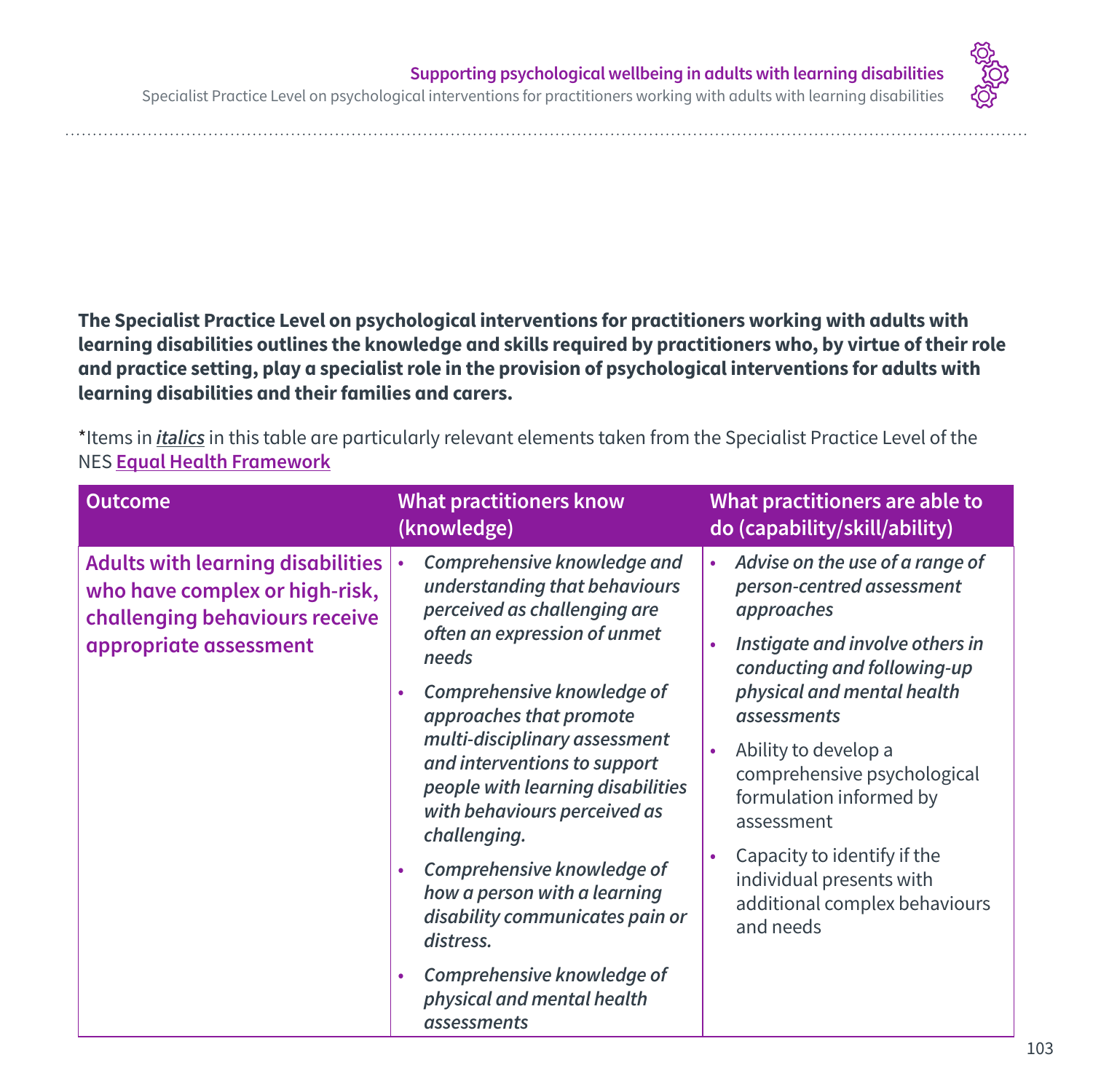

**The Specialist Practice Level on psychological interventions for practitioners working with adults with learning disabilities outlines the knowledge and skills required by practitioners who, by virtue of their role and practice setting, play a specialist role in the provision of psychological interventions for adults with learning disabilities and their families and carers.**

\*Items in *italics* in this table are particularly relevant elements taken from the Specialist Practice Level of the NES **[Equal Health Framework](http://www.nes.scot.nhs.uk/education-and-training/by-theme-initiative/mental-health-and-learning-disabilities/our-work,-publications-and-resources/learning-disabilities/equal-health-educational-framework.aspx)**

| <b>Outcome</b>                                                                                                                         | <b>What practitioners know</b><br>(knowledge)                                                                                                                                                                                                                                                                                                                                                                                                         | What practitioners are able to<br>do (capability/skill/ability)                                                                                                                                                                                                                                                                                                                                         |
|----------------------------------------------------------------------------------------------------------------------------------------|-------------------------------------------------------------------------------------------------------------------------------------------------------------------------------------------------------------------------------------------------------------------------------------------------------------------------------------------------------------------------------------------------------------------------------------------------------|---------------------------------------------------------------------------------------------------------------------------------------------------------------------------------------------------------------------------------------------------------------------------------------------------------------------------------------------------------------------------------------------------------|
| <b>Adults with learning disabilities</b><br>who have complex or high-risk,<br>challenging behaviours receive<br>appropriate assessment | Comprehensive knowledge and<br>understanding that behaviours<br>perceived as challenging are<br>often an expression of unmet<br>needs<br>Comprehensive knowledge of<br>approaches that promote<br>multi-disciplinary assessment<br>and interventions to support<br>people with learning disabilities<br>with behaviours perceived as<br>challenging.<br>Comprehensive knowledge of<br>how a person with a learning<br>disability communicates pain or | Advise on the use of a range of<br>٠<br>person-centred assessment<br>approaches<br>Instigate and involve others in<br>conducting and following-up<br>physical and mental health<br>assessments<br>Ability to develop a<br>comprehensive psychological<br>formulation informed by<br>assessment<br>Capacity to identify if the<br>individual presents with<br>additional complex behaviours<br>and needs |
|                                                                                                                                        | distress.<br>Comprehensive knowledge of<br>physical and mental health<br>assessments                                                                                                                                                                                                                                                                                                                                                                  |                                                                                                                                                                                                                                                                                                                                                                                                         |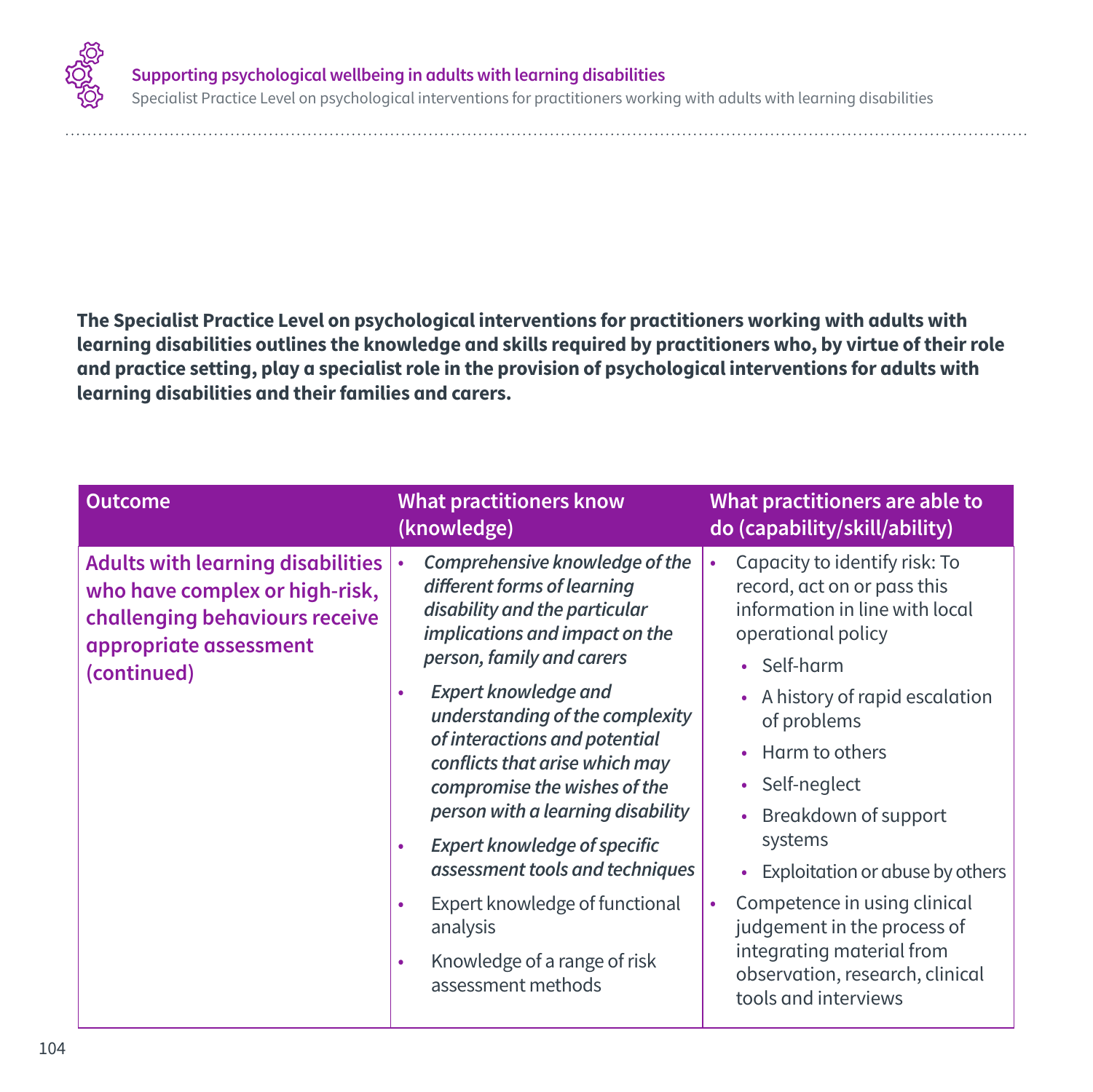

| <b>Outcome</b>                                                                                                                                        | <b>What practitioners know</b><br>(knowledge)                                                                                                                                                                                                                                                                                                                                | What practitioners are able to<br>do (capability/skill/ability)                                                                                                                                                                                                    |
|-------------------------------------------------------------------------------------------------------------------------------------------------------|------------------------------------------------------------------------------------------------------------------------------------------------------------------------------------------------------------------------------------------------------------------------------------------------------------------------------------------------------------------------------|--------------------------------------------------------------------------------------------------------------------------------------------------------------------------------------------------------------------------------------------------------------------|
| <b>Adults with learning disabilities</b><br>who have complex or high-risk,<br>challenging behaviours receive<br>appropriate assessment<br>(continued) | Comprehensive knowledge of the<br>different forms of learning<br>disability and the particular<br>implications and impact on the<br>person, family and carers<br><b>Expert knowledge and</b><br>٠<br>understanding of the complexity<br>of interactions and potential<br>conflicts that arise which may<br>compromise the wishes of the<br>person with a learning disability | Capacity to identify risk: To<br>$\bullet$<br>record, act on or pass this<br>information in line with local<br>operational policy<br>• Self-harm<br>• A history of rapid escalation<br>of problems<br>• Harm to others<br>• Self-neglect<br>• Breakdown of support |
|                                                                                                                                                       | <b>Expert knowledge of specific</b><br>$\bullet$<br>assessment tools and techniques                                                                                                                                                                                                                                                                                          | systems<br>• Exploitation or abuse by others                                                                                                                                                                                                                       |
|                                                                                                                                                       | Expert knowledge of functional<br>$\bullet$<br>analysis<br>Knowledge of a range of risk<br>$\bullet$<br>assessment methods                                                                                                                                                                                                                                                   | Competence in using clinical<br>$\bullet$<br>judgement in the process of<br>integrating material from<br>observation, research, clinical<br>tools and interviews                                                                                                   |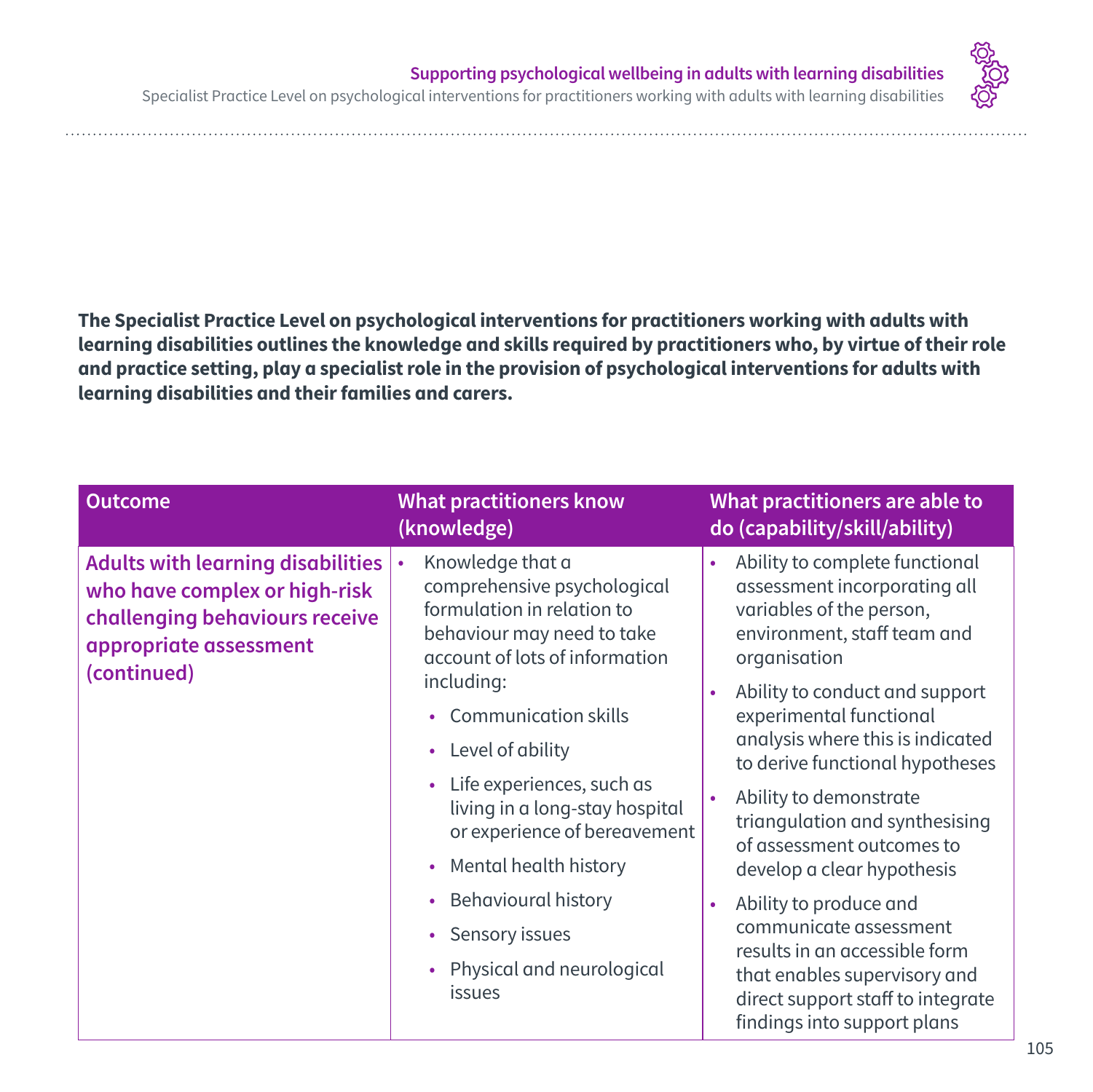

| <b>Outcome</b>                                                                                                                                       | <b>What practitioners know</b><br>(knowledge)                                                                                                              | What practitioners are able to<br>do (capability/skill/ability)                                                                                             |
|------------------------------------------------------------------------------------------------------------------------------------------------------|------------------------------------------------------------------------------------------------------------------------------------------------------------|-------------------------------------------------------------------------------------------------------------------------------------------------------------|
| <b>Adults with learning disabilities</b><br>who have complex or high-risk<br>challenging behaviours receive<br>appropriate assessment<br>(continued) | Knowledge that a<br>$\bullet$<br>comprehensive psychological<br>formulation in relation to<br>behaviour may need to take<br>account of lots of information | Ability to complete functional<br>assessment incorporating all<br>variables of the person,<br>environment, staff team and<br>organisation                   |
|                                                                                                                                                      | including:<br><b>Communication skills</b>                                                                                                                  | Ability to conduct and support<br>experimental functional                                                                                                   |
|                                                                                                                                                      | Level of ability<br>۰                                                                                                                                      | analysis where this is indicated<br>to derive functional hypotheses                                                                                         |
|                                                                                                                                                      | Life experiences, such as<br>$\bullet$<br>living in a long-stay hospital<br>or experience of bereavement                                                   | Ability to demonstrate<br>triangulation and synthesising<br>of assessment outcomes to                                                                       |
|                                                                                                                                                      | Mental health history<br>$\bullet$                                                                                                                         | develop a clear hypothesis                                                                                                                                  |
|                                                                                                                                                      | <b>Behavioural history</b><br>$\bullet$                                                                                                                    | Ability to produce and                                                                                                                                      |
|                                                                                                                                                      | Sensory issues<br>۰                                                                                                                                        | communicate assessment<br>results in an accessible form<br>that enables supervisory and<br>direct support staff to integrate<br>findings into support plans |
|                                                                                                                                                      | Physical and neurological<br>issues                                                                                                                        |                                                                                                                                                             |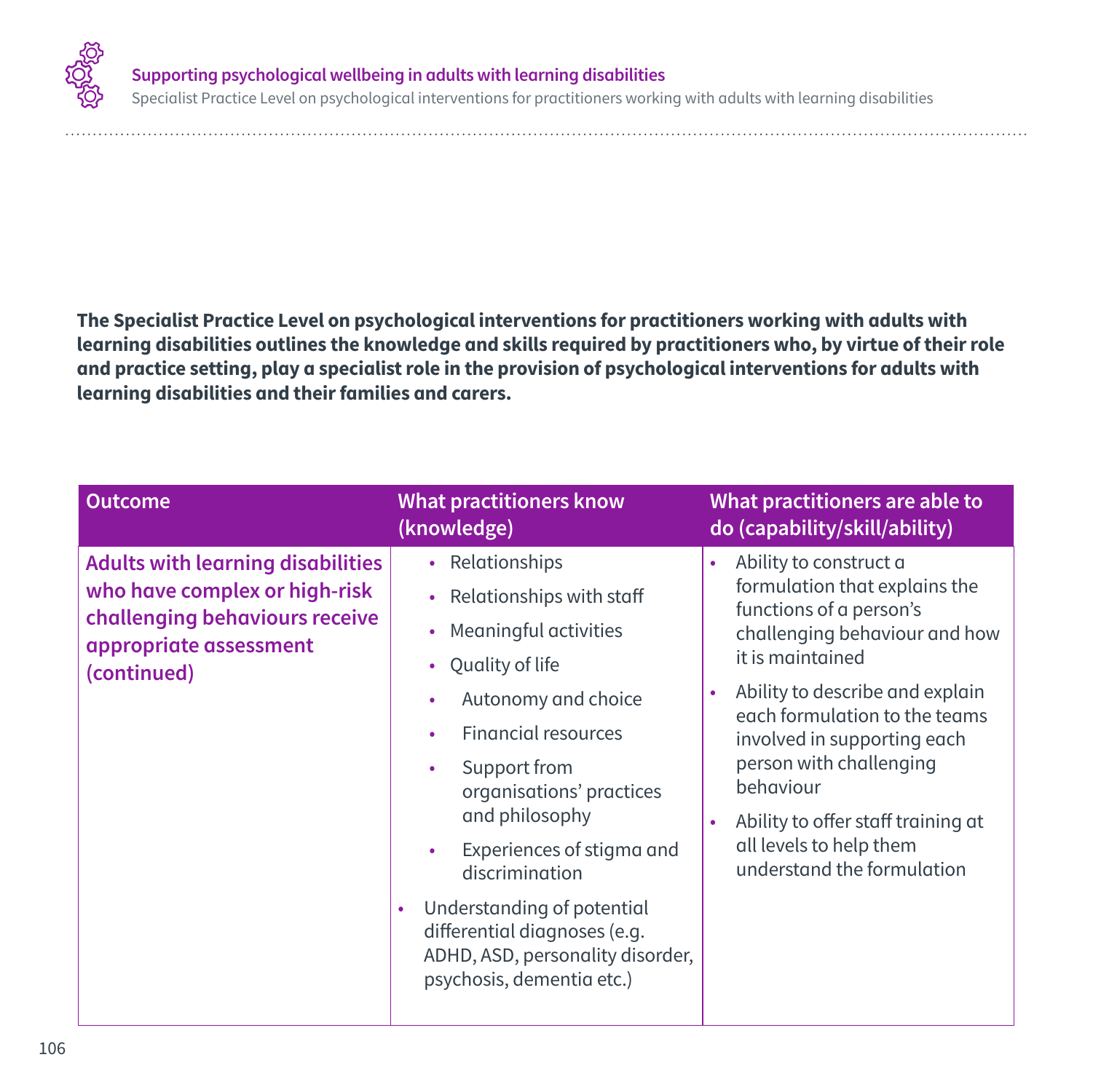

| <b>Outcome</b>                                                                                                                                       | <b>What practitioners know</b><br>(knowledge)                                                                                                                                                                                                                                                                                                                                                                                                                                     | What practitioners are able to<br>do (capability/skill/ability)                                                                                                                                                                                                                                                                                                                   |
|------------------------------------------------------------------------------------------------------------------------------------------------------|-----------------------------------------------------------------------------------------------------------------------------------------------------------------------------------------------------------------------------------------------------------------------------------------------------------------------------------------------------------------------------------------------------------------------------------------------------------------------------------|-----------------------------------------------------------------------------------------------------------------------------------------------------------------------------------------------------------------------------------------------------------------------------------------------------------------------------------------------------------------------------------|
| <b>Adults with learning disabilities</b><br>who have complex or high-risk<br>challenging behaviours receive<br>appropriate assessment<br>(continued) | • Relationships<br>Relationships with staff<br>$\bullet$<br>Meaningful activities<br>$\bullet$<br>Quality of life<br>٠<br>Autonomy and choice<br>$\bullet$<br>Financial resources<br>$\bullet$<br>Support from<br>$\bullet$<br>organisations' practices<br>and philosophy<br>Experiences of stigma and<br>$\bullet$<br>discrimination<br>Understanding of potential<br>$\bullet$<br>differential diagnoses (e.g.<br>ADHD, ASD, personality disorder,<br>psychosis, dementia etc.) | Ability to construct a<br>formulation that explains the<br>functions of a person's<br>challenging behaviour and how<br>it is maintained<br>Ability to describe and explain<br>each formulation to the teams<br>involved in supporting each<br>person with challenging<br>behaviour<br>Ability to offer staff training at<br>all levels to help them<br>understand the formulation |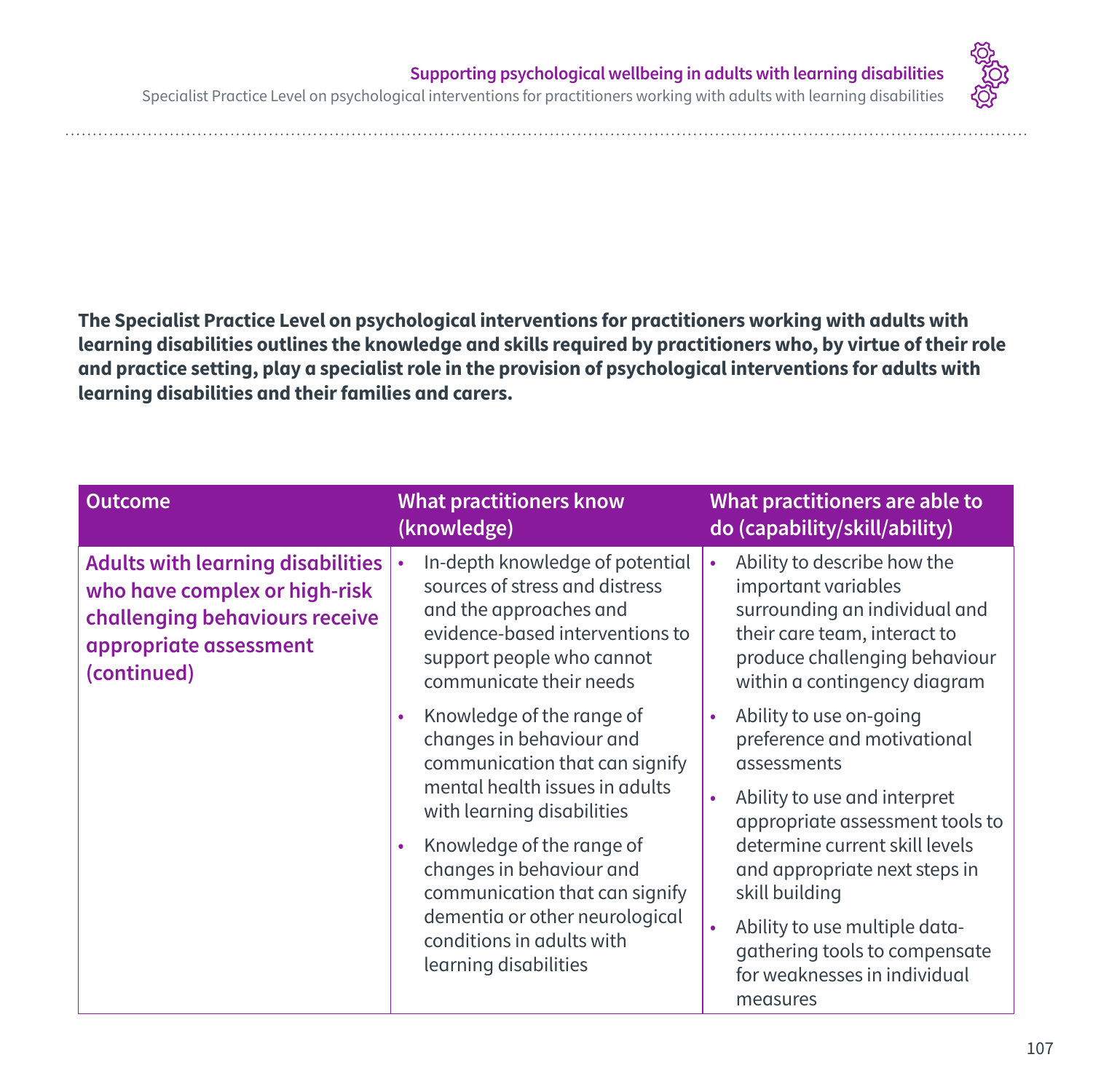

Specialist Practice Level on psychological interventions for practitioners working with adults with learning disabilities

| <b>Outcome</b>                                                                                                                                | <b>What practitioners know</b><br>(knowledge)                                                                                                                                          | What practitioners are able to<br>do (capability/skill/ability)                                                                                                                      |
|-----------------------------------------------------------------------------------------------------------------------------------------------|----------------------------------------------------------------------------------------------------------------------------------------------------------------------------------------|--------------------------------------------------------------------------------------------------------------------------------------------------------------------------------------|
| Adults with learning disabilities<br>who have complex or high-risk<br>challenging behaviours receive<br>appropriate assessment<br>(continued) | In-depth knowledge of potential<br>sources of stress and distress<br>and the approaches and<br>evidence-based interventions to<br>support people who cannot<br>communicate their needs | Ability to describe how the<br>important variables<br>surrounding an individual and<br>their care team, interact to<br>produce challenging behaviour<br>within a contingency diagram |
|                                                                                                                                               | Knowledge of the range of<br>changes in behaviour and<br>communication that can signify<br>mental health issues in adults                                                              | Ability to use on-going<br>$\bullet$<br>preference and motivational<br>assessments                                                                                                   |
|                                                                                                                                               | with learning disabilities                                                                                                                                                             | Ability to use and interpret<br>appropriate assessment tools to                                                                                                                      |
|                                                                                                                                               | Knowledge of the range of<br>$\bullet$<br>changes in behaviour and<br>communication that can signify                                                                                   | determine current skill levels<br>and appropriate next steps in<br>skill building                                                                                                    |
|                                                                                                                                               | dementia or other neurological<br>conditions in adults with<br>learning disabilities                                                                                                   | Ability to use multiple data-<br>gathering tools to compensate<br>for weaknesses in individual<br>measures                                                                           |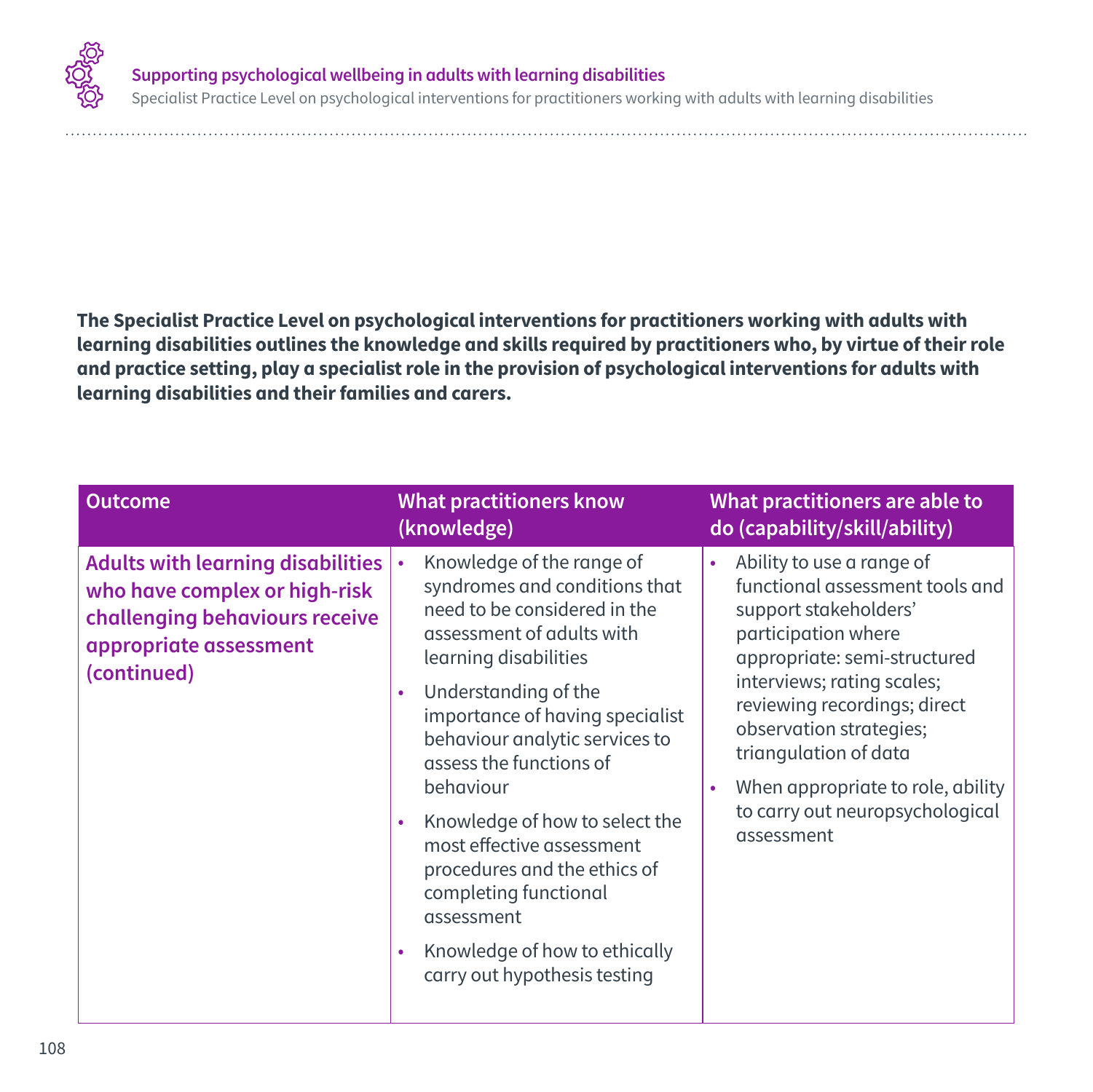

| <b>Outcome</b>                                                                                                                                       | <b>What practitioners know</b><br>(knowledge)                                                                                                                                                                                                                                                                                                                                                                                                                                                             | What practitioners are able to<br>do (capability/skill/ability)                                                                                                                                                                                                                                                                                                                |
|------------------------------------------------------------------------------------------------------------------------------------------------------|-----------------------------------------------------------------------------------------------------------------------------------------------------------------------------------------------------------------------------------------------------------------------------------------------------------------------------------------------------------------------------------------------------------------------------------------------------------------------------------------------------------|--------------------------------------------------------------------------------------------------------------------------------------------------------------------------------------------------------------------------------------------------------------------------------------------------------------------------------------------------------------------------------|
| <b>Adults with learning disabilities</b><br>who have complex or high-risk<br>challenging behaviours receive<br>appropriate assessment<br>(continued) | Knowledge of the range of<br>syndromes and conditions that<br>need to be considered in the<br>assessment of adults with<br>learning disabilities<br>Understanding of the<br>importance of having specialist<br>behaviour analytic services to<br>assess the functions of<br>behaviour<br>Knowledge of how to select the<br>most effective assessment<br>procedures and the ethics of<br>completing functional<br>assessment<br>Knowledge of how to ethically<br>$\bullet$<br>carry out hypothesis testing | Ability to use a range of<br>$\bullet$<br>functional assessment tools and<br>support stakeholders'<br>participation where<br>appropriate: semi-structured<br>interviews; rating scales;<br>reviewing recordings; direct<br>observation strategies;<br>triangulation of data<br>When appropriate to role, ability<br>$\bullet$<br>to carry out neuropsychological<br>assessment |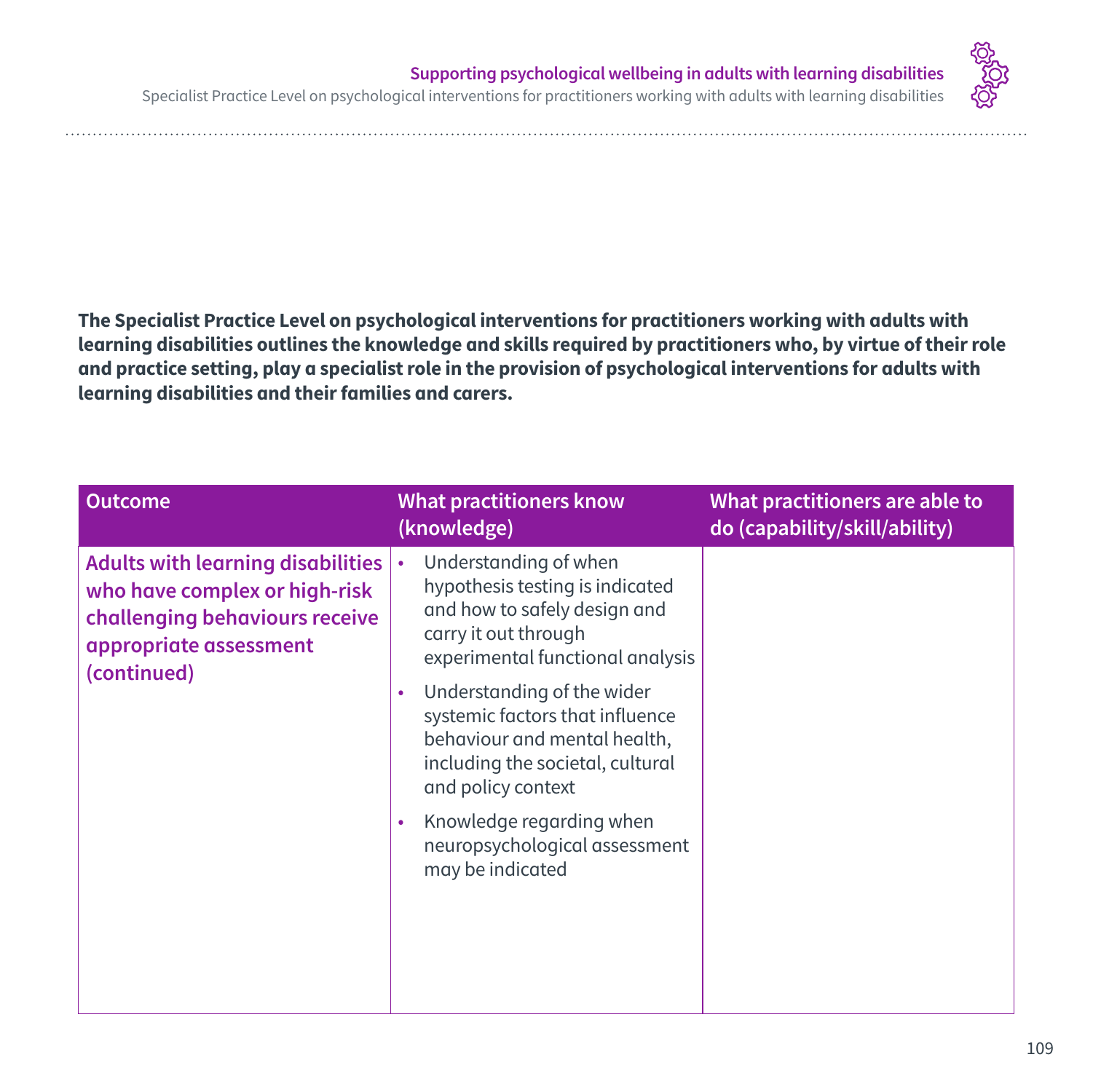

. . . . . . . . . . . . . . . . . . . .

Specialist Practice Level on psychological interventions for practitioners working with adults with learning disabilities

| <b>Outcome</b>                                                                                                                                | <b>What practitioners know</b><br>(knowledge)                                                                                                                                                                                                                                                                                                                                                                              | What practitioners are able to<br>do (capability/skill/ability) |
|-----------------------------------------------------------------------------------------------------------------------------------------------|----------------------------------------------------------------------------------------------------------------------------------------------------------------------------------------------------------------------------------------------------------------------------------------------------------------------------------------------------------------------------------------------------------------------------|-----------------------------------------------------------------|
| Adults with learning disabilities<br>who have complex or high-risk<br>challenging behaviours receive<br>appropriate assessment<br>(continued) | Understanding of when<br>hypothesis testing is indicated<br>and how to safely design and<br>carry it out through<br>experimental functional analysis<br>Understanding of the wider<br>$\bullet$<br>systemic factors that influence<br>behaviour and mental health,<br>including the societal, cultural<br>and policy context<br>Knowledge regarding when<br>$\bullet$<br>neuropsychological assessment<br>may be indicated |                                                                 |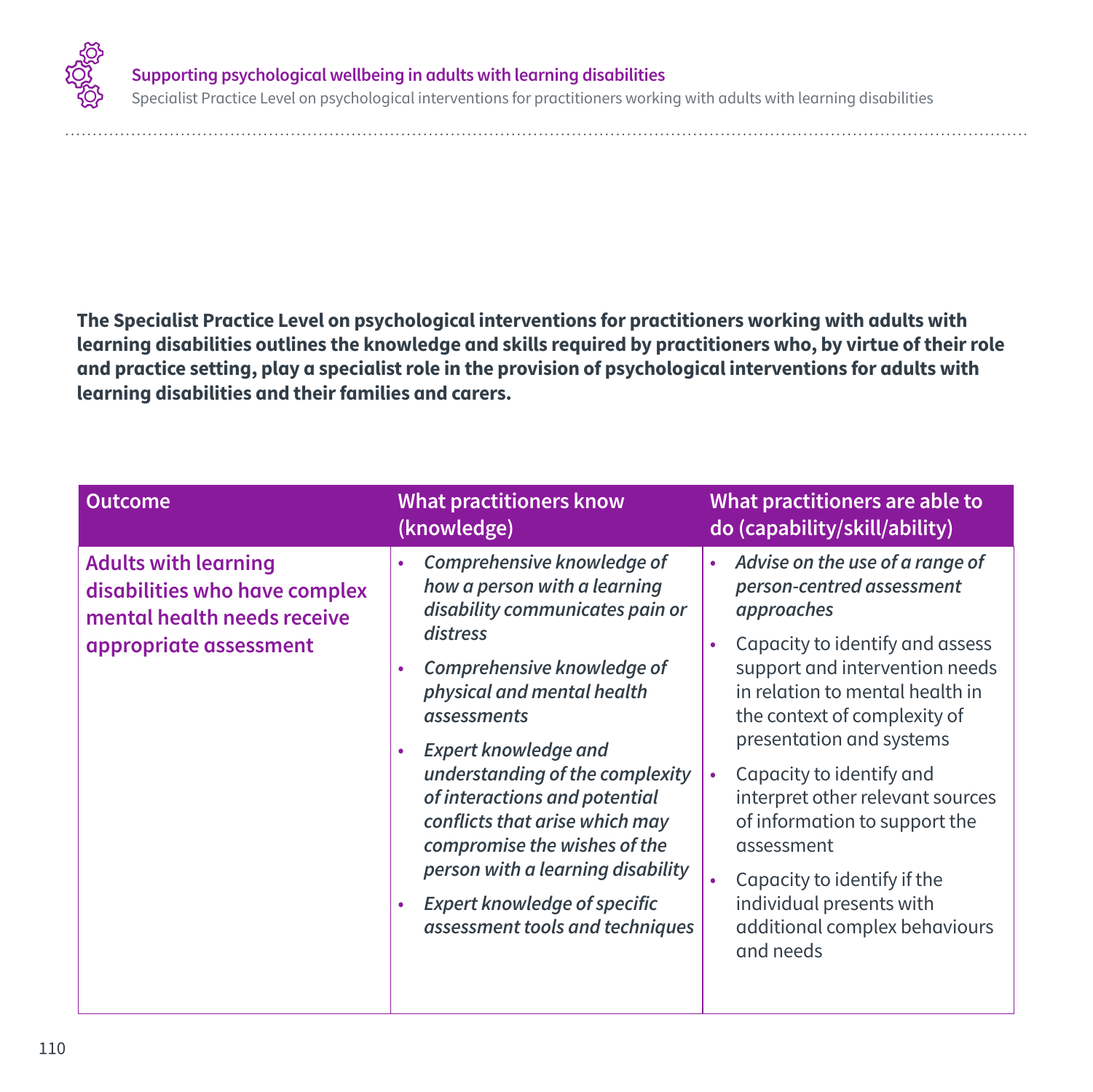

| <b>Outcome</b>                                                                                                        | <b>What practitioners know</b><br>(knowledge)                                                                                                                                                                                                                                                                                                                                                                                                                                                                                | What practitioners are able to<br>do (capability/skill/ability)                                                                                                                                                                                                                                                                                                                                                                                                                     |
|-----------------------------------------------------------------------------------------------------------------------|------------------------------------------------------------------------------------------------------------------------------------------------------------------------------------------------------------------------------------------------------------------------------------------------------------------------------------------------------------------------------------------------------------------------------------------------------------------------------------------------------------------------------|-------------------------------------------------------------------------------------------------------------------------------------------------------------------------------------------------------------------------------------------------------------------------------------------------------------------------------------------------------------------------------------------------------------------------------------------------------------------------------------|
| <b>Adults with learning</b><br>disabilities who have complex<br>mental health needs receive<br>appropriate assessment | Comprehensive knowledge of<br>$\bullet$<br>how a person with a learning<br>disability communicates pain or<br>distress<br>Comprehensive knowledge of<br>$\bullet$<br>physical and mental health<br>assessments<br><b>Expert knowledge and</b><br>$\bullet$<br>understanding of the complexity<br>of interactions and potential<br>conflicts that arise which may<br>compromise the wishes of the<br>person with a learning disability<br><b>Expert knowledge of specific</b><br>$\bullet$<br>assessment tools and techniques | Advise on the use of a range of<br>$\bullet$<br>person-centred assessment<br>approaches<br>Capacity to identify and assess<br>support and intervention needs<br>in relation to mental health in<br>the context of complexity of<br>presentation and systems<br>Capacity to identify and<br>interpret other relevant sources<br>of information to support the<br>assessment<br>Capacity to identify if the<br>individual presents with<br>additional complex behaviours<br>and needs |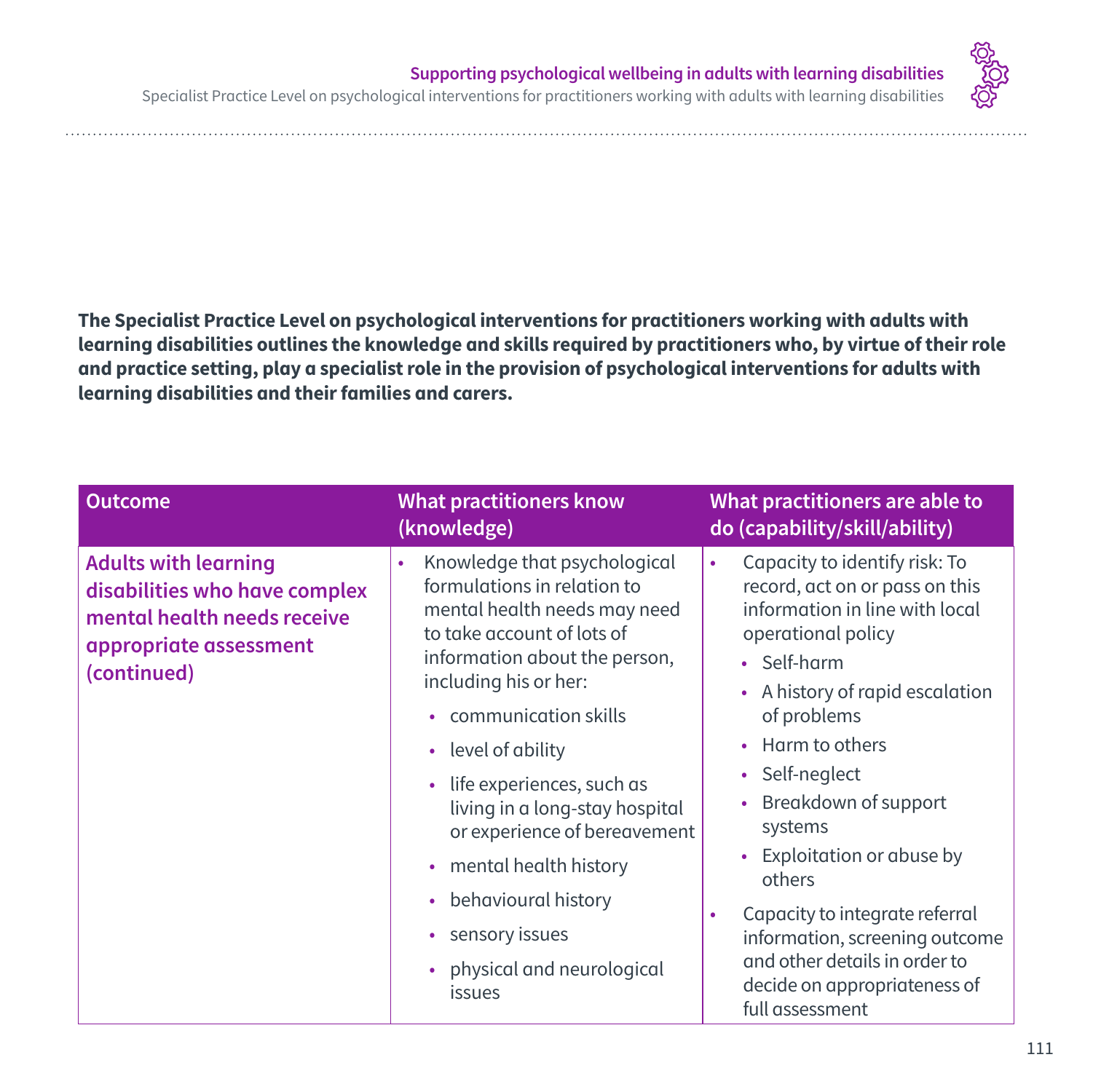## **Supporting psychological wellbeing in adults with learning disabilities**



. . . . . . . . . . . . . . . . .

Specialist Practice Level on psychological interventions for practitioners working with adults with learning disabilities

| <b>Outcome</b>                                                                                                                       | <b>What practitioners know</b><br>(knowledge)                                                                                                                                                                                                                                                                                                                                                                                                               | What practitioners are able to<br>do (capability/skill/ability)                                                                                                                                                                                                                                                                                                                                                                                                       |
|--------------------------------------------------------------------------------------------------------------------------------------|-------------------------------------------------------------------------------------------------------------------------------------------------------------------------------------------------------------------------------------------------------------------------------------------------------------------------------------------------------------------------------------------------------------------------------------------------------------|-----------------------------------------------------------------------------------------------------------------------------------------------------------------------------------------------------------------------------------------------------------------------------------------------------------------------------------------------------------------------------------------------------------------------------------------------------------------------|
| <b>Adults with learning</b><br>disabilities who have complex<br>mental health needs receive<br>appropriate assessment<br>(continued) | Knowledge that psychological<br>$\bullet$<br>formulations in relation to<br>mental health needs may need<br>to take account of lots of<br>information about the person,<br>including his or her:<br>• communication skills<br>• level of ability<br>life experiences, such as<br>living in a long-stay hospital<br>or experience of bereavement<br>mental health history<br>$\bullet$<br>behavioural history<br>sensory issues<br>physical and neurological | Capacity to identify risk: To<br>record, act on or pass on this<br>information in line with local<br>operational policy<br>• Self-harm<br>A history of rapid escalation<br>$\bullet$<br>of problems<br>Harm to others<br>$\bullet$<br>Self-neglect<br>٠<br>Breakdown of support<br>systems<br>Exploitation or abuse by<br>others<br>Capacity to integrate referral<br>information, screening outcome<br>and other details in order to<br>decide on appropriateness of |
|                                                                                                                                      | issues                                                                                                                                                                                                                                                                                                                                                                                                                                                      | full assessment                                                                                                                                                                                                                                                                                                                                                                                                                                                       |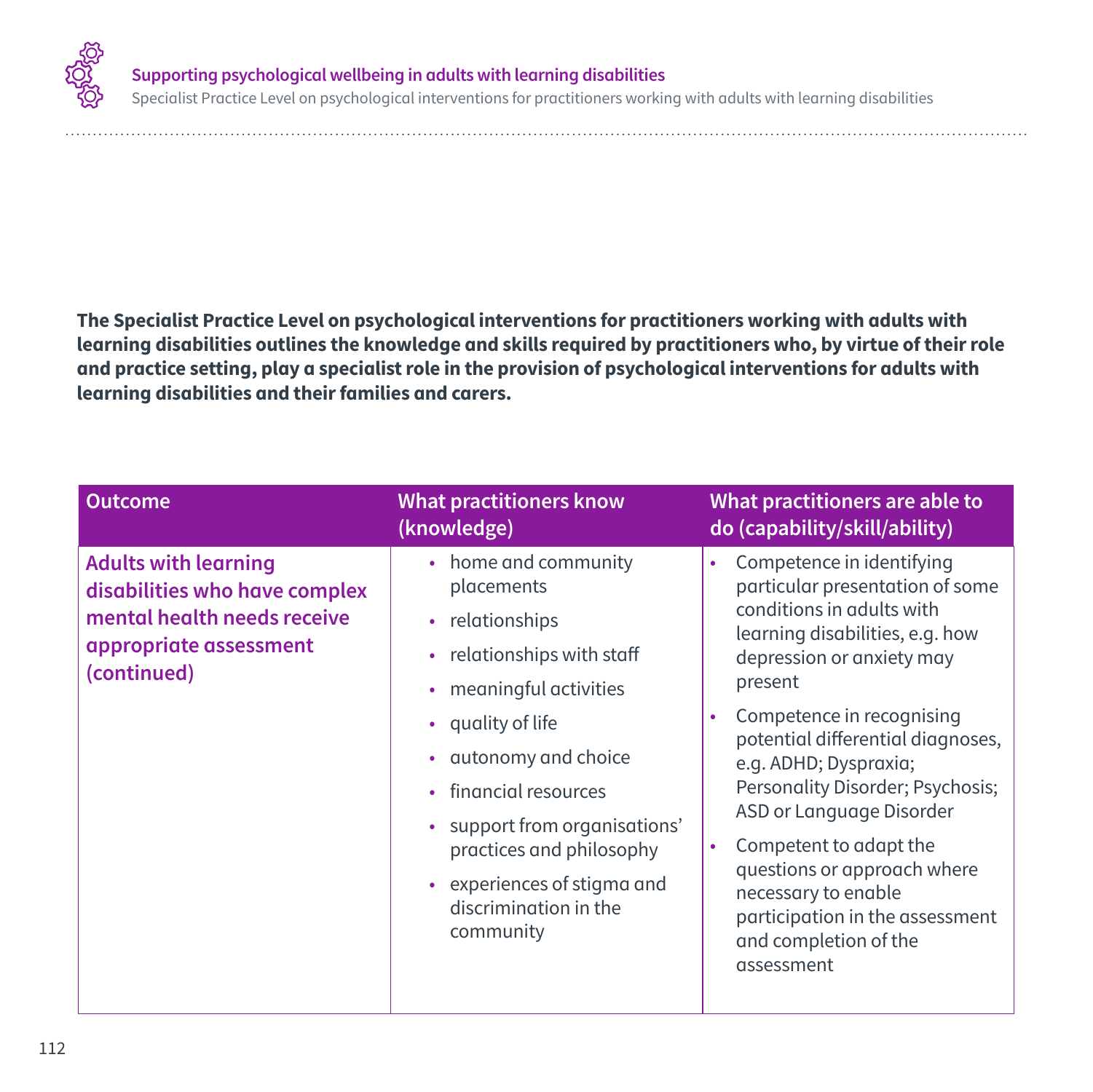

| <b>Outcome</b>                                                                                                                       | <b>What practitioners know</b><br>(knowledge)                                                                                                                                                                                                                                                                                           | What practitioners are able to<br>do (capability/skill/ability)                                                                                                                                                                                                                                                                                                                                                                                                                                             |
|--------------------------------------------------------------------------------------------------------------------------------------|-----------------------------------------------------------------------------------------------------------------------------------------------------------------------------------------------------------------------------------------------------------------------------------------------------------------------------------------|-------------------------------------------------------------------------------------------------------------------------------------------------------------------------------------------------------------------------------------------------------------------------------------------------------------------------------------------------------------------------------------------------------------------------------------------------------------------------------------------------------------|
| <b>Adults with learning</b><br>disabilities who have complex<br>mental health needs receive<br>appropriate assessment<br>(continued) | • home and community<br>placements<br>relationships<br>$\bullet$<br>relationships with staff<br>٠<br>meaningful activities<br>٠<br>• quality of life<br>autonomy and choice<br>٠<br>• financial resources<br>support from organisations'<br>practices and philosophy<br>experiences of stigma and<br>discrimination in the<br>community | Competence in identifying<br>$\bullet$<br>particular presentation of some<br>conditions in adults with<br>learning disabilities, e.g. how<br>depression or anxiety may<br>present<br>Competence in recognising<br>potential differential diagnoses,<br>e.g. ADHD; Dyspraxia;<br>Personality Disorder; Psychosis;<br>ASD or Language Disorder<br>Competent to adapt the<br>٠<br>questions or approach where<br>necessary to enable<br>participation in the assessment<br>and completion of the<br>assessment |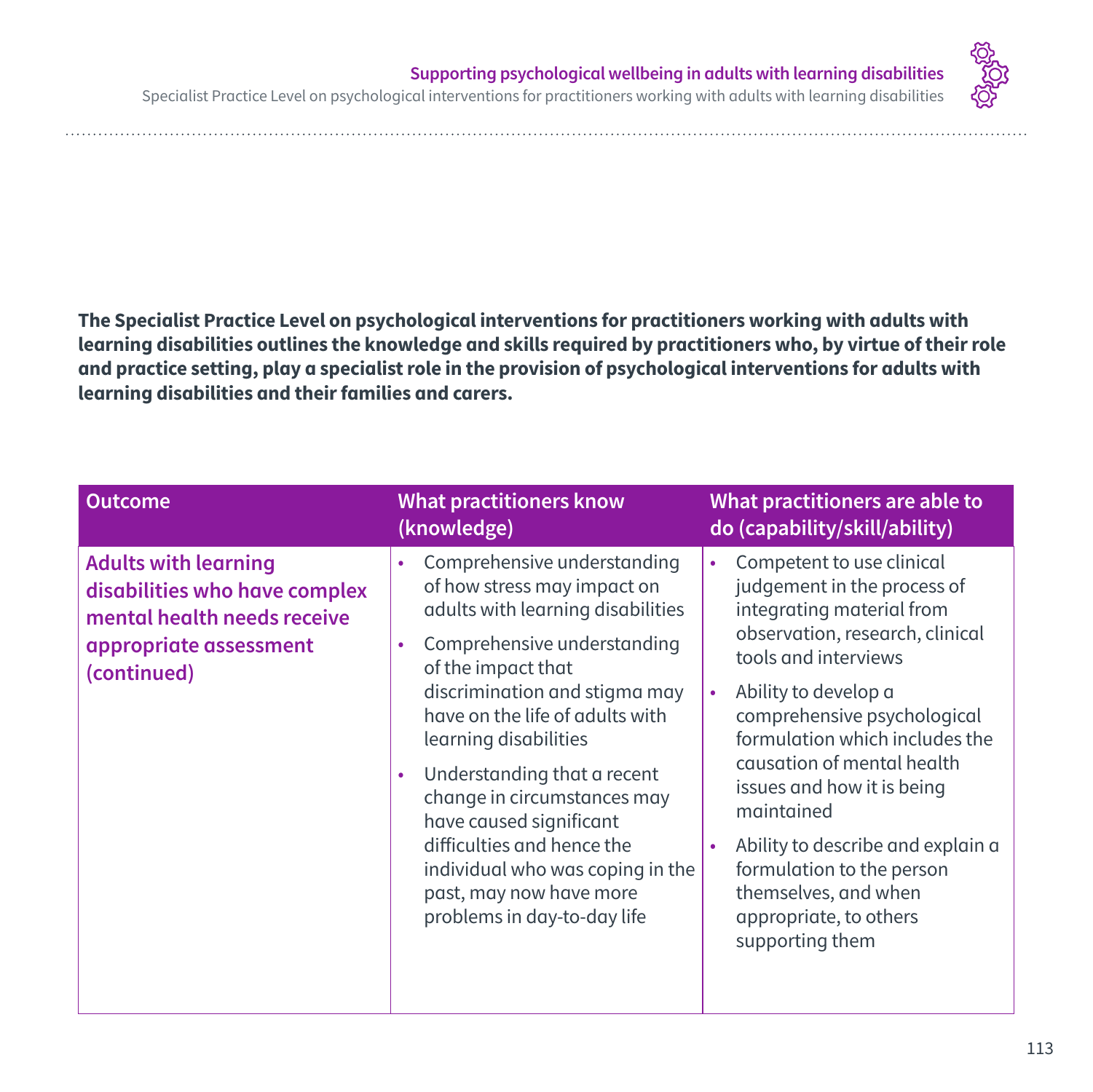

. . . . . . . . . . . .

Specialist Practice Level on psychological interventions for practitioners working with adults with learning disabilities

| <b>Outcome</b>                                                                                                                       | <b>What practitioners know</b><br>(knowledge)                                                                                                                                                                                                                                                                                                                                                                                                                                       | What practitioners are able to<br>do (capability/skill/ability)                                                                                                                                                                                                                                                                                                                                                                                            |
|--------------------------------------------------------------------------------------------------------------------------------------|-------------------------------------------------------------------------------------------------------------------------------------------------------------------------------------------------------------------------------------------------------------------------------------------------------------------------------------------------------------------------------------------------------------------------------------------------------------------------------------|------------------------------------------------------------------------------------------------------------------------------------------------------------------------------------------------------------------------------------------------------------------------------------------------------------------------------------------------------------------------------------------------------------------------------------------------------------|
| <b>Adults with learning</b><br>disabilities who have complex<br>mental health needs receive<br>appropriate assessment<br>(continued) | Comprehensive understanding<br>of how stress may impact on<br>adults with learning disabilities<br>Comprehensive understanding<br>of the impact that<br>discrimination and stigma may<br>have on the life of adults with<br>learning disabilities<br>Understanding that a recent<br>$\bullet$<br>change in circumstances may<br>have caused significant<br>difficulties and hence the<br>individual who was coping in the<br>past, may now have more<br>problems in day-to-day life | Competent to use clinical<br>judgement in the process of<br>integrating material from<br>observation, research, clinical<br>tools and interviews<br>Ability to develop a<br>comprehensive psychological<br>formulation which includes the<br>causation of mental health<br>issues and how it is being<br>maintained<br>Ability to describe and explain a<br>formulation to the person<br>themselves, and when<br>appropriate, to others<br>supporting them |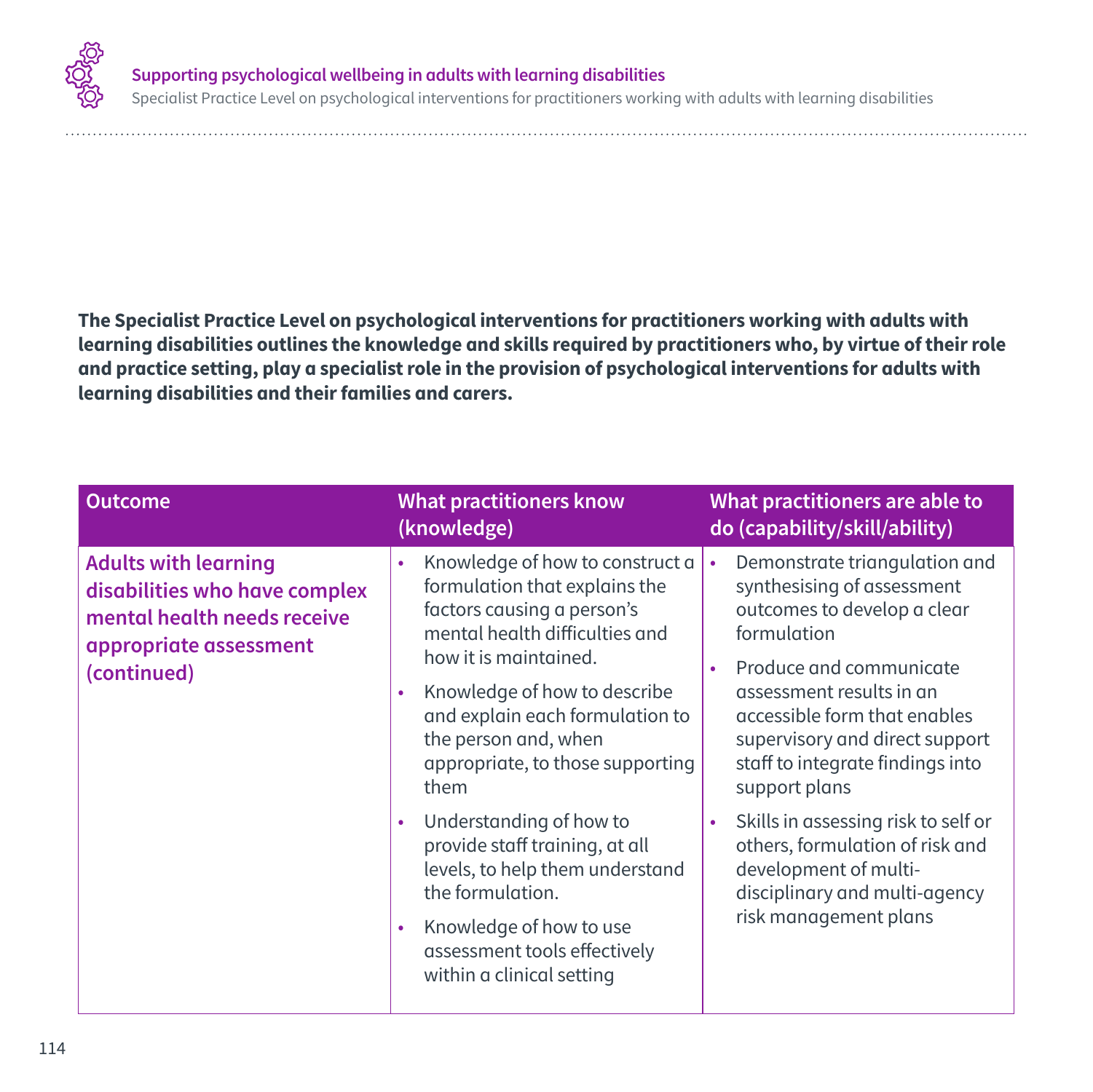

| <b>Outcome</b>                                                                                                                       | <b>What practitioners know</b><br>(knowledge)                                                                                                                                                                                                                                                                              | What practitioners are able to<br>do (capability/skill/ability)                                                                                                                                                                                                                                      |
|--------------------------------------------------------------------------------------------------------------------------------------|----------------------------------------------------------------------------------------------------------------------------------------------------------------------------------------------------------------------------------------------------------------------------------------------------------------------------|------------------------------------------------------------------------------------------------------------------------------------------------------------------------------------------------------------------------------------------------------------------------------------------------------|
| <b>Adults with learning</b><br>disabilities who have complex<br>mental health needs receive<br>appropriate assessment<br>(continued) | Knowledge of how to construct a<br>$\bullet$<br>formulation that explains the<br>factors causing a person's<br>mental health difficulties and<br>how it is maintained.<br>Knowledge of how to describe<br>$\bullet$<br>and explain each formulation to<br>the person and, when<br>appropriate, to those supporting<br>them | Demonstrate triangulation and<br>$\bullet$<br>synthesising of assessment<br>outcomes to develop a clear<br>formulation<br>Produce and communicate<br>assessment results in an<br>accessible form that enables<br>supervisory and direct support<br>staff to integrate findings into<br>support plans |
|                                                                                                                                      | Understanding of how to<br>$\bullet$<br>provide staff training, at all<br>levels, to help them understand<br>the formulation.<br>Knowledge of how to use<br>$\bullet$<br>assessment tools effectively<br>within a clinical setting                                                                                         | Skills in assessing risk to self or<br>others, formulation of risk and<br>development of multi-<br>disciplinary and multi-agency<br>risk management plans                                                                                                                                            |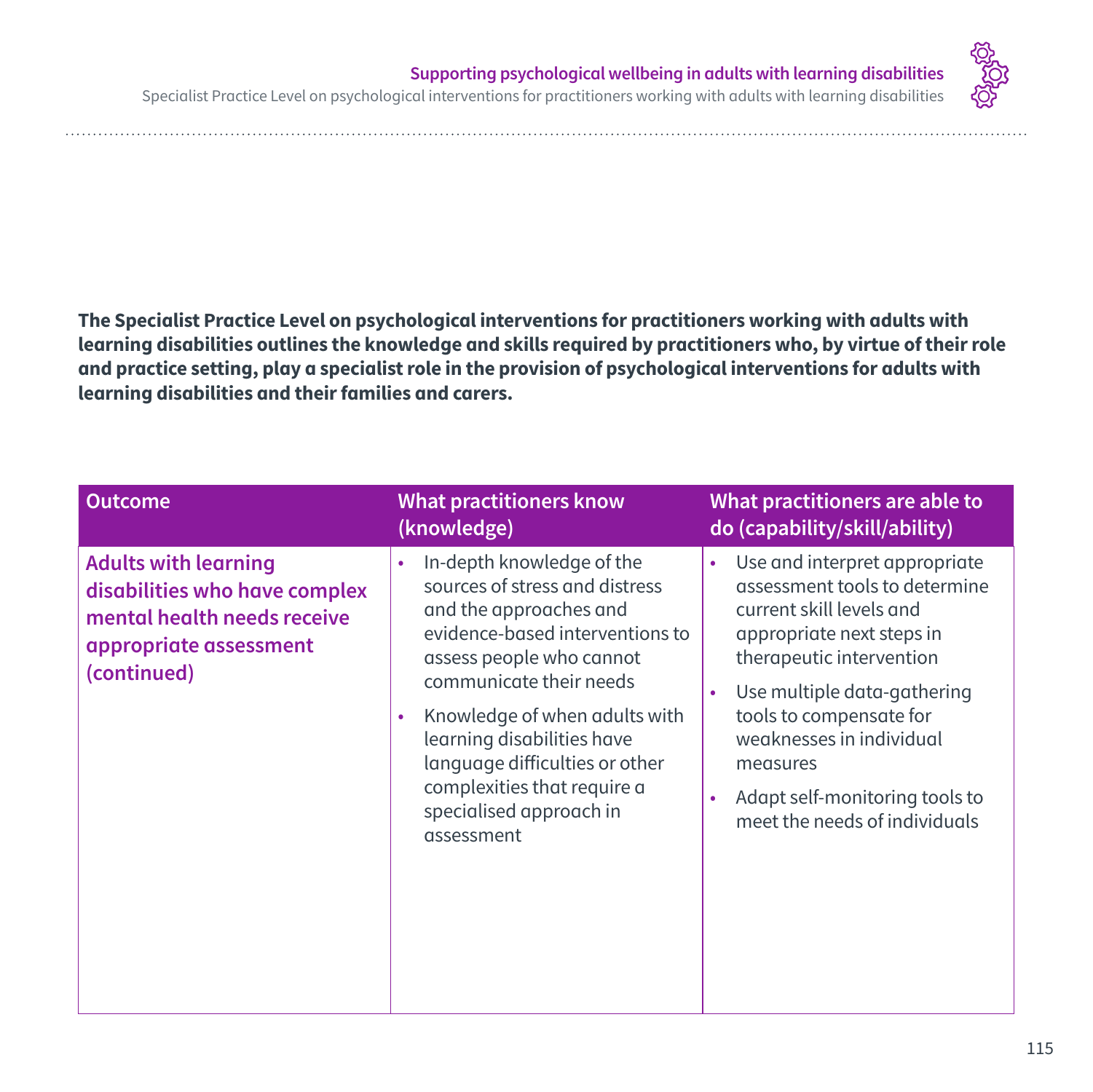## **Supporting psychological wellbeing in adults with learning disabilities**



. . . . . . . . . . . . . . . . .

Specialist Practice Level on psychological interventions for practitioners working with adults with learning disabilities

| <b>Outcome</b>                                                                                                                       | <b>What practitioners know</b><br>(knowledge)                                                                                                                                                                                                                                                                                                                                      | What practitioners are able to<br>do (capability/skill/ability)                                                                                                                                                                                                                                                          |
|--------------------------------------------------------------------------------------------------------------------------------------|------------------------------------------------------------------------------------------------------------------------------------------------------------------------------------------------------------------------------------------------------------------------------------------------------------------------------------------------------------------------------------|--------------------------------------------------------------------------------------------------------------------------------------------------------------------------------------------------------------------------------------------------------------------------------------------------------------------------|
| <b>Adults with learning</b><br>disabilities who have complex<br>mental health needs receive<br>appropriate assessment<br>(continued) | In-depth knowledge of the<br>$\bullet$<br>sources of stress and distress<br>and the approaches and<br>evidence-based interventions to<br>assess people who cannot<br>communicate their needs<br>Knowledge of when adults with<br>$\bullet$<br>learning disabilities have<br>language difficulties or other<br>complexities that require a<br>specialised approach in<br>assessment | Use and interpret appropriate<br>assessment tools to determine<br>current skill levels and<br>appropriate next steps in<br>therapeutic intervention<br>Use multiple data-gathering<br>tools to compensate for<br>weaknesses in individual<br>measures<br>Adapt self-monitoring tools to<br>meet the needs of individuals |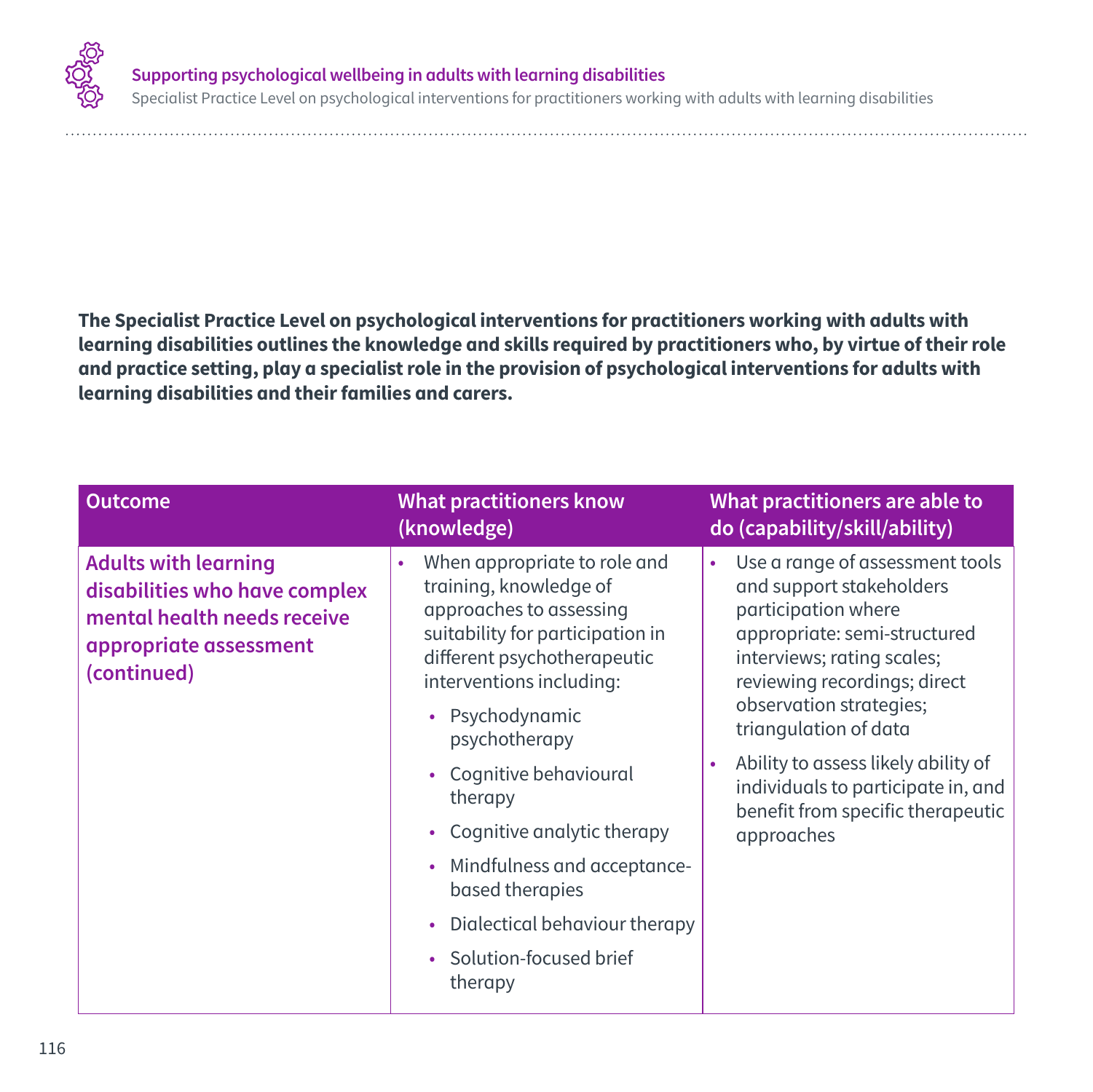

| <b>Outcome</b>                                                                                                                       | <b>What practitioners know</b><br>(knowledge)                                                                                                                                                                                                                                                                                                                                                                                    | What practitioners are able to<br>do (capability/skill/ability)                                                                                                                                                                                                                                                                                                                     |
|--------------------------------------------------------------------------------------------------------------------------------------|----------------------------------------------------------------------------------------------------------------------------------------------------------------------------------------------------------------------------------------------------------------------------------------------------------------------------------------------------------------------------------------------------------------------------------|-------------------------------------------------------------------------------------------------------------------------------------------------------------------------------------------------------------------------------------------------------------------------------------------------------------------------------------------------------------------------------------|
| <b>Adults with learning</b><br>disabilities who have complex<br>mental health needs receive<br>appropriate assessment<br>(continued) | When appropriate to role and<br>$\bullet$<br>training, knowledge of<br>approaches to assessing<br>suitability for participation in<br>different psychotherapeutic<br>interventions including:<br>• Psychodynamic<br>psychotherapy<br>Cognitive behavioural<br>therapy<br>Cognitive analytic therapy<br>٠<br>Mindfulness and acceptance-<br>based therapies<br>Dialectical behaviour therapy<br>Solution-focused brief<br>therapy | Use a range of assessment tools<br>$\bullet$ .<br>and support stakeholders<br>participation where<br>appropriate: semi-structured<br>interviews; rating scales;<br>reviewing recordings; direct<br>observation strategies;<br>triangulation of data<br>Ability to assess likely ability of<br>individuals to participate in, and<br>benefit from specific therapeutic<br>approaches |
|                                                                                                                                      |                                                                                                                                                                                                                                                                                                                                                                                                                                  |                                                                                                                                                                                                                                                                                                                                                                                     |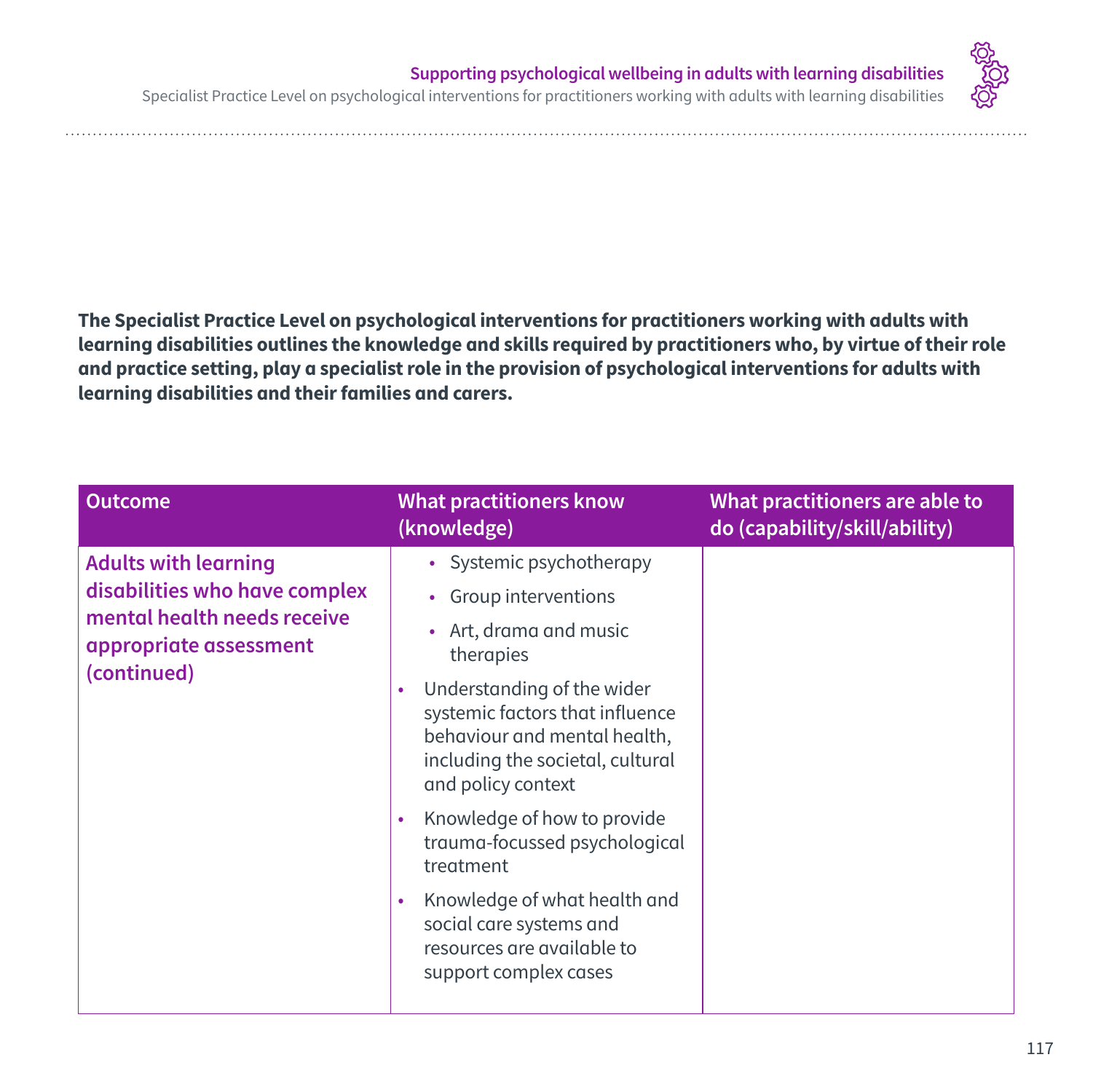## **Supporting psychological wellbeing in adults with learning disabilities**



Specialist Practice Level on psychological interventions for practitioners working with adults with learning disabilities

| do (capability/skill/ability)<br>(knowledge)                                                                                                                                                                                                                                                                                                                                                                                                                                                                                                                                                                                  | What practitioners are able to |
|-------------------------------------------------------------------------------------------------------------------------------------------------------------------------------------------------------------------------------------------------------------------------------------------------------------------------------------------------------------------------------------------------------------------------------------------------------------------------------------------------------------------------------------------------------------------------------------------------------------------------------|--------------------------------|
| • Systemic psychotherapy<br><b>Adults with learning</b><br>disabilities who have complex<br>Group interventions<br>mental health needs receive<br>Art, drama and music<br>appropriate assessment<br>therapies<br>(continued)<br>Understanding of the wider<br>$\bullet$<br>systemic factors that influence<br>behaviour and mental health,<br>including the societal, cultural<br>and policy context<br>Knowledge of how to provide<br>$\bullet$<br>trauma-focussed psychological<br>treatment<br>Knowledge of what health and<br>$\bullet$<br>social care systems and<br>resources are available to<br>support complex cases |                                |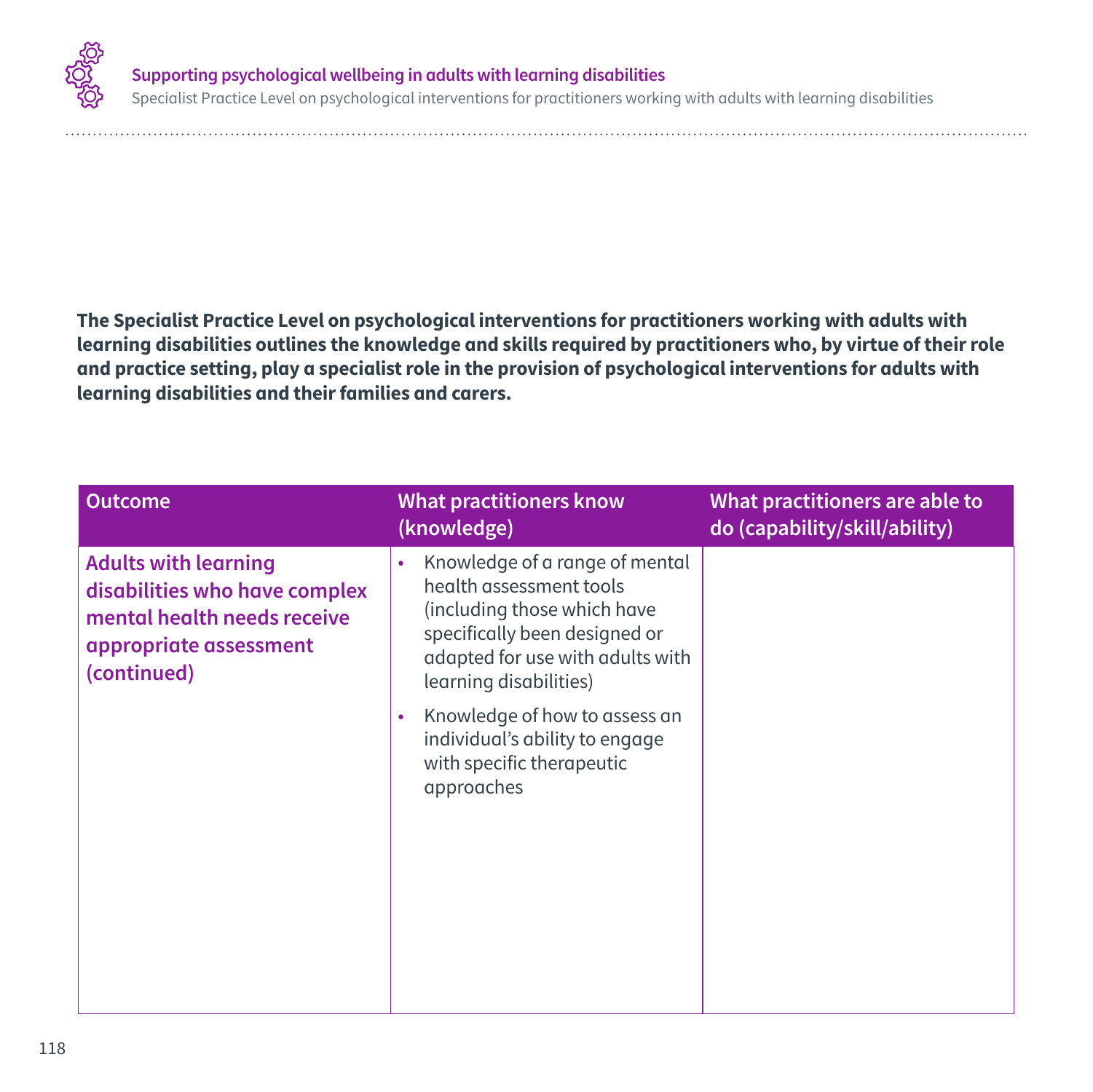

| <b>Outcome</b>                                                                                                                       | <b>What practitioners know</b><br>(knowledge)                                                                                                                                                        | What practitioners are able to<br>do (capability/skill/ability) |
|--------------------------------------------------------------------------------------------------------------------------------------|------------------------------------------------------------------------------------------------------------------------------------------------------------------------------------------------------|-----------------------------------------------------------------|
| <b>Adults with learning</b><br>disabilities who have complex<br>mental health needs receive<br>appropriate assessment<br>(continued) | Knowledge of a range of mental<br>$\bullet$<br>health assessment tools<br>(including those which have<br>specifically been designed or<br>adapted for use with adults with<br>learning disabilities) |                                                                 |
|                                                                                                                                      | Knowledge of how to assess an<br>$\bullet$<br>individual's ability to engage<br>with specific therapeutic<br>approaches                                                                              |                                                                 |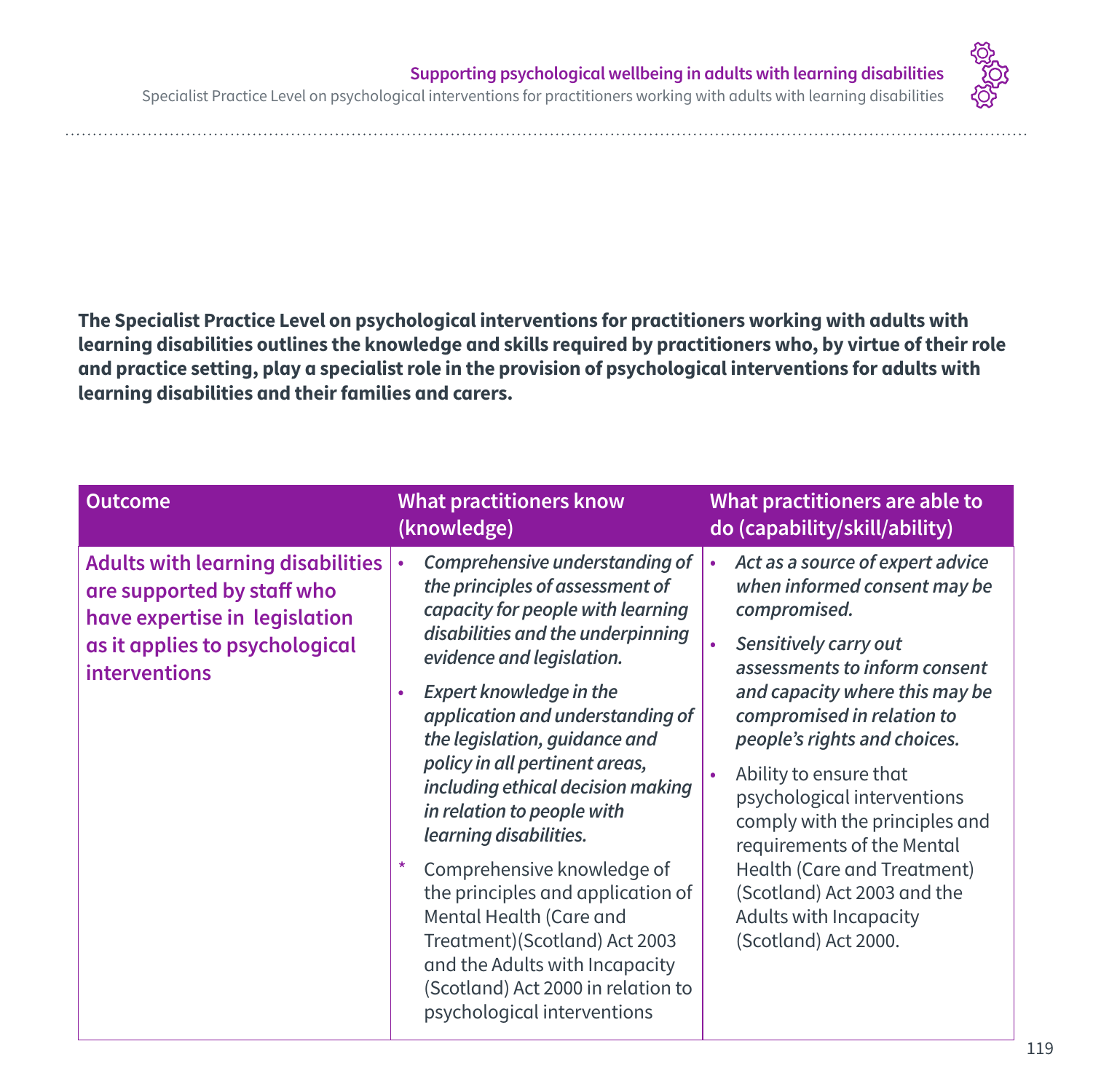

| <b>Outcome</b>                                                                                                                                                    | <b>What practitioners know</b><br>(knowledge)                                                                                                                                                                                                                                                                                                                                                                                                                                                                                                                                                                         | What practitioners are able to<br>do (capability/skill/ability)                                                                                                                                                                                                                                                                                                                                                                                                                            |
|-------------------------------------------------------------------------------------------------------------------------------------------------------------------|-----------------------------------------------------------------------------------------------------------------------------------------------------------------------------------------------------------------------------------------------------------------------------------------------------------------------------------------------------------------------------------------------------------------------------------------------------------------------------------------------------------------------------------------------------------------------------------------------------------------------|--------------------------------------------------------------------------------------------------------------------------------------------------------------------------------------------------------------------------------------------------------------------------------------------------------------------------------------------------------------------------------------------------------------------------------------------------------------------------------------------|
| <b>Adults with learning disabilities</b><br>are supported by staff who<br>have expertise in legislation<br>as it applies to psychological<br><b>interventions</b> | Comprehensive understanding of<br>the principles of assessment of<br>capacity for people with learning<br>disabilities and the underpinning<br>evidence and legislation.<br><b>Expert knowledge in the</b><br>application and understanding of<br>the legislation, guidance and<br>policy in all pertinent areas,<br>including ethical decision making<br>in relation to people with<br>learning disabilities.<br>Comprehensive knowledge of<br>the principles and application of<br>Mental Health (Care and<br>Treatment)(Scotland) Act 2003<br>and the Adults with Incapacity<br>(Scotland) Act 2000 in relation to | Act as a source of expert advice<br>when informed consent may be<br>compromised.<br>Sensitively carry out<br>assessments to inform consent<br>and capacity where this may be<br>compromised in relation to<br>people's rights and choices.<br>Ability to ensure that<br>psychological interventions<br>comply with the principles and<br>requirements of the Mental<br><b>Health (Care and Treatment)</b><br>(Scotland) Act 2003 and the<br>Adults with Incapacity<br>(Scotland) Act 2000. |
|                                                                                                                                                                   | psychological interventions                                                                                                                                                                                                                                                                                                                                                                                                                                                                                                                                                                                           |                                                                                                                                                                                                                                                                                                                                                                                                                                                                                            |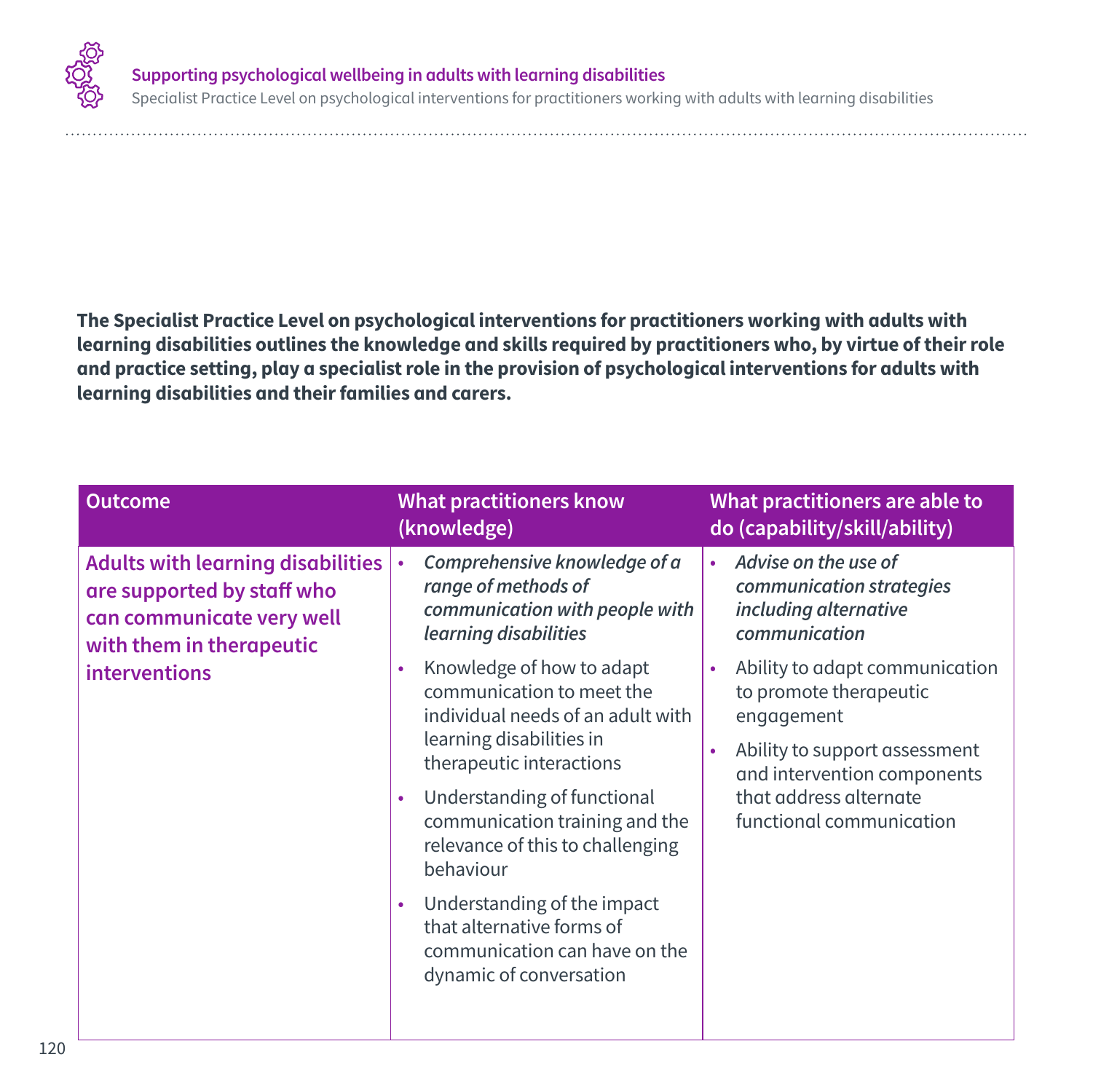

|                                                                                                                                                                                 |                                                                                                                                                                                                                                                                                                                                                                                  | do (capability/skill/ability)                                                                                                                                                                |
|---------------------------------------------------------------------------------------------------------------------------------------------------------------------------------|----------------------------------------------------------------------------------------------------------------------------------------------------------------------------------------------------------------------------------------------------------------------------------------------------------------------------------------------------------------------------------|----------------------------------------------------------------------------------------------------------------------------------------------------------------------------------------------|
| <b>Adults with learning disabilities</b><br>range of methods of<br>are supported by staff who<br>can communicate very well<br>learning disabilities<br>with them in therapeutic | Comprehensive knowledge of a<br>communication with people with                                                                                                                                                                                                                                                                                                                   | Advise on the use of<br>communication strategies<br>including alternative<br>communication                                                                                                   |
| $\bullet$<br><b>interventions</b><br>$\bullet$<br>behaviour<br>$\bullet$                                                                                                        | Knowledge of how to adapt<br>communication to meet the<br>individual needs of an adult with<br>learning disabilities in<br>therapeutic interactions<br>Understanding of functional<br>communication training and the<br>relevance of this to challenging<br>Understanding of the impact<br>that alternative forms of<br>communication can have on the<br>dynamic of conversation | Ability to adapt communication<br>to promote therapeutic<br>engagement<br>Ability to support assessment<br>and intervention components<br>that address alternate<br>functional communication |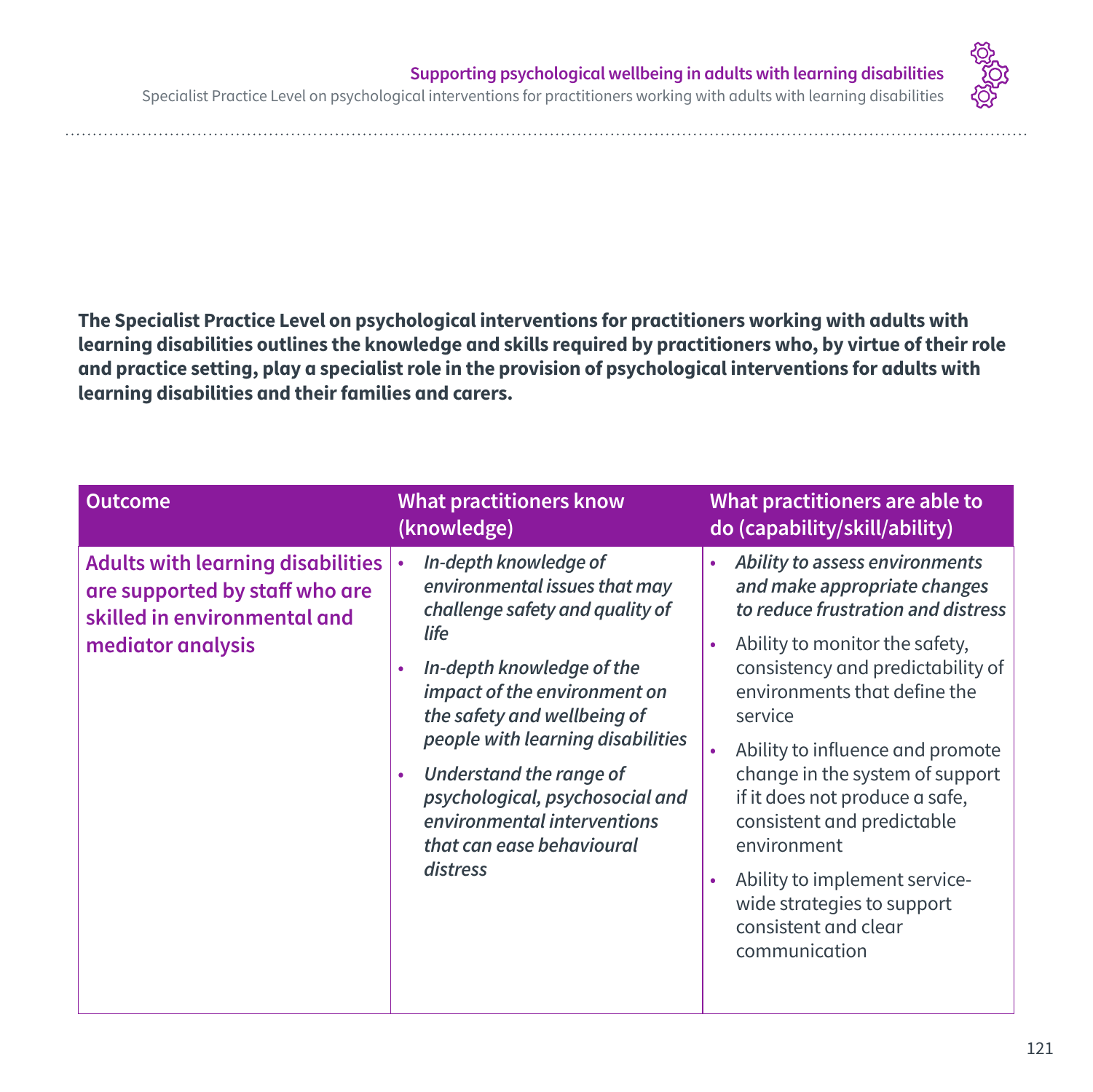

. . . . . . . . . . . . . . . . . . . .

Specialist Practice Level on psychological interventions for practitioners working with adults with learning disabilities

| <b>Outcome</b>                                                                                                                  | <b>What practitioners know</b><br>(knowledge)                                                                                                                                                                                                                                                                                                                                                      | What practitioners are able to<br>do (capability/skill/ability)                                                                                                                                                                                                                                                                                                                                                                                                                                   |
|---------------------------------------------------------------------------------------------------------------------------------|----------------------------------------------------------------------------------------------------------------------------------------------------------------------------------------------------------------------------------------------------------------------------------------------------------------------------------------------------------------------------------------------------|---------------------------------------------------------------------------------------------------------------------------------------------------------------------------------------------------------------------------------------------------------------------------------------------------------------------------------------------------------------------------------------------------------------------------------------------------------------------------------------------------|
| <b>Adults with learning disabilities</b><br>are supported by staff who are<br>skilled in environmental and<br>mediator analysis | In-depth knowledge of<br>environmental issues that may<br>challenge safety and quality of<br>life<br>In-depth knowledge of the<br>$\bullet$<br>impact of the environment on<br>the safety and wellbeing of<br>people with learning disabilities<br>Understand the range of<br>$\bullet$<br>psychological, psychosocial and<br>environmental interventions<br>that can ease behavioural<br>distress | Ability to assess environments<br>$\bullet$<br>and make appropriate changes<br>to reduce frustration and distress<br>Ability to monitor the safety,<br>consistency and predictability of<br>environments that define the<br>service<br>Ability to influence and promote<br>change in the system of support<br>if it does not produce a safe,<br>consistent and predictable<br>environment<br>Ability to implement service-<br>wide strategies to support<br>consistent and clear<br>communication |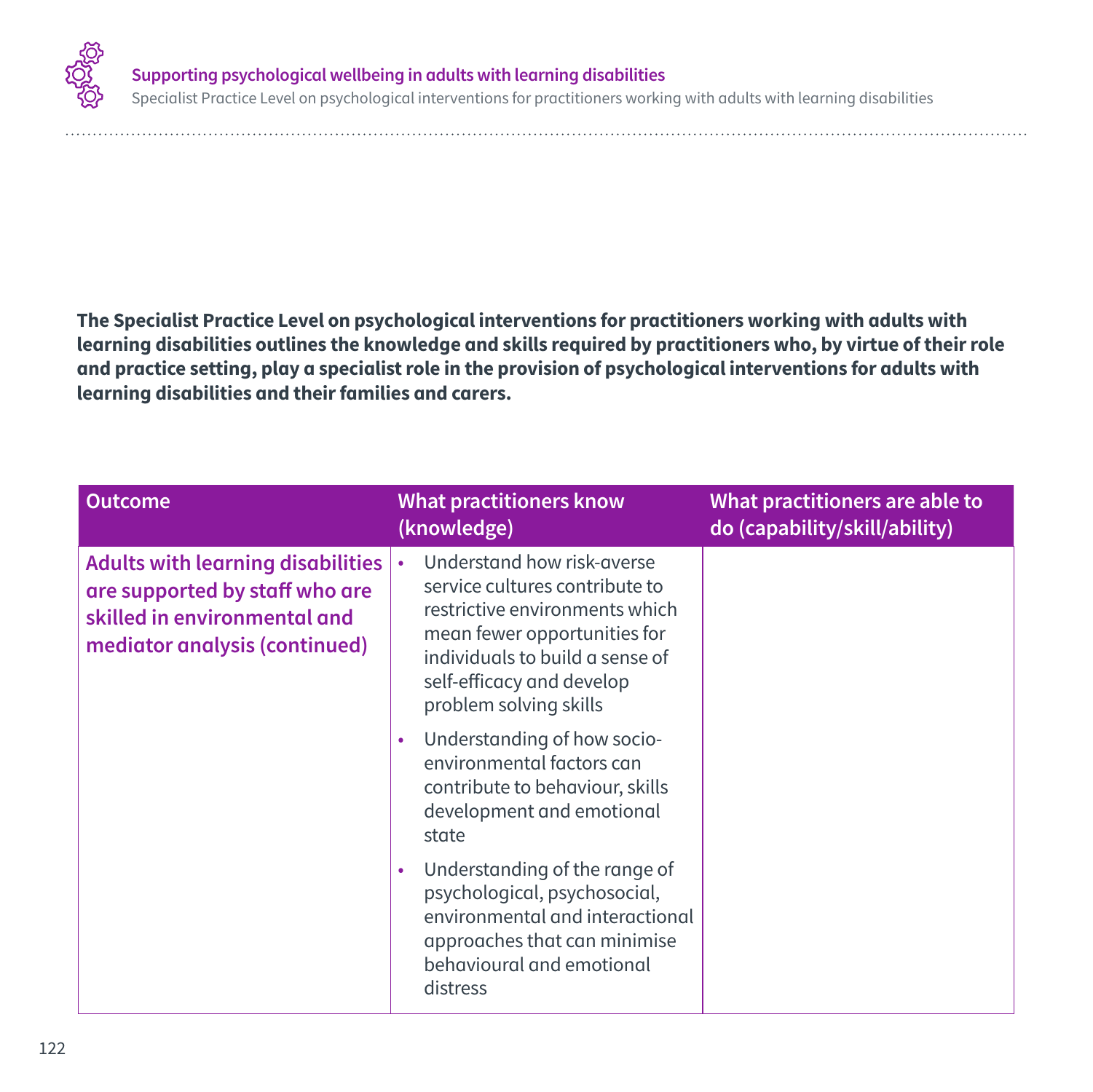

| <b>Outcome</b>                                                                                                                              | <b>What practitioners know</b><br>(knowledge)                                                                                                                                                                            | What practitioners are able to<br>do (capability/skill/ability) |
|---------------------------------------------------------------------------------------------------------------------------------------------|--------------------------------------------------------------------------------------------------------------------------------------------------------------------------------------------------------------------------|-----------------------------------------------------------------|
| <b>Adults with learning disabilities</b><br>are supported by staff who are<br>skilled in environmental and<br>mediator analysis (continued) | Understand how risk-averse<br>service cultures contribute to<br>restrictive environments which<br>mean fewer opportunities for<br>individuals to build a sense of<br>self-efficacy and develop<br>problem solving skills |                                                                 |
|                                                                                                                                             | Understanding of how socio-<br>$\bullet$<br>environmental factors can<br>contribute to behaviour, skills<br>development and emotional<br>state                                                                           |                                                                 |
|                                                                                                                                             | Understanding of the range of<br>$\bullet$<br>psychological, psychosocial,<br>environmental and interactional<br>approaches that can minimise<br>behavioural and emotional<br>distress                                   |                                                                 |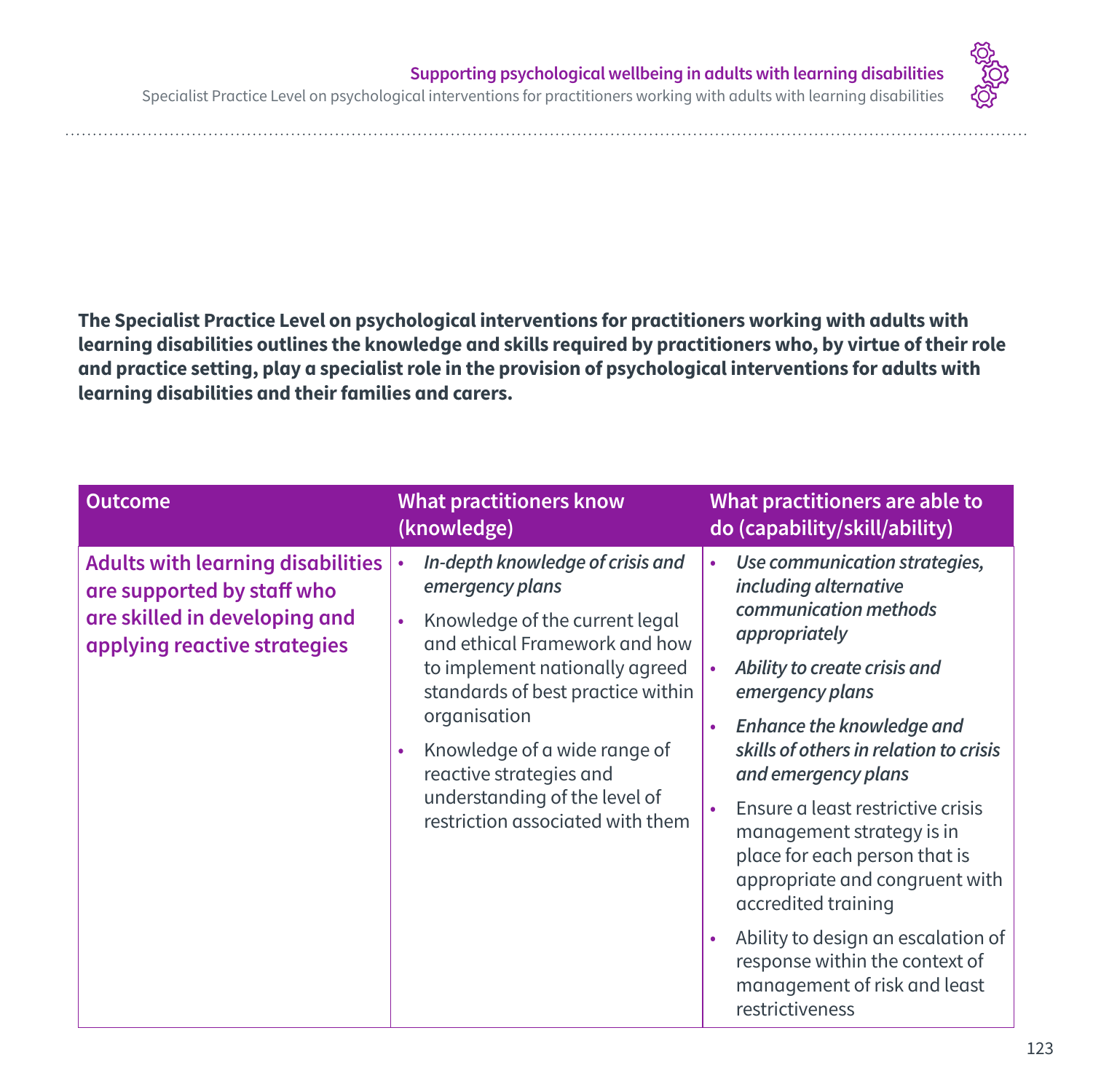

. . . . . . . . . . . . . . . . . . . .

Specialist Practice Level on psychological interventions for practitioners working with adults with learning disabilities

| <b>Outcome</b>                                                                                                                          | <b>What practitioners know</b><br>(knowledge)                                                                                                                                                                                                                                                                                                                           | What practitioners are able to<br>do (capability/skill/ability)                                                                                                                                                                                                                                                                                                                                                                                                                                                                                                    |
|-----------------------------------------------------------------------------------------------------------------------------------------|-------------------------------------------------------------------------------------------------------------------------------------------------------------------------------------------------------------------------------------------------------------------------------------------------------------------------------------------------------------------------|--------------------------------------------------------------------------------------------------------------------------------------------------------------------------------------------------------------------------------------------------------------------------------------------------------------------------------------------------------------------------------------------------------------------------------------------------------------------------------------------------------------------------------------------------------------------|
| <b>Adults with learning disabilities</b><br>are supported by staff who<br>are skilled in developing and<br>applying reactive strategies | In-depth knowledge of crisis and<br>emergency plans<br>Knowledge of the current legal<br>$\bullet$<br>and ethical Framework and how<br>to implement nationally agreed<br>standards of best practice within<br>organisation<br>Knowledge of a wide range of<br>$\bullet$<br>reactive strategies and<br>understanding of the level of<br>restriction associated with them | Use communication strategies,<br>$\bullet$<br>including alternative<br>communication methods<br>appropriately<br>Ability to create crisis and<br>emergency plans<br>Enhance the knowledge and<br>$\bullet$<br>skills of others in relation to crisis<br>and emergency plans<br>Ensure a least restrictive crisis<br>management strategy is in<br>place for each person that is<br>appropriate and congruent with<br>accredited training<br>Ability to design an escalation of<br>response within the context of<br>management of risk and least<br>restrictiveness |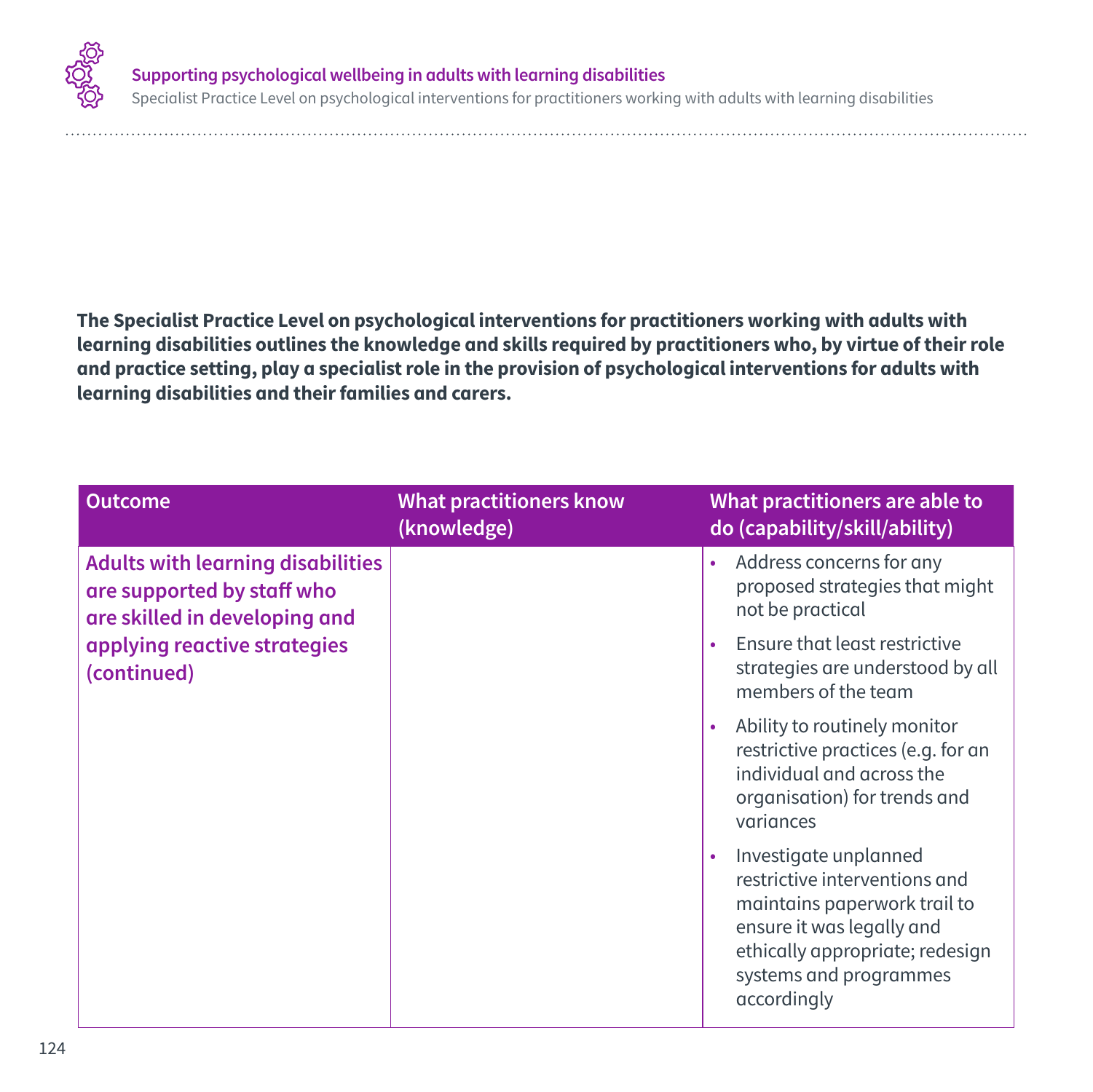

| <b>Outcome</b>                                                                                          | <b>What practitioners know</b><br>(knowledge) | What practitioners are able to<br>do (capability/skill/ability)                                                                                                                                 |
|---------------------------------------------------------------------------------------------------------|-----------------------------------------------|-------------------------------------------------------------------------------------------------------------------------------------------------------------------------------------------------|
| <b>Adults with learning disabilities</b><br>are supported by staff who<br>are skilled in developing and |                                               | Address concerns for any<br>proposed strategies that might<br>not be practical                                                                                                                  |
| applying reactive strategies<br>(continued)                                                             |                                               | Ensure that least restrictive<br>strategies are understood by all<br>members of the team                                                                                                        |
|                                                                                                         |                                               | Ability to routinely monitor<br>restrictive practices (e.g. for an<br>individual and across the<br>organisation) for trends and<br>variances                                                    |
|                                                                                                         |                                               | Investigate unplanned<br>restrictive interventions and<br>maintains paperwork trail to<br>ensure it was legally and<br>ethically appropriate; redesign<br>systems and programmes<br>accordingly |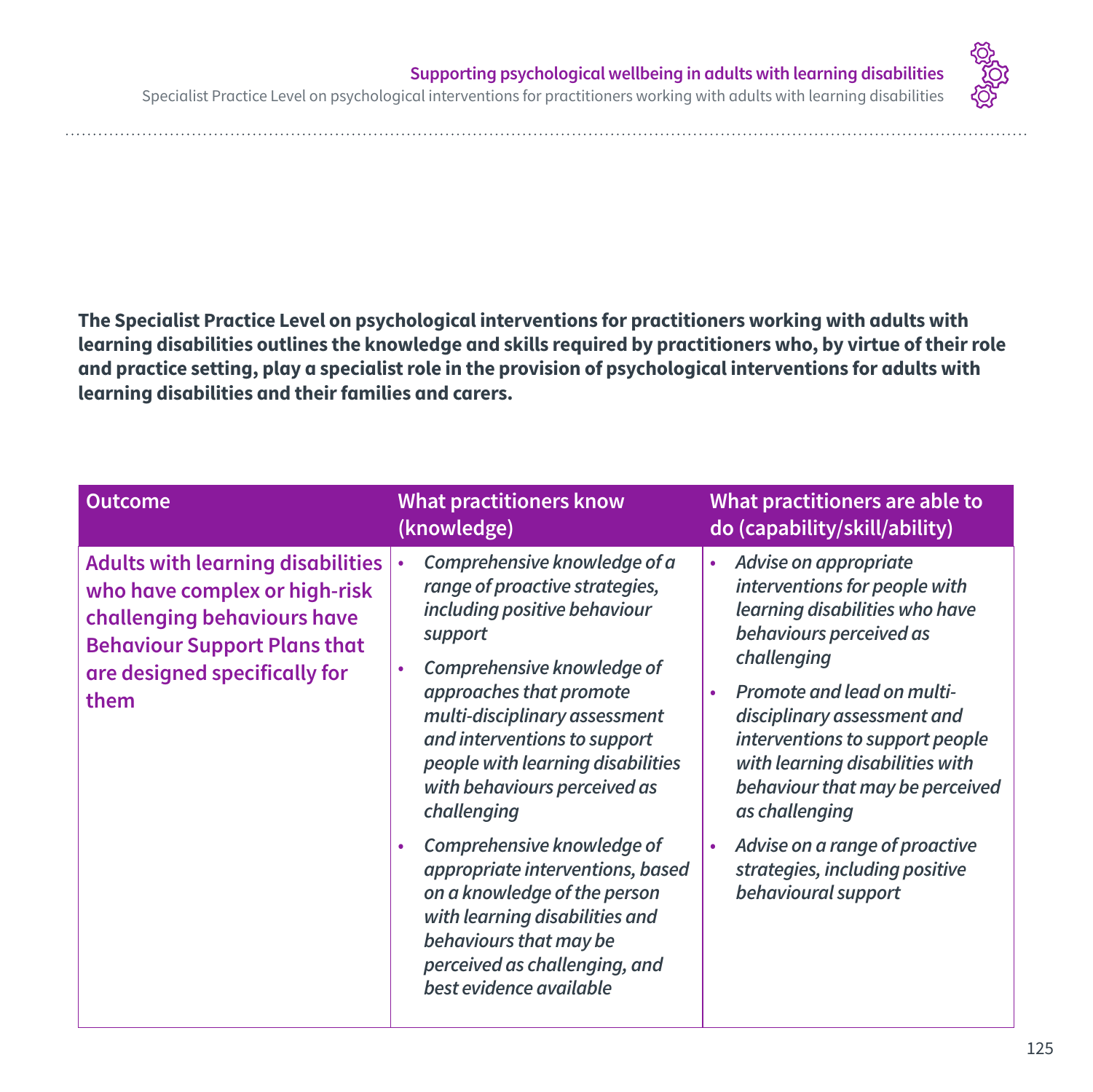

| <b>Outcome</b>                                                                                                                                                                           | <b>What practitioners know</b><br>(knowledge)                                                                                                                                                                                                                                                                                        | What practitioners are able to<br>do (capability/skill/ability)                                                                                                                                                                                                                                                            |
|------------------------------------------------------------------------------------------------------------------------------------------------------------------------------------------|--------------------------------------------------------------------------------------------------------------------------------------------------------------------------------------------------------------------------------------------------------------------------------------------------------------------------------------|----------------------------------------------------------------------------------------------------------------------------------------------------------------------------------------------------------------------------------------------------------------------------------------------------------------------------|
| <b>Adults with learning disabilities</b><br>who have complex or high-risk<br>challenging behaviours have<br><b>Behaviour Support Plans that</b><br>are designed specifically for<br>them | Comprehensive knowledge of a<br>range of proactive strategies,<br>including positive behaviour<br>support<br>Comprehensive knowledge of<br>$\bullet$<br>approaches that promote<br>multi-disciplinary assessment<br>and interventions to support<br>people with learning disabilities<br>with behaviours perceived as<br>challenging | Advise on appropriate<br>interventions for people with<br>learning disabilities who have<br>behaviours perceived as<br>challenging<br>Promote and lead on multi-<br>disciplinary assessment and<br>interventions to support people<br>with learning disabilities with<br>behaviour that may be perceived<br>as challenging |
|                                                                                                                                                                                          | Comprehensive knowledge of<br>appropriate interventions, based<br>on a knowledge of the person<br>with learning disabilities and<br>behaviours that may be<br>perceived as challenging, and<br>best evidence available                                                                                                               | Advise on a range of proactive<br>strategies, including positive<br>behavioural support                                                                                                                                                                                                                                    |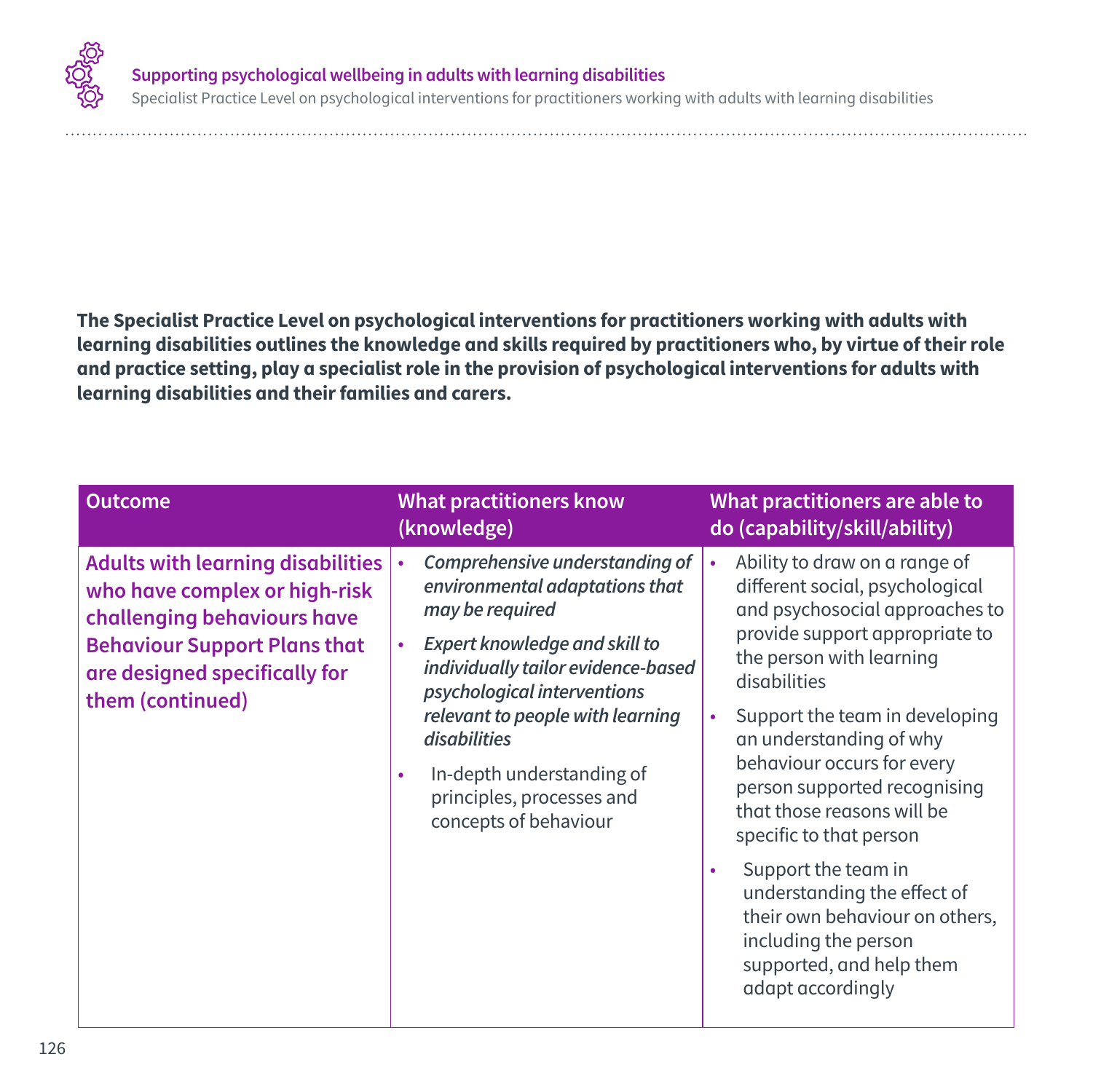

| <b>Outcome</b>                                                                                                                                                                                       | <b>What practitioners know</b><br>(knowledge)                                                                                                                                                                                                                                                                                                                     | What practitioners are able to<br>do (capability/skill/ability)                                                                                                                                                                                                                                                                                                                                                                                                                                                                       |
|------------------------------------------------------------------------------------------------------------------------------------------------------------------------------------------------------|-------------------------------------------------------------------------------------------------------------------------------------------------------------------------------------------------------------------------------------------------------------------------------------------------------------------------------------------------------------------|---------------------------------------------------------------------------------------------------------------------------------------------------------------------------------------------------------------------------------------------------------------------------------------------------------------------------------------------------------------------------------------------------------------------------------------------------------------------------------------------------------------------------------------|
| <b>Adults with learning disabilities</b><br>who have complex or high-risk<br>challenging behaviours have<br><b>Behaviour Support Plans that</b><br>are designed specifically for<br>them (continued) | Comprehensive understanding of<br>environmental adaptations that<br>may be required<br><b>Expert knowledge and skill to</b><br>$\bullet$<br>individually tailor evidence-based<br>psychological interventions<br>relevant to people with learning<br>disabilities<br>In-depth understanding of<br>$\bullet$<br>principles, processes and<br>concepts of behaviour | Ability to draw on a range of<br>different social, psychological<br>and psychosocial approaches to<br>provide support appropriate to<br>the person with learning<br>disabilities<br>Support the team in developing<br>an understanding of why<br>behaviour occurs for every<br>person supported recognising<br>that those reasons will be<br>specific to that person<br>Support the team in<br>understanding the effect of<br>their own behaviour on others,<br>including the person<br>supported, and help them<br>adapt accordingly |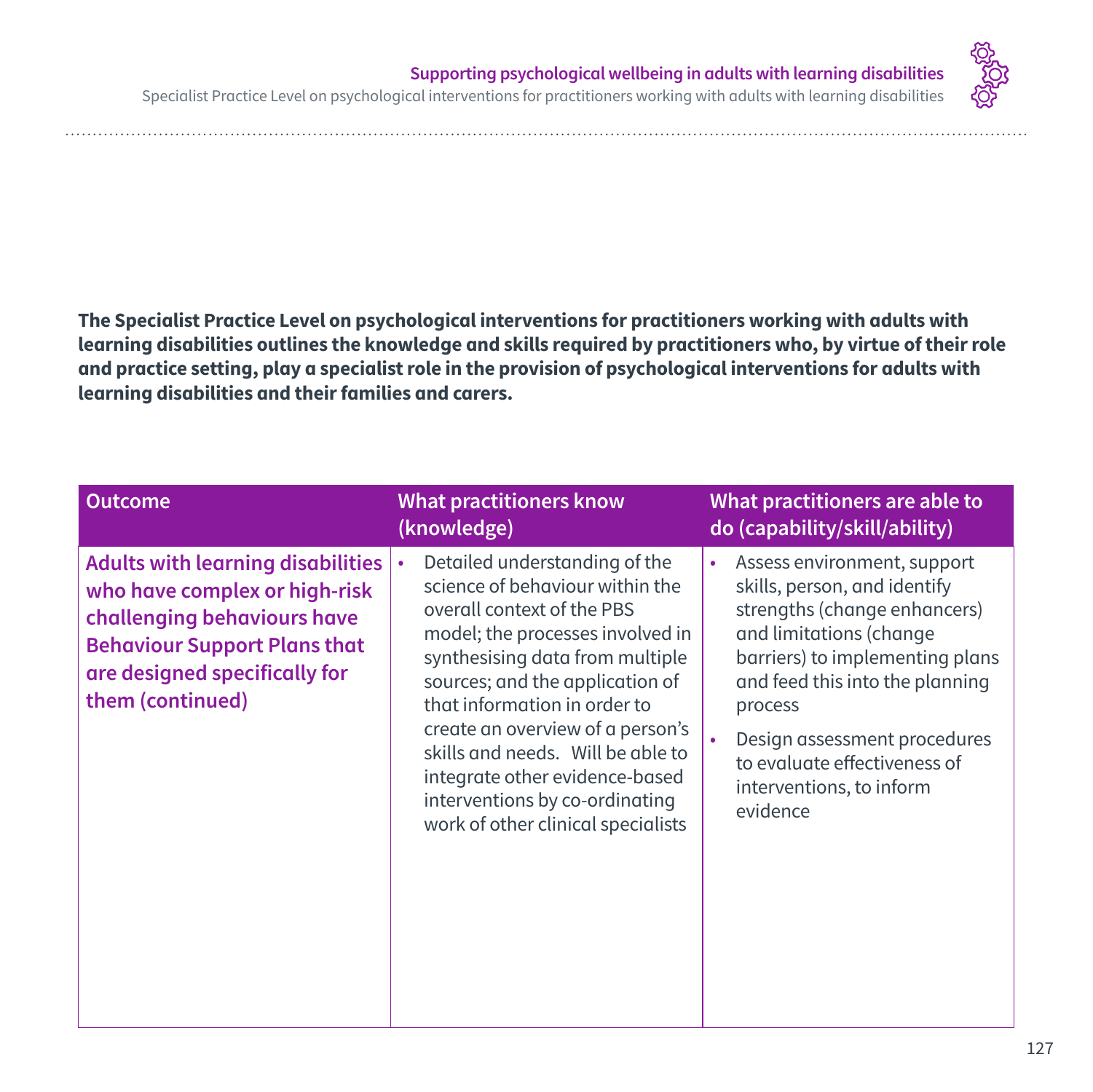

. . . . . . . . . .

Specialist Practice Level on psychological interventions for practitioners working with adults with learning disabilities

| <b>Outcome</b>                                                                                                                                                                                       | <b>What practitioners know</b><br>(knowledge)                                                                                                                                                                                                                                                                                                                                                                                            | What practitioners are able to<br>do (capability/skill/ability)                                                                                                                                                                                                                                                 |
|------------------------------------------------------------------------------------------------------------------------------------------------------------------------------------------------------|------------------------------------------------------------------------------------------------------------------------------------------------------------------------------------------------------------------------------------------------------------------------------------------------------------------------------------------------------------------------------------------------------------------------------------------|-----------------------------------------------------------------------------------------------------------------------------------------------------------------------------------------------------------------------------------------------------------------------------------------------------------------|
| <b>Adults with learning disabilities</b><br>who have complex or high-risk<br>challenging behaviours have<br><b>Behaviour Support Plans that</b><br>are designed specifically for<br>them (continued) | Detailed understanding of the<br>$\bullet$<br>science of behaviour within the<br>overall context of the PBS<br>model; the processes involved in<br>synthesising data from multiple<br>sources; and the application of<br>that information in order to<br>create an overview of a person's<br>skills and needs. Will be able to<br>integrate other evidence-based<br>interventions by co-ordinating<br>work of other clinical specialists | Assess environment, support<br>skills, person, and identify<br>strengths (change enhancers)<br>and limitations (change<br>barriers) to implementing plans<br>and feed this into the planning<br>process<br>Design assessment procedures<br>to evaluate effectiveness of<br>interventions, to inform<br>evidence |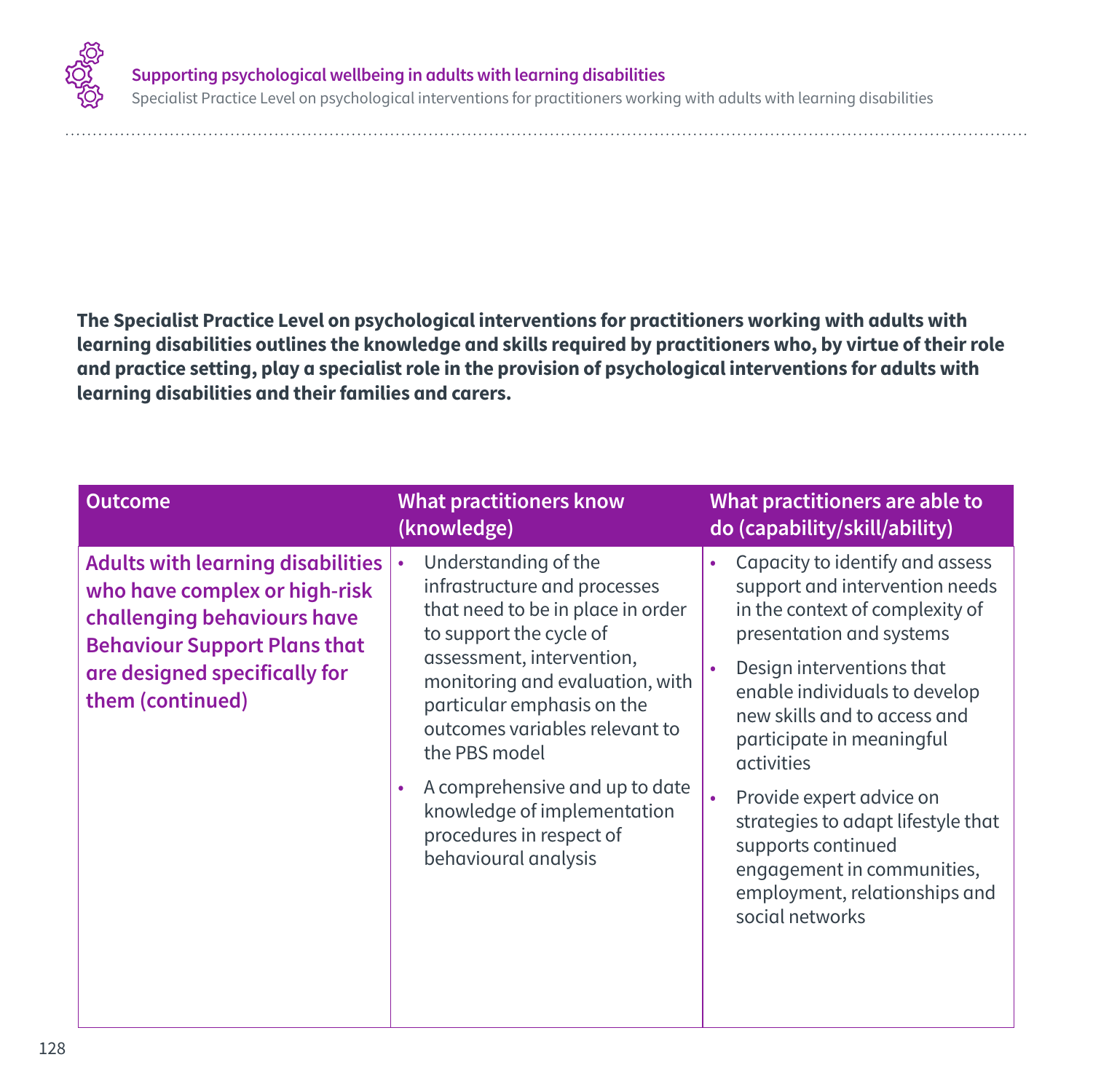

| <b>Outcome</b>                                                                                                                                                                                       | <b>What practitioners know</b><br>(knowledge)                                                                                                                                                                                                                                                                                                                                                           | What practitioners are able to<br>do (capability/skill/ability)                                                                                                                                                                                                                                                                                                                                                                                     |
|------------------------------------------------------------------------------------------------------------------------------------------------------------------------------------------------------|---------------------------------------------------------------------------------------------------------------------------------------------------------------------------------------------------------------------------------------------------------------------------------------------------------------------------------------------------------------------------------------------------------|-----------------------------------------------------------------------------------------------------------------------------------------------------------------------------------------------------------------------------------------------------------------------------------------------------------------------------------------------------------------------------------------------------------------------------------------------------|
| <b>Adults with learning disabilities</b><br>who have complex or high-risk<br>challenging behaviours have<br><b>Behaviour Support Plans that</b><br>are designed specifically for<br>them (continued) | Understanding of the<br>$\bullet$<br>infrastructure and processes<br>that need to be in place in order<br>to support the cycle of<br>assessment, intervention,<br>monitoring and evaluation, with<br>particular emphasis on the<br>outcomes variables relevant to<br>the PBS model<br>A comprehensive and up to date<br>knowledge of implementation<br>procedures in respect of<br>behavioural analysis | Capacity to identify and assess<br>support and intervention needs<br>in the context of complexity of<br>presentation and systems<br>Design interventions that<br>enable individuals to develop<br>new skills and to access and<br>participate in meaningful<br>activities<br>Provide expert advice on<br>strategies to adapt lifestyle that<br>supports continued<br>engagement in communities,<br>employment, relationships and<br>social networks |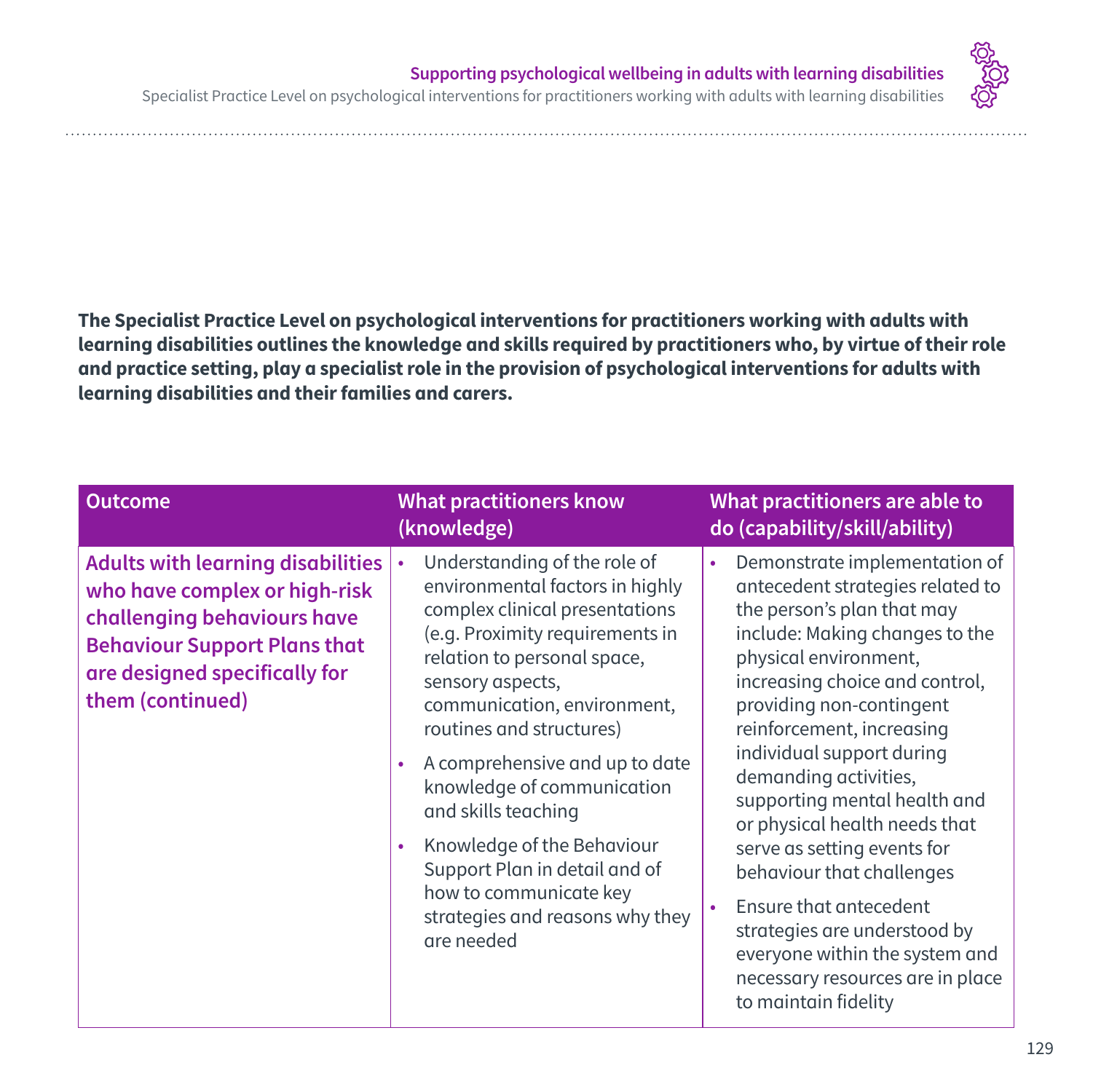

| <b>Outcome</b>                                                                                                                                                                                       | <b>What practitioners know</b><br>(knowledge)                                                                                                                                                                                                                                                                                                                                                                                                                                                    | What practitioners are able to<br>do (capability/skill/ability)                                                                                                                                                                                                                                                                                                                                                                                                                                                                                                                                  |
|------------------------------------------------------------------------------------------------------------------------------------------------------------------------------------------------------|--------------------------------------------------------------------------------------------------------------------------------------------------------------------------------------------------------------------------------------------------------------------------------------------------------------------------------------------------------------------------------------------------------------------------------------------------------------------------------------------------|--------------------------------------------------------------------------------------------------------------------------------------------------------------------------------------------------------------------------------------------------------------------------------------------------------------------------------------------------------------------------------------------------------------------------------------------------------------------------------------------------------------------------------------------------------------------------------------------------|
| <b>Adults with learning disabilities</b><br>who have complex or high-risk<br>challenging behaviours have<br><b>Behaviour Support Plans that</b><br>are designed specifically for<br>them (continued) | Understanding of the role of<br>environmental factors in highly<br>complex clinical presentations<br>(e.g. Proximity requirements in<br>relation to personal space,<br>sensory aspects,<br>communication, environment,<br>routines and structures)<br>A comprehensive and up to date<br>knowledge of communication<br>and skills teaching<br>Knowledge of the Behaviour<br>$\bullet$<br>Support Plan in detail and of<br>how to communicate key<br>strategies and reasons why they<br>are needed | Demonstrate implementation of<br>antecedent strategies related to<br>the person's plan that may<br>include: Making changes to the<br>physical environment,<br>increasing choice and control,<br>providing non-contingent<br>reinforcement, increasing<br>individual support during<br>demanding activities,<br>supporting mental health and<br>or physical health needs that<br>serve as setting events for<br>behaviour that challenges<br>Ensure that antecedent<br>strategies are understood by<br>everyone within the system and<br>necessary resources are in place<br>to maintain fidelity |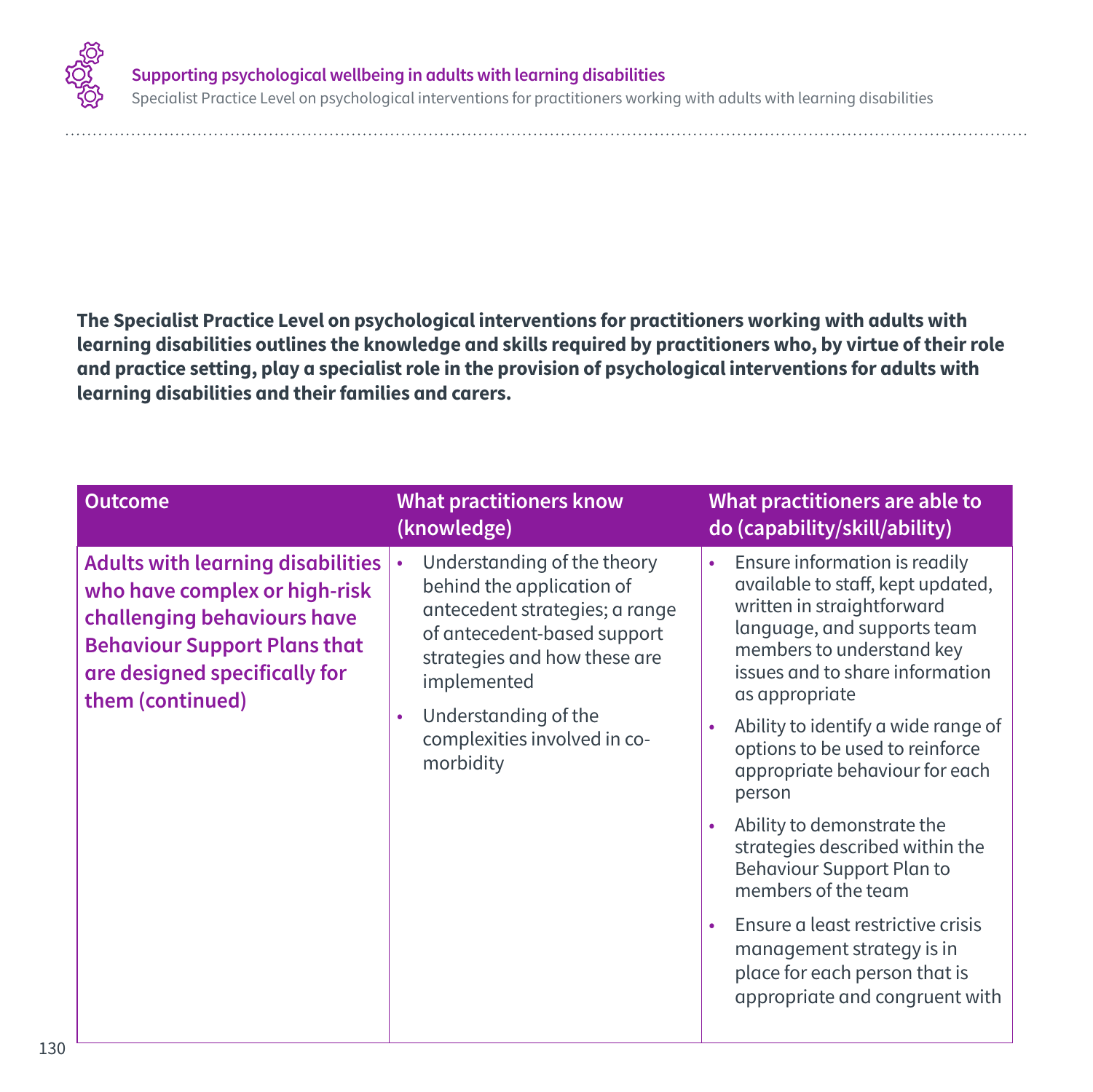

| <b>Outcome</b>                                                                                                                                                                                       | <b>What practitioners know</b><br>(knowledge)                                                                                                                                                                                                              | What practitioners are able to<br>do (capability/skill/ability)                                                                                                                                                                                                                                                                                                                                                                                                                                                                                                                                                |
|------------------------------------------------------------------------------------------------------------------------------------------------------------------------------------------------------|------------------------------------------------------------------------------------------------------------------------------------------------------------------------------------------------------------------------------------------------------------|----------------------------------------------------------------------------------------------------------------------------------------------------------------------------------------------------------------------------------------------------------------------------------------------------------------------------------------------------------------------------------------------------------------------------------------------------------------------------------------------------------------------------------------------------------------------------------------------------------------|
| <b>Adults with learning disabilities</b><br>who have complex or high-risk<br>challenging behaviours have<br><b>Behaviour Support Plans that</b><br>are designed specifically for<br>them (continued) | Understanding of the theory<br>behind the application of<br>antecedent strategies; a range<br>of antecedent-based support<br>strategies and how these are<br>implemented<br>Understanding of the<br>$\bullet$<br>complexities involved in co-<br>morbidity | Ensure information is readily<br>$\bullet$<br>available to staff, kept updated,<br>written in straightforward<br>language, and supports team<br>members to understand key<br>issues and to share information<br>as appropriate<br>Ability to identify a wide range of<br>options to be used to reinforce<br>appropriate behaviour for each<br>person<br>Ability to demonstrate the<br>strategies described within the<br>Behaviour Support Plan to<br>members of the team<br>Ensure a least restrictive crisis<br>management strategy is in<br>place for each person that is<br>appropriate and congruent with |
|                                                                                                                                                                                                      |                                                                                                                                                                                                                                                            |                                                                                                                                                                                                                                                                                                                                                                                                                                                                                                                                                                                                                |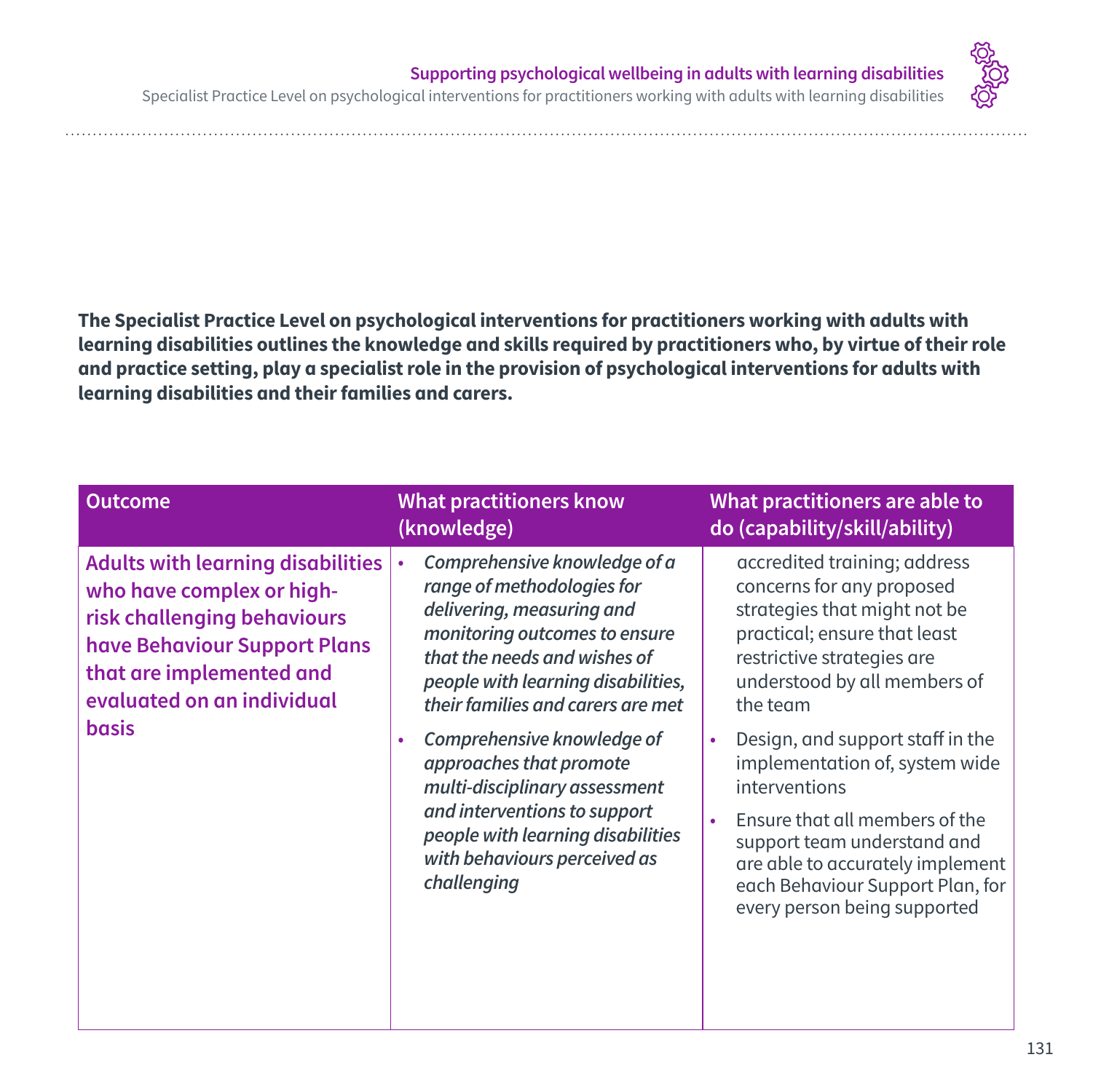

| <b>Outcome</b>                                                                                                                                                                                                 | <b>What practitioners know</b><br>(knowledge)                                                                                                                                                                                       | What practitioners are able to<br>do (capability/skill/ability)                                                                                                                                     |
|----------------------------------------------------------------------------------------------------------------------------------------------------------------------------------------------------------------|-------------------------------------------------------------------------------------------------------------------------------------------------------------------------------------------------------------------------------------|-----------------------------------------------------------------------------------------------------------------------------------------------------------------------------------------------------|
| <b>Adults with learning disabilities</b><br>who have complex or high-<br>risk challenging behaviours<br>have Behaviour Support Plans<br>that are implemented and<br>evaluated on an individual<br><b>basis</b> | Comprehensive knowledge of a<br>range of methodologies for<br>delivering, measuring and<br>monitoring outcomes to ensure<br>that the needs and wishes of<br>people with learning disabilities,<br>their families and carers are met | accredited training; address<br>concerns for any proposed<br>strategies that might not be<br>practical; ensure that least<br>restrictive strategies are<br>understood by all members of<br>the team |
|                                                                                                                                                                                                                | Comprehensive knowledge of<br>approaches that promote<br>multi-disciplinary assessment<br>and interventions to support<br>people with learning disabilities<br>with behaviours perceived as<br>challenging                          | Design, and support staff in the<br>$\bullet$<br>implementation of, system wide<br>interventions                                                                                                    |
|                                                                                                                                                                                                                |                                                                                                                                                                                                                                     | Ensure that all members of the<br>$\bullet$<br>support team understand and<br>are able to accurately implement<br>each Behaviour Support Plan, for<br>every person being supported                  |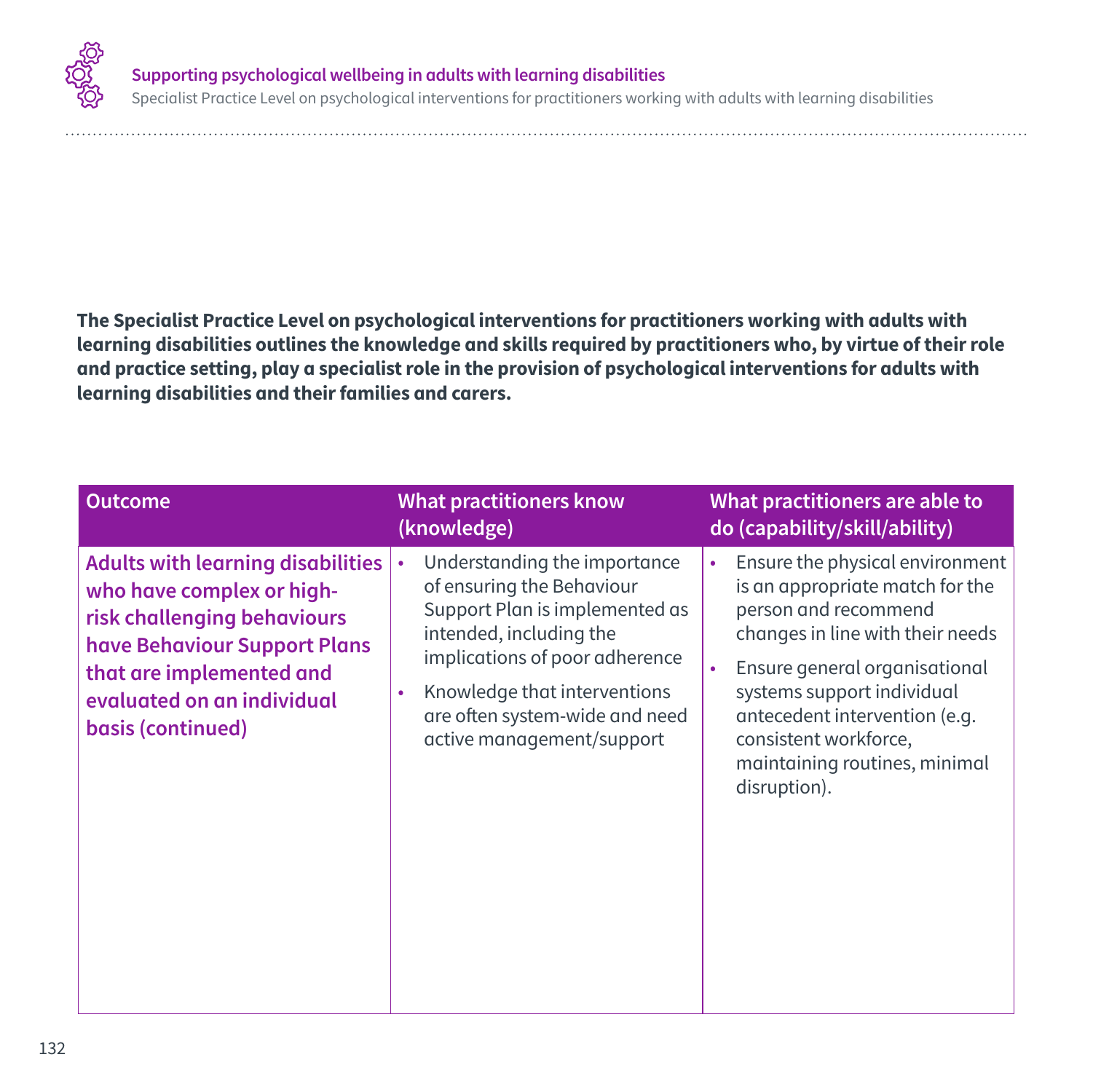

| <b>Outcome</b>                                                                                                                                                                                                      | <b>What practitioners know</b><br>(knowledge)                                                                                                                                                                                                           | What practitioners are able to<br>do (capability/skill/ability)                                                                                                                                                                                                                                               |
|---------------------------------------------------------------------------------------------------------------------------------------------------------------------------------------------------------------------|---------------------------------------------------------------------------------------------------------------------------------------------------------------------------------------------------------------------------------------------------------|---------------------------------------------------------------------------------------------------------------------------------------------------------------------------------------------------------------------------------------------------------------------------------------------------------------|
| <b>Adults with learning disabilities</b><br>who have complex or high-<br>risk challenging behaviours<br>have Behaviour Support Plans<br>that are implemented and<br>evaluated on an individual<br>basis (continued) | Understanding the importance<br>of ensuring the Behaviour<br>Support Plan is implemented as<br>intended, including the<br>implications of poor adherence<br>Knowledge that interventions<br>are often system-wide and need<br>active management/support | Ensure the physical environment<br>٠<br>is an appropriate match for the<br>person and recommend<br>changes in line with their needs<br>Ensure general organisational<br>systems support individual<br>antecedent intervention (e.g.<br>consistent workforce,<br>maintaining routines, minimal<br>disruption). |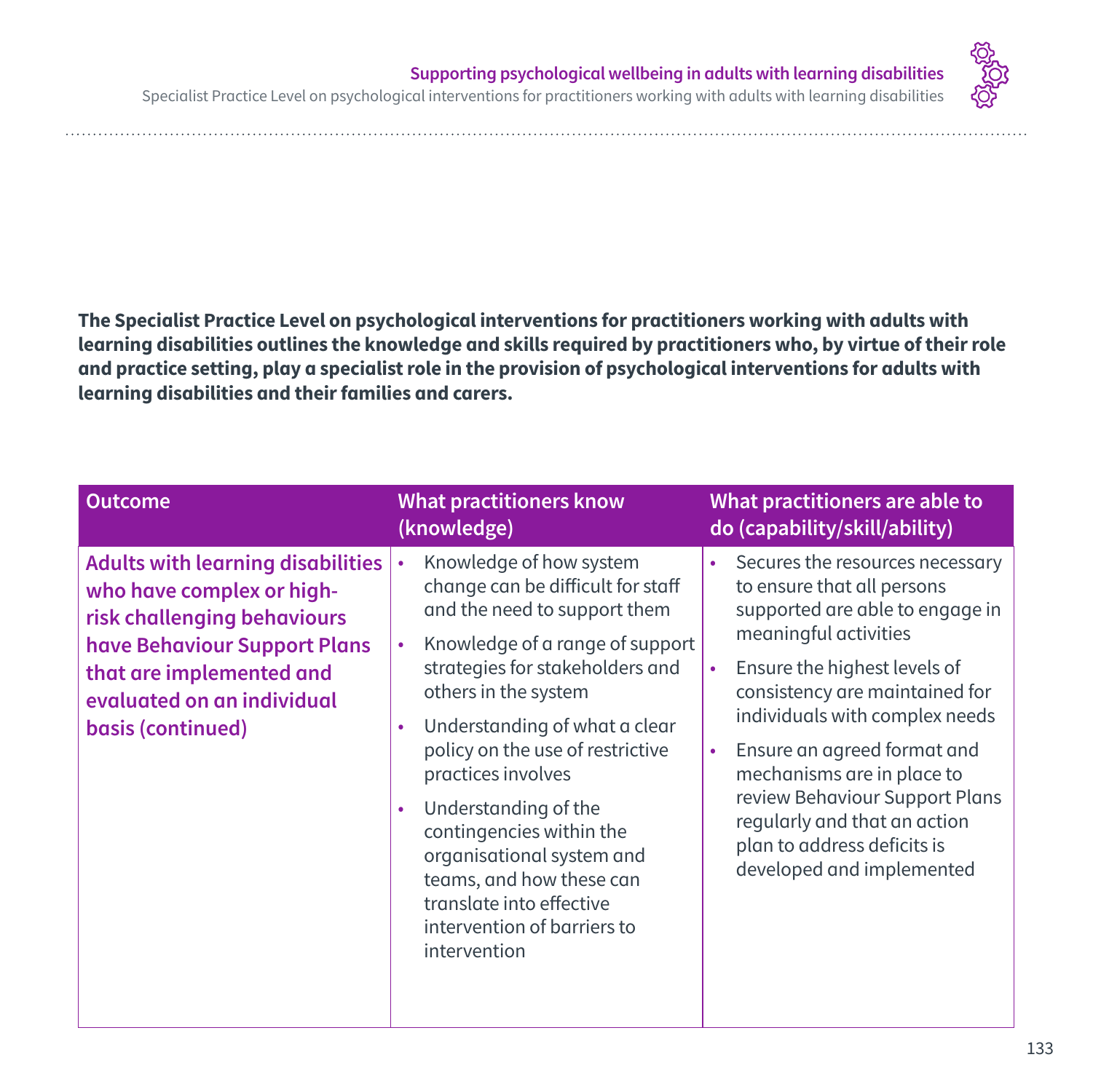

| <b>Outcome</b>                                                                                                                                                                                                      | <b>What practitioners know</b><br>(knowledge)                                                                                                                                                                                                                                                                                                                                                                                                                                                           | What practitioners are able to<br>do (capability/skill/ability)                                                                                                                                                                                                                                                                                                                                                          |
|---------------------------------------------------------------------------------------------------------------------------------------------------------------------------------------------------------------------|---------------------------------------------------------------------------------------------------------------------------------------------------------------------------------------------------------------------------------------------------------------------------------------------------------------------------------------------------------------------------------------------------------------------------------------------------------------------------------------------------------|--------------------------------------------------------------------------------------------------------------------------------------------------------------------------------------------------------------------------------------------------------------------------------------------------------------------------------------------------------------------------------------------------------------------------|
| <b>Adults with learning disabilities</b><br>who have complex or high-<br>risk challenging behaviours<br>have Behaviour Support Plans<br>that are implemented and<br>evaluated on an individual<br>basis (continued) | Knowledge of how system<br>change can be difficult for staff<br>and the need to support them<br>Knowledge of a range of support<br>strategies for stakeholders and<br>others in the system<br>Understanding of what a clear<br>$\bullet$<br>policy on the use of restrictive<br>practices involves<br>Understanding of the<br>$\bullet$<br>contingencies within the<br>organisational system and<br>teams, and how these can<br>translate into effective<br>intervention of barriers to<br>intervention | Secures the resources necessary<br>to ensure that all persons<br>supported are able to engage in<br>meaningful activities<br>Ensure the highest levels of<br>consistency are maintained for<br>individuals with complex needs<br>Ensure an agreed format and<br>mechanisms are in place to<br>review Behaviour Support Plans<br>regularly and that an action<br>plan to address deficits is<br>developed and implemented |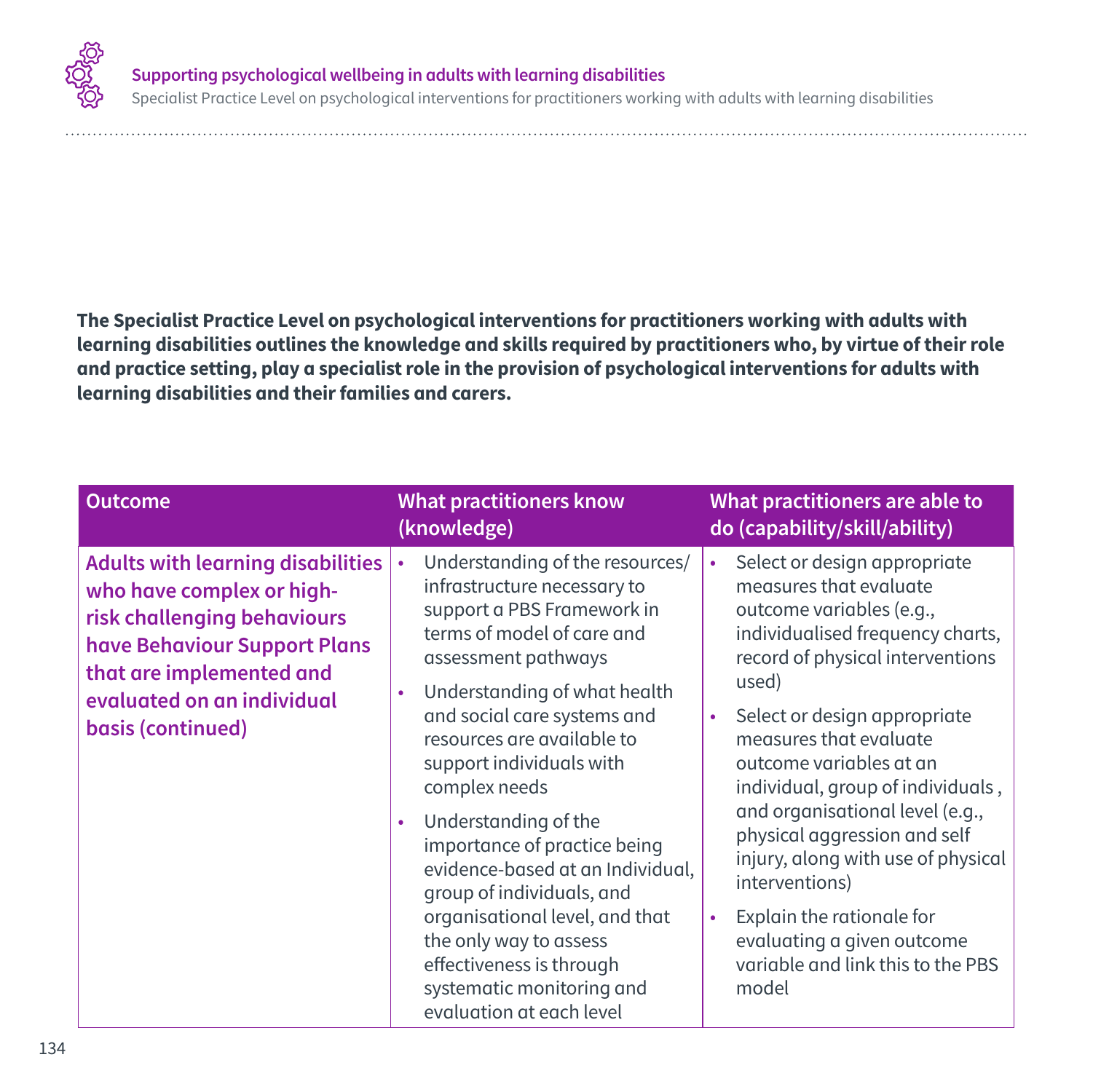

| <b>Outcome</b>                                                                                                                                                                                                      | <b>What practitioners know</b><br>(knowledge)                                                                                                                                                                                                                                                                                                                                                                                                                                                                                                                                      | What practitioners are able to<br>do (capability/skill/ability)                                                                                                                                                                                                                                                                                                                                                                                                                                                                                |
|---------------------------------------------------------------------------------------------------------------------------------------------------------------------------------------------------------------------|------------------------------------------------------------------------------------------------------------------------------------------------------------------------------------------------------------------------------------------------------------------------------------------------------------------------------------------------------------------------------------------------------------------------------------------------------------------------------------------------------------------------------------------------------------------------------------|------------------------------------------------------------------------------------------------------------------------------------------------------------------------------------------------------------------------------------------------------------------------------------------------------------------------------------------------------------------------------------------------------------------------------------------------------------------------------------------------------------------------------------------------|
| <b>Adults with learning disabilities</b><br>who have complex or high-<br>risk challenging behaviours<br>have Behaviour Support Plans<br>that are implemented and<br>evaluated on an individual<br>basis (continued) | Understanding of the resources/<br>infrastructure necessary to<br>support a PBS Framework in<br>terms of model of care and<br>assessment pathways<br>Understanding of what health<br>and social care systems and<br>resources are available to<br>support individuals with<br>complex needs<br>Understanding of the<br>$\bullet$<br>importance of practice being<br>evidence-based at an Individual,<br>group of individuals, and<br>organisational level, and that<br>the only way to assess<br>effectiveness is through<br>systematic monitoring and<br>evaluation at each level | Select or design appropriate<br>measures that evaluate<br>outcome variables (e.g.,<br>individualised frequency charts,<br>record of physical interventions<br>used)<br>Select or design appropriate<br>$\bullet$<br>measures that evaluate<br>outcome variables at an<br>individual, group of individuals,<br>and organisational level (e.g.,<br>physical aggression and self<br>injury, along with use of physical<br>interventions)<br>Explain the rationale for<br>evaluating a given outcome<br>variable and link this to the PBS<br>model |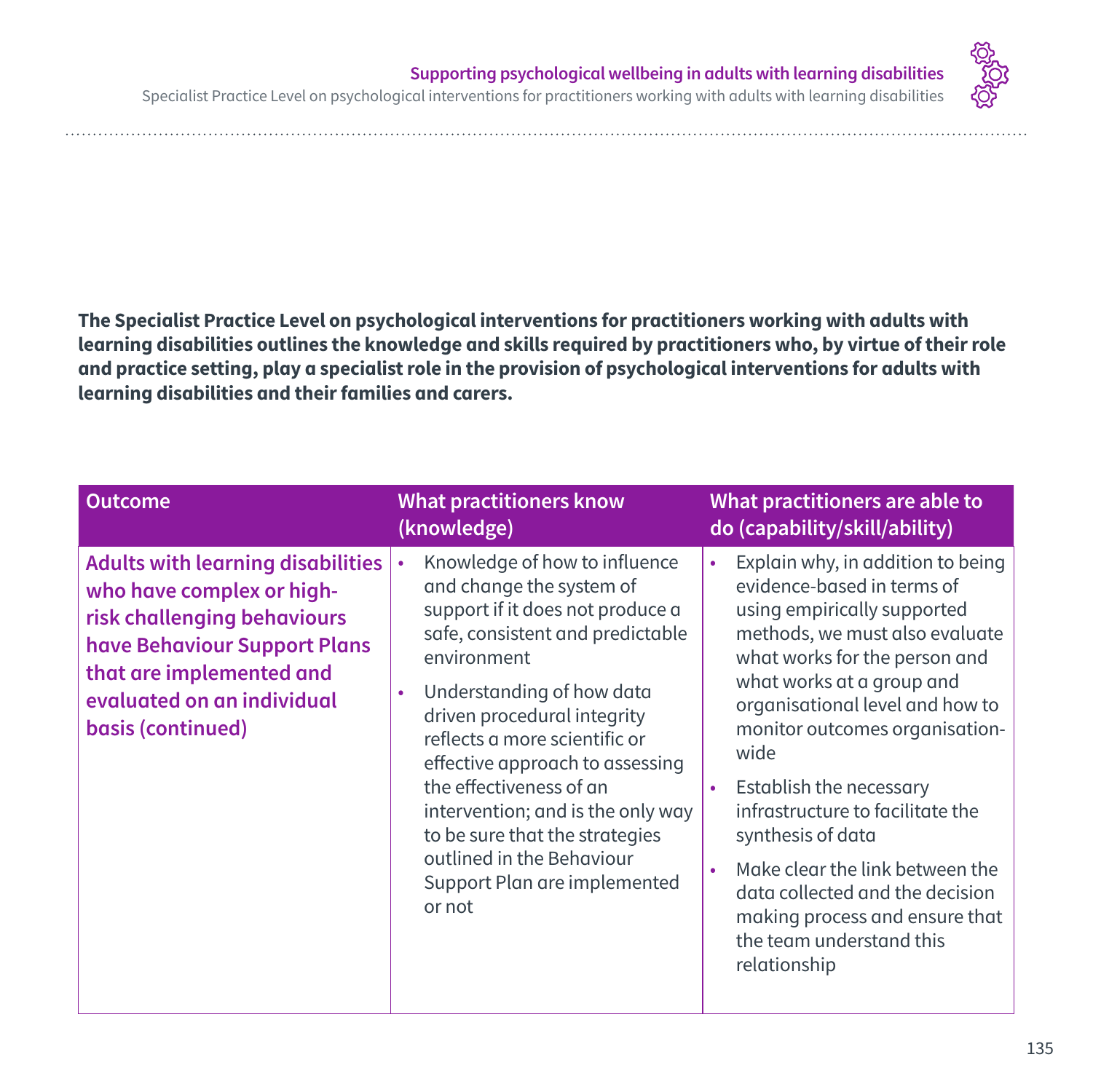

. . . . . . . . . . . . . . .

Specialist Practice Level on psychological interventions for practitioners working with adults with learning disabilities

| <b>Outcome</b>                                                                                                                                                                                                      | <b>What practitioners know</b><br>(knowledge)                                                                                                                                                                                                                                                                                                                                                                                                                          | What practitioners are able to<br>do (capability/skill/ability)                                                                                                                                                                                                                                                                                                                                                                                                                                                     |
|---------------------------------------------------------------------------------------------------------------------------------------------------------------------------------------------------------------------|------------------------------------------------------------------------------------------------------------------------------------------------------------------------------------------------------------------------------------------------------------------------------------------------------------------------------------------------------------------------------------------------------------------------------------------------------------------------|---------------------------------------------------------------------------------------------------------------------------------------------------------------------------------------------------------------------------------------------------------------------------------------------------------------------------------------------------------------------------------------------------------------------------------------------------------------------------------------------------------------------|
| <b>Adults with learning disabilities</b><br>who have complex or high-<br>risk challenging behaviours<br>have Behaviour Support Plans<br>that are implemented and<br>evaluated on an individual<br>basis (continued) | Knowledge of how to influence<br>and change the system of<br>support if it does not produce a<br>safe, consistent and predictable<br>environment<br>Understanding of how data<br>$\bullet$<br>driven procedural integrity<br>reflects a more scientific or<br>effective approach to assessing<br>the effectiveness of an<br>intervention; and is the only way<br>to be sure that the strategies<br>outlined in the Behaviour<br>Support Plan are implemented<br>or not | Explain why, in addition to being<br>evidence-based in terms of<br>using empirically supported<br>methods, we must also evaluate<br>what works for the person and<br>what works at a group and<br>organisational level and how to<br>monitor outcomes organisation-<br>wide<br>Establish the necessary<br>infrastructure to facilitate the<br>synthesis of data<br>Make clear the link between the<br>data collected and the decision<br>making process and ensure that<br>the team understand this<br>relationship |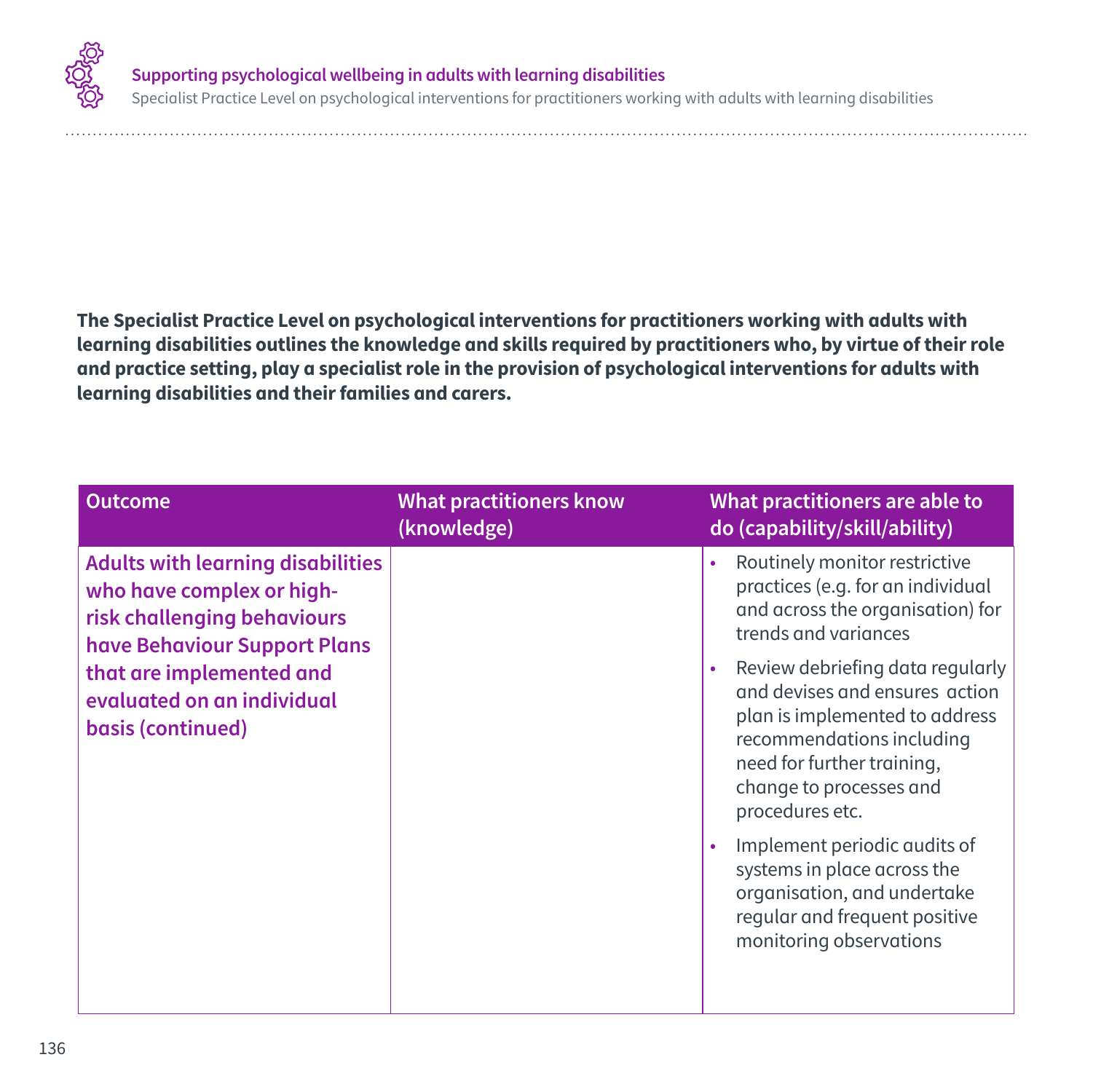

| <b>Outcome</b>                                                                                                                                                                                                      | <b>What practitioners know</b><br>(knowledge) | What practitioners are able to<br>do (capability/skill/ability)                                                                                                                                               |
|---------------------------------------------------------------------------------------------------------------------------------------------------------------------------------------------------------------------|-----------------------------------------------|---------------------------------------------------------------------------------------------------------------------------------------------------------------------------------------------------------------|
| <b>Adults with learning disabilities</b><br>who have complex or high-<br>risk challenging behaviours<br>have Behaviour Support Plans<br>that are implemented and<br>evaluated on an individual<br>basis (continued) |                                               | Routinely monitor restrictive<br>$\bullet$<br>practices (e.g. for an individual<br>and across the organisation) for<br>trends and variances                                                                   |
|                                                                                                                                                                                                                     |                                               | Review debriefing data regularly<br>and devises and ensures action<br>plan is implemented to address<br>recommendations including<br>need for further training,<br>change to processes and<br>procedures etc. |
|                                                                                                                                                                                                                     |                                               | Implement periodic audits of<br>systems in place across the<br>organisation, and undertake<br>regular and frequent positive<br>monitoring observations                                                        |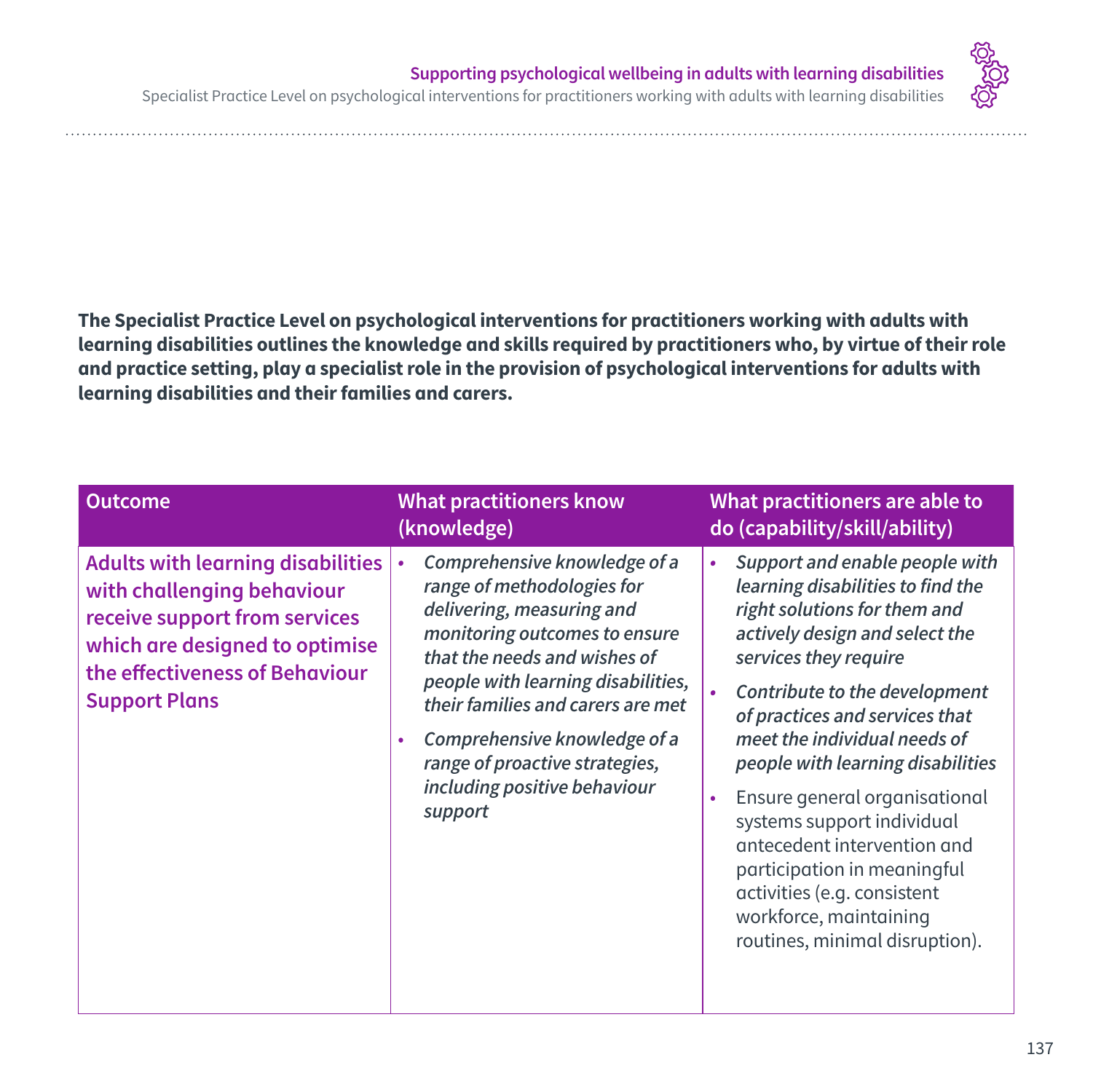

| <b>Outcome</b>                                                                                                                                                                                      | <b>What practitioners know</b><br>(knowledge)                                                                                                                                                                                                                                                                                                                 | What practitioners are able to<br>do (capability/skill/ability)                                                                                                                                                                                                                                                                                                                                                                                                                                                                |
|-----------------------------------------------------------------------------------------------------------------------------------------------------------------------------------------------------|---------------------------------------------------------------------------------------------------------------------------------------------------------------------------------------------------------------------------------------------------------------------------------------------------------------------------------------------------------------|--------------------------------------------------------------------------------------------------------------------------------------------------------------------------------------------------------------------------------------------------------------------------------------------------------------------------------------------------------------------------------------------------------------------------------------------------------------------------------------------------------------------------------|
| <b>Adults with learning disabilities</b><br>with challenging behaviour<br>receive support from services<br>which are designed to optimise<br>the effectiveness of Behaviour<br><b>Support Plans</b> | Comprehensive knowledge of a<br>$\bullet$<br>range of methodologies for<br>delivering, measuring and<br>monitoring outcomes to ensure<br>that the needs and wishes of<br>people with learning disabilities,<br>their families and carers are met<br>Comprehensive knowledge of a<br>range of proactive strategies,<br>including positive behaviour<br>support | Support and enable people with<br>learning disabilities to find the<br>right solutions for them and<br>actively design and select the<br>services they require<br>Contribute to the development<br>of practices and services that<br>meet the individual needs of<br>people with learning disabilities<br>Ensure general organisational<br>systems support individual<br>antecedent intervention and<br>participation in meaningful<br>activities (e.g. consistent<br>workforce, maintaining<br>routines, minimal disruption). |
|                                                                                                                                                                                                     |                                                                                                                                                                                                                                                                                                                                                               |                                                                                                                                                                                                                                                                                                                                                                                                                                                                                                                                |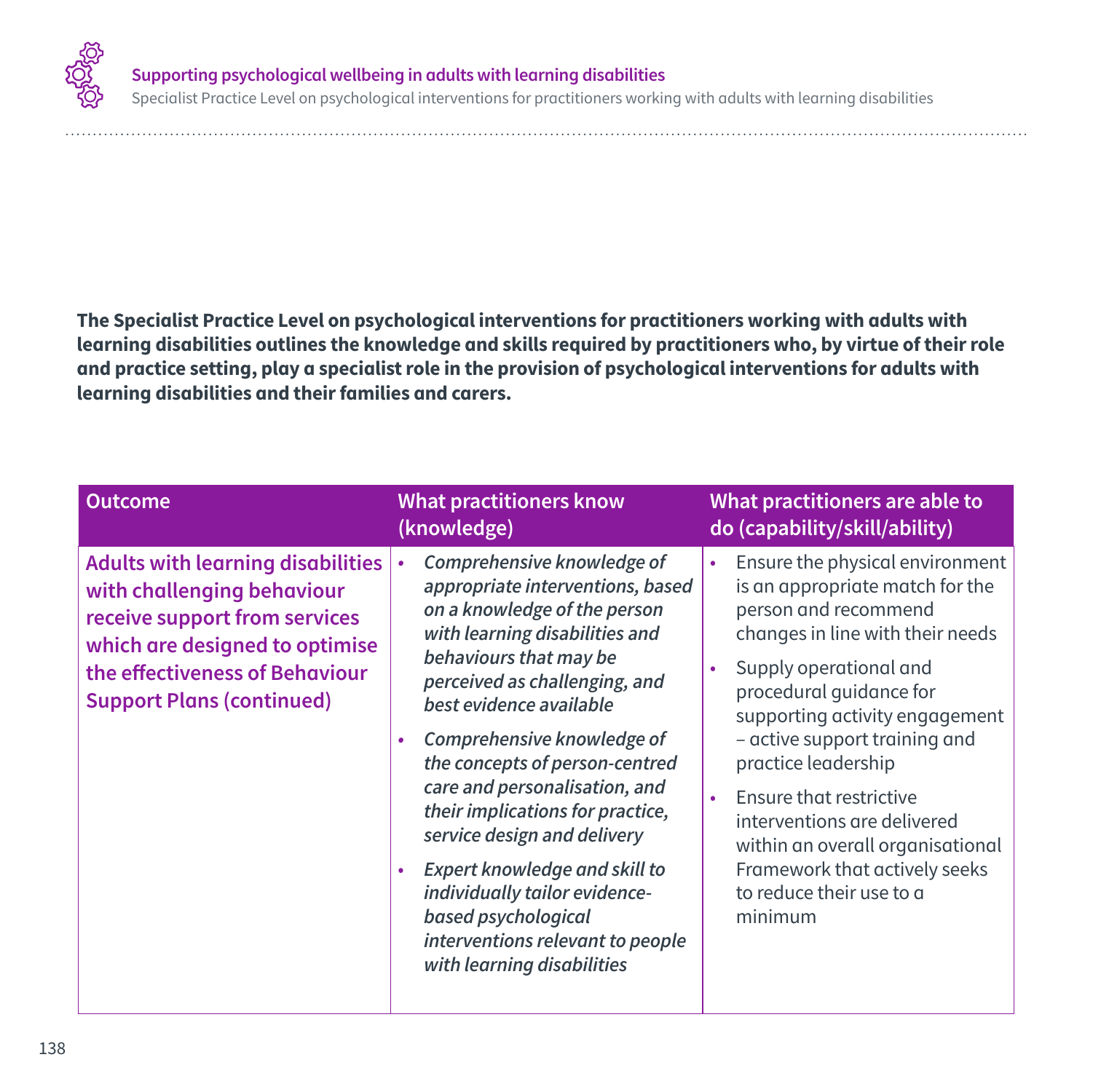

| <b>Outcome</b>                                                                                                                                                                                           | <b>What practitioners know</b><br>(knowledge)                                                                                                                                                                                                                                                                                                                                                                                                                                                                                                                             | What practitioners are able to<br>do (capability/skill/ability)                                                                                                                                                                                                                                                                                                                                                                                     |
|----------------------------------------------------------------------------------------------------------------------------------------------------------------------------------------------------------|---------------------------------------------------------------------------------------------------------------------------------------------------------------------------------------------------------------------------------------------------------------------------------------------------------------------------------------------------------------------------------------------------------------------------------------------------------------------------------------------------------------------------------------------------------------------------|-----------------------------------------------------------------------------------------------------------------------------------------------------------------------------------------------------------------------------------------------------------------------------------------------------------------------------------------------------------------------------------------------------------------------------------------------------|
| Adults with learning disabilities<br>with challenging behaviour<br>receive support from services<br>which are designed to optimise<br>the effectiveness of Behaviour<br><b>Support Plans (continued)</b> | Comprehensive knowledge of<br>appropriate interventions, based<br>on a knowledge of the person<br>with learning disabilities and<br>behaviours that may be<br>perceived as challenging, and<br>best evidence available<br>Comprehensive knowledge of<br>the concepts of person-centred<br>care and personalisation, and<br>their implications for practice,<br>service design and delivery<br><b>Expert knowledge and skill to</b><br>$\bullet$<br>individually tailor evidence-<br>based psychological<br>interventions relevant to people<br>with learning disabilities | Ensure the physical environment<br>is an appropriate match for the<br>person and recommend<br>changes in line with their needs<br>Supply operational and<br>procedural quidance for<br>supporting activity engagement<br>- active support training and<br>practice leadership<br>Ensure that restrictive<br>interventions are delivered<br>within an overall organisational<br>Framework that actively seeks<br>to reduce their use to a<br>minimum |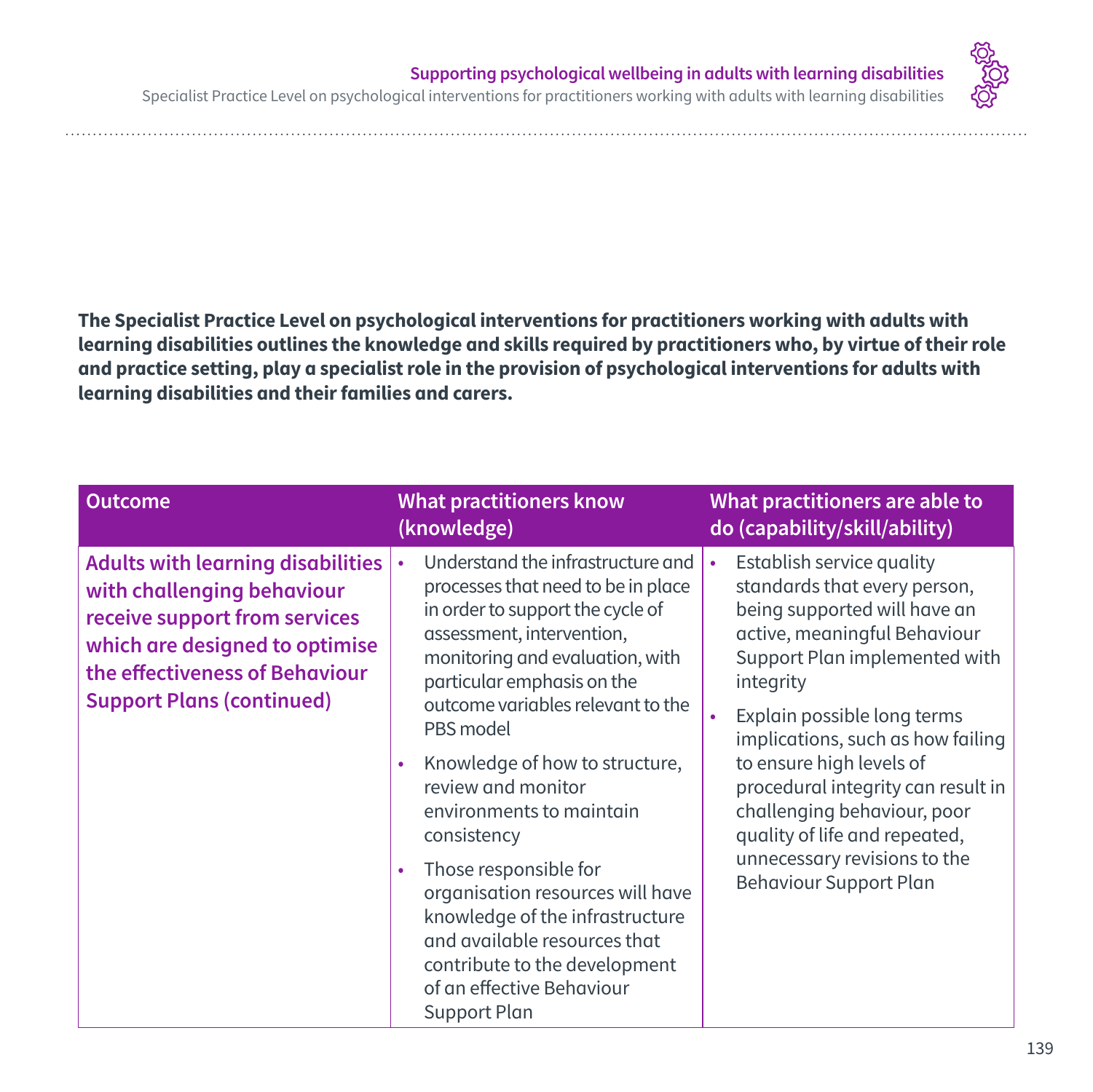

. . . . . . . . . . . . . . . . . . . .

Specialist Practice Level on psychological interventions for practitioners working with adults with learning disabilities

| <b>Outcome</b>                                                                                                                                                                                                  | <b>What practitioners know</b><br>(knowledge)                                                                                                                                                                                                                                                                                                                                                                                                                                                                                                                                             | What practitioners are able to<br>do (capability/skill/ability)                                                                                                                                                                                                                                                                                                                                                                                |
|-----------------------------------------------------------------------------------------------------------------------------------------------------------------------------------------------------------------|-------------------------------------------------------------------------------------------------------------------------------------------------------------------------------------------------------------------------------------------------------------------------------------------------------------------------------------------------------------------------------------------------------------------------------------------------------------------------------------------------------------------------------------------------------------------------------------------|------------------------------------------------------------------------------------------------------------------------------------------------------------------------------------------------------------------------------------------------------------------------------------------------------------------------------------------------------------------------------------------------------------------------------------------------|
| <b>Adults with learning disabilities</b><br>with challenging behaviour<br>receive support from services<br>which are designed to optimise<br>the effectiveness of Behaviour<br><b>Support Plans (continued)</b> | Understand the infrastructure and<br>processes that need to be in place<br>in order to support the cycle of<br>assessment, intervention,<br>monitoring and evaluation, with<br>particular emphasis on the<br>outcome variables relevant to the<br>PBS model<br>Knowledge of how to structure,<br>$\bullet$<br>review and monitor<br>environments to maintain<br>consistency<br>Those responsible for<br>organisation resources will have<br>knowledge of the infrastructure<br>and available resources that<br>contribute to the development<br>of an effective Behaviour<br>Support Plan | Establish service quality<br>standards that every person,<br>being supported will have an<br>active, meaningful Behaviour<br>Support Plan implemented with<br>integrity<br>Explain possible long terms<br>implications, such as how failing<br>to ensure high levels of<br>procedural integrity can result in<br>challenging behaviour, poor<br>quality of life and repeated,<br>unnecessary revisions to the<br><b>Behaviour Support Plan</b> |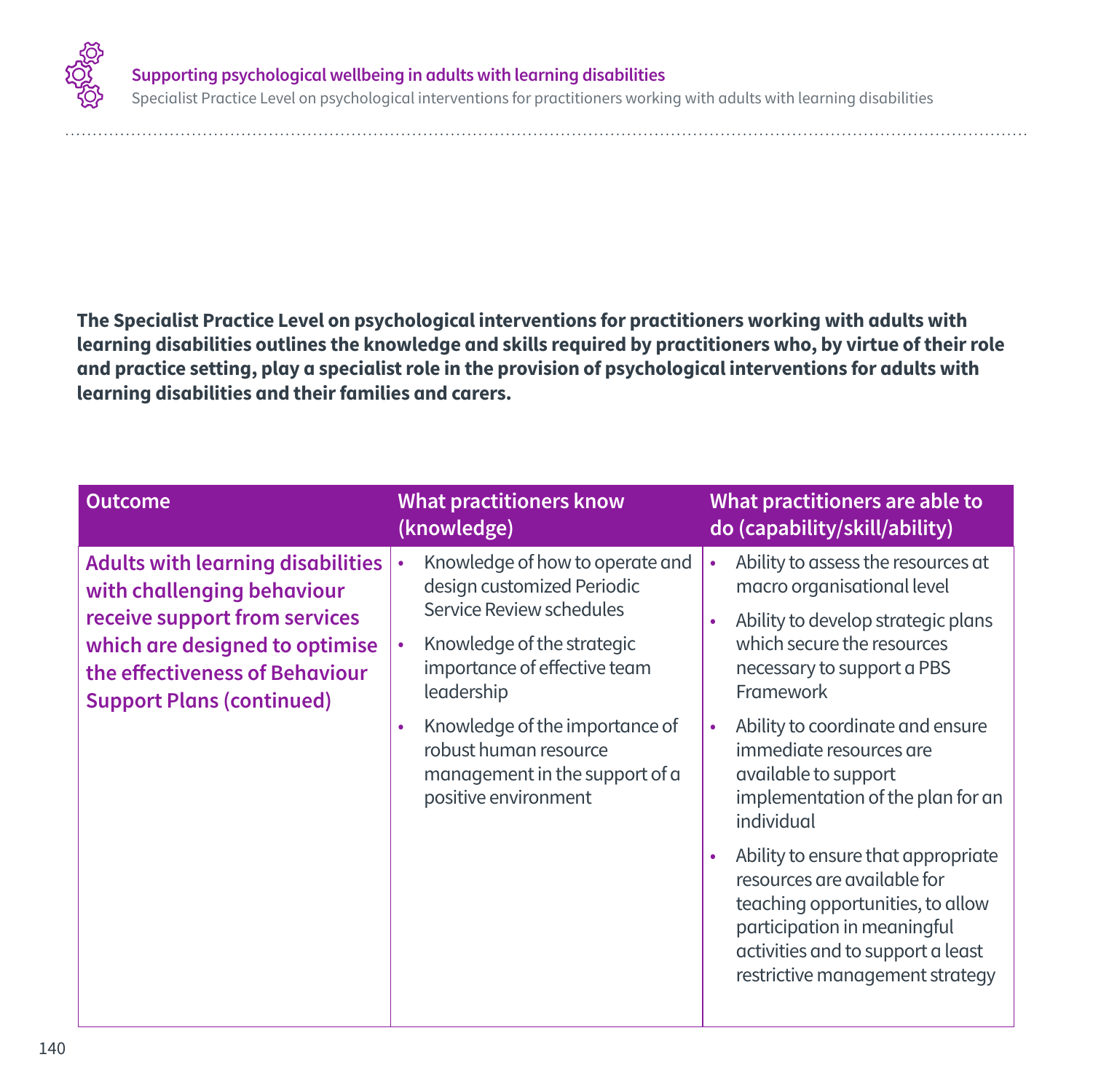

| <b>Outcome</b>                                                                                                                                                                                                  | <b>What practitioners know</b><br>(knowledge)                                                                                                                                                                                                                                                                        | What practitioners are able to<br>do (capability/skill/ability)                                                                                                                                                                                                                                                                                                                                                                                                                                                                           |
|-----------------------------------------------------------------------------------------------------------------------------------------------------------------------------------------------------------------|----------------------------------------------------------------------------------------------------------------------------------------------------------------------------------------------------------------------------------------------------------------------------------------------------------------------|-------------------------------------------------------------------------------------------------------------------------------------------------------------------------------------------------------------------------------------------------------------------------------------------------------------------------------------------------------------------------------------------------------------------------------------------------------------------------------------------------------------------------------------------|
| <b>Adults with learning disabilities</b><br>with challenging behaviour<br>receive support from services<br>which are designed to optimise<br>the effectiveness of Behaviour<br><b>Support Plans (continued)</b> | Knowledge of how to operate and<br>$\bullet$<br>design customized Periodic<br>Service Review schedules<br>Knowledge of the strategic<br>$\bullet$<br>importance of effective team<br>leadership<br>Knowledge of the importance of<br>robust human resource<br>management in the support of a<br>positive environment | Ability to assess the resources at<br>macro organisational level<br>Ability to develop strategic plans<br>which secure the resources<br>necessary to support a PBS<br>Framework<br>Ability to coordinate and ensure<br>immediate resources are<br>available to support<br>implementation of the plan for an<br>individual<br>Ability to ensure that appropriate<br>resources are available for<br>teaching opportunities, to allow<br>participation in meaningful<br>activities and to support a least<br>restrictive management strategy |
|                                                                                                                                                                                                                 |                                                                                                                                                                                                                                                                                                                      |                                                                                                                                                                                                                                                                                                                                                                                                                                                                                                                                           |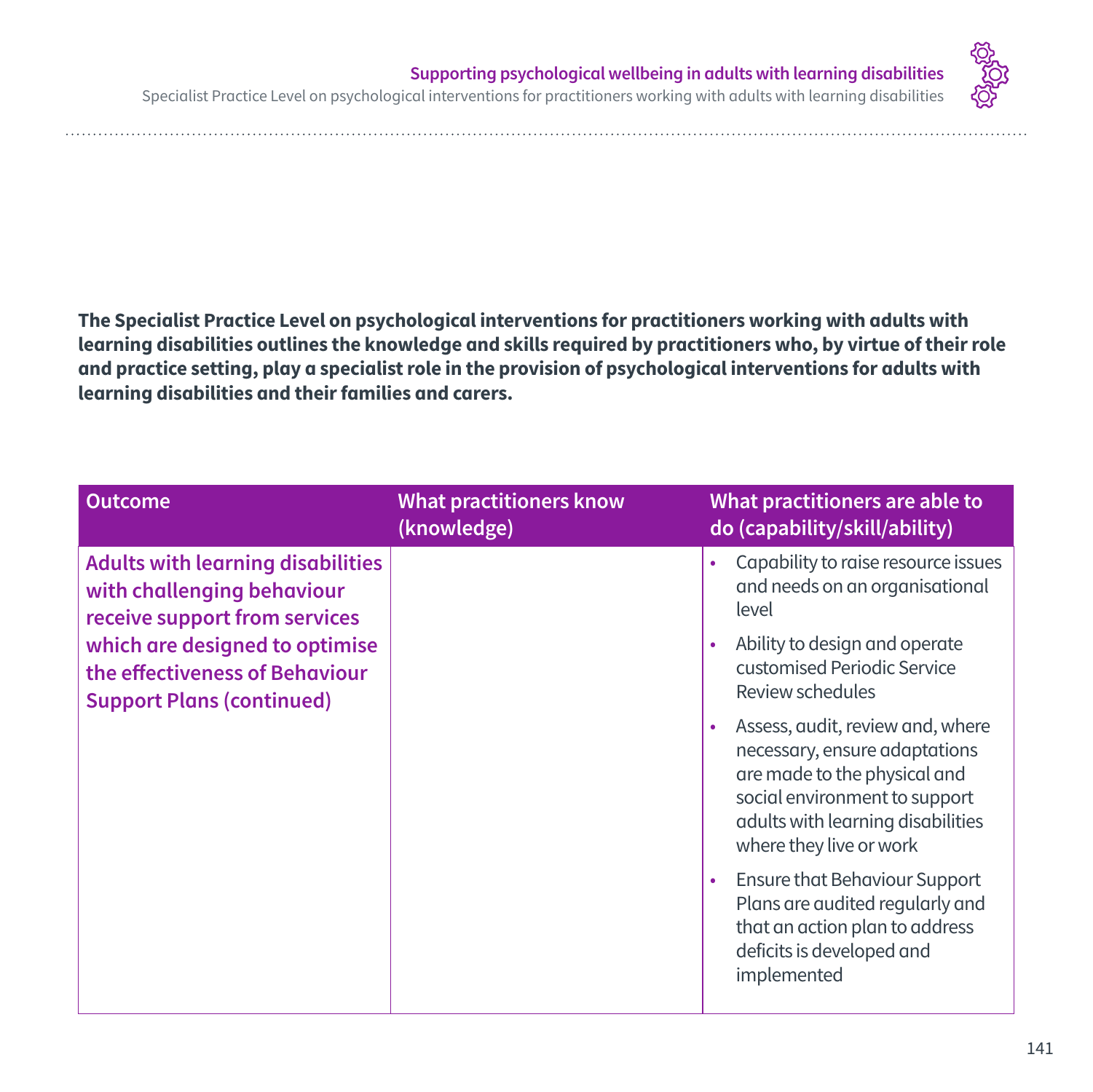## **Supporting psychological wellbeing in adults with learning disabilities**



. . . . . . . . . . . . . . . . .

Specialist Practice Level on psychological interventions for practitioners working with adults with learning disabilities

| <b>Outcome</b>                                                                                                                                                                                                  | <b>What practitioners know</b><br>(knowledge) | What practitioners are able to<br>do (capability/skill/ability)                                                                                                                                    |
|-----------------------------------------------------------------------------------------------------------------------------------------------------------------------------------------------------------------|-----------------------------------------------|----------------------------------------------------------------------------------------------------------------------------------------------------------------------------------------------------|
| <b>Adults with learning disabilities</b><br>with challenging behaviour<br>receive support from services<br>which are designed to optimise<br>the effectiveness of Behaviour<br><b>Support Plans (continued)</b> |                                               | Capability to raise resource issues<br>and needs on an organisational<br>level                                                                                                                     |
|                                                                                                                                                                                                                 |                                               | Ability to design and operate<br>customised Periodic Service<br>Review schedules                                                                                                                   |
|                                                                                                                                                                                                                 |                                               | Assess, audit, review and, where<br>necessary, ensure adaptations<br>are made to the physical and<br>social environment to support<br>adults with learning disabilities<br>where they live or work |
|                                                                                                                                                                                                                 |                                               | <b>Ensure that Behaviour Support</b><br>Plans are audited regularly and<br>that an action plan to address<br>deficits is developed and<br>implemented                                              |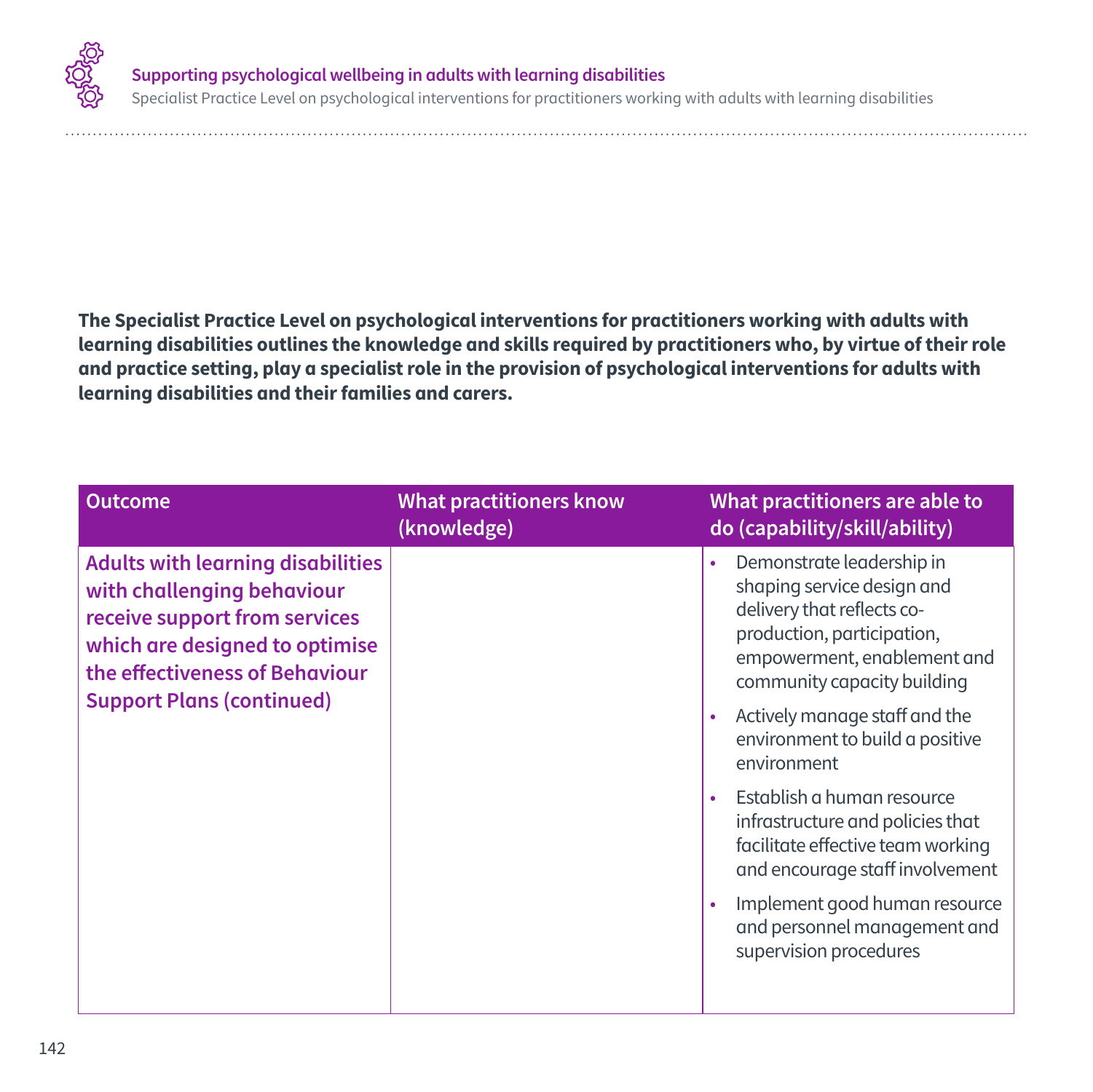

| <b>What practitioners know</b><br>(knowledge) | What practitioners are able to<br>do (capability/skill/ability)                                                                                                                   |
|-----------------------------------------------|-----------------------------------------------------------------------------------------------------------------------------------------------------------------------------------|
| <b>Adults with learning disabilities</b>      | Demonstrate leadership in<br>shaping service design and<br>delivery that reflects co-<br>production, participation,<br>empowerment, enablement and<br>community capacity building |
|                                               | Actively manage staff and the<br>environment to build a positive<br>environment                                                                                                   |
|                                               | Establish a human resource<br>infrastructure and policies that<br>facilitate effective team working<br>and encourage staff involvement                                            |
|                                               | Implement good human resource<br>and personnel management and<br>supervision procedures                                                                                           |
|                                               |                                                                                                                                                                                   |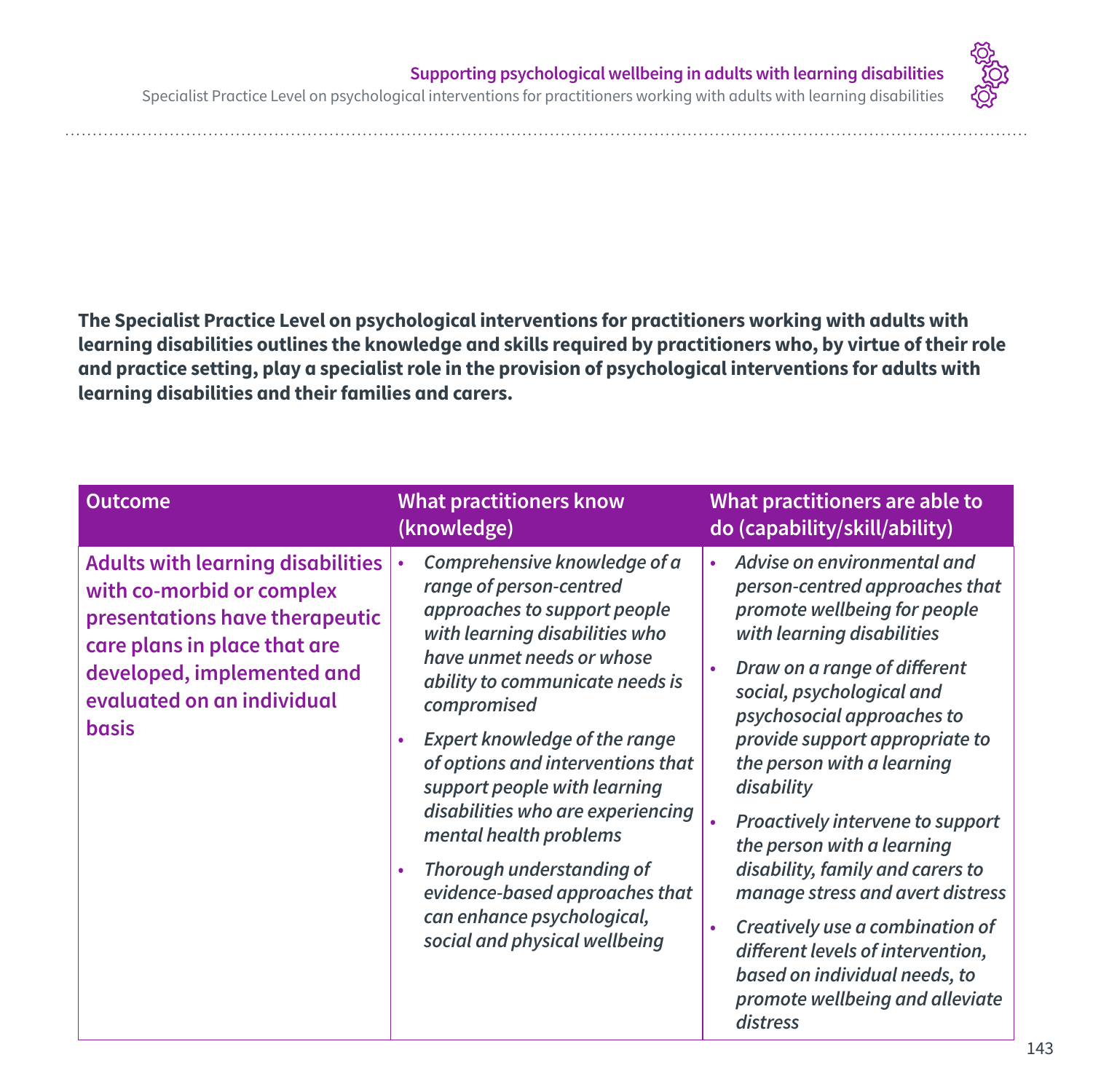

. . . . . . . . . . . . . . . .

Specialist Practice Level on psychological interventions for practitioners working with adults with learning disabilities

| <b>Outcome</b>                                                                                                                                                                                                      | <b>What practitioners know</b><br>(knowledge)                                                                                                                                                                                                                                                                                                                                                                                                                                                                                                | What practitioners are able to<br>do (capability/skill/ability)                                                                                                                                                                                                                                                                                                                                                                                                                                                                                                                                        |
|---------------------------------------------------------------------------------------------------------------------------------------------------------------------------------------------------------------------|----------------------------------------------------------------------------------------------------------------------------------------------------------------------------------------------------------------------------------------------------------------------------------------------------------------------------------------------------------------------------------------------------------------------------------------------------------------------------------------------------------------------------------------------|--------------------------------------------------------------------------------------------------------------------------------------------------------------------------------------------------------------------------------------------------------------------------------------------------------------------------------------------------------------------------------------------------------------------------------------------------------------------------------------------------------------------------------------------------------------------------------------------------------|
| <b>Adults with learning disabilities</b><br>with co-morbid or complex<br>presentations have therapeutic<br>care plans in place that are<br>developed, implemented and<br>evaluated on an individual<br><b>basis</b> | Comprehensive knowledge of a<br>range of person-centred<br>approaches to support people<br>with learning disabilities who<br>have unmet needs or whose<br>ability to communicate needs is<br>compromised<br><b>Expert knowledge of the range</b><br>$\bullet$<br>of options and interventions that<br>support people with learning<br>disabilities who are experiencing<br>mental health problems<br>Thorough understanding of<br>$\bullet$<br>evidence-based approaches that<br>can enhance psychological,<br>social and physical wellbeing | Advise on environmental and<br>person-centred approaches that<br>promote wellbeing for people<br>with learning disabilities<br>Draw on a range of different<br>social, psychological and<br>psychosocial approaches to<br>provide support appropriate to<br>the person with a learning<br>disability<br>Proactively intervene to support<br>the person with a learning<br>disability, family and carers to<br>manage stress and avert distress<br>Creatively use a combination of<br>different levels of intervention,<br>based on individual needs, to<br>promote wellbeing and alleviate<br>distress |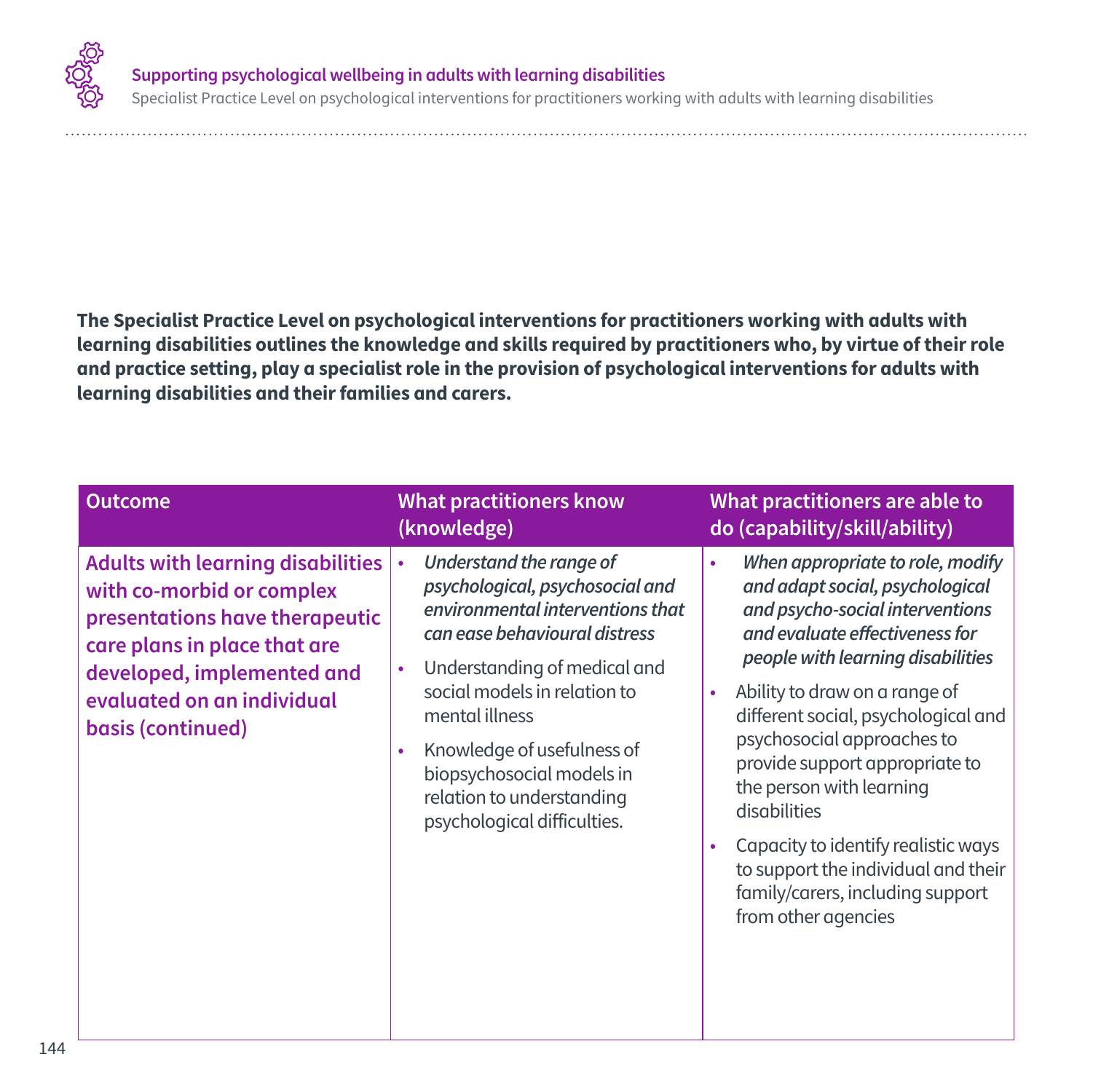

| <b>Outcome</b>                                                                                                                                                                                                    | <b>What practitioners know</b><br>(knowledge)                                                                                                                                                                                                                                                                                            | What practitioners are able to<br>do (capability/skill/ability)                                                                                                                                                                                                                                                                                                                                                                                                                                                              |
|-------------------------------------------------------------------------------------------------------------------------------------------------------------------------------------------------------------------|------------------------------------------------------------------------------------------------------------------------------------------------------------------------------------------------------------------------------------------------------------------------------------------------------------------------------------------|------------------------------------------------------------------------------------------------------------------------------------------------------------------------------------------------------------------------------------------------------------------------------------------------------------------------------------------------------------------------------------------------------------------------------------------------------------------------------------------------------------------------------|
| Adults with learning disabilities<br>with co-morbid or complex<br>presentations have therapeutic<br>care plans in place that are<br>developed, implemented and<br>evaluated on an individual<br>basis (continued) | Understand the range of<br>psychological, psychosocial and<br>environmental interventions that<br>can ease behavioural distress<br>Understanding of medical and<br>social models in relation to<br>mental illness<br>Knowledge of usefulness of<br>biopsychosocial models in<br>relation to understanding<br>psychological difficulties. | When appropriate to role, modify<br>$\bullet$<br>and adapt social, psychological<br>and psycho-social interventions<br>and evaluate effectiveness for<br>people with learning disabilities<br>Ability to draw on a range of<br>different social, psychological and<br>psychosocial approaches to<br>provide support appropriate to<br>the person with learning<br>disabilities<br>Capacity to identify realistic ways<br>٠<br>to support the individual and their<br>family/carers, including support<br>from other agencies |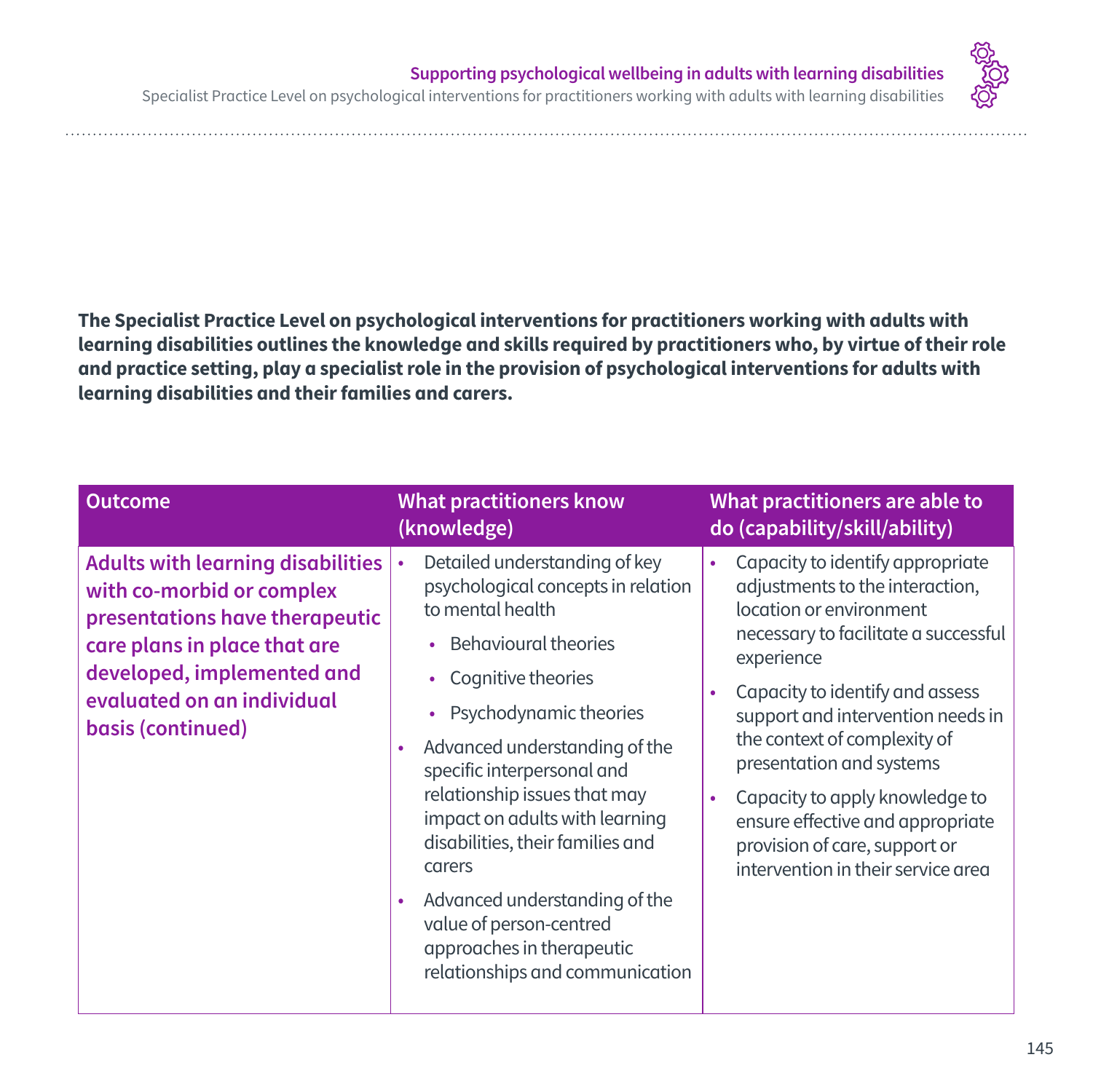

. . . . . . . . . . . . . . .

Specialist Practice Level on psychological interventions for practitioners working with adults with learning disabilities

| <b>Outcome</b>                                                                                                                                                                                                           | <b>What practitioners know</b><br>(knowledge)                                                                                                                                                                                                                                                                                                                                                                                                                                          | What practitioners are able to<br>do (capability/skill/ability)                                                                                                                                                                                                                                                                                                                                                                                    |
|--------------------------------------------------------------------------------------------------------------------------------------------------------------------------------------------------------------------------|----------------------------------------------------------------------------------------------------------------------------------------------------------------------------------------------------------------------------------------------------------------------------------------------------------------------------------------------------------------------------------------------------------------------------------------------------------------------------------------|----------------------------------------------------------------------------------------------------------------------------------------------------------------------------------------------------------------------------------------------------------------------------------------------------------------------------------------------------------------------------------------------------------------------------------------------------|
| <b>Adults with learning disabilities</b><br>with co-morbid or complex<br>presentations have therapeutic<br>care plans in place that are<br>developed, implemented and<br>evaluated on an individual<br>basis (continued) | Detailed understanding of key<br>psychological concepts in relation<br>to mental health<br><b>Behavioural theories</b><br>Cognitive theories<br>Psychodynamic theories<br>Advanced understanding of the<br>specific interpersonal and<br>relationship issues that may<br>impact on adults with learning<br>disabilities, their families and<br>carers<br>Advanced understanding of the<br>٠<br>value of person-centred<br>approaches in therapeutic<br>relationships and communication | Capacity to identify appropriate<br>$\bullet$<br>adjustments to the interaction,<br>location or environment<br>necessary to facilitate a successful<br>experience<br>Capacity to identify and assess<br>support and intervention needs in<br>the context of complexity of<br>presentation and systems<br>Capacity to apply knowledge to<br>ensure effective and appropriate<br>provision of care, support or<br>intervention in their service area |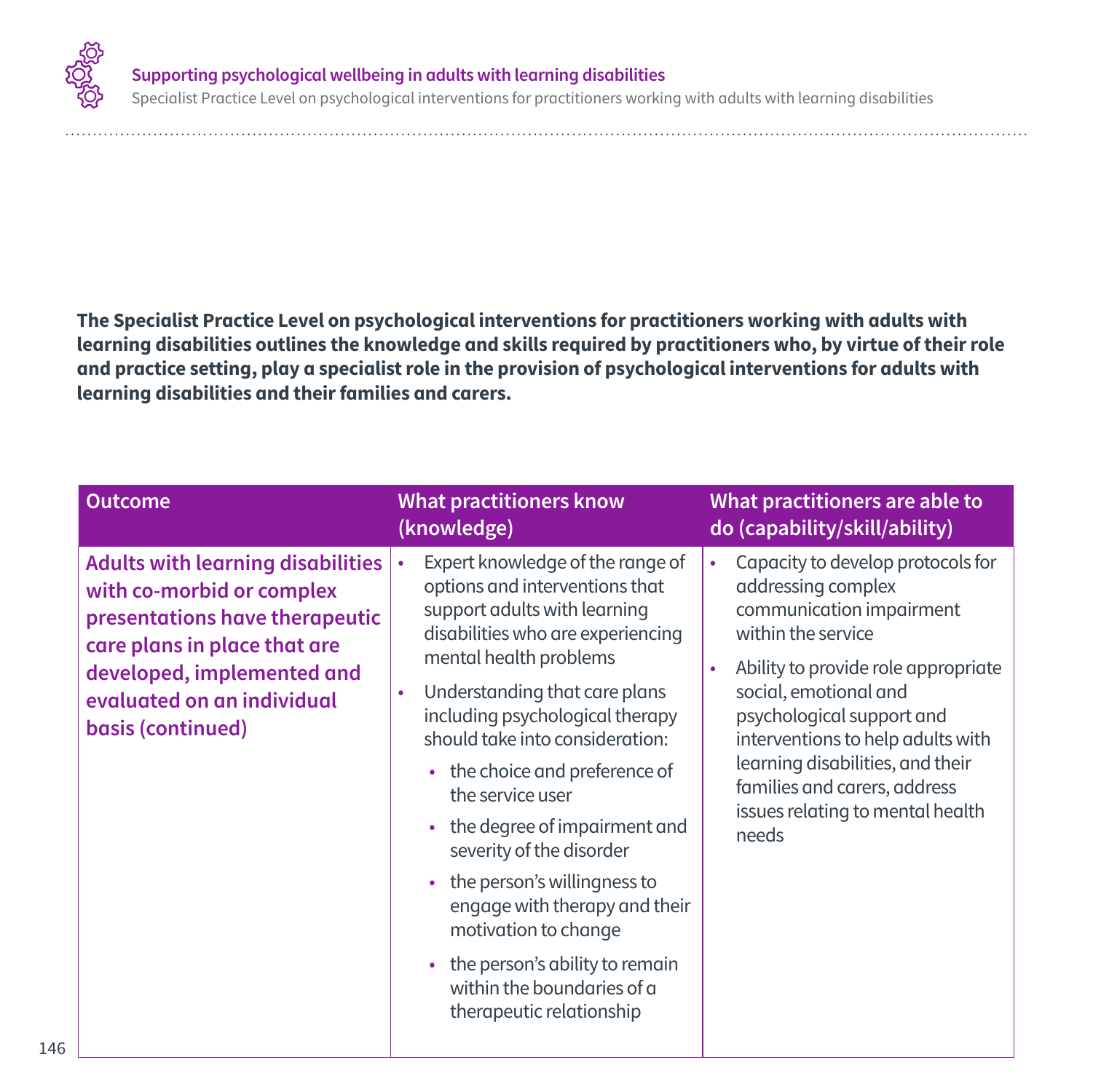

| <b>Outcome</b>                                                                                                                                                                                                           | <b>What practitioners know</b><br>(knowledge)                                                                                                                                                                                                                                                                                                                                                                                                                                                                                                                                                                                                 | What practitioners are able to<br>do (capability/skill/ability)                                                                                                                                                                                                                                                                                                           |
|--------------------------------------------------------------------------------------------------------------------------------------------------------------------------------------------------------------------------|-----------------------------------------------------------------------------------------------------------------------------------------------------------------------------------------------------------------------------------------------------------------------------------------------------------------------------------------------------------------------------------------------------------------------------------------------------------------------------------------------------------------------------------------------------------------------------------------------------------------------------------------------|---------------------------------------------------------------------------------------------------------------------------------------------------------------------------------------------------------------------------------------------------------------------------------------------------------------------------------------------------------------------------|
| <b>Adults with learning disabilities</b><br>with co-morbid or complex<br>presentations have therapeutic<br>care plans in place that are<br>developed, implemented and<br>evaluated on an individual<br>basis (continued) | Expert knowledge of the range of<br>$\bullet$<br>options and interventions that<br>support adults with learning<br>disabilities who are experiencing<br>mental health problems<br>Understanding that care plans<br>$\bullet$<br>including psychological therapy<br>should take into consideration:<br>the choice and preference of<br>$\bullet$<br>the service user<br>the degree of impairment and<br>severity of the disorder<br>the person's willingness to<br>$\bullet$<br>engage with therapy and their<br>motivation to change<br>the person's ability to remain<br>$\bullet$<br>within the boundaries of a<br>therapeutic relationship | Capacity to develop protocols for<br>$\bullet$<br>addressing complex<br>communication impairment<br>within the service<br>Ability to provide role appropriate<br>social, emotional and<br>psychological support and<br>interventions to help adults with<br>learning disabilities, and their<br>families and carers, address<br>issues relating to mental health<br>needs |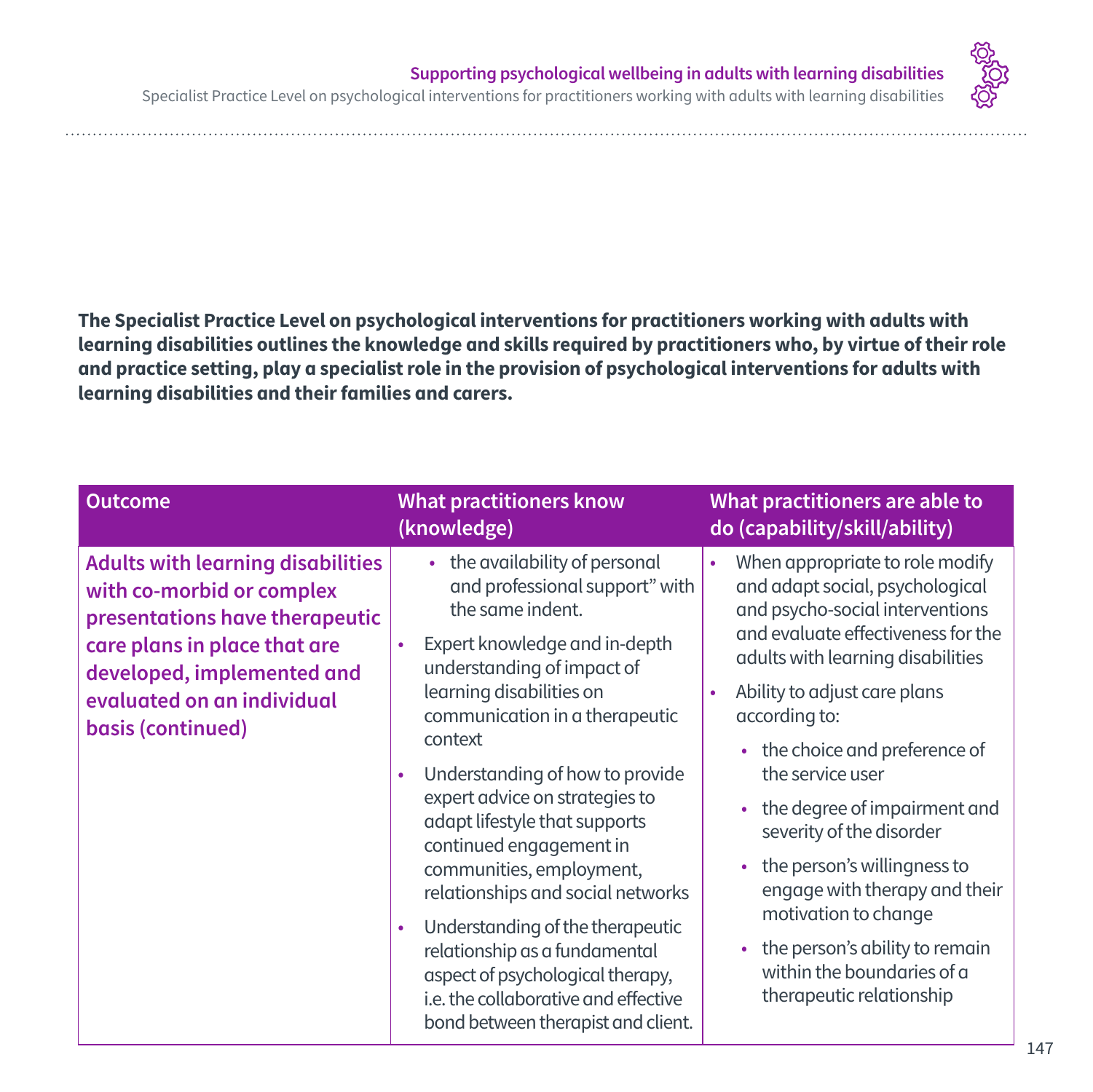

. . . . . . . . . . . . . . . . .

Specialist Practice Level on psychological interventions for practitioners working with adults with learning disabilities

| <b>Outcome</b>                                                                                                                                                                                                           | <b>What practitioners know</b><br>(knowledge)                                                                                                                                                                                                                                                                                                                                                                                                                                                                                                                                                                                                   | What practitioners are able to<br>do (capability/skill/ability)                                                                                                                                                                                                                                                                                                                                                                                                                                                                                    |
|--------------------------------------------------------------------------------------------------------------------------------------------------------------------------------------------------------------------------|-------------------------------------------------------------------------------------------------------------------------------------------------------------------------------------------------------------------------------------------------------------------------------------------------------------------------------------------------------------------------------------------------------------------------------------------------------------------------------------------------------------------------------------------------------------------------------------------------------------------------------------------------|----------------------------------------------------------------------------------------------------------------------------------------------------------------------------------------------------------------------------------------------------------------------------------------------------------------------------------------------------------------------------------------------------------------------------------------------------------------------------------------------------------------------------------------------------|
| <b>Adults with learning disabilities</b><br>with co-morbid or complex<br>presentations have therapeutic<br>care plans in place that are<br>developed, implemented and<br>evaluated on an individual<br>basis (continued) | • the availability of personal<br>and professional support" with<br>the same indent.<br>Expert knowledge and in-depth<br>understanding of impact of<br>learning disabilities on<br>communication in a therapeutic<br>context<br>Understanding of how to provide<br>$\bullet$<br>expert advice on strategies to<br>adapt lifestyle that supports<br>continued engagement in<br>communities, employment,<br>relationships and social networks<br>Understanding of the therapeutic<br>$\bullet$<br>relationship as a fundamental<br>aspect of psychological therapy,<br>i.e. the collaborative and effective<br>bond between therapist and client. | When appropriate to role modify<br>$\bullet$<br>and adapt social, psychological<br>and psycho-social interventions<br>and evaluate effectiveness for the<br>adults with learning disabilities<br>Ability to adjust care plans<br>according to:<br>the choice and preference of<br>the service user<br>the degree of impairment and<br>severity of the disorder<br>the person's willingness to<br>engage with therapy and their<br>motivation to change<br>the person's ability to remain<br>within the boundaries of a<br>therapeutic relationship |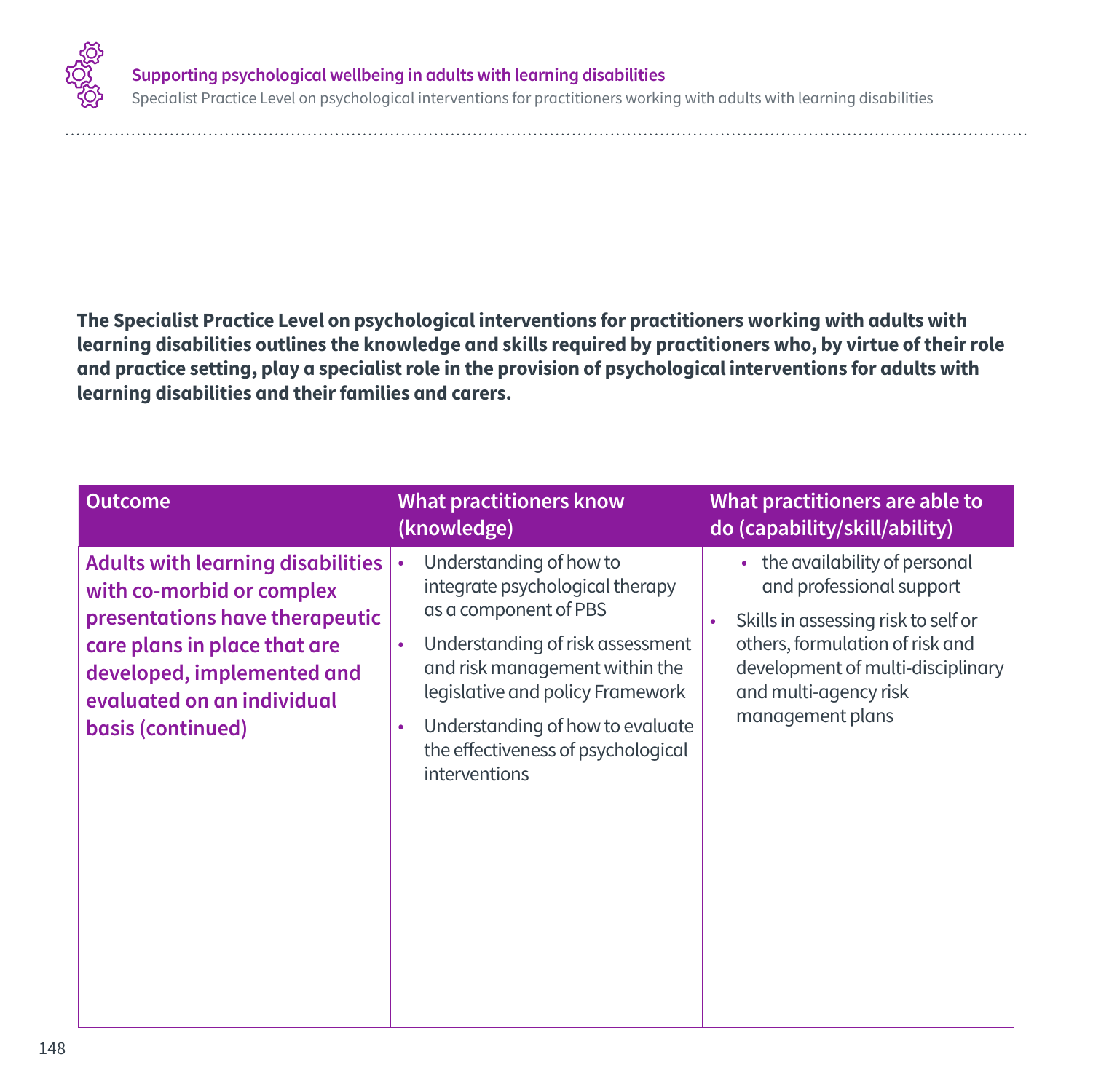

| <b>Outcome</b>                                                                                                                                                                                                    | <b>What practitioners know</b><br>(knowledge)                                                                                                                                                                                                                                                                      | What practitioners are able to<br>do (capability/skill/ability)                                                                                                                                                                     |
|-------------------------------------------------------------------------------------------------------------------------------------------------------------------------------------------------------------------|--------------------------------------------------------------------------------------------------------------------------------------------------------------------------------------------------------------------------------------------------------------------------------------------------------------------|-------------------------------------------------------------------------------------------------------------------------------------------------------------------------------------------------------------------------------------|
| Adults with learning disabilities<br>with co-morbid or complex<br>presentations have therapeutic<br>care plans in place that are<br>developed, implemented and<br>evaluated on an individual<br>basis (continued) | Understanding of how to<br>integrate psychological therapy<br>as a component of PBS<br>Understanding of risk assessment<br>$\bullet$<br>and risk management within the<br>legislative and policy Framework<br>Understanding of how to evaluate<br>$\bullet$<br>the effectiveness of psychological<br>interventions | • the availability of personal<br>and professional support<br>Skills in assessing risk to self or<br>$\bullet$<br>others, formulation of risk and<br>development of multi-disciplinary<br>and multi-agency risk<br>management plans |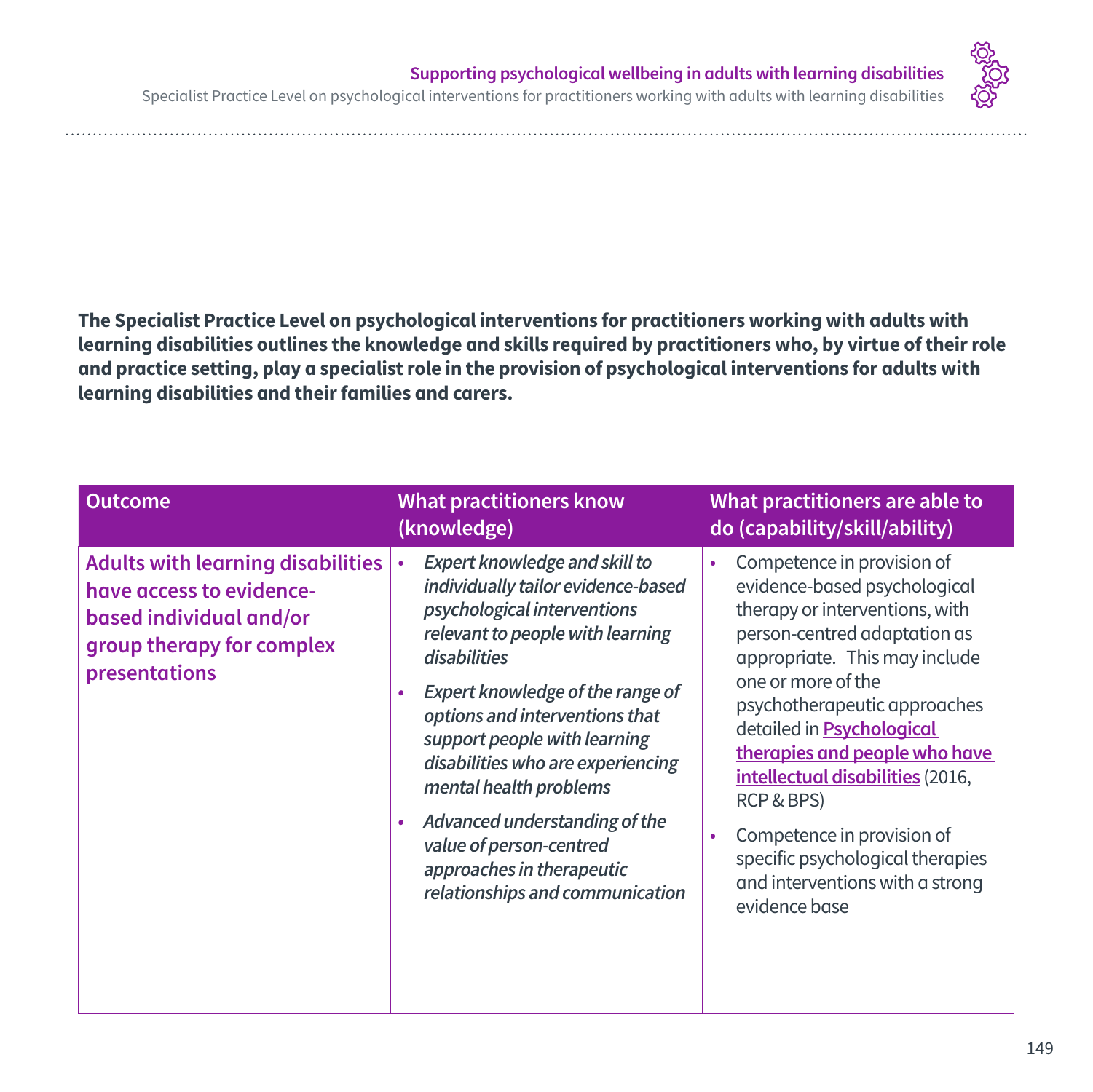

Specialist Practice Level on psychological interventions for practitioners working with adults with learning disabilities

| <b>Outcome</b>                                                                                                                                | <b>What practitioners know</b><br>(knowledge)                                                                                                                                                                                                                                                                                                                                                                                                                                            | What practitioners are able to<br>do (capability/skill/ability)                                                                                                                                                                                                                                                                                                                                                                                                  |
|-----------------------------------------------------------------------------------------------------------------------------------------------|------------------------------------------------------------------------------------------------------------------------------------------------------------------------------------------------------------------------------------------------------------------------------------------------------------------------------------------------------------------------------------------------------------------------------------------------------------------------------------------|------------------------------------------------------------------------------------------------------------------------------------------------------------------------------------------------------------------------------------------------------------------------------------------------------------------------------------------------------------------------------------------------------------------------------------------------------------------|
| <b>Adults with learning disabilities</b><br>have access to evidence-<br>based individual and/or<br>group therapy for complex<br>presentations | <b>Expert knowledge and skill to</b><br>$\bullet$<br>individually tailor evidence-based<br>psychological interventions<br>relevant to people with learning<br>disabilities<br>Expert knowledge of the range of<br>options and interventions that<br>support people with learning<br>disabilities who are experiencing<br>mental health problems<br>Advanced understanding of the<br>$\bullet$<br>value of person-centred<br>approaches in therapeutic<br>relationships and communication | Competence in provision of<br>evidence-based psychological<br>therapy or interventions, with<br>person-centred adaptation as<br>appropriate. This may include<br>one or more of the<br>psychotherapeutic approaches<br>detailed in <b>Psychological</b><br>therapies and people who have<br>intellectual disabilities (2016,<br>RCP & BPS)<br>Competence in provision of<br>specific psychological therapies<br>and interventions with a strong<br>evidence base |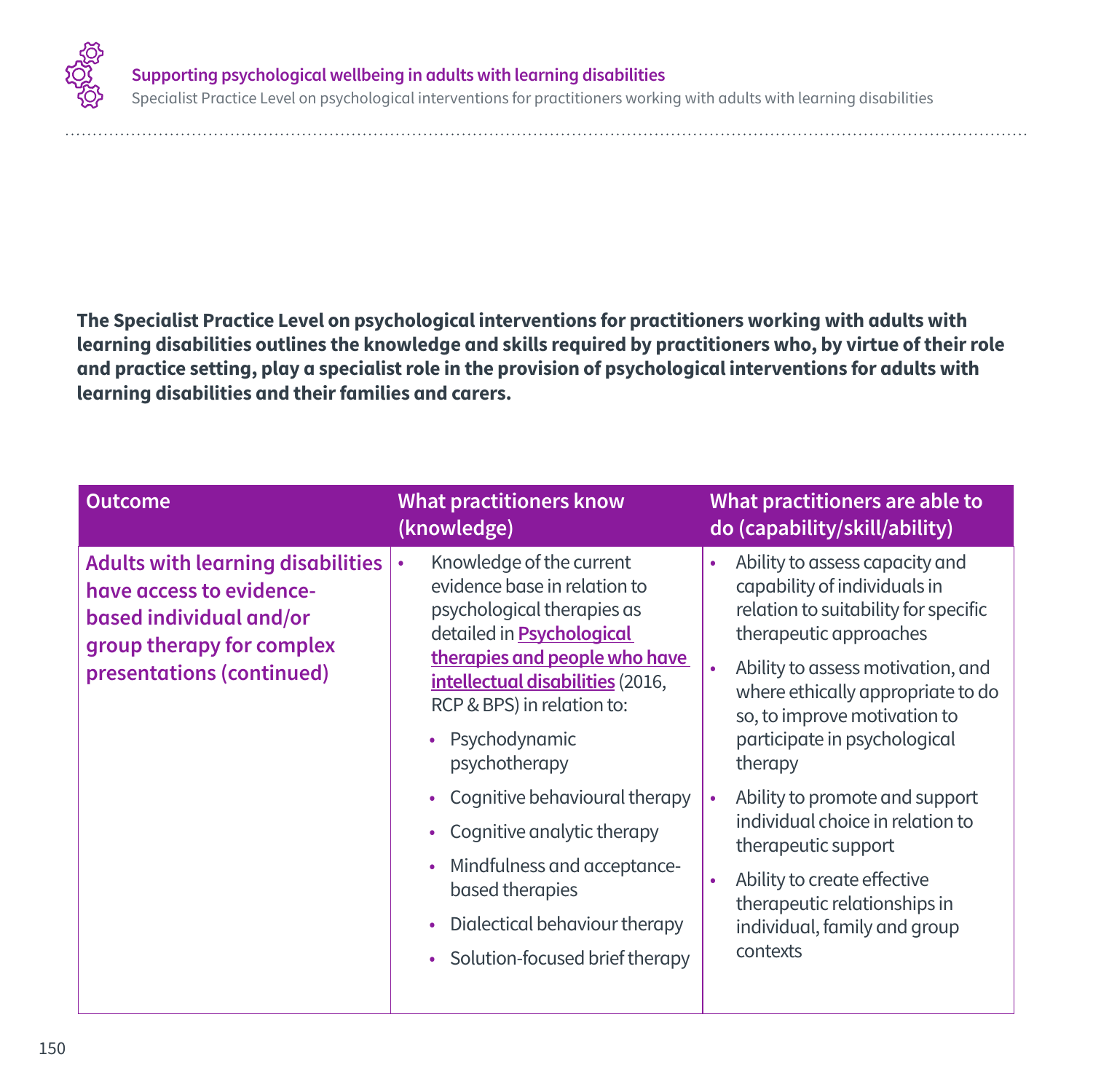

| <b>Outcome</b>                                                                                                                                            | <b>What practitioners know</b><br>(knowledge)                                                                                                                                                                                                                                                                                                                                                      | What practitioners are able to<br>do (capability/skill/ability)                                                                                                                                                                                                                                                                                                                                                                                                |
|-----------------------------------------------------------------------------------------------------------------------------------------------------------|----------------------------------------------------------------------------------------------------------------------------------------------------------------------------------------------------------------------------------------------------------------------------------------------------------------------------------------------------------------------------------------------------|----------------------------------------------------------------------------------------------------------------------------------------------------------------------------------------------------------------------------------------------------------------------------------------------------------------------------------------------------------------------------------------------------------------------------------------------------------------|
| <b>Adults with learning disabilities</b><br>have access to evidence-<br>based individual and/or<br>group therapy for complex<br>presentations (continued) | Knowledge of the current<br>$\bullet$<br>evidence base in relation to<br>psychological therapies as<br>detailed in <b>Psychological</b><br>therapies and people who have<br>intellectual disabilities (2016,<br>RCP & BPS) in relation to:<br>Psychodynamic<br>psychotherapy<br>Cognitive behavioural therapy<br>Cognitive analytic therapy<br>٠<br>Mindfulness and acceptance-<br>based therapies | Ability to assess capacity and<br>capability of individuals in<br>relation to suitability for specific<br>therapeutic approaches<br>Ability to assess motivation, and<br>where ethically appropriate to do<br>so, to improve motivation to<br>participate in psychological<br>therapy<br>Ability to promote and support<br>$\bullet$<br>individual choice in relation to<br>therapeutic support<br>Ability to create effective<br>therapeutic relationships in |
|                                                                                                                                                           | Dialectical behaviour therapy<br>Solution-focused brief therapy                                                                                                                                                                                                                                                                                                                                    | individual, family and group<br>contexts                                                                                                                                                                                                                                                                                                                                                                                                                       |
|                                                                                                                                                           |                                                                                                                                                                                                                                                                                                                                                                                                    |                                                                                                                                                                                                                                                                                                                                                                                                                                                                |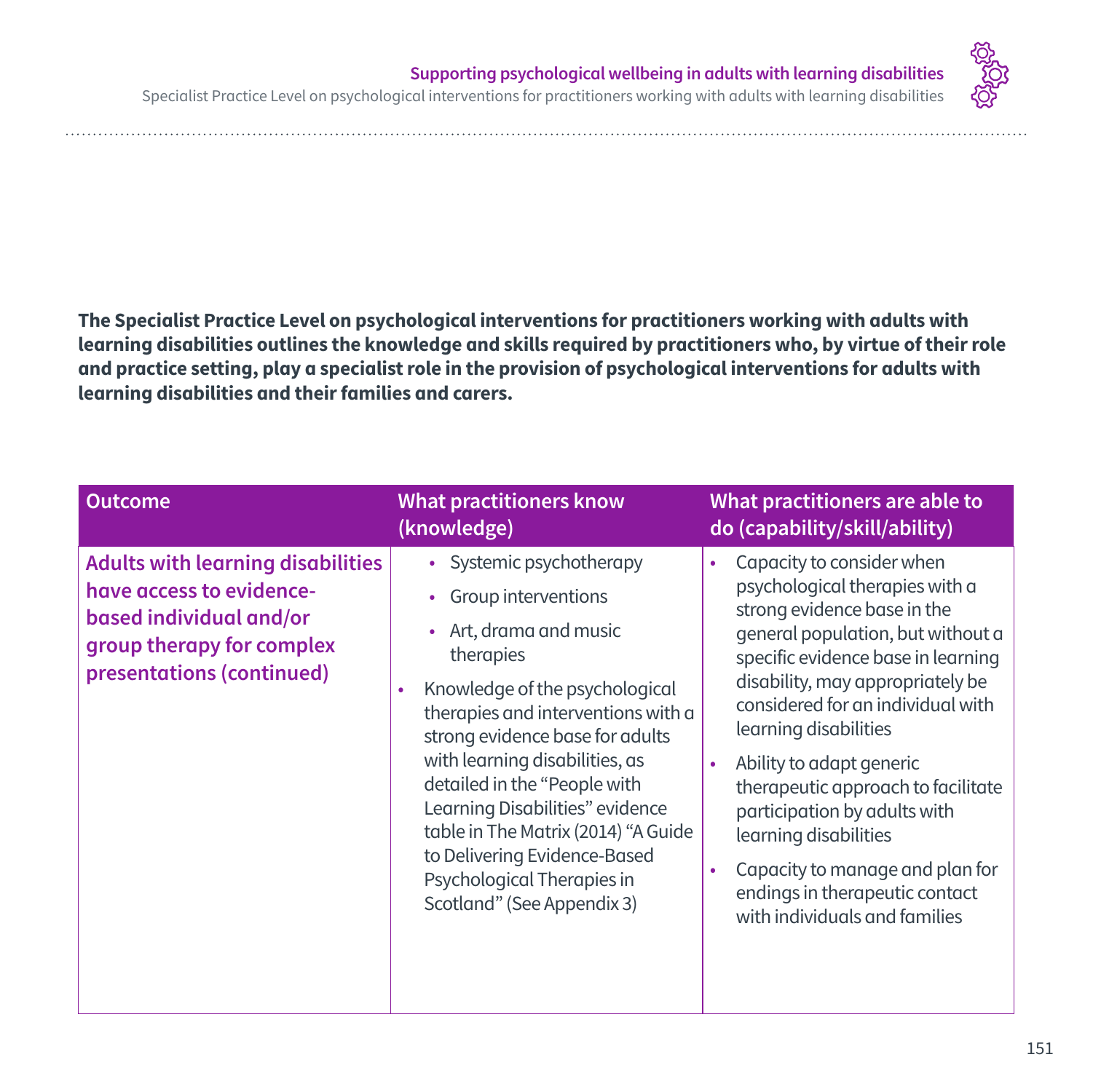

| <b>Outcome</b>                                                                                                                                            | <b>What practitioners know</b><br>(knowledge)                                                                                                                                                                                                                                                                                                                                                                                           | What practitioners are able to<br>do (capability/skill/ability)                                                                                                                                                                                                                                                                                                                                                                                                                                          |
|-----------------------------------------------------------------------------------------------------------------------------------------------------------|-----------------------------------------------------------------------------------------------------------------------------------------------------------------------------------------------------------------------------------------------------------------------------------------------------------------------------------------------------------------------------------------------------------------------------------------|----------------------------------------------------------------------------------------------------------------------------------------------------------------------------------------------------------------------------------------------------------------------------------------------------------------------------------------------------------------------------------------------------------------------------------------------------------------------------------------------------------|
| <b>Adults with learning disabilities</b><br>have access to evidence-<br>based individual and/or<br>group therapy for complex<br>presentations (continued) | • Systemic psychotherapy<br>Group interventions<br>Art, drama and music<br>therapies<br>Knowledge of the psychological<br>therapies and interventions with a<br>strong evidence base for adults<br>with learning disabilities, as<br>detailed in the "People with<br>Learning Disabilities" evidence<br>table in The Matrix (2014) "A Guide<br>to Delivering Evidence-Based<br>Psychological Therapies in<br>Scotland" (See Appendix 3) | Capacity to consider when<br>psychological therapies with a<br>strong evidence base in the<br>general population, but without a<br>specific evidence base in learning<br>disability, may appropriately be<br>considered for an individual with<br>learning disabilities<br>Ability to adapt generic<br>therapeutic approach to facilitate<br>participation by adults with<br>learning disabilities<br>Capacity to manage and plan for<br>endings in therapeutic contact<br>with individuals and families |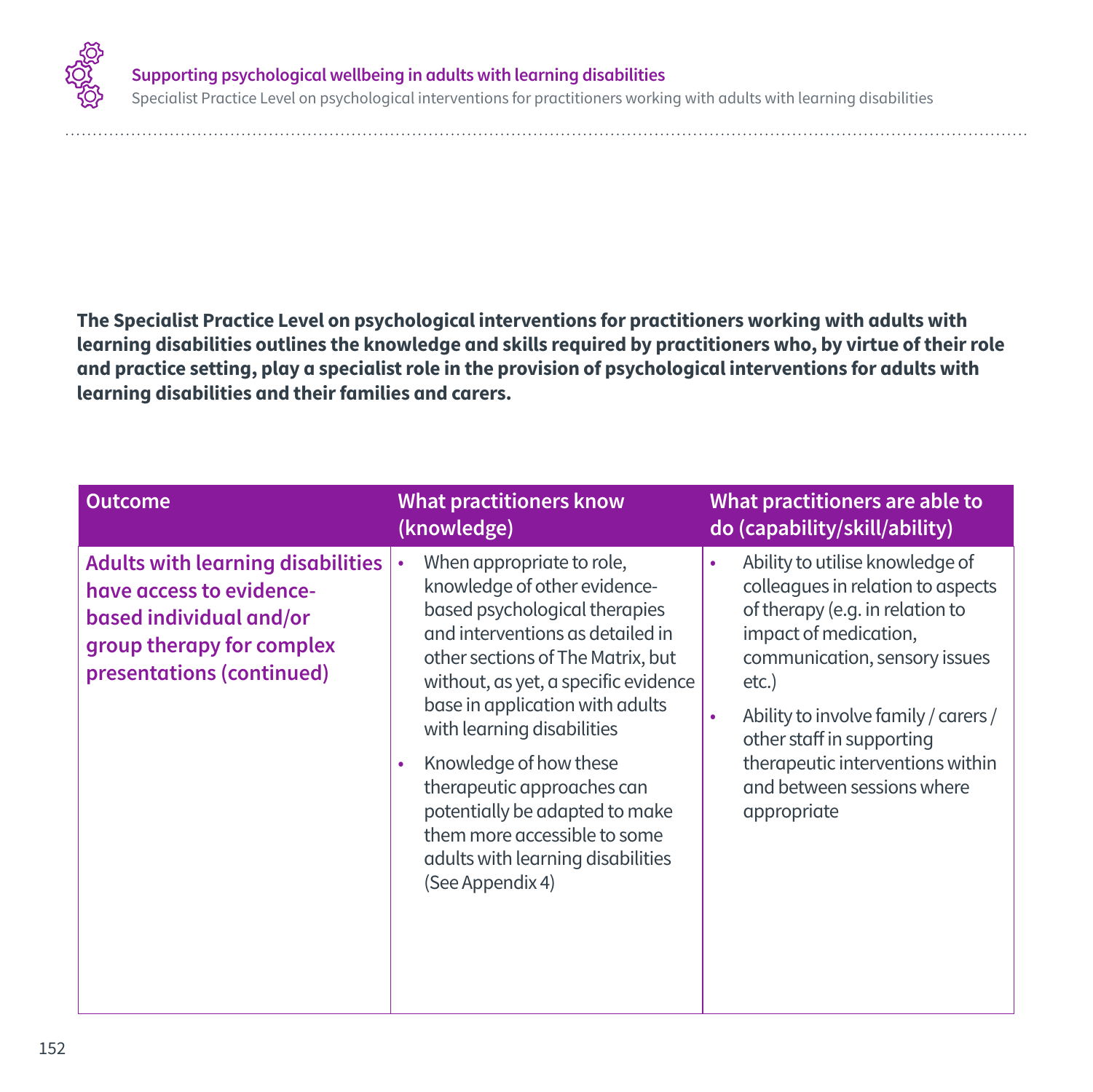

| <b>Outcome</b>                                                                                                                                            | <b>What practitioners know</b><br>(knowledge)                                                                                                                                                                                                                                                                                                                                                                                                                                             | What practitioners are able to<br>do (capability/skill/ability)                                                                                                                                                                                                                                                                     |
|-----------------------------------------------------------------------------------------------------------------------------------------------------------|-------------------------------------------------------------------------------------------------------------------------------------------------------------------------------------------------------------------------------------------------------------------------------------------------------------------------------------------------------------------------------------------------------------------------------------------------------------------------------------------|-------------------------------------------------------------------------------------------------------------------------------------------------------------------------------------------------------------------------------------------------------------------------------------------------------------------------------------|
| <b>Adults with learning disabilities</b><br>have access to evidence-<br>based individual and/or<br>group therapy for complex<br>presentations (continued) | When appropriate to role,<br>$\bullet$<br>knowledge of other evidence-<br>based psychological therapies<br>and interventions as detailed in<br>other sections of The Matrix, but<br>without, as yet, a specific evidence<br>base in application with adults<br>with learning disabilities<br>Knowledge of how these<br>$\bullet$<br>therapeutic approaches can<br>potentially be adapted to make<br>them more accessible to some<br>adults with learning disabilities<br>(See Appendix 4) | Ability to utilise knowledge of<br>colleagues in relation to aspects<br>of therapy (e.g. in relation to<br>impact of medication,<br>communication, sensory issues<br>$etc.$ )<br>Ability to involve family / carers /<br>other staff in supporting<br>therapeutic interventions within<br>and between sessions where<br>appropriate |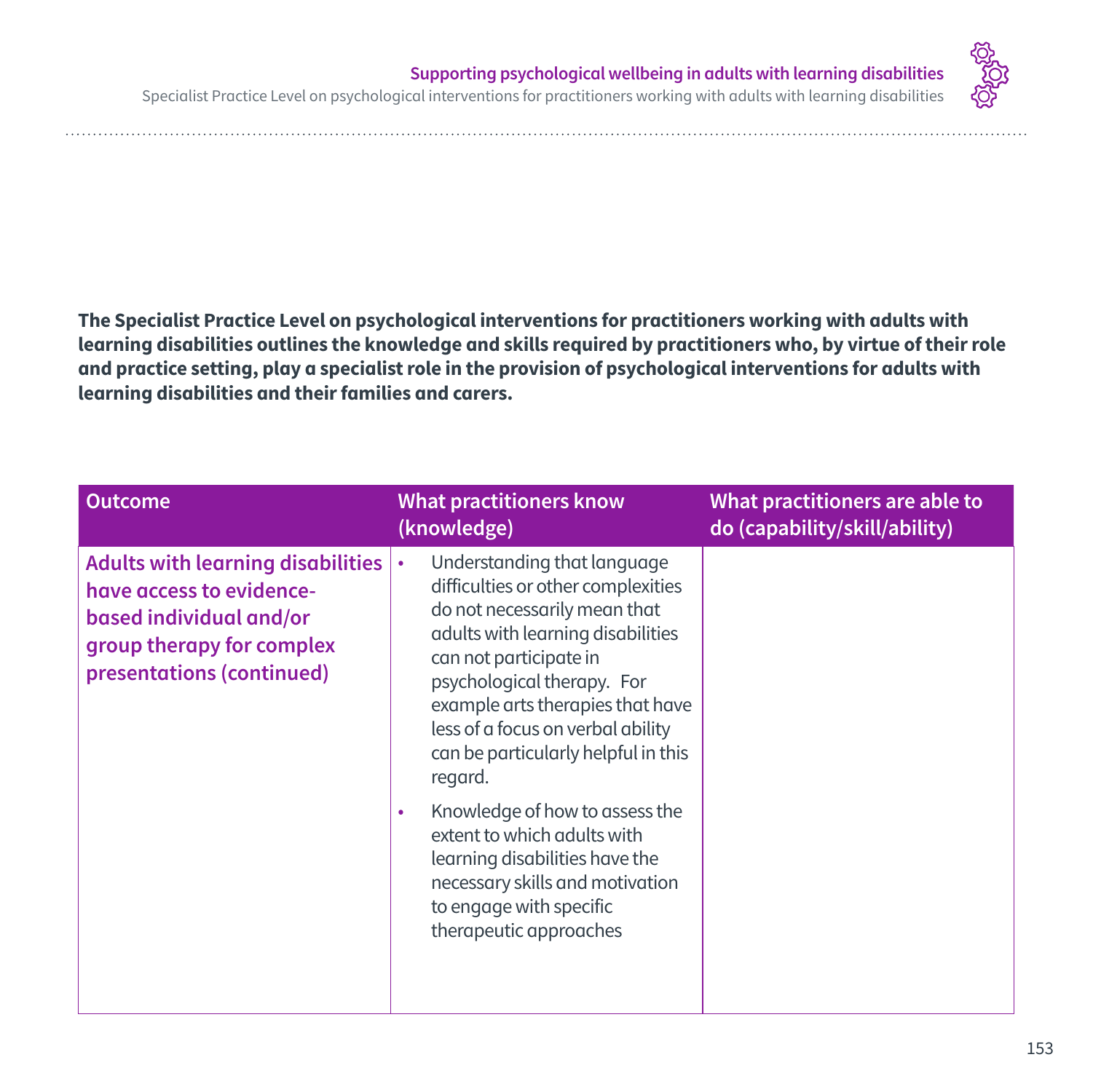

. . . . . . . . . . . . . . .

Specialist Practice Level on psychological interventions for practitioners working with adults with learning disabilities

| <b>Outcome</b>                                                                                                                                            | <b>What practitioners know</b><br>(knowledge)                                                                                                                                                                                                                                                                                          | What practitioners are able to<br>do (capability/skill/ability) |
|-----------------------------------------------------------------------------------------------------------------------------------------------------------|----------------------------------------------------------------------------------------------------------------------------------------------------------------------------------------------------------------------------------------------------------------------------------------------------------------------------------------|-----------------------------------------------------------------|
| <b>Adults with learning disabilities</b><br>have access to evidence-<br>based individual and/or<br>group therapy for complex<br>presentations (continued) | Understanding that language<br>$\bullet$<br>difficulties or other complexities<br>do not necessarily mean that<br>adults with learning disabilities<br>can not participate in<br>psychological therapy. For<br>example arts therapies that have<br>less of a focus on verbal ability<br>can be particularly helpful in this<br>regard. |                                                                 |
|                                                                                                                                                           | Knowledge of how to assess the<br>$\bullet$<br>extent to which adults with<br>learning disabilities have the<br>necessary skills and motivation<br>to engage with specific<br>therapeutic approaches                                                                                                                                   |                                                                 |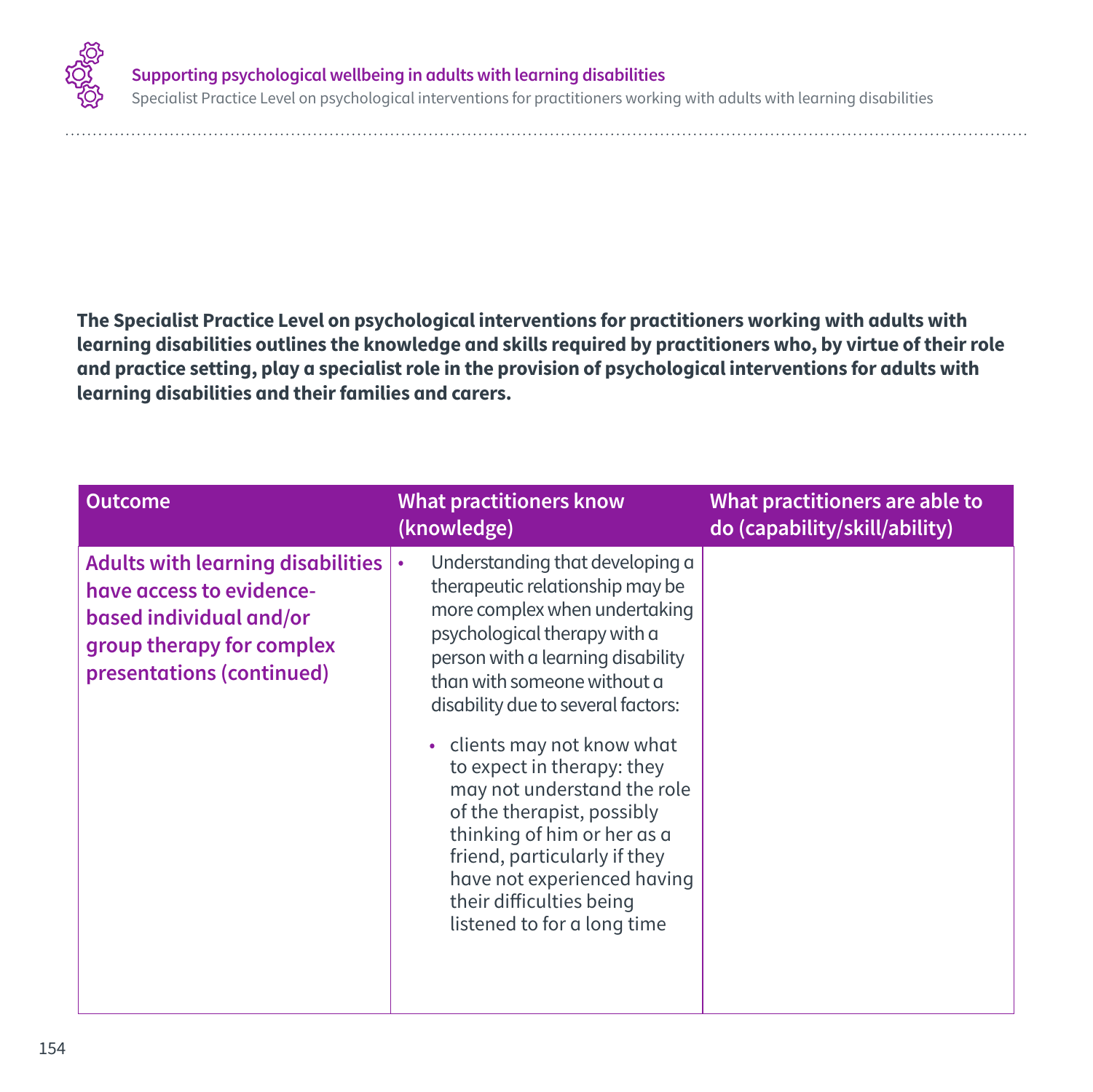

| <b>Outcome</b>                                                                                                                                     | <b>What practitioners know</b><br>(knowledge)                                                                                                                                                                                                                                                                                                                                                                                                                                                                                    | What practitioners are able to<br>do (capability/skill/ability) |
|----------------------------------------------------------------------------------------------------------------------------------------------------|----------------------------------------------------------------------------------------------------------------------------------------------------------------------------------------------------------------------------------------------------------------------------------------------------------------------------------------------------------------------------------------------------------------------------------------------------------------------------------------------------------------------------------|-----------------------------------------------------------------|
| Adults with learning disabilities<br>have access to evidence-<br>based individual and/or<br>group therapy for complex<br>presentations (continued) | Understanding that developing a<br>therapeutic relationship may be<br>more complex when undertaking<br>psychological therapy with a<br>person with a learning disability<br>than with someone without a<br>disability due to several factors:<br>• clients may not know what<br>to expect in therapy: they<br>may not understand the role<br>of the therapist, possibly<br>thinking of him or her as a<br>friend, particularly if they<br>have not experienced having<br>their difficulties being<br>listened to for a long time |                                                                 |
|                                                                                                                                                    |                                                                                                                                                                                                                                                                                                                                                                                                                                                                                                                                  |                                                                 |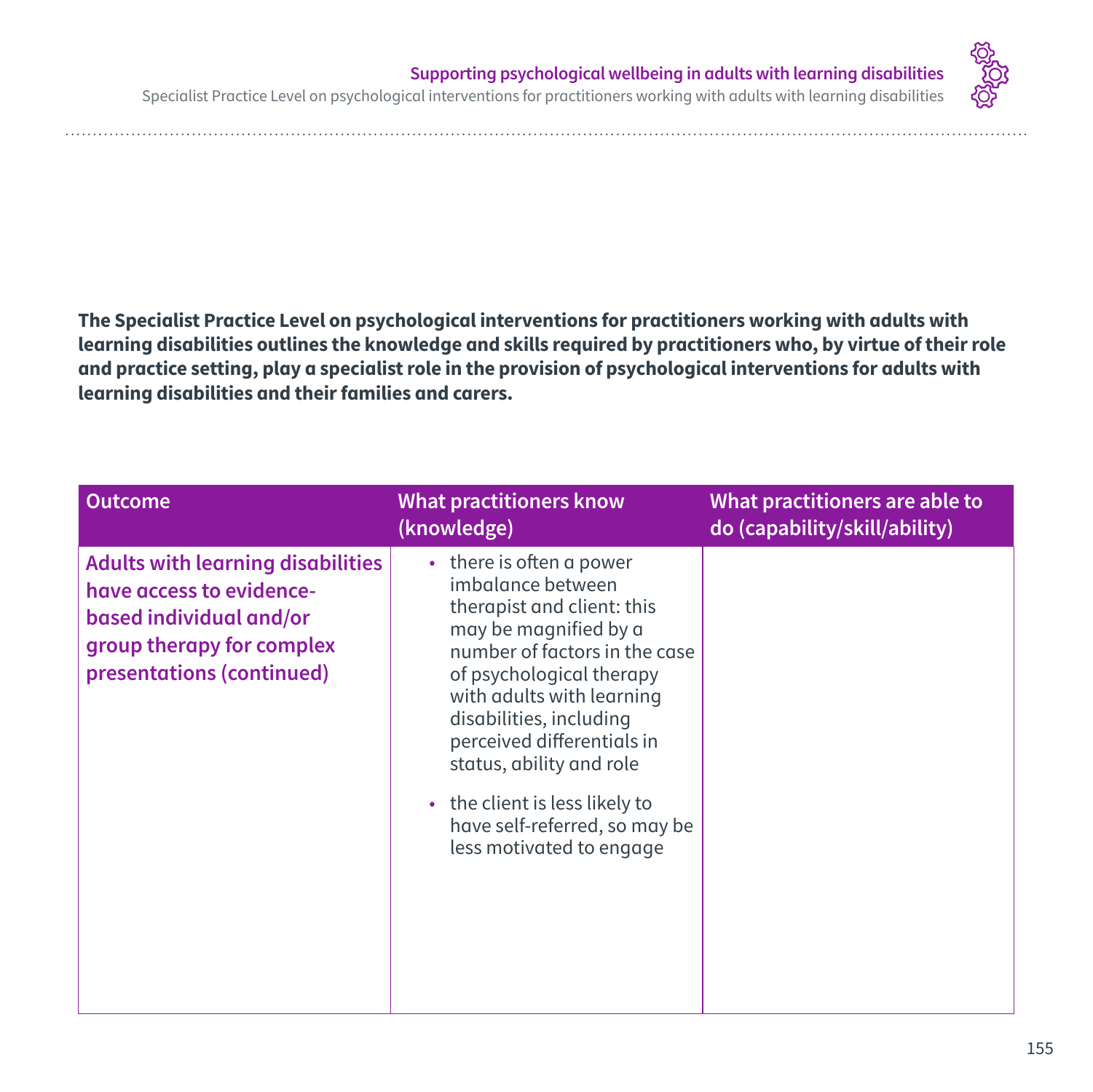

. . . . . . . . . . . . . . . . . . . .

Specialist Practice Level on psychological interventions for practitioners working with adults with learning disabilities

| <b>Outcome</b>                                                                                                                                            | <b>What practitioners know</b><br>(knowledge)                                                                                                                                                                                                                                                                                                                                      | What practitioners are able to<br>do (capability/skill/ability) |
|-----------------------------------------------------------------------------------------------------------------------------------------------------------|------------------------------------------------------------------------------------------------------------------------------------------------------------------------------------------------------------------------------------------------------------------------------------------------------------------------------------------------------------------------------------|-----------------------------------------------------------------|
| <b>Adults with learning disabilities</b><br>have access to evidence-<br>based individual and/or<br>group therapy for complex<br>presentations (continued) | • there is often a power<br>imbalance between<br>therapist and client: this<br>may be magnified by a<br>number of factors in the case<br>of psychological therapy<br>with adults with learning<br>disabilities, including<br>perceived differentials in<br>status, ability and role<br>• the client is less likely to<br>have self-referred, so may be<br>less motivated to engage |                                                                 |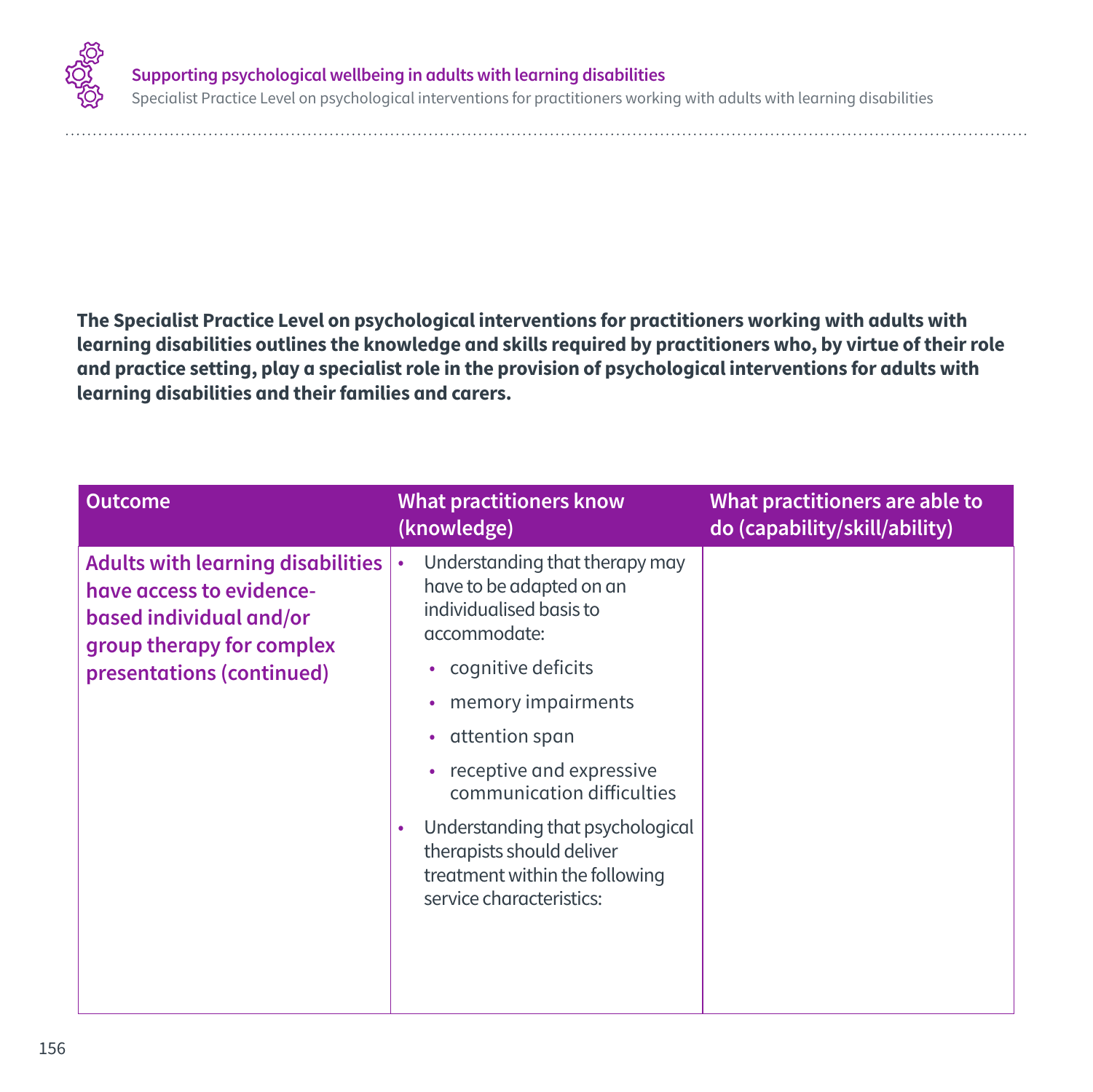

| <b>Outcome</b>                                                                                                                                            | <b>What practitioners know</b><br>(knowledge)                                                                                                                                                      | What practitioners are able to<br>do (capability/skill/ability) |
|-----------------------------------------------------------------------------------------------------------------------------------------------------------|----------------------------------------------------------------------------------------------------------------------------------------------------------------------------------------------------|-----------------------------------------------------------------|
| <b>Adults with learning disabilities</b><br>have access to evidence-<br>based individual and/or<br>group therapy for complex<br>presentations (continued) | Understanding that therapy may<br>have to be adapted on an<br>individualised basis to<br>accommodate:<br>cognitive deficits<br>memory impairments<br>attention span                                |                                                                 |
|                                                                                                                                                           | receptive and expressive<br>communication difficulties<br>Understanding that psychological<br>$\bullet$<br>therapists should deliver<br>treatment within the following<br>service characteristics: |                                                                 |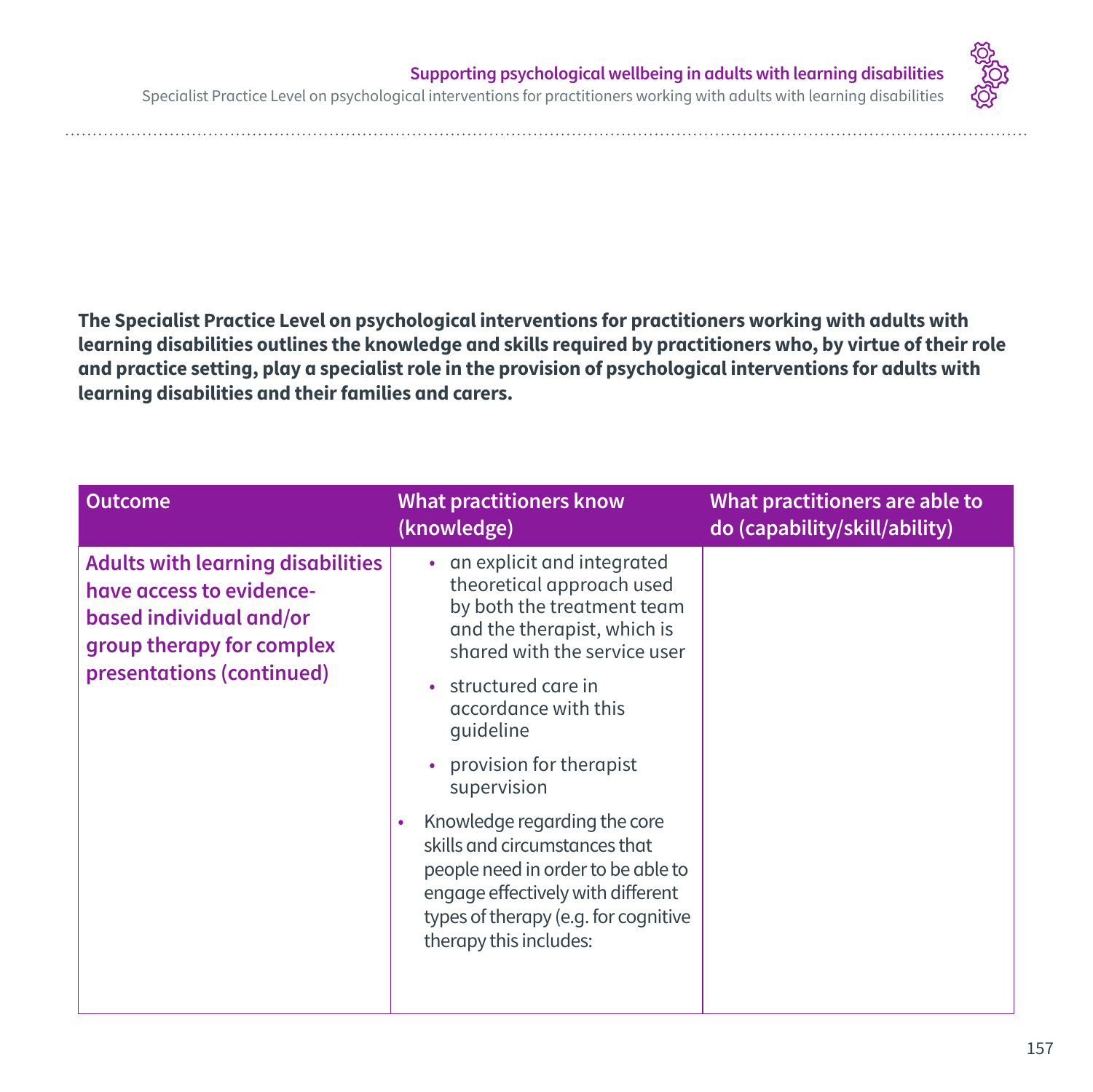

Specialist Practice Level on psychological interventions for practitioners working with adults with learning disabilities

| <b>Outcome</b>                                                                                                                                            | <b>What practitioners know</b><br>(knowledge)                                                                                                                                                                                                                                                                                                                                                                                                                                          | What practitioners are able to<br>do (capability/skill/ability) |
|-----------------------------------------------------------------------------------------------------------------------------------------------------------|----------------------------------------------------------------------------------------------------------------------------------------------------------------------------------------------------------------------------------------------------------------------------------------------------------------------------------------------------------------------------------------------------------------------------------------------------------------------------------------|-----------------------------------------------------------------|
| <b>Adults with learning disabilities</b><br>have access to evidence-<br>based individual and/or<br>group therapy for complex<br>presentations (continued) | • an explicit and integrated<br>theoretical approach used<br>by both the treatment team<br>and the therapist, which is<br>shared with the service user<br>structured care in<br>accordance with this<br>quideline<br>provision for therapist<br>supervision<br>Knowledge regarding the core<br>$\bullet$<br>skills and circumstances that<br>people need in order to be able to<br>engage effectively with different<br>types of therapy (e.g. for cognitive<br>therapy this includes: |                                                                 |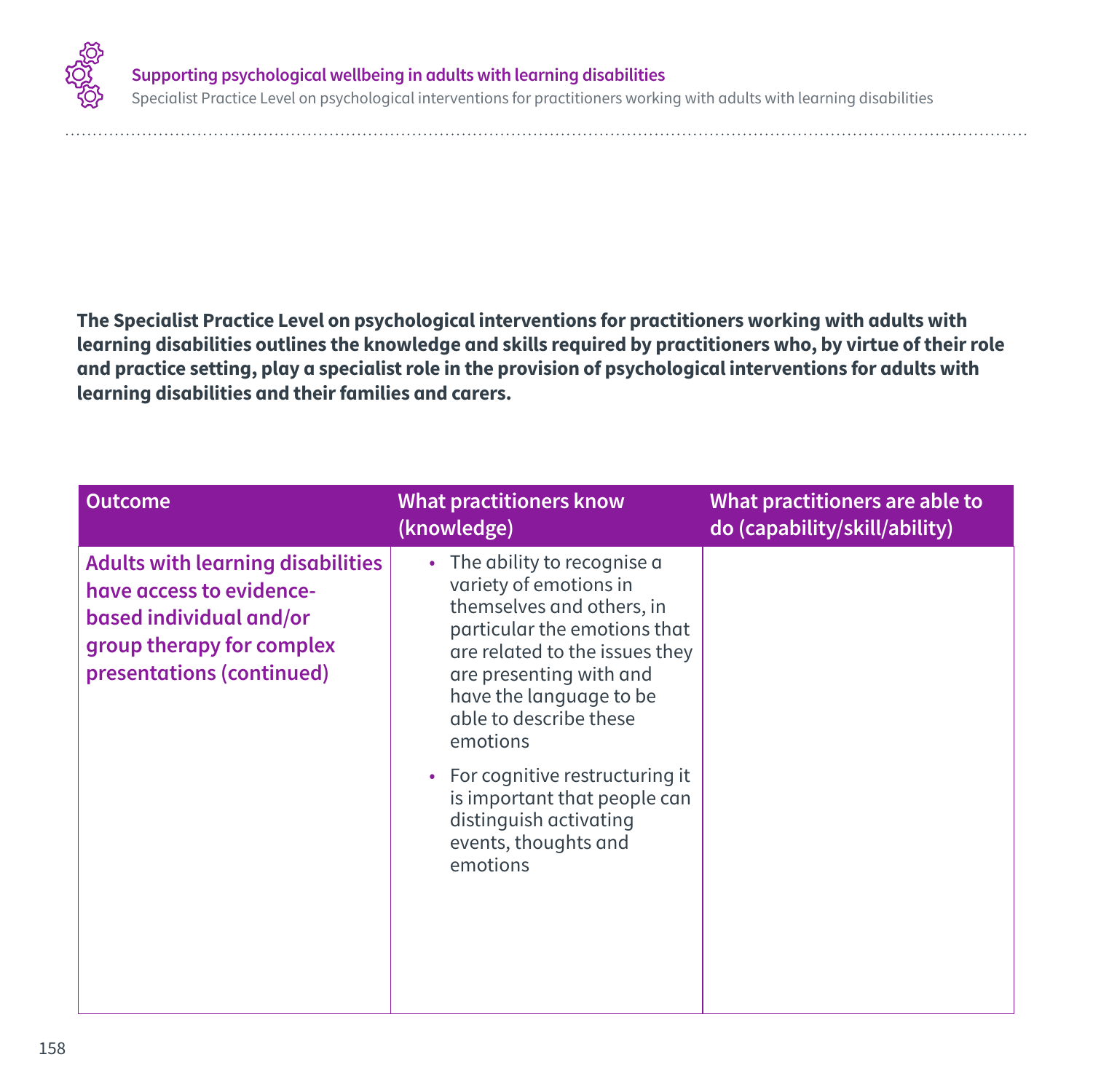

| <b>Outcome</b>                                                                                                                                            | <b>What practitioners know</b><br>(knowledge)                                                                                                                                                                                                                                                                                                                                       | What practitioners are able to<br>do (capability/skill/ability) |
|-----------------------------------------------------------------------------------------------------------------------------------------------------------|-------------------------------------------------------------------------------------------------------------------------------------------------------------------------------------------------------------------------------------------------------------------------------------------------------------------------------------------------------------------------------------|-----------------------------------------------------------------|
| <b>Adults with learning disabilities</b><br>have access to evidence-<br>based individual and/or<br>group therapy for complex<br>presentations (continued) | • The ability to recognise a<br>variety of emotions in<br>themselves and others, in<br>particular the emotions that<br>are related to the issues they<br>are presenting with and<br>have the language to be<br>able to describe these<br>emotions<br>• For cognitive restructuring it<br>is important that people can<br>distinguish activating<br>events, thoughts and<br>emotions |                                                                 |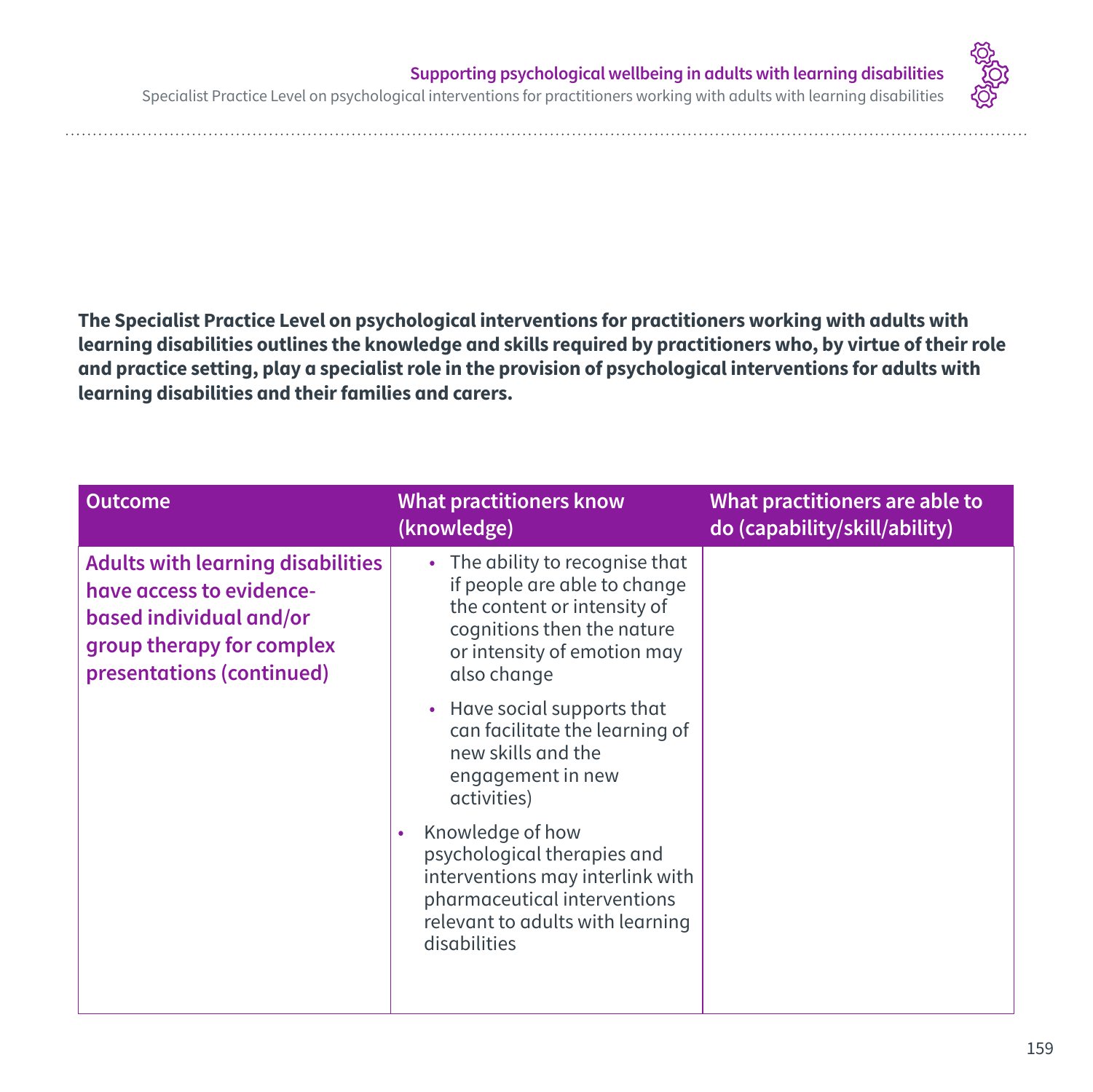

. . . . . . . . . . . . . . . . . . . .

Specialist Practice Level on psychological interventions for practitioners working with adults with learning disabilities

| <b>Outcome</b>                                                                                                                                            | <b>What practitioners know</b><br>(knowledge)                                                                                                                                        | What practitioners are able to<br>do (capability/skill/ability) |
|-----------------------------------------------------------------------------------------------------------------------------------------------------------|--------------------------------------------------------------------------------------------------------------------------------------------------------------------------------------|-----------------------------------------------------------------|
| <b>Adults with learning disabilities</b><br>have access to evidence-<br>based individual and/or<br>group therapy for complex<br>presentations (continued) | • The ability to recognise that<br>if people are able to change<br>the content or intensity of<br>cognitions then the nature<br>or intensity of emotion may<br>also change           |                                                                 |
|                                                                                                                                                           | • Have social supports that<br>can facilitate the learning of<br>new skills and the<br>engagement in new<br>activities)                                                              |                                                                 |
|                                                                                                                                                           | Knowledge of how<br>$\bullet$<br>psychological therapies and<br>interventions may interlink with<br>pharmaceutical interventions<br>relevant to adults with learning<br>disabilities |                                                                 |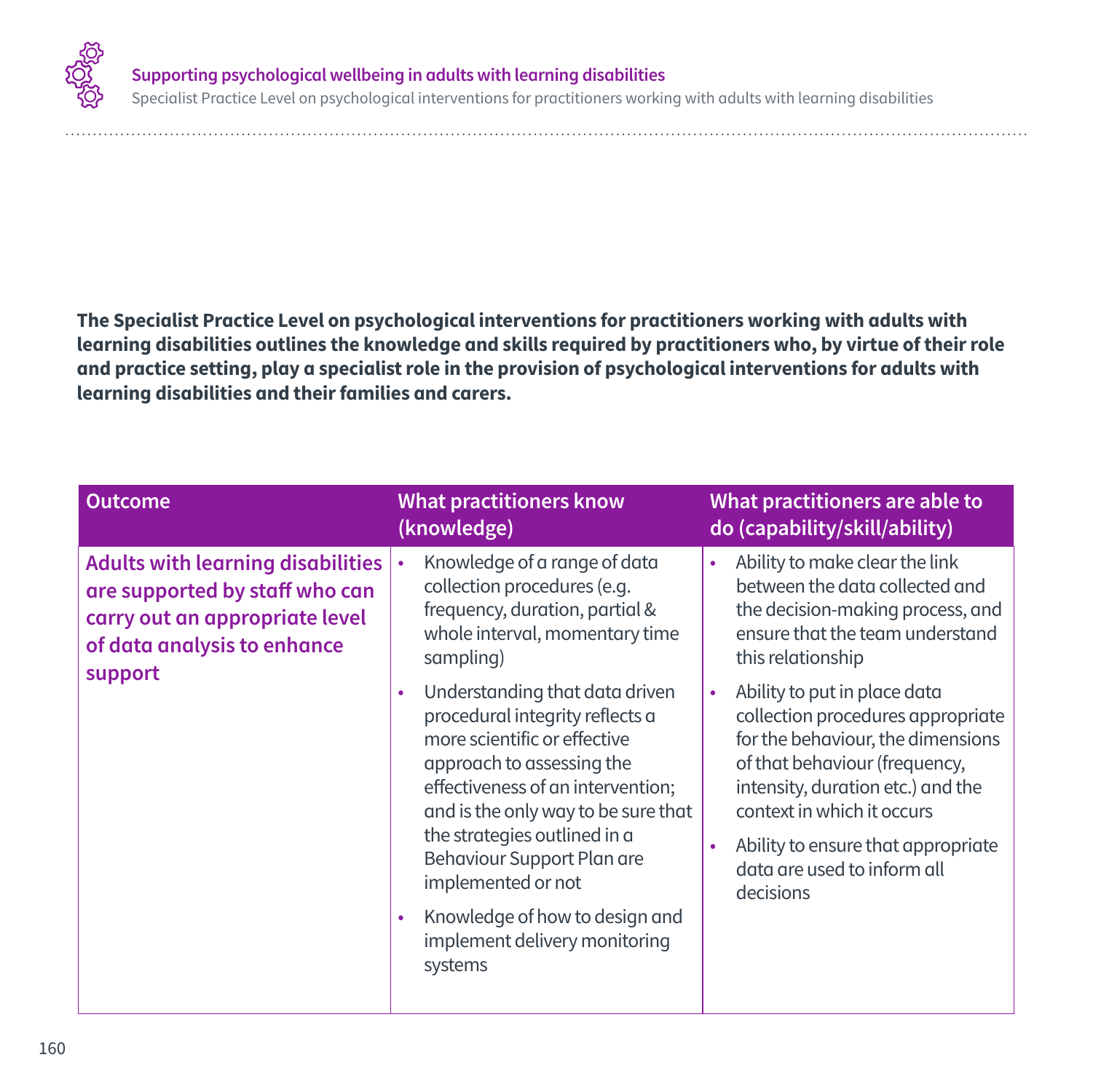

| <b>Outcome</b>                                                                                                                              | <b>What practitioners know</b><br>(knowledge)                                                                                                                                                                                                                                                                                                                                                          | What practitioners are able to<br>do (capability/skill/ability)                                                                                                                                                                                                                              |
|---------------------------------------------------------------------------------------------------------------------------------------------|--------------------------------------------------------------------------------------------------------------------------------------------------------------------------------------------------------------------------------------------------------------------------------------------------------------------------------------------------------------------------------------------------------|----------------------------------------------------------------------------------------------------------------------------------------------------------------------------------------------------------------------------------------------------------------------------------------------|
| <b>Adults with learning disabilities</b><br>are supported by staff who can<br>carry out an appropriate level<br>of data analysis to enhance | Knowledge of a range of data<br>collection procedures (e.g.<br>frequency, duration, partial &<br>whole interval, momentary time<br>sampling)                                                                                                                                                                                                                                                           | Ability to make clear the link<br>between the data collected and<br>the decision-making process, and<br>ensure that the team understand<br>this relationship                                                                                                                                 |
| support                                                                                                                                     | Understanding that data driven<br>$\bullet$<br>procedural integrity reflects a<br>more scientific or effective<br>approach to assessing the<br>effectiveness of an intervention;<br>and is the only way to be sure that<br>the strategies outlined in a<br>Behaviour Support Plan are<br>implemented or not<br>Knowledge of how to design and<br>$\bullet$<br>implement delivery monitoring<br>systems | Ability to put in place data<br>collection procedures appropriate<br>for the behaviour, the dimensions<br>of that behaviour (frequency,<br>intensity, duration etc.) and the<br>context in which it occurs<br>Ability to ensure that appropriate<br>data are used to inform all<br>decisions |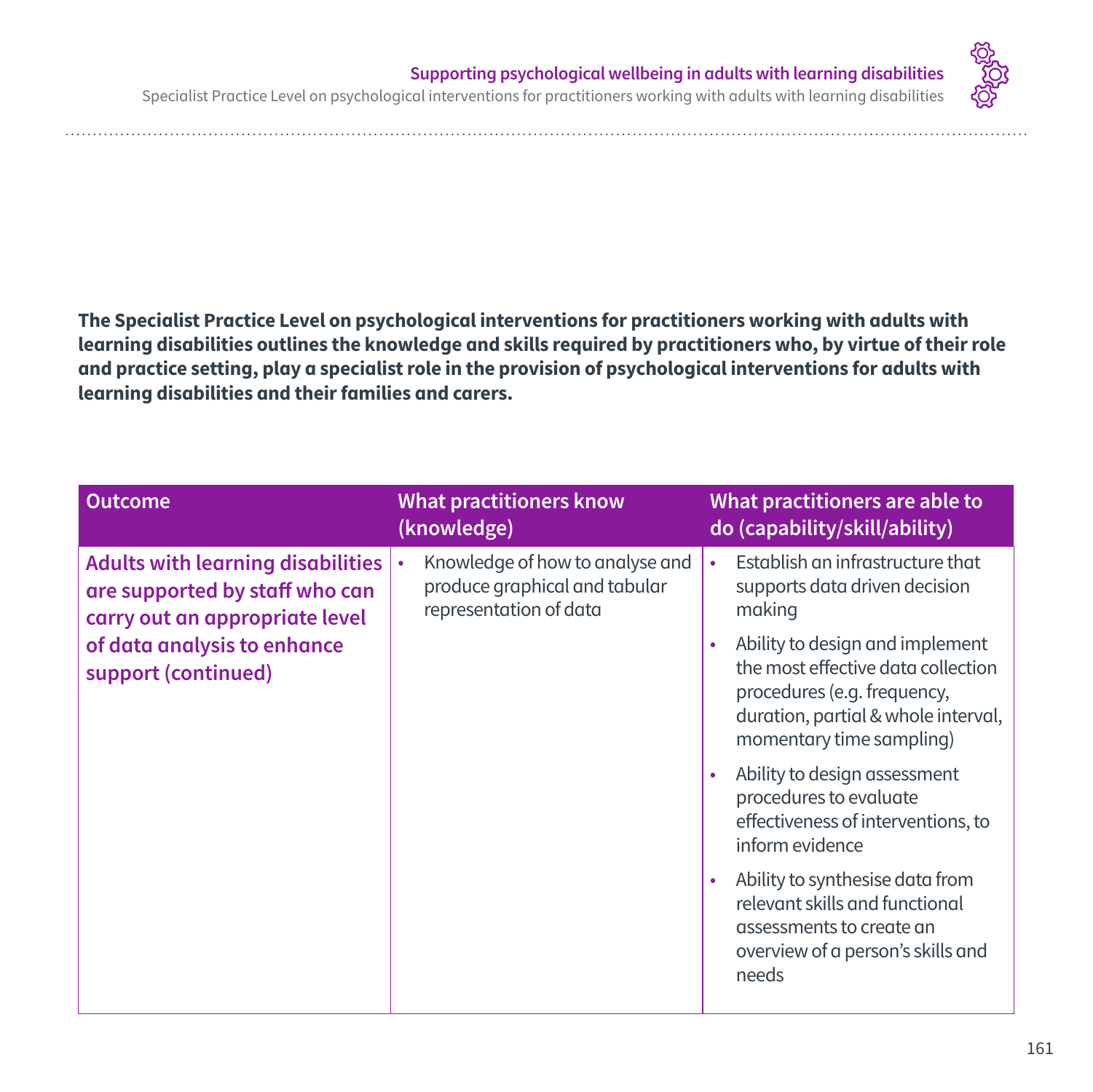

. . . . . . . . . . . . . . . . .

Specialist Practice Level on psychological interventions for practitioners working with adults with learning disabilities

| <b>Outcome</b>                                                                                               | <b>What practitioners know</b><br>(knowledge)                                              | What practitioners are able to<br>do (capability/skill/ability)                                                                                                         |
|--------------------------------------------------------------------------------------------------------------|--------------------------------------------------------------------------------------------|-------------------------------------------------------------------------------------------------------------------------------------------------------------------------|
| <b>Adults with learning disabilities</b><br>are supported by staff who can<br>carry out an appropriate level | Knowledge of how to analyse and<br>produce graphical and tabular<br>representation of data | Establish an infrastructure that<br>supports data driven decision<br>making                                                                                             |
| of data analysis to enhance<br>support (continued)                                                           |                                                                                            | Ability to design and implement<br>the most effective data collection<br>procedures (e.g. frequency,<br>duration, partial & whole interval,<br>momentary time sampling) |
|                                                                                                              |                                                                                            | Ability to design assessment<br>procedures to evaluate<br>effectiveness of interventions, to<br>inform evidence                                                         |
|                                                                                                              |                                                                                            | Ability to synthesise data from<br>relevant skills and functional<br>assessments to create an<br>overview of a person's skills and<br>needs                             |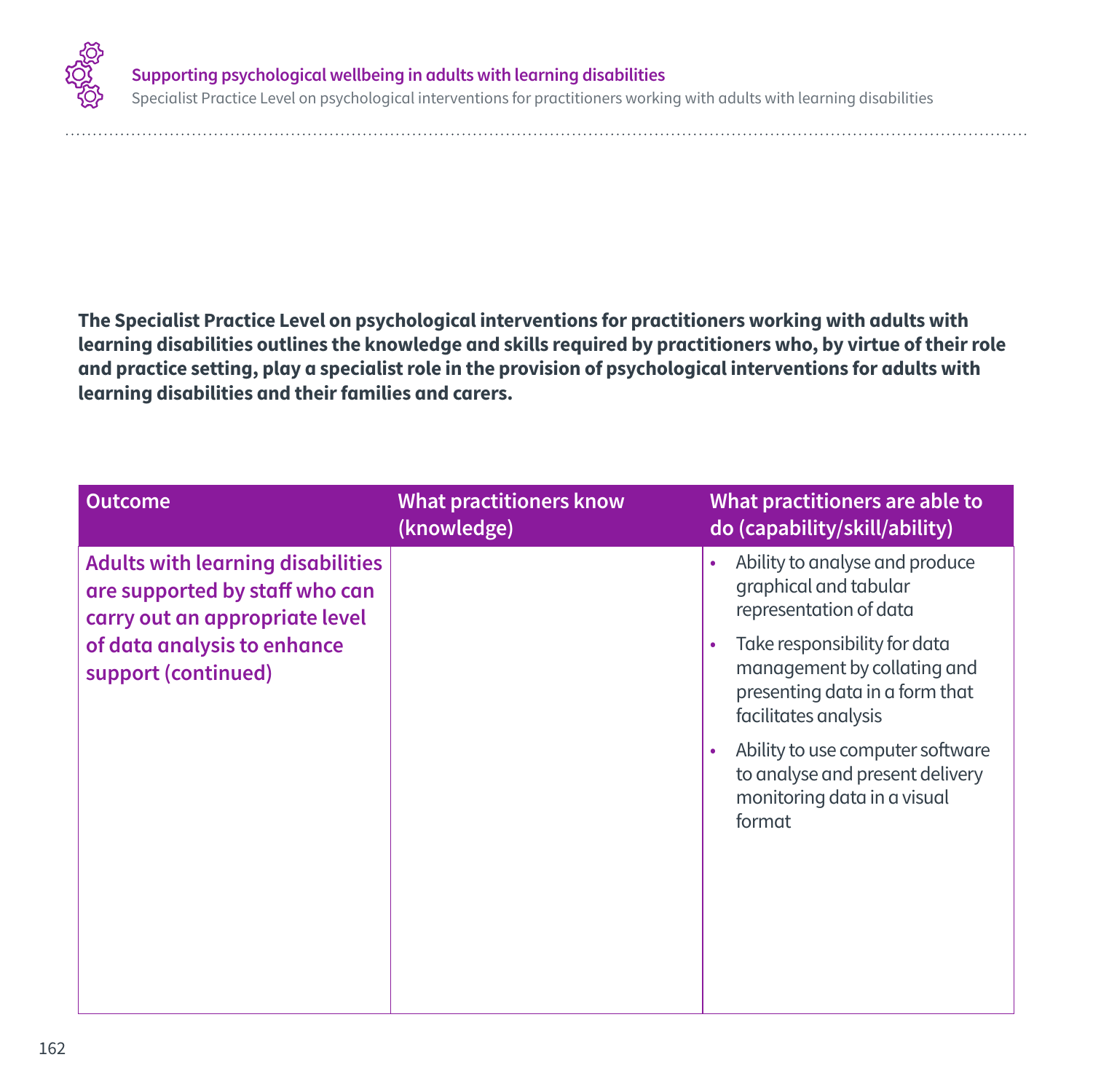

| <b>Outcome</b>                                                                                               | <b>What practitioners know</b><br>(knowledge) | What practitioners are able to<br>do (capability/skill/ability)                                                       |
|--------------------------------------------------------------------------------------------------------------|-----------------------------------------------|-----------------------------------------------------------------------------------------------------------------------|
| <b>Adults with learning disabilities</b><br>are supported by staff who can<br>carry out an appropriate level |                                               | Ability to analyse and produce<br>graphical and tabular<br>representation of data                                     |
| of data analysis to enhance<br>support (continued)                                                           |                                               | Take responsibility for data<br>management by collating and<br>presenting data in a form that<br>facilitates analysis |
|                                                                                                              |                                               | Ability to use computer software<br>to analyse and present delivery<br>monitoring data in a visual<br>format          |
|                                                                                                              |                                               |                                                                                                                       |
|                                                                                                              |                                               |                                                                                                                       |
|                                                                                                              |                                               |                                                                                                                       |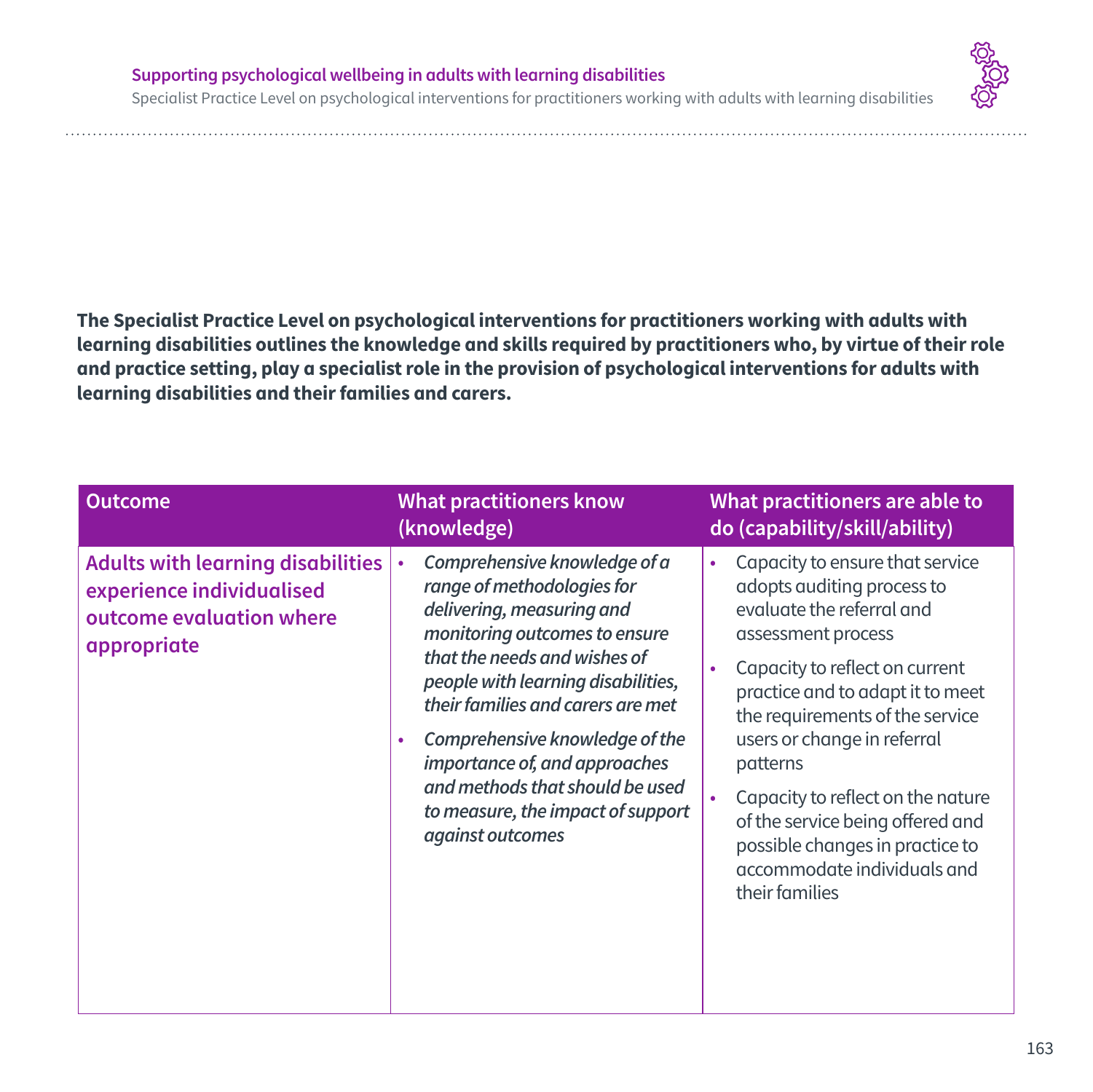

Specialist Practice Level on psychological interventions for practitioners working with adults with learning disabilities

| <b>Outcome</b>                                                                                                   | <b>What practitioners know</b><br>(knowledge)                                                                                                                                                                                                                                                                                                                                                                                | What practitioners are able to<br>do (capability/skill/ability)                                                                                                                                                                                                                                                                                                                                                                   |
|------------------------------------------------------------------------------------------------------------------|------------------------------------------------------------------------------------------------------------------------------------------------------------------------------------------------------------------------------------------------------------------------------------------------------------------------------------------------------------------------------------------------------------------------------|-----------------------------------------------------------------------------------------------------------------------------------------------------------------------------------------------------------------------------------------------------------------------------------------------------------------------------------------------------------------------------------------------------------------------------------|
| <b>Adults with learning disabilities</b><br>experience individualised<br>outcome evaluation where<br>appropriate | Comprehensive knowledge of a<br>$\bullet$<br>range of methodologies for<br>delivering, measuring and<br>monitoring outcomes to ensure<br>that the needs and wishes of<br>people with learning disabilities,<br>their families and carers are met<br>Comprehensive knowledge of the<br>$\bullet$<br>importance of, and approaches<br>and methods that should be used<br>to measure, the impact of support<br>against outcomes | Capacity to ensure that service<br>adopts auditing process to<br>evaluate the referral and<br>assessment process<br>Capacity to reflect on current<br>practice and to adapt it to meet<br>the requirements of the service<br>users or change in referral<br>patterns<br>Capacity to reflect on the nature<br>of the service being offered and<br>possible changes in practice to<br>accommodate individuals and<br>their families |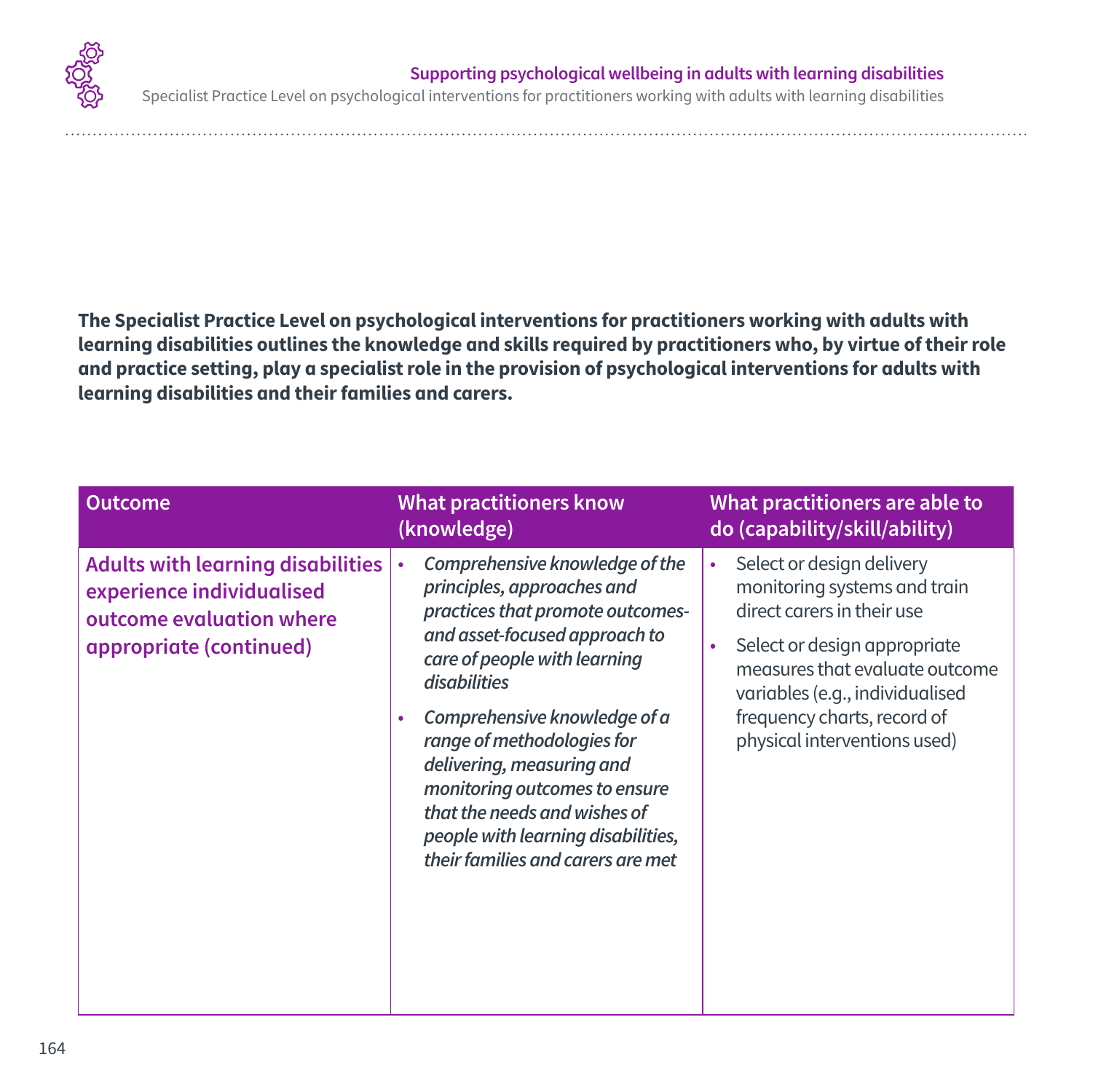

Specialist Practice Level on psychological interventions for practitioners working with adults with learning disabilities

| <b>Outcome</b>                                                                                                               | <b>What practitioners know</b><br>(knowledge)                                                                                                                                                                                                                                                                                                                                                                                         | What practitioners are able to<br>do (capability/skill/ability)                                                                                                                                                                                             |
|------------------------------------------------------------------------------------------------------------------------------|---------------------------------------------------------------------------------------------------------------------------------------------------------------------------------------------------------------------------------------------------------------------------------------------------------------------------------------------------------------------------------------------------------------------------------------|-------------------------------------------------------------------------------------------------------------------------------------------------------------------------------------------------------------------------------------------------------------|
| <b>Adults with learning disabilities</b><br>experience individualised<br>outcome evaluation where<br>appropriate (continued) | Comprehensive knowledge of the<br>principles, approaches and<br>practices that promote outcomes-<br>and asset-focused approach to<br>care of people with learning<br>disabilities<br>Comprehensive knowledge of a<br>$\bullet$<br>range of methodologies for<br>delivering, measuring and<br>monitoring outcomes to ensure<br>that the needs and wishes of<br>people with learning disabilities,<br>their families and carers are met | Select or design delivery<br>monitoring systems and train<br>direct carers in their use<br>Select or design appropriate<br>measures that evaluate outcome<br>variables (e.g., individualised<br>frequency charts, record of<br>physical interventions used) |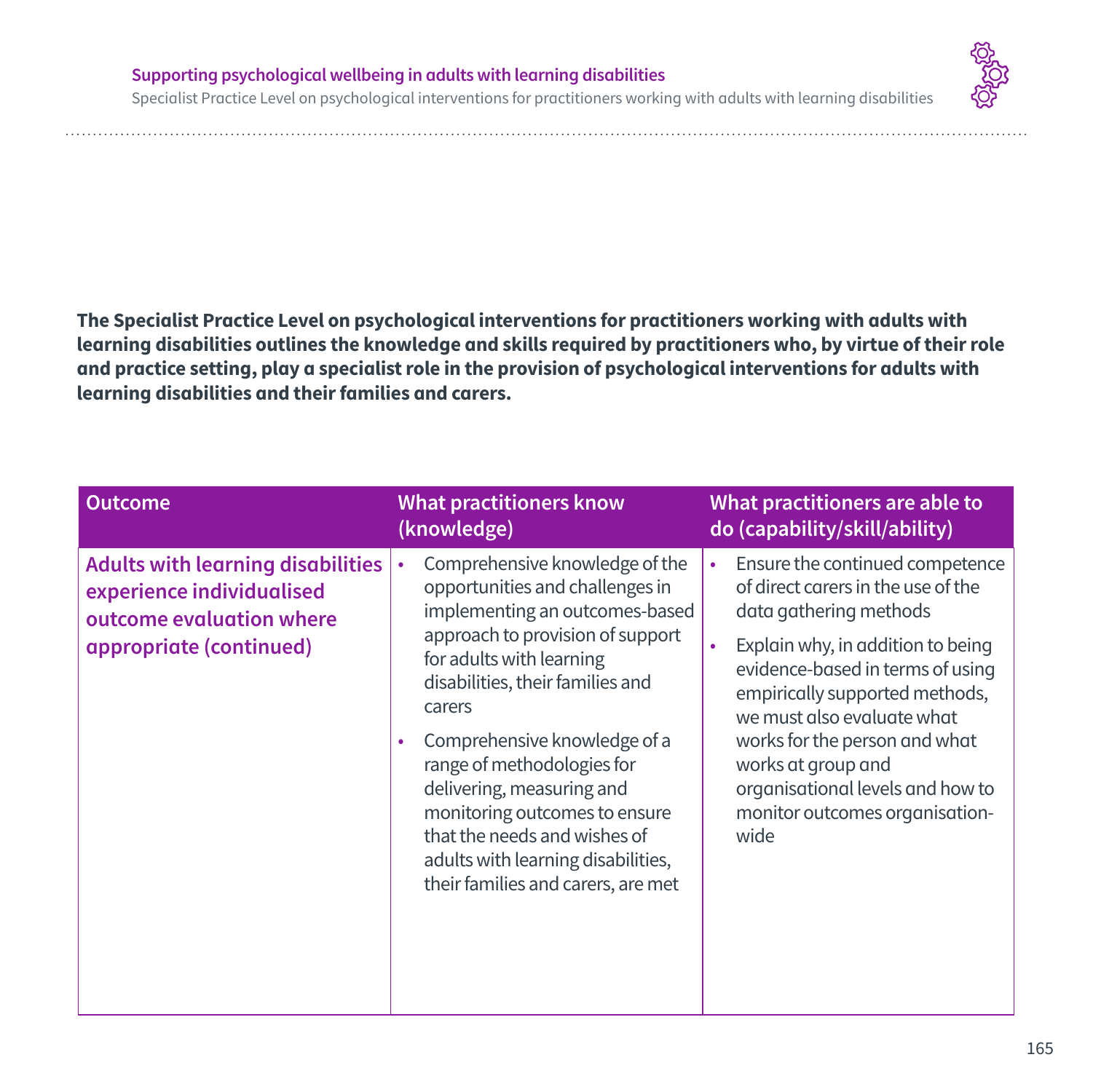

Specialist Practice Level on psychological interventions for practitioners working with adults with learning disabilities

| <b>Outcome</b>                                                                                                               | <b>What practitioners know</b><br>(knowledge)                                                                                                                                                                                                                                                                                                                                                                                                                  | What practitioners are able to<br>do (capability/skill/ability)                                                                                                                                                                                                                                                                                                               |
|------------------------------------------------------------------------------------------------------------------------------|----------------------------------------------------------------------------------------------------------------------------------------------------------------------------------------------------------------------------------------------------------------------------------------------------------------------------------------------------------------------------------------------------------------------------------------------------------------|-------------------------------------------------------------------------------------------------------------------------------------------------------------------------------------------------------------------------------------------------------------------------------------------------------------------------------------------------------------------------------|
| <b>Adults with learning disabilities</b><br>experience individualised<br>outcome evaluation where<br>appropriate (continued) | Comprehensive knowledge of the<br>opportunities and challenges in<br>implementing an outcomes-based<br>approach to provision of support<br>for adults with learning<br>disabilities, their families and<br>carers<br>Comprehensive knowledge of a<br>٠<br>range of methodologies for<br>delivering, measuring and<br>monitoring outcomes to ensure<br>that the needs and wishes of<br>adults with learning disabilities,<br>their families and carers, are met | Ensure the continued competence<br>of direct carers in the use of the<br>data gathering methods<br>Explain why, in addition to being<br>evidence-based in terms of using<br>empirically supported methods,<br>we must also evaluate what<br>works for the person and what<br>works at group and<br>organisational levels and how to<br>monitor outcomes organisation-<br>wide |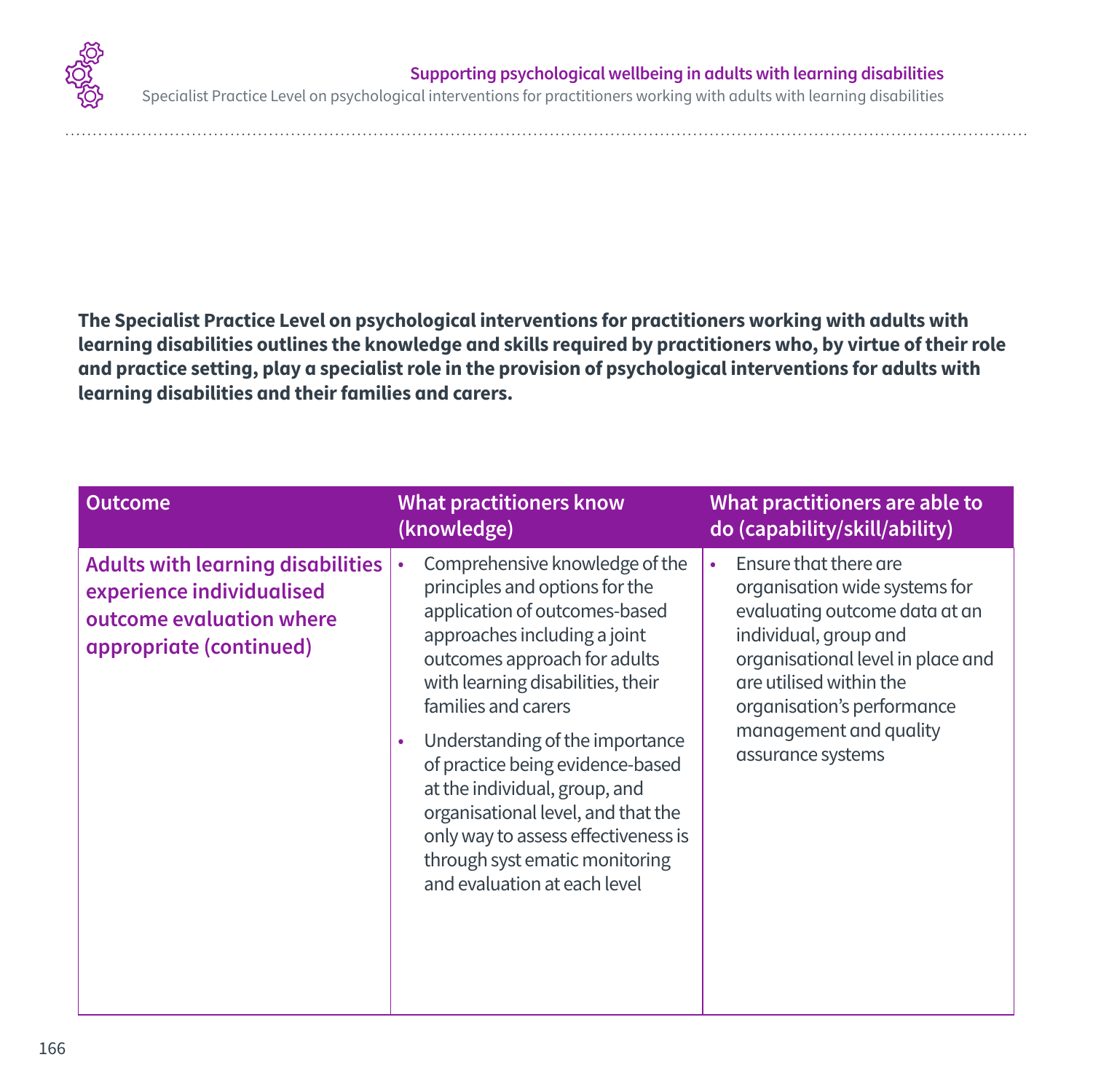

Specialist Practice Level on psychological interventions for practitioners working with adults with learning disabilities

| <b>Outcome</b>                                                                                                               | <b>What practitioners know</b><br>(knowledge)                                                                                                                                                                                                                                                                                                                                                                                                                                                                  | What practitioners are able to<br>do (capability/skill/ability)                                                                                                                                                                                               |
|------------------------------------------------------------------------------------------------------------------------------|----------------------------------------------------------------------------------------------------------------------------------------------------------------------------------------------------------------------------------------------------------------------------------------------------------------------------------------------------------------------------------------------------------------------------------------------------------------------------------------------------------------|---------------------------------------------------------------------------------------------------------------------------------------------------------------------------------------------------------------------------------------------------------------|
| <b>Adults with learning disabilities</b><br>experience individualised<br>outcome evaluation where<br>appropriate (continued) | Comprehensive knowledge of the<br>$\bullet$<br>principles and options for the<br>application of outcomes-based<br>approaches including a joint<br>outcomes approach for adults<br>with learning disabilities, their<br>families and carers<br>Understanding of the importance<br>$\bullet$<br>of practice being evidence-based<br>at the individual, group, and<br>organisational level, and that the<br>only way to assess effectiveness is<br>through syst ematic monitoring<br>and evaluation at each level | Ensure that there are<br>organisation wide systems for<br>evaluating outcome data at an<br>individual, group and<br>organisational level in place and<br>are utilised within the<br>organisation's performance<br>management and quality<br>assurance systems |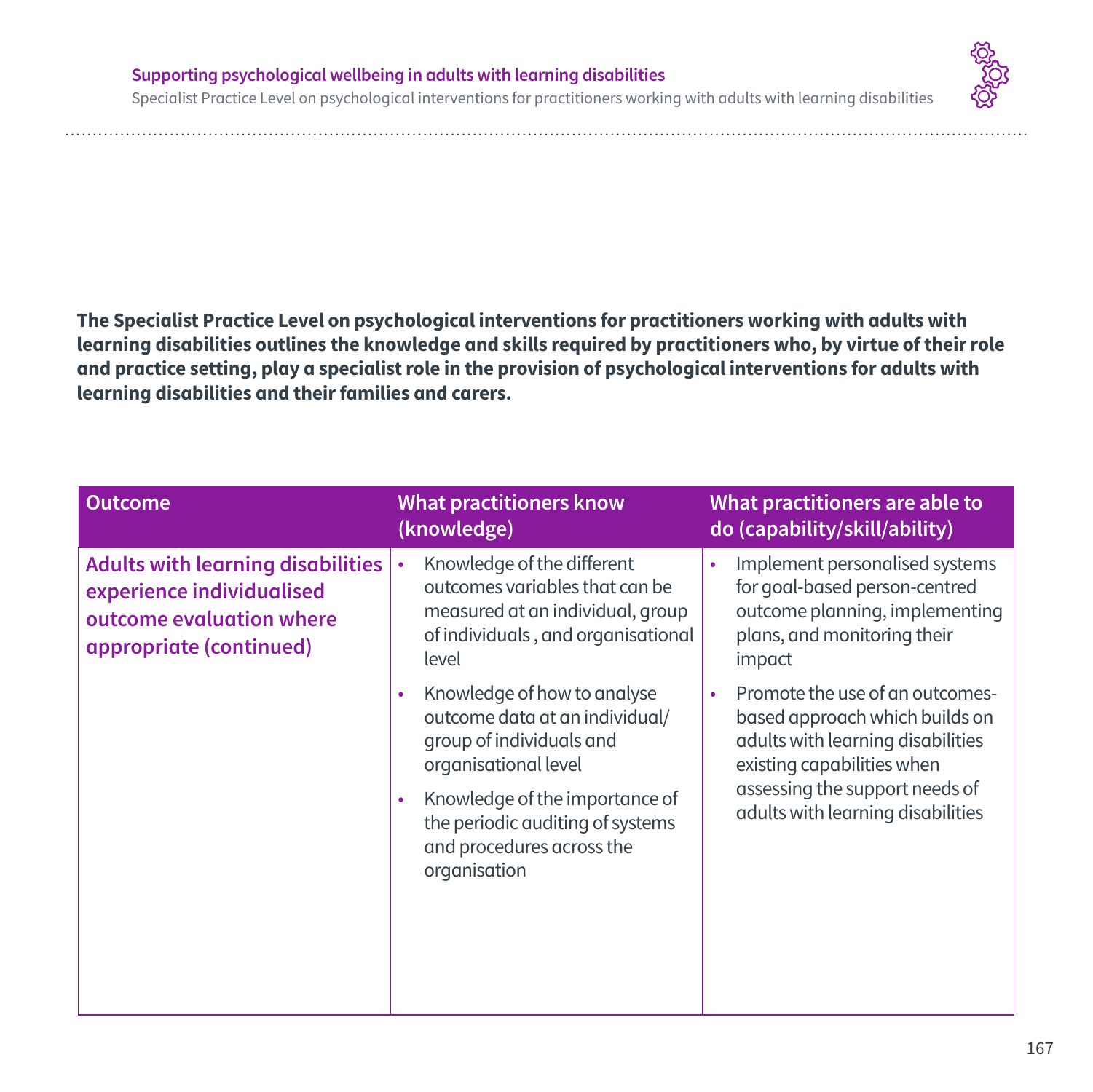

Specialist Practice Level on psychological interventions for practitioners working with adults with learning disabilities

| <b>Outcome</b>                                                                                                               | <b>What practitioners know</b><br>(knowledge)                                                                                                                                                                                        | What practitioners are able to<br>do (capability/skill/ability)                                                                                                                                             |
|------------------------------------------------------------------------------------------------------------------------------|--------------------------------------------------------------------------------------------------------------------------------------------------------------------------------------------------------------------------------------|-------------------------------------------------------------------------------------------------------------------------------------------------------------------------------------------------------------|
| <b>Adults with learning disabilities</b><br>experience individualised<br>outcome evaluation where<br>appropriate (continued) | Knowledge of the different<br>outcomes variables that can be<br>measured at an individual, group<br>of individuals, and organisational<br>level                                                                                      | Implement personalised systems<br>for goal-based person-centred<br>outcome planning, implementing<br>plans, and monitoring their<br>impact                                                                  |
|                                                                                                                              | Knowledge of how to analyse<br>outcome data at an individual/<br>group of individuals and<br>organisational level<br>Knowledge of the importance of<br>the periodic auditing of systems<br>and procedures across the<br>organisation | Promote the use of an outcomes-<br>based approach which builds on<br>adults with learning disabilities<br>existing capabilities when<br>assessing the support needs of<br>adults with learning disabilities |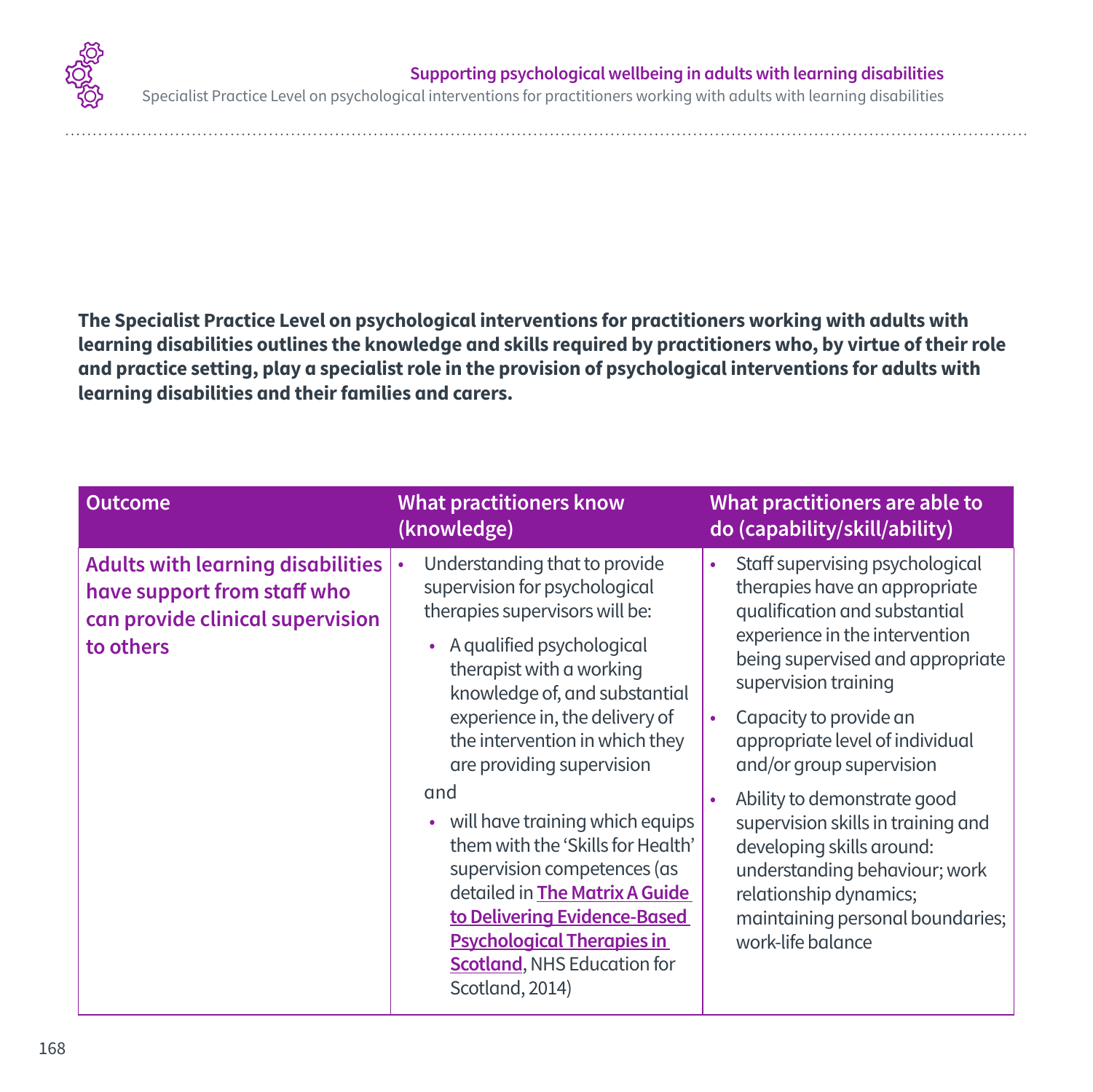

| <b>Outcome</b>                                                                                                           | <b>What practitioners know</b><br>(knowledge)                                                                                                                                                                                                                                                                                                                                                                                                                                                                                                                                     | What practitioners are able to<br>do (capability/skill/ability)                                                                                                                                                                                                                                                                                                                                                                                                                                                                          |
|--------------------------------------------------------------------------------------------------------------------------|-----------------------------------------------------------------------------------------------------------------------------------------------------------------------------------------------------------------------------------------------------------------------------------------------------------------------------------------------------------------------------------------------------------------------------------------------------------------------------------------------------------------------------------------------------------------------------------|------------------------------------------------------------------------------------------------------------------------------------------------------------------------------------------------------------------------------------------------------------------------------------------------------------------------------------------------------------------------------------------------------------------------------------------------------------------------------------------------------------------------------------------|
| <b>Adults with learning disabilities</b><br>have support from staff who<br>can provide clinical supervision<br>to others | Understanding that to provide<br>supervision for psychological<br>therapies supervisors will be:<br>• A qualified psychological<br>therapist with a working<br>knowledge of, and substantial<br>experience in, the delivery of<br>the intervention in which they<br>are providing supervision<br>and<br>will have training which equips<br>٠<br>them with the 'Skills for Health'<br>supervision competences (as<br>detailed in The Matrix A Guide<br>to Delivering Evidence-Based<br><b>Psychological Therapies in</b><br><b>Scotland</b> , NHS Education for<br>Scotland, 2014) | Staff supervising psychological<br>$\bullet$<br>therapies have an appropriate<br>qualification and substantial<br>experience in the intervention<br>being supervised and appropriate<br>supervision training<br>Capacity to provide an<br>$\bullet$<br>appropriate level of individual<br>and/or group supervision<br>Ability to demonstrate good<br>supervision skills in training and<br>developing skills around:<br>understanding behaviour; work<br>relationship dynamics;<br>maintaining personal boundaries;<br>work-life balance |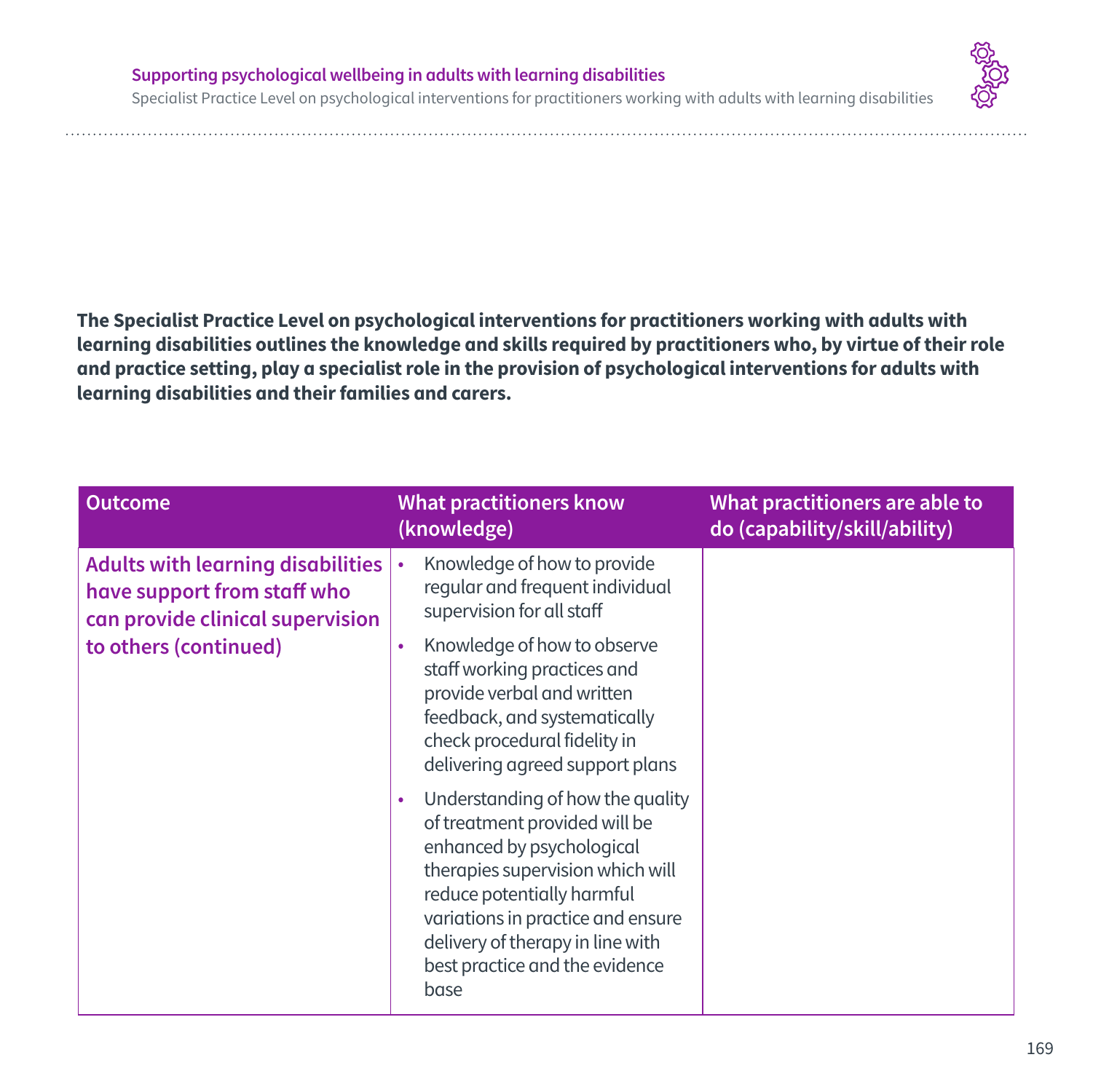

Specialist Practice Level on psychological interventions for practitioners working with adults with learning disabilities

| <b>Outcome</b>                                                                                                                       | <b>What practitioners know</b><br>(knowledge)                                                                                                                                                                                                                                                           | What practitioners are able to<br>do (capability/skill/ability) |
|--------------------------------------------------------------------------------------------------------------------------------------|---------------------------------------------------------------------------------------------------------------------------------------------------------------------------------------------------------------------------------------------------------------------------------------------------------|-----------------------------------------------------------------|
| <b>Adults with learning disabilities</b><br>have support from staff who<br>can provide clinical supervision<br>to others (continued) | Knowledge of how to provide<br>regular and frequent individual<br>supervision for all staff<br>Knowledge of how to observe<br>$\bullet$<br>staff working practices and<br>provide verbal and written<br>feedback, and systematically<br>check procedural fidelity in<br>delivering agreed support plans |                                                                 |
|                                                                                                                                      | Understanding of how the quality<br>$\bullet$<br>of treatment provided will be<br>enhanced by psychological<br>therapies supervision which will<br>reduce potentially harmful<br>variations in practice and ensure<br>delivery of therapy in line with<br>best practice and the evidence<br>base        |                                                                 |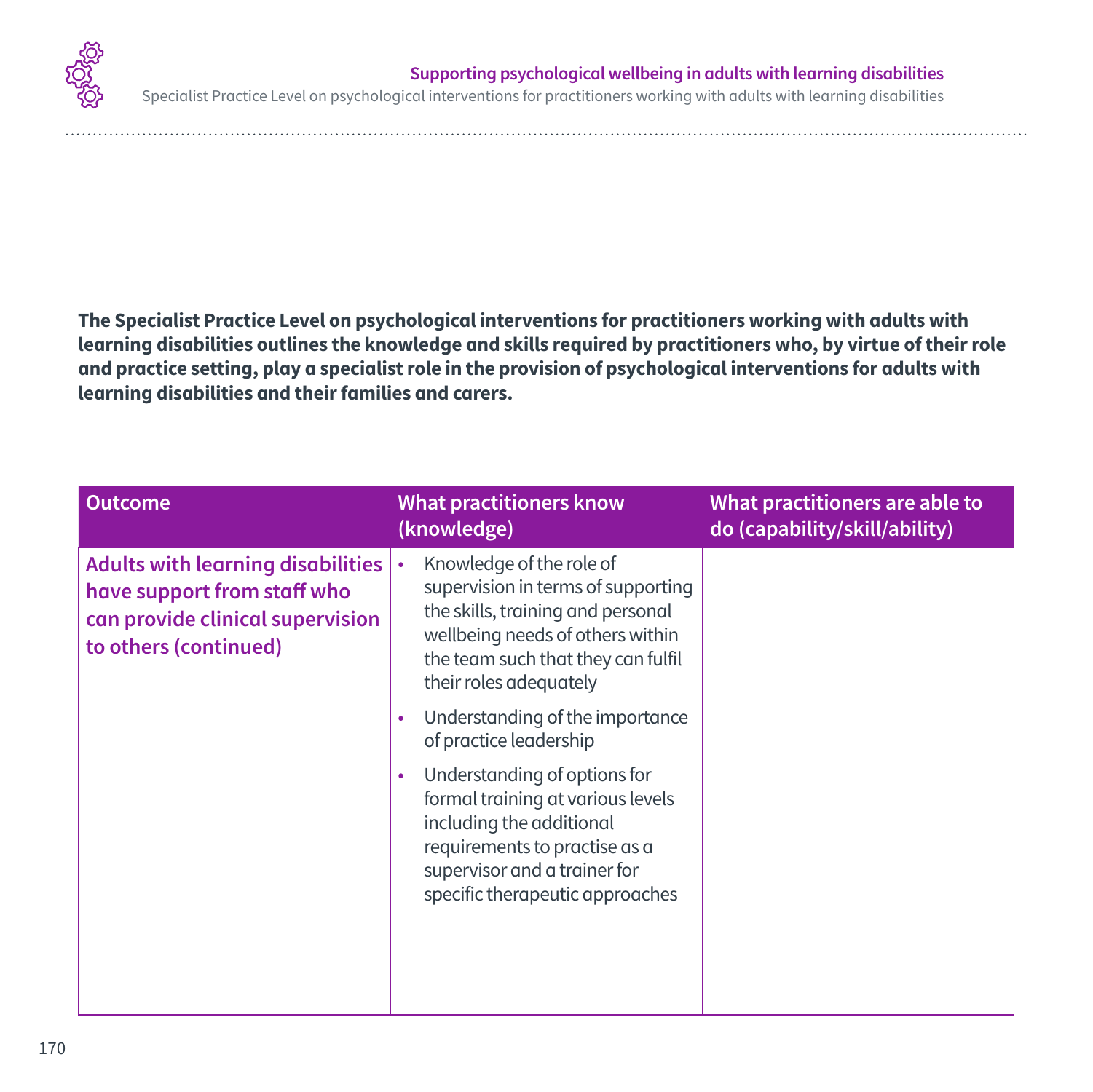

Specialist Practice Level on psychological interventions for practitioners working with adults with learning disabilities

| <b>Outcome</b>                                                                                                                       | <b>What practitioners know</b><br>(knowledge)                                                                                                                                                                  | What practitioners are able to<br>do (capability/skill/ability) |
|--------------------------------------------------------------------------------------------------------------------------------------|----------------------------------------------------------------------------------------------------------------------------------------------------------------------------------------------------------------|-----------------------------------------------------------------|
| <b>Adults with learning disabilities</b><br>have support from staff who<br>can provide clinical supervision<br>to others (continued) | Knowledge of the role of<br>supervision in terms of supporting<br>the skills, training and personal<br>wellbeing needs of others within<br>the team such that they can fulfil<br>their roles adequately        |                                                                 |
|                                                                                                                                      | Understanding of the importance<br>$\bullet$<br>of practice leadership                                                                                                                                         |                                                                 |
|                                                                                                                                      | Understanding of options for<br>$\bullet$<br>formal training at various levels<br>including the additional<br>requirements to practise as a<br>supervisor and a trainer for<br>specific therapeutic approaches |                                                                 |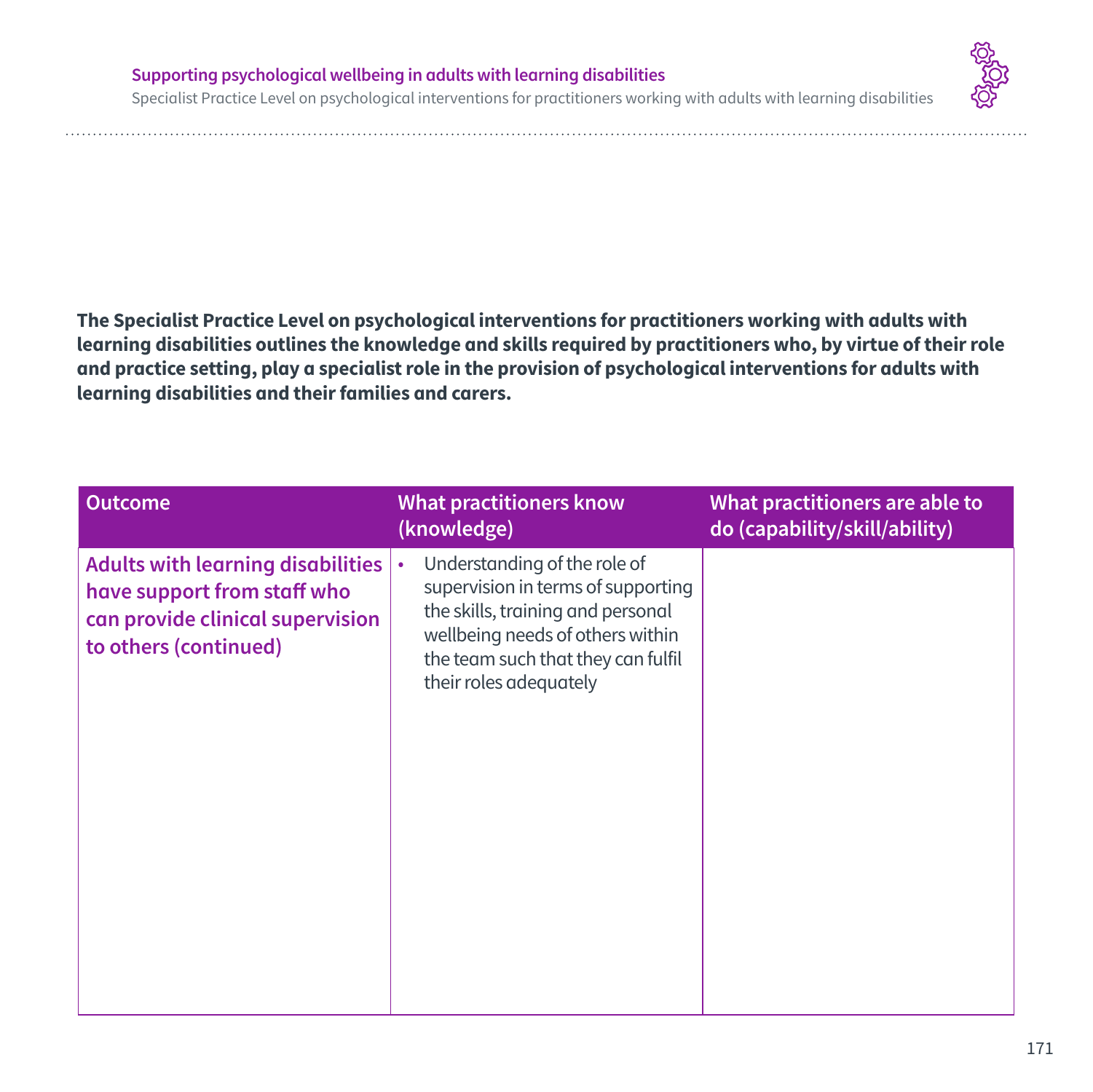

Specialist Practice Level on psychological interventions for practitioners working with adults with learning disabilities

| <b>Outcome</b>                                                                                                                       | <b>What practitioners know</b><br>(knowledge)                                                                                                                                                                            | What practitioners are able to<br>do (capability/skill/ability) |
|--------------------------------------------------------------------------------------------------------------------------------------|--------------------------------------------------------------------------------------------------------------------------------------------------------------------------------------------------------------------------|-----------------------------------------------------------------|
| <b>Adults with learning disabilities</b><br>have support from staff who<br>can provide clinical supervision<br>to others (continued) | Understanding of the role of<br>$\bullet$<br>supervision in terms of supporting<br>the skills, training and personal<br>wellbeing needs of others within<br>the team such that they can fulfil<br>their roles adequately |                                                                 |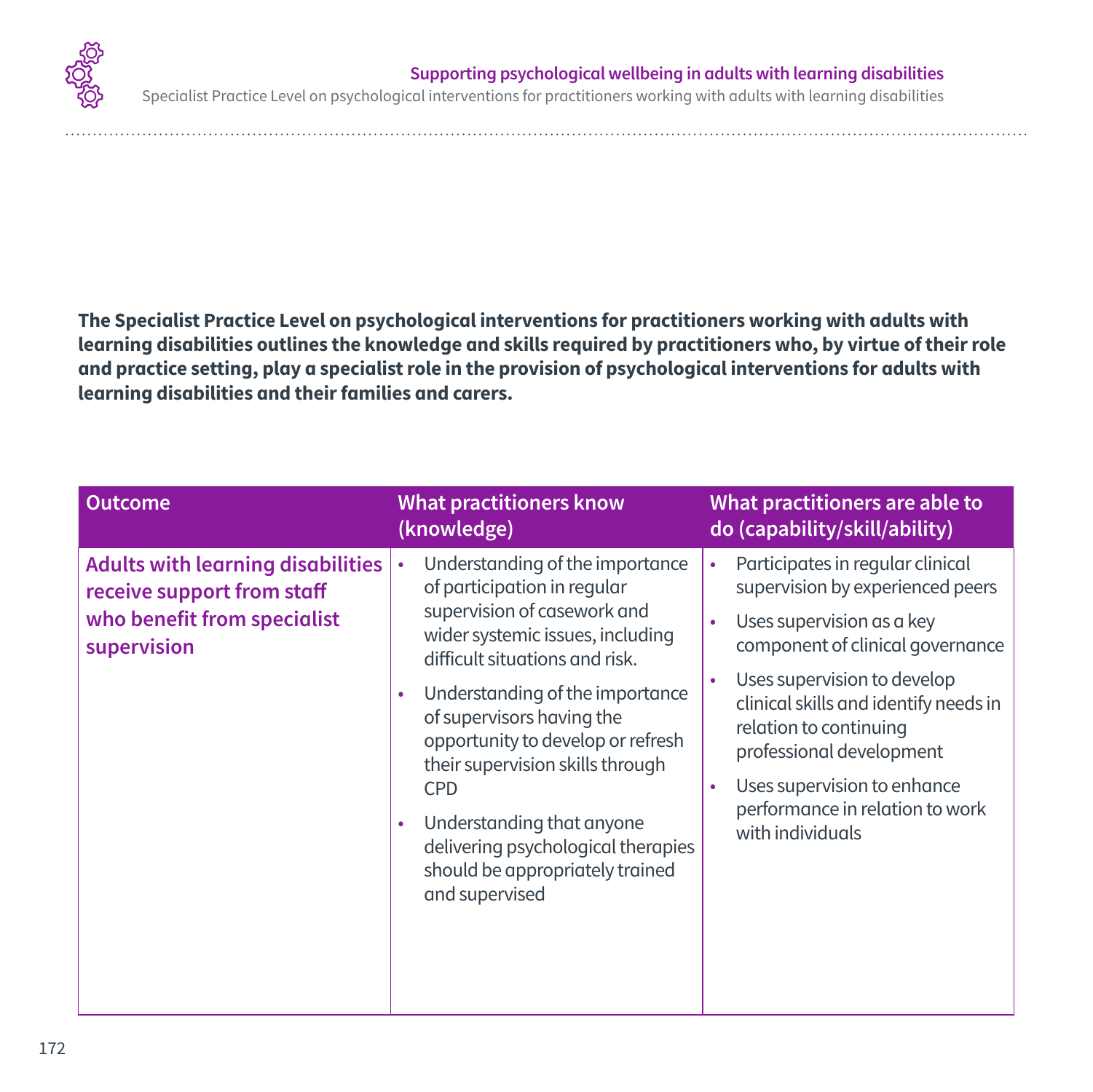

| <b>Outcome</b>                                                                                                       | <b>What practitioners know</b><br>(knowledge)                                                                                                                                                                                                                                                                                                                                                                                                                                | What practitioners are able to<br>do (capability/skill/ability)                                                                                                                                                                                                                                                                                                                     |
|----------------------------------------------------------------------------------------------------------------------|------------------------------------------------------------------------------------------------------------------------------------------------------------------------------------------------------------------------------------------------------------------------------------------------------------------------------------------------------------------------------------------------------------------------------------------------------------------------------|-------------------------------------------------------------------------------------------------------------------------------------------------------------------------------------------------------------------------------------------------------------------------------------------------------------------------------------------------------------------------------------|
| <b>Adults with learning disabilities</b><br>receive support from staff<br>who benefit from specialist<br>supervision | Understanding of the importance<br>of participation in regular<br>supervision of casework and<br>wider systemic issues, including<br>difficult situations and risk.<br>Understanding of the importance<br>$\bullet$<br>of supervisors having the<br>opportunity to develop or refresh<br>their supervision skills through<br><b>CPD</b><br>Understanding that anyone<br>$\bullet$<br>delivering psychological therapies<br>should be appropriately trained<br>and supervised | Participates in regular clinical<br>supervision by experienced peers<br>Uses supervision as a key<br>$\bullet$<br>component of clinical governance<br>Uses supervision to develop<br>clinical skills and identify needs in<br>relation to continuing<br>professional development<br>Uses supervision to enhance<br>$\bullet$<br>performance in relation to work<br>with individuals |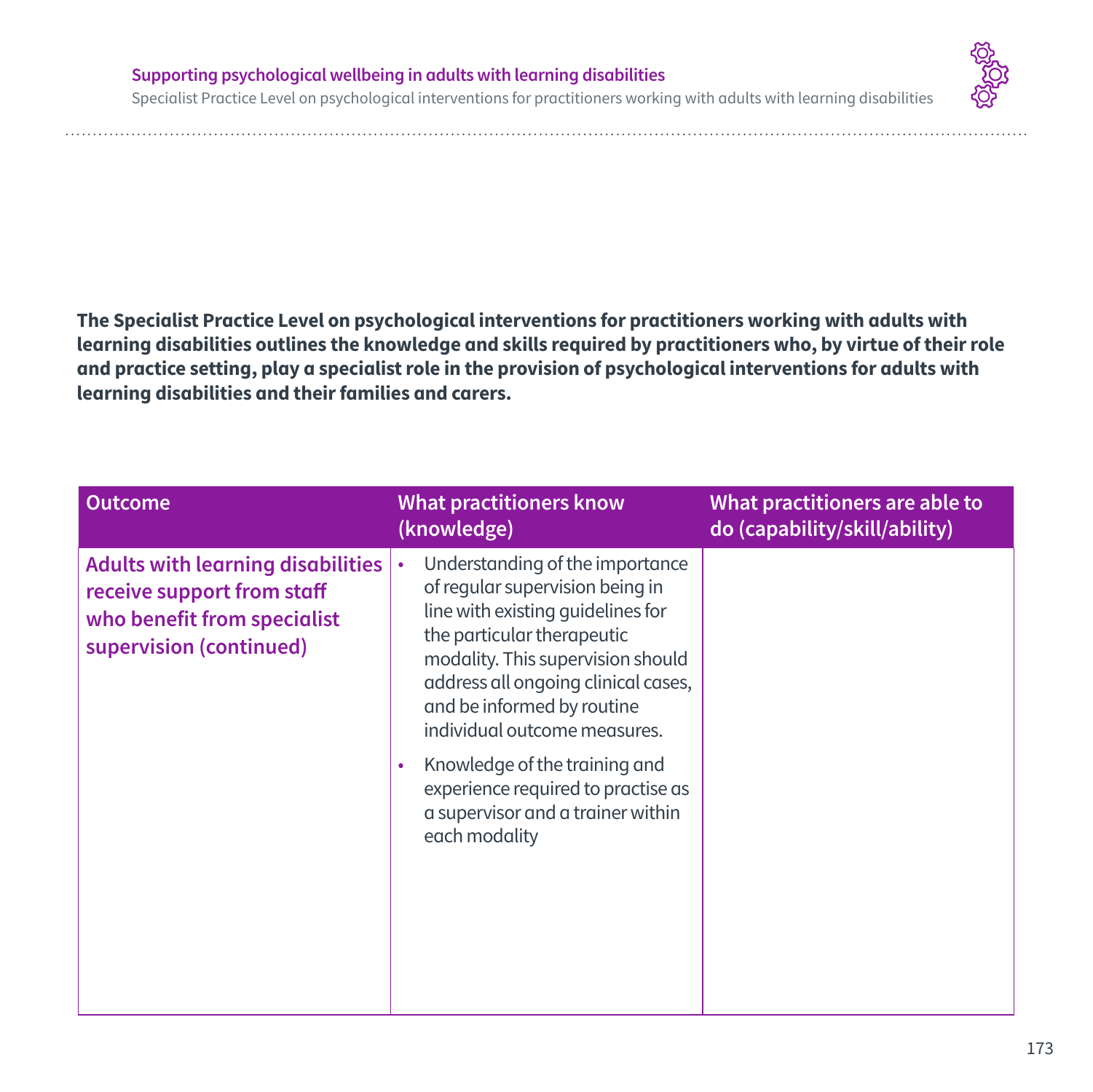

Specialist Practice Level on psychological interventions for practitioners working with adults with learning disabilities

| <b>Outcome</b>                                                                                                                   | <b>What practitioners know</b><br>(knowledge)                                                                                                                                                                                                                                                                                                                                                                             | What practitioners are able to<br>do (capability/skill/ability) |
|----------------------------------------------------------------------------------------------------------------------------------|---------------------------------------------------------------------------------------------------------------------------------------------------------------------------------------------------------------------------------------------------------------------------------------------------------------------------------------------------------------------------------------------------------------------------|-----------------------------------------------------------------|
| <b>Adults with learning disabilities</b><br>receive support from staff<br>who benefit from specialist<br>supervision (continued) | Understanding of the importance<br>of regular supervision being in<br>line with existing guidelines for<br>the particular therapeutic<br>modality. This supervision should<br>address all ongoing clinical cases,<br>and be informed by routine<br>individual outcome measures.<br>Knowledge of the training and<br>$\bullet$<br>experience required to practise as<br>a supervisor and a trainer within<br>each modality |                                                                 |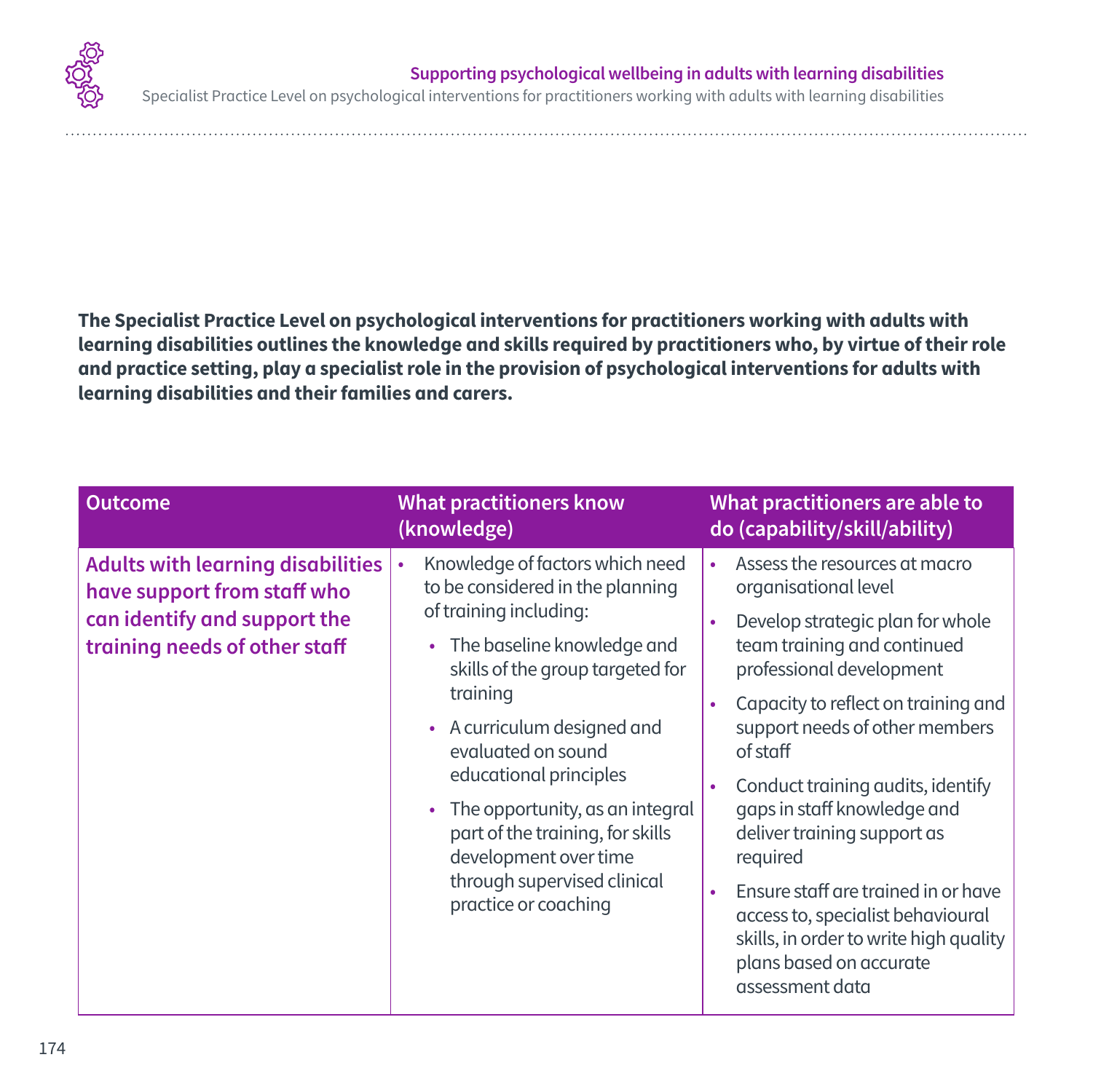

| <b>Outcome</b>                                                                                                                           | <b>What practitioners know</b><br>(knowledge)                                                                                                                                                                                                                                                                                                                                                                       | What practitioners are able to<br>do (capability/skill/ability)                                                                                                                                                                                                                                                                                                                                                                                                                                                                                                                               |
|------------------------------------------------------------------------------------------------------------------------------------------|---------------------------------------------------------------------------------------------------------------------------------------------------------------------------------------------------------------------------------------------------------------------------------------------------------------------------------------------------------------------------------------------------------------------|-----------------------------------------------------------------------------------------------------------------------------------------------------------------------------------------------------------------------------------------------------------------------------------------------------------------------------------------------------------------------------------------------------------------------------------------------------------------------------------------------------------------------------------------------------------------------------------------------|
| <b>Adults with learning disabilities</b><br>have support from staff who<br>can identify and support the<br>training needs of other staff | Knowledge of factors which need<br>to be considered in the planning<br>of training including:<br>• The baseline knowledge and<br>skills of the group targeted for<br>training<br>• A curriculum designed and<br>evaluated on sound<br>educational principles<br>The opportunity, as an integral<br>part of the training, for skills<br>development over time<br>through supervised clinical<br>practice or coaching | Assess the resources at macro<br>$\bullet$<br>organisational level<br>Develop strategic plan for whole<br>$\bullet$<br>team training and continued<br>professional development<br>Capacity to reflect on training and<br>$\bullet$<br>support needs of other members<br>of staff<br>Conduct training audits, identify<br>$\bullet$<br>gaps in staff knowledge and<br>deliver training support as<br>required<br>Ensure staff are trained in or have<br>$\bullet$<br>access to, specialist behavioural<br>skills, in order to write high quality<br>plans based on accurate<br>assessment data |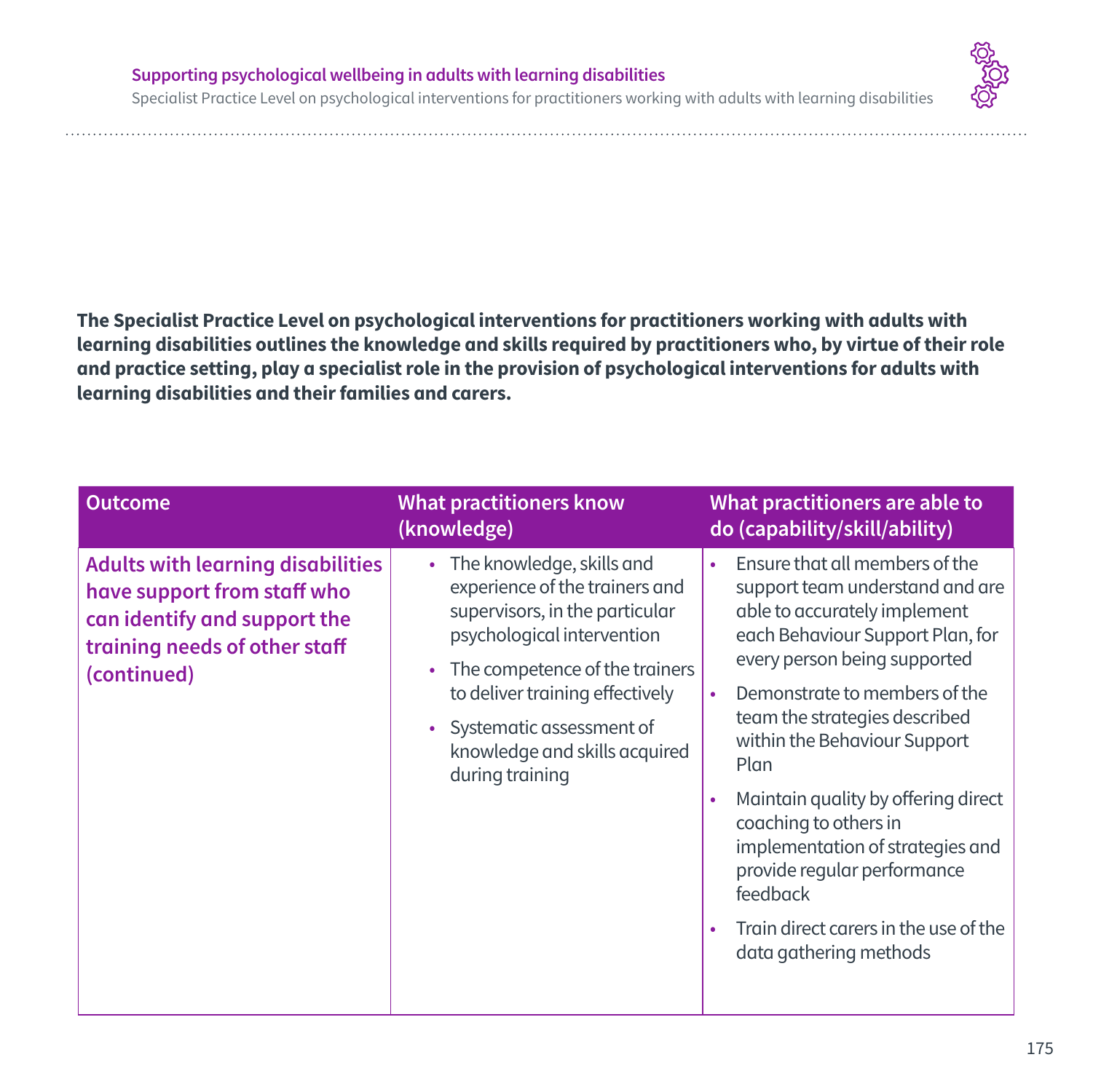

Specialist Practice Level on psychological interventions for practitioners working with adults with learning disabilities

| <b>Outcome</b>                                                                                                                                          | <b>What practitioners know</b><br>(knowledge)                                                                                                                                                                                                                                        | What practitioners are able to<br>do (capability/skill/ability)                                                                                                                                                                                                                                                                                                                                                                                                                                                |
|---------------------------------------------------------------------------------------------------------------------------------------------------------|--------------------------------------------------------------------------------------------------------------------------------------------------------------------------------------------------------------------------------------------------------------------------------------|----------------------------------------------------------------------------------------------------------------------------------------------------------------------------------------------------------------------------------------------------------------------------------------------------------------------------------------------------------------------------------------------------------------------------------------------------------------------------------------------------------------|
| <b>Adults with learning disabilities</b><br>have support from staff who<br>can identify and support the<br>training needs of other staff<br>(continued) | • The knowledge, skills and<br>experience of the trainers and<br>supervisors, in the particular<br>psychological intervention<br>The competence of the trainers<br>to deliver training effectively<br>• Systematic assessment of<br>knowledge and skills acquired<br>during training | Ensure that all members of the<br>support team understand and are<br>able to accurately implement<br>each Behaviour Support Plan, for<br>every person being supported<br>Demonstrate to members of the<br>team the strategies described<br>within the Behaviour Support<br>Plan<br>Maintain quality by offering direct<br>$\bullet$<br>coaching to others in<br>implementation of strategies and<br>provide regular performance<br>feedback<br>Train direct carers in the use of the<br>data gathering methods |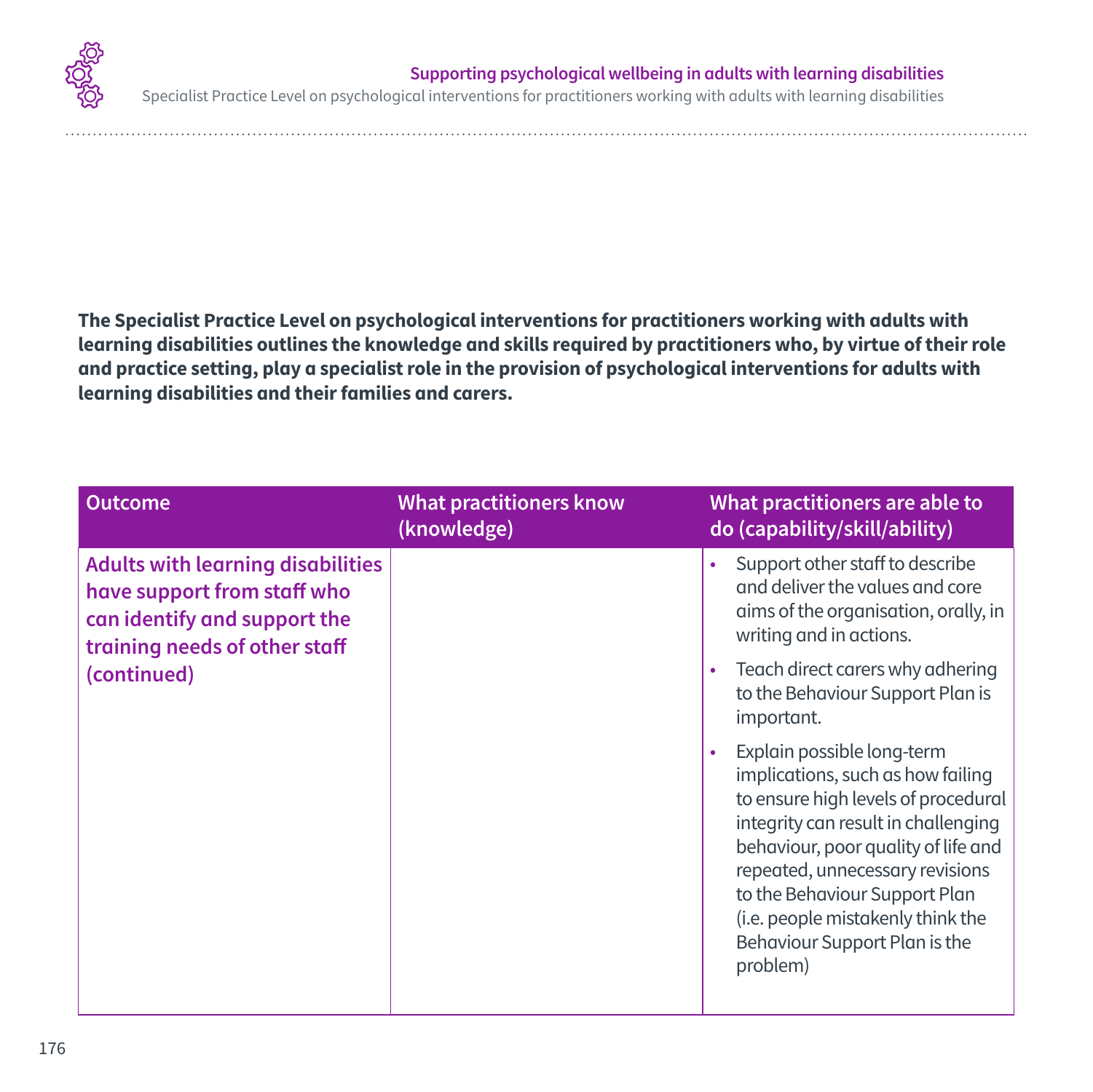

| <b>Outcome</b>                                                                                                                           | <b>What practitioners know</b><br>(knowledge) | What practitioners are able to<br>do (capability/skill/ability)                                                                                                                                                                                                                                                                            |
|------------------------------------------------------------------------------------------------------------------------------------------|-----------------------------------------------|--------------------------------------------------------------------------------------------------------------------------------------------------------------------------------------------------------------------------------------------------------------------------------------------------------------------------------------------|
| <b>Adults with learning disabilities</b><br>have support from staff who<br>can identify and support the<br>training needs of other staff |                                               | Support other staff to describe<br>and deliver the values and core<br>aims of the organisation, orally, in<br>writing and in actions.                                                                                                                                                                                                      |
| (continued)                                                                                                                              |                                               | Teach direct carers why adhering<br>to the Behaviour Support Plan is<br>important.                                                                                                                                                                                                                                                         |
|                                                                                                                                          |                                               | Explain possible long-term<br>implications, such as how failing<br>to ensure high levels of procedural<br>integrity can result in challenging<br>behaviour, poor quality of life and<br>repeated, unnecessary revisions<br>to the Behaviour Support Plan<br>(i.e. people mistakenly think the<br>Behaviour Support Plan is the<br>problem) |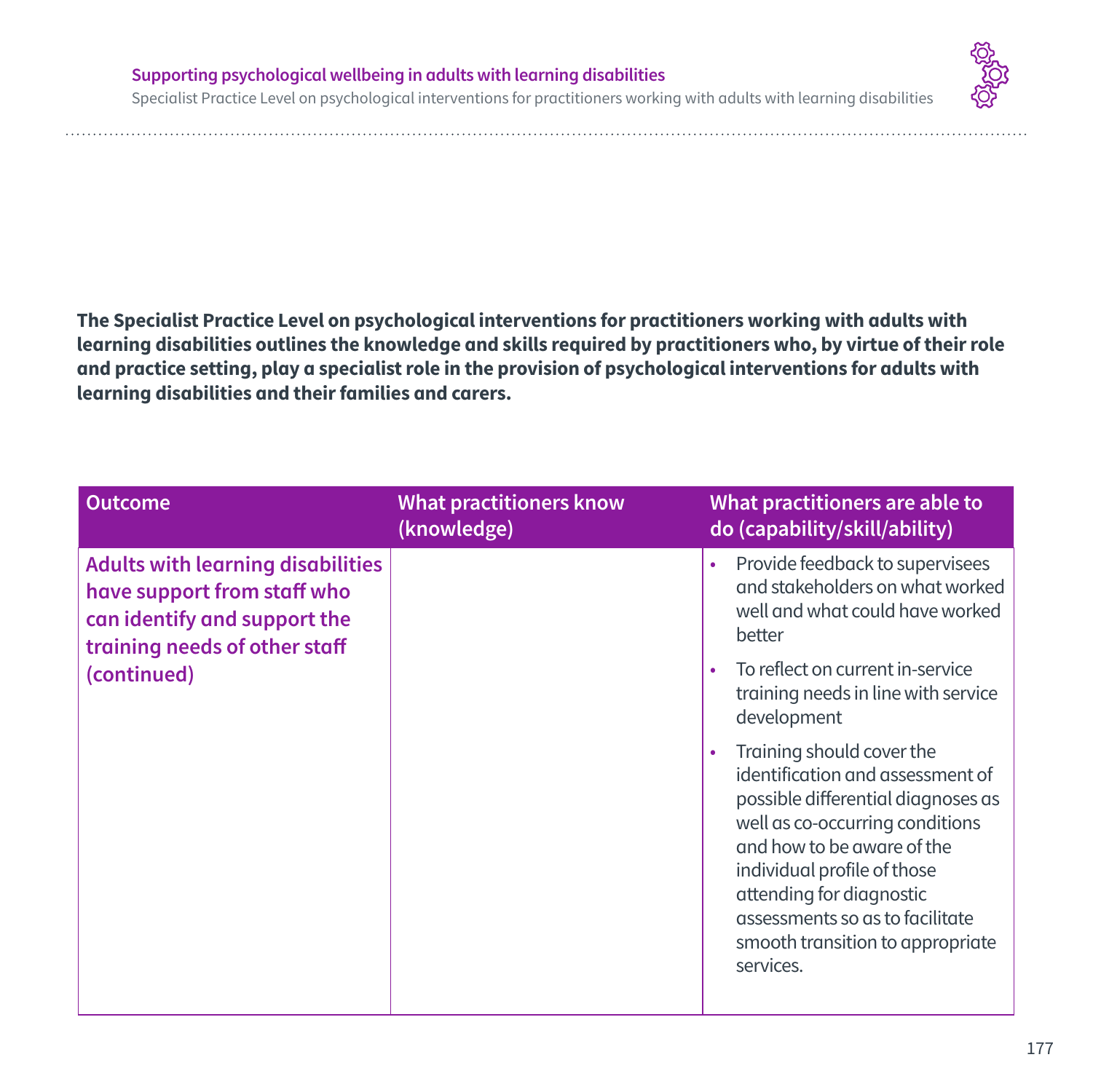

. . . . . . . . . . . . . . . .

Specialist Practice Level on psychological interventions for practitioners working with adults with learning disabilities

| <b>Outcome</b>                                                                                                                                          | <b>What practitioners know</b><br>(knowledge) | What practitioners are able to<br>do (capability/skill/ability)                                                                                                                                                                                                                                                     |
|---------------------------------------------------------------------------------------------------------------------------------------------------------|-----------------------------------------------|---------------------------------------------------------------------------------------------------------------------------------------------------------------------------------------------------------------------------------------------------------------------------------------------------------------------|
| <b>Adults with learning disabilities</b><br>have support from staff who<br>can identify and support the<br>training needs of other staff<br>(continued) |                                               | Provide feedback to supervisees<br>and stakeholders on what worked<br>well and what could have worked<br>better                                                                                                                                                                                                     |
|                                                                                                                                                         |                                               | To reflect on current in-service<br>training needs in line with service<br>development                                                                                                                                                                                                                              |
|                                                                                                                                                         |                                               | Training should cover the<br>identification and assessment of<br>possible differential diagnoses as<br>well as co-occurring conditions<br>and how to be aware of the<br>individual profile of those<br>attending for diagnostic<br>assessments so as to facilitate<br>smooth transition to appropriate<br>services. |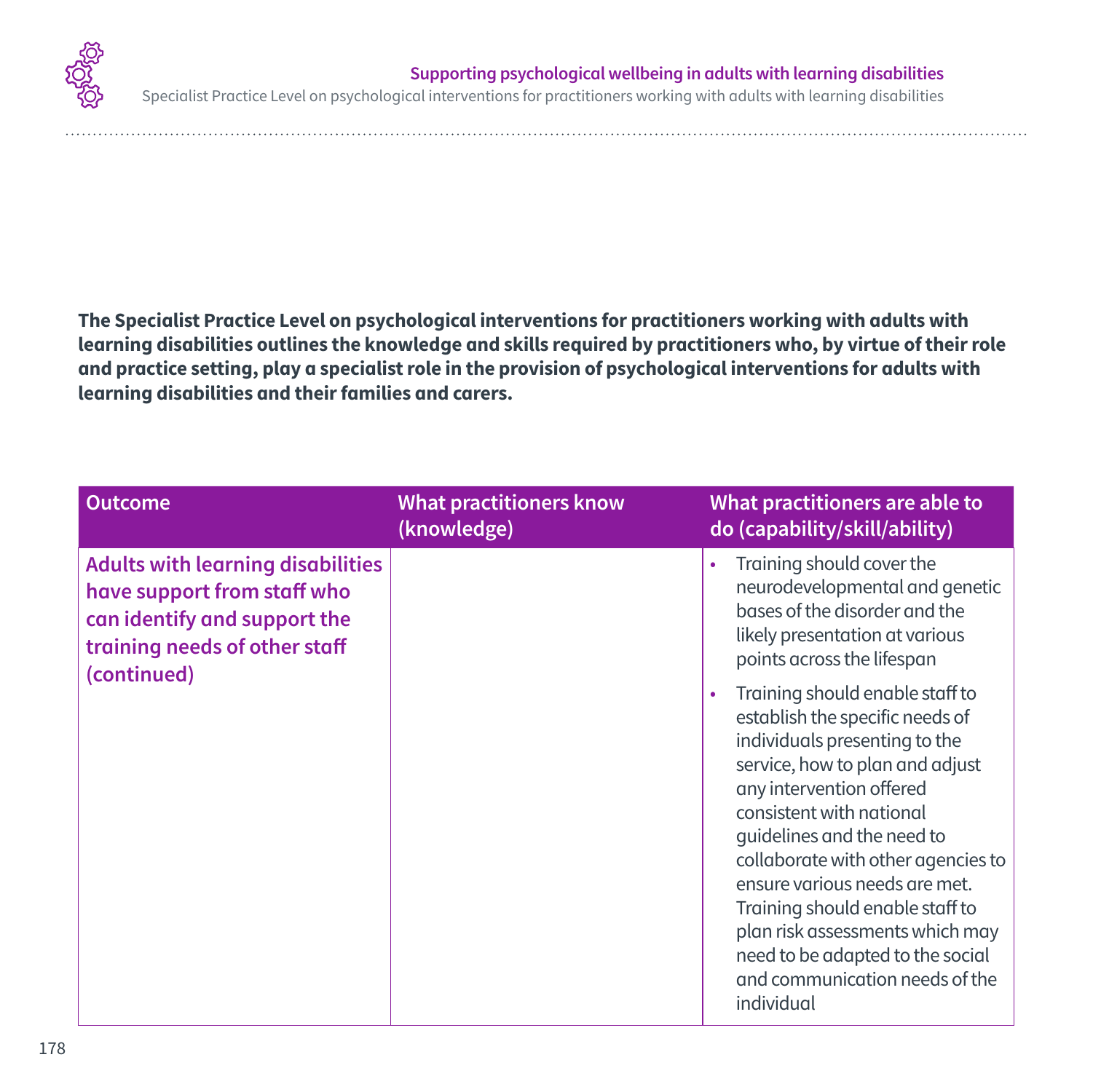

Specialist Practice Level on psychological interventions for practitioners working with adults with learning disabilities

| <b>Outcome</b>                                                                                                                                          | <b>What practitioners know</b><br>(knowledge) | What practitioners are able to<br>do (capability/skill/ability)                                                                                                                                                                                                                                                                                                                                                                                                    |
|---------------------------------------------------------------------------------------------------------------------------------------------------------|-----------------------------------------------|--------------------------------------------------------------------------------------------------------------------------------------------------------------------------------------------------------------------------------------------------------------------------------------------------------------------------------------------------------------------------------------------------------------------------------------------------------------------|
| <b>Adults with learning disabilities</b><br>have support from staff who<br>can identify and support the<br>training needs of other staff<br>(continued) |                                               | Training should cover the<br>neurodevelopmental and genetic<br>bases of the disorder and the<br>likely presentation at various<br>points across the lifespan                                                                                                                                                                                                                                                                                                       |
|                                                                                                                                                         |                                               | Training should enable staff to<br>ò<br>establish the specific needs of<br>individuals presenting to the<br>service, how to plan and adjust<br>any intervention offered<br>consistent with national<br>guidelines and the need to<br>collaborate with other agencies to<br>ensure various needs are met.<br>Training should enable staff to<br>plan risk assessments which may<br>need to be adapted to the social<br>and communication needs of the<br>individual |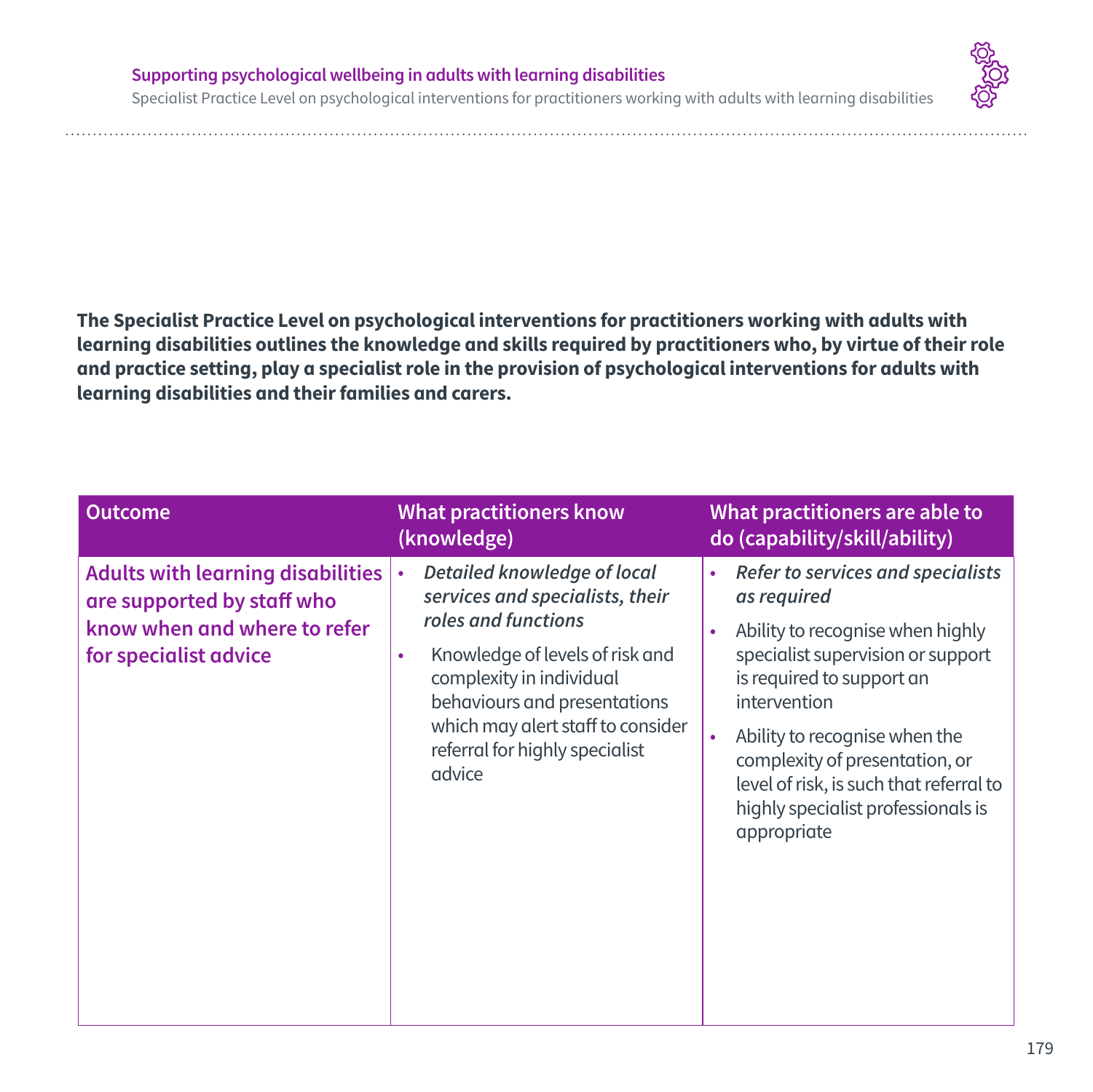

. . . . . . . . . . . . . .

Specialist Practice Level on psychological interventions for practitioners working with adults with learning disabilities

| <b>Outcome</b>                                                                                                                  | <b>What practitioners know</b><br>(knowledge)                                                                                                                                                                                                                                                   | What practitioners are able to<br>do (capability/skill/ability)                                                                                                                                                                                                                                                                                  |
|---------------------------------------------------------------------------------------------------------------------------------|-------------------------------------------------------------------------------------------------------------------------------------------------------------------------------------------------------------------------------------------------------------------------------------------------|--------------------------------------------------------------------------------------------------------------------------------------------------------------------------------------------------------------------------------------------------------------------------------------------------------------------------------------------------|
| <b>Adults with learning disabilities</b><br>are supported by staff who<br>know when and where to refer<br>for specialist advice | Detailed knowledge of local<br>$\bullet$<br>services and specialists, their<br>roles and functions<br>Knowledge of levels of risk and<br>$\bullet$<br>complexity in individual<br>behaviours and presentations<br>which may alert staff to consider<br>referral for highly specialist<br>advice | <b>Refer to services and specialists</b><br>as required<br>Ability to recognise when highly<br>specialist supervision or support<br>is required to support an<br>intervention<br>Ability to recognise when the<br>complexity of presentation, or<br>level of risk, is such that referral to<br>highly specialist professionals is<br>appropriate |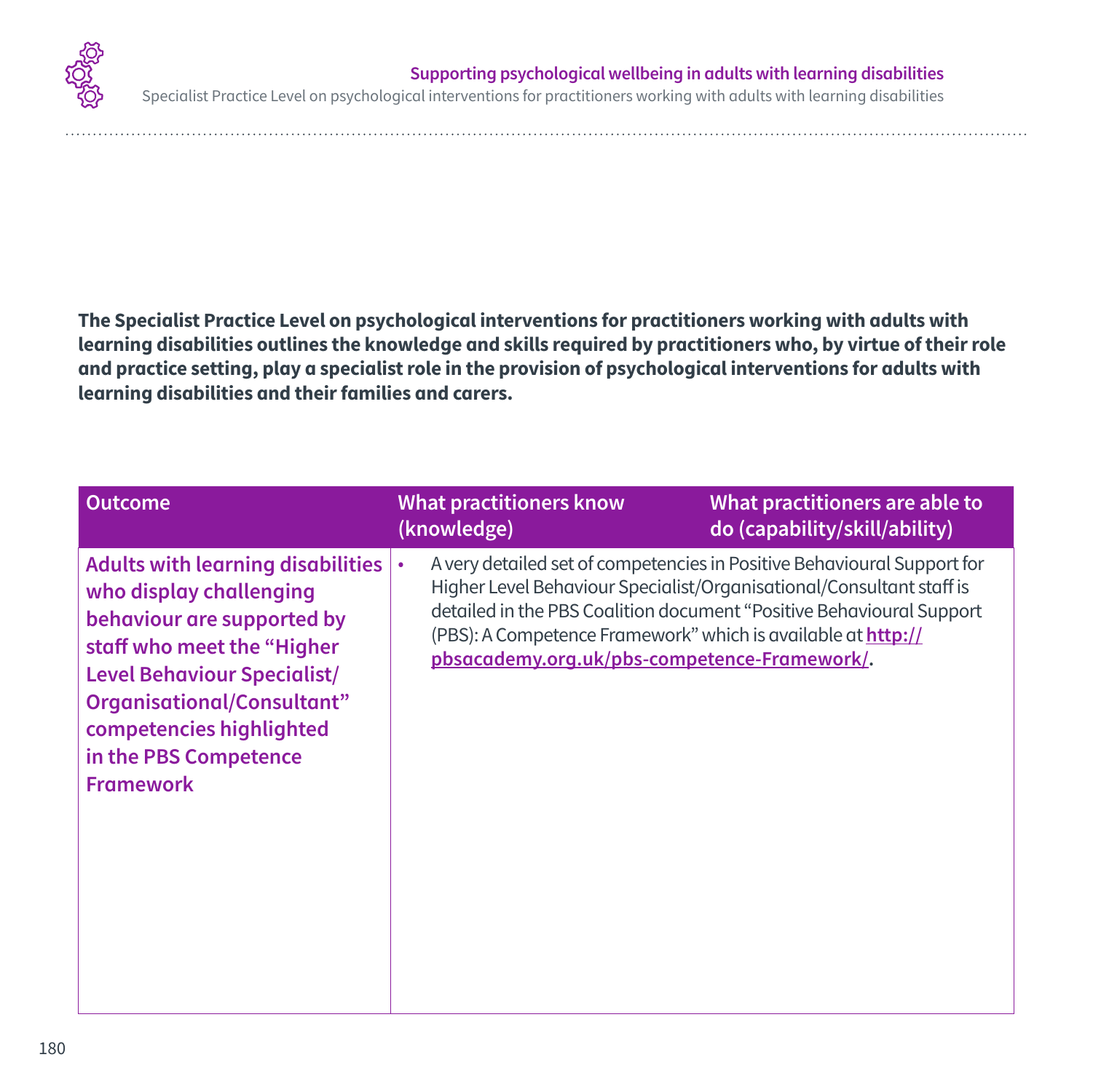

| <b>Outcome</b>                                                                                                                                                                                                                                                               | <b>What practitioners know</b><br>(knowledge)                                                                             | What practitioners are able to<br>do (capability/skill/ability)                                                                                                                                                         |
|------------------------------------------------------------------------------------------------------------------------------------------------------------------------------------------------------------------------------------------------------------------------------|---------------------------------------------------------------------------------------------------------------------------|-------------------------------------------------------------------------------------------------------------------------------------------------------------------------------------------------------------------------|
| <b>Adults with learning disabilities</b><br>who display challenging<br>behaviour are supported by<br>staff who meet the "Higher<br>Level Behaviour Specialist/<br><b>Organisational/Consultant"</b><br>competencies highlighted<br>in the PBS Competence<br><b>Framework</b> | $\bullet$<br>(PBS): A Competence Framework" which is available at http://<br>pbsacademy.org.uk/pbs-competence-Framework/. | A very detailed set of competencies in Positive Behavioural Support for<br>Higher Level Behaviour Specialist/Organisational/Consultant staff is<br>detailed in the PBS Coalition document "Positive Behavioural Support |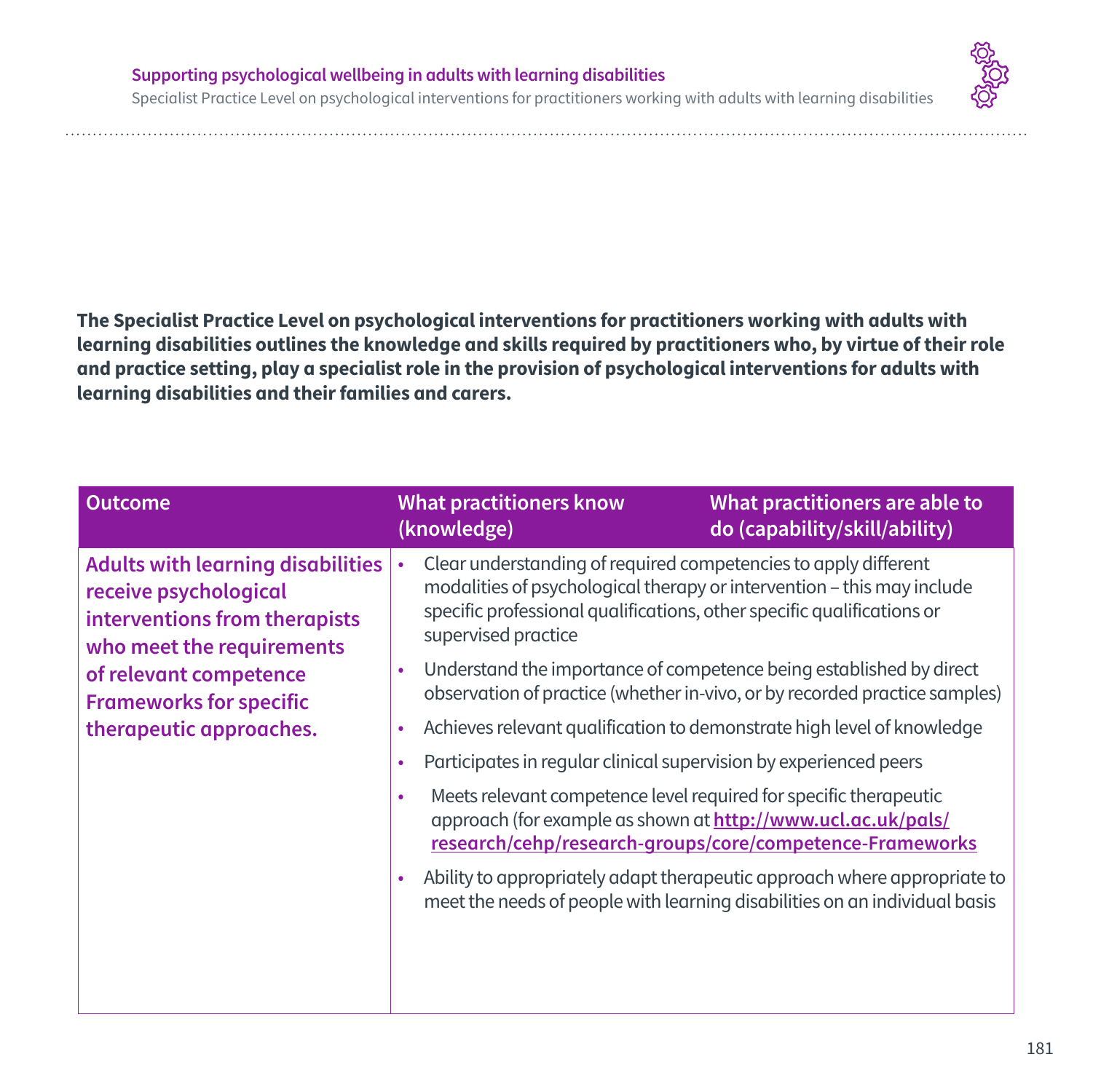

. . . . . . . . . . . . . . . . .

Specialist Practice Level on psychological interventions for practitioners working with adults with learning disabilities

**The Specialist Practice Level on psychological interventions for practitioners working with adults with learning disabilities outlines the knowledge and skills required by practitioners who, by virtue of their role and practice setting, play a specialist role in the provision of psychological interventions for adults with learning disabilities and their families and carers.**

| <b>Outcome</b>                                                                                                                  | <b>What practitioners know</b><br>(knowledge)                                                                                                                                                                                                                                                                                  | What practitioners are able to<br>do (capability/skill/ability)                                                                                        |
|---------------------------------------------------------------------------------------------------------------------------------|--------------------------------------------------------------------------------------------------------------------------------------------------------------------------------------------------------------------------------------------------------------------------------------------------------------------------------|--------------------------------------------------------------------------------------------------------------------------------------------------------|
| <b>Adults with learning disabilities</b><br>receive psychological<br>interventions from therapists<br>who meet the requirements | Clear understanding of required competencies to apply different<br>modalities of psychological therapy or intervention - this may include<br>specific professional qualifications, other specific qualifications or<br>supervised practice<br>Understand the importance of competence being established by direct<br>$\bullet$ |                                                                                                                                                        |
| of relevant competence<br><b>Frameworks for specific</b><br>therapeutic approaches.                                             | Achieves relevant qualification to demonstrate high level of knowledge<br>$\bullet$                                                                                                                                                                                                                                            | observation of practice (whether in-vivo, or by recorded practice samples)                                                                             |
|                                                                                                                                 | Participates in regular clinical supervision by experienced peers<br>$\bullet$                                                                                                                                                                                                                                                 |                                                                                                                                                        |
|                                                                                                                                 | Meets relevant competence level required for specific therapeutic<br>$\bullet$<br>approach (for example as shown at http://www.ucl.ac.uk/pals/                                                                                                                                                                                 | research/cehp/research-groups/core/competence-Frameworks                                                                                               |
|                                                                                                                                 |                                                                                                                                                                                                                                                                                                                                | Ability to appropriately adapt therapeutic approach where appropriate to<br>meet the needs of people with learning disabilities on an individual basis |
|                                                                                                                                 |                                                                                                                                                                                                                                                                                                                                |                                                                                                                                                        |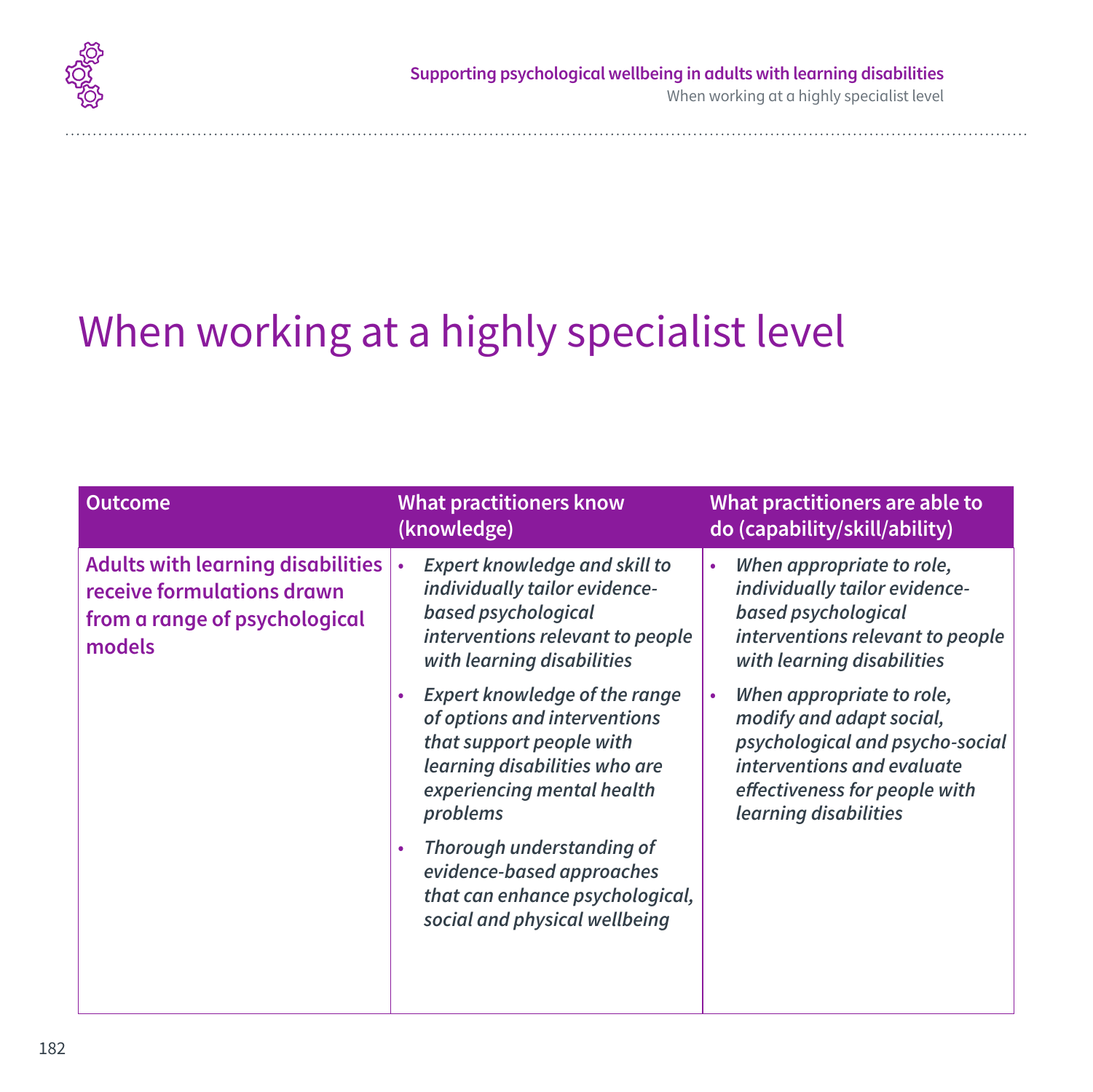

When working at a highly specialist level

# When working at a highly specialist level

| <b>Outcome</b>                                                                                                    | <b>What practitioners know</b><br>(knowledge)                                                                                                                               | What practitioners are able to<br>do (capability/skill/ability)                                                                                                                               |
|-------------------------------------------------------------------------------------------------------------------|-----------------------------------------------------------------------------------------------------------------------------------------------------------------------------|-----------------------------------------------------------------------------------------------------------------------------------------------------------------------------------------------|
| <b>Adults with learning disabilities</b><br>receive formulations drawn<br>from a range of psychological<br>models | <b>Expert knowledge and skill to</b><br>individually tailor evidence-<br>based psychological<br>interventions relevant to people<br>with learning disabilities              | When appropriate to role,<br>$\bullet$<br>individually tailor evidence-<br>based psychological<br>interventions relevant to people<br>with learning disabilities                              |
|                                                                                                                   | <b>Expert knowledge of the range</b><br>of options and interventions<br>that support people with<br>learning disabilities who are<br>experiencing mental health<br>problems | When appropriate to role,<br>$\bullet$<br>modify and adapt social,<br>psychological and psycho-social<br>interventions and evaluate<br>effectiveness for people with<br>learning disabilities |
|                                                                                                                   | Thorough understanding of<br>$\bullet$<br>evidence-based approaches<br>that can enhance psychological,<br>social and physical wellbeing                                     |                                                                                                                                                                                               |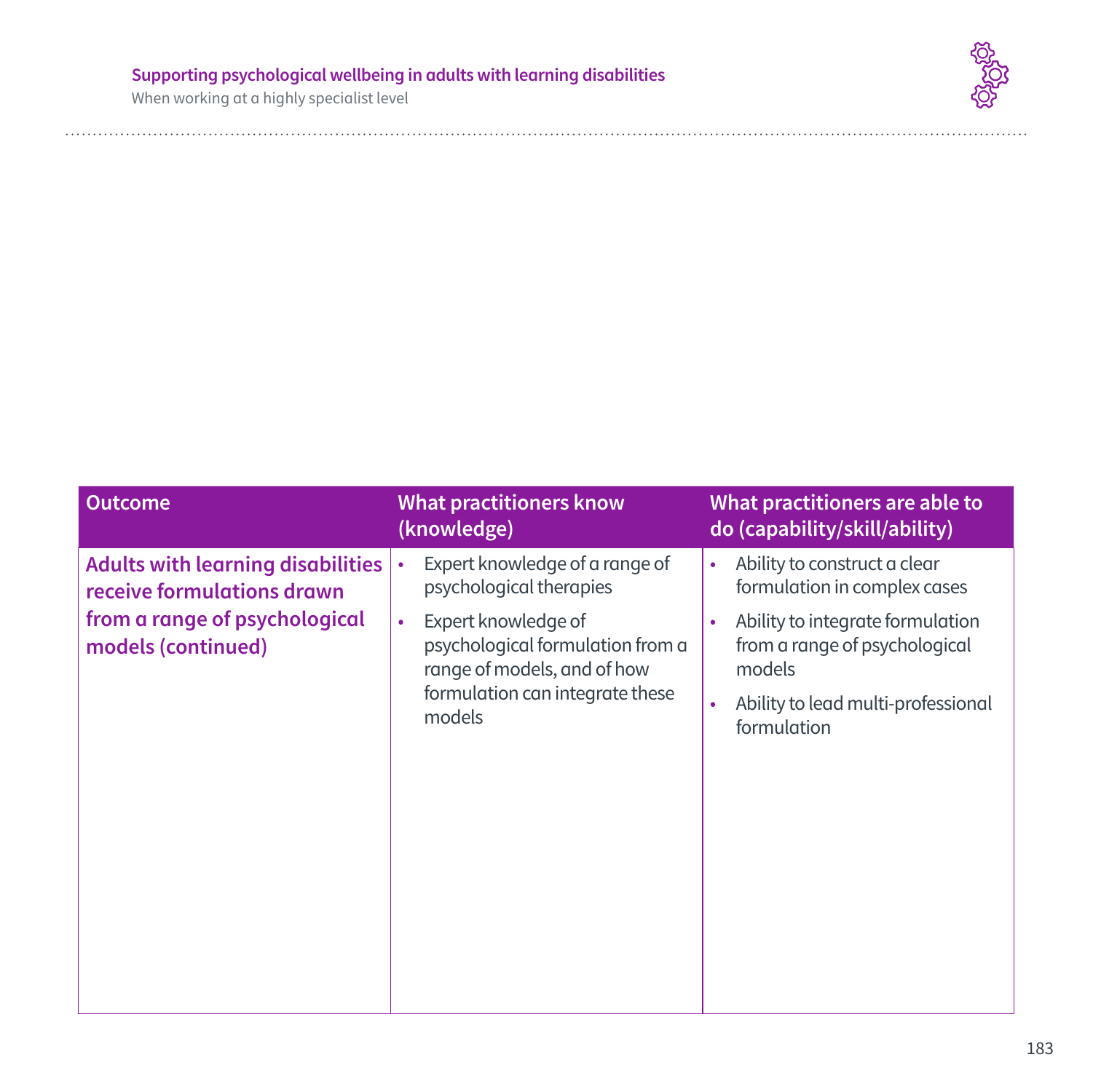When working at a highly specialist level



| <b>Outcome</b>                                                                                                                | <b>What practitioners know</b><br>(knowledge)                                                                                                                                                                              | What practitioners are able to<br>do (capability/skill/ability)                                                                                                                                  |
|-------------------------------------------------------------------------------------------------------------------------------|----------------------------------------------------------------------------------------------------------------------------------------------------------------------------------------------------------------------------|--------------------------------------------------------------------------------------------------------------------------------------------------------------------------------------------------|
| <b>Adults with learning disabilities</b><br>receive formulations drawn<br>from a range of psychological<br>models (continued) | Expert knowledge of a range of<br>$\bullet$<br>psychological therapies<br>Expert knowledge of<br>$\bullet$<br>psychological formulation from a<br>range of models, and of how<br>formulation can integrate these<br>models | Ability to construct a clear<br>formulation in complex cases<br>Ability to integrate formulation<br>from a range of psychological<br>models<br>Ability to lead multi-professional<br>formulation |
|                                                                                                                               |                                                                                                                                                                                                                            |                                                                                                                                                                                                  |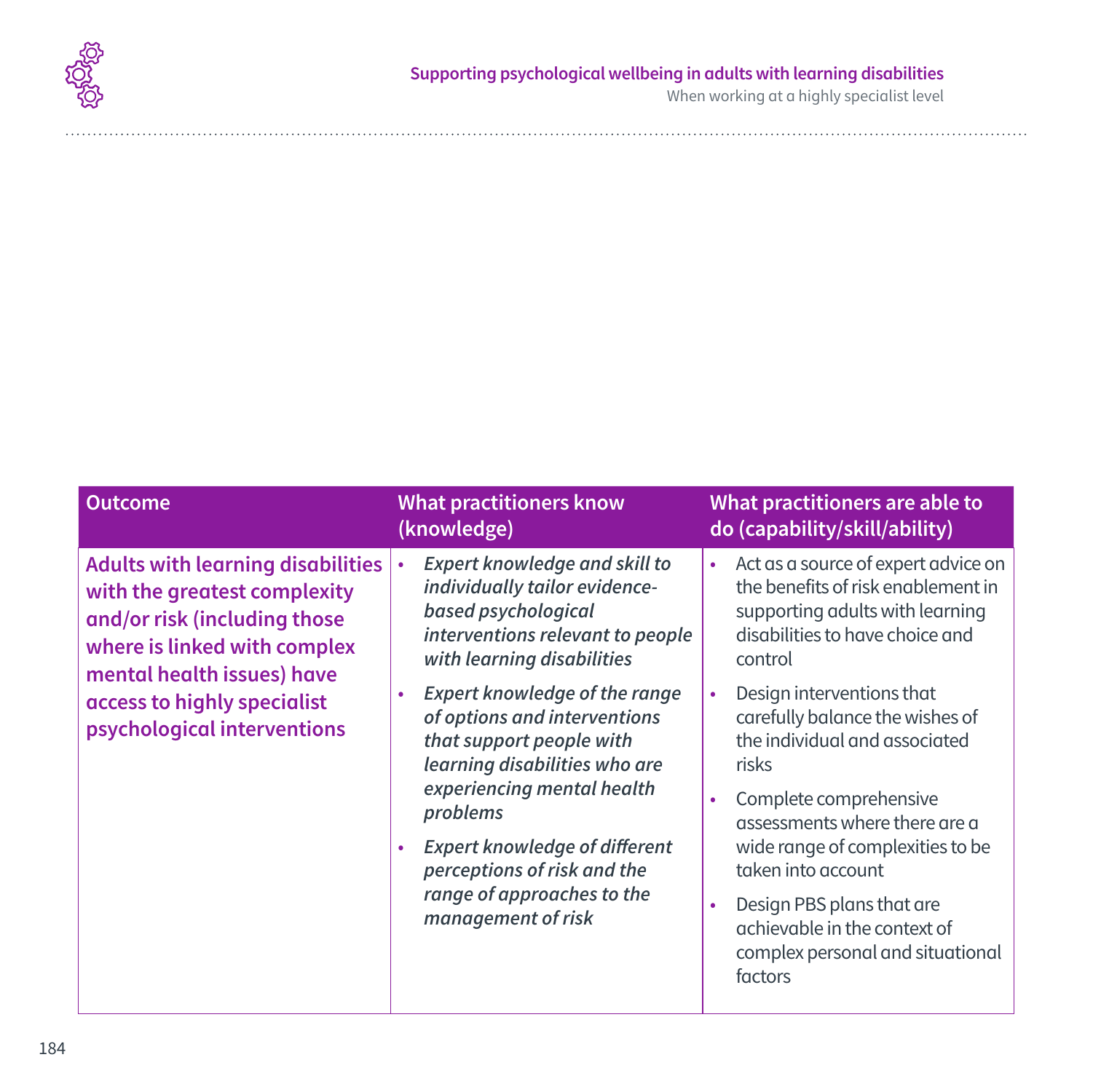

When working at a highly specialist level

| <b>Outcome</b>                                                                                                                                                         | <b>What practitioners know</b><br>(knowledge)                                                                                                                                                                                                                                                          | What practitioners are able to<br>do (capability/skill/ability)                                                                                                                                                                                                                                                                         |
|------------------------------------------------------------------------------------------------------------------------------------------------------------------------|--------------------------------------------------------------------------------------------------------------------------------------------------------------------------------------------------------------------------------------------------------------------------------------------------------|-----------------------------------------------------------------------------------------------------------------------------------------------------------------------------------------------------------------------------------------------------------------------------------------------------------------------------------------|
| <b>Adults with learning disabilities</b><br>with the greatest complexity<br>and/or risk (including those<br>where is linked with complex<br>mental health issues) have | <b>Expert knowledge and skill to</b><br>$\bullet$<br>individually tailor evidence-<br>based psychological<br>interventions relevant to people<br>with learning disabilities                                                                                                                            | Act as a source of expert advice on<br>$\bullet$<br>the benefits of risk enablement in<br>supporting adults with learning<br>disabilities to have choice and<br>control                                                                                                                                                                 |
| access to highly specialist<br>psychological interventions                                                                                                             | <b>Expert knowledge of the range</b><br>of options and interventions<br>that support people with<br>learning disabilities who are<br>experiencing mental health<br>problems<br><b>Expert knowledge of different</b><br>perceptions of risk and the<br>range of approaches to the<br>management of risk | Design interventions that<br>carefully balance the wishes of<br>the individual and associated<br>risks<br>Complete comprehensive<br>assessments where there are a<br>wide range of complexities to be<br>taken into account<br>Design PBS plans that are<br>achievable in the context of<br>complex personal and situational<br>factors |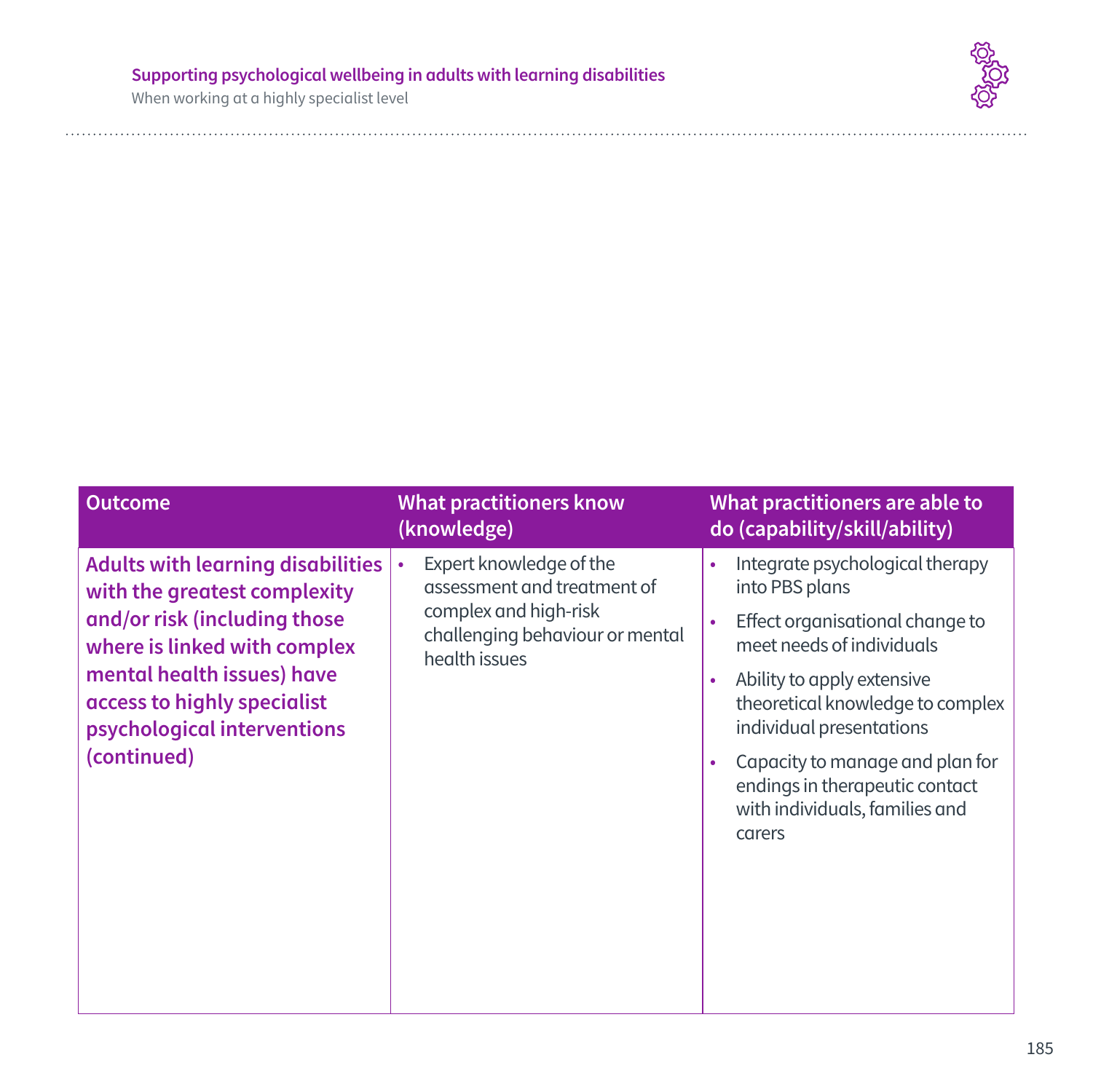When working at a highly specialist level



| <b>Outcome</b>                                                                                                                                                                                                                                      | <b>What practitioners know</b><br>(knowledge)                                                                                                    | What practitioners are able to<br>do (capability/skill/ability)                                                                                                                                                                                                                                                                                                                      |
|-----------------------------------------------------------------------------------------------------------------------------------------------------------------------------------------------------------------------------------------------------|--------------------------------------------------------------------------------------------------------------------------------------------------|--------------------------------------------------------------------------------------------------------------------------------------------------------------------------------------------------------------------------------------------------------------------------------------------------------------------------------------------------------------------------------------|
| <b>Adults with learning disabilities</b><br>with the greatest complexity<br>and/or risk (including those<br>where is linked with complex<br>mental health issues) have<br>access to highly specialist<br>psychological interventions<br>(continued) | Expert knowledge of the<br>$\bullet$<br>assessment and treatment of<br>complex and high-risk<br>challenging behaviour or mental<br>health issues | Integrate psychological therapy<br>$\bullet$<br>into PBS plans<br>Effect organisational change to<br>$\bullet$<br>meet needs of individuals<br>Ability to apply extensive<br>$\bullet$<br>theoretical knowledge to complex<br>individual presentations<br>Capacity to manage and plan for<br>$\bullet$<br>endings in therapeutic contact<br>with individuals, families and<br>carers |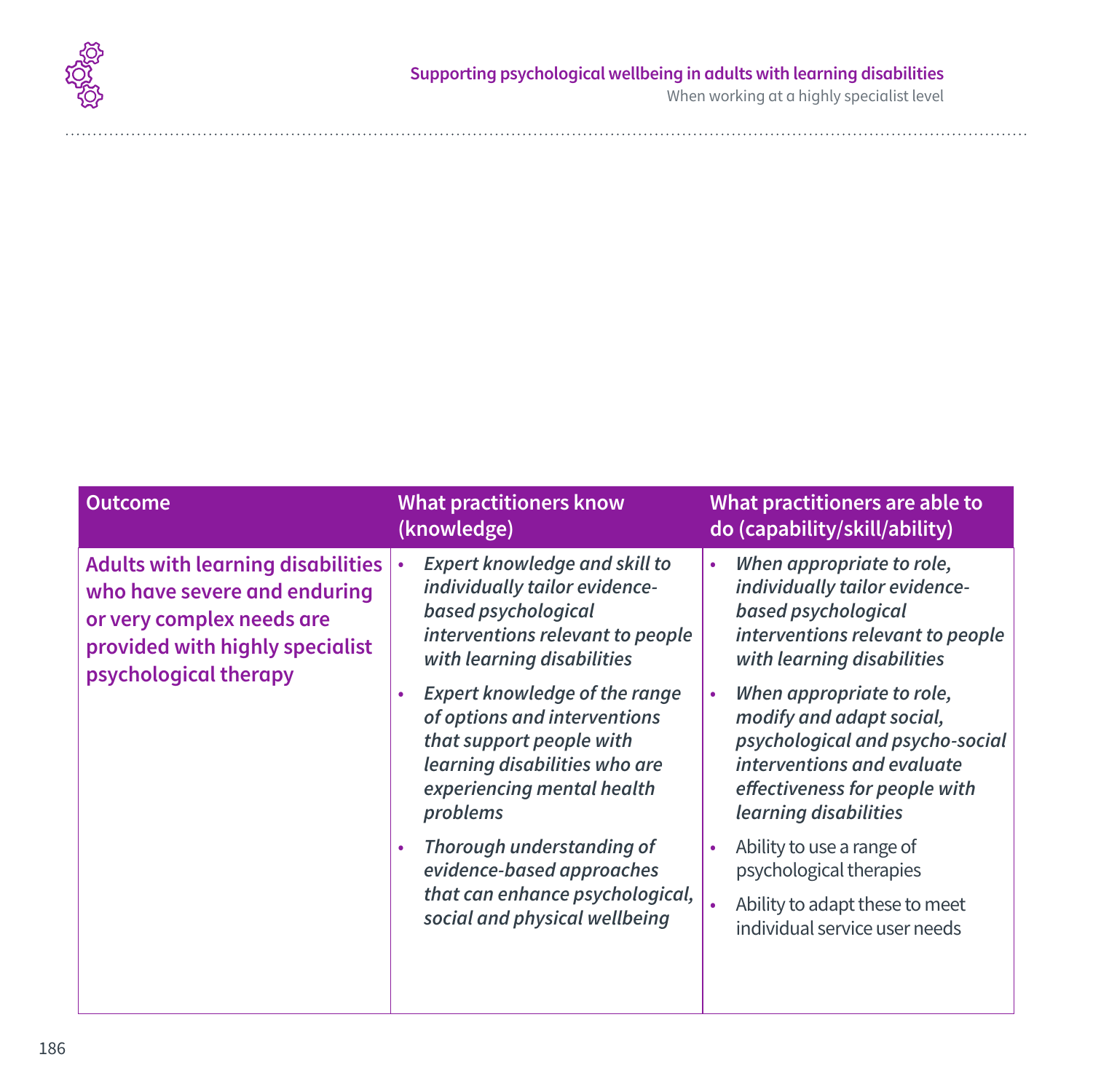

When working at a highly specialist level

| <b>Outcome</b>                                                                                                                                                    | <b>What practitioners know</b><br>(knowledge)                                                                                                                                                                                                                                                                                                              | What practitioners are able to<br>do (capability/skill/ability)                                                                                                                                                                                                                                                                                      |
|-------------------------------------------------------------------------------------------------------------------------------------------------------------------|------------------------------------------------------------------------------------------------------------------------------------------------------------------------------------------------------------------------------------------------------------------------------------------------------------------------------------------------------------|------------------------------------------------------------------------------------------------------------------------------------------------------------------------------------------------------------------------------------------------------------------------------------------------------------------------------------------------------|
| <b>Adults with learning disabilities</b><br>who have severe and enduring<br>or very complex needs are<br>provided with highly specialist<br>psychological therapy | <b>Expert knowledge and skill to</b><br>$\bullet$<br>individually tailor evidence-<br>based psychological<br>interventions relevant to people<br>with learning disabilities<br><b>Expert knowledge of the range</b><br>of options and interventions<br>that support people with<br>learning disabilities who are<br>experiencing mental health<br>problems | When appropriate to role,<br>$\bullet$<br>individually tailor evidence-<br>based psychological<br>interventions relevant to people<br>with learning disabilities<br>When appropriate to role,<br>modify and adapt social,<br>psychological and psycho-social<br>interventions and evaluate<br>effectiveness for people with<br>learning disabilities |
|                                                                                                                                                                   | Thorough understanding of<br>evidence-based approaches<br>that can enhance psychological,<br>social and physical wellbeing                                                                                                                                                                                                                                 | Ability to use a range of<br>$\bullet$<br>psychological therapies<br>Ability to adapt these to meet<br>individual service user needs                                                                                                                                                                                                                 |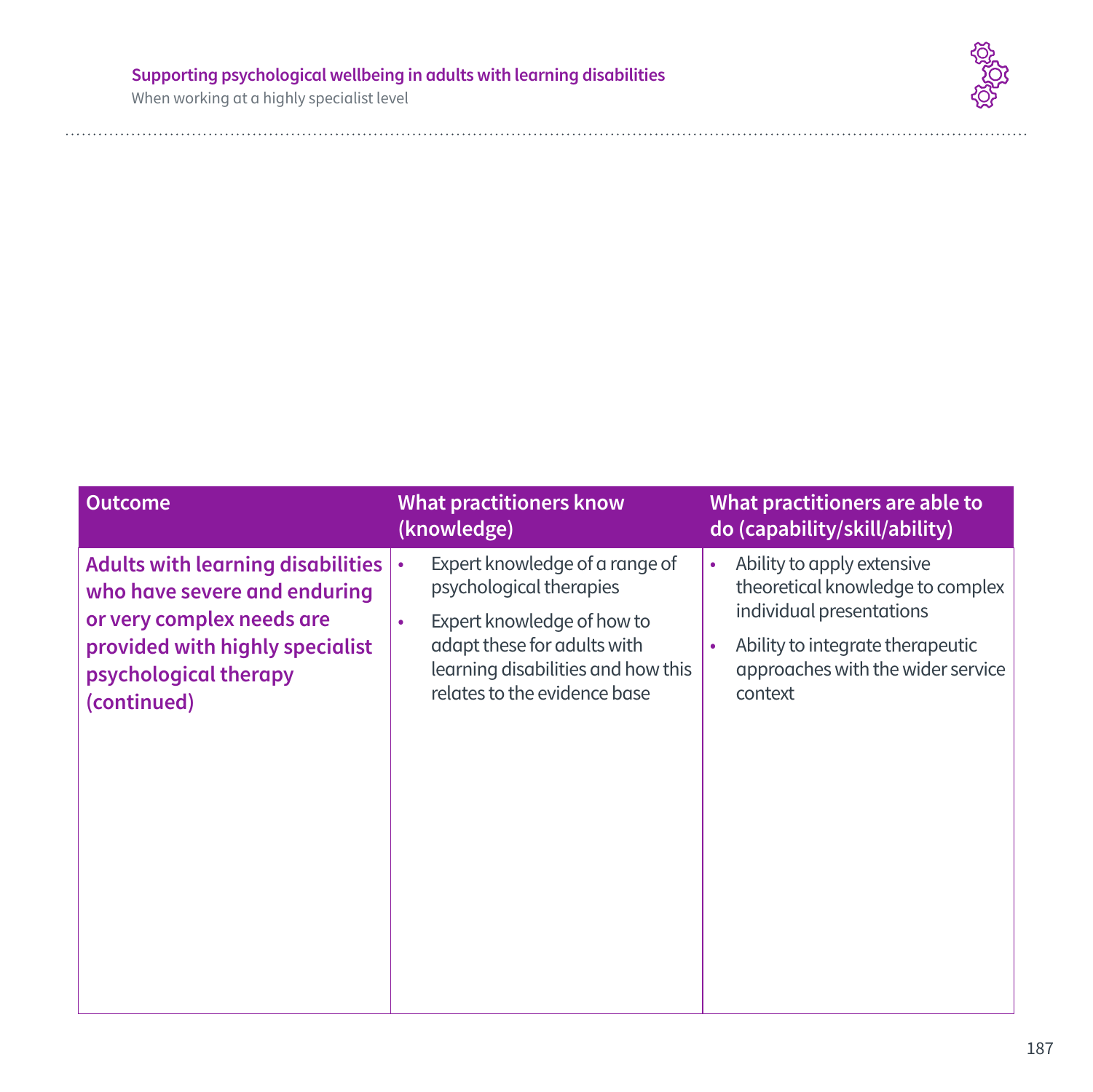When working at a highly specialist level



| <b>Outcome</b>                                                                                                                                                                   | <b>What practitioners know</b><br>(knowledge)                                                                                                                                                                          | What practitioners are able to<br>do (capability/skill/ability)                                                                                                                                  |
|----------------------------------------------------------------------------------------------------------------------------------------------------------------------------------|------------------------------------------------------------------------------------------------------------------------------------------------------------------------------------------------------------------------|--------------------------------------------------------------------------------------------------------------------------------------------------------------------------------------------------|
| <b>Adults with learning disabilities</b><br>who have severe and enduring<br>or very complex needs are<br>provided with highly specialist<br>psychological therapy<br>(continued) | Expert knowledge of a range of<br>$\bullet$<br>psychological therapies<br>Expert knowledge of how to<br>$\bullet$<br>adapt these for adults with<br>learning disabilities and how this<br>relates to the evidence base | Ability to apply extensive<br>$\bullet$<br>theoretical knowledge to complex<br>individual presentations<br>Ability to integrate therapeutic<br>٠<br>approaches with the wider service<br>context |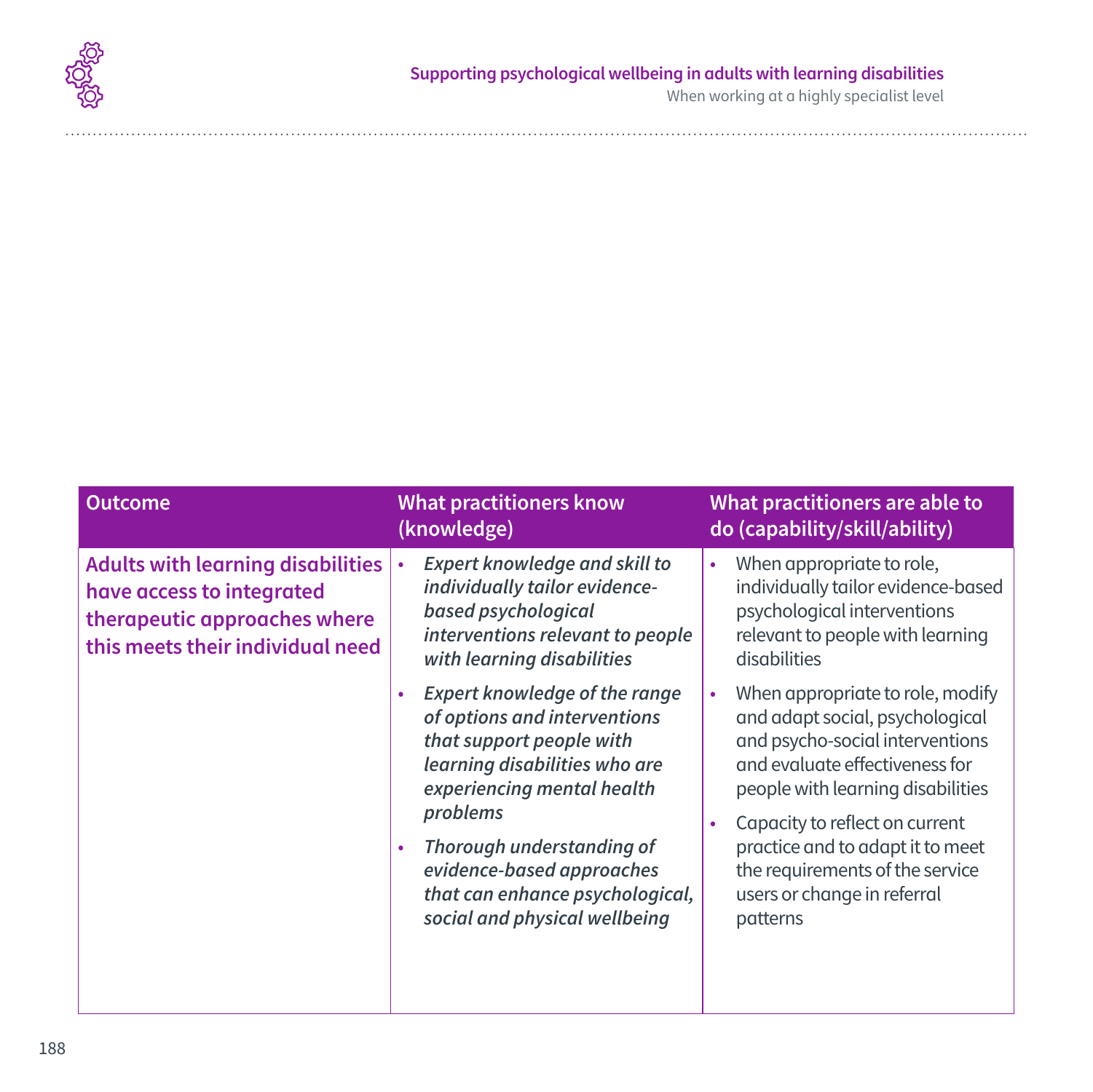

When working at a highly specialist level

| <b>Outcome</b>                                                                                                                            | <b>What practitioners know</b><br>(knowledge)                                                                                                                                                                                                                                                                          | What practitioners are able to<br>do (capability/skill/ability)                                                                                                                                                                                                                                                                   |
|-------------------------------------------------------------------------------------------------------------------------------------------|------------------------------------------------------------------------------------------------------------------------------------------------------------------------------------------------------------------------------------------------------------------------------------------------------------------------|-----------------------------------------------------------------------------------------------------------------------------------------------------------------------------------------------------------------------------------------------------------------------------------------------------------------------------------|
| <b>Adults with learning disabilities</b><br>have access to integrated<br>therapeutic approaches where<br>this meets their individual need | <b>Expert knowledge and skill to</b><br>$\bullet$<br>individually tailor evidence-<br>based psychological<br>interventions relevant to people<br>with learning disabilities                                                                                                                                            | When appropriate to role,<br>individually tailor evidence-based<br>psychological interventions<br>relevant to people with learning<br>disabilities                                                                                                                                                                                |
|                                                                                                                                           | <b>Expert knowledge of the range</b><br>of options and interventions<br>that support people with<br>learning disabilities who are<br>experiencing mental health<br>problems<br>Thorough understanding of<br>$\bullet$<br>evidence-based approaches<br>that can enhance psychological,<br>social and physical wellbeing | When appropriate to role, modify<br>and adapt social, psychological<br>and psycho-social interventions<br>and evaluate effectiveness for<br>people with learning disabilities<br>Capacity to reflect on current<br>practice and to adapt it to meet<br>the requirements of the service<br>users or change in referral<br>patterns |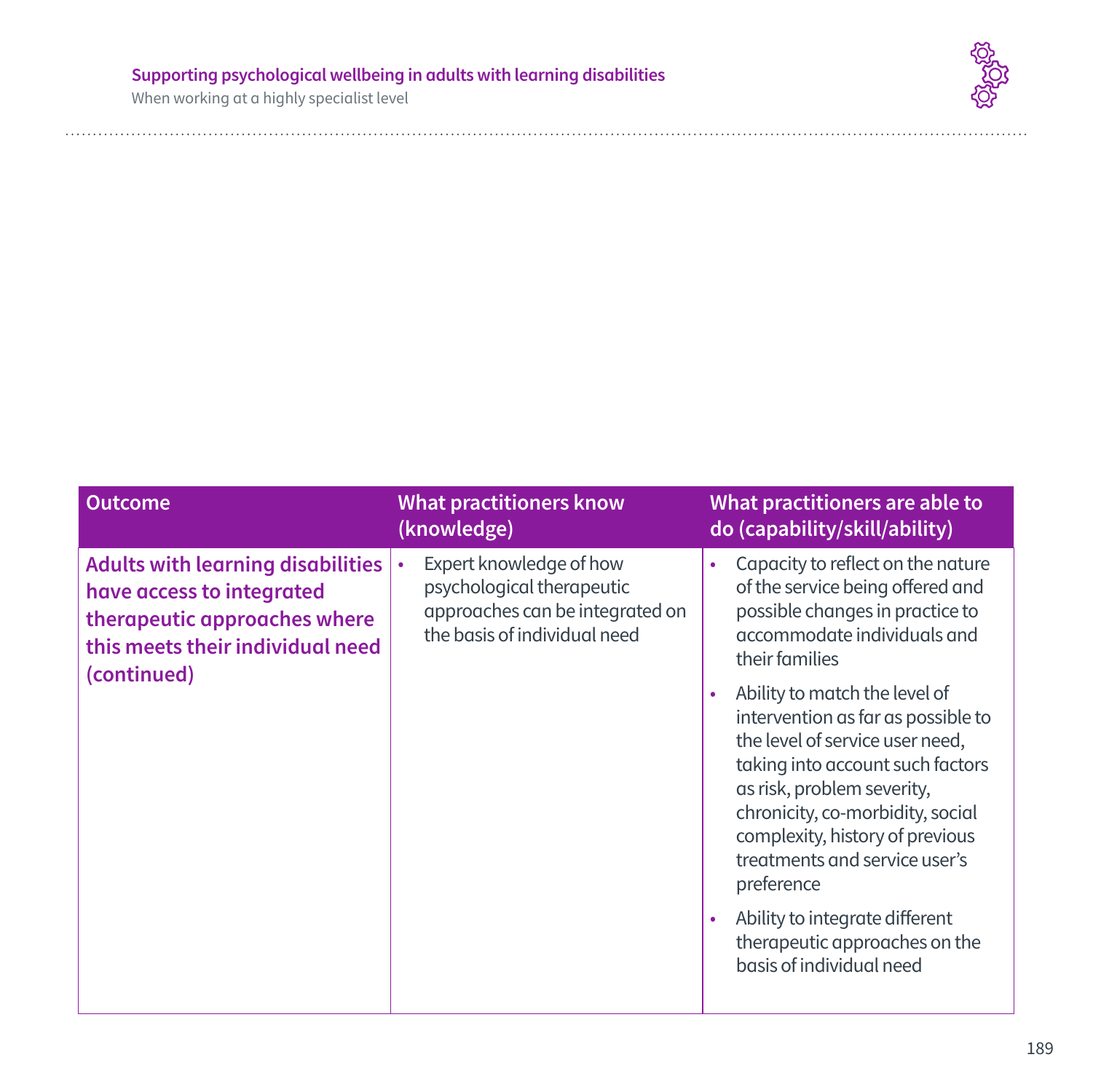When working at a highly specialist level



| <b>Outcome</b><br><b>What practitioners know</b><br>(knowledge)                                                                                                                                                                                                                                                                 | What practitioners are able to<br>do (capability/skill/ability)                                                                                                                                                                                                                                                                                                                                                                                                                                                                                            |
|---------------------------------------------------------------------------------------------------------------------------------------------------------------------------------------------------------------------------------------------------------------------------------------------------------------------------------|------------------------------------------------------------------------------------------------------------------------------------------------------------------------------------------------------------------------------------------------------------------------------------------------------------------------------------------------------------------------------------------------------------------------------------------------------------------------------------------------------------------------------------------------------------|
| Expert knowledge of how<br><b>Adults with learning disabilities</b><br>$\bullet$<br>٠<br>psychological therapeutic<br>have access to integrated<br>approaches can be integrated on<br>therapeutic approaches where<br>the basis of individual need<br>this meets their individual need<br>(continued)<br>$\bullet$<br>$\bullet$ | Capacity to reflect on the nature<br>of the service being offered and<br>possible changes in practice to<br>accommodate individuals and<br>their families<br>Ability to match the level of<br>intervention as far as possible to<br>the level of service user need,<br>taking into account such factors<br>as risk, problem severity,<br>chronicity, co-morbidity, social<br>complexity, history of previous<br>treatments and service user's<br>preference<br>Ability to integrate different<br>therapeutic approaches on the<br>basis of individual need |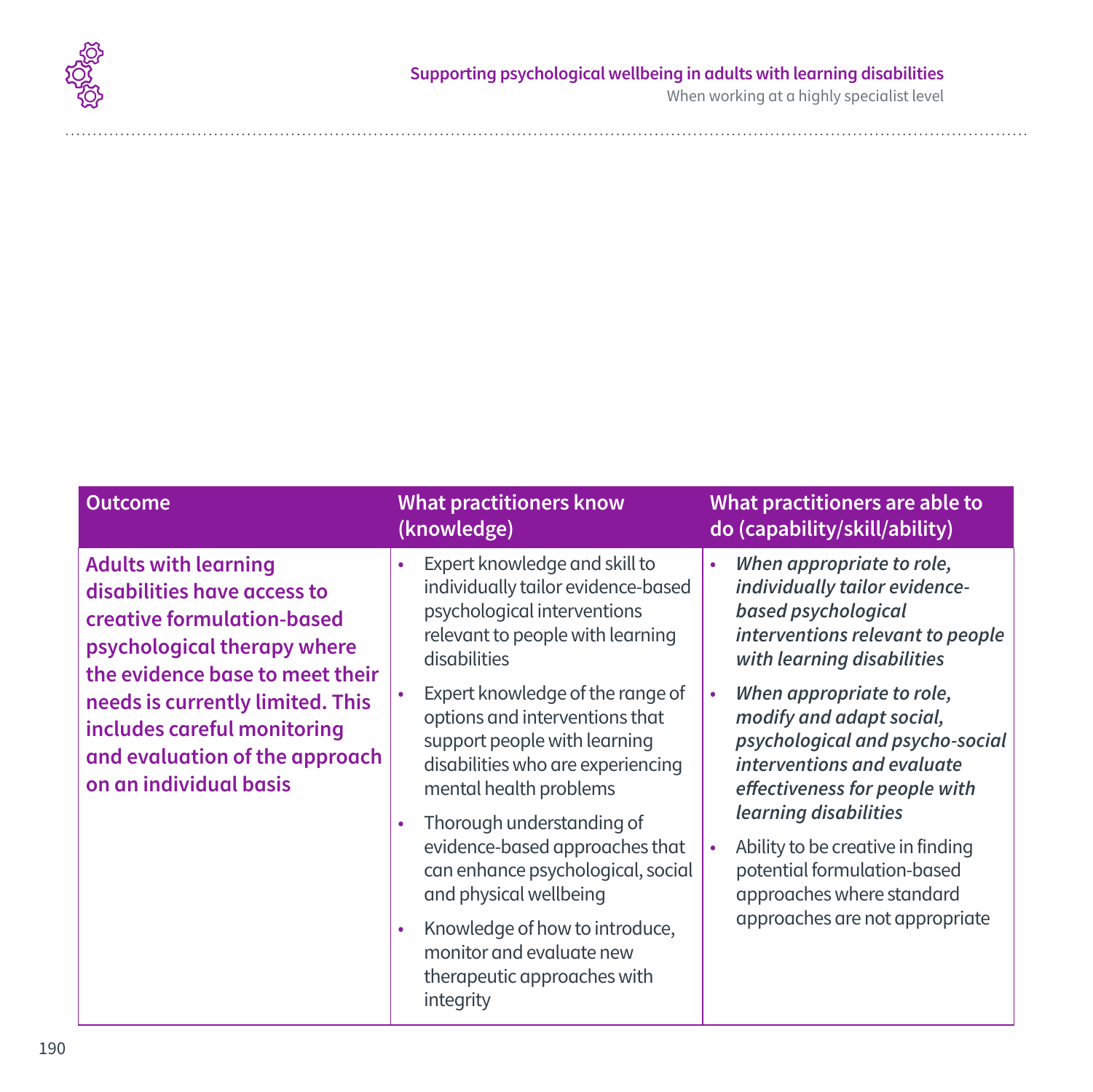

When working at a highly specialist level

| <b>Outcome</b>                                                                                                                                             | <b>What practitioners know</b><br>(knowledge)                                                                                                                                                  | What practitioners are able to<br>do (capability/skill/ability)                                                                                                                               |
|------------------------------------------------------------------------------------------------------------------------------------------------------------|------------------------------------------------------------------------------------------------------------------------------------------------------------------------------------------------|-----------------------------------------------------------------------------------------------------------------------------------------------------------------------------------------------|
| <b>Adults with learning</b><br>disabilities have access to<br>creative formulation-based<br>psychological therapy where<br>the evidence base to meet their | Expert knowledge and skill to<br>individually tailor evidence-based<br>psychological interventions<br>relevant to people with learning<br>disabilities                                         | When appropriate to role,<br>individually tailor evidence-<br>based psychological<br>interventions relevant to people<br>with learning disabilities                                           |
| needs is currently limited. This<br>includes careful monitoring<br>and evaluation of the approach<br>on an individual basis                                | Expert knowledge of the range of<br>options and interventions that<br>support people with learning<br>disabilities who are experiencing<br>mental health problems<br>Thorough understanding of | When appropriate to role,<br>$\bullet$<br>modify and adapt social,<br>psychological and psycho-social<br>interventions and evaluate<br>effectiveness for people with<br>learning disabilities |
|                                                                                                                                                            | evidence-based approaches that<br>can enhance psychological, social<br>and physical wellbeing                                                                                                  | Ability to be creative in finding<br>potential formulation-based<br>approaches where standard                                                                                                 |
|                                                                                                                                                            | Knowledge of how to introduce,<br>$\bullet$<br>monitor and evaluate new<br>therapeutic approaches with<br>integrity                                                                            | approaches are not appropriate                                                                                                                                                                |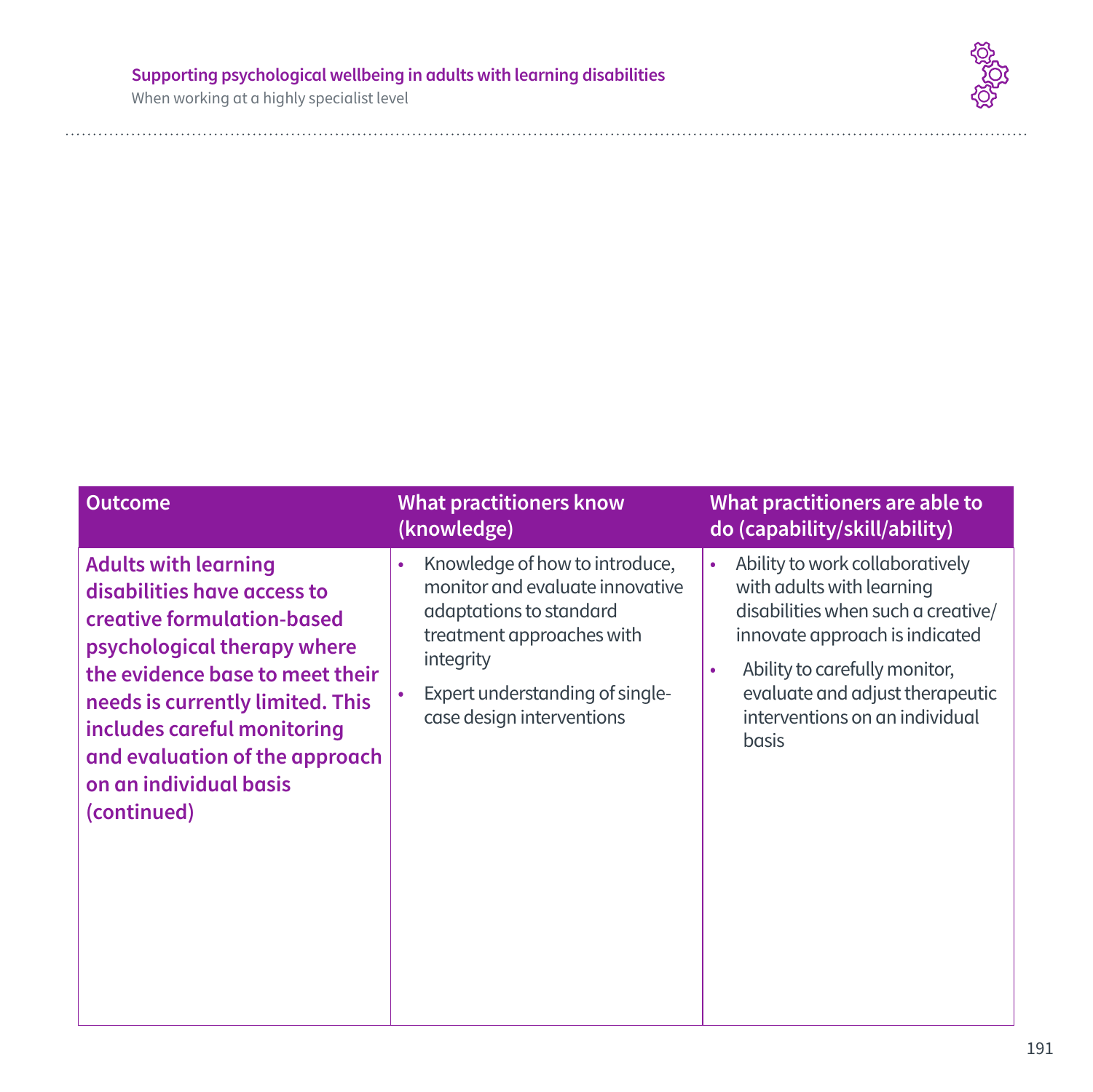When working at a highly specialist level



| <b>Outcome</b>                                                                                                                                                                                                                                                                                           | <b>What practitioners know</b><br>(knowledge)                                                                                                                                                                       | What practitioners are able to<br>do (capability/skill/ability)                                                                                                                                                                                                       |
|----------------------------------------------------------------------------------------------------------------------------------------------------------------------------------------------------------------------------------------------------------------------------------------------------------|---------------------------------------------------------------------------------------------------------------------------------------------------------------------------------------------------------------------|-----------------------------------------------------------------------------------------------------------------------------------------------------------------------------------------------------------------------------------------------------------------------|
| <b>Adults with learning</b><br>disabilities have access to<br>creative formulation-based<br>psychological therapy where<br>the evidence base to meet their<br>needs is currently limited. This<br>includes careful monitoring<br>and evaluation of the approach<br>on an individual basis<br>(continued) | Knowledge of how to introduce,<br>$\bullet$<br>monitor and evaluate innovative<br>adaptations to standard<br>treatment approaches with<br>integrity<br>Expert understanding of single-<br>case design interventions | Ability to work collaboratively<br>$\bullet$<br>with adults with learning<br>disabilities when such a creative/<br>innovate approach is indicated<br>Ability to carefully monitor,<br>٠<br>evaluate and adjust therapeutic<br>interventions on an individual<br>basis |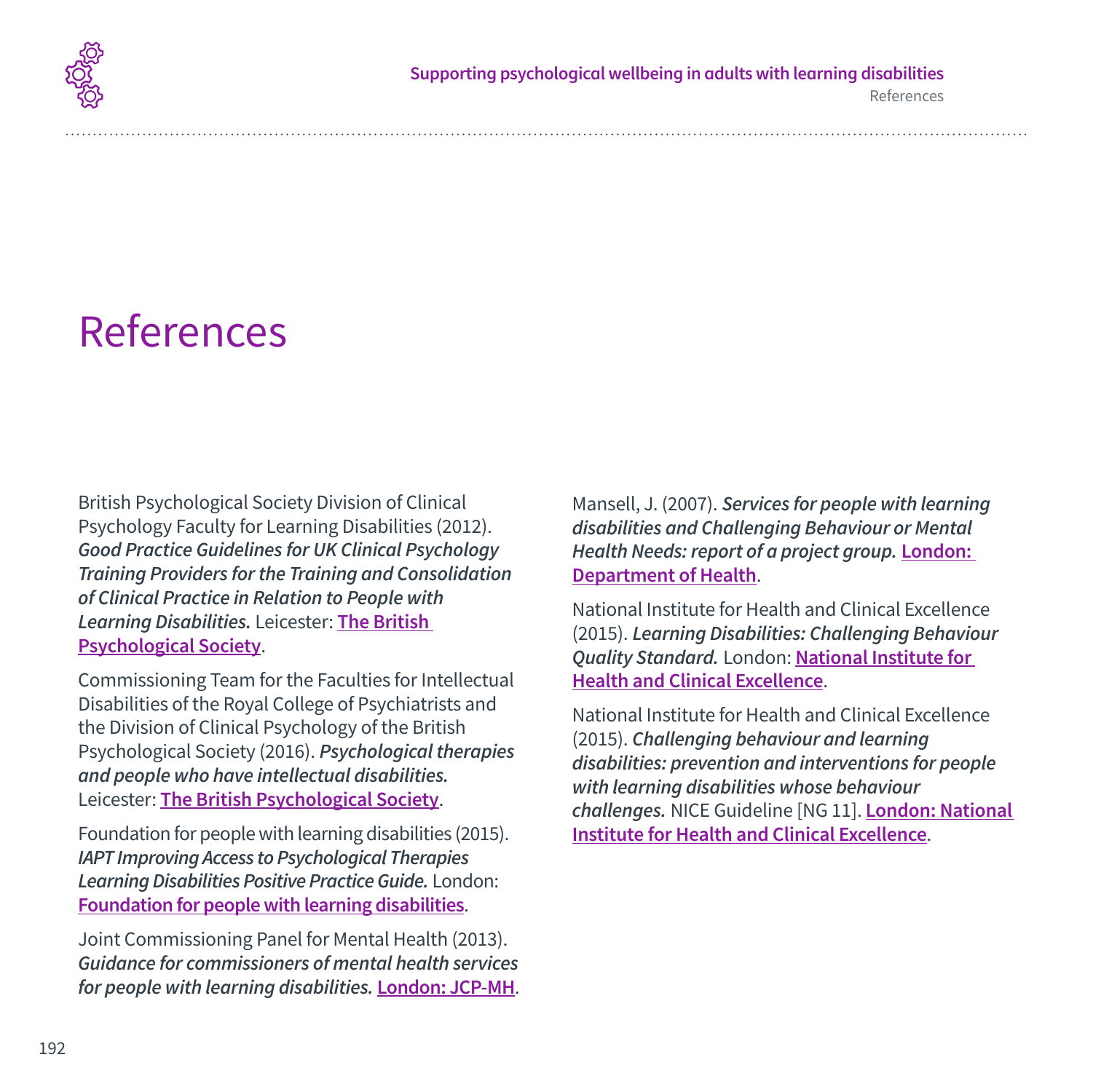

References

References

British Psychological Society Division of Clinical Psychology Faculty for Learning Disabilities (2012). *Good Practice Guidelines for UK Clinical Psychology Training Providers for the Training and Consolidation of Clinical Practice in Relation to People with Learning Disabilities.* Leicester: **[The British](https://shop.bps.org.uk/publications/good-practice-guidelines-for-uk-clinical-psychology-training-providers-for-the-training-and-consolidation-of-clinical-practice-in-relation-to-people-with-learning-disabilities.html)  [Psychological Society](https://shop.bps.org.uk/publications/good-practice-guidelines-for-uk-clinical-psychology-training-providers-for-the-training-and-consolidation-of-clinical-practice-in-relation-to-people-with-learning-disabilities.html)**.

Commissioning Team for the Faculties for Intellectual Disabilities of the Royal College of Psychiatrists and the Division of Clinical Psychology of the British Psychological Society (2016). *Psychological therapies and people who have intellectual disabilities.* Leicester: **[The British Psychological Society](https://shop.bps.org.uk/publications/publications-by-subject/psychological-therapies-and-people-who-have-intellectual-disabilities.html)**.

Foundation for people with learning disabilities (2015). *IAPT Improving Access to Psychological Therapies Learning Disabilities Positive Practice Guide.* London: **[Foundation for people with learning disabilities](https://www.mentalhealth.org.uk/publications/learning-disabilities-iapt-positive-practice-guide)**.

Joint Commissioning Panel for Mental Health (2013). *Guidance for commissioners of mental health services for people with learning disabilities.* **[London: JCP-MH](https://www.jcpmh.info/resource/guidance-for-commissioners-of-mental-health-services-for-people-with-learning-disabilities/)**. Mansell, J. (2007). *Services for people with learning disabilities and Challenging Behaviour or Mental Health Needs: report of a project group.* **[London:](http://webarchive.nationalarchives.gov.uk/+/http://www.dh.gov.uk/en/Publicationsandstatistics/Publications/PublicationsPolicyAndGuidance/DH_080129)  [Department of Health](http://webarchive.nationalarchives.gov.uk/+/http://www.dh.gov.uk/en/Publicationsandstatistics/Publications/PublicationsPolicyAndGuidance/DH_080129)**.

National Institute for Health and Clinical Excellence (2015). *Learning Disabilities: Challenging Behaviour Quality Standard.* London: **[National Institute for](https://www.nice.org.uk/guidance/qs101)  [Health and Clinical Excellence](https://www.nice.org.uk/guidance/qs101)**.

National Institute for Health and Clinical Excellence (2015). *Challenging behaviour and learning disabilities: prevention and interventions for people with learning disabilities whose behaviour challenges.* NICE Guideline [NG 11]. **[London: National](https://www.nice.org.uk/guidance/ng11)  [Institute for Health and Clinical Excellence](https://www.nice.org.uk/guidance/ng11)**.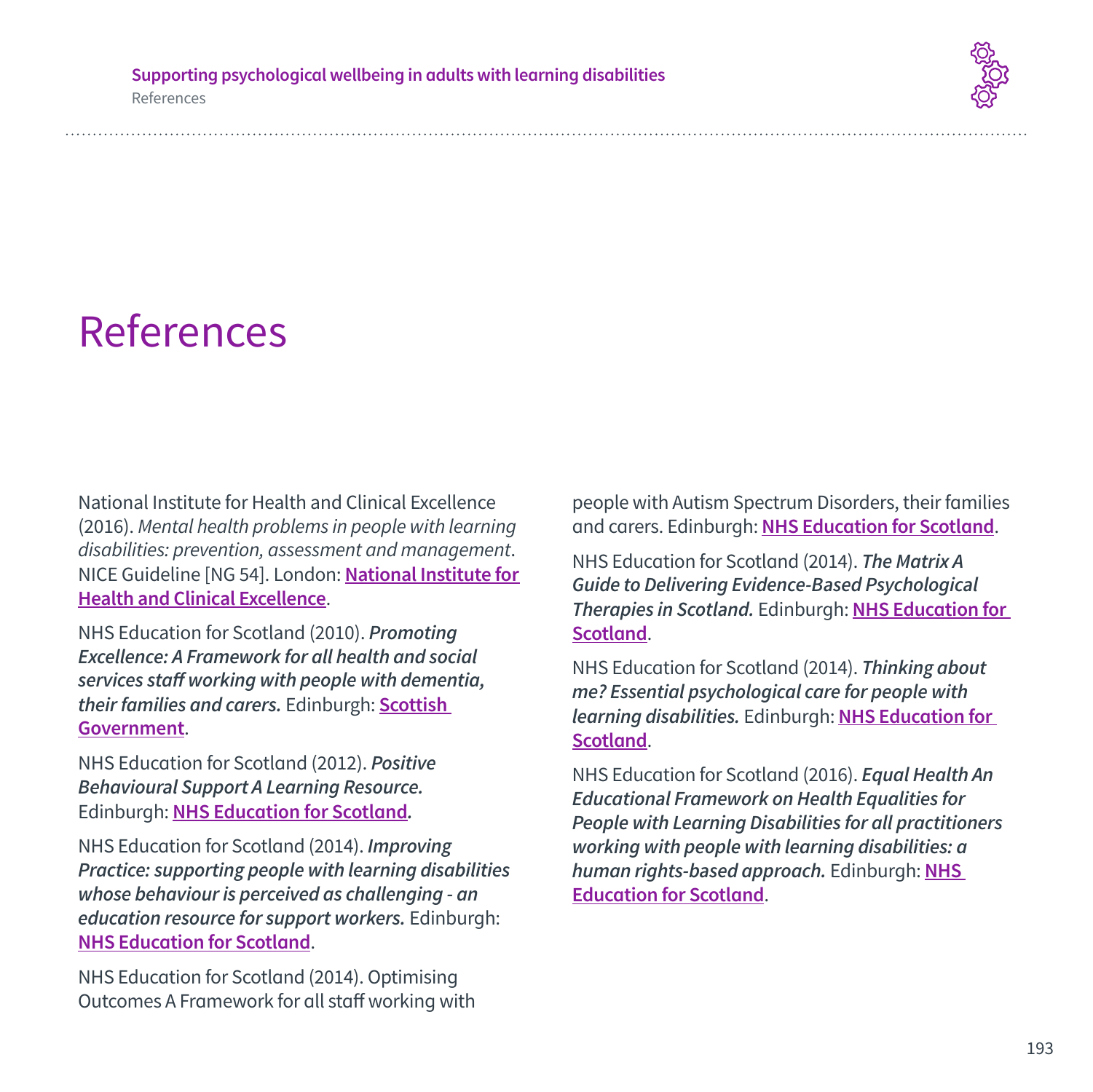

# References

National Institute for Health and Clinical Excellence (2016). *Mental health problems in people with learning disabilities: prevention, assessment and management*. NICE Guideline [NG 54]. London: **[National Institute for](https://www.nice.org.uk/guidance/ng54)  [Health and Clinical Excellence](https://www.nice.org.uk/guidance/ng54)**.

NHS Education for Scotland (2010). *Promoting Excellence: A Framework for all health and social services staff working with people with dementia, their families and carers.* [Edinburgh:](http://www.gov.scot/Publications/2011/05/31085332/0) **Scottish [Government](http://www.gov.scot/Publications/2011/05/31085332/0)**.

NHS Education for Scotland (2012). *Positive Behavioural Support A Learning Resource.* Edinburgh: **[NHS Education for Scotland](http://www.nes.scot.nhs.uk/education-and-training/by-theme-initiative/mental-health-and-learning-disabilities/our-work,-publications-and-resources/learning-disabilities/positive-behavioural-support-a-learning-resource.aspx)***.*

NHS Education for Scotland (2014). *Improving Practice: supporting people with learning disabilities whose behaviour is perceived as challenging - an education resource for support workers.* Edinburgh: **[NHS Education for Scotland](http://www.nes.scot.nhs.uk/education-and-training/by-theme-initiative/mental-health-and-learning-disabilities/our-work,-publications-and-resources/learning-disabilities/improving-practice-supporting-people-whose-behaviour-is-perceived-as-challenging.aspx)**.

NHS Education for Scotland (2014). Optimising Outcomes A Framework for all staff working with people with Autism Spectrum Disorders, their families and carers. Edinburgh: **[NHS Education for Scotland](http://www.knowledge.scot.nhs.uk/home/learning-and-cpd/learning-spaces/autism-spectrum-disorder.aspx)**.

NHS Education for Scotland (2014). *The Matrix A Guide to Delivering Evidence-Based Psychological Therapies in Scotland.* Edinburgh: **[NHS Education for](http://www.nes.scot.nhs.uk/education-and-training/by-theme-initiative/mental-health-and-learning-disabilities/our-work,-publications-and-resources/learning-disabilities/improving-practice-supporting-people-whose-behaviour-is-perceived-as-challenging.aspx)  [Scotland](http://www.nes.scot.nhs.uk/education-and-training/by-theme-initiative/mental-health-and-learning-disabilities/our-work,-publications-and-resources/learning-disabilities/improving-practice-supporting-people-whose-behaviour-is-perceived-as-challenging.aspx)**.

NHS Education for Scotland (2014). *Thinking about me? Essential psychological care for people with learning disabilities.* Edinburgh: **[NHS Education for](http://www.nes.scot.nhs.uk/education-and-training/by-theme-initiative/mental-health-and-learning-disabilities/our-work,-publications-and-resources/learning-disabilities/thinking-about-me-essential-psychological-care-for-people-with-learning-disabilities.aspx)  [Scotland](http://www.nes.scot.nhs.uk/education-and-training/by-theme-initiative/mental-health-and-learning-disabilities/our-work,-publications-and-resources/learning-disabilities/thinking-about-me-essential-psychological-care-for-people-with-learning-disabilities.aspx)**.

NHS Education for Scotland (2016). *Equal Health An Educational Framework on Health Equalities for People with Learning Disabilities for all practitioners working with people with learning disabilities: a human rights-based approach.* [Edinburgh:](http://www.nes.scot.nhs.uk/education-and-training/by-theme-initiative/mental-health-and-learning-disabilities/our-work,-publications-and-resources/learning-disabilities/equal-health-educational-framework.aspx) **NHS [Education for Scotland](http://www.nes.scot.nhs.uk/education-and-training/by-theme-initiative/mental-health-and-learning-disabilities/our-work,-publications-and-resources/learning-disabilities/equal-health-educational-framework.aspx)**.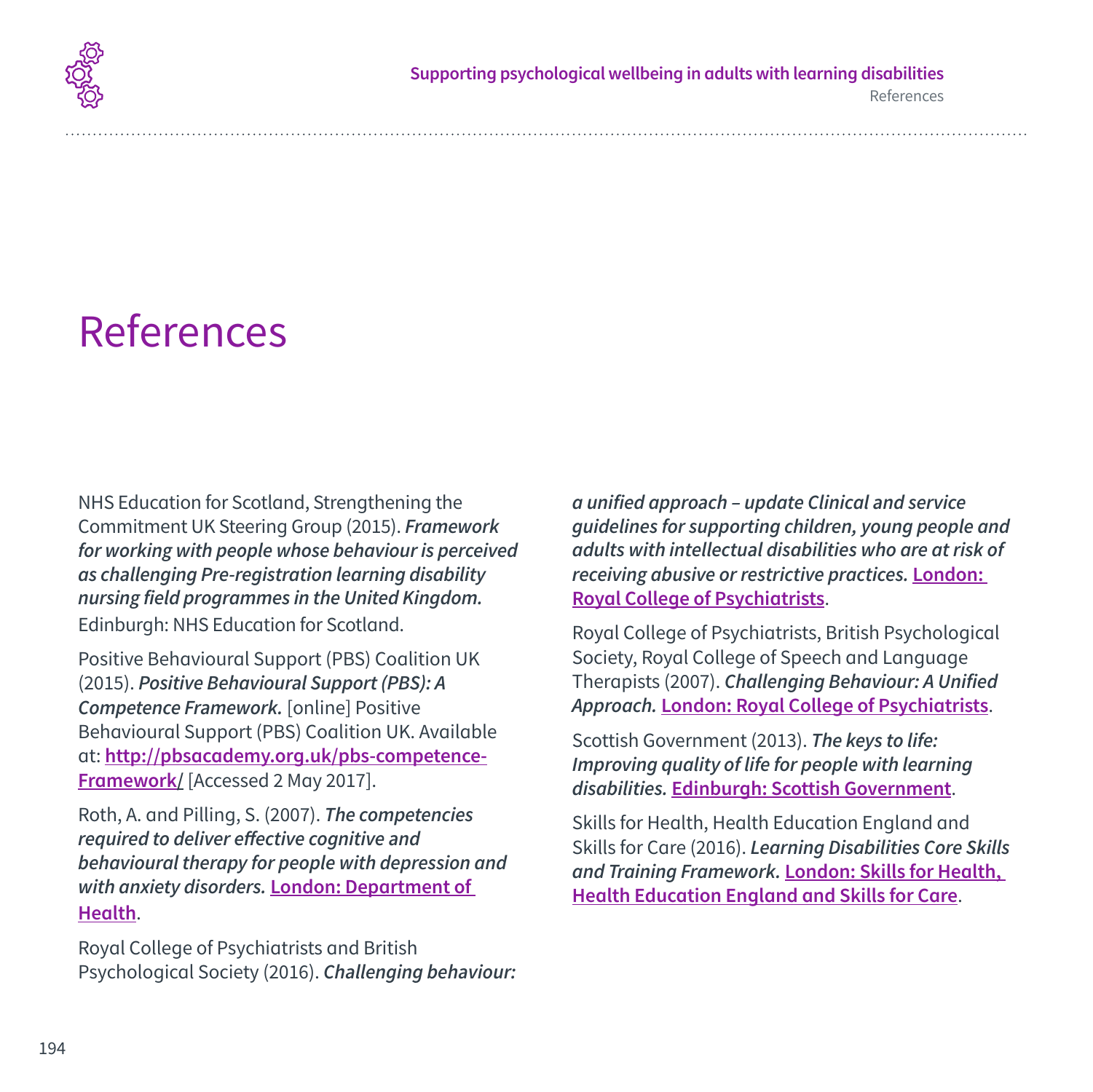

References

## References

NHS Education for Scotland, Strengthening the Commitment UK Steering Group (2015). *Framework for working with people whose behaviour is perceived as challenging Pre-registration learning disability nursing field programmes in the United Kingdom.*  Edinburgh: NHS Education for Scotland.

Positive Behavioural Support (PBS) Coalition UK (2015). *Positive Behavioural Support (PBS): A Competence Framework.* [online] Positive Behavioural Support (PBS) Coalition UK. Available at: **[http://pbsacademy.org.uk/pbs-competence-](http://pbsacademy.org.uk/pbs-competence-Framework)[Framework](http://pbsacademy.org.uk/pbs-competence-Framework)/** [Accessed 2 May 2017].

Roth, A. and Pilling, S. (2007). *The competencies required to deliver effective cognitive and behavioural therapy for people with depression and with anxiety disorders.* **[London: Department of](https://www.researchgate.net/publication/237549113_The_Competences_Requir

ed_to_Deliver_Effective_Cognitive_and_Behavioural_Therapy_for_People_with_Depression_and_with_Anxiety_Disorders)  [Health](https://www.researchgate.net/publication/237549113_The_Competences_Requir

ed_to_Deliver_Effective_Cognitive_and_Behavioural_Therapy_for_People_with_Depression_and_with_Anxiety_Disorders)**.

Royal College of Psychiatrists and British Psychological Society (2016). *Challenging behaviour:*  *a unified approach – update Clinical and service guidelines for supporting children, young people and adults with intellectual disabilities who are at risk of receiving abusive or restrictive practices.* **[London:](https://www.bps.org.uk/news-and-policy/challenging-behaviour-unified-approach-updated-april-2016)  [Royal College of Psychiatrists](https://www.bps.org.uk/news-and-policy/challenging-behaviour-unified-approach-updated-april-2016)**.

Royal College of Psychiatrists, British Psychological Society, Royal College of Speech and Language Therapists (2007). *Challenging Behaviour: A Unified Approach.* **[London: Royal College of Psychiatrists](http://www.rcpsych.ac.uk/usefulresources/publications/collegereports/cr/cr144.aspx)**.

Scottish Government (2013). *The keys to life: Improving quality of life for people with learning disabilities.* **[Edinburgh: Scottish Government](http://www.gov.scot/Publications/2013/06/1123)**.

Skills for Health, Health Education England and Skills for Care (2016). *Learning Disabilities Core Skills and Training Framework.* **[London: Skills for Health,](http://www.skillsforhealth.org.uk/news/latest-news/item/450-coming-soon-learning-disabilities-core-skills-training-framework)  [Health Education England and Skills for Care](http://www.skillsforhealth.org.uk/news/latest-news/item/450-coming-soon-learning-disabilities-core-skills-training-framework)**.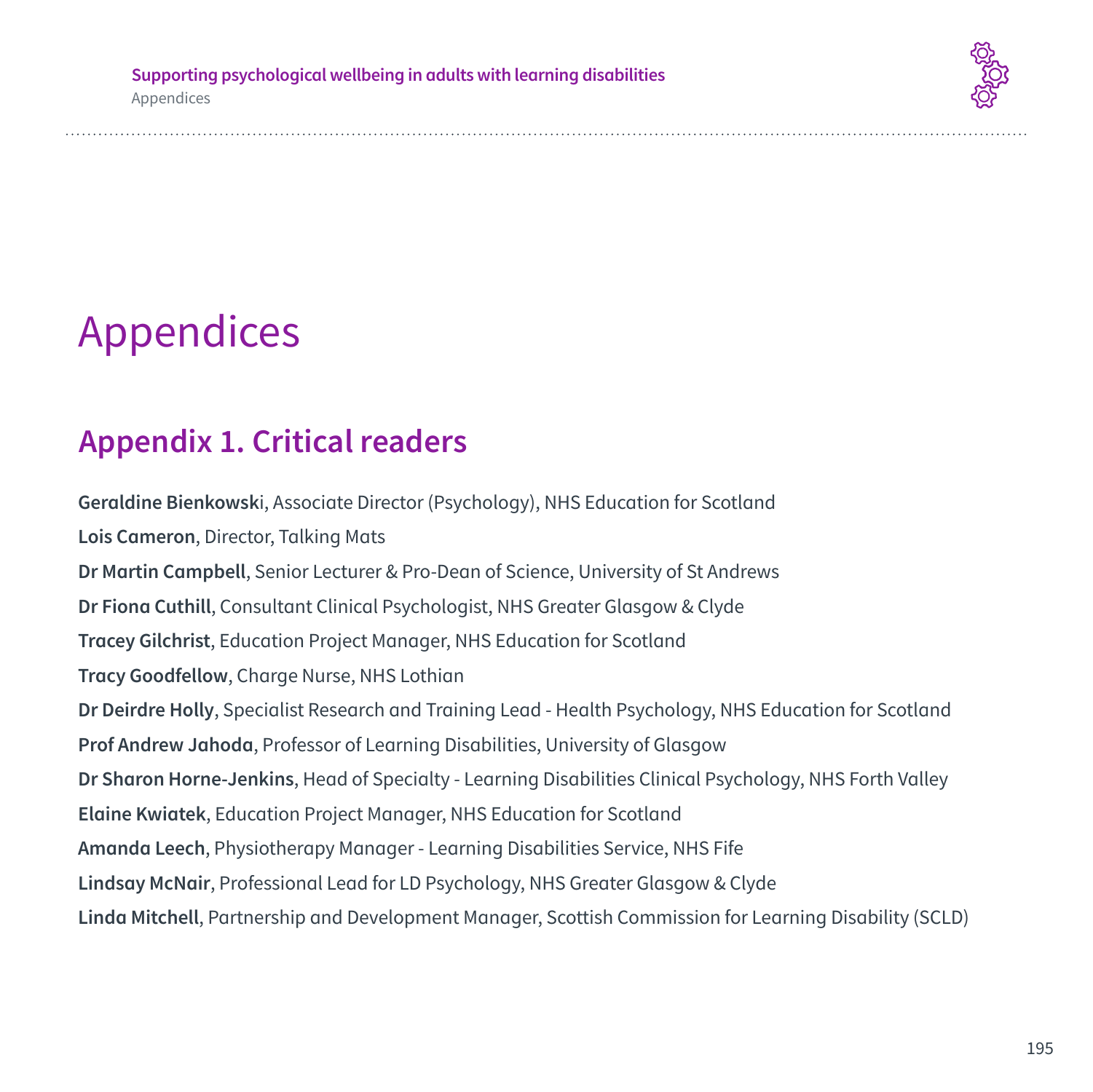

### **Appendix 1. Critical readers**

**Geraldine Bienkowsk**i, Associate Director (Psychology), NHS Education for Scotland **Lois Cameron**, Director, Talking Mats **Dr Martin Campbell**, Senior Lecturer & Pro-Dean of Science, University of St Andrews **Dr Fiona Cuthill**, Consultant Clinical Psychologist, NHS Greater Glasgow & Clyde **Tracey Gilchrist**, Education Project Manager, NHS Education for Scotland **Tracy Goodfellow**, Charge Nurse, NHS Lothian **Dr Deirdre Holly**, Specialist Research and Training Lead - Health Psychology, NHS Education for Scotland **Prof Andrew Jahoda**, Professor of Learning Disabilities, University of Glasgow **Dr Sharon Horne-Jenkins**, Head of Specialty - Learning Disabilities Clinical Psychology, NHS Forth Valley **Elaine Kwiatek**, Education Project Manager, NHS Education for Scotland **Amanda Leech**, Physiotherapy Manager - Learning Disabilities Service, NHS Fife **Lindsay McNair**, Professional Lead for LD Psychology, NHS Greater Glasgow & Clyde **Linda Mitchell**, Partnership and Development Manager, Scottish Commission for Learning Disability (SCLD)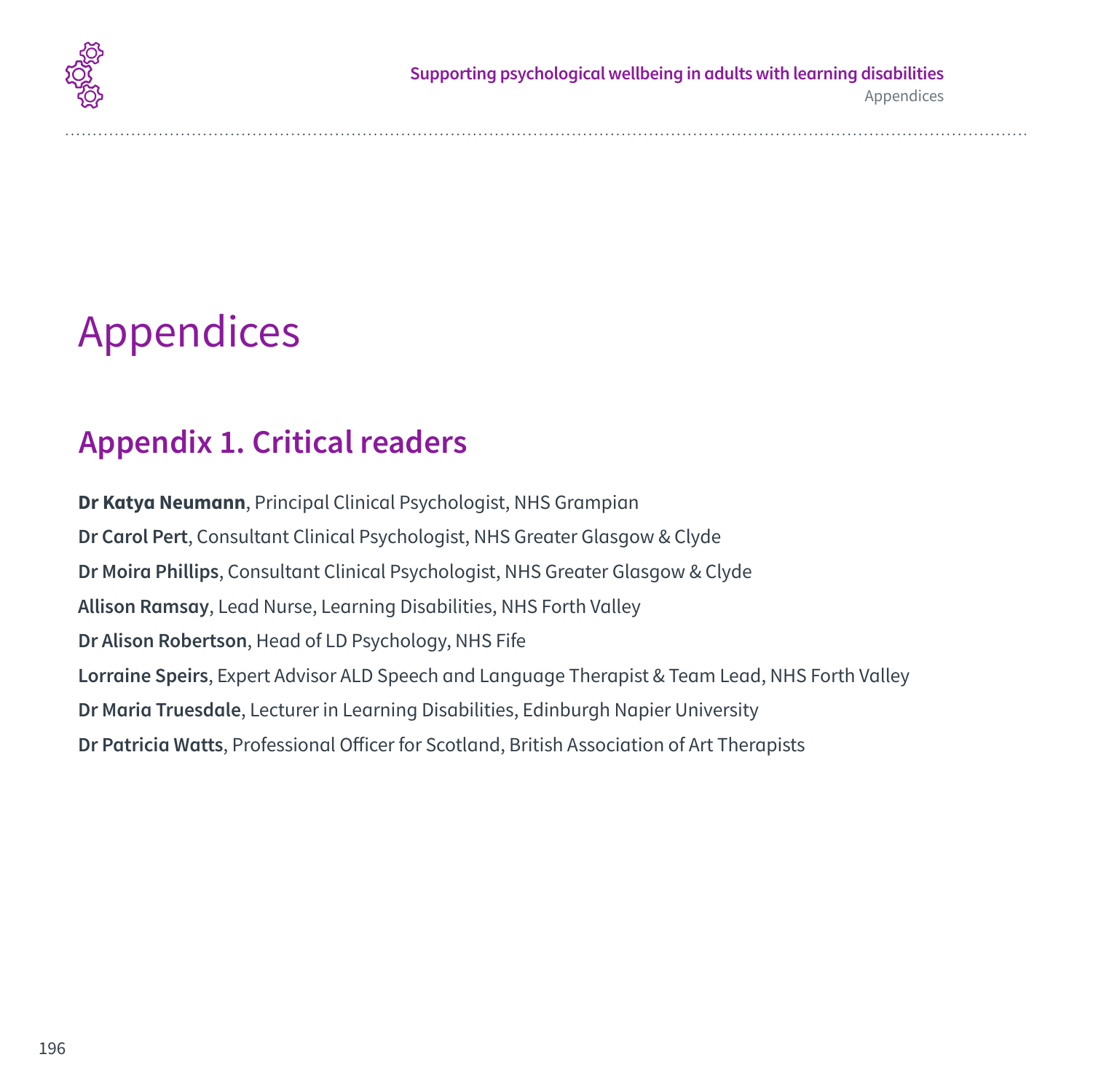

# Appendices

## **Appendix 1. Critical readers**

**Dr Katya Neumann**, Principal Clinical Psychologist, NHS Grampian **Dr Carol Pert**, Consultant Clinical Psychologist, NHS Greater Glasgow & Clyde **Dr Moira Phillips**, Consultant Clinical Psychologist, NHS Greater Glasgow & Clyde **Allison Ramsay**, Lead Nurse, Learning Disabilities, NHS Forth Valley **Dr Alison Robertson**, Head of LD Psychology, NHS Fife **Lorraine Speirs**, Expert Advisor ALD Speech and Language Therapist & Team Lead, NHS Forth Valley **Dr Maria Truesdale**, Lecturer in Learning Disabilities, Edinburgh Napier University **Dr Patricia Watts**, Professional Officer for Scotland, British Association of Art Therapists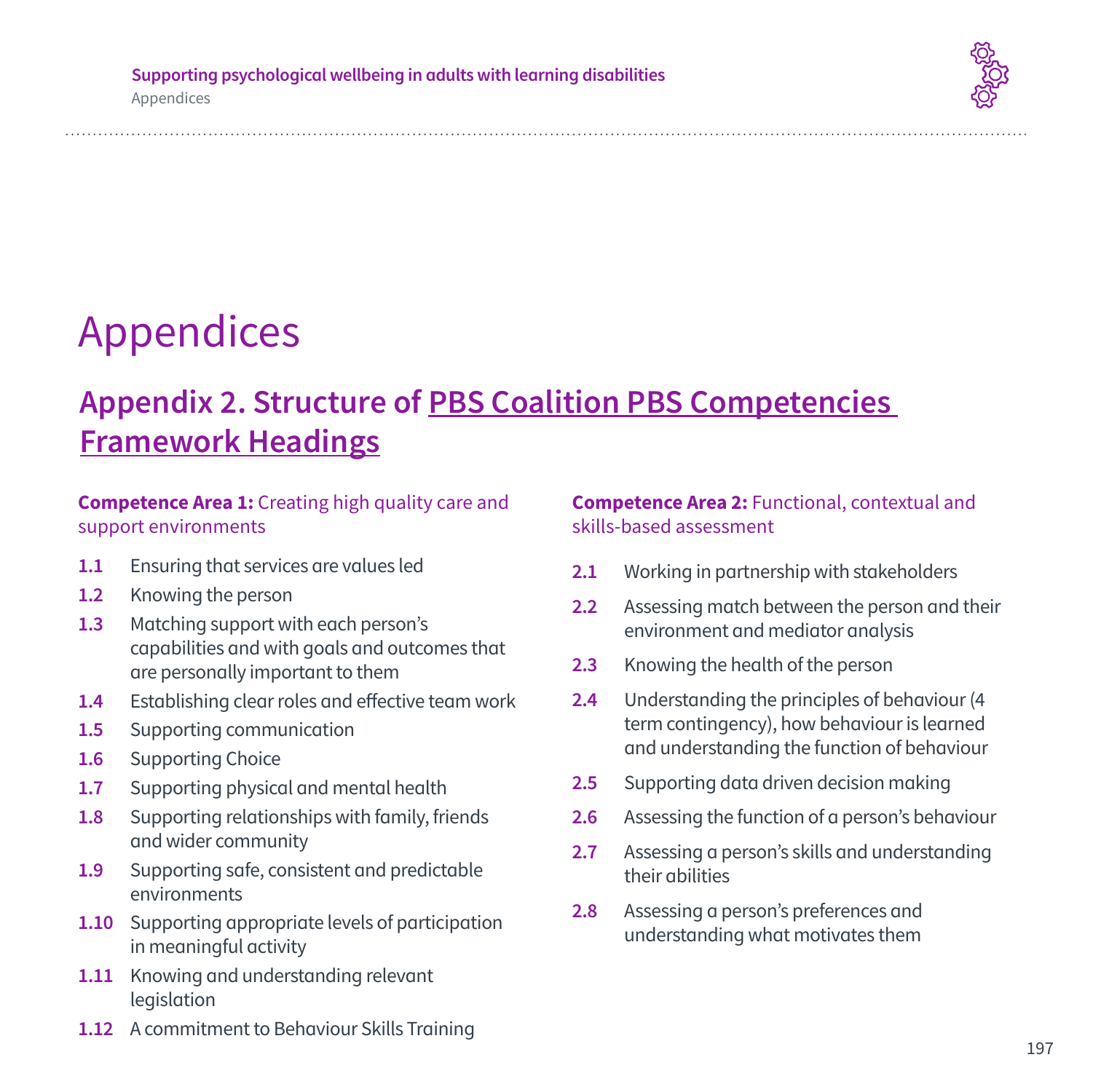# Appendices

## **Appendix 2. Structure of [PBS Coalition PBS Competencies](http://pbsacademy.org.uk/pbs-competence-framework/)  [Framework Headings](http://pbsacademy.org.uk/pbs-competence-framework/)**

### **Competence Area 1:** Creating high quality care and support environments

- **1.1** Ensuring that services are values led
- **1.2** Knowing the person
- **1.3** Matching support with each person's capabilities and with goals and outcomes that are personally important to them
- **1.4** Establishing clear roles and effective team work
- **1.5** Supporting communication
- **1.6** Supporting Choice
- **1.7** Supporting physical and mental health
- **1.8** Supporting relationships with family, friends and wider community
- **1.9** Supporting safe, consistent and predictable environments
- **1.10** Supporting appropriate levels of participation in meaningful activity
- **1.11** Knowing and understanding relevant legislation
- **1.12** A commitment to Behaviour Skills Training

### **Competence Area 2:** Functional, contextual and skills-based assessment

- **2.1** Working in partnership with stakeholders
- **2.2** Assessing match between the person and their environment and mediator analysis
- **2.3** Knowing the health of the person
- **2.4** Understanding the principles of behaviour (4 term contingency), how behaviour is learned and understanding the function of behaviour
- **2.5** Supporting data driven decision making
- **2.6** Assessing the function of a person's behaviour
- **2.7** Assessing a person's skills and understanding their abilities
- **2.8** Assessing a person's preferences and understanding what motivates them

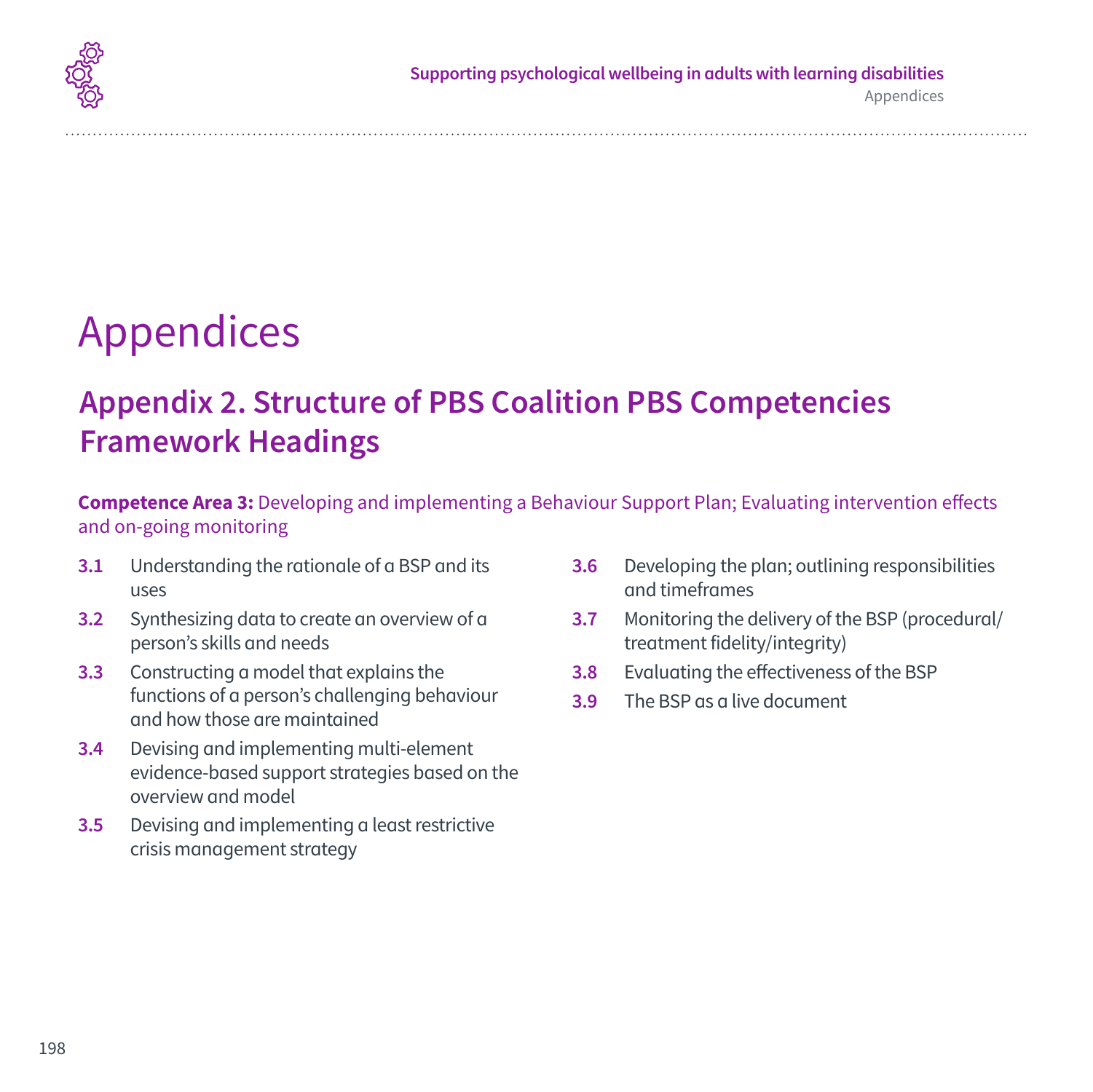

# Appendices

## **Appendix 2. Structure of PBS Coalition PBS Competencies Framework Headings**

**Competence Area 3:** Developing and implementing a Behaviour Support Plan; Evaluating intervention effects and on-going monitoring

- **3.1** Understanding the rationale of a BSP and its uses
- **3.2** Synthesizing data to create an overview of a person's skills and needs
- **3.3** Constructing a model that explains the functions of a person's challenging behaviour and how those are maintained
- **3.4** Devising and implementing multi-element evidence-based support strategies based on the overview and model
- **3.5** Devising and implementing a least restrictive crisis management strategy
- **3.6** Developing the plan; outlining responsibilities and timeframes
- **3.7** Monitoring the delivery of the BSP (procedural/ treatment fidelity/integrity)
- **3.8** Evaluating the effectiveness of the BSP
- **3.9** The BSP as a live document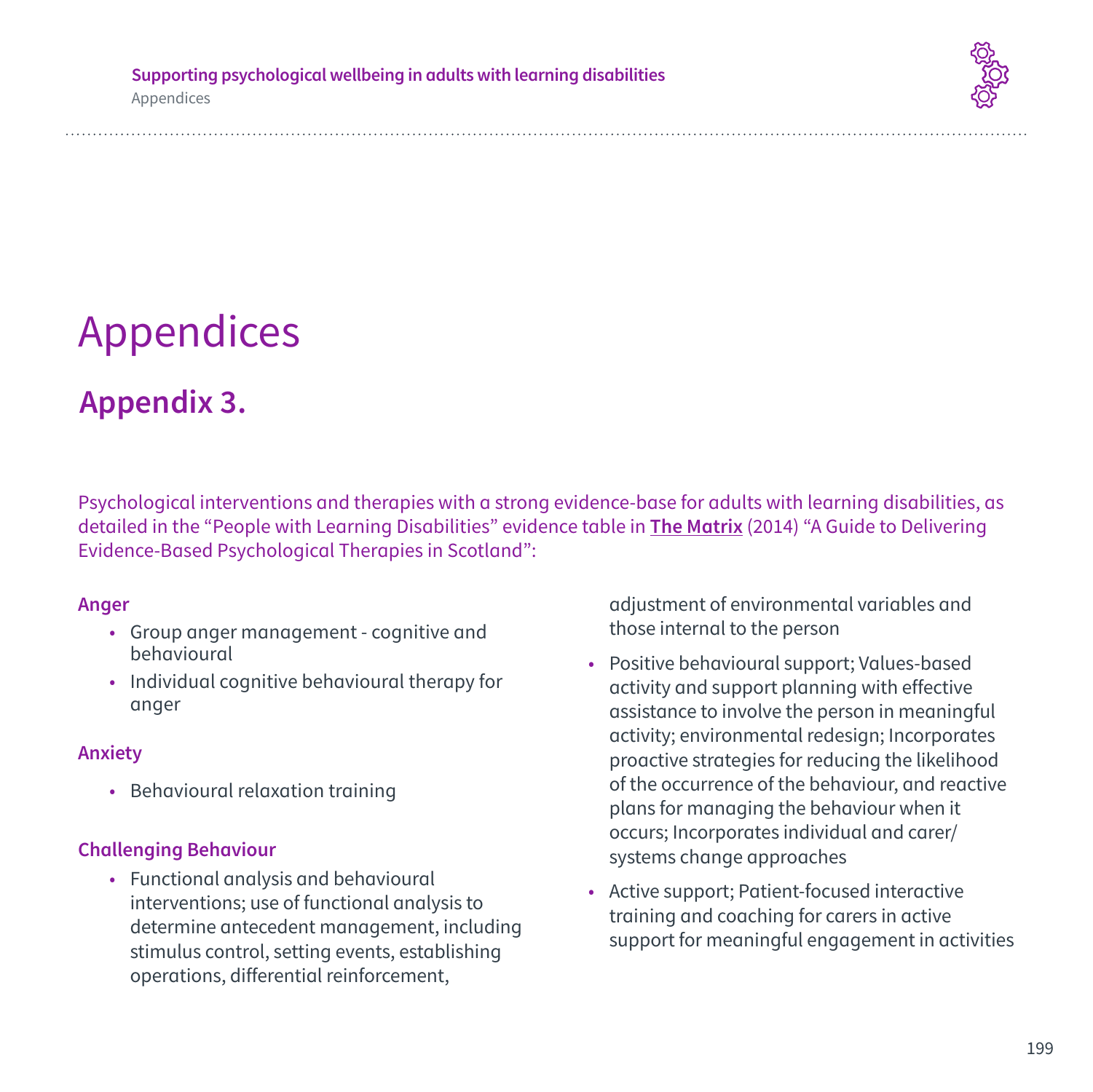

## **Appendix 3.**

Psychological interventions and therapies with a strong evidence-base for adults with learning disabilities, as detailed in the "People with Learning Disabilities" evidence table in **[The Matrix](http://www.nes.scot.nhs.uk/education-and-training/by-discipline/psychology/the-matrix-(2015)-a-guide-to-delivering-evidence-based-psychological-therapies-in-scotland.aspx)** (2014) "A Guide to Delivering Evidence-Based Psychological Therapies in Scotland":

#### **Anger**

- Group anger management cognitive and behavioural
- Individual cognitive behavioural therapy for anger

#### **Anxiety**

• Behavioural relaxation training

#### **Challenging Behaviour**

• Functional analysis and behavioural interventions; use of functional analysis to determine antecedent management, including stimulus control, setting events, establishing operations, differential reinforcement,

adjustment of environmental variables and those internal to the person

- Positive behavioural support; Values-based activity and support planning with effective assistance to involve the person in meaningful activity; environmental redesign; Incorporates proactive strategies for reducing the likelihood of the occurrence of the behaviour, and reactive plans for managing the behaviour when it occurs; Incorporates individual and carer/ systems change approaches
- Active support; Patient-focused interactive training and coaching for carers in active support for meaningful engagement in activities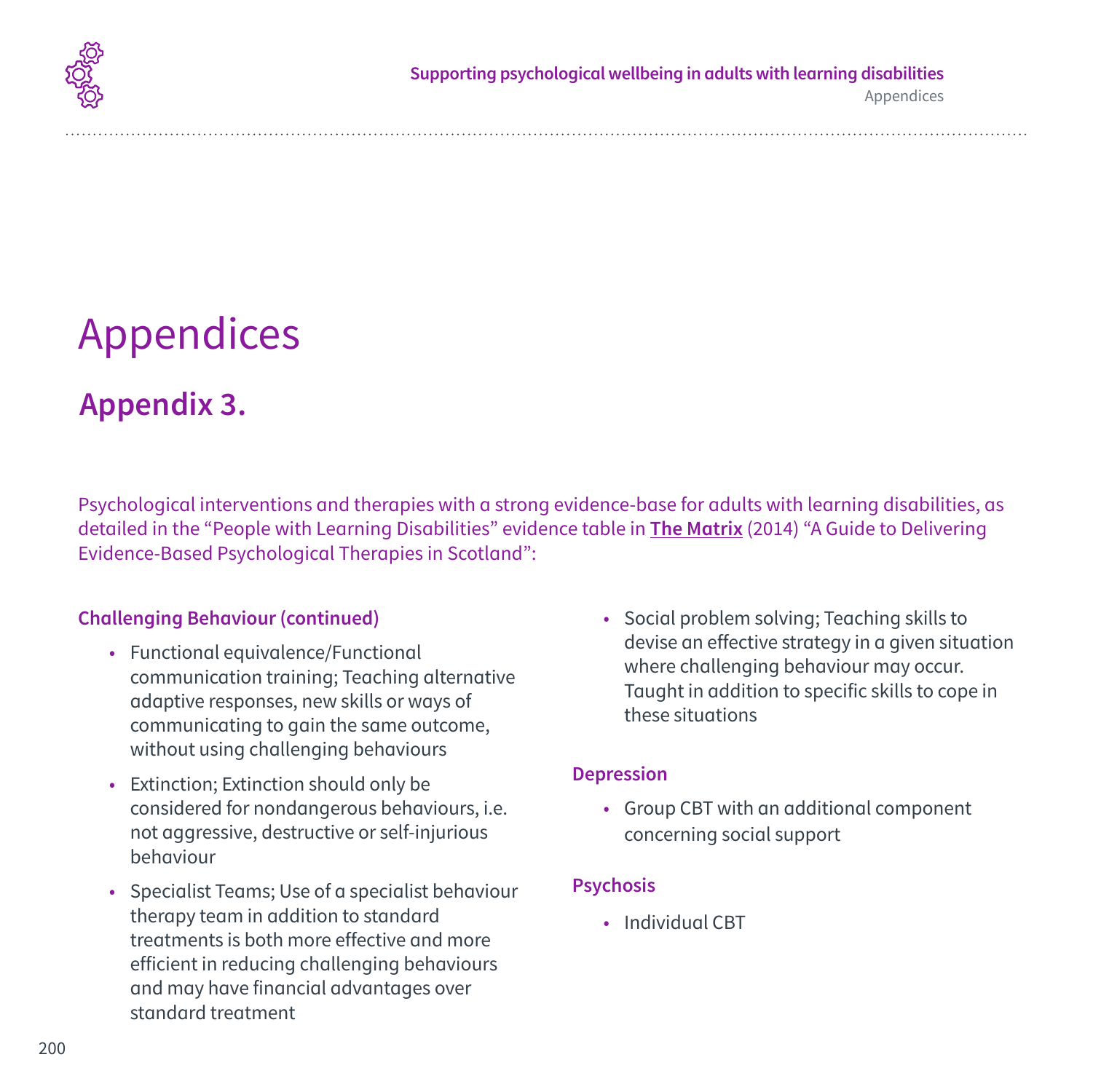

# Appendices

## **Appendix 3.**

Psychological interventions and therapies with a strong evidence-base for adults with learning disabilities, as detailed in the "People with Learning Disabilities" evidence table in **[The Matrix](http://www.nes.scot.nhs.uk/education-and-training/by-discipline/psychology/the-matrix-(2015)-a-guide-to-delivering-evidence-based-psychological-therapies-in-scotland.aspx)** (2014) "A Guide to Delivering Evidence-Based Psychological Therapies in Scotland":

#### **Challenging Behaviour (continued)**

- Functional equivalence/Functional communication training; Teaching alternative adaptive responses, new skills or ways of communicating to gain the same outcome, without using challenging behaviours
- Extinction; Extinction should only be considered for nondangerous behaviours, i.e. not aggressive, destructive or self-injurious behaviour
- Specialist Teams; Use of a specialist behaviour therapy team in addition to standard treatments is both more effective and more efficient in reducing challenging behaviours and may have financial advantages over standard treatment

• Social problem solving; Teaching skills to devise an effective strategy in a given situation where challenging behaviour may occur. Taught in addition to specific skills to cope in these situations

#### **Depression**

• Group CBT with an additional component concerning social support

#### **Psychosis**

• Individual CBT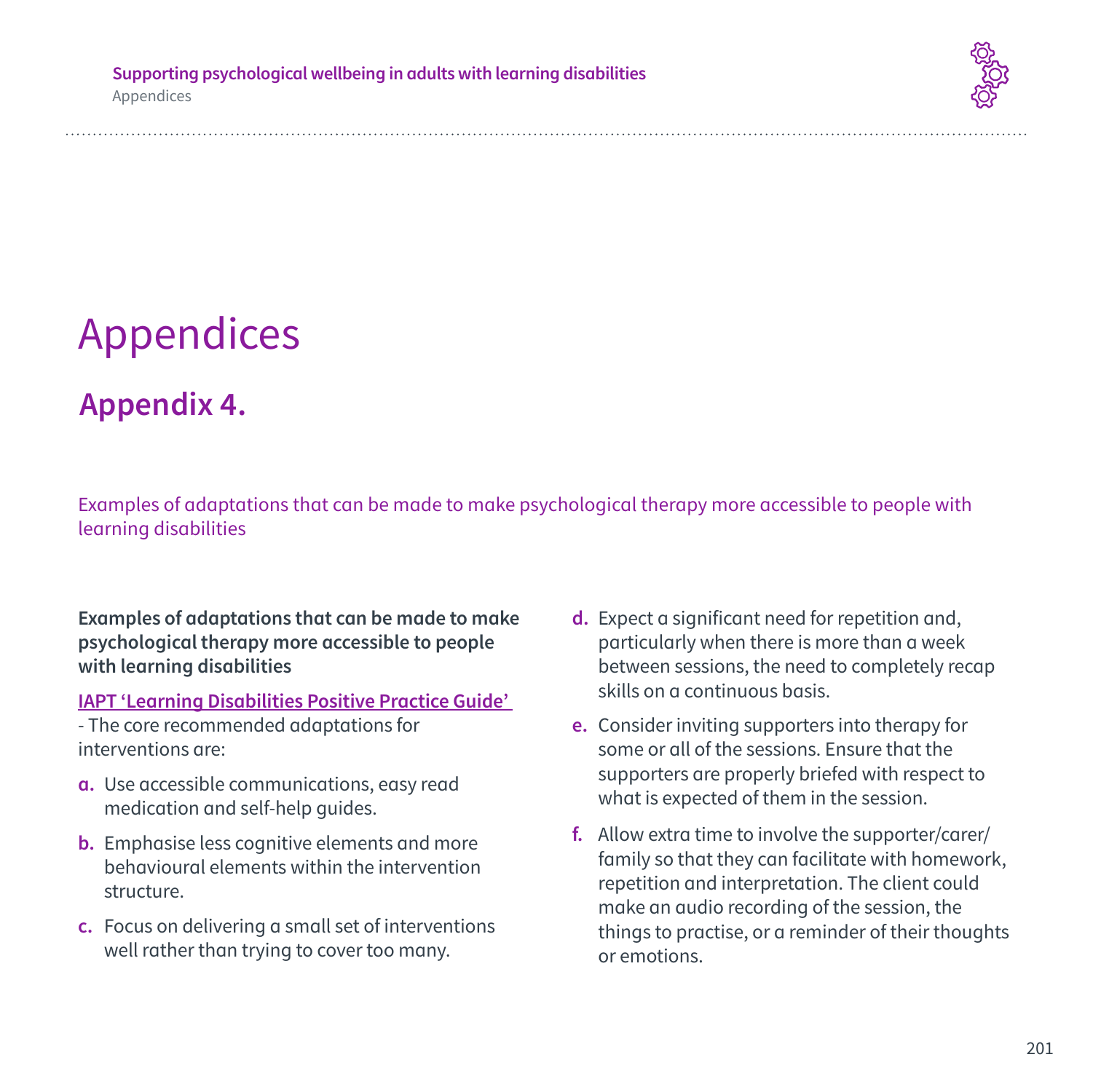

## **Appendix 4.**

Examples of adaptations that can be made to make psychological therapy more accessible to people with learning disabilities

**Examples of adaptations that can be made to make psychological therapy more accessible to people with learning disabilities** 

**[IAPT 'Learning Disabilities Positive Practice Guide'](https://www.mentalhealth.org.uk/publications/learning-disabilities-iapt-positive-practice-guide)** 

- The core recommended adaptations for interventions are:

- **a.** Use accessible communications, easy read medication and self-help guides.
- **b.** Emphasise less cognitive elements and more behavioural elements within the intervention structure.
- **c.** Focus on delivering a small set of interventions well rather than trying to cover too many.
- **d.** Expect a significant need for repetition and, particularly when there is more than a week between sessions, the need to completely recap skills on a continuous basis.
- **e.** Consider inviting supporters into therapy for some or all of the sessions. Ensure that the supporters are properly briefed with respect to what is expected of them in the session.
- **f.** Allow extra time to involve the supporter/carer/ family so that they can facilitate with homework, repetition and interpretation. The client could make an audio recording of the session, the things to practise, or a reminder of their thoughts or emotions.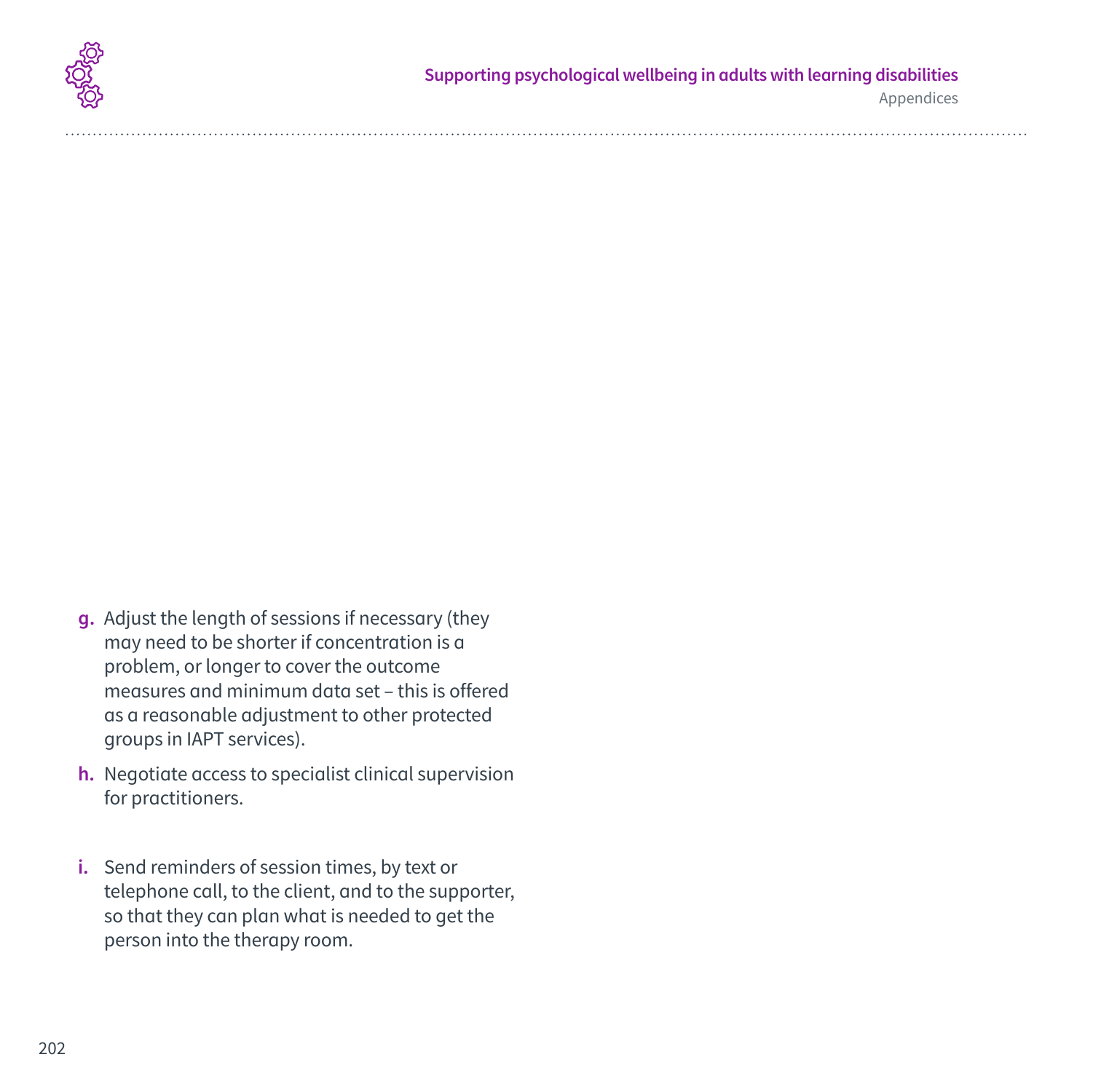

**g.** Adjust the length of sessions if necessary (they may need to be shorter if concentration is a problem, or longer to cover the outcome measures and minimum data set – this is offered as a reasonable adjustment to other protected groups in IAPT services).

- **h.** Negotiate access to specialist clinical supervision for practitioners.
- **i.** Send reminders of session times, by text or telephone call, to the client, and to the supporter, so that they can plan what is needed to get the person into the therapy room.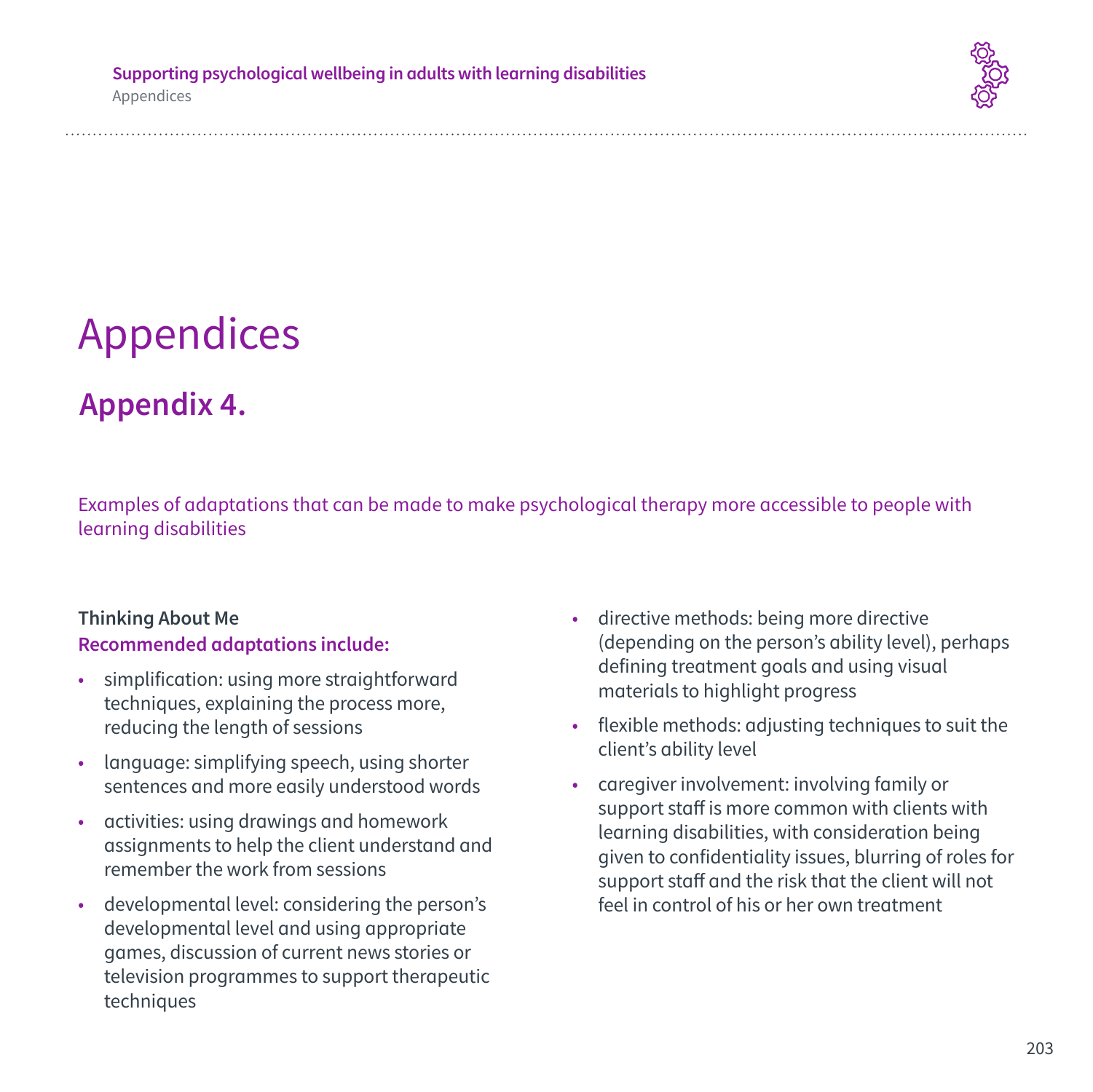

## **Appendix 4.**

Examples of adaptations that can be made to make psychological therapy more accessible to people with learning disabilities

### **[Thinking About Me](http://www.nes.scot.nhs.uk/education-and-training/by-theme-initiative/mental-health-and-learning-disabilities/publications-and-resources/publications-repository/thinking-about-me-essential-psychological-care-for-people-with-learning-disabilities.aspx)**

#### **Recommended adaptations include:**

- simplification: using more straightforward techniques, explaining the process more, reducing the length of sessions
- language: simplifying speech, using shorter sentences and more easily understood words
- activities: using drawings and homework assignments to help the client understand and remember the work from sessions
- developmental level: considering the person's developmental level and using appropriate games, discussion of current news stories or television programmes to support therapeutic techniques
- directive methods: being more directive (depending on the person's ability level), perhaps defining treatment goals and using visual materials to highlight progress
- flexible methods: adjusting techniques to suit the client's ability level
- caregiver involvement: involving family or support staff is more common with clients with learning disabilities, with consideration being given to confidentiality issues, blurring of roles for support staff and the risk that the client will not feel in control of his or her own treatment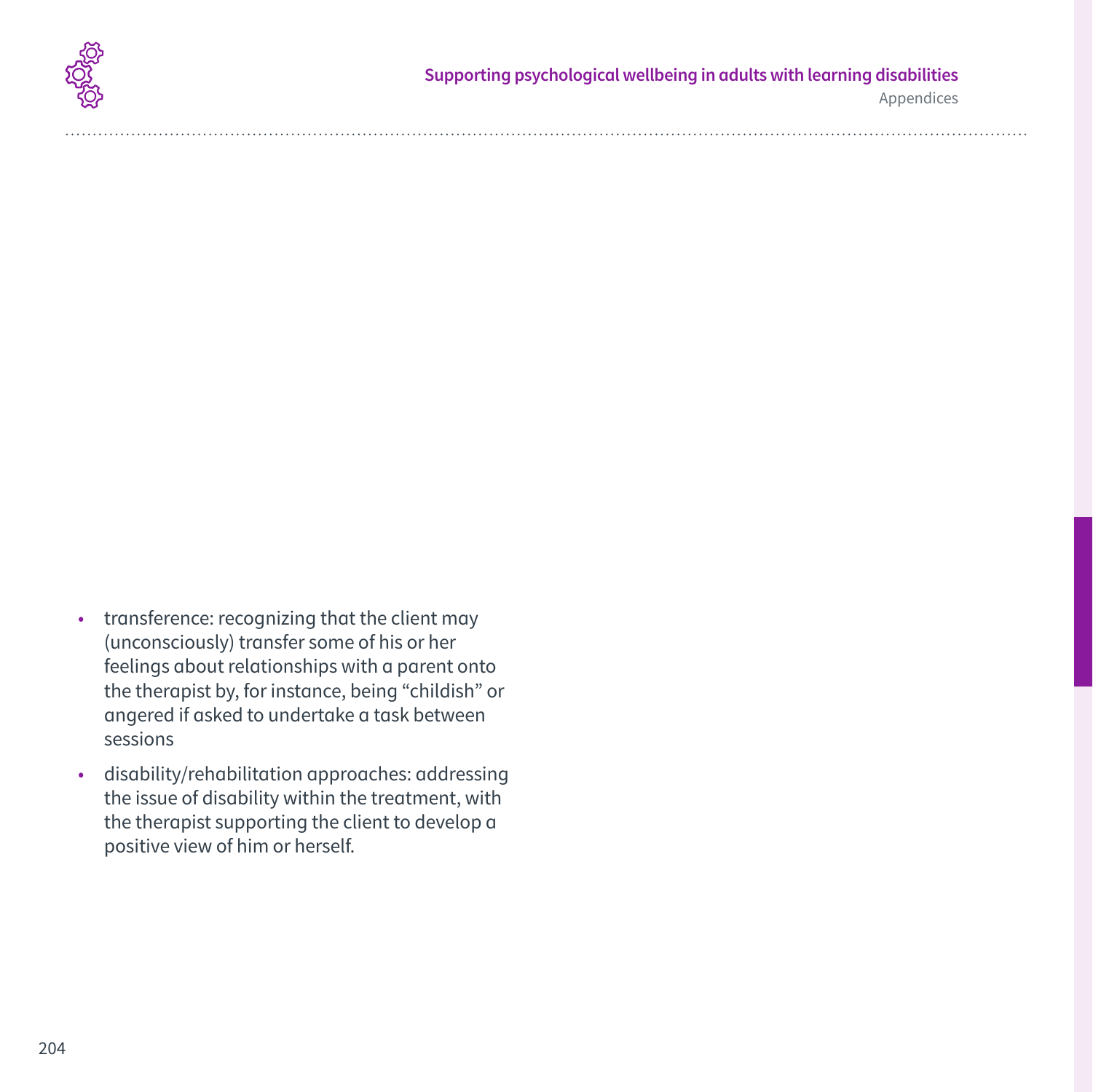

Appendices

• transference: recognizing that the client may (unconsciously) transfer some of his or her feelings about relationships with a parent onto the therapist by, for instance, being "childish" or angered if asked to undertake a task between sessions

• disability/rehabilitation approaches: addressing the issue of disability within the treatment, with the therapist supporting the client to develop a positive view of him or herself.